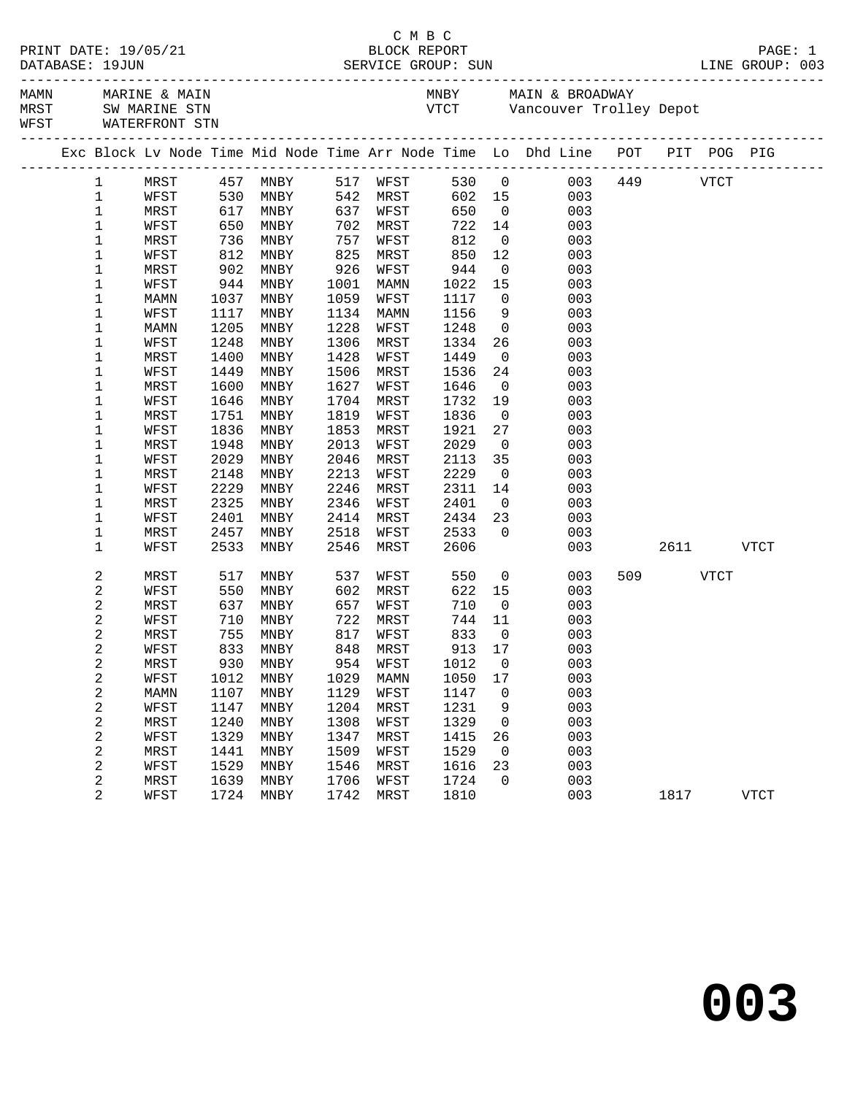|             | DATABASE: 19JUN         | PRINT DATE: 19/05/21                                       |                  |                      |      |                      |      |                |                                                                                |           |           |             |
|-------------|-------------------------|------------------------------------------------------------|------------------|----------------------|------|----------------------|------|----------------|--------------------------------------------------------------------------------|-----------|-----------|-------------|
| <b>MAMN</b> |                         | MARINE & MAIN<br>MRST SW MARINE STN<br>WFST WATERFRONT STN |                  |                      |      |                      |      |                | MNBY MAIN & BROADWAY<br>VTCT Vancouver Trolley Depot                           |           |           |             |
|             |                         |                                                            |                  |                      |      |                      |      |                | Exc Block Lv Node Time Mid Node Time Arr Node Time Lo Dhd Line POT PIT POG PIG |           |           |             |
|             | $\mathbf{1}$            | MRST                                                       |                  | 457 MNBY<br>530 MNBY |      | 517 WFST<br>542 MRST |      |                | 530 0 003<br>602 15 003                                                        | 449 VTCT  |           |             |
|             | $\mathbf 1$             | WFST                                                       | 530              | MNBY                 | 542  | MRST                 |      |                |                                                                                |           |           |             |
|             | 1                       | MRST                                                       | 617              | MNBY                 | 637  | WFST                 | 650  | $\overline{0}$ | 003                                                                            |           |           |             |
|             | 1                       | WFST                                                       | 650              | MNBY                 | 702  | MRST                 | 722  | 14             | 003                                                                            |           |           |             |
|             | 1                       | MRST                                                       | ى 5<br>736<br>مە | MNBY                 | 757  | WFST                 | 812  | $\overline{0}$ | 003                                                                            |           |           |             |
|             | 1                       | WFST                                                       |                  | MNBY                 | 825  | MRST                 | 850  | 12             | 003                                                                            |           |           |             |
|             | 1                       | MRST                                                       | 902              | MNBY                 | 926  | WFST                 | 944  | $\overline{0}$ | 003                                                                            |           |           |             |
|             | 1                       | WFST                                                       | 944              | MNBY                 | 1001 | MAMN                 | 1022 | 15             | 003                                                                            |           |           |             |
|             | 1                       | MAMN                                                       | 1037             | MNBY                 | 1059 | WFST                 | 1117 | $\overline{0}$ | 003                                                                            |           |           |             |
|             | 1                       | WFST                                                       | 1117             | MNBY                 | 1134 | MAMN                 | 1156 | 9              | 003                                                                            |           |           |             |
|             | 1                       | MAMN                                                       | 1205             | MNBY                 | 1228 | WFST                 | 1248 | $\overline{0}$ | 003                                                                            |           |           |             |
|             | 1                       | WFST                                                       | 1248             | MNBY                 | 1306 | MRST                 | 1334 | 26             | 003                                                                            |           |           |             |
|             | 1                       | MRST                                                       | 1400             | MNBY                 | 1428 | WFST                 | 1449 | $\overline{0}$ | 003                                                                            |           |           |             |
|             | 1                       | WFST                                                       | 1449             | MNBY                 | 1506 | MRST                 | 1536 | 24             | 003                                                                            |           |           |             |
|             | 1                       | MRST                                                       | 1600             | MNBY                 | 1627 | WFST                 | 1646 | $\overline{0}$ | 003                                                                            |           |           |             |
|             | 1                       | WFST                                                       | 1646             | MNBY                 | 1704 | MRST                 | 1732 | 19             | 003                                                                            |           |           |             |
|             | 1                       | MRST                                                       | 1751             | MNBY                 | 1819 | WFST                 | 1836 | $\overline{0}$ | 003                                                                            |           |           |             |
|             | 1                       | WFST                                                       | 1836             | MNBY                 | 1853 | MRST                 | 1921 | 27             | 003                                                                            |           |           |             |
|             | 1                       | MRST                                                       | 1948             | MNBY                 | 2013 | WFST                 | 2029 | $\overline{0}$ | 003                                                                            |           |           |             |
|             | 1                       | WFST                                                       | 2029             | MNBY                 | 2046 | MRST                 | 2113 | 35             | 003                                                                            |           |           |             |
|             | 1                       | MRST                                                       | 2148             | MNBY                 | 2213 | WFST                 | 2229 | $\overline{0}$ | 003                                                                            |           |           |             |
|             | 1                       | WFST                                                       | 2229             | MNBY                 | 2246 | MRST                 | 2311 | 14             | 003                                                                            |           |           |             |
|             | 1                       | MRST                                                       | 2325             | MNBY                 | 2346 | WFST                 | 2401 | $\overline{0}$ | 003                                                                            |           |           |             |
|             | 1                       | WFST                                                       | 2401             | MNBY                 | 2414 | MRST                 | 2434 | 23             | 003                                                                            |           |           |             |
|             | 1                       | MRST                                                       | 2457             | MNBY                 | 2518 | WFST                 | 2533 | $\Omega$       | 003                                                                            |           |           |             |
|             | 1                       | WFST                                                       | 2533             | MNBY                 | 2546 | MRST                 | 2606 |                | 003                                                                            |           | 2611 VTCT |             |
|             |                         |                                                            |                  |                      |      |                      |      |                |                                                                                |           |           |             |
|             | 2                       | MRST                                                       | 517              | MNBY                 | 537  | WFST                 | 550  |                | $\overline{0}$<br>003                                                          | 509 — 100 | VTCT      |             |
|             | $\mathbf 2$             | WFST                                                       | 550              | MNBY                 | 602  | MRST                 | 622  | 15             | 003                                                                            |           |           |             |
|             | $\mathbf 2$             | MRST                                                       | 637              | MNBY                 | 657  | WFST                 | 710  | $\overline{0}$ | 003                                                                            |           |           |             |
|             | $\sqrt{2}$              | WFST                                                       | 710              | MNBY                 | 722  | MRST                 | 744  | 11             | 003                                                                            |           |           |             |
|             | $\overline{a}$          | MRST                                                       | 755              | MNBY                 | 817  | WFST                 | 833  | $\overline{0}$ | 003                                                                            |           |           |             |
|             | 2                       | WFST                                                       | 833              | MNBY                 | 848  | MRST                 | 913  | 17             | 003                                                                            |           |           |             |
|             | $\sqrt{2}$              | MRST                                                       | 930              | MNBY                 | 954  | WFST                 | 1012 | 0              | 003                                                                            |           |           |             |
|             | $\overline{\mathbf{c}}$ | WFST                                                       | 1012             | MNBY                 | 1029 | MAMN                 | 1050 | $17$           | 003                                                                            |           |           |             |
|             | $\overline{\mathbf{c}}$ | MAMN                                                       | 1107             | MNBY                 | 1129 | WFST                 | 1147 | 0              | 003                                                                            |           |           |             |
|             | $\overline{\mathbf{c}}$ | WFST                                                       | 1147             | MNBY                 | 1204 | <b>MRST</b>          | 1231 | 9              | 003                                                                            |           |           |             |
|             | $\overline{\mathbf{c}}$ | MRST                                                       | 1240             | MNBY                 | 1308 | WFST                 | 1329 | 0              | 003                                                                            |           |           |             |
|             | $\overline{\mathbf{c}}$ | WFST                                                       | 1329             | MNBY                 | 1347 | MRST                 | 1415 | 26             | 003                                                                            |           |           |             |
|             | $\overline{\mathbf{c}}$ | MRST                                                       | 1441             | MNBY                 | 1509 | WFST                 | 1529 | 0              | 003                                                                            |           |           |             |
|             | $\overline{\mathbf{c}}$ | WFST                                                       | 1529             | MNBY                 | 1546 | MRST                 | 1616 | 23             | 003                                                                            |           |           |             |
|             | $\overline{\mathbf{c}}$ | MRST                                                       | 1639             | MNBY                 | 1706 | WFST                 | 1724 | 0              | 003                                                                            |           |           |             |
|             | $\overline{a}$          | WFST                                                       | 1724             | MNBY                 | 1742 | MRST                 | 1810 |                | 003                                                                            | 1817      |           | <b>VTCT</b> |
|             |                         |                                                            |                  |                      |      |                      |      |                |                                                                                |           |           |             |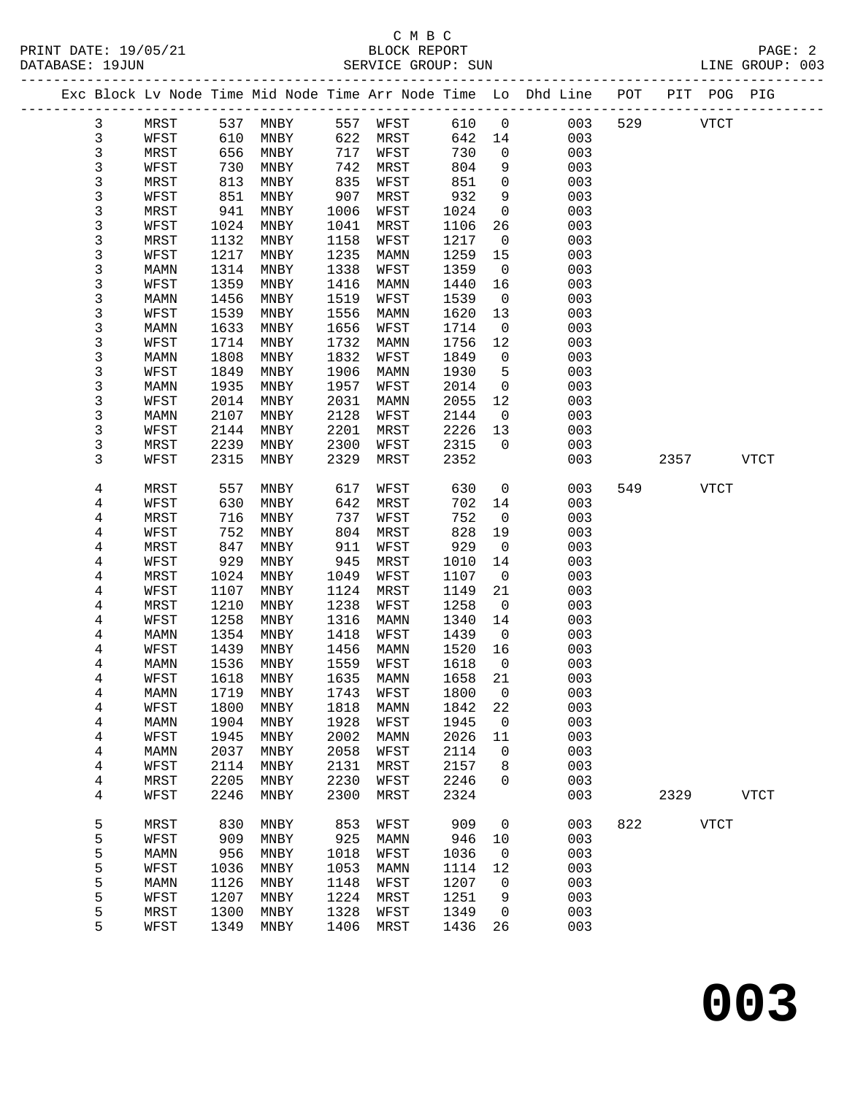### C M B C<br>BLOCK REPORT

| DATABASE: 19JUN |              |              |                              |      | SERVICE GROUP: SUN          |              |                          |                                                                                |     |             |      | LINE GROUP: 003 |  |
|-----------------|--------------|--------------|------------------------------|------|-----------------------------|--------------|--------------------------|--------------------------------------------------------------------------------|-----|-------------|------|-----------------|--|
|                 |              |              |                              |      |                             |              |                          | Exc Block Lv Node Time Mid Node Time Arr Node Time Lo Dhd Line POT PIT POG PIG |     |             |      |                 |  |
| 3               | MRST         |              | 537 MNBY                     |      | 557 WFST 610 0              |              |                          | 003                                                                            |     | 529 VTCT    |      |                 |  |
| 3               | WFST         | 610          | MNBY                         |      | 622 MRST                    | 642 14       |                          | 003                                                                            |     |             |      |                 |  |
| 3               | MRST         | 656          | MNBY                         | 717  | WFST                        | 730          | $\overline{0}$           | 003                                                                            |     |             |      |                 |  |
| 3               | WFST         | 730          | MNBY                         | 742  | MRST                        | 804          | 9                        | 003                                                                            |     |             |      |                 |  |
| 3               | MRST         | 813          | MNBY                         | 835  | WFST                        | 851          | $\mathbf 0$              | 003                                                                            |     |             |      |                 |  |
| 3               | WFST         | 851          | MNBY                         | 907  | MRST                        | 932          | 9                        | 003                                                                            |     |             |      |                 |  |
| 3               | MRST         | 941          | MNBY                         | 1006 | WFST                        | 1024         | $\mathsf{O}$             | 003                                                                            |     |             |      |                 |  |
| 3               | WFST         | 1024         | MNBY                         | 1041 | MRST                        | 1106         | 26                       | 003                                                                            |     |             |      |                 |  |
| 3               | MRST         | 1132         | MNBY                         | 1158 | WFST                        | 1217         | $\overline{0}$           | 003                                                                            |     |             |      |                 |  |
| 3               | WFST         | 1217         | MNBY                         | 1235 | MAMN                        | 1259         | 15                       | 003                                                                            |     |             |      |                 |  |
| 3               | MAMN         | 1314         | MNBY                         | 1338 | WFST                        | 1359         | $\overline{0}$           | 003                                                                            |     |             |      |                 |  |
| 3               | WFST         | 1359         | MNBY                         | 1416 | MAMN                        | 1440         | 16                       | 003                                                                            |     |             |      |                 |  |
| 3               | MAMN         | 1456         | MNBY                         | 1519 | WFST                        | 1539         | $\overline{0}$           | 003                                                                            |     |             |      |                 |  |
| 3               | WFST         | 1539         | MNBY                         | 1556 | MAMN                        | 1620         | 13                       | 003                                                                            |     |             |      |                 |  |
| 3               | MAMN         | 1633         | MNBY                         | 1656 | WFST                        | 1714         | $\mathsf{O}$             | 003                                                                            |     |             |      |                 |  |
| 3               | WFST         | 1714         | MNBY                         | 1732 | MAMN                        | 1756         | 12                       | 003                                                                            |     |             |      |                 |  |
| 3               | MAMN         | 1808         | MNBY                         | 1832 | WFST                        | 1849         | $\overline{0}$           | 003                                                                            |     |             |      |                 |  |
| 3               | WFST         | 1849         | MNBY                         | 1906 | MAMN                        | 1930         | 5                        | 003                                                                            |     |             |      |                 |  |
| 3               | MAMN         | 1935         | MNBY                         | 1957 | WFST                        | 2014         | $\mathsf{O}$             | 003                                                                            |     |             |      |                 |  |
| 3               | WFST         | 2014         | MNBY                         | 2031 | MAMN                        | 2055         | 12                       | 003                                                                            |     |             |      |                 |  |
| 3               | MAMN         | 2107         | MNBY                         | 2128 | WFST                        | 2144         | $\overline{0}$           | 003                                                                            |     |             |      |                 |  |
| 3               | WFST         | 2144         | MNBY                         | 2201 | MRST                        | 2226         | 13                       | 003                                                                            |     |             |      |                 |  |
| 3               | MRST         | 2239         | MNBY                         | 2300 | WFST                        | 2315         | $\mathbf 0$              | 003                                                                            |     |             |      |                 |  |
| 3               | WFST         | 2315         | MNBY                         | 2329 | MRST                        | 2352         |                          | 003                                                                            |     |             | 2357 | <b>VTCT</b>     |  |
|                 |              |              |                              |      |                             |              |                          |                                                                                |     |             |      |                 |  |
| 4               | MRST         | 557          | MNBY                         | 617  | WFST                        | 630          | $\overline{0}$           | 003                                                                            |     | 549         | VTCT |                 |  |
| 4               | WFST         | 630          | MNBY                         | 642  | MRST                        | 702          | 14                       | 003                                                                            |     |             |      |                 |  |
| 4               | MRST         | 716          | MNBY                         | 737  | WFST                        | 752          | $\overline{0}$           | 003                                                                            |     |             |      |                 |  |
| 4               | WFST         | 752          | MNBY                         | 804  | MRST                        | 828          | 19                       | 003                                                                            |     |             |      |                 |  |
| 4               | MRST         | 847          | MNBY                         | 911  | WFST                        | 929          | $\overline{0}$           | 003                                                                            |     |             |      |                 |  |
| 4               | WFST         | 929          | MNBY                         | 945  | MRST                        | 1010         | 14                       | 003                                                                            |     |             |      |                 |  |
| 4               | MRST         | 1024         | MNBY                         | 1049 | WFST                        | 1107         | $\overline{\phantom{0}}$ | 003                                                                            |     |             |      |                 |  |
| 4               | WFST         | 1107         | MNBY                         | 1124 | MRST                        | 1149         | 21                       | 003                                                                            |     |             |      |                 |  |
| 4               | MRST         | 1210         | MNBY                         | 1238 | WFST                        | 1258         | $\overline{0}$           | 003                                                                            |     |             |      |                 |  |
| 4               | WFST         | 1258<br>1354 | MNBY                         | 1316 | MAMN                        | 1340         | 14<br>$\overline{0}$     | 003<br>003                                                                     |     |             |      |                 |  |
| 4               | MAMN         |              | MNBY                         | 1418 | WFST                        | 1439         | 16                       |                                                                                |     |             |      |                 |  |
| 4<br>4          | WFST<br>MAMN | 1439<br>1536 | MNBY<br>MNBY                 | 1456 | MAMN<br>1559 WFST           | 1520<br>1618 | $\overline{0}$           | 003<br>003                                                                     |     |             |      |                 |  |
| 4               | WFST         |              |                              |      | 1618 MNBY 1635 MAMN 1658 21 |              |                          | 003                                                                            |     |             |      |                 |  |
|                 |              | 1719         | MNBY                         | 1743 | WFST                        | 1800         | $\mathbf 0$              | 003                                                                            |     |             |      |                 |  |
| 4               | MAMN<br>WFST | 1800         | MNBY                         | 1818 | MAMN                        | 1842         | 22                       | 003                                                                            |     |             |      |                 |  |
| 4<br>4          | MAMN         | 1904         | MNBY                         | 1928 | WFST                        | 1945         | $\overline{0}$           | 003                                                                            |     |             |      |                 |  |
| 4               | WFST         | 1945         | MNBY                         | 2002 | MAMN                        | 2026         | 11                       | 003                                                                            |     |             |      |                 |  |
| 4               | MAMN         | 2037         | MNBY                         | 2058 | WFST                        | 2114         | 0                        | 003                                                                            |     |             |      |                 |  |
| 4               | WFST         | 2114         | MNBY                         | 2131 | MRST                        | 2157         | 8                        | 003                                                                            |     |             |      |                 |  |
| 4               | MRST         | 2205         | MNBY                         | 2230 | WFST                        | 2246         | $\mathbf 0$              | 003                                                                            |     |             |      |                 |  |
| 4               | WFST         | 2246         | $\ensuremath{\mathsf{MNBY}}$ | 2300 | MRST                        | 2324         |                          | 003                                                                            |     | 2329        |      | <b>VTCT</b>     |  |
|                 |              |              |                              |      |                             |              |                          |                                                                                |     |             |      |                 |  |
| 5               | MRST         | 830          | MNBY                         | 853  | WFST                        | 909          | $\mathbf 0$              | 003                                                                            | 822 | <b>VTCT</b> |      |                 |  |
| 5               | WFST         | 909          | MNBY                         | 925  | MAMN                        | 946          | 10                       | 003                                                                            |     |             |      |                 |  |
| 5               | MAMN         | 956          | MNBY                         | 1018 | WFST                        | 1036         | $\overline{0}$           | 003                                                                            |     |             |      |                 |  |
| 5               | WFST         | 1036         | MNBY                         | 1053 | MAMN                        | 1114         | 12                       | 003                                                                            |     |             |      |                 |  |
| 5               | MAMN         | 1126         | MNBY                         | 1148 | WFST                        | 1207         | 0                        | 003                                                                            |     |             |      |                 |  |
| 5               | WFST         | 1207         | MNBY                         | 1224 | MRST                        | 1251         | 9                        | 003                                                                            |     |             |      |                 |  |
| 5               | MRST         | 1300         | MNBY                         | 1328 | WFST                        | 1349         | $\mathbf 0$              | 003                                                                            |     |             |      |                 |  |
|                 |              |              |                              |      |                             |              |                          |                                                                                |     |             |      |                 |  |

5 WFST 1349 MNBY 1406 MRST 1436 26 003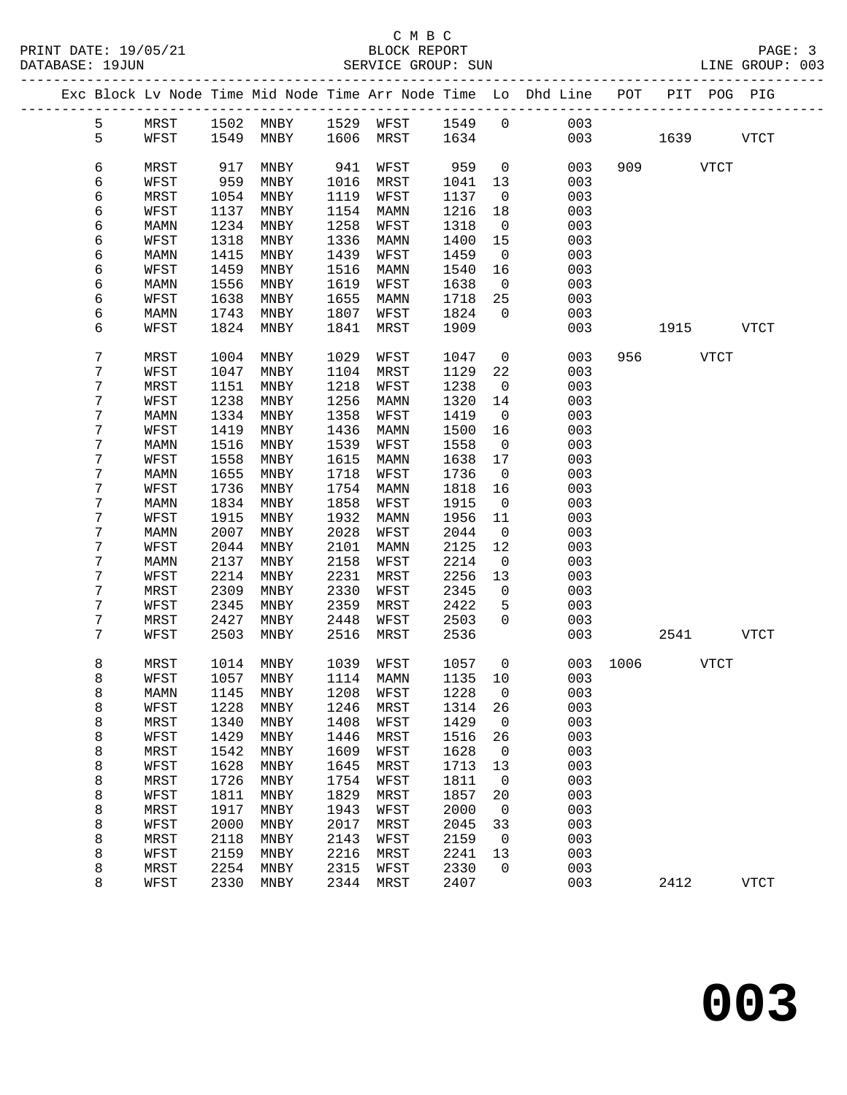### C M B C<br>BLOCK REPORT

PRINT DATE: 19/05/21 BLOCK REPORT PAGE: 3 SERVICE GROUP: SUN -------------------------------------------------------------------------------------------------

|  |        |              |              |              |              |              |              |              | Exc Block Lv Node Time Mid Node Time Arr Node Time Lo Dhd Line | POT  |      |             | PIT POG PIG |  |
|--|--------|--------------|--------------|--------------|--------------|--------------|--------------|--------------|----------------------------------------------------------------|------|------|-------------|-------------|--|
|  | 5      | MRST         | 1502         | MNBY         | 1529         | WFST         | 1549         | $\mathsf{O}$ | 003                                                            |      |      |             |             |  |
|  | 5      | WFST         | 1549         | MNBY         | 1606         | MRST         | 1634         |              | 003                                                            |      | 1639 |             | <b>VTCT</b> |  |
|  | 6      | MRST         | 917          | MNBY         | 941          | WFST         | 959          | $\mathsf{O}$ | 003                                                            | 909  |      | <b>VTCT</b> |             |  |
|  | 6      | WFST         | 959          | MNBY         | 1016         | MRST         | 1041         | 13           | 003                                                            |      |      |             |             |  |
|  | 6      | MRST         | 1054         | MNBY         | 1119         | WFST         | 1137         | 0            | 003                                                            |      |      |             |             |  |
|  | 6      | WFST         | 1137         | MNBY         | 1154         | MAMN         | 1216         | 18           | 003                                                            |      |      |             |             |  |
|  | 6      | MAMN         | 1234         | MNBY         | 1258         | WFST         | 1318         | $\mathbf 0$  | 003                                                            |      |      |             |             |  |
|  | 6      | WFST         | 1318         | MNBY         | 1336         | MAMN         | 1400         | 15           | 003                                                            |      |      |             |             |  |
|  | 6      | MAMN         | 1415         | MNBY         | 1439         | WFST         | 1459         | 0            | 003                                                            |      |      |             |             |  |
|  | 6      | WFST         | 1459         | MNBY         | 1516         | MAMN         | 1540         | 16           | 003                                                            |      |      |             |             |  |
|  | 6      | MAMN         | 1556         | MNBY         | 1619         | WFST         | 1638         | $\mathbf 0$  | 003                                                            |      |      |             |             |  |
|  | 6      | WFST         | 1638         | MNBY         | 1655         | MAMN         | 1718         | 25           | 003                                                            |      |      |             |             |  |
|  | 6      | MAMN         | 1743         | MNBY         | 1807         | WFST         | 1824         | $\mathbf 0$  | 003                                                            |      |      |             |             |  |
|  | 6      | WFST         | 1824         | MNBY         | 1841         | MRST         | 1909         |              | 003                                                            |      | 1915 |             | <b>VTCT</b> |  |
|  | 7      | MRST         | 1004         | MNBY         | 1029         | WFST         | 1047         | $\mathsf{O}$ | 003                                                            | 956  |      | <b>VTCT</b> |             |  |
|  | 7      | WFST         | 1047         | MNBY         | 1104         | MRST         | 1129         | 22           | 003                                                            |      |      |             |             |  |
|  | 7      | MRST         | 1151         | MNBY         | 1218         | WFST         | 1238         | 0            | 003                                                            |      |      |             |             |  |
|  | 7      | WFST         | 1238         | MNBY         | 1256         | MAMN         | 1320         | 14           | 003                                                            |      |      |             |             |  |
|  | 7      | MAMN         | 1334         | MNBY         | 1358         | WFST         | 1419         | $\mathbf 0$  | 003                                                            |      |      |             |             |  |
|  | 7      | WFST         | 1419         | MNBY         | 1436         | MAMN         | 1500         | 16           | 003                                                            |      |      |             |             |  |
|  | 7      | MAMN         | 1516         | MNBY         | 1539         | WFST         | 1558         | 0            | 003                                                            |      |      |             |             |  |
|  | 7      | WFST         | 1558         | MNBY         | 1615         | MAMN         | 1638         | 17           | 003                                                            |      |      |             |             |  |
|  | 7      | MAMN         | 1655         | MNBY         | 1718         | WFST         | 1736         | $\mathbf 0$  | 003                                                            |      |      |             |             |  |
|  | 7<br>7 | WFST         | 1736         | MNBY         | 1754<br>1858 | MAMN         | 1818<br>1915 | 16           | 003<br>003                                                     |      |      |             |             |  |
|  | 7      | MAMN<br>WFST | 1834<br>1915 | MNBY<br>MNBY | 1932         | WFST<br>MAMN | 1956         | 0<br>11      | 003                                                            |      |      |             |             |  |
|  | 7      | MAMN         | 2007         | MNBY         | 2028         | WFST         | 2044         | $\mathbf 0$  | 003                                                            |      |      |             |             |  |
|  | 7      | WFST         | 2044         | MNBY         | 2101         | MAMN         | 2125         | 12           | 003                                                            |      |      |             |             |  |
|  | 7      | MAMN         | 2137         | MNBY         | 2158         | WFST         | 2214         | 0            | 003                                                            |      |      |             |             |  |
|  | 7      | WFST         | 2214         | MNBY         | 2231         | MRST         | 2256         | 13           | 003                                                            |      |      |             |             |  |
|  | 7      | MRST         | 2309         | MNBY         | 2330         | WFST         | 2345         | $\mathsf{O}$ | 003                                                            |      |      |             |             |  |
|  | 7      | WFST         | 2345         | MNBY         | 2359         | MRST         | 2422         | 5            | 003                                                            |      |      |             |             |  |
|  | 7      | MRST         | 2427         | MNBY         | 2448         | WFST         | 2503         | $\Omega$     | 003                                                            |      |      |             |             |  |
|  | 7      | WFST         | 2503         | MNBY         | 2516         | MRST         | 2536         |              | 003                                                            |      | 2541 |             | <b>VTCT</b> |  |
|  | 8      | MRST         | 1014         | MNBY         | 1039         | WFST         | 1057         | $\mathbf 0$  | 003                                                            | 1006 |      | <b>VTCT</b> |             |  |
|  | 8      | WFST         | 1057         | MNBY         | 1114         | MAMN         | 1135         | 10           | 003                                                            |      |      |             |             |  |
|  | 8      | MAMN         | 1145         | MNBY         | 1208         | WFST         | 1228         | $\mathbf 0$  | 003                                                            |      |      |             |             |  |
|  | 8      | WFST         |              | 1228 MNBY    |              | 1246 MRST    | 1314 26      |              | 003                                                            |      |      |             |             |  |
|  | 8      | MRST         | 1340         | MNBY         | 1408         | WFST         | 1429         | 0            | 003                                                            |      |      |             |             |  |
|  | 8      | WFST         | 1429         | MNBY         | 1446         | MRST         | 1516         | 26           | 003                                                            |      |      |             |             |  |
|  | 8      | MRST         | 1542         | MNBY         | 1609         | WFST         | 1628         | 0            | 003                                                            |      |      |             |             |  |
|  | 8      | WFST         | 1628         | MNBY         | 1645         | MRST         | 1713         | 13           | 003                                                            |      |      |             |             |  |
|  | 8      | MRST<br>WFST | 1726<br>1811 | MNBY         | 1754<br>1829 | WFST<br>MRST | 1811<br>1857 | $\mathbf 0$  | 003<br>003                                                     |      |      |             |             |  |
|  | 8<br>8 | MRST         | 1917         | MNBY<br>MNBY | 1943         | WFST         | 2000         | 20<br>0      | 003                                                            |      |      |             |             |  |
|  | 8      | WFST         | 2000         | MNBY         | 2017         | MRST         | 2045         | 33           | 003                                                            |      |      |             |             |  |
|  | 8      | MRST         | 2118         | MNBY         | 2143         | WFST         | 2159         | 0            | 003                                                            |      |      |             |             |  |
|  | 8      | WFST         | 2159         | MNBY         | 2216         | MRST         | 2241         | 13           | 003                                                            |      |      |             |             |  |
|  | 8      | MRST         | 2254         | MNBY         | 2315         | WFST         | 2330         | 0            | 003                                                            |      |      |             |             |  |
|  | 8      | WFST         | 2330         | MNBY         | 2344         | MRST         | 2407         |              | 003                                                            |      | 2412 |             | <b>VTCT</b> |  |
|  |        |              |              |              |              |              |              |              |                                                                |      |      |             |             |  |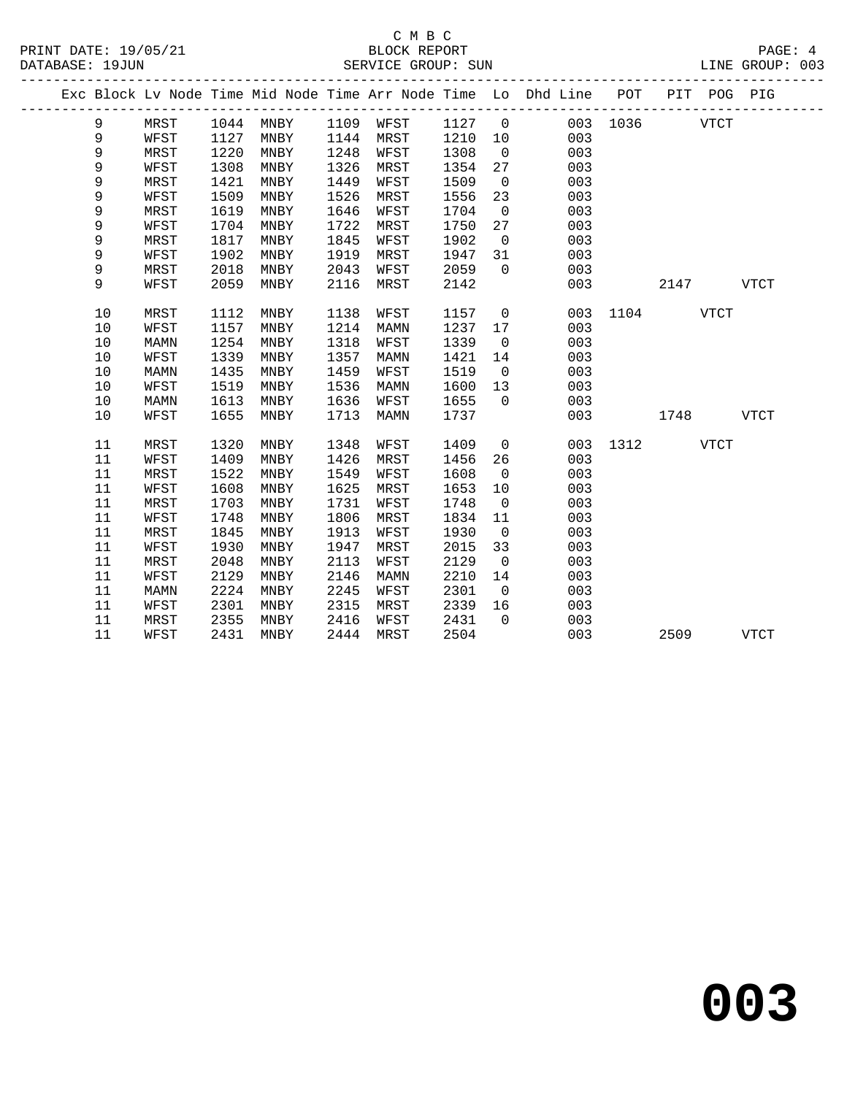#### C M B C<br>BLOCK REPORT PRINT DATE: 19/05/21 BLOCK REPORT PAGE: 4 SERVICE GROUP: SUN

|  |      |             |      |                 |      |             |      | ------------   | Exc Block Lv Node Time Mid Node Time Arr Node Time Lo Dhd Line POT |          |      | PIT POG PIG |              |
|--|------|-------------|------|-----------------|------|-------------|------|----------------|--------------------------------------------------------------------|----------|------|-------------|--------------|
|  | 9    | MRST        | 1044 | MNBY            | 1109 | WFST        | 1127 | $\overline{0}$ |                                                                    | 003 1036 |      | <b>VTCT</b> |              |
|  | 9    | WFST        | 1127 | MNBY            | 1144 | MRST        | 1210 | 10             | 003                                                                |          |      |             |              |
|  | 9    | MRST        | 1220 | MNBY            | 1248 | WFST        | 1308 | $\overline{0}$ | 003                                                                |          |      |             |              |
|  | 9    | WFST        | 1308 | MNBY            | 1326 | MRST        | 1354 | 27             | 003                                                                |          |      |             |              |
|  | 9    | MRST        | 1421 | MNBY            | 1449 | WFST        | 1509 | $\overline{0}$ | 003                                                                |          |      |             |              |
|  | 9    | WFST        | 1509 | MNBY            | 1526 | MRST        | 1556 | 23             | 003                                                                |          |      |             |              |
|  | 9    | <b>MRST</b> | 1619 | MNBY            | 1646 | WFST        | 1704 | $\overline{0}$ | 003                                                                |          |      |             |              |
|  | 9    | WFST        | 1704 | MNBY            | 1722 | MRST        | 1750 | 27             | 003                                                                |          |      |             |              |
|  | 9    | MRST        | 1817 | MNBY            | 1845 | WFST        | 1902 | $\mathbf 0$    | 003                                                                |          |      |             |              |
|  | 9    | WFST        | 1902 | MNBY            | 1919 | MRST        | 1947 | 31             | 003                                                                |          |      |             |              |
|  | 9    | MRST        | 2018 | MNBY            | 2043 | WFST        | 2059 | $\Omega$       | 003                                                                |          |      |             |              |
|  | 9    | WFST        | 2059 | MNBY            | 2116 | MRST        | 2142 |                | 003                                                                |          | 2147 |             | <b>VTCT</b>  |
|  | 10   | MRST        | 1112 | MNBY            | 1138 | WFST        | 1157 | $\mathbf 0$    | 003                                                                | 1104     |      | <b>VTCT</b> |              |
|  | 10   | WFST        | 1157 | MNBY            | 1214 | MAMN        | 1237 | 17             | 003                                                                |          |      |             |              |
|  | 10   | <b>MAMN</b> | 1254 | MNBY            | 1318 | WFST        | 1339 | $\mathbf 0$    | 003                                                                |          |      |             |              |
|  | 10   | WFST        | 1339 | MNBY            | 1357 | MAMN        | 1421 | 14             | 003                                                                |          |      |             |              |
|  | $10$ | MAMN        | 1435 | MNBY            | 1459 | WFST        | 1519 | $\mathbf 0$    | 003                                                                |          |      |             |              |
|  | 10   | WFST        | 1519 | MNBY            | 1536 | MAMN        | 1600 | 13             | 003                                                                |          |      |             |              |
|  | 10   | <b>MAMN</b> | 1613 | MNBY            | 1636 | WFST        | 1655 | $\Omega$       | 003                                                                |          |      |             |              |
|  | 10   | WFST        | 1655 | MNBY            | 1713 | <b>MAMN</b> | 1737 |                | 003                                                                |          | 1748 |             | ${\tt VTCT}$ |
|  | 11   | MRST        | 1320 | MNBY            | 1348 | WFST        | 1409 | $\mathbf 0$    | 003                                                                | 1312     |      | VTCT        |              |
|  | 11   | WFST        | 1409 | MNBY            | 1426 | MRST        | 1456 | 26             | 003                                                                |          |      |             |              |
|  | 11   | MRST        | 1522 | MNBY            | 1549 | WFST        | 1608 | $\overline{0}$ | 003                                                                |          |      |             |              |
|  | 11   | WFST        | 1608 | MNBY            | 1625 | MRST        | 1653 | 10             | 003                                                                |          |      |             |              |
|  | 11   | MRST        | 1703 | MNBY            | 1731 | WFST        | 1748 | $\overline{0}$ | 003                                                                |          |      |             |              |
|  | 11   | WFST        | 1748 | MNBY            | 1806 | MRST        | 1834 | 11             | 003                                                                |          |      |             |              |
|  | 11   | MRST        | 1845 | MNBY            | 1913 | WFST        | 1930 | $\mathbf 0$    | 003                                                                |          |      |             |              |
|  | 11   | WFST        | 1930 | MNBY            | 1947 | MRST        | 2015 | 33             | 003                                                                |          |      |             |              |
|  | 11   | MRST        | 2048 | $\texttt{MNBY}$ | 2113 | WFST        | 2129 | $\mathbf 0$    | 003                                                                |          |      |             |              |
|  | 11   | WFST        | 2129 | MNBY            | 2146 | MAMN        | 2210 | 14             | 003                                                                |          |      |             |              |
|  | 11   | MAMN        | 2224 | MNBY            | 2245 | WFST        | 2301 | $\overline{0}$ | 003                                                                |          |      |             |              |
|  | 11   | WFST        | 2301 | MNBY            | 2315 | MRST        | 2339 | 16             | 003                                                                |          |      |             |              |
|  | 11   | MRST        | 2355 | MNBY            | 2416 | WFST        | 2431 | $\Omega$       | 003                                                                |          |      |             |              |
|  | 11   | WFST        | 2431 | MNBY            | 2444 | MRST        | 2504 |                | 003                                                                |          | 2509 |             | <b>VTCT</b>  |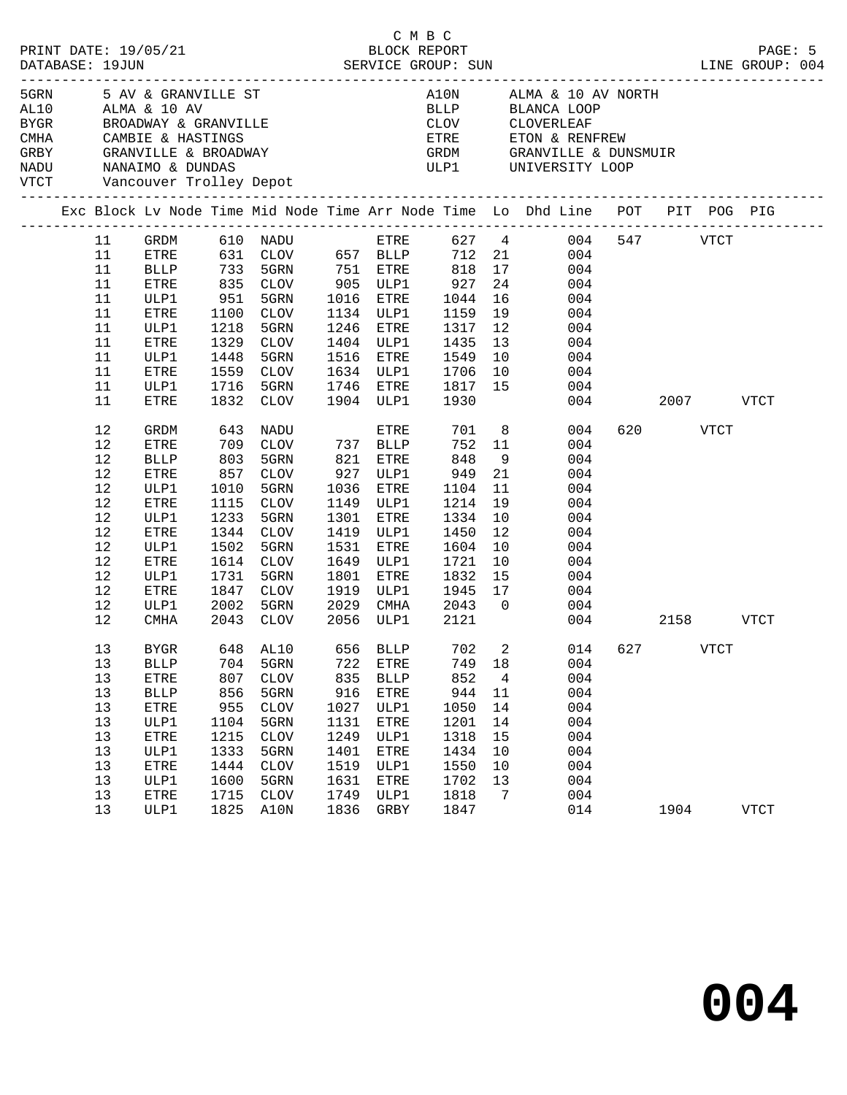| PRINT DATE: 19/05/21<br>DATABASE: 19JUN |                                                                                          |                                                                                                                                   |                                                                                  | 95/21 BLOCK REPORT<br>SERVICE GROUP: SUN                                                                                                                                               |                                                                                   |                                                                                                                       | C M B C                                                                                                            |                                                        | LINE GROUP: 004                                                                                                                                                                                                        |          |             | PAGE: 5     |
|-----------------------------------------|------------------------------------------------------------------------------------------|-----------------------------------------------------------------------------------------------------------------------------------|----------------------------------------------------------------------------------|----------------------------------------------------------------------------------------------------------------------------------------------------------------------------------------|-----------------------------------------------------------------------------------|-----------------------------------------------------------------------------------------------------------------------|--------------------------------------------------------------------------------------------------------------------|--------------------------------------------------------|------------------------------------------------------------------------------------------------------------------------------------------------------------------------------------------------------------------------|----------|-------------|-------------|
| CMHA CAMBIE & HASTINGS                  |                                                                                          |                                                                                                                                   |                                                                                  | 5GRN 5 AV & GRANVILLE ST<br>AL10 ALMA & 10 AV<br>BYGR         BROADWAY & GRANVILLE<br>GRBY     GRANVILLE & BROADWAY<br>NADU      NANAIMO & DUNDAS<br>VTCT      Vancouver Trolley Depot |                                                                                   |                                                                                                                       |                                                                                                                    |                                                        | A10N $\qquad$ ALMA & 10 AV NORTH<br>ETRE ETON & RENFREW<br>GRDM GRANVILLE & DUNSMUIR<br>ULP1 UNIVERSITY LOOP                                                                                                           |          |             |             |
|                                         |                                                                                          |                                                                                                                                   |                                                                                  |                                                                                                                                                                                        |                                                                                   |                                                                                                                       |                                                                                                                    |                                                        | Exc Block Lv Node Time Mid Node Time Arr Node Time Lo Dhd Line POT PIT POG PIG                                                                                                                                         |          |             |             |
|                                         | 11<br>11<br>11<br>11<br>11<br>11<br>11<br>11<br>11<br>11<br>11                           | <b>BLLP</b><br>ETRE<br>ULP1<br>ETRE<br>ULP1<br>ETRE<br>ULP1<br>ETRE<br>ULP1                                                       | 1218<br>1448<br>1716                                                             | 733 5GRN 751 ETRE<br>835 CLOV 905 ULP1<br>951 5GRN 1016 ETRE<br>1100 CLOV<br>5GRN<br>1329 CLOV<br>5GRN<br>1559 CLOV<br>5GRN                                                            |                                                                                   | 1134 ULP1<br>1246 ETRE                                                                                                | 818 17<br>$927\n\n1044$<br>1159<br>1317<br>1404 ULP1 1435<br>1516 ETRE 1549<br>1634 ULP1 1706<br>1746 ETRE 1817 15 | 12<br>10                                               | GRDM 610 NADU ETRE 627 4 004 547 VTCT<br>ETRE 631 CLOV 657 BLLP 712 21 004<br>004<br>$\begin{array}{ccc} 24 & \quad & 004 \\ 16 & \quad & 004 \end{array}$<br>19<br>004<br>004<br>13<br>004<br>004<br>10<br>004<br>004 |          |             |             |
|                                         | 11<br>12<br>12<br>12<br>12<br>12<br>12<br>12<br>12<br>12<br>12<br>12<br>$12$<br>12<br>12 | ETRE<br>GRDM<br>ETRE<br><b>BLLP</b><br>ETRE<br>ULP1<br>ETRE<br>ULP1<br>ETRE<br>ULP1<br>ETRE<br>ULP1<br>ETRE<br>ULP1<br>CMHA       | 1010<br>1233<br>1502<br>1731                                                     | 1832 CLOV<br>643 NADU<br>709 CLOV 737 BLLP<br>803 5GRN<br>857 CLOV<br>5GRN<br>1115 CLOV<br>5GRN<br>1344 CLOV<br>5GRN<br>1614 CLOV<br>5GRN<br>2043 CLOV                                 | 1301<br>1531<br>1801                                                              | ETRE<br>821 ETRE<br>927 ULP1<br>1036 ETRE<br>1149 ULP1<br>ETRE<br>1419 ULP1<br>ETRE<br>1649 ULP1<br>ETRE<br>2056 ULP1 | 1904 ULP1 1930<br>752 11<br>848<br>949<br>1104<br>1214<br>1334<br>1450<br>1604<br>1721<br>1832<br>2121             | 9<br>21<br>11<br>19<br>10<br>12<br>10<br>10            | 004 2007 VTCT<br>701 8<br>004<br>004<br>004<br>004<br>004<br>004<br>004<br>004<br>004<br>004<br>15<br>004<br>1847 CLOV 1919 ULP1 1945 17 004<br>2002 5GRN 2029 CMHA 2043 0 004<br>004<br>004 2158                      | 620 VTCT |             | <b>VTCT</b> |
|                                         | 13<br>13<br>$13$<br>13<br>13<br>13<br>13<br>13<br>$13$<br>13<br>13<br>13                 | <b>BYGR</b><br><b>BLLP</b><br>${\tt ETRE}$<br><b>BLLP</b><br>ETRE<br>ULP1<br>ETRE<br>ULP1<br>${\tt ETRE}$<br>ULP1<br>ETRE<br>ULP1 | 704<br>807<br>856<br>955<br>1104<br>1215<br>1333<br>1444<br>1600<br>1715<br>1825 | 648 AL10<br>5GRN<br><b>CLOV</b><br>5GRN<br>CLOV<br>5GRN<br>$\mathtt{CLOV}$<br>5GRN<br>$\rm CLOV$<br>5GRN<br><b>CLOV</b><br>A10N                                                        | 722<br>835<br>916<br>1027<br>1131<br>1249<br>1401<br>1519<br>1631<br>1749<br>1836 | 656 BLLP<br>ETRE<br><b>BLLP</b><br>ETRE<br>ULP1<br>ETRE<br>ULP1<br>ETRE<br>ULP1<br>ETRE<br>ULP1<br>GRBY               | 749<br>852<br>944<br>1050<br>1201<br>1318<br>1434<br>1550<br>1702<br>1818<br>1847                                  | 18<br>4<br>11<br>14<br>14<br>15<br>10<br>10<br>13<br>7 | 702 2 014 627<br>004<br>004<br>004<br>004<br>004<br>004<br>004<br>004<br>004<br>004<br>014                                                                                                                             | 1904     | <b>VTCT</b> | <b>VTCT</b> |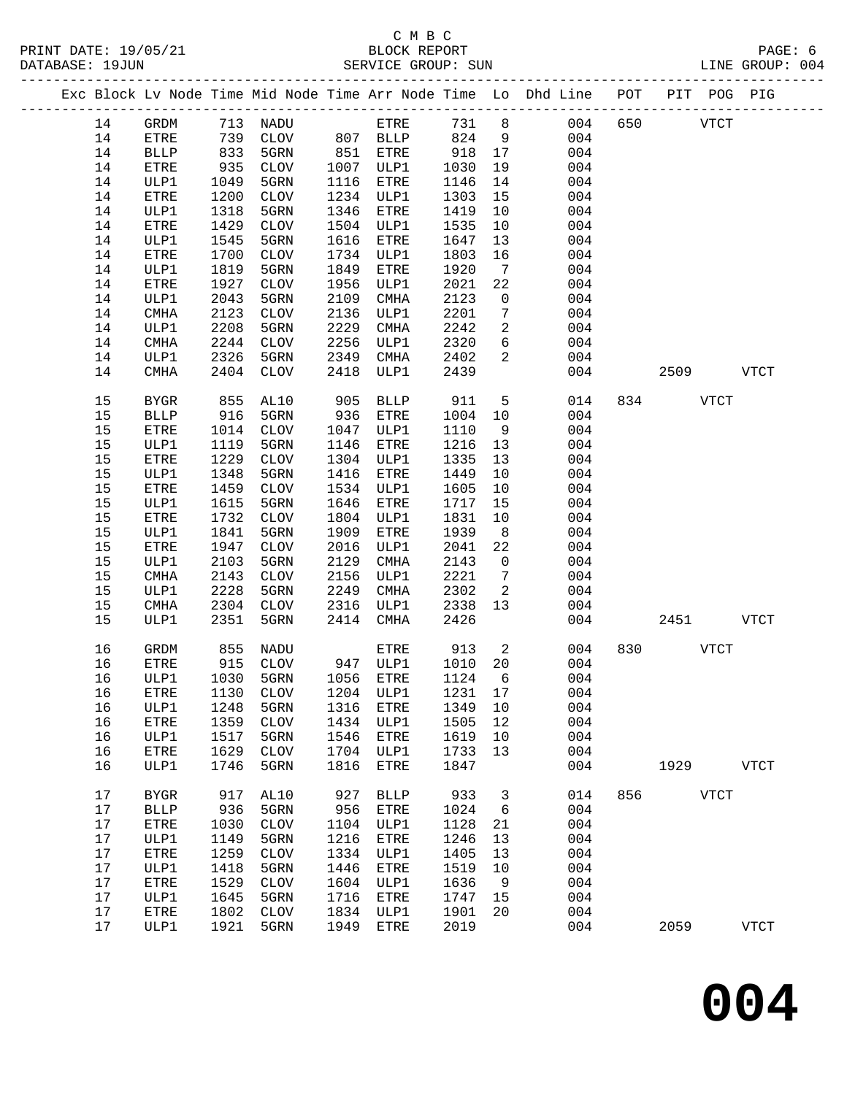### C M B C<br>BLOCK REPORT SERVICE GROUP: SUN

|  |      |              |      |                             |      |              |       |                            | Exc Block Lv Node Time Mid Node Time Arr Node Time Lo Dhd Line POT |     |      | PIT POG PIG |             |
|--|------|--------------|------|-----------------------------|------|--------------|-------|----------------------------|--------------------------------------------------------------------|-----|------|-------------|-------------|
|  | 14   | GRDM         |      | 713 NADU                    |      | ETRE         | 731 8 |                            | 004                                                                | 650 |      | <b>VTCT</b> |             |
|  | 14   | ETRE         | 739  | CLOV                        |      | 807 BLLP     | 824   | $\overline{9}$             | 004                                                                |     |      |             |             |
|  | 14   | <b>BLLP</b>  | 833  | 5GRN                        |      | 851 ETRE     | 918   | 17                         | 004                                                                |     |      |             |             |
|  | 14   | ETRE         | 935  | CLOV                        |      | 1007 ULP1    | 1030  | 19                         | 004                                                                |     |      |             |             |
|  | 14   | ULP1         | 1049 | 5GRN                        | 1116 | ETRE         | 1146  | 14                         | 004                                                                |     |      |             |             |
|  | 14   | ETRE         | 1200 | CLOV                        |      | 1234 ULP1    | 1303  | 15                         | 004                                                                |     |      |             |             |
|  | 14   | ULP1         | 1318 | 5GRN                        | 1346 | ETRE         | 1419  | 10                         | 004                                                                |     |      |             |             |
|  | 14   | ETRE         | 1429 | CLOV                        | 1504 | ULP1         | 1535  | 10                         | 004                                                                |     |      |             |             |
|  | 14   | ULP1         | 1545 | 5GRN                        | 1616 | ETRE         | 1647  | 13                         | 004                                                                |     |      |             |             |
|  | 14   | ETRE         | 1700 | CLOV                        | 1734 | ULP1         | 1803  | 16                         | 004                                                                |     |      |             |             |
|  | 14   | ULP1         | 1819 | 5GRN                        | 1849 | ETRE         | 1920  | $7\overline{ }$            | 004                                                                |     |      |             |             |
|  | 14   | ETRE         | 1927 | CLOV                        | 1956 | ULP1         | 2021  | 22                         | 004                                                                |     |      |             |             |
|  | 14   | ULP1         | 2043 | 5GRN                        | 2109 | CMHA         | 2123  | $\mathbf 0$                | 004                                                                |     |      |             |             |
|  | 14   | CMHA         | 2123 | CLOV                        | 2136 | ULP1         | 2201  | 7                          | 004                                                                |     |      |             |             |
|  | 14   | ULP1         | 2208 | 5GRN                        | 2229 | CMHA         | 2242  | $\overline{2}$             | 004                                                                |     |      |             |             |
|  | 14   | CMHA         | 2244 | CLOV                        | 2256 | ULP1         | 2320  | 6                          | 004                                                                |     |      |             |             |
|  | 14   | ULP1         | 2326 | 5GRN                        | 2349 | CMHA         | 2402  | 2                          | 004                                                                |     |      |             |             |
|  | 14   | CMHA         | 2404 | CLOV                        | 2418 | ULP1         | 2439  |                            | 004                                                                |     | 2509 |             | VTCT        |
|  |      |              |      |                             |      |              |       |                            |                                                                    |     |      |             |             |
|  | 15   | <b>BYGR</b>  | 855  | AL10                        | 905  | <b>BLLP</b>  | 911   | 5                          | 014                                                                |     | 834  | VTCT        |             |
|  | 15   | <b>BLLP</b>  | 916  | 5GRN                        | 936  | ETRE         | 1004  | 10                         | 004                                                                |     |      |             |             |
|  | 15   | ETRE         | 1014 | CLOV                        | 1047 | ULP1         | 1110  | 9                          | 004                                                                |     |      |             |             |
|  | 15   | ULP1         | 1119 | 5GRN                        | 1146 | ETRE         | 1216  | 13                         | 004                                                                |     |      |             |             |
|  | 15   | ${\tt ETRE}$ | 1229 | CLOV                        | 1304 | ULP1         | 1335  | 13                         | 004                                                                |     |      |             |             |
|  | 15   | ULP1         | 1348 | 5GRN                        | 1416 | ETRE         | 1449  | 10                         | 004                                                                |     |      |             |             |
|  | 15   | <b>ETRE</b>  | 1459 | CLOV                        | 1534 | ULP1         | 1605  | 10                         | 004                                                                |     |      |             |             |
|  | 15   | ULP1         | 1615 | 5GRN                        | 1646 | ETRE         | 1717  | 15                         | 004                                                                |     |      |             |             |
|  | 15   | ${\tt ETRE}$ | 1732 | CLOV                        | 1804 | ULP1         | 1831  | 10                         | 004                                                                |     |      |             |             |
|  | 15   | ULP1         | 1841 | 5GRN                        | 1909 | ETRE         | 1939  | 8 <sup>8</sup>             | 004                                                                |     |      |             |             |
|  | 15   | ETRE         | 1947 | CLOV                        | 2016 | ULP1         | 2041  | 22                         | 004                                                                |     |      |             |             |
|  | 15   | ULP1         | 2103 | 5GRN                        | 2129 | CMHA         | 2143  | $\overline{0}$             | 004                                                                |     |      |             |             |
|  | 15   | CMHA         | 2143 | CLOV                        | 2156 | ULP1         | 2221  | $7\overline{ }$            | 004                                                                |     |      |             |             |
|  | 15   | ULP1         | 2228 | 5GRN                        | 2249 | CMHA         | 2302  | 2                          | 004                                                                |     |      |             |             |
|  | 15   | CMHA         | 2304 | CLOV                        | 2316 | ULP1         | 2338  | 13                         | 004                                                                |     |      |             |             |
|  | 15   | ULP1         | 2351 | 5GRN                        | 2414 | CMHA         | 2426  |                            | 004                                                                |     | 2451 |             | <b>VTCT</b> |
|  | 16   | GRDM         | 855  | NADU                        |      | ETRE         | 913   | $\overline{\phantom{a}}^2$ | 004                                                                | 830 |      | <b>VTCT</b> |             |
|  | 16   | ETRE         | 915  | CLOV                        |      | 947 ULP1     | 1010  | 20                         | 004                                                                |     |      |             |             |
|  | 16   | ULP1         | 1030 | 5GRN                        |      | 1056 ETRE    | 1124  | 6                          | 004                                                                |     |      |             |             |
|  | 16   | <b>ETRE</b>  |      | 1130 CLOV 1204 ULP1 1231 17 |      |              |       |                            | 004                                                                |     |      |             |             |
|  | 16   | ULP1         | 1248 | 5GRN                        | 1316 | ETRE         | 1349  | 10                         | 004                                                                |     |      |             |             |
|  | 16   | ETRE         | 1359 | <b>CLOV</b>                 | 1434 | ULP1         | 1505  | 12                         | 004                                                                |     |      |             |             |
|  | 16   | ULP1         | 1517 | 5GRN                        | 1546 | ETRE         | 1619  | 10                         | 004                                                                |     |      |             |             |
|  | 16   | ${\tt ETRE}$ | 1629 | <b>CLOV</b>                 | 1704 | ULP1         | 1733  | 13                         | 004                                                                |     |      |             |             |
|  | 16   | ULP1         | 1746 | 5GRN                        | 1816 | ETRE         | 1847  |                            | 004                                                                |     | 1929 |             | <b>VTCT</b> |
|  | 17   | <b>BYGR</b>  | 917  | AL10                        | 927  | <b>BLLP</b>  | 933   | 3                          | 014                                                                | 856 |      | <b>VTCT</b> |             |
|  | 17   | <b>BLLP</b>  | 936  | 5GRN                        | 956  | ${\tt ETRE}$ | 1024  | 6                          | 004                                                                |     |      |             |             |
|  | 17   | ETRE         | 1030 | ${\tt CLOV}$                | 1104 | ULP1         | 1128  | 21                         | 004                                                                |     |      |             |             |
|  | 17   | ULP1         | 1149 | 5GRN                        | 1216 | ETRE         | 1246  | 13                         | 004                                                                |     |      |             |             |
|  | 17   | ${\tt ETRE}$ | 1259 | $\rm CLOV$                  | 1334 | ULP1         | 1405  | 13                         | 004                                                                |     |      |             |             |
|  | 17   | ULP1         | 1418 | 5GRN                        | 1446 | ETRE         | 1519  | 10                         | 004                                                                |     |      |             |             |
|  | 17   | ${\tt ETRE}$ | 1529 | ${\tt CLOV}$                | 1604 | ULP1         | 1636  | 9                          | 004                                                                |     |      |             |             |
|  | 17   | ULP1         | 1645 | 5GRN                        | 1716 | ETRE         | 1747  | 15                         | 004                                                                |     |      |             |             |
|  | $17$ | ETRE         | 1802 | <b>CLOV</b>                 | 1834 | ULP1         | 1901  | 20                         | 004                                                                |     |      |             |             |
|  | 17   | ULP1         | 1921 | 5GRN                        | 1949 | ETRE         | 2019  |                            | 004                                                                |     | 2059 |             | <b>VTCT</b> |
|  |      |              |      |                             |      |              |       |                            |                                                                    |     |      |             |             |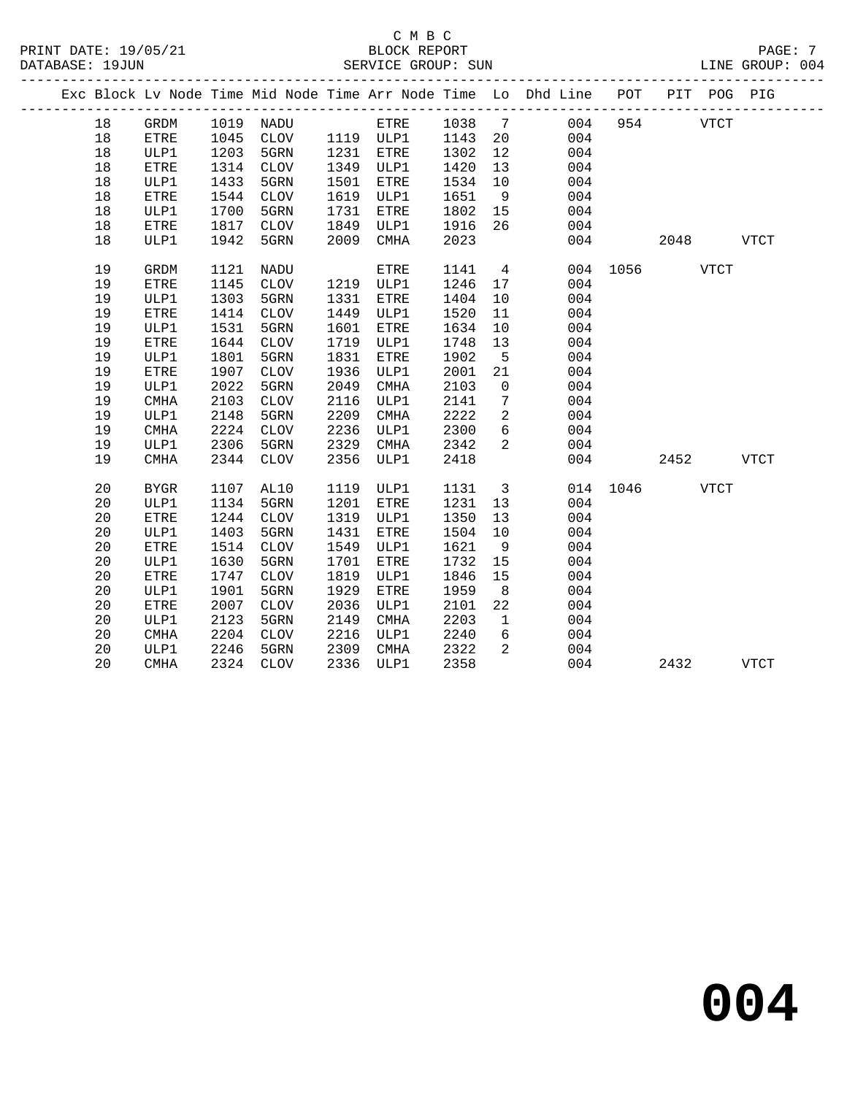### C M B C<br>BLOCK REPORT SERVICE GROUP: SUN

|    |              |      |             |      |             |                    |                         | Exc Block Lv Node Time Mid Node Time Arr Node Time Lo Dhd Line POT PIT POG PIG |               |      |             |      |
|----|--------------|------|-------------|------|-------------|--------------------|-------------------------|--------------------------------------------------------------------------------|---------------|------|-------------|------|
| 18 | GRDM         |      | 1019 NADU   |      | ETRE 1038 7 |                    |                         | 004                                                                            |               | 954  | <b>VTCT</b> |      |
| 18 | ETRE         |      | 1045 CLOV   |      | 1119 ULP1   | 1143 20<br>1302 12 |                         | 004                                                                            |               |      |             |      |
| 18 | ULP1         | 1203 | 5GRN        | 1231 | ETRE        |                    |                         | 004                                                                            |               |      |             |      |
| 18 | ETRE         | 1314 | CLOV        | 1349 | ULP1        | 1420               | 13                      | 004                                                                            |               |      |             |      |
| 18 | ULP1         | 1433 | 5GRN        | 1501 | ETRE        | 1534               | 10                      | 004                                                                            |               |      |             |      |
| 18 | <b>ETRE</b>  | 1544 | CLOV        | 1619 | ULP1        | 1651               | 9                       | 004                                                                            |               |      |             |      |
| 18 | ULP1         | 1700 | 5GRN        | 1731 | ETRE        | 1802               | 15                      | 004                                                                            |               |      |             |      |
| 18 | <b>ETRE</b>  | 1817 | CLOV        | 1849 | ULP1        | 1916               | 26                      | 004                                                                            |               |      |             |      |
| 18 | ULP1         | 1942 | 5GRN        | 2009 | CMHA        | 2023               |                         | 004                                                                            |               | 2048 |             | VTCT |
| 19 | <b>GRDM</b>  | 1121 | NADU        |      | ETRE        | 1141               | $\overline{4}$          |                                                                                | 004 1056 VTCT |      |             |      |
| 19 | <b>ETRE</b>  | 1145 | CLOV        | 1219 | ULP1        | 1246               | 17                      | 004                                                                            |               |      |             |      |
| 19 | ULP1         | 1303 | 5GRN        | 1331 | ETRE        | 1404               | 10                      | 004                                                                            |               |      |             |      |
| 19 | ${\tt ETRE}$ | 1414 | CLOV        | 1449 | ULP1        | 1520               | 11                      | 004                                                                            |               |      |             |      |
| 19 | ULP1         | 1531 | 5GRN        | 1601 | ETRE        | 1634               | 10                      | 004                                                                            |               |      |             |      |
| 19 | <b>ETRE</b>  | 1644 | <b>CLOV</b> | 1719 | ULP1        | 1748               | 13                      | 004                                                                            |               |      |             |      |
| 19 | ULP1         | 1801 | 5GRN        | 1831 | ETRE        | 1902               | $5^{\circ}$             | 004                                                                            |               |      |             |      |
| 19 | <b>ETRE</b>  | 1907 | <b>CLOV</b> | 1936 | ULP1        | 2001               | 21                      | 004                                                                            |               |      |             |      |
| 19 | ULP1         | 2022 | 5GRN        | 2049 | CMHA        | 2103               | $\overline{0}$          | 004                                                                            |               |      |             |      |
| 19 | <b>CMHA</b>  | 2103 | CLOV        | 2116 | ULP1        | 2141               | $7\phantom{.0}$         | 004                                                                            |               |      |             |      |
| 19 | ULP1         | 2148 | 5GRN        | 2209 | CMHA        | 2222               | 2                       | 004                                                                            |               |      |             |      |
| 19 | <b>CMHA</b>  | 2224 | CLOV        | 2236 | ULP1        | 2300               | $6\overline{6}$         | 004                                                                            |               |      |             |      |
| 19 | ULP1         | 2306 | 5GRN        | 2329 | CMHA        | 2342               | 2                       | 004                                                                            |               |      |             |      |
| 19 | <b>CMHA</b>  | 2344 | CLOV        | 2356 | ULP1        | 2418               |                         | 004                                                                            |               | 2452 |             | VTCT |
| 20 | <b>BYGR</b>  | 1107 | AL10        | 1119 | ULP1        | 1131               | $\overline{\mathbf{3}}$ |                                                                                | 014 1046 VTCT |      |             |      |
| 20 | ULP1         | 1134 | 5GRN        | 1201 | ETRE        | 1231               | 13                      | 004                                                                            |               |      |             |      |
| 20 | <b>ETRE</b>  | 1244 | <b>CLOV</b> | 1319 | ULP1        | 1350               | 13                      | 004                                                                            |               |      |             |      |
| 20 | ULP1         | 1403 | 5GRN        | 1431 | ETRE        | 1504               | 10                      | 004                                                                            |               |      |             |      |
| 20 | <b>ETRE</b>  | 1514 | <b>CLOV</b> | 1549 | ULP1        | 1621               | 9                       | 004                                                                            |               |      |             |      |
| 20 | ULP1         | 1630 | 5GRN        | 1701 | ETRE        | 1732               | 15                      | 004                                                                            |               |      |             |      |
| 20 | <b>ETRE</b>  | 1747 | <b>CLOV</b> | 1819 | ULP1        | 1846               | 15                      | 004                                                                            |               |      |             |      |
| 20 | ULP1         | 1901 | 5GRN        | 1929 | ETRE        | 1959               | 8 <sup>8</sup>          | 004                                                                            |               |      |             |      |
| 20 | <b>ETRE</b>  | 2007 | <b>CLOV</b> | 2036 | ULP1        | 2101               | 22                      | 004                                                                            |               |      |             |      |
| 20 | ULP1         | 2123 | 5GRN        | 2149 | CMHA        | 2203               | $\mathbf{1}$            | 004                                                                            |               |      |             |      |
| 20 | <b>CMHA</b>  | 2204 | CLOV        | 2216 | ULP1        | 2240               | 6                       | 004                                                                            |               |      |             |      |
| 20 | ULP1         | 2246 | 5GRN        | 2309 | CMHA        | 2322               | 2                       | 004                                                                            |               |      |             |      |
| 20 | CMHA         |      | 2324 CLOV   | 2336 | ULP1        | 2358               |                         | 004                                                                            |               | 2432 |             | VTCT |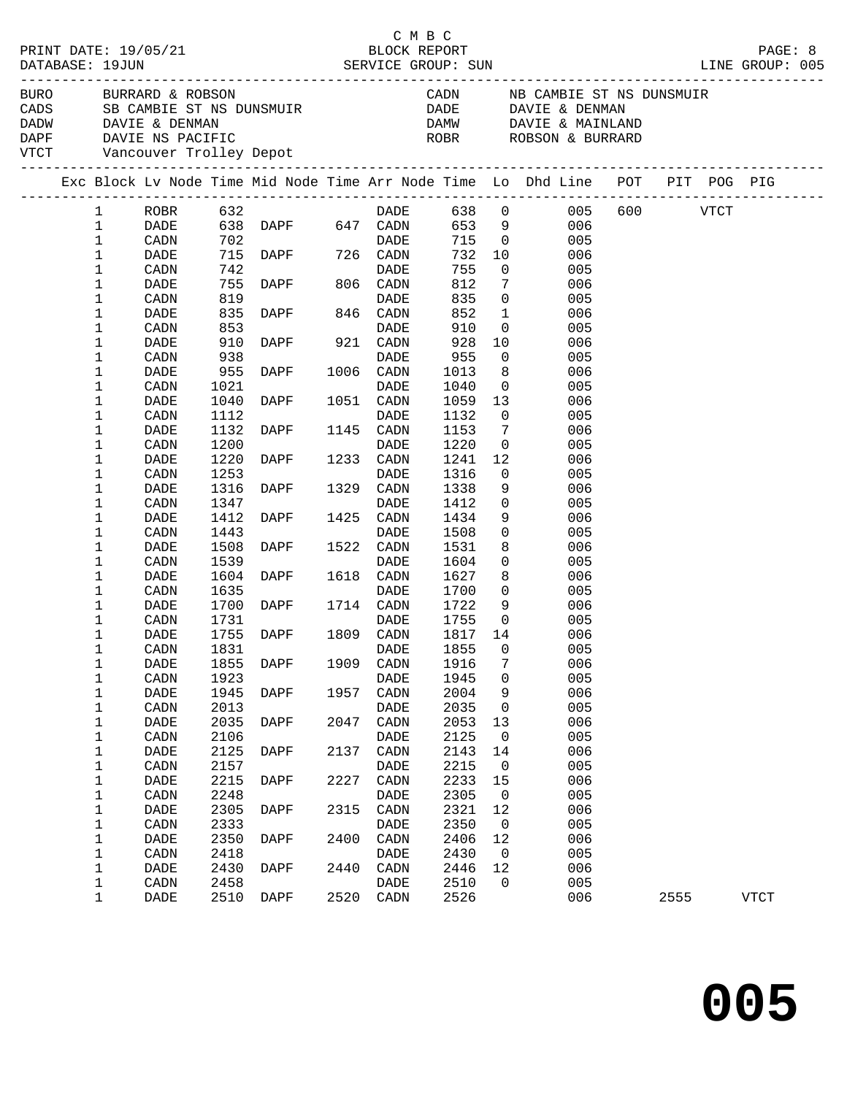|  |                              |                                                                                                                                       |              |                                                                                                                                                                                                                                                                              |      |                   |                  |                                  |                                                                                |          | PAGE: 8<br>LINE GROUP: 005 |
|--|------------------------------|---------------------------------------------------------------------------------------------------------------------------------------|--------------|------------------------------------------------------------------------------------------------------------------------------------------------------------------------------------------------------------------------------------------------------------------------------|------|-------------------|------------------|----------------------------------|--------------------------------------------------------------------------------|----------|----------------------------|
|  |                              | BURO BURRARD & ROBSON<br>CADS SB CAMBIE ST NS DUNSMUI<br>DADW DAVIE & DENMAN<br>DAPF DAVIE NS PACIFIC<br>VTCT Vancouver Trolley Depot |              | SB CAMBIE ST NS DUNSMUIR<br>DAVIE : DELLIS<br>Example of the state of the state of the state of the state of the state of the state of the state of the state of the state of the state of the state of the state of the state of the state of the state of the state of the |      |                   | DADE             |                                  | DAVIE & DENMAN<br>DAMW DAVIE & MAINLAND<br>ROBSON & BURRARD                    |          |                            |
|  |                              |                                                                                                                                       |              |                                                                                                                                                                                                                                                                              |      |                   |                  |                                  | Exc Block Lv Node Time Mid Node Time Arr Node Time Lo Dhd Line POT PIT POG PIG |          |                            |
|  | $\mathbf{1}$<br>$\mathbf{1}$ | ROBR<br>DADE                                                                                                                          | 632          | ∪5∠<br>638 DAPF 647 CADN<br>702                                                                                                                                                                                                                                              |      | DADE              |                  | 653 9                            | 638 0 005<br>006                                                               | 600 VTCT |                            |
|  | $\mathbf{1}$                 | CADN                                                                                                                                  | 702          |                                                                                                                                                                                                                                                                              |      | DADE              | 715              | $\overline{0}$                   | 005                                                                            |          |                            |
|  | 1                            | DADE                                                                                                                                  |              | 715 DAPF 726 CADN                                                                                                                                                                                                                                                            |      |                   |                  | 732 10                           | 006                                                                            |          |                            |
|  | 1                            | CADN                                                                                                                                  | 742          |                                                                                                                                                                                                                                                                              |      | DADE              | 755              | $\mathbf 0$                      | 005                                                                            |          |                            |
|  | 1                            | DADE                                                                                                                                  | 755          | DAPF 806 CADN                                                                                                                                                                                                                                                                |      |                   | 812              | $7\phantom{.0}$                  | 006                                                                            |          |                            |
|  | 1                            | CADN                                                                                                                                  | 819          |                                                                                                                                                                                                                                                                              |      | DADE              | 835              | $\overline{0}$                   | 005                                                                            |          |                            |
|  | 1                            | DADE                                                                                                                                  | 835          | DAPF 846 CADN                                                                                                                                                                                                                                                                |      |                   | 852              | $\mathbf{1}$                     | 006                                                                            |          |                            |
|  | 1                            | CADN                                                                                                                                  | 853          |                                                                                                                                                                                                                                                                              |      | <b>DADE</b>       | 910              | $\overline{0}$                   | 005                                                                            |          |                            |
|  | 1                            | DADE                                                                                                                                  | 910          | DAPF                                                                                                                                                                                                                                                                         |      | 921 CADN          | 928              | 10                               | 006                                                                            |          |                            |
|  | 1                            | CADN                                                                                                                                  | 938          |                                                                                                                                                                                                                                                                              |      | DADE              | 955              | $\overline{0}$                   | 005                                                                            |          |                            |
|  | 1                            | DADE                                                                                                                                  | 955          | <b>DAPF</b>                                                                                                                                                                                                                                                                  |      | 1006 CADN         | 1013             | 8 <sup>8</sup>                   | 006                                                                            |          |                            |
|  | 1                            | CADN                                                                                                                                  | 1021         |                                                                                                                                                                                                                                                                              |      | DADE              | 1040             | $\overline{0}$                   | 005                                                                            |          |                            |
|  | 1                            | DADE                                                                                                                                  | 1040         | DAPF                                                                                                                                                                                                                                                                         |      | 1051 CADN         | 1059             | 13                               | 006                                                                            |          |                            |
|  | 1<br>$\mathbf 1$             | CADN<br>DADE                                                                                                                          | 1112         | DAPF                                                                                                                                                                                                                                                                         |      | DADE              | 1132<br>1153     | $\overline{0}$<br>$\overline{7}$ | 005                                                                            |          |                            |
|  | 1                            | CADN                                                                                                                                  | 1132<br>1200 |                                                                                                                                                                                                                                                                              |      | 1145 CADN<br>DADE | 1220             | $\overline{0}$                   | 006<br>005                                                                     |          |                            |
|  | $\mathbf 1$                  | DADE                                                                                                                                  | 1220         | <b>DAPF</b>                                                                                                                                                                                                                                                                  |      | 1233 CADN         | 1241             | 12                               | 006                                                                            |          |                            |
|  | 1                            | CADN                                                                                                                                  | 1253         |                                                                                                                                                                                                                                                                              |      | DADE              | 1316             | $\overline{0}$                   | 005                                                                            |          |                            |
|  | 1                            | DADE                                                                                                                                  | 1316         | <b>DAPF</b>                                                                                                                                                                                                                                                                  |      | 1329 CADN         | 1338             | 9                                | 006                                                                            |          |                            |
|  | 1                            | CADN                                                                                                                                  | 1347         |                                                                                                                                                                                                                                                                              |      | DADE              | 1412             | $\overline{0}$                   | 005                                                                            |          |                            |
|  | 1                            | DADE                                                                                                                                  | 1412         | DAPF                                                                                                                                                                                                                                                                         |      | 1425 CADN         | 1434             | 9                                | 006                                                                            |          |                            |
|  | $\mathbf 1$                  | CADN                                                                                                                                  | 1443         |                                                                                                                                                                                                                                                                              |      | DADE              | 1508             | $\mathsf{O}$                     | 005                                                                            |          |                            |
|  | 1                            | DADE                                                                                                                                  | 1508         | DAPF                                                                                                                                                                                                                                                                         |      | 1522 CADN         | 1531             | 8                                | 006                                                                            |          |                            |
|  | $\mathbf 1$                  | CADN                                                                                                                                  | 1539         |                                                                                                                                                                                                                                                                              |      | <b>DADE</b>       | 1604             | $\overline{0}$                   | 005                                                                            |          |                            |
|  | 1                            | DADE                                                                                                                                  | 1604         | <b>DAPF</b>                                                                                                                                                                                                                                                                  |      | 1618 CADN         | 1627             | 8                                | 006                                                                            |          |                            |
|  | $\mathbf 1$                  | CADN                                                                                                                                  | 1635         | <b>DAPF</b>                                                                                                                                                                                                                                                                  |      | DADE              | 1700             | $\mathsf{O}$                     | 005                                                                            |          |                            |
|  | 1                            | DADE                                                                                                                                  | 1700         |                                                                                                                                                                                                                                                                              |      | 1714 CADN         | 1722             | 9                                | 006                                                                            |          |                            |
|  | 1<br>1                       | CADN                                                                                                                                  | 1731<br>1755 | DAPF                                                                                                                                                                                                                                                                         |      | DADE<br>1809 CADN | 1755             | $\overline{0}$<br>14             | 005<br>006                                                                     |          |                            |
|  | 1                            | DADE<br>CADN                                                                                                                          | 1831         |                                                                                                                                                                                                                                                                              |      | DADE              | 1817<br>1855     | $\overline{0}$                   | 005                                                                            |          |                            |
|  | $\ensuremath{\mathbbm{1}}$   | DADE                                                                                                                                  |              | 1855 DAPF                                                                                                                                                                                                                                                                    |      |                   | 1909 CADN 1916 7 |                                  | 006                                                                            |          |                            |
|  | 1                            | CADN                                                                                                                                  | 1923         |                                                                                                                                                                                                                                                                              |      | DADE              | 1945             | 0                                | 005                                                                            |          |                            |
|  | 1                            | DADE                                                                                                                                  | 1945         | DAPF                                                                                                                                                                                                                                                                         | 1957 | CADN              | 2004             | 9                                | 006                                                                            |          |                            |
|  | 1                            | CADN                                                                                                                                  | 2013         |                                                                                                                                                                                                                                                                              |      | DADE              | 2035             | 0                                | 005                                                                            |          |                            |
|  | 1                            | DADE                                                                                                                                  | 2035         | DAPF                                                                                                                                                                                                                                                                         | 2047 | CADN              | 2053             | 13                               | 006                                                                            |          |                            |
|  | 1                            | CADN                                                                                                                                  | 2106         |                                                                                                                                                                                                                                                                              |      | <b>DADE</b>       | 2125             | $\mathbf 0$                      | 005                                                                            |          |                            |
|  | 1                            | DADE                                                                                                                                  | 2125         | DAPF                                                                                                                                                                                                                                                                         | 2137 | CADN              | 2143             | 14                               | 006                                                                            |          |                            |
|  | 1                            | CADN                                                                                                                                  | 2157         |                                                                                                                                                                                                                                                                              |      | DADE              | 2215             | $\mathbf 0$                      | 005                                                                            |          |                            |
|  | $\mathbf 1$                  | DADE                                                                                                                                  | 2215         | DAPF                                                                                                                                                                                                                                                                         | 2227 | CADN              | 2233             | 15                               | 006                                                                            |          |                            |
|  | 1                            | CADN                                                                                                                                  | 2248         |                                                                                                                                                                                                                                                                              |      | DADE              | 2305             | $\mathbf 0$                      | 005                                                                            |          |                            |
|  | 1                            | DADE                                                                                                                                  | 2305         | DAPF                                                                                                                                                                                                                                                                         | 2315 | CADN              | 2321             | 12                               | 006                                                                            |          |                            |
|  | 1<br>$\mathbf 1$             | CADN<br>DADE                                                                                                                          | 2333<br>2350 | DAPF                                                                                                                                                                                                                                                                         | 2400 | DADE<br>CADN      | 2350<br>2406     | $\mathbf 0$<br>12                | 005<br>006                                                                     |          |                            |
|  | $\mathbf 1$                  | CADN                                                                                                                                  | 2418         |                                                                                                                                                                                                                                                                              |      | DADE              | 2430             | $\mathbf 0$                      | 005                                                                            |          |                            |
|  | $\mathbf 1$                  | DADE                                                                                                                                  | 2430         | DAPF                                                                                                                                                                                                                                                                         | 2440 | CADN              | 2446             | 12                               | 006                                                                            |          |                            |
|  | $\mathbf 1$                  | $\texttt{CADN}\xspace$                                                                                                                | 2458         |                                                                                                                                                                                                                                                                              |      | DADE              | 2510             | $\Omega$                         | 005                                                                            |          |                            |
|  | $\mathbf{1}$                 | DADE                                                                                                                                  | 2510         | DAPF                                                                                                                                                                                                                                                                         |      | 2520 CADN         | 2526             |                                  | 006                                                                            | 2555     | VTCT                       |
|  |                              |                                                                                                                                       |              |                                                                                                                                                                                                                                                                              |      |                   |                  |                                  |                                                                                |          |                            |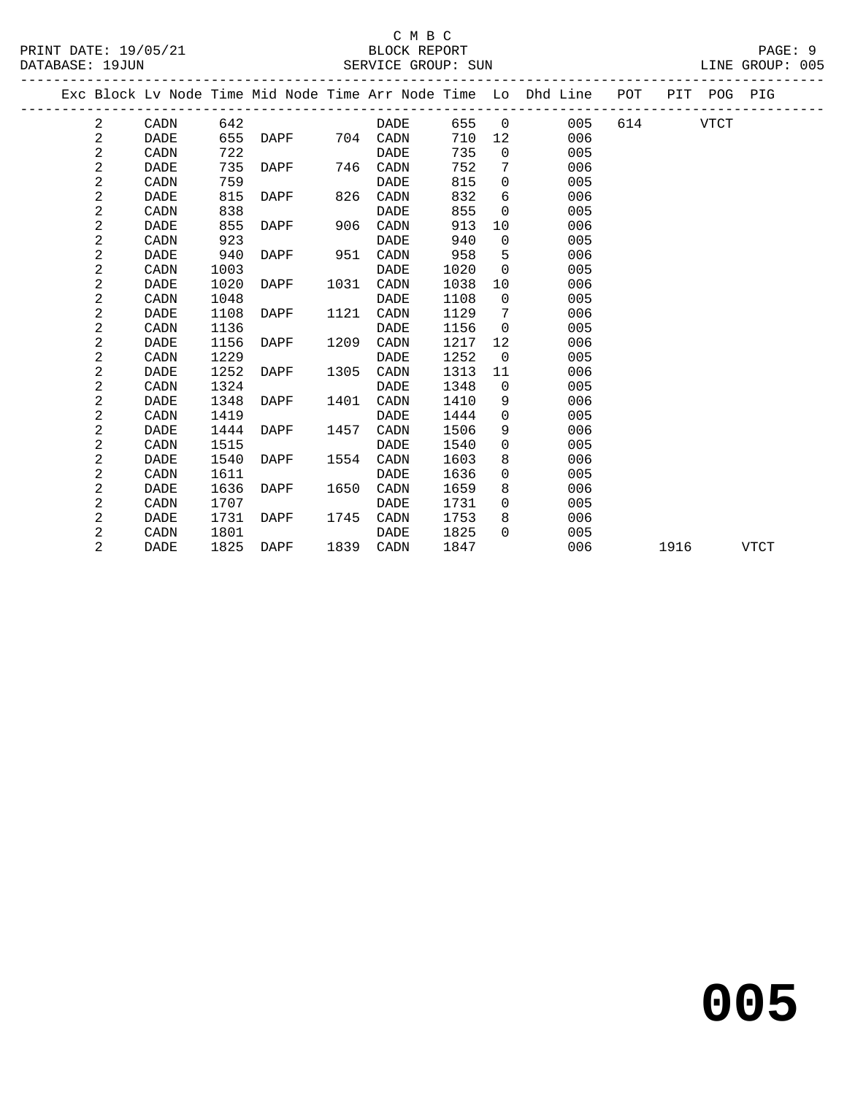PRINT DATE: 19/05/21 BLOCK REPORT PAGE: 9 DATABASE: 19JUN

### C M B C<br>BLOCK REPORT

| Exc Block Ly Node Time Mid Node Time Arr Node Time Lo Dhd Line POT PIT POG PIG |  |  |  |  |
|--------------------------------------------------------------------------------|--|--|--|--|

|  |                |             |      |      |      |             |      |                   | Exc Block Lv Node Time Mid Node Time Arr Node Time Lo Dhd Line | POT | PIT  | POG         | PIG  |
|--|----------------|-------------|------|------|------|-------------|------|-------------------|----------------------------------------------------------------|-----|------|-------------|------|
|  | 2              | CADN        | 642  |      |      | DADE        | 655  | $\overline{0}$    | 005                                                            | 614 |      | <b>VTCT</b> |      |
|  | 2              | <b>DADE</b> | 655  | DAPF |      | 704 CADN    | 710  | $12 \overline{ }$ | 006                                                            |     |      |             |      |
|  | 2              | CADN        | 722  |      |      | DADE        | 735  | $\Omega$          | 005                                                            |     |      |             |      |
|  | 2              | DADE        | 735  | DAPF | 746  | CADN        | 752  | 7                 | 006                                                            |     |      |             |      |
|  | 2              | CADN        | 759  |      |      | DADE        | 815  | $\Omega$          | 005                                                            |     |      |             |      |
|  | $\overline{a}$ | DADE        | 815  | DAPF | 826  | CADN        | 832  | 6                 | 006                                                            |     |      |             |      |
|  | $\sqrt{2}$     | CADN        | 838  |      |      | DADE        | 855  | $\overline{0}$    | 005                                                            |     |      |             |      |
|  | $\overline{a}$ | DADE        | 855  | DAPF | 906  | CADN        | 913  | 10                | 006                                                            |     |      |             |      |
|  | $\sqrt{2}$     | CADN        | 923  |      |      | DADE        | 940  | $\Omega$          | 005                                                            |     |      |             |      |
|  | 2              | <b>DADE</b> | 940  | DAPF | 951  | CADN        | 958  | 5                 | 006                                                            |     |      |             |      |
|  | $\sqrt{2}$     | CADN        | 1003 |      |      | <b>DADE</b> | 1020 | $\Omega$          | 005                                                            |     |      |             |      |
|  | $\sqrt{2}$     | DADE        | 1020 | DAPF | 1031 | CADN        | 1038 | 10                | 006                                                            |     |      |             |      |
|  | $\mathbf{2}$   | CADN        | 1048 |      |      | DADE        | 1108 | $\overline{0}$    | 005                                                            |     |      |             |      |
|  | 2              | DADE        | 1108 | DAPF | 1121 | CADN        | 1129 | 7                 | 006                                                            |     |      |             |      |
|  | $\sqrt{2}$     | CADN        | 1136 |      |      | DADE        | 1156 | $\overline{0}$    | 005                                                            |     |      |             |      |
|  | $\mathbf{2}$   | <b>DADE</b> | 1156 | DAPF | 1209 | CADN        | 1217 | 12                | 006                                                            |     |      |             |      |
|  | $\sqrt{2}$     | CADN        | 1229 |      |      | DADE        | 1252 | $\overline{0}$    | 005                                                            |     |      |             |      |
|  | 2              | DADE        | 1252 | DAPF | 1305 | CADN        | 1313 | 11                | 006                                                            |     |      |             |      |
|  | $\sqrt{2}$     | CADN        | 1324 |      |      | DADE        | 1348 | $\overline{0}$    | 005                                                            |     |      |             |      |
|  | 2              | DADE        | 1348 | DAPF | 1401 | CADN        | 1410 | 9                 | 006                                                            |     |      |             |      |
|  | 2              | CADN        | 1419 |      |      | <b>DADE</b> | 1444 | $\Omega$          | 005                                                            |     |      |             |      |
|  | $\sqrt{2}$     | DADE        | 1444 | DAPF | 1457 | CADN        | 1506 | 9                 | 006                                                            |     |      |             |      |
|  | $\sqrt{2}$     | CADN        | 1515 |      |      | <b>DADE</b> | 1540 | $\mathbf 0$       | 005                                                            |     |      |             |      |
|  | $\overline{a}$ | DADE        | 1540 | DAPF | 1554 | CADN        | 1603 | 8                 | 006                                                            |     |      |             |      |
|  | 2              | CADN        | 1611 |      |      | DADE        | 1636 | 0                 | 005                                                            |     |      |             |      |
|  | 2              | <b>DADE</b> | 1636 | DAPF | 1650 | CADN        | 1659 | 8                 | 006                                                            |     |      |             |      |
|  | 2              | CADN        | 1707 |      |      | DADE        | 1731 | $\overline{0}$    | 005                                                            |     |      |             |      |
|  | $\overline{a}$ | DADE        | 1731 | DAPF | 1745 | CADN        | 1753 | 8                 | 006                                                            |     |      |             |      |
|  | 2              | CADN        | 1801 |      |      | DADE        | 1825 | $\Omega$          | 005                                                            |     |      |             |      |
|  | $\overline{2}$ | DADE        | 1825 | DAPF | 1839 | CADN        | 1847 |                   | 006                                                            |     | 1916 |             | VTCT |
|  |                |             |      |      |      |             |      |                   |                                                                |     |      |             |      |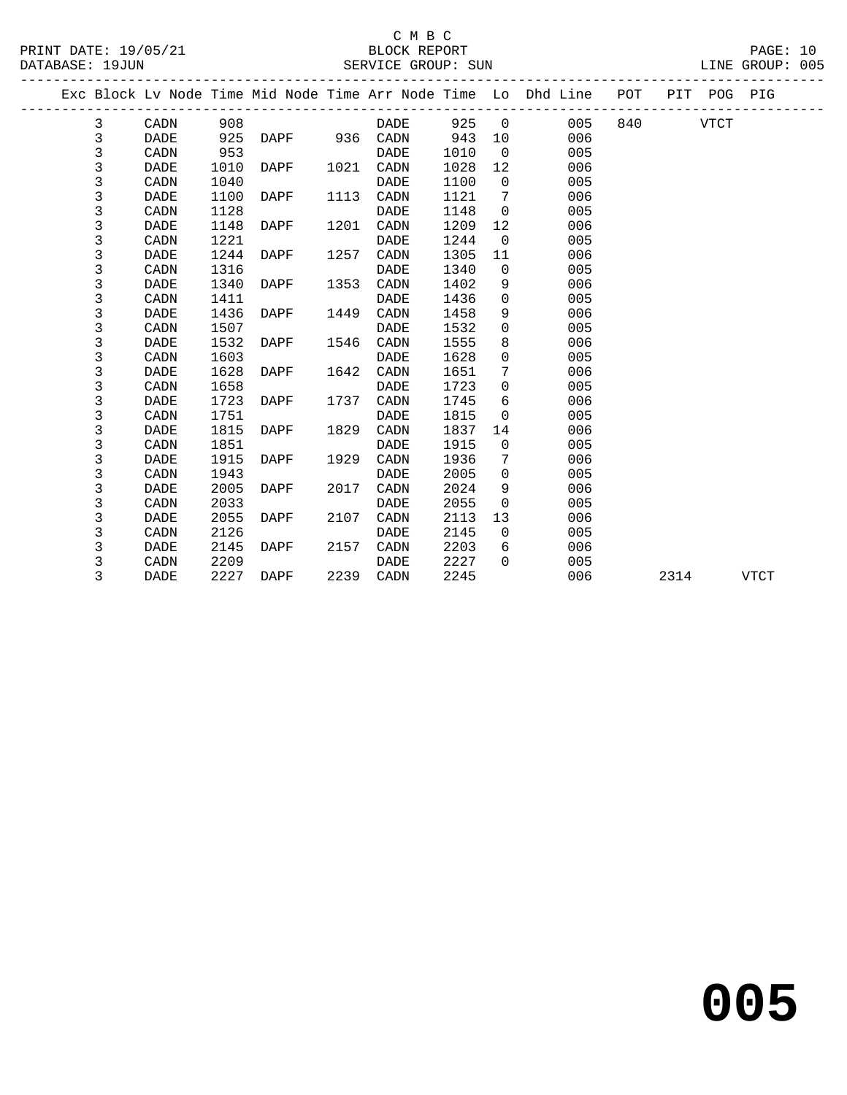|  |   |             |      |      |      |             |      |             | Exc Block Lv Node Time Mid Node Time Arr Node Time Lo Dhd Line POT |     |      | PIT POG PIG |             |
|--|---|-------------|------|------|------|-------------|------|-------------|--------------------------------------------------------------------|-----|------|-------------|-------------|
|  | 3 | CADN        | 908  |      |      | DADE        | 925  | $\mathbf 0$ | 005                                                                | 840 |      | <b>VTCT</b> |             |
|  | 3 | <b>DADE</b> | 925  | DAPF | 936  | CADN        | 943  | 10          | 006                                                                |     |      |             |             |
|  | 3 | CADN        | 953  |      |      | DADE        | 1010 | $\Omega$    | 005                                                                |     |      |             |             |
|  | 3 | DADE        | 1010 | DAPF | 1021 | CADN        | 1028 | 12          | 006                                                                |     |      |             |             |
|  | 3 | CADN        | 1040 |      |      | DADE        | 1100 | $\Omega$    | 005                                                                |     |      |             |             |
|  | 3 | DADE        | 1100 | DAPF | 1113 | CADN        | 1121 | 7           | 006                                                                |     |      |             |             |
|  | 3 | CADN        | 1128 |      |      | <b>DADE</b> | 1148 | $\Omega$    | 005                                                                |     |      |             |             |
|  | 3 | DADE        | 1148 | DAPF | 1201 | CADN        | 1209 | 12          | 006                                                                |     |      |             |             |
|  | 3 | CADN        | 1221 |      |      | DADE        | 1244 | $\Omega$    | 005                                                                |     |      |             |             |
|  | 3 | DADE        | 1244 | DAPF | 1257 | CADN        | 1305 | 11          | 006                                                                |     |      |             |             |
|  | 3 | CADN        | 1316 |      |      | DADE        | 1340 | $\Omega$    | 005                                                                |     |      |             |             |
|  | 3 | DADE        | 1340 | DAPF | 1353 | CADN        | 1402 | 9           | 006                                                                |     |      |             |             |
|  | 3 | CADN        | 1411 |      |      | DADE        | 1436 | $\mathbf 0$ | 005                                                                |     |      |             |             |
|  | 3 | DADE        | 1436 | DAPF | 1449 | CADN        | 1458 | 9           | 006                                                                |     |      |             |             |
|  | 3 | CADN        | 1507 |      |      | DADE        | 1532 | $\Omega$    | 005                                                                |     |      |             |             |
|  | 3 | DADE        | 1532 | DAPF | 1546 | CADN        | 1555 | 8           | 006                                                                |     |      |             |             |
|  | 3 | CADN        | 1603 |      |      | DADE        | 1628 | $\Omega$    | 005                                                                |     |      |             |             |
|  | 3 | DADE        | 1628 | DAPF | 1642 | CADN        | 1651 | 7           | 006                                                                |     |      |             |             |
|  | 3 | CADN        | 1658 |      |      | DADE        | 1723 | $\Omega$    | 005                                                                |     |      |             |             |
|  | 3 | DADE        | 1723 | DAPF | 1737 | CADN        | 1745 | 6           | 006                                                                |     |      |             |             |
|  | 3 | CADN        | 1751 |      |      | DADE        | 1815 | $\mathbf 0$ | 005                                                                |     |      |             |             |
|  | 3 | DADE        | 1815 | DAPF | 1829 | CADN        | 1837 | 14          | 006                                                                |     |      |             |             |
|  | 3 | CADN        | 1851 |      |      | DADE        | 1915 | $\Omega$    | 005                                                                |     |      |             |             |
|  | 3 | DADE        | 1915 | DAPF | 1929 | CADN        | 1936 | 7           | 006                                                                |     |      |             |             |
|  | 3 | CADN        | 1943 |      |      | DADE        | 2005 | $\Omega$    | 005                                                                |     |      |             |             |
|  | 3 | DADE        | 2005 | DAPF | 2017 | CADN        | 2024 | 9           | 006                                                                |     |      |             |             |
|  | 3 | CADN        | 2033 |      |      | DADE        | 2055 | $\mathbf 0$ | 005                                                                |     |      |             |             |
|  | 3 | DADE        | 2055 | DAPF | 2107 | CADN        | 2113 | 13          | 006                                                                |     |      |             |             |
|  | 3 | CADN        | 2126 |      |      | DADE        | 2145 | $\mathbf 0$ | 005                                                                |     |      |             |             |
|  | 3 | DADE        | 2145 | DAPF | 2157 | CADN        | 2203 | 6           | 006                                                                |     |      |             |             |
|  | 3 | CADN        | 2209 |      |      | DADE        | 2227 | $\Omega$    | 005                                                                |     |      |             |             |
|  | 3 | DADE        | 2227 | DAPF | 2239 | CADN        | 2245 |             | 006                                                                |     | 2314 |             | <b>VTCT</b> |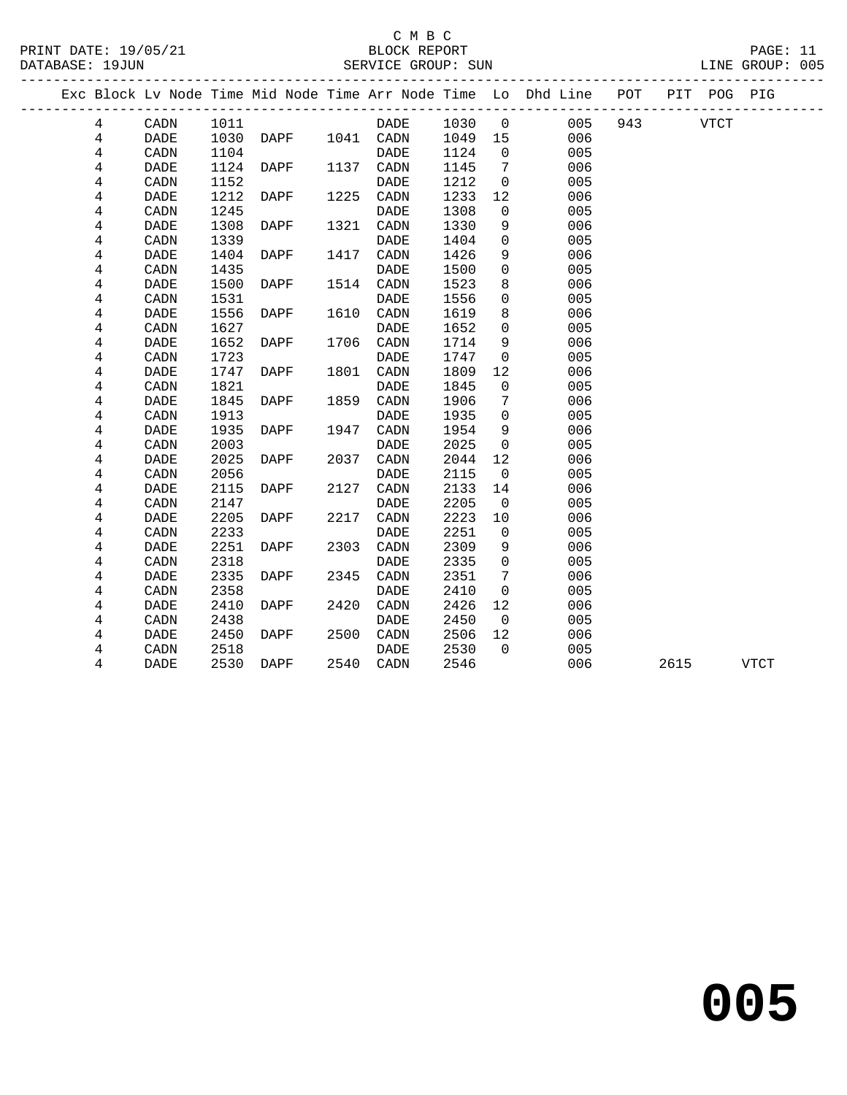| PRINT DATE: 19/05/21<br>DATABASE: 19JUN |             |      |      |      | C M B C<br>BLOCK REPORT<br>SERVICE GROUP: SUN |      |                          |                                                                    |     |      |             | PAGE: 11<br>LINE GROUP: 005 |  |
|-----------------------------------------|-------------|------|------|------|-----------------------------------------------|------|--------------------------|--------------------------------------------------------------------|-----|------|-------------|-----------------------------|--|
|                                         |             |      |      |      |                                               |      |                          | Exc Block Lv Node Time Mid Node Time Arr Node Time Lo Dhd Line POT |     |      | PIT POG PIG |                             |  |
| 4                                       | CADN        | 1011 |      |      | DADE                                          | 1030 | $\overline{\phantom{0}}$ | 005                                                                | 943 |      | <b>VTCT</b> |                             |  |
| 4                                       | <b>DADE</b> | 1030 | DAPF |      | 1041 CADN                                     | 1049 | 15                       | 006                                                                |     |      |             |                             |  |
| 4                                       | CADN        | 1104 |      |      | <b>DADE</b>                                   | 1124 | $\Omega$                 | 005                                                                |     |      |             |                             |  |
| 4                                       | DADE        | 1124 | DAPF | 1137 | CADN                                          | 1145 | $7\phantom{.0}$          | 006                                                                |     |      |             |                             |  |
| 4                                       | CADN        | 1152 |      |      | DADE                                          | 1212 | 0                        | 005                                                                |     |      |             |                             |  |
| 4                                       | DADE        | 1212 | DAPF | 1225 | CADN                                          | 1233 | 12                       | 006                                                                |     |      |             |                             |  |
| 4                                       | CADN        | 1245 |      |      | DADE                                          | 1308 | 0                        | 005                                                                |     |      |             |                             |  |
| 4                                       | <b>DADE</b> | 1308 | DAPF | 1321 | CADN                                          | 1330 | 9                        | 006                                                                |     |      |             |                             |  |
| 4                                       | CADN        | 1339 |      |      | <b>DADE</b>                                   | 1404 | $\mathbf 0$              | 005                                                                |     |      |             |                             |  |
| 4                                       | DADE        | 1404 | DAPF | 1417 | CADN                                          | 1426 | 9                        | 006                                                                |     |      |             |                             |  |
| 4                                       | CADN        | 1435 |      |      | DADE                                          | 1500 | $\mathbf 0$              | 005                                                                |     |      |             |                             |  |
| 4                                       | DADE        | 1500 | DAPF | 1514 | CADN                                          | 1523 | 8                        | 006                                                                |     |      |             |                             |  |
| 4                                       | CADN        | 1531 |      |      | <b>DADE</b>                                   | 1556 | 0                        | 005                                                                |     |      |             |                             |  |
| 4                                       | DADE        | 1556 | DAPF | 1610 | CADN                                          | 1619 | 8                        | 006                                                                |     |      |             |                             |  |
| 4                                       | CADN        | 1627 |      |      | <b>DADE</b>                                   | 1652 | $\mathbf 0$              | 005                                                                |     |      |             |                             |  |
| 4                                       | DADE        | 1652 | DAPF | 1706 | CADN                                          | 1714 | 9                        | 006                                                                |     |      |             |                             |  |
| 4                                       | CADN        | 1723 |      |      | DADE                                          | 1747 | 0                        | 005                                                                |     |      |             |                             |  |
| 4                                       | DADE        | 1747 | DAPF | 1801 | CADN                                          | 1809 | 12                       | 006                                                                |     |      |             |                             |  |
| 4                                       | CADN        | 1821 |      |      | DADE                                          | 1845 | $\mathbf 0$              | 005                                                                |     |      |             |                             |  |
| 4                                       | <b>DADE</b> | 1845 | DAPF | 1859 | CADN                                          | 1906 | 7                        | 006                                                                |     |      |             |                             |  |
| 4                                       | CADN        | 1913 |      |      | DADE                                          | 1935 | $\mathbf 0$              | 005                                                                |     |      |             |                             |  |
| 4                                       | DADE        | 1935 | DAPF | 1947 | CADN                                          | 1954 | 9                        | 006                                                                |     |      |             |                             |  |
| 4                                       | CADN        | 2003 |      |      | <b>DADE</b>                                   | 2025 | $\mathbf 0$              | 005                                                                |     |      |             |                             |  |
| 4                                       | DADE        | 2025 | DAPF | 2037 | CADN                                          | 2044 | 12                       | 006                                                                |     |      |             |                             |  |
| 4                                       | CADN        | 2056 |      |      | DADE                                          | 2115 | $\mathbf 0$              | 005                                                                |     |      |             |                             |  |
| 4                                       | DADE        | 2115 | DAPF | 2127 | CADN                                          | 2133 | 14                       | 006                                                                |     |      |             |                             |  |
| 4                                       | CADN        | 2147 |      |      | DADE                                          | 2205 | $\mathbf 0$              | 005                                                                |     |      |             |                             |  |
| 4                                       | DADE        | 2205 | DAPF | 2217 | CADN                                          | 2223 | 10                       | 006                                                                |     |      |             |                             |  |
| 4                                       | CADN        | 2233 |      |      | DADE                                          | 2251 | 0                        | 005                                                                |     |      |             |                             |  |
| 4                                       | <b>DADE</b> | 2251 | DAPF | 2303 | CADN                                          | 2309 | 9                        | 006                                                                |     |      |             |                             |  |
| 4                                       | CADN        | 2318 |      |      | <b>DADE</b>                                   | 2335 | $\mathbf 0$              | 005                                                                |     |      |             |                             |  |
| 4                                       | DADE        | 2335 | DAPF | 2345 | CADN                                          | 2351 | 7                        | 006                                                                |     |      |             |                             |  |
| 4                                       | CADN        | 2358 |      |      | DADE                                          | 2410 | 0                        | 005                                                                |     |      |             |                             |  |
| 4                                       | <b>DADE</b> | 2410 | DAPF | 2420 | CADN                                          | 2426 | 12                       | 006                                                                |     |      |             |                             |  |
| 4                                       | CADN        | 2438 |      |      | DADE                                          | 2450 | $\mathbf 0$              | 005                                                                |     |      |             |                             |  |
| 4                                       | DADE        | 2450 | DAPF | 2500 | CADN                                          | 2506 | 12                       | 006                                                                |     |      |             |                             |  |
| 4                                       | CADN        | 2518 |      |      | <b>DADE</b>                                   | 2530 | $\Omega$                 | 005                                                                |     |      |             |                             |  |
| 4                                       | <b>DADE</b> | 2530 | DAPF | 2540 | CADN                                          | 2546 |                          | 006                                                                |     | 2615 |             | VTCT                        |  |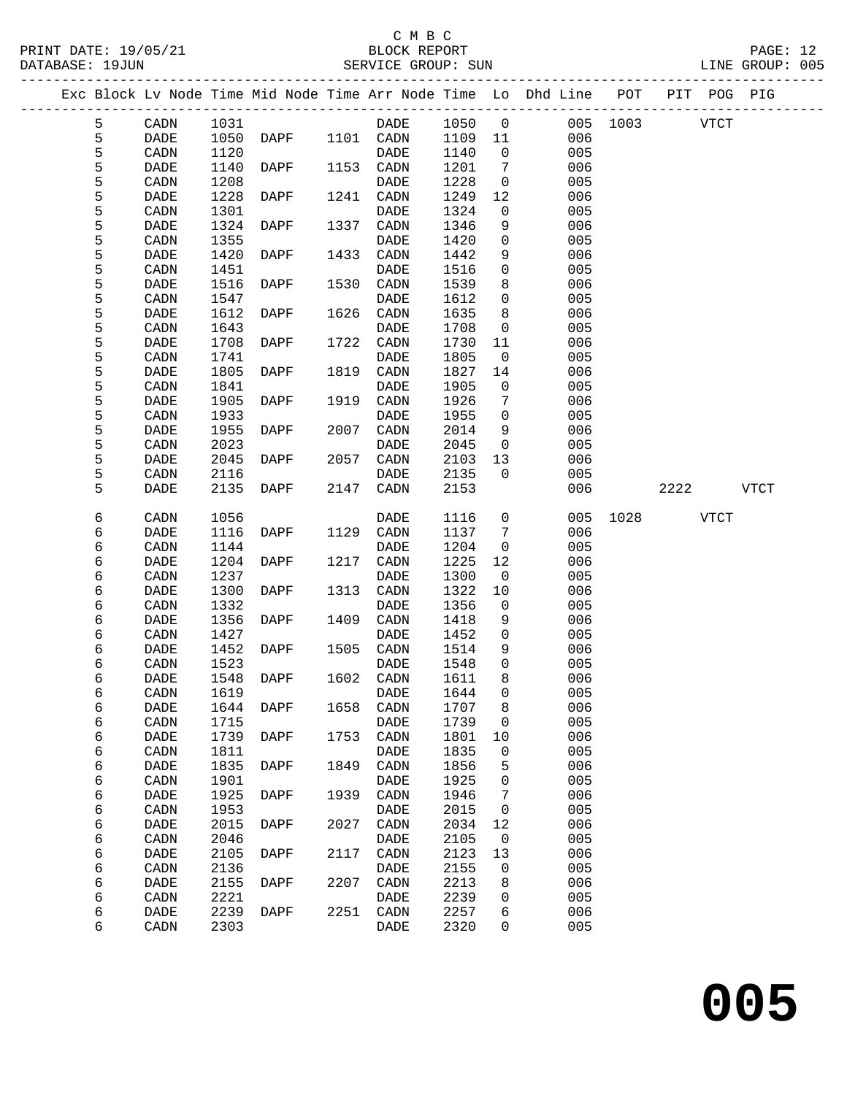PRINT DATE: 19/05/21 BLOCK REPORT BLOCK REPORT DATABASE: 1<br>-----------

### C M B C<br>BLOCK REPORT

|  | DATABASE: 19JUN |           |      |                             |      | SERVICE GROUP: SUN |         |                |                                                                                |               |      | LINE GROUP: 005 |  |
|--|-----------------|-----------|------|-----------------------------|------|--------------------|---------|----------------|--------------------------------------------------------------------------------|---------------|------|-----------------|--|
|  |                 |           |      | --------------------------- |      |                    |         |                | Exc Block Lv Node Time Mid Node Time Arr Node Time Lo Dhd Line POT PIT POG PIG |               |      |                 |  |
|  | 5               | CADN 1031 |      |                             |      | DADE 1050 0        |         |                |                                                                                | 005 1003 VTCT |      |                 |  |
|  | 5               | DADE      |      | 1050 DAPF 1101 CADN         |      |                    | 1109 11 |                | 006                                                                            |               |      |                 |  |
|  | 5               | CADN      | 1120 |                             |      | DADE               | 1140    | $\overline{0}$ | 005                                                                            |               |      |                 |  |
|  | 5               | DADE      | 1140 | DAPF                        | 1153 | CADN               | 1201    | 7              | 006                                                                            |               |      |                 |  |
|  | 5               | CADN      | 1208 |                             |      | DADE               | 1228    | $\overline{0}$ | 005                                                                            |               |      |                 |  |
|  | 5               | DADE      | 1228 | DAPF                        | 1241 | CADN               | 1249    | 12             | 006                                                                            |               |      |                 |  |
|  | 5               | CADN      | 1301 |                             |      | DADE               | 1324    | $\overline{0}$ | 005                                                                            |               |      |                 |  |
|  | 5               | DADE      | 1324 | DAPF                        | 1337 | CADN               | 1346    | 9              | 006                                                                            |               |      |                 |  |
|  | 5               | CADN      | 1355 |                             |      | DADE               | 1420    | $\overline{0}$ | 005                                                                            |               |      |                 |  |
|  | 5               | DADE      | 1420 | DAPF                        | 1433 | CADN               | 1442    | 9              | 006                                                                            |               |      |                 |  |
|  | 5               | CADN      | 1451 |                             |      | DADE               | 1516    | $\overline{0}$ | 005                                                                            |               |      |                 |  |
|  | 5               | DADE      | 1516 | DAPF                        |      | 1530 CADN          | 1539    | 8              | 006                                                                            |               |      |                 |  |
|  | 5               | CADN      | 1547 |                             |      | DADE               | 1612    | $\overline{0}$ | 005                                                                            |               |      |                 |  |
|  | 5               | DADE      | 1612 | DAPF                        | 1626 | CADN               | 1635    | 8              | 006                                                                            |               |      |                 |  |
|  | 5               | CADN      | 1643 |                             |      | <b>DADE</b>        | 1708    | $\overline{0}$ | 005                                                                            |               |      |                 |  |
|  | 5               | DADE      | 1708 | DAPF                        |      | 1722 CADN          | 1730    | 11             | 006                                                                            |               |      |                 |  |
|  | 5               | CADN      | 1741 |                             |      | DADE               | 1805    | $\overline{0}$ | 005                                                                            |               |      |                 |  |
|  | 5               | DADE      | 1805 | DAPF                        | 1819 | CADN               | 1827    | 14             | 006                                                                            |               |      |                 |  |
|  | 5               | CADN      | 1841 |                             |      | DADE               | 1905    | $\overline{0}$ | 005                                                                            |               |      |                 |  |
|  | 5               | DADE      | 1905 | DAPF                        | 1919 | CADN               | 1926    | 7              | 006                                                                            |               |      |                 |  |
|  | 5               | CADN      | 1933 |                             |      | DADE               | 1955    | $\Omega$       | 005                                                                            |               |      |                 |  |
|  | 5               | DADE      | 1955 | DAPF                        | 2007 | CADN               | 2014    | 9              | 006                                                                            |               |      |                 |  |
|  | 5               | CADN      | 2023 |                             |      | DADE               | 2045    | $\overline{0}$ | 005                                                                            |               |      |                 |  |
|  | 5               | DADE      | 2045 | DAPF                        | 2057 | CADN               | 2103    | 13             | 006                                                                            |               |      |                 |  |
|  | 5               | CADN      | 2116 |                             |      | DADE               | 2135    | $\overline{0}$ | 005                                                                            |               |      |                 |  |
|  | 5               | DADE      | 2135 | DAPF                        | 2147 | CADN               | 2153    |                | 006                                                                            |               | 2222 | VTCT            |  |
|  |                 |           |      |                             |      |                    |         |                |                                                                                |               |      |                 |  |

| 5 | CADN        | 2116 |      |      | DADE        | 2135 | $\mathbf 0$ | 005 |      |      |             |             |
|---|-------------|------|------|------|-------------|------|-------------|-----|------|------|-------------|-------------|
| 5 | <b>DADE</b> | 2135 | DAPF | 2147 | CADN        | 2153 |             | 006 |      | 2222 |             | <b>VTCT</b> |
| 6 | CADN        | 1056 |      |      | <b>DADE</b> | 1116 | 0           | 005 | 1028 |      | <b>VTCT</b> |             |
| 6 | <b>DADE</b> | 1116 | DAPF | 1129 | CADN        | 1137 | 7           | 006 |      |      |             |             |
| б | CADN        | 1144 |      |      | DADE        | 1204 | $\mathbf 0$ | 005 |      |      |             |             |
| б | DADE        | 1204 | DAPF | 1217 | CADN        | 1225 | 12          | 006 |      |      |             |             |
| 6 | CADN        | 1237 |      |      | DADE        | 1300 | $\mathbf 0$ | 005 |      |      |             |             |
| 6 | DADE        | 1300 | DAPF | 1313 | CADN        | 1322 | 10          | 006 |      |      |             |             |
| б | CADN        | 1332 |      |      | <b>DADE</b> | 1356 | $\mathbf 0$ | 005 |      |      |             |             |
| б | <b>DADE</b> | 1356 | DAPF | 1409 | CADN        | 1418 | 9           | 006 |      |      |             |             |
| б | CADN        | 1427 |      |      | <b>DADE</b> | 1452 | 0           | 005 |      |      |             |             |
| б | <b>DADE</b> | 1452 | DAPF | 1505 | CADN        | 1514 | 9           | 006 |      |      |             |             |
| б | CADN        | 1523 |      |      | <b>DADE</b> | 1548 | 0           | 005 |      |      |             |             |
| 6 | <b>DADE</b> | 1548 | DAPF | 1602 | CADN        | 1611 | 8           | 006 |      |      |             |             |
| 6 | CADN        | 1619 |      |      | <b>DADE</b> | 1644 | $\mathsf 0$ | 005 |      |      |             |             |
| б | <b>DADE</b> | 1644 | DAPF | 1658 | CADN        | 1707 | $\,8\,$     | 006 |      |      |             |             |
| б | CADN        | 1715 |      |      | <b>DADE</b> | 1739 | $\mathbf 0$ | 005 |      |      |             |             |
| б | DADE        | 1739 | DAPF | 1753 | CADN        | 1801 | 10          | 006 |      |      |             |             |
| 6 | CADN        | 1811 |      |      | <b>DADE</b> | 1835 | $\mathbf 0$ | 005 |      |      |             |             |
| б | <b>DADE</b> | 1835 | DAPF | 1849 | CADN        | 1856 | 5           | 006 |      |      |             |             |
| 6 | CADN        | 1901 |      |      | <b>DADE</b> | 1925 | 0           | 005 |      |      |             |             |
| 6 | <b>DADE</b> | 1925 | DAPF | 1939 | CADN        | 1946 | 7           | 006 |      |      |             |             |
| 6 | CADN        | 1953 |      |      | <b>DADE</b> | 2015 | $\mathbf 0$ | 005 |      |      |             |             |
| б | DADE        | 2015 | DAPF | 2027 | CADN        | 2034 | $12$        | 006 |      |      |             |             |
| 6 | CADN        | 2046 |      |      | DADE        | 2105 | $\mathbf 0$ | 005 |      |      |             |             |
| б | <b>DADE</b> | 2105 | DAPF | 2117 | CADN        | 2123 | 13          | 006 |      |      |             |             |
| б | CADN        | 2136 |      |      | <b>DADE</b> | 2155 | 0           | 005 |      |      |             |             |
| 6 | <b>DADE</b> | 2155 | DAPF | 2207 | CADN        | 2213 | 8           | 006 |      |      |             |             |
| 6 | CADN        | 2221 |      |      | DADE        | 2239 | 0           | 005 |      |      |             |             |
| 6 | DADE        | 2239 | DAPF | 2251 | CADN        | 2257 | 6           | 006 |      |      |             |             |
| 6 | CADN        | 2303 |      |      | <b>DADE</b> | 2320 | $\Omega$    | 005 |      |      |             |             |
|   |             |      |      |      |             |      |             |     |      |      |             |             |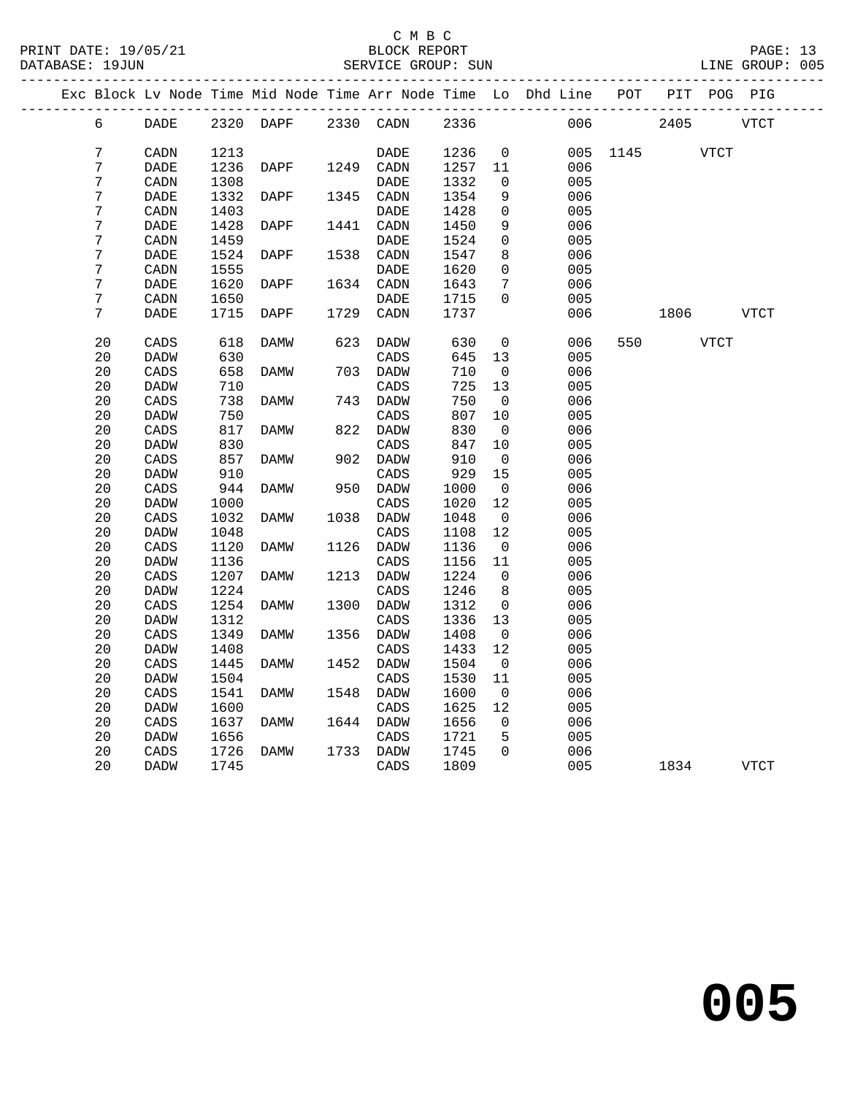|  |                |             |      |           |      |             |      |                | Exc Block Lv Node Time Mid Node Time Arr Node Time Lo Dhd Line POT |      |      | PIT POG PIG |      |
|--|----------------|-------------|------|-----------|------|-------------|------|----------------|--------------------------------------------------------------------|------|------|-------------|------|
|  | 6              | DADE        |      | 2320 DAPF |      | 2330 CADN   | 2336 |                | 006                                                                |      | 2405 |             | VTCT |
|  | $\overline{7}$ | CADN        | 1213 |           |      | <b>DADE</b> | 1236 | $\mathbf 0$    | 005                                                                | 1145 |      | <b>VTCT</b> |      |
|  | 7              | <b>DADE</b> | 1236 | DAPF      |      | 1249 CADN   | 1257 | 11             | 006                                                                |      |      |             |      |
|  | 7              | CADN        | 1308 |           |      | <b>DADE</b> | 1332 | $\mathbf 0$    | 005                                                                |      |      |             |      |
|  | 7              | DADE        | 1332 | DAPF      | 1345 | CADN        | 1354 | 9              | 006                                                                |      |      |             |      |
|  | $\overline{7}$ | CADN        | 1403 |           |      | DADE        | 1428 | $\mathbf 0$    | 005                                                                |      |      |             |      |
|  | 7              | DADE        | 1428 | DAPF      | 1441 | CADN        | 1450 | 9              | 006                                                                |      |      |             |      |
|  | 7              | CADN        | 1459 |           |      | DADE        | 1524 | $\mathbf 0$    | 005                                                                |      |      |             |      |
|  | 7              | DADE        | 1524 | DAPF      | 1538 | CADN        | 1547 | 8              | 006                                                                |      |      |             |      |
|  | 7              | CADN        | 1555 |           |      | DADE        | 1620 | $\mathbf 0$    | 005                                                                |      |      |             |      |
|  | 7              | DADE        | 1620 | DAPF      | 1634 | CADN        | 1643 | 7              | 006                                                                |      |      |             |      |
|  | 7              | CADN        | 1650 |           |      | DADE        | 1715 | $\Omega$       | 005                                                                |      |      |             |      |
|  | 7              | DADE        | 1715 | DAPF      | 1729 | CADN        | 1737 |                | 006                                                                |      | 1806 |             | VTCT |
|  | 20             | CADS        | 618  | DAMW      | 623  | DADW        | 630  | 0              | 006                                                                | 550  |      | VTCT        |      |
|  | 20             | DADW        | 630  |           |      | CADS        | 645  | 13             | 005                                                                |      |      |             |      |
|  | 20             | CADS        | 658  | DAMW      |      | 703 DADW    | 710  | $\mathbf 0$    | 006                                                                |      |      |             |      |
|  | 20             | DADW        | 710  |           |      | CADS        | 725  | 13             | 005                                                                |      |      |             |      |
|  | 20             | CADS        | 738  | DAMW      | 743  | DADW        | 750  | $\mathbf 0$    | 006                                                                |      |      |             |      |
|  | 20             | <b>DADW</b> | 750  |           |      | CADS        | 807  | 10             | 005                                                                |      |      |             |      |
|  | 20             | CADS        | 817  | DAMW      | 822  | DADW        | 830  | $\mathbf 0$    | 006                                                                |      |      |             |      |
|  | 20             | <b>DADW</b> | 830  |           |      | CADS        | 847  | 10             | 005                                                                |      |      |             |      |
|  | 20             | CADS        | 857  | DAMW      | 902  | DADW        | 910  | $\mathbf 0$    | 006                                                                |      |      |             |      |
|  | 20             | <b>DADW</b> | 910  |           |      | CADS        | 929  | 15             | 005                                                                |      |      |             |      |
|  | 20             | CADS        | 944  | DAMW      | 950  | DADW        | 1000 | $\overline{0}$ | 006                                                                |      |      |             |      |
|  | 20             | <b>DADW</b> | 1000 |           |      | CADS        | 1020 | 12             | 005                                                                |      |      |             |      |
|  | 20             | CADS        | 1032 | DAMW      | 1038 | DADW        | 1048 | 0              | 006                                                                |      |      |             |      |
|  | 20             | <b>DADW</b> | 1048 |           |      | CADS        | 1108 | 12             | 005                                                                |      |      |             |      |
|  | 20             | CADS        | 1120 | DAMW      | 1126 | DADW        | 1136 | $\overline{0}$ | 006                                                                |      |      |             |      |
|  | 20             | <b>DADW</b> | 1136 |           |      | CADS        | 1156 | 11             | 005                                                                |      |      |             |      |
|  | 20             | CADS        | 1207 | DAMW      | 1213 | DADW        | 1224 | $\mathbf 0$    | 006                                                                |      |      |             |      |
|  | 20             | <b>DADW</b> | 1224 |           |      | CADS        | 1246 | 8              | 005                                                                |      |      |             |      |
|  | 20             | CADS        | 1254 | DAMW      | 1300 | DADW        | 1312 | $\overline{0}$ | 006                                                                |      |      |             |      |
|  | 20             | DADW        | 1312 |           |      | CADS        | 1336 | 13             | 005                                                                |      |      |             |      |
|  | 20             | CADS        | 1349 | DAMW      | 1356 | DADW        | 1408 | $\overline{0}$ | 006                                                                |      |      |             |      |
|  | 20             | <b>DADW</b> | 1408 |           |      | CADS        | 1433 | 12             | 005                                                                |      |      |             |      |
|  | 20             | CADS        | 1445 | DAMW      | 1452 | DADW        | 1504 | $\overline{0}$ | 006                                                                |      |      |             |      |
|  | 20             | <b>DADW</b> | 1504 |           |      | CADS        | 1530 | 11             | 005                                                                |      |      |             |      |
|  | 20             | CADS        | 1541 | DAMW      | 1548 | DADW        | 1600 | 0              | 006                                                                |      |      |             |      |
|  | 20             | <b>DADW</b> | 1600 |           |      | CADS        | 1625 | 12             | 005                                                                |      |      |             |      |
|  | 20             | CADS        | 1637 | DAMW      | 1644 | DADW        | 1656 | 0              | 006                                                                |      |      |             |      |
|  | 20             | DADW        | 1656 |           |      | CADS        | 1721 | 5              | 005                                                                |      |      |             |      |
|  | 20             | CADS        | 1726 | DAMW      | 1733 | DADW        | 1745 | $\Omega$       | 006                                                                |      |      |             |      |
|  | 20             | <b>DADW</b> | 1745 |           |      | CADS        | 1809 |                | 005                                                                |      | 1834 |             | VTCT |
|  |                |             |      |           |      |             |      |                |                                                                    |      |      |             |      |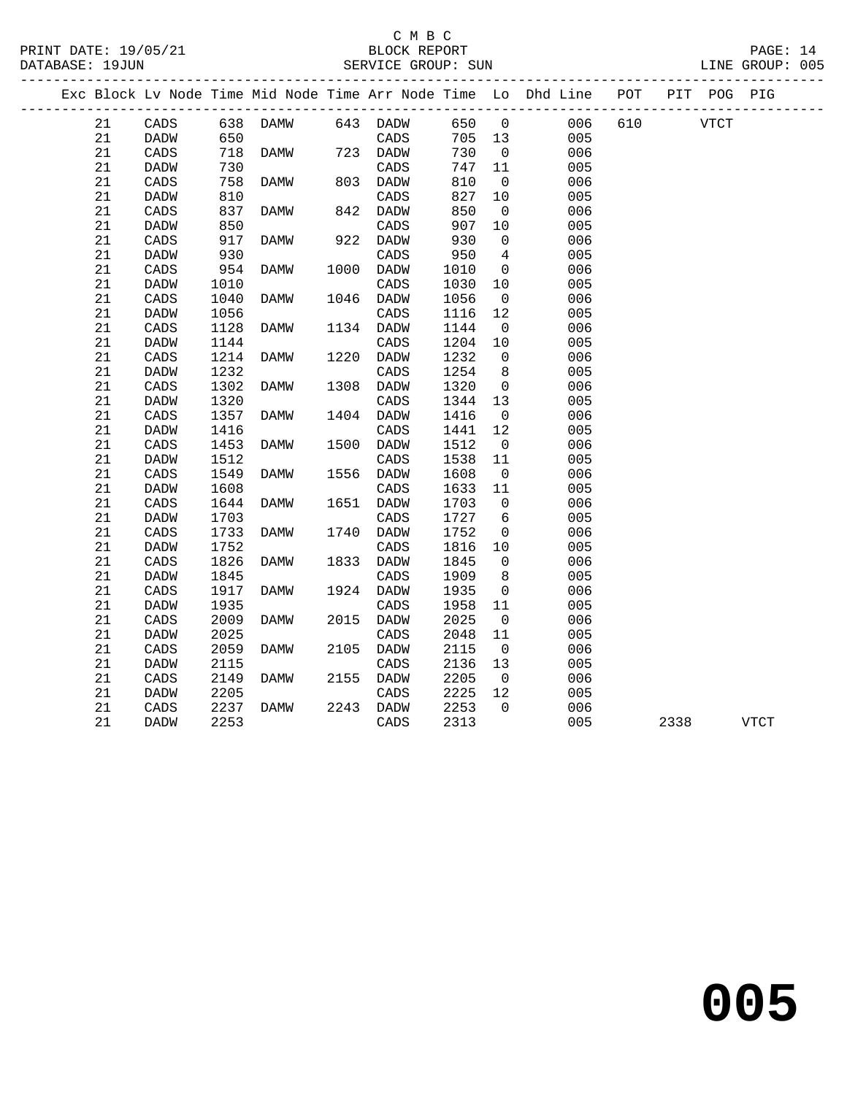|  |    |                 |      |          |      |                 |        |                         | Exc Block Lv Node Time Mid Node Time Arr Node Time Lo Dhd Line POT |         |             | PIT POG PIG |      |
|--|----|-----------------|------|----------|------|-----------------|--------|-------------------------|--------------------------------------------------------------------|---------|-------------|-------------|------|
|  | 21 | CADS            |      | 638 DAMW |      | 643 DADW        | 650    | $\overline{0}$          |                                                                    | 006 610 | <b>VTCT</b> |             |      |
|  | 21 | DADW            | 650  |          |      | CADS            | 705 13 |                         | 005                                                                |         |             |             |      |
|  | 21 | CADS            | 718  | DAMW     |      | 723 DADW        | 730    | $\overline{0}$          | 006                                                                |         |             |             |      |
|  | 21 | DADW            | 730  |          |      | CADS            | 747    | 11                      | 005                                                                |         |             |             |      |
|  | 21 | $\mathtt{CADS}$ | 758  | DAMW     |      | 803 DADW        | 810    | $\overline{0}$          | 006                                                                |         |             |             |      |
|  | 21 | DADW            | 810  |          |      | CADS            | 827    | 10                      | 005                                                                |         |             |             |      |
|  | 21 | CADS            | 837  | DAMW     | 842  | DADW            | 850    | $\overline{0}$          | 006                                                                |         |             |             |      |
|  | 21 | DADW            | 850  |          |      | CADS            | 907    | 10                      | 005                                                                |         |             |             |      |
|  | 21 | CADS            | 917  | DAMW     |      | 922 DADW        | 930    | $\overline{0}$          | 006                                                                |         |             |             |      |
|  | 21 | DADW            | 930  |          |      | $\mathtt{CADS}$ | 950    | $\overline{4}$          | 005                                                                |         |             |             |      |
|  | 21 | CADS            | 954  | DAMW     |      | 1000 DADW       | 1010   | $\overline{0}$          | 006                                                                |         |             |             |      |
|  | 21 | DADW            | 1010 |          |      | CADS            | 1030   | 10                      | 005                                                                |         |             |             |      |
|  | 21 | CADS            | 1040 | DAMW     | 1046 | DADW            | 1056   | $\overline{0}$          | 006                                                                |         |             |             |      |
|  | 21 | DADW            | 1056 |          |      | $\mathtt{CADS}$ | 1116   | 12                      | 005                                                                |         |             |             |      |
|  | 21 | $\mathtt{CADS}$ | 1128 | DAMW     |      | 1134 DADW       | 1144   | $\overline{0}$          | 006                                                                |         |             |             |      |
|  | 21 | DADW            | 1144 |          |      | CADS            | 1204   | 10                      | 005                                                                |         |             |             |      |
|  | 21 | CADS            | 1214 | DAMW     |      | 1220 DADW       | 1232   | $\overline{0}$          | 006                                                                |         |             |             |      |
|  | 21 | DADW            | 1232 |          |      | CADS            | 1254   | 8                       | 005                                                                |         |             |             |      |
|  | 21 | $\mathtt{CADS}$ | 1302 | DAMW     | 1308 | DADW            | 1320   | $\overline{0}$          | 006                                                                |         |             |             |      |
|  | 21 | DADW            | 1320 |          |      | $\mathtt{CADS}$ | 1344   | 13                      | 005                                                                |         |             |             |      |
|  | 21 | CADS            | 1357 | DAMW     |      | 1404 DADW       | 1416   | $\overline{0}$          | 006                                                                |         |             |             |      |
|  | 21 | <b>DADW</b>     | 1416 |          |      | CADS            | 1441   | 12                      | 005                                                                |         |             |             |      |
|  | 21 | CADS            | 1453 | DAMW     |      | 1500 DADW       | 1512   | $\overline{0}$          | 006                                                                |         |             |             |      |
|  | 21 | DADW            | 1512 |          |      | $\mathtt{CADS}$ | 1538   | 11                      | 005                                                                |         |             |             |      |
|  | 21 | $\mathtt{CADS}$ | 1549 | DAMW     | 1556 | DADW            | 1608   | $\overline{0}$          | 006                                                                |         |             |             |      |
|  | 21 | DADW            | 1608 |          |      | CADS            | 1633   | 11                      | 005                                                                |         |             |             |      |
|  | 21 | CADS            | 1644 | DAMW     | 1651 | DADW            | 1703   | $\overline{0}$          | 006                                                                |         |             |             |      |
|  | 21 | DADW            | 1703 |          |      | CADS            | 1727   | 6                       | 005                                                                |         |             |             |      |
|  | 21 | $\mathtt{CADS}$ | 1733 | DAMW     |      | 1740 DADW       | 1752   | 0                       | 006                                                                |         |             |             |      |
|  | 21 | <b>DADW</b>     | 1752 |          |      | CADS            | 1816   | 10                      | 005                                                                |         |             |             |      |
|  | 21 | CADS            | 1826 | DAMW     |      | 1833 DADW       | 1845   | $\overline{0}$          | 006                                                                |         |             |             |      |
|  | 21 | DADW            | 1845 |          |      | CADS            | 1909   | 8                       | 005                                                                |         |             |             |      |
|  | 21 | CADS            | 1917 | DAMW     |      | 1924 DADW       | 1935   | 0                       | 006                                                                |         |             |             |      |
|  | 21 | DADW            | 1935 |          |      | $\mathtt{CADS}$ | 1958   | 11                      | 005                                                                |         |             |             |      |
|  | 21 | CADS            | 2009 | DAMW     | 2015 | DADW            | 2025   | $\overline{0}$          | 006                                                                |         |             |             |      |
|  | 21 | DADW            | 2025 |          |      | CADS            | 2048   | 11                      | 005                                                                |         |             |             |      |
|  | 21 | CADS            | 2059 | DAMW     |      | 2105 DADW       | 2115   | $\overline{0}$          | 006                                                                |         |             |             |      |
|  | 21 | DADW            | 2115 |          |      | CADS            | 2136   | 13                      | 005                                                                |         |             |             |      |
|  | 21 | $\mathtt{CADS}$ | 2149 | DAMW     | 2155 | DADW            | 2205   | $\overline{\mathbf{0}}$ | 006                                                                |         |             |             |      |
|  | 21 | DADW            | 2205 |          |      | $\mathtt{CADS}$ | 2225   | 12                      | 005                                                                |         |             |             |      |
|  | 21 | CADS            | 2237 | DAMW     | 2243 | DADW            | 2253   | $\Omega$                | 006                                                                |         |             |             |      |
|  | 21 | DADW            | 2253 |          |      | CADS            | 2313   |                         | 005                                                                |         | 2338        |             | VTCT |
|  |    |                 |      |          |      |                 |        |                         |                                                                    |         |             |             |      |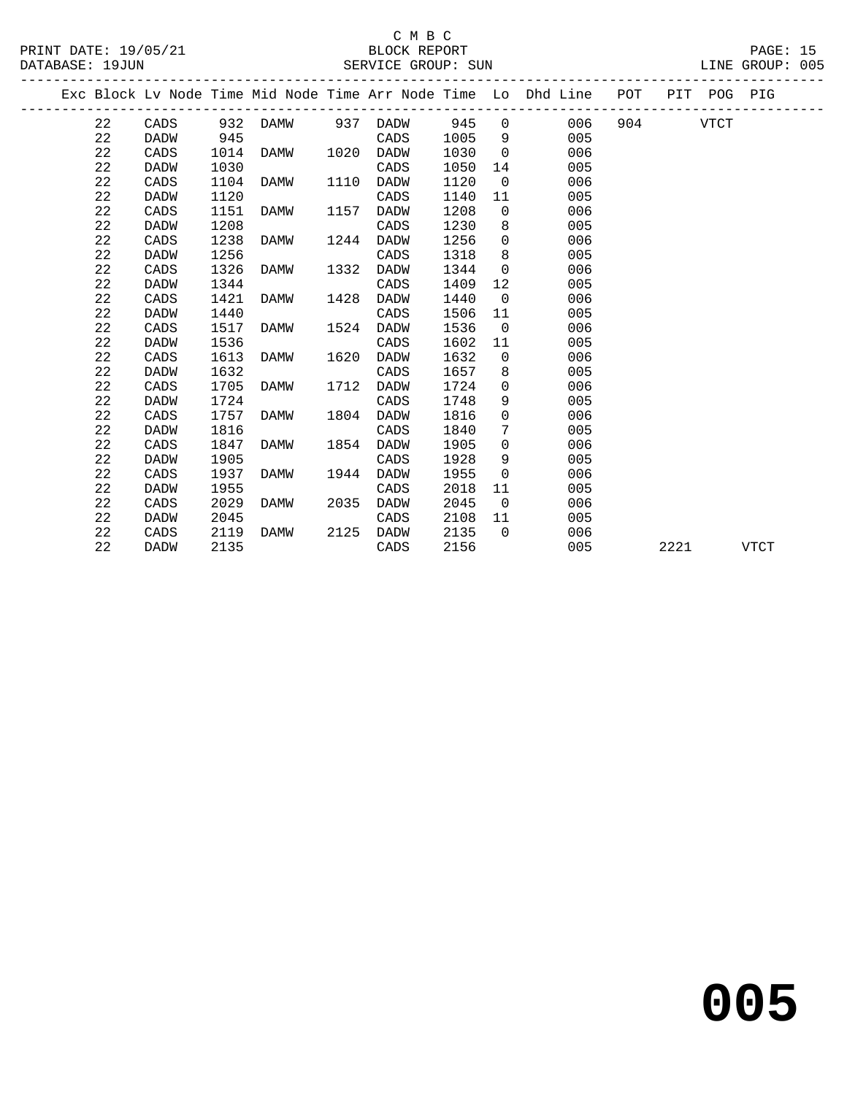|  |             |             |      |      |      |             |      |                | Exc Block Lv Node Time Mid Node Time Arr Node Time Lo Dhd Line | POT |      | PIT POG PIG |      |
|--|-------------|-------------|------|------|------|-------------|------|----------------|----------------------------------------------------------------|-----|------|-------------|------|
|  | 22          | CADS        | 932  | DAMW | 937  | DADW        | 945  | $\Omega$       | 006                                                            | 904 |      | <b>VTCT</b> |      |
|  | 22          | <b>DADW</b> | 945  |      |      | CADS        | 1005 | 9              | 005                                                            |     |      |             |      |
|  | 22          | CADS        | 1014 | DAMW | 1020 | DADW        | 1030 | $\Omega$       | 006                                                            |     |      |             |      |
|  | 22          | <b>DADW</b> | 1030 |      |      | CADS        | 1050 | 14             | 005                                                            |     |      |             |      |
|  | 22          | CADS        | 1104 | DAMW | 1110 | DADW        | 1120 | $\Omega$       | 006                                                            |     |      |             |      |
|  | 22          | <b>DADW</b> | 1120 |      |      | CADS        | 1140 | 11             | 005                                                            |     |      |             |      |
|  | 22          | CADS        | 1151 | DAMW | 1157 | DADW        | 1208 | $\mathbf 0$    | 006                                                            |     |      |             |      |
|  | 22          | <b>DADW</b> | 1208 |      |      | CADS        | 1230 | 8              | 005                                                            |     |      |             |      |
|  | 22          | CADS        | 1238 | DAMW | 1244 | DADW        | 1256 | $\Omega$       | 006                                                            |     |      |             |      |
|  | 22          | <b>DADW</b> | 1256 |      |      | CADS        | 1318 | 8              | 005                                                            |     |      |             |      |
|  | 22          | CADS        | 1326 | DAMW | 1332 | <b>DADW</b> | 1344 | $\Omega$       | 006                                                            |     |      |             |      |
|  | 22          | <b>DADW</b> | 1344 |      |      | CADS        | 1409 | 12             | 005                                                            |     |      |             |      |
|  | 22          | CADS        | 1421 | DAMW | 1428 | DADW        | 1440 | $\overline{0}$ | 006                                                            |     |      |             |      |
|  | 22          | <b>DADW</b> | 1440 |      |      | CADS        | 1506 | 11             | 005                                                            |     |      |             |      |
|  | 22          | CADS        | 1517 | DAMW | 1524 | DADW        | 1536 | $\overline{0}$ | 006                                                            |     |      |             |      |
|  | 22          | <b>DADW</b> | 1536 |      |      | CADS        | 1602 | 11             | 005                                                            |     |      |             |      |
|  | 22          | CADS        | 1613 | DAMW | 1620 | DADW        | 1632 | $\overline{0}$ | 006                                                            |     |      |             |      |
|  | 22          | DADW        | 1632 |      |      | CADS        | 1657 | 8              | 005                                                            |     |      |             |      |
|  | 22          | CADS        | 1705 | DAMW | 1712 | DADW        | 1724 | $\Omega$       | 006                                                            |     |      |             |      |
|  | 22          | <b>DADW</b> | 1724 |      |      | CADS        | 1748 | 9              | 005                                                            |     |      |             |      |
|  | $2\sqrt{2}$ | CADS        | 1757 | DAMW | 1804 | DADW        | 1816 | $\mathbf 0$    | 006                                                            |     |      |             |      |
|  | 22          | DADW        | 1816 |      |      | CADS        | 1840 | 7              | 005                                                            |     |      |             |      |
|  | 22          | CADS        | 1847 | DAMW | 1854 | DADW        | 1905 | $\Omega$       | 006                                                            |     |      |             |      |
|  | 22          | <b>DADW</b> | 1905 |      |      | CADS        | 1928 | 9              | 005                                                            |     |      |             |      |
|  | 22          | CADS        | 1937 | DAMW | 1944 | DADW        | 1955 | $\mathbf 0$    | 006                                                            |     |      |             |      |
|  | 22          | <b>DADW</b> | 1955 |      |      | CADS        | 2018 | 11             | 005                                                            |     |      |             |      |
|  | 22          | CADS        | 2029 | DAMW | 2035 | <b>DADW</b> | 2045 | $\Omega$       | 006                                                            |     |      |             |      |
|  | 22          | <b>DADW</b> | 2045 |      |      | CADS        | 2108 | 11             | 005                                                            |     |      |             |      |
|  | 22          | CADS        | 2119 | DAMW | 2125 | DADW        | 2135 | $\Omega$       | 006                                                            |     |      |             |      |
|  | 22          | <b>DADW</b> | 2135 |      |      | CADS        | 2156 |                | 005                                                            |     | 2221 |             | VTCT |
|  |             |             |      |      |      |             |      |                |                                                                |     |      |             |      |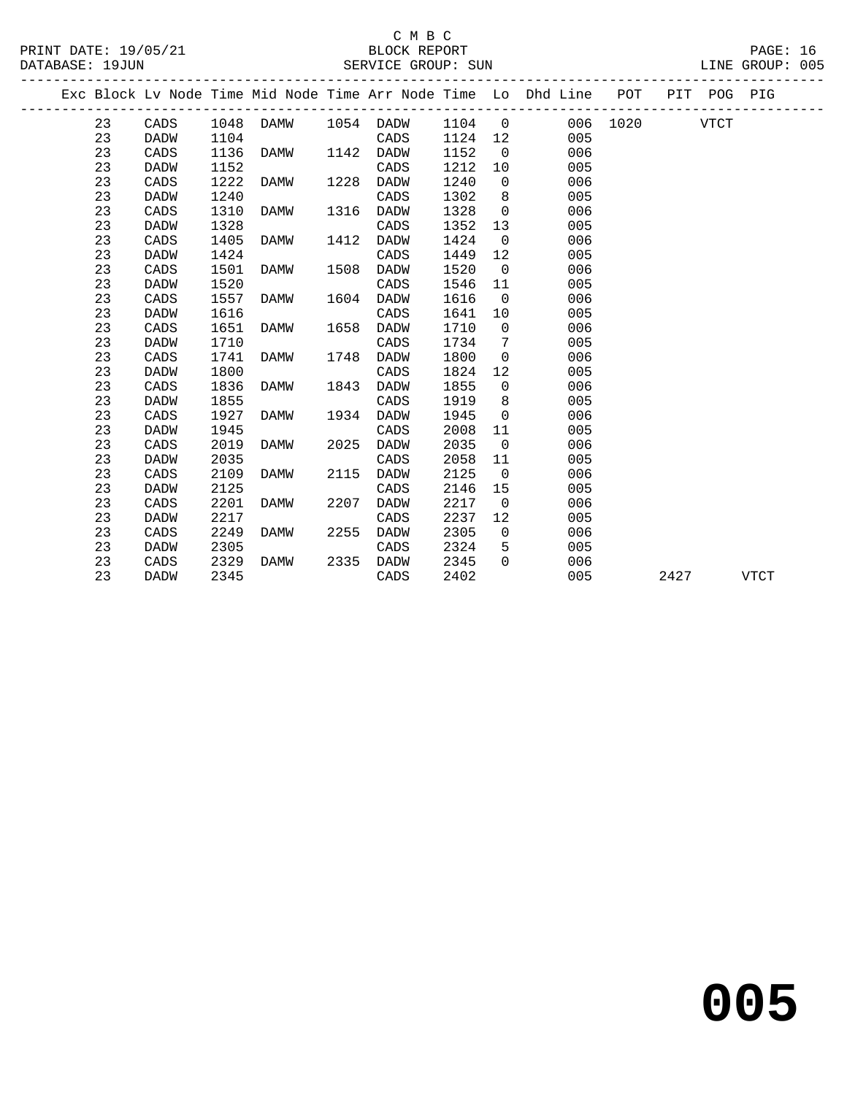### C M B C<br>BLOCK REPORT

| PRINT DATE: 19/05/21<br>DATABASE: 19JUN |                 |      | BLOCK REPORT<br>SERVICE GROUP: SUN |      |             |         |                 |                                                                    |          |      |             | PAGE: 16<br>LINE GROUP: 005 |  |
|-----------------------------------------|-----------------|------|------------------------------------|------|-------------|---------|-----------------|--------------------------------------------------------------------|----------|------|-------------|-----------------------------|--|
|                                         |                 |      |                                    |      |             |         |                 | Exc Block Lv Node Time Mid Node Time Arr Node Time Lo Dhd Line POT |          |      | PIT POG PIG |                             |  |
| 23                                      | CADS            |      | 1048 DAMW                          |      | 1054 DADW   | 1104 0  |                 |                                                                    | 006 1020 |      | <b>VTCT</b> |                             |  |
| 23                                      | DADW            | 1104 |                                    |      | CADS        | 1124 12 |                 | 005                                                                |          |      |             |                             |  |
| 23                                      | CADS            | 1136 | DAMW                               | 1142 | <b>DADW</b> | 1152    | $\overline{0}$  | 006                                                                |          |      |             |                             |  |
| 23                                      | <b>DADW</b>     | 1152 |                                    |      | CADS        | 1212    | 10              | 005                                                                |          |      |             |                             |  |
| 23                                      | CADS            | 1222 | DAMW                               | 1228 | <b>DADW</b> | 1240    | $\mathsf{O}$    | 006                                                                |          |      |             |                             |  |
| 23                                      | <b>DADW</b>     | 1240 |                                    |      | CADS        | 1302    | 8 <sup>8</sup>  | 005                                                                |          |      |             |                             |  |
| 23                                      | CADS            | 1310 | DAMW                               | 1316 | <b>DADW</b> | 1328    | $\overline{0}$  | 006                                                                |          |      |             |                             |  |
| 23                                      | <b>DADW</b>     | 1328 |                                    |      | CADS        | 1352    | 13              | 005                                                                |          |      |             |                             |  |
| 23                                      | CADS            | 1405 | DAMW                               | 1412 | <b>DADW</b> | 1424    | $\overline{0}$  | 006                                                                |          |      |             |                             |  |
| 23                                      | <b>DADW</b>     | 1424 |                                    |      | CADS        | 1449    | 12              | 005                                                                |          |      |             |                             |  |
| 23                                      | CADS            | 1501 | DAMW                               | 1508 | <b>DADW</b> | 1520    | $\overline{0}$  | 006                                                                |          |      |             |                             |  |
| 23                                      | <b>DADW</b>     | 1520 |                                    |      | CADS        | 1546    | 11              | 005                                                                |          |      |             |                             |  |
| 23                                      | CADS            | 1557 | DAMW                               | 1604 | <b>DADW</b> | 1616    | $\overline{0}$  | 006                                                                |          |      |             |                             |  |
| 23                                      | <b>DADW</b>     | 1616 |                                    |      | CADS        | 1641    | 10              | 005                                                                |          |      |             |                             |  |
| 23                                      | CADS            | 1651 | DAMW                               | 1658 | <b>DADW</b> | 1710    | $\overline{0}$  | 006                                                                |          |      |             |                             |  |
| 23                                      | DADW            | 1710 |                                    |      | CADS        | 1734    | $7\phantom{.0}$ | 005                                                                |          |      |             |                             |  |
| 23                                      | $\mathtt{CADS}$ | 1741 | DAMW                               | 1748 | DADW        | 1800    | $\overline{0}$  | 006                                                                |          |      |             |                             |  |
| 23                                      | DADW            | 1800 |                                    |      | CADS        | 1824    | 12              | 005                                                                |          |      |             |                             |  |
| 23                                      | CADS            | 1836 | DAMW                               | 1843 | <b>DADW</b> | 1855    | $\overline{0}$  | 006                                                                |          |      |             |                             |  |
| 23                                      | <b>DADW</b>     | 1855 |                                    |      | CADS        | 1919    | 8 <sup>8</sup>  | 005                                                                |          |      |             |                             |  |
| 23                                      | CADS            | 1927 | DAMW                               | 1934 | <b>DADW</b> | 1945    | $\overline{0}$  | 006                                                                |          |      |             |                             |  |
| 23                                      | <b>DADW</b>     | 1945 |                                    |      | CADS        | 2008    | 11              | 005                                                                |          |      |             |                             |  |
| 23                                      | CADS            | 2019 | DAMW                               | 2025 | <b>DADW</b> | 2035    | $\overline{0}$  | 006                                                                |          |      |             |                             |  |
| 23                                      | DADW            | 2035 |                                    |      | CADS        | 2058    | 11              | 005                                                                |          |      |             |                             |  |
| 23                                      | CADS            | 2109 | DAMW                               | 2115 | DADW        | 2125    | $\overline{0}$  | 006                                                                |          |      |             |                             |  |
| 23                                      | DADW            | 2125 |                                    |      | CADS        | 2146    | 15              | 005                                                                |          |      |             |                             |  |
| 23                                      | CADS            | 2201 | DAMW                               | 2207 | <b>DADW</b> | 2217    | $\overline{0}$  | 006                                                                |          |      |             |                             |  |
| 23                                      | <b>DADW</b>     | 2217 |                                    |      | CADS        | 2237    | 12              | 005                                                                |          |      |             |                             |  |
| 23                                      | CADS            | 2249 | DAMW                               | 2255 | DADW        | 2305    | $\mathsf 0$     | 006                                                                |          |      |             |                             |  |
| 23                                      | <b>DADW</b>     | 2305 |                                    |      | CADS        | 2324    | 5               | 005                                                                |          |      |             |                             |  |
| 23                                      | CADS            | 2329 | DAMW                               | 2335 | <b>DADW</b> | 2345    | $\Omega$        | 006                                                                |          |      |             |                             |  |
| 23                                      | <b>DADW</b>     | 2345 |                                    |      | CADS        | 2402    |                 | 005                                                                |          | 2427 |             | <b>VTCT</b>                 |  |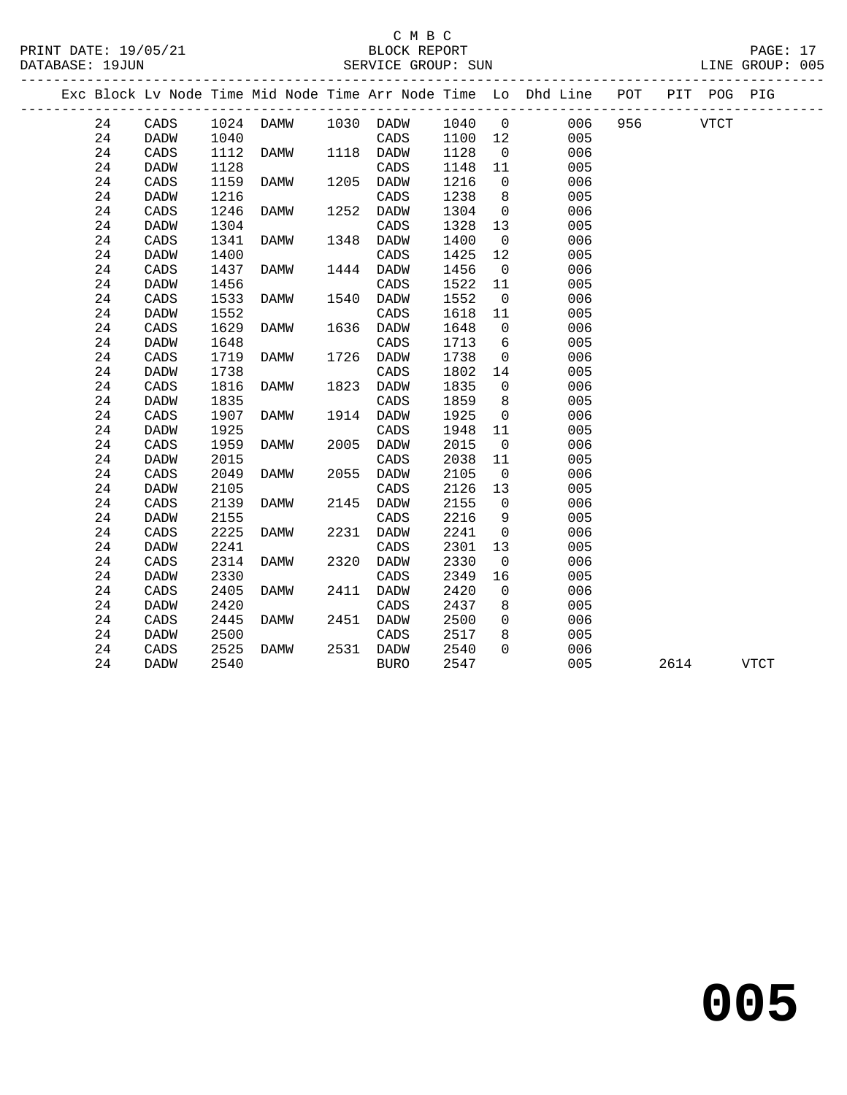### C M B C<br>BLOCK REPORT SERVICE GROUP: SUN

|  |    |                 |      |                            |      | ----------------------------------- |         |                | Exc Block Lv Node Time Mid Node Time Arr Node Time Lo Dhd Line POT |          |      | PIT POG PIG |      |
|--|----|-----------------|------|----------------------------|------|-------------------------------------|---------|----------------|--------------------------------------------------------------------|----------|------|-------------|------|
|  | 24 | $\mathtt{CADS}$ |      | 1024 DAMW 1030 DADW 1040 0 |      |                                     |         |                | 006                                                                | 956 VTCT |      |             |      |
|  | 24 | DADW            | 1040 |                            |      | CADS                                | 1100 12 |                | 005                                                                |          |      |             |      |
|  | 24 | CADS            | 1112 | <b>DAMW</b>                |      | 1118 DADW                           | 1128    | $\overline{0}$ | 006                                                                |          |      |             |      |
|  | 24 | DADW            | 1128 |                            |      | $\mathtt{CADS}$                     | 1148    | 11             | 005                                                                |          |      |             |      |
|  | 24 | CADS            | 1159 | DAMW                       |      | 1205 DADW                           | 1216    | $\overline{0}$ | 006                                                                |          |      |             |      |
|  | 24 | <b>DADW</b>     | 1216 |                            |      | CADS                                | 1238    | 8              | 005                                                                |          |      |             |      |
|  | 24 | CADS            | 1246 | DAMW                       |      | 1252 DADW                           | 1304    | $\overline{0}$ | 006                                                                |          |      |             |      |
|  | 24 | DADW            | 1304 |                            |      | CADS                                | 1328    | 13             | 005                                                                |          |      |             |      |
|  | 24 | CADS            | 1341 | DAMW                       |      | 1348 DADW                           | 1400    | $\overline{0}$ | 006                                                                |          |      |             |      |
|  | 24 | <b>DADW</b>     | 1400 |                            |      | CADS                                | 1425    | 12             | 005                                                                |          |      |             |      |
|  | 24 | CADS            | 1437 | DAMW                       |      | 1444 DADW                           | 1456    | $\overline{0}$ | 006                                                                |          |      |             |      |
|  | 24 | <b>DADW</b>     | 1456 |                            |      | CADS                                | 1522    | 11             | 005                                                                |          |      |             |      |
|  | 24 | CADS            | 1533 | DAMW                       |      | 1540 DADW                           | 1552    | $\overline{0}$ | 006                                                                |          |      |             |      |
|  | 24 | <b>DADW</b>     | 1552 |                            |      | CADS                                | 1618    | 11             | 005                                                                |          |      |             |      |
|  | 24 | CADS            | 1629 | DAMW                       |      | 1636 DADW                           | 1648    | $\overline{0}$ | 006                                                                |          |      |             |      |
|  | 24 | <b>DADW</b>     | 1648 |                            |      | CADS                                | 1713    | 6              | 005                                                                |          |      |             |      |
|  | 24 | CADS            | 1719 | DAMW                       | 1726 | DADW                                | 1738    | $\mathbf 0$    | 006                                                                |          |      |             |      |
|  | 24 | <b>DADW</b>     | 1738 |                            |      | CADS                                | 1802    | 14             | 005                                                                |          |      |             |      |
|  | 24 | CADS            | 1816 | DAMW                       |      | 1823 DADW                           | 1835    | $\overline{0}$ | 006                                                                |          |      |             |      |
|  | 24 | <b>DADW</b>     | 1835 |                            |      | CADS                                | 1859    | 8 <sup>8</sup> | 005                                                                |          |      |             |      |
|  | 24 | CADS            | 1907 | DAMW                       |      | 1914 DADW                           | 1925    | $\overline{0}$ | 006                                                                |          |      |             |      |
|  | 24 | <b>DADW</b>     | 1925 |                            |      | CADS                                | 1948    | 11             | 005                                                                |          |      |             |      |
|  | 24 | CADS            | 1959 | DAMW                       | 2005 | DADW                                | 2015    | $\overline{0}$ | 006                                                                |          |      |             |      |
|  | 24 | <b>DADW</b>     | 2015 |                            |      | CADS                                | 2038    | 11             | 005                                                                |          |      |             |      |
|  | 24 | CADS            | 2049 | DAMW                       |      | 2055 DADW                           | 2105    | $\overline{0}$ | 006                                                                |          |      |             |      |
|  | 24 | <b>DADW</b>     | 2105 |                            |      | CADS                                | 2126    | 13             | 005                                                                |          |      |             |      |
|  | 24 | CADS            | 2139 | DAMW                       |      | 2145 DADW                           | 2155    | $\overline{0}$ | 006                                                                |          |      |             |      |
|  | 24 | <b>DADW</b>     | 2155 |                            |      | CADS                                | 2216    | 9              | 005                                                                |          |      |             |      |
|  | 24 | CADS            | 2225 | DAMW                       | 2231 | DADW                                | 2241    | $\overline{0}$ | 006                                                                |          |      |             |      |
|  | 24 | <b>DADW</b>     | 2241 |                            |      | CADS                                | 2301    | 13             | 005                                                                |          |      |             |      |
|  | 24 | CADS            | 2314 | DAMW                       |      | 2320 DADW                           | 2330    | $\overline{0}$ | 006                                                                |          |      |             |      |
|  | 24 | <b>DADW</b>     | 2330 |                            |      | CADS                                | 2349    | 16             | 005                                                                |          |      |             |      |
|  | 24 | CADS            | 2405 | DAMW                       |      | 2411 DADW                           | 2420    | $\overline{0}$ | 006                                                                |          |      |             |      |
|  | 24 | <b>DADW</b>     | 2420 |                            |      | CADS                                | 2437    | 8              | 005                                                                |          |      |             |      |
|  | 24 | CADS            | 2445 | DAMW                       |      | 2451 DADW                           | 2500    | $\overline{0}$ | 006                                                                |          |      |             |      |
|  | 24 | DADW            | 2500 |                            |      | CADS                                | 2517    | 8              | 005                                                                |          |      |             |      |
|  | 24 | CADS            | 2525 | DAMW                       |      | 2531 DADW                           | 2540    | $\Omega$       | 006                                                                |          |      |             |      |
|  | 24 | DADW            | 2540 |                            |      | BURO                                | 2547    |                | 005                                                                |          | 2614 |             | VTCT |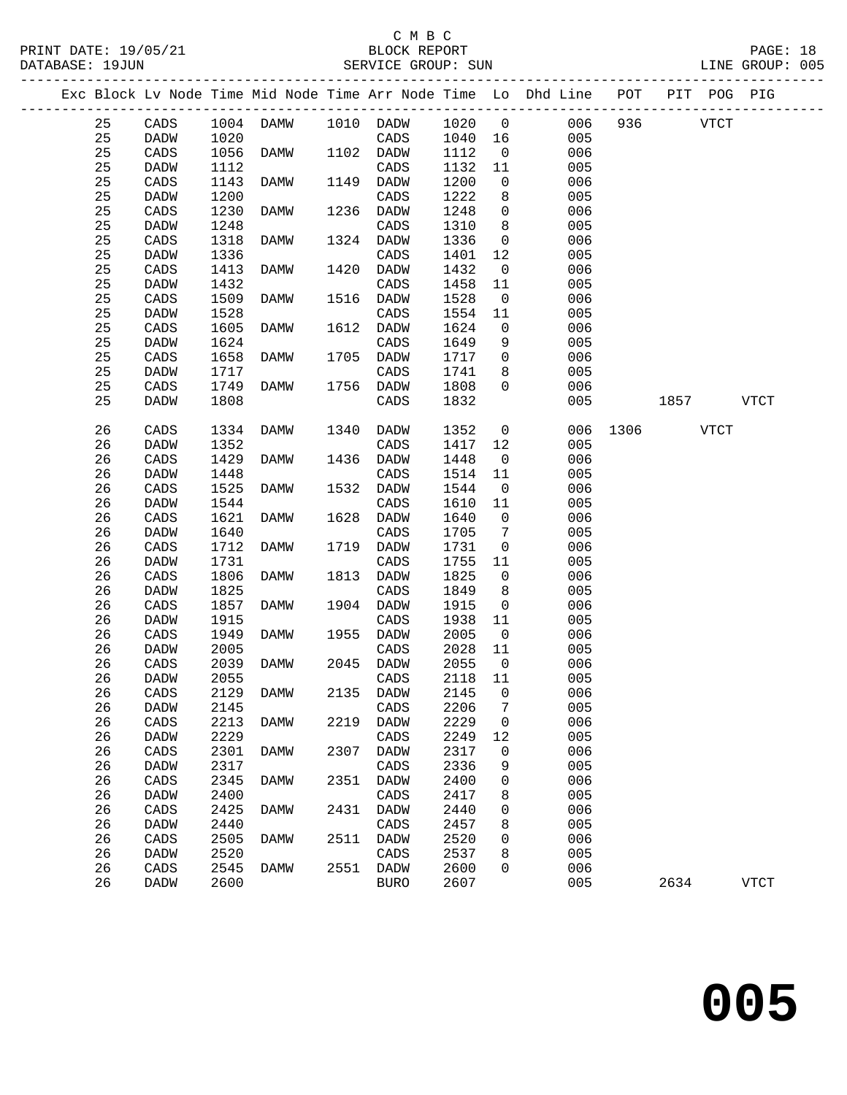### C M B C

| PRINT DATE: 19/05/21<br>DATABASE: 19JUN |                 |      | 5/21 BLOCK REPORT BLOCK REPORT |      |                          |                 |                |                                                                                |               |      | PAGE: 18<br>LINE GROUP: 005 |  |
|-----------------------------------------|-----------------|------|--------------------------------|------|--------------------------|-----------------|----------------|--------------------------------------------------------------------------------|---------------|------|-----------------------------|--|
|                                         |                 |      |                                |      |                          |                 |                | Exc Block Lv Node Time Mid Node Time Arr Node Time Lo Dhd Line POT PIT POG PIG |               |      |                             |  |
| 25                                      | CADS            |      |                                |      |                          |                 |                | 1004 DAMW 1010 DADW 1020 0 006 936 VTCT                                        |               |      |                             |  |
| 25                                      | DADW            | 1020 |                                |      | CADS                     | 1040 16         |                | 005                                                                            |               |      |                             |  |
| 25                                      | CADS            | 1056 | <b>DAMW</b>                    |      | 1102 DADW                | 1112            | $\overline{0}$ | 006                                                                            |               |      |                             |  |
| 25                                      | DADW            | 1112 |                                |      | CADS                     | 1132            | 11             | 005                                                                            |               |      |                             |  |
| 25                                      | CADS            | 1143 | DAMW                           |      | 1149 DADW                | 1200            | $\overline{0}$ | 006                                                                            |               |      |                             |  |
| 25                                      | DADW            | 1200 |                                |      | CADS                     | 1222            | 8              | 005                                                                            |               |      |                             |  |
| 25                                      | CADS            | 1230 | DAMW                           | 1236 | DADW                     | 1248            | $\overline{0}$ | 006                                                                            |               |      |                             |  |
| 25                                      | DADW            | 1248 |                                |      | CADS                     | 1310            | 8 <sup>8</sup> | 005                                                                            |               |      |                             |  |
| 25                                      | CADS            | 1318 | DAMW                           |      | 1324 DADW                | 1336            | $\overline{0}$ | 006                                                                            |               |      |                             |  |
| 25                                      | DADW            | 1336 |                                |      | CADS                     | 1401            | 12             | 005                                                                            |               |      |                             |  |
| 25                                      | CADS            | 1413 | DAMW                           | 1420 | DADW                     | 1432            | $\overline{0}$ | 006                                                                            |               |      |                             |  |
| 25                                      | DADW            | 1432 |                                |      | CADS                     | 1458            | 11             | 005                                                                            |               |      |                             |  |
| 25                                      | CADS            | 1509 | DAMW                           |      | 1516 DADW                | 1528            | $\overline{0}$ | 006                                                                            |               |      |                             |  |
| 25                                      | DADW            | 1528 |                                |      | CADS                     | 1554            | 11             | 005                                                                            |               |      |                             |  |
| 25                                      | CADS            | 1605 | DAMW                           | 1612 | DADW                     | 1624            | $\overline{0}$ | 006                                                                            |               |      |                             |  |
| 25                                      | DADW            | 1624 |                                |      | CADS                     | 1649            | 9              | 005                                                                            |               |      |                             |  |
| 25                                      | CADS            | 1658 | DAMW                           |      | 1705 DADW                | 1717 0          |                | 006                                                                            |               |      |                             |  |
| 25                                      | DADW            | 1717 |                                |      | CADS                     | 1741            | 8              | 005                                                                            |               |      |                             |  |
| 25                                      | CADS            | 1749 | DAMW                           |      | 1756 DADW                | 1808            | $\overline{0}$ | 006                                                                            |               |      |                             |  |
| 25                                      | DADW            | 1808 |                                |      | CADS                     | 1832            |                | 005                                                                            | 1857 VTCT     |      |                             |  |
| 26                                      | CADS            | 1334 | DAMW                           | 1340 | DADW                     | 1352            | $\overline{0}$ |                                                                                | 006 1306 VTCT |      |                             |  |
| 26                                      | DADW            | 1352 |                                |      | CADS                     | 1417            | 12             | 005                                                                            |               |      |                             |  |
| 26                                      | CADS            | 1429 | DAMW                           | 1436 | DADW                     | 1448            | $\overline{0}$ | 006                                                                            |               |      |                             |  |
| 26                                      | DADW            | 1448 |                                |      | CADS                     | 1514            | 11             | 005                                                                            |               |      |                             |  |
| 26                                      | CADS            | 1525 | DAMW                           | 1532 | DADW                     | 1544            | $\overline{0}$ | 006                                                                            |               |      |                             |  |
| 26                                      | DADW            | 1544 |                                |      | CADS                     | 1610            | 11             | 005                                                                            |               |      |                             |  |
| 26                                      | CADS            | 1621 | DAMW                           | 1628 | DADW                     | 1640            | $\overline{0}$ | 006                                                                            |               |      |                             |  |
| 26                                      | DADW            | 1640 |                                |      | CADS                     | 1705            | $\overline{7}$ | 005                                                                            |               |      |                             |  |
| 26                                      | CADS            | 1712 | DAMW                           | 1719 | DADW                     | 1731            | $\overline{0}$ | 006                                                                            |               |      |                             |  |
| 26                                      | DADW            | 1731 |                                |      | CADS                     | 1755            | 11             | 005                                                                            |               |      |                             |  |
| 26                                      | CADS            | 1806 | DAMW                           | 1813 | DADW                     | 1825            | $\overline{0}$ | 006                                                                            |               |      |                             |  |
| 26                                      | DADW            | 1825 |                                |      | CADS                     | 1849            | 8 <sup>8</sup> | 005                                                                            |               |      |                             |  |
| 26                                      | CADS            | 1857 | DAMW                           |      | 1904 DADW                | 1915            | $\overline{0}$ | 006                                                                            |               |      |                             |  |
| 26                                      | DADW            | 1915 | DAMW                           |      | CADS<br>1955 DADW        | 1938 11<br>2005 |                | 005                                                                            |               |      |                             |  |
| 26                                      | CADS            | 1949 |                                |      |                          |                 | $\overline{0}$ | 006                                                                            |               |      |                             |  |
| 26<br>26 CADS                           | DADW            | 2005 | 2039 DAMW                      |      | CADS<br>2045 DADW 2055 0 | 2028            | 11             | 005<br>006                                                                     |               |      |                             |  |
| 26                                      |                 | 2055 |                                |      | CADS                     | 2118            |                | 005                                                                            |               |      |                             |  |
| 26                                      | DADW            | 2129 |                                | 2135 |                          | 2145            | 11             | 006                                                                            |               |      |                             |  |
| 26                                      | CADS<br>DADW    | 2145 | DAMW                           |      | DADW<br>CADS             | 2206            | 0<br>7         | 005                                                                            |               |      |                             |  |
| 26                                      | CADS            | 2213 | DAMW                           | 2219 | DADW                     | 2229            | 0              | 006                                                                            |               |      |                             |  |
| 26                                      | DADW            | 2229 |                                |      | CADS                     | 2249            | 12             | 005                                                                            |               |      |                             |  |
| 26                                      | CADS            | 2301 | DAMW                           | 2307 | DADW                     | 2317            | 0              | 006                                                                            |               |      |                             |  |
| 26                                      | DADW            | 2317 |                                |      | CADS                     | 2336            | 9              | 005                                                                            |               |      |                             |  |
| 26                                      | CADS            | 2345 | <b>DAMW</b>                    | 2351 | DADW                     | 2400            | 0              | 006                                                                            |               |      |                             |  |
| 26                                      | DADW            | 2400 |                                |      | CADS                     | 2417            | 8              | 005                                                                            |               |      |                             |  |
| 26                                      | $\mathtt{CADS}$ | 2425 | <b>DAMW</b>                    | 2431 | DADW                     | 2440            | 0              | 006                                                                            |               |      |                             |  |
| 26                                      | DADW            | 2440 |                                |      | CADS                     | 2457            | 8              | 005                                                                            |               |      |                             |  |
| 26                                      | $\mathtt{CADS}$ | 2505 | <b>DAMW</b>                    | 2511 | DADW                     | 2520            | 0              | 006                                                                            |               |      |                             |  |
| 26                                      | DADW            | 2520 |                                |      | CADS                     | 2537            | 8              | 005                                                                            |               |      |                             |  |
| 26                                      | $\mathtt{CADS}$ | 2545 | DAMW                           | 2551 | DADW                     | 2600            | 0              | 006                                                                            |               |      |                             |  |
| 26                                      | DADW            | 2600 |                                |      | <b>BURO</b>              | 2607            |                | 005                                                                            |               | 2634 | ${\tt VTCT}$                |  |
|                                         |                 |      |                                |      |                          |                 |                |                                                                                |               |      |                             |  |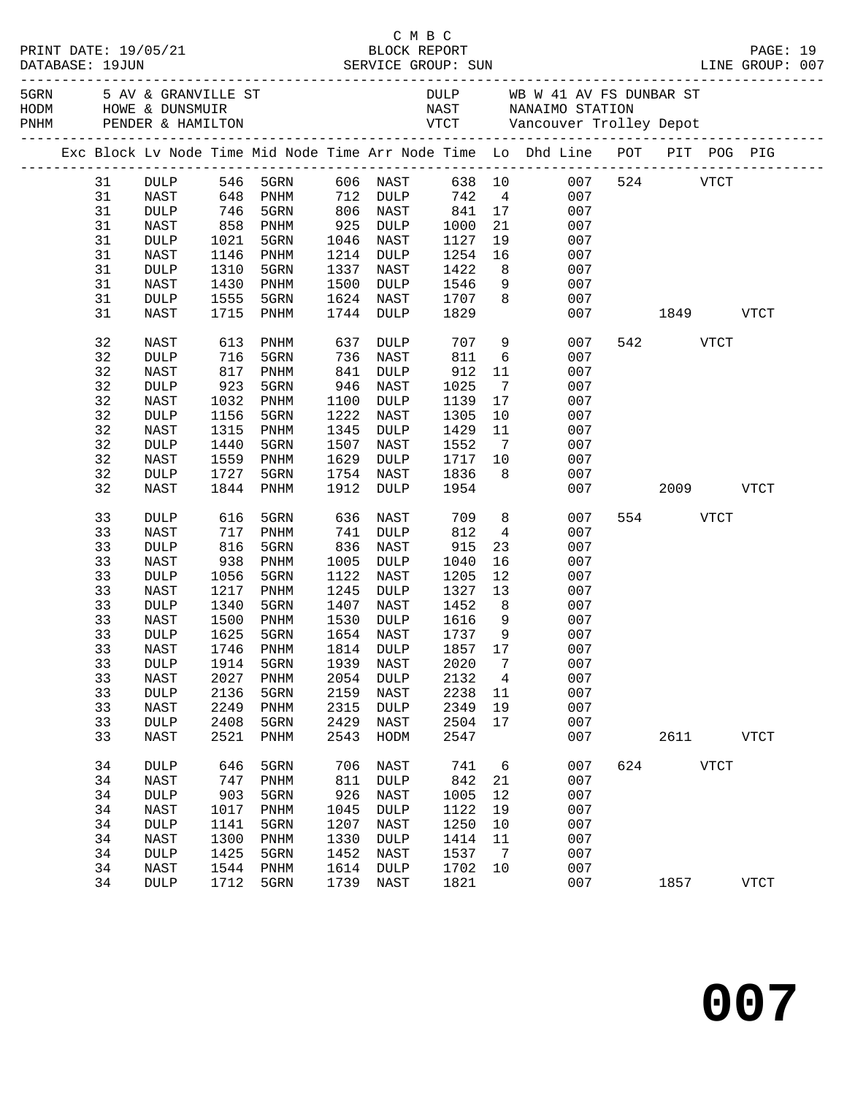|  |    |                 |      |                      |      |                      |              |                 |                                                                                                                                                                                                      |        |             |      | PAGE: 19<br>LINE GROUP: 007 |  |
|--|----|-----------------|------|----------------------|------|----------------------|--------------|-----------------|------------------------------------------------------------------------------------------------------------------------------------------------------------------------------------------------------|--------|-------------|------|-----------------------------|--|
|  |    |                 |      |                      |      |                      |              |                 | 5 AV & GRANVILLE ST AND BULLE DULP WE WARE SUNNER ST HOD HOWE & DUNSMUIR<br>FROM A PENDER & HAMILTON ARRY TO A MANAIMO STATION<br>FROM PENDER & HAMILTON CONTROL TO A VICT A VANCOUVER TROILEY DEPOT |        |             |      |                             |  |
|  |    |                 |      |                      |      |                      |              |                 | Exc Block Lv Node Time Mid Node Time Arr Node Time Lo Dhd Line POT PIT POG PIG                                                                                                                       |        |             |      |                             |  |
|  | 31 | DULP 546 5GRN   |      |                      |      | 606 NAST             | 638 10       |                 | 007                                                                                                                                                                                                  |        | 524 VTCT    |      |                             |  |
|  | 31 | NAST            |      | 648 PNHM             |      | 712 DULP             | 742 4        |                 | 007                                                                                                                                                                                                  |        |             |      |                             |  |
|  | 31 | <b>DULP</b>     |      |                      |      |                      |              |                 | 007                                                                                                                                                                                                  |        |             |      |                             |  |
|  | 31 | NAST            |      | 746 5GRN<br>858 PNHM |      | 806 NAST<br>925 DULP | $841$ $1000$ |                 | $\frac{17}{21}$<br>007                                                                                                                                                                               |        |             |      |                             |  |
|  | 31 | DULP            | 1021 | 5GRN                 | 1046 | NAST                 | 1127         |                 | 19<br>007                                                                                                                                                                                            |        |             |      |                             |  |
|  | 31 | NAST            | 1146 | PNHM                 | 1214 | DULP                 | 1254         | 16              | 007                                                                                                                                                                                                  |        |             |      |                             |  |
|  | 31 | <b>DULP</b>     | 1310 | 5GRN                 | 1337 | NAST                 | 1422         | 8 <sup>1</sup>  | 007                                                                                                                                                                                                  |        |             |      |                             |  |
|  | 31 | NAST            | 1430 | PNHM                 | 1500 | DULP                 | 1546         | 9               | 007                                                                                                                                                                                                  |        |             |      |                             |  |
|  | 31 | <b>DULP</b>     | 1555 | 5GRN                 | 1624 | NAST                 | 1707         | 8 <sup>8</sup>  | 007                                                                                                                                                                                                  |        |             |      |                             |  |
|  | 31 | NAST            | 1715 | PNHM                 | 1744 | DULP                 | 1829         |                 |                                                                                                                                                                                                      | 007 00 | 1849        |      | <b>VTCT</b>                 |  |
|  |    |                 |      |                      |      |                      |              |                 |                                                                                                                                                                                                      |        |             |      |                             |  |
|  | 32 | NAST            | 613  | PNHM                 | 637  | DULP                 | 707          | 9               | 007                                                                                                                                                                                                  |        | 542         | VTCT |                             |  |
|  | 32 | DULP            | 716  | 5GRN                 | 736  | NAST                 | 811          | $6\overline{6}$ | 007                                                                                                                                                                                                  |        |             |      |                             |  |
|  | 32 | NAST            | 817  | PNHM                 | 841  | DULP                 | 912          | 11              | 007                                                                                                                                                                                                  |        |             |      |                             |  |
|  | 32 | <b>DULP</b>     | 923  | 5GRN                 | 946  | NAST                 | 1025         | $\overline{7}$  | 007                                                                                                                                                                                                  |        |             |      |                             |  |
|  | 32 | NAST            | 1032 | PNHM                 | 1100 | DULP                 | 1139         | 17              | 007                                                                                                                                                                                                  |        |             |      |                             |  |
|  | 32 | <b>DULP</b>     | 1156 | 5GRN                 | 1222 | NAST                 | 1305         | 10              | 007                                                                                                                                                                                                  |        |             |      |                             |  |
|  | 32 | NAST            | 1315 | PNHM                 | 1345 | DULP                 | 1429         | 11              | 007                                                                                                                                                                                                  |        |             |      |                             |  |
|  | 32 | <b>DULP</b>     | 1440 | 5GRN                 | 1507 | NAST                 | 1552         | $7\overline{ }$ | 007                                                                                                                                                                                                  |        |             |      |                             |  |
|  | 32 | NAST            | 1559 | PNHM                 | 1629 | DULP                 | 1717         | 10              | 007                                                                                                                                                                                                  |        |             |      |                             |  |
|  | 32 | DULP            | 1727 | 5GRN                 | 1754 | NAST                 | 1836         | 8 <sup>8</sup>  | 007                                                                                                                                                                                                  |        |             |      |                             |  |
|  | 32 | NAST            | 1844 | PNHM                 | 1912 | DULP                 | 1954         |                 | 007                                                                                                                                                                                                  |        | 2009 VTCT   |      |                             |  |
|  | 33 | <b>DULP</b>     | 616  | 5GRN                 | 636  | NAST                 | 709          | 8 <sup>8</sup>  | 007                                                                                                                                                                                                  |        | 554 VTCT    |      |                             |  |
|  | 33 | NAST            | 717  | PNHM                 | 741  | DULP                 | 812          | $4\overline{4}$ | 007                                                                                                                                                                                                  |        |             |      |                             |  |
|  | 33 | DULP            | 816  | 5GRN                 | 836  | NAST                 | 915          | 23              | 007                                                                                                                                                                                                  |        |             |      |                             |  |
|  | 33 | NAST            | 938  | PNHM                 | 1005 | DULP                 | 1040         | 16              | 007                                                                                                                                                                                                  |        |             |      |                             |  |
|  | 33 | DULP            | 1056 | 5GRN                 | 1122 | NAST                 | 1205         | 12              | 007                                                                                                                                                                                                  |        |             |      |                             |  |
|  | 33 | NAST            | 1217 | PNHM                 | 1245 | DULP                 | 1327         | 13              | 007                                                                                                                                                                                                  |        |             |      |                             |  |
|  | 33 | $\texttt{DULP}$ | 1340 | 5GRN                 | 1407 | NAST                 | 1452         | 8 <sup>8</sup>  | 007                                                                                                                                                                                                  |        |             |      |                             |  |
|  | 33 | NAST            | 1500 | PNHM                 | 1530 | DULP                 | 1616         | 9               | 007                                                                                                                                                                                                  |        |             |      |                             |  |
|  | 33 | $\texttt{DULP}$ | 1625 | 5GRN                 | 1654 | NAST                 | 1737         | 9               | 007                                                                                                                                                                                                  |        |             |      |                             |  |
|  | 33 | NAST            | 1746 | PNHM                 |      | 1814 DULP            | 1857 17      |                 | 007                                                                                                                                                                                                  |        |             |      |                             |  |
|  | 33 | DULP 1914       |      | 5GRN 1939 NAST       |      |                      |              |                 | 2020 7 007                                                                                                                                                                                           |        |             |      |                             |  |
|  | 33 | NAST            | 2027 | PNHM                 | 2054 | <b>DULP</b>          | 2132         | $\overline{4}$  | 007                                                                                                                                                                                                  |        |             |      |                             |  |
|  | 33 | DULP            | 2136 | 5GRN                 | 2159 | NAST                 | 2238         | 11              | 007                                                                                                                                                                                                  |        |             |      |                             |  |
|  | 33 | NAST            | 2249 | PNHM                 | 2315 | <b>DULP</b>          | 2349         | 19              | 007                                                                                                                                                                                                  |        |             |      |                             |  |
|  | 33 | DULP            | 2408 | 5GRN                 | 2429 | NAST                 | 2504         | 17              | 007                                                                                                                                                                                                  |        |             |      |                             |  |
|  | 33 | NAST            | 2521 | PNHM                 | 2543 | HODM                 | 2547         |                 | 007                                                                                                                                                                                                  |        | 2611        |      | <b>VTCT</b>                 |  |
|  | 34 | DULP            | 646  | 5GRN                 | 706  | <b>NAST</b>          | 741          | $6\overline{6}$ | 007                                                                                                                                                                                                  | 624    | <b>VTCT</b> |      |                             |  |
|  | 34 | NAST            | 747  | PNHM                 | 811  | <b>DULP</b>          | 842          | 21              | 007                                                                                                                                                                                                  |        |             |      |                             |  |
|  | 34 | <b>DULP</b>     | 903  | 5GRN                 | 926  | NAST                 | 1005         | 12              | 007                                                                                                                                                                                                  |        |             |      |                             |  |
|  | 34 | NAST            | 1017 | PNHM                 | 1045 | <b>DULP</b>          | 1122         | 19              | 007                                                                                                                                                                                                  |        |             |      |                             |  |
|  | 34 | DULP            | 1141 | 5GRN                 | 1207 | NAST                 | 1250         | 10              | 007                                                                                                                                                                                                  |        |             |      |                             |  |
|  | 34 | NAST            | 1300 | PNHM                 | 1330 | DULP                 | 1414         | 11              | 007                                                                                                                                                                                                  |        |             |      |                             |  |
|  | 34 | DULP            | 1425 | 5GRN                 | 1452 | NAST                 | 1537         | $\overline{7}$  | 007                                                                                                                                                                                                  |        |             |      |                             |  |
|  | 34 | NAST            | 1544 | PNHM                 | 1614 | DULP                 | 1702         | 10              | 007                                                                                                                                                                                                  |        |             |      |                             |  |
|  | 34 | DULP            | 1712 | 5GRN                 | 1739 | NAST                 | 1821         |                 | 007                                                                                                                                                                                                  |        | 1857        |      | <b>VTCT</b>                 |  |
|  |    |                 |      |                      |      |                      |              |                 |                                                                                                                                                                                                      |        |             |      |                             |  |

C M B C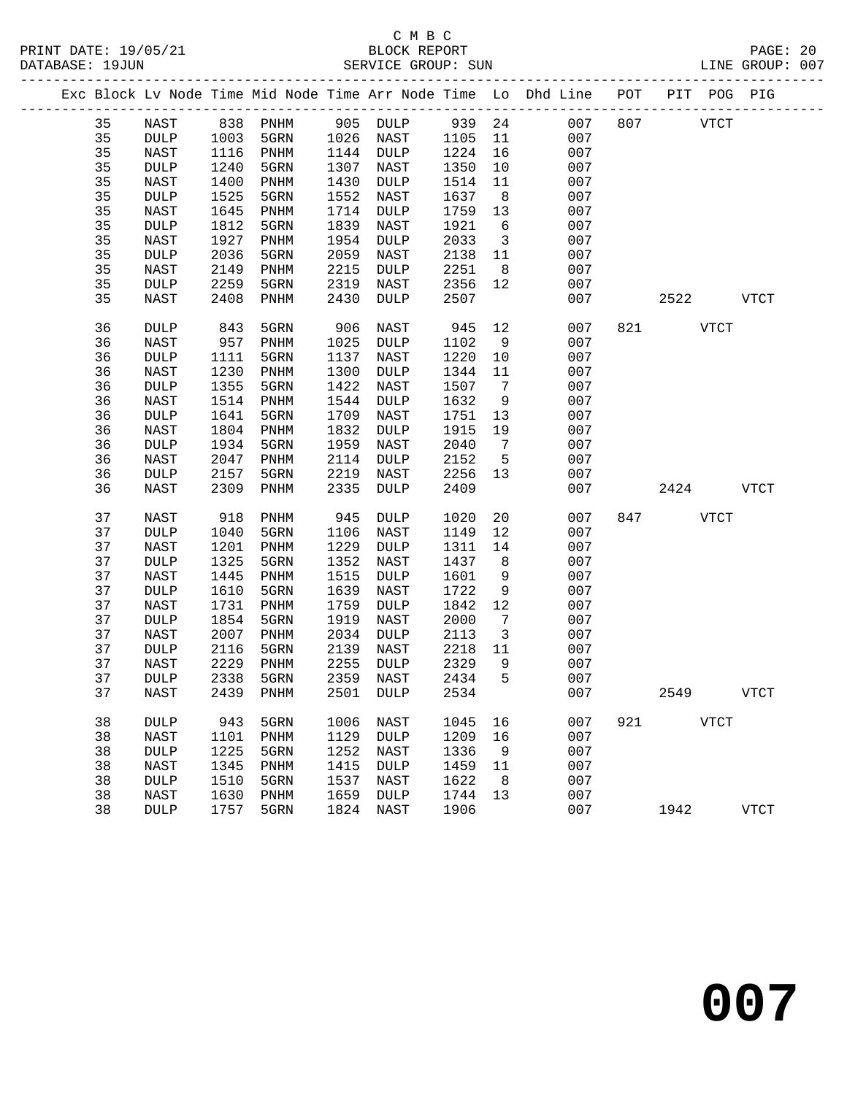|  |    |             |      |           |      |                 |      |                         | Exc Block Lv Node Time Mid Node Time Arr Node Time Lo Dhd Line POT PIT POG PIG |     |             |      |             |
|--|----|-------------|------|-----------|------|-----------------|------|-------------------------|--------------------------------------------------------------------------------|-----|-------------|------|-------------|
|  | 35 | NAST        |      | 838 PNHM  |      | 905 DULP 939 24 |      |                         | 007                                                                            | 807 | <b>VTCT</b> |      |             |
|  | 35 | DULP        | 1003 | 5GRN      | 1026 | NAST            | 1105 | 11                      | 007                                                                            |     |             |      |             |
|  | 35 | NAST        | 1116 | PNHM      | 1144 | DULP            | 1224 | 16                      | 007                                                                            |     |             |      |             |
|  | 35 | <b>DULP</b> | 1240 | 5GRN      | 1307 | NAST            | 1350 | 10                      | 007                                                                            |     |             |      |             |
|  | 35 | NAST        | 1400 | PNHM      | 1430 | DULP            | 1514 | 11                      | 007                                                                            |     |             |      |             |
|  | 35 | <b>DULP</b> | 1525 | 5GRN      | 1552 | NAST            | 1637 | 8 <sup>8</sup>          | 007                                                                            |     |             |      |             |
|  | 35 | NAST        | 1645 | PNHM      | 1714 | DULP            | 1759 | 13                      | 007                                                                            |     |             |      |             |
|  | 35 | <b>DULP</b> | 1812 | 5GRN      | 1839 | NAST            | 1921 | $6\overline{6}$         | 007                                                                            |     |             |      |             |
|  | 35 | NAST        | 1927 | PNHM      | 1954 | DULP            | 2033 | $\overline{\mathbf{3}}$ | 007                                                                            |     |             |      |             |
|  | 35 | <b>DULP</b> | 2036 | 5GRN      | 2059 | NAST            | 2138 | 11                      | 007                                                                            |     |             |      |             |
|  | 35 | NAST        | 2149 | PNHM      | 2215 | DULP            | 2251 | 8 <sup>8</sup>          | 007                                                                            |     |             |      |             |
|  | 35 | <b>DULP</b> | 2259 | 5GRN      | 2319 | NAST            | 2356 | 12                      | 007                                                                            |     |             |      |             |
|  | 35 | NAST        | 2408 | PNHM      | 2430 | <b>DULP</b>     | 2507 |                         | 007                                                                            |     | 2522        |      | <b>VTCT</b> |
|  | 36 | DULP        | 843  | 5GRN      | 906  | NAST            | 945  | 12                      | 007                                                                            |     | 821 7       | VTCT |             |
|  | 36 | NAST        | 957  | PNHM      | 1025 | DULP            | 1102 | 9                       | 007                                                                            |     |             |      |             |
|  | 36 | <b>DULP</b> | 1111 | 5GRN      | 1137 | NAST            | 1220 | 10                      | 007                                                                            |     |             |      |             |
|  | 36 | NAST        | 1230 | PNHM      | 1300 | DULP            | 1344 | 11                      | 007                                                                            |     |             |      |             |
|  | 36 | <b>DULP</b> | 1355 | 5GRN      | 1422 | NAST            | 1507 | $\overline{7}$          | 007                                                                            |     |             |      |             |
|  | 36 | NAST        | 1514 | PNHM      | 1544 | DULP            | 1632 | 9                       | 007                                                                            |     |             |      |             |
|  | 36 | <b>DULP</b> | 1641 | 5GRN      | 1709 | NAST            | 1751 | 13                      | 007                                                                            |     |             |      |             |
|  | 36 | NAST        | 1804 | PNHM      | 1832 | DULP            | 1915 | 19                      | 007                                                                            |     |             |      |             |
|  | 36 | <b>DULP</b> | 1934 | 5GRN      | 1959 | NAST            | 2040 | $\overline{7}$          | 007                                                                            |     |             |      |             |
|  | 36 | NAST        | 2047 | PNHM      | 2114 | DULP            | 2152 | $5^{\circ}$             | 007                                                                            |     |             |      |             |
|  | 36 | <b>DULP</b> | 2157 | 5GRN      | 2219 | NAST            | 2256 | 13                      | 007                                                                            |     |             |      |             |
|  | 36 | NAST        | 2309 | PNHM      | 2335 | DULP            | 2409 |                         | 007                                                                            |     | 2424        |      | VTCT        |
|  | 37 | NAST        | 918  | PNHM      | 945  | DULP            | 1020 | 20                      | 007                                                                            | 847 | <b>VTCT</b> |      |             |
|  | 37 | <b>DULP</b> | 1040 | 5GRN      | 1106 | NAST            | 1149 | 12                      | 007                                                                            |     |             |      |             |
|  | 37 | NAST        | 1201 | PNHM      | 1229 | DULP            | 1311 | 14                      | 007                                                                            |     |             |      |             |
|  | 37 | <b>DULP</b> | 1325 | 5GRN      | 1352 | NAST            | 1437 | 8                       | 007                                                                            |     |             |      |             |
|  | 37 | NAST        | 1445 | PNHM      | 1515 | DULP            | 1601 | 9                       | 007                                                                            |     |             |      |             |
|  | 37 | DULP        | 1610 | 5GRN      | 1639 | NAST            | 1722 | 9                       | 007                                                                            |     |             |      |             |
|  | 37 | NAST        | 1731 | PNHM      | 1759 | DULP            | 1842 | 12                      | 007                                                                            |     |             |      |             |
|  | 37 | <b>DULP</b> | 1854 | 5GRN      | 1919 | NAST            | 2000 | $7\phantom{.0}$         | 007                                                                            |     |             |      |             |
|  | 37 | NAST        | 2007 | PNHM      | 2034 | <b>DULP</b>     | 2113 | $\overline{\mathbf{3}}$ | 007                                                                            |     |             |      |             |
|  | 37 | <b>DULP</b> | 2116 | 5GRN      | 2139 | NAST            | 2218 | 11                      | 007                                                                            |     |             |      |             |
|  | 37 | NAST        | 2229 | PNHM      | 2255 | DULP            | 2329 | 9                       | 007                                                                            |     |             |      |             |
|  | 37 | <b>DULP</b> | 2338 | 5GRN      | 2359 | NAST            | 2434 | $5^{\circ}$             | 007                                                                            |     |             |      |             |
|  | 37 | NAST        |      | 2439 PNHM |      | 2501 DULP       | 2534 |                         | 007                                                                            |     | 2549        |      | <b>VTCT</b> |
|  | 38 | <b>DULP</b> | 943  | 5GRN      | 1006 | <b>NAST</b>     | 1045 | 16                      | 007                                                                            | 921 | VTCT        |      |             |
|  | 38 | NAST        | 1101 | PNHM      | 1129 | DULP            | 1209 | 16                      | 007                                                                            |     |             |      |             |
|  | 38 | <b>DULP</b> | 1225 | 5GRN      | 1252 | NAST            | 1336 | 9                       | 007                                                                            |     |             |      |             |
|  | 38 | NAST        | 1345 | PNHM      | 1415 | <b>DULP</b>     | 1459 | 11                      | 007                                                                            |     |             |      |             |
|  | 38 | <b>DULP</b> | 1510 | 5GRN      | 1537 | NAST            | 1622 | 8                       | 007                                                                            |     |             |      |             |
|  | 38 | NAST        | 1630 | PNHM      | 1659 | <b>DULP</b>     | 1744 | 13                      | 007                                                                            |     |             |      |             |
|  | 38 | <b>DULP</b> | 1757 | 5GRN      | 1824 | NAST            | 1906 |                         | 007                                                                            |     | 1942        |      | <b>VTCT</b> |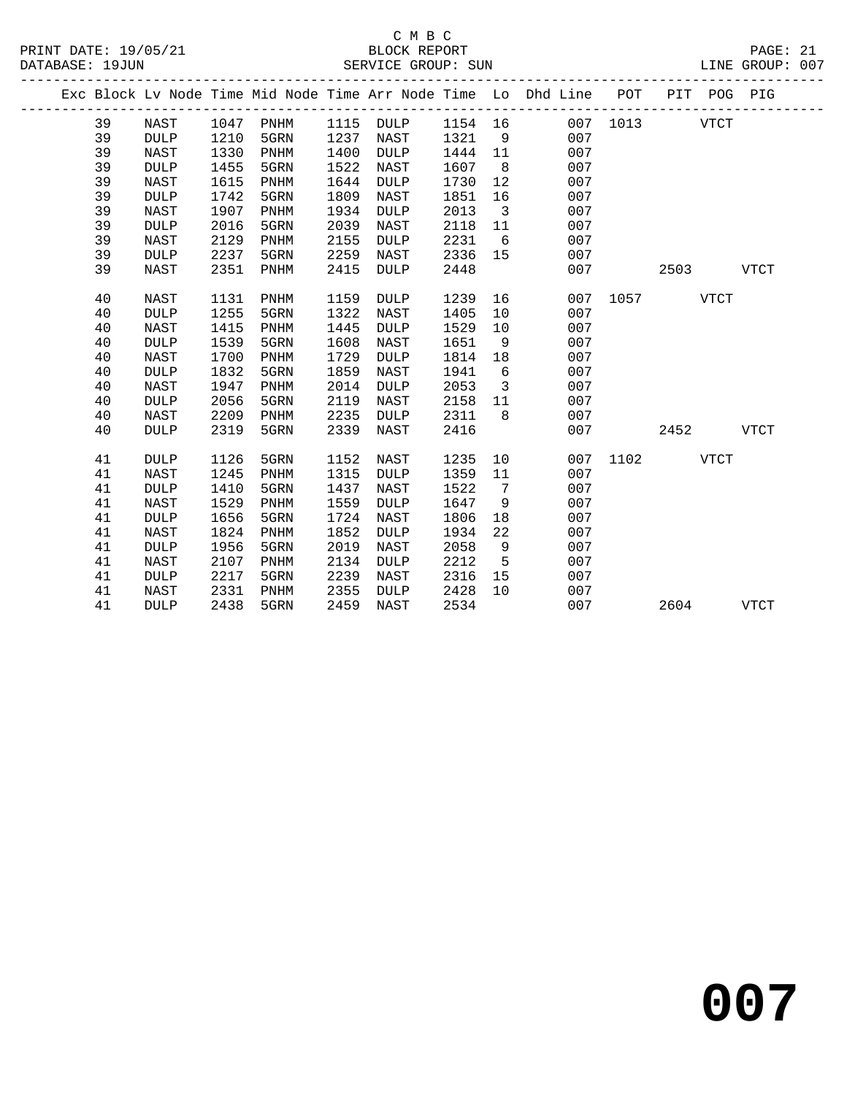|  |    |                 |      |      |      |             |         |                         | Exc Block Lv Node Time Mid Node Time Arr Node Time Lo Dhd Line POT PIT POG PIG<br>------------------------------- |               |      |      |
|--|----|-----------------|------|------|------|-------------|---------|-------------------------|-------------------------------------------------------------------------------------------------------------------|---------------|------|------|
|  | 39 | NAST            | 1047 | PNHM |      | 1115 DULP   | 1154 16 |                         |                                                                                                                   | 007 1013 VTCT |      |      |
|  | 39 | <b>DULP</b>     | 1210 | 5GRN | 1237 | NAST        | 1321    | 9                       | 007                                                                                                               |               |      |      |
|  | 39 | <b>NAST</b>     | 1330 | PNHM | 1400 | DULP        | 1444    | 11                      | 007                                                                                                               |               |      |      |
|  | 39 | <b>DULP</b>     | 1455 | 5GRN | 1522 | NAST        | 1607    | 8                       | 007                                                                                                               |               |      |      |
|  | 39 | <b>NAST</b>     | 1615 | PNHM | 1644 | <b>DULP</b> | 1730    | 12                      | 007                                                                                                               |               |      |      |
|  | 39 | <b>DULP</b>     | 1742 | 5GRN | 1809 | NAST        | 1851    | 16                      | 007                                                                                                               |               |      |      |
|  | 39 | <b>NAST</b>     | 1907 | PNHM | 1934 | <b>DULP</b> | 2013    | $\overline{\mathbf{3}}$ | 007                                                                                                               |               |      |      |
|  | 39 | <b>DULP</b>     | 2016 | 5GRN | 2039 | NAST        | 2118    | 11                      | 007                                                                                                               |               |      |      |
|  | 39 | <b>NAST</b>     | 2129 | PNHM | 2155 | <b>DULP</b> | 2231    | $6\overline{6}$         | 007                                                                                                               |               |      |      |
|  | 39 | $\texttt{DULP}$ | 2237 | 5GRN | 2259 | NAST        | 2336    | 15                      | 007                                                                                                               |               |      |      |
|  | 39 | <b>NAST</b>     | 2351 | PNHM | 2415 | <b>DULP</b> | 2448    |                         | 007                                                                                                               |               | 2503 | VTCT |
|  | 40 | NAST            | 1131 | PNHM | 1159 | DULP        | 1239    | 16                      |                                                                                                                   | 007 1057 VTCT |      |      |
|  | 40 | <b>DULP</b>     | 1255 | 5GRN | 1322 | NAST        | 1405    | 10                      | 007                                                                                                               |               |      |      |
|  | 40 | <b>NAST</b>     | 1415 | PNHM | 1445 | <b>DULP</b> | 1529    | 10                      | 007                                                                                                               |               |      |      |
|  | 40 | <b>DULP</b>     | 1539 | 5GRN | 1608 | NAST        | 1651    | 9                       | 007                                                                                                               |               |      |      |
|  | 40 | <b>NAST</b>     | 1700 | PNHM | 1729 | <b>DULP</b> | 1814    | 18                      | 007                                                                                                               |               |      |      |
|  | 40 | <b>DULP</b>     | 1832 | 5GRN | 1859 | NAST        | 1941    | 6                       | 007                                                                                                               |               |      |      |
|  | 40 | <b>NAST</b>     | 1947 | PNHM | 2014 | <b>DULP</b> | 2053    | $\overline{3}$          | 007                                                                                                               |               |      |      |
|  | 40 | <b>DULP</b>     | 2056 | 5GRN | 2119 | NAST        | 2158    | 11                      | 007                                                                                                               |               |      |      |
|  | 40 | <b>NAST</b>     | 2209 | PNHM | 2235 | DULP        | 2311    | 8                       | 007                                                                                                               |               |      |      |
|  | 40 | <b>DULP</b>     | 2319 | 5GRN | 2339 | NAST        | 2416    |                         | 007                                                                                                               |               | 2452 | VTCT |
|  | 41 | <b>DULP</b>     | 1126 | 5GRN | 1152 | NAST        | 1235    | 10                      |                                                                                                                   | 007 1102 VTCT |      |      |
|  | 41 | <b>NAST</b>     | 1245 | PNHM | 1315 | <b>DULP</b> | 1359    | 11                      | 007                                                                                                               |               |      |      |
|  | 41 | <b>DULP</b>     | 1410 | 5GRN | 1437 | NAST        | 1522    | 7                       | 007                                                                                                               |               |      |      |
|  | 41 | NAST            | 1529 | PNHM | 1559 | <b>DULP</b> | 1647    | 9                       | 007                                                                                                               |               |      |      |
|  | 41 | <b>DULP</b>     | 1656 | 5GRN | 1724 | NAST        | 1806    | 18                      | 007                                                                                                               |               |      |      |
|  | 41 | NAST            | 1824 | PNHM | 1852 | <b>DULP</b> | 1934    | 22                      | 007                                                                                                               |               |      |      |
|  | 41 | <b>DULP</b>     | 1956 | 5GRN | 2019 | NAST        | 2058    | 9                       | 007                                                                                                               |               |      |      |
|  | 41 | <b>NAST</b>     | 2107 | PNHM | 2134 | <b>DULP</b> | 2212    | 5                       | 007                                                                                                               |               |      |      |
|  | 41 | <b>DULP</b>     | 2217 | 5GRN | 2239 | NAST        | 2316    | 15                      | 007                                                                                                               |               |      |      |
|  | 41 | NAST            | 2331 | PNHM | 2355 | DULP        | 2428    | 10 <sup>°</sup>         | 007                                                                                                               |               |      |      |
|  | 41 | <b>DULP</b>     | 2438 | 5GRN | 2459 | NAST        | 2534    |                         | 007                                                                                                               |               | 2604 | VTCT |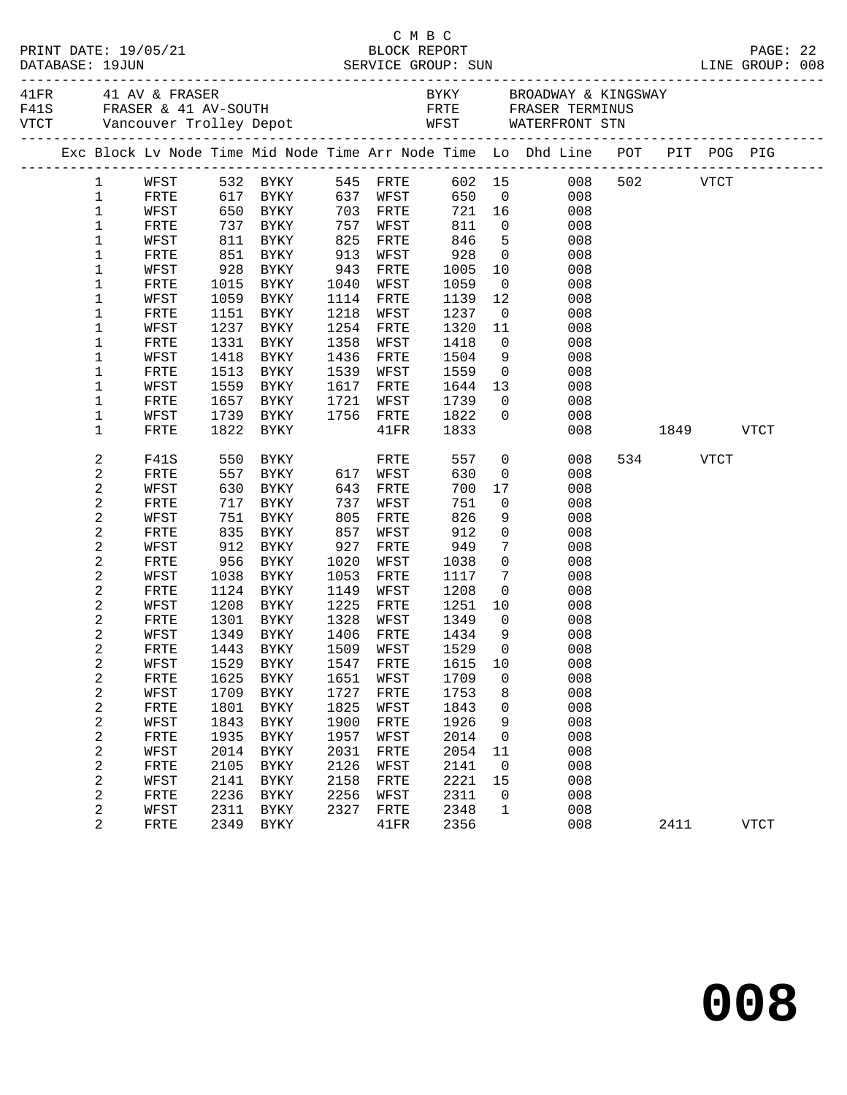|                 |              |            |                                                                          |              |                   |                          |                | Exc Block Lv Node Time Mid Node Time Arr Node Time Lo Dhd Line POT PIT POG PIG |           |      |             |  |
|-----------------|--------------|------------|--------------------------------------------------------------------------|--------------|-------------------|--------------------------|----------------|--------------------------------------------------------------------------------|-----------|------|-------------|--|
|                 |              |            |                                                                          |              |                   |                          |                | 1 WFST 532 BYKY 545 FRTE 602 15 008                                            | 502 VTCT  |      |             |  |
| $\mathbf 1$     | FRTE         |            | 617 BYKY 637 WFST                                                        |              |                   |                          |                | 650 0<br>008                                                                   |           |      |             |  |
| $\mathbf{1}$    | WFST         |            |                                                                          |              |                   |                          |                | 721 16 008                                                                     |           |      |             |  |
| $\mathbf 1$     | FRTE         |            | 650 BYKY      703 FRTE<br>737 BYKY     757 WFST<br>811 BYKY     825 FRTE |              |                   | 721 16<br>811 0<br>846 5 |                | 008                                                                            |           |      |             |  |
| $\mathbf{1}$    | WFST         |            |                                                                          |              |                   |                          |                | 5 <sub>1</sub><br>008                                                          |           |      |             |  |
| $\mathbf 1$     | FRTE         |            | 851 BYKY 913                                                             |              | WFST              | 928                      |                | $\overline{0}$<br>008                                                          |           |      |             |  |
| 1               | WFST         | 928        | BYKY                                                                     | 943          | FRTE              | 1005<br>1059             |                | 10<br>008                                                                      |           |      |             |  |
| 1               | FRTE         |            | 1015 BYKY                                                                | 1040         | WFST              |                          |                | $\begin{array}{c} 0 \\ 12 \end{array}$<br>008                                  |           |      |             |  |
| 1<br>1          | WFST         |            | 1059 BYKY<br>1151 BYKY                                                   | 1218         | 1114 FRTE         | 1139<br>1237             |                | 008<br>$\overline{0}$                                                          |           |      |             |  |
| 1               | FRTE<br>WFST |            | 1237 BYKY                                                                |              | WFST<br>1254 FRTE | 1320                     | 11             | 008<br>008                                                                     |           |      |             |  |
| 1               | FRTE         | 1331       | BYKY                                                                     | 1358         | WFST              | 1418                     |                | 008                                                                            |           |      |             |  |
| 1               | WFST         |            | 1418 BYKY                                                                |              | 1436 FRTE         | 1504                     |                | $\begin{array}{c} 0 \\ 9 \end{array}$<br>008                                   |           |      |             |  |
| 1               | FRTE         |            | 1513 BYKY                                                                | 1539         | WFST              | 1559                     |                | $\overline{0}$<br>008                                                          |           |      |             |  |
| 1               | WFST         | 1559       | BYKY                                                                     | 1617         | FRTE              | 1644                     |                | 13<br>008                                                                      |           |      |             |  |
| 1               | FRTE         |            | 1657 BYKY                                                                | 1721         | WFST              |                          |                | 008<br>$\overline{0}$                                                          |           |      |             |  |
| $\mathbf 1$     | WFST         |            | 1739 BYKY                                                                |              | 1756 FRTE         | 1739<br>1822             | $\overline{0}$ | 008                                                                            |           |      |             |  |
| $\mathbf 1$     | FRTE         |            | 1822 BYKY                                                                |              | $41\mathrm{FR}$   | 1833                     |                | 008                                                                            | 1849 VTCT |      |             |  |
| 2               | F41S         | 550<br>557 |                                                                          |              | FRTE              | 557                      |                | $\begin{matrix} 0 \\ 0 \end{matrix}$<br>008                                    | 534 VTCT  |      |             |  |
| $\sqrt{2}$      | FRTE         |            |                                                                          |              | 617 WFST          | 630                      |                | 008                                                                            |           |      |             |  |
| $\sqrt{2}$      | WFST         |            | 630 BYKY                                                                 |              | 643 FRTE          | 700                      | 17             | 008                                                                            |           |      |             |  |
| 2               | FRTE         | 717        | <b>BYKY</b>                                                              | 737          | WFST              | 751                      | $\overline{0}$ | 008                                                                            |           |      |             |  |
| $\sqrt{2}$      | WFST         |            | 751 BYKY<br>835 BYKY                                                     | 805          | FRTE              | 826                      | 9              | 008                                                                            |           |      |             |  |
| 2               | FRTE         |            |                                                                          | 857          | WFST              | 912                      | $\overline{0}$ | 008                                                                            |           |      |             |  |
| 2               | WFST         |            | 912 BYKY                                                                 | 927          | FRTE              | 949                      | $\overline{7}$ | 008                                                                            |           |      |             |  |
| $\sqrt{2}$      | FRTE         |            | 956 BYKY                                                                 | 1020<br>1053 | WFST              | 1038                     | $\overline{0}$ | 008                                                                            |           |      |             |  |
| $\sqrt{2}$<br>2 | WFST<br>FRTE |            | 1038 BYKY<br>1124 BYKY                                                   |              | FRTE<br>1149 WFST | 1117<br>1208             | $\overline{0}$ | $7\overline{ }$<br>008<br>008                                                  |           |      |             |  |
| 2               | WFST         |            | 1208 BYKY                                                                |              | 1225 FRTE         | 1251                     |                | 10<br>008                                                                      |           |      |             |  |
| 2               | FRTE         |            | 1301 BYKY                                                                |              | 1328 WFST         | 1349                     | $\overline{0}$ | 008                                                                            |           |      |             |  |
| 2               | WFST         |            | 1349 BYKY                                                                |              | 1406 FRTE         | 1434                     | 9              | 008                                                                            |           |      |             |  |
| $\sqrt{2}$      |              |            | FRTE 1443 BYKY 1509 WFST 1529 0                                          |              |                   |                          |                | 008                                                                            |           |      |             |  |
| 2               | WFST         | 1529       | <b>BYKY</b>                                                              | 1547         | FRTE              | 1615                     | 10             | 008                                                                            |           |      |             |  |
| $\sqrt{2}$      | FRTE         | 1625       | <b>BYKY</b>                                                              | 1651         | WFST              | 1709                     | 0              | 008                                                                            |           |      |             |  |
| 2               | WFST         | 1709       | <b>BYKY</b>                                                              | 1727         | FRTE              | 1753                     | 8              | 008                                                                            |           |      |             |  |
| $\sqrt{2}$      | FRTE         | 1801       | <b>BYKY</b>                                                              | 1825         | WFST              | 1843                     | 0              | 008                                                                            |           |      |             |  |
| $\sqrt{2}$      | WFST         | 1843       | <b>BYKY</b>                                                              | 1900         | FRTE              | 1926                     | 9              | 008                                                                            |           |      |             |  |
| $\sqrt{2}$      | FRTE         | 1935       | <b>BYKY</b>                                                              | 1957         | WFST              | 2014                     | 0              | 008                                                                            |           |      |             |  |
| 2               | WFST         | 2014       | <b>BYKY</b>                                                              | 2031         | FRTE              | 2054                     | 11             | 008                                                                            |           |      |             |  |
| $\sqrt{2}$      | FRTE         | 2105       | <b>BYKY</b>                                                              | 2126         | WFST              | 2141                     | 0              | 008                                                                            |           |      |             |  |
| 2               | WFST         | 2141       | <b>BYKY</b>                                                              | 2158         | FRTE              | 2221                     | 15             | 008                                                                            |           |      |             |  |
| 2               | FRTE         | 2236       | <b>BYKY</b>                                                              | 2256         | WFST              | 2311                     | 0              | 008                                                                            |           |      |             |  |
| 2               | WFST         | 2311       | <b>BYKY</b>                                                              | 2327         | FRTE              | 2348                     | 1              | 008                                                                            |           |      |             |  |
| 2               | FRTE         | 2349       | <b>BYKY</b>                                                              |              | 41FR              | 2356                     |                | 008                                                                            |           | 2411 | <b>VTCT</b> |  |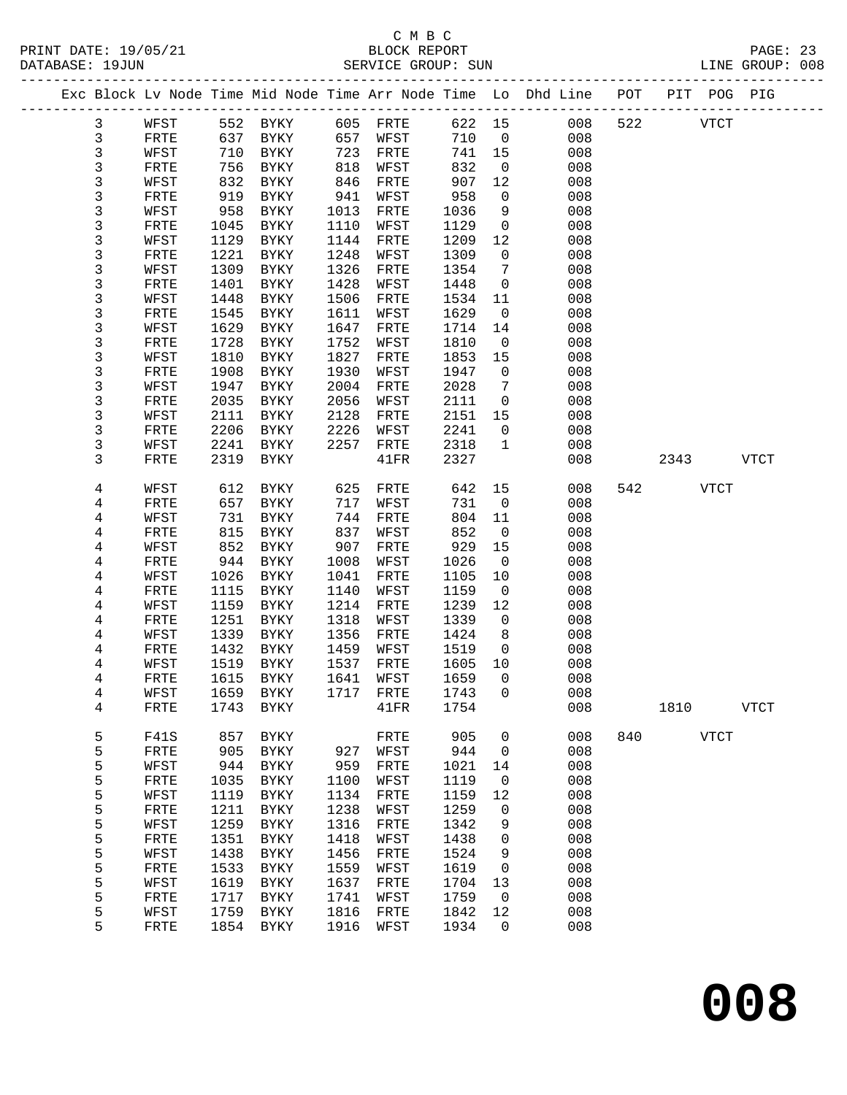### C M B C<br>BLOCK BEPORT

| PRINT DATE: 19/05/21<br>DATABASE: 19JUN |                |              |              |                            |              |                      |              |                              | PAGE: 23<br>BLOCK REPORT PAGE: 23<br>SERVICE GROUP: SUN LINE GROUP: 008        |     |          |             |             |  |
|-----------------------------------------|----------------|--------------|--------------|----------------------------|--------------|----------------------|--------------|------------------------------|--------------------------------------------------------------------------------|-----|----------|-------------|-------------|--|
|                                         |                |              |              |                            |              |                      |              |                              | Exc Block Lv Node Time Mid Node Time Arr Node Time Lo Dhd Line POT PIT POG PIG |     |          |             |             |  |
|                                         | $\mathbf{3}$   | WFST         |              |                            |              |                      |              |                              | 622 15 008                                                                     |     | 522 VTCT |             |             |  |
|                                         | $\mathfrak{Z}$ | FRTE         |              |                            |              |                      |              | 710 0                        | 008                                                                            |     |          |             |             |  |
|                                         | 3              | WFST         |              | 710 BYKY                   | 723          | FRTE                 | 741 15       |                              | 008                                                                            |     |          |             |             |  |
|                                         | 3              | FRTE         | 756          | BYKY                       | 818          | WFST                 | 832          | $\overline{0}$               | 008                                                                            |     |          |             |             |  |
|                                         | 3              | WFST         | 832          | BYKY                       | 846          | FRTE                 | 907          | 12                           | 008                                                                            |     |          |             |             |  |
|                                         | 3              | FRTE         | 919          | BYKY                       | 941          | WFST                 | 958          | $\overline{0}$               | 008                                                                            |     |          |             |             |  |
|                                         | 3              | WFST         | 958          | BYKY                       | 1013         | FRTE                 | 1036         | 9                            | 008                                                                            |     |          |             |             |  |
|                                         | 3              | FRTE         | 1045         | BYKY                       | 1110         | WFST                 | 1129         | $\overline{0}$               | 008                                                                            |     |          |             |             |  |
|                                         | 3              | WFST         | 1129         | BYKY                       | 1144         | FRTE                 | 1209         | 12                           | 008                                                                            |     |          |             |             |  |
|                                         | 3              | FRTE         | 1221         | BYKY                       | 1248         | WFST                 | 1309         | $\mathsf{O}$                 | 008                                                                            |     |          |             |             |  |
|                                         | 3              | WFST         | 1309         | BYKY                       | 1326         | FRTE                 | 1354         | $7\phantom{.0}\phantom{.0}7$ | 008                                                                            |     |          |             |             |  |
|                                         | 3              | FRTE         | 1401         | BYKY                       | 1428         | WFST                 | 1448         | $\overline{0}$               | 008                                                                            |     |          |             |             |  |
|                                         | 3              | WFST         | 1448         | BYKY                       | 1506         | FRTE                 | 1534         | 11                           | 008                                                                            |     |          |             |             |  |
|                                         | 3              | FRTE         | 1545<br>1629 | BYKY                       | 1611<br>1647 | WFST                 | 1629<br>1714 | $\overline{0}$<br>14         | 008<br>008                                                                     |     |          |             |             |  |
|                                         | 3<br>3         | WFST<br>FRTE | 1728         | BYKY<br>BYKY               | 1752         | FRTE<br>WFST         | 1810         | $\overline{0}$               | 008                                                                            |     |          |             |             |  |
|                                         | 3              | WFST         | 1810         | BYKY                       | 1827         | FRTE                 | 1853         | 15                           | 008                                                                            |     |          |             |             |  |
|                                         | 3              | FRTE         | 1908         | BYKY                       | 1930         | WFST                 | 1947         | $\overline{0}$               | 008                                                                            |     |          |             |             |  |
|                                         | 3              | WFST         | 1947         | BYKY                       | 2004         | FRTE                 | 2028         | $7\phantom{.0}$              | 008                                                                            |     |          |             |             |  |
|                                         | 3              | FRTE         | 2035         | BYKY                       | 2056         | WFST                 | 2111         | $\mathsf{O}$                 | 008                                                                            |     |          |             |             |  |
|                                         | 3              | WFST         | 2111         | BYKY                       | 2128         | FRTE                 | 2151         | 15                           | 008                                                                            |     |          |             |             |  |
|                                         | 3              | FRTE         | 2206         | BYKY                       | 2226         | WFST                 | 2241         | $\overline{0}$               | 008                                                                            |     |          |             |             |  |
|                                         | 3              | WFST         | 2241         | BYKY                       | 2257         | FRTE                 | 2318         | $\mathbf{1}$                 | 008                                                                            |     |          |             |             |  |
|                                         | 3              | FRTE         | 2319         | BYKY                       |              | 41FR                 | 2327         |                              | 008                                                                            |     | 2343     |             | <b>VTCT</b> |  |
|                                         | 4              | WFST         | 612          | BYKY                       | 625          | FRTE                 | 642          | 15                           | 008                                                                            |     | 542      | <b>VTCT</b> |             |  |
|                                         | 4              | FRTE         | 657          | <b>BYKY</b>                | 717          | WFST                 | 731          | $\overline{0}$               | 008                                                                            |     |          |             |             |  |
|                                         | 4              | WFST         | 731          | BYKY                       | 744          | FRTE                 | 804          | 11                           | 008                                                                            |     |          |             |             |  |
|                                         | 4              | FRTE         | 815          | BYKY                       | 837          | WFST                 | 852          | $\overline{0}$               | 008                                                                            |     |          |             |             |  |
|                                         | 4              | WFST         | 852          | BYKY                       | 907          | FRTE                 | 929          | 15                           | 008                                                                            |     |          |             |             |  |
|                                         | 4              | ${\tt FRTE}$ | 944          | BYKY                       | 1008         | WFST                 | 1026         | $\overline{0}$               | 008                                                                            |     |          |             |             |  |
|                                         | 4<br>4         | WFST<br>FRTE | 1026<br>1115 | BYKY<br>BYKY               | 1041<br>1140 | FRTE<br>WFST         | 1105<br>1159 | 10<br>$\overline{0}$         | 008<br>008                                                                     |     |          |             |             |  |
|                                         | 4              | WFST         | 1159         | BYKY                       | 1214         | FRTE                 | 1239         | 12                           | 008                                                                            |     |          |             |             |  |
|                                         | 4              | FRTE         | 1251         | BYKY                       | 1318         | WFST                 | 1339         | $\overline{0}$               | 008                                                                            |     |          |             |             |  |
|                                         | 4              | WFST         | 1339         | BYKY                       | 1356         | FRTE                 | 1424         | 8 <sup>8</sup>               | 008                                                                            |     |          |             |             |  |
|                                         | 4              | FRTE         |              | 1432 BYKY                  | 1459         | WFST                 | 1519         | $\Omega$                     | 008                                                                            |     |          |             |             |  |
|                                         | 4              | WFST         | 1519         | BYKY                       | 1537         | FRTE                 | 1605 10      |                              | 008                                                                            |     |          |             |             |  |
|                                         | 4              | FRTE         | 1615         | BYKY                       | 1641         | WFST                 | 1659         | 0                            | 008                                                                            |     |          |             |             |  |
|                                         | 4              | WFST         | 1659         | <b>BYKY</b>                | 1717         | FRTE                 | 1743         | 0                            | 008                                                                            |     |          |             |             |  |
|                                         | 4              | FRTE         | 1743         | BYKY                       |              | 41FR                 | 1754         |                              | 008                                                                            |     | 1810     |             | <b>VTCT</b> |  |
|                                         | 5              | F41S         | 857          | <b>BYKY</b>                |              | FRTE                 | 905          | 0                            | 008                                                                            | 840 |          | <b>VTCT</b> |             |  |
|                                         | 5              | FRTE         | 905          | <b>BYKY</b>                | 927          | ${\tt WFST}$         | 944          | 0                            | 008                                                                            |     |          |             |             |  |
|                                         | 5              | WFST         | 944          | <b>BYKY</b>                | 959          | FRTE                 | 1021         | 14                           | 008                                                                            |     |          |             |             |  |
|                                         | 5              | FRTE         | 1035         | <b>BYKY</b>                | 1100         | WFST                 | 1119         | 0                            | 008                                                                            |     |          |             |             |  |
|                                         | 5              | WFST         | 1119         | <b>BYKY</b>                | 1134         | FRTE                 | 1159         | 12                           | 008                                                                            |     |          |             |             |  |
|                                         | 5              | FRTE         | 1211         | <b>BYKY</b>                | 1238         | WFST                 | 1259         | 0                            | 008                                                                            |     |          |             |             |  |
|                                         | 5              | WFST         | 1259         | <b>BYKY</b>                | 1316         | FRTE                 | 1342         | 9                            | 008                                                                            |     |          |             |             |  |
|                                         | 5              | FRTE         | 1351         | <b>BYKY</b>                | 1418         | WFST                 | 1438         | 0                            | 008                                                                            |     |          |             |             |  |
|                                         | 5              | WFST         | 1438         | <b>BYKY</b>                | 1456         | FRTE                 | 1524         | 9                            | 008                                                                            |     |          |             |             |  |
|                                         | 5<br>5         | FRTE<br>WFST | 1533<br>1619 | <b>BYKY</b><br><b>BYKY</b> | 1559<br>1637 | WFST<br>${\tt FRTE}$ | 1619<br>1704 | 0<br>13                      | 008<br>008                                                                     |     |          |             |             |  |
|                                         |                |              |              |                            |              |                      |              |                              |                                                                                |     |          |             |             |  |

 5 FRTE 1717 BYKY 1741 WFST 1759 0 008 5 WFST 1759 BYKY 1816 FRTE 1842 12 008 5 FRTE 1854 BYKY 1916 WFST 1934 0 008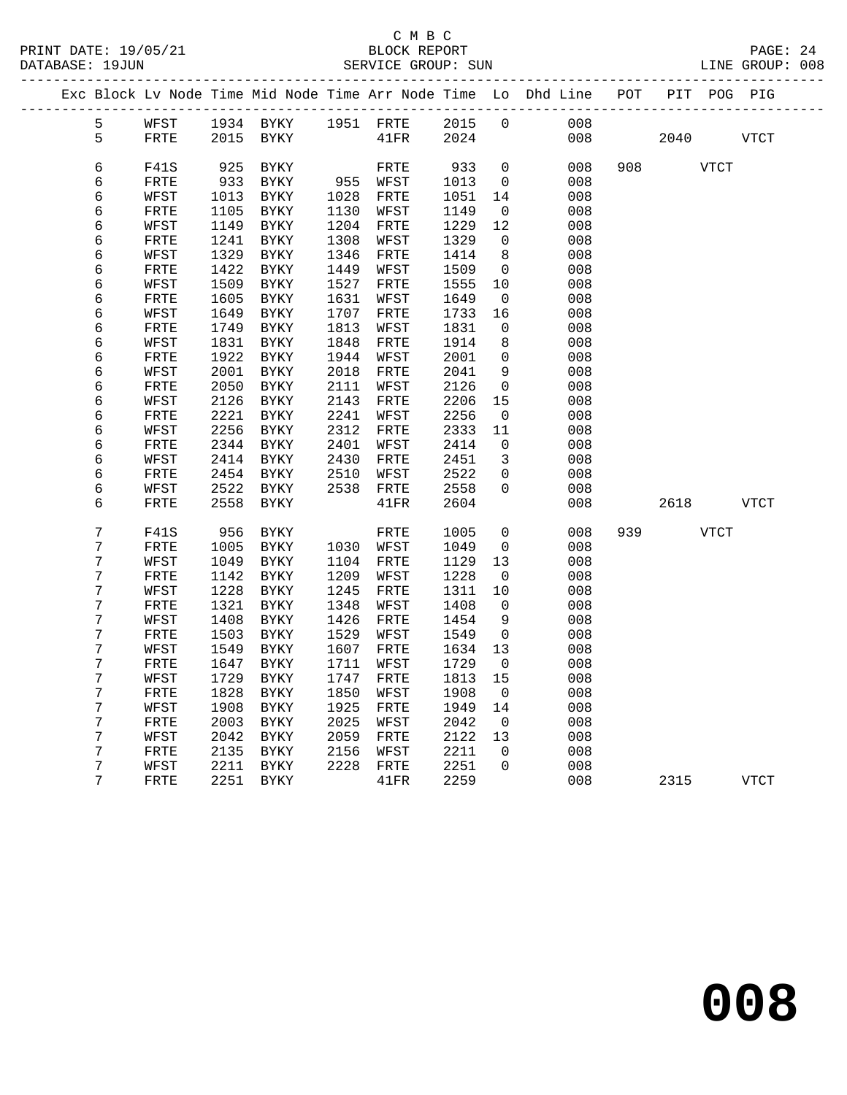| PRINT DATE: 19/05/21 | BLOCK REPORT                                                                   | PAGE: 24        |
|----------------------|--------------------------------------------------------------------------------|-----------------|
| DATABASE: 19JIIN     | SERVICE GROUP: SUN                                                             | LINE GROUP: 008 |
|                      | Exc Block Ly Node Time Mid Node Time Arr Node Time Lo Dhd Line POT PIT POG PIG |                 |

| 5                | WFST         |      |             | 1934 BYKY 1951 FRTE 2015 |      |      | $\overline{0}$ | 008 |          |             |
|------------------|--------------|------|-------------|--------------------------|------|------|----------------|-----|----------|-------------|
| 5                | FRTE         |      | 2015 BYKY   |                          | 41FR | 2024 |                | 008 | 2040     | <b>VTCT</b> |
|                  |              |      |             |                          |      |      |                |     |          |             |
| 6                | <b>F41S</b>  | 925  | BYKY        |                          | FRTE | 933  | $\overline{0}$ | 008 | 908 VTCT |             |
| 6                | FRTE         | 933  | BYKY        | 955 WFST                 |      | 1013 | $\mathbf 0$    | 008 |          |             |
| 6                | WFST         | 1013 | <b>BYKY</b> | 1028                     | FRTE | 1051 | 14             | 008 |          |             |
| 6                | FRTE         | 1105 | BYKY        | 1130                     | WFST | 1149 | $\overline{0}$ | 008 |          |             |
| 6                | WFST         | 1149 | BYKY        | 1204                     | FRTE | 1229 | 12             | 008 |          |             |
| $\epsilon$       | ${\tt FRTE}$ | 1241 | <b>BYKY</b> | 1308                     | WFST | 1329 | $\overline{0}$ | 008 |          |             |
| 6                | WFST         | 1329 | BYKY        | 1346                     | FRTE | 1414 | 8              | 008 |          |             |
| $\epsilon$       | FRTE         | 1422 | BYKY        | 1449                     | WFST | 1509 | $\overline{0}$ | 008 |          |             |
| $\epsilon$       | WFST         | 1509 | BYKY        | 1527                     | FRTE | 1555 | 10             | 008 |          |             |
| 6                | ${\tt FRTE}$ | 1605 | BYKY        | 1631                     | WFST | 1649 | $\overline{0}$ | 008 |          |             |
| б                | WFST         | 1649 | BYKY        | 1707                     | FRTE | 1733 | 16             | 008 |          |             |
| 6                | ${\tt FRTE}$ | 1749 | BYKY        | 1813                     | WFST | 1831 | $\overline{0}$ | 008 |          |             |
| 6                | WFST         | 1831 | BYKY        | 1848                     | FRTE | 1914 | 8              | 008 |          |             |
| $\epsilon$       | FRTE         | 1922 | BYKY        | 1944                     | WFST | 2001 | $\overline{0}$ | 008 |          |             |
| 6                | WFST         | 2001 | BYKY        | 2018                     | FRTE | 2041 | $\overline{9}$ | 008 |          |             |
| 6                | ${\tt FRTE}$ | 2050 | BYKY        | 2111                     | WFST | 2126 | $\overline{0}$ | 008 |          |             |
| 6                | WFST         | 2126 | BYKY        | 2143                     | FRTE | 2206 | 15             | 008 |          |             |
| $\epsilon$       | ${\tt FRTE}$ | 2221 | BYKY        | 2241                     | WFST | 2256 | $\overline{0}$ | 008 |          |             |
| б                | WFST         | 2256 | <b>BYKY</b> | 2312                     | FRTE | 2333 | 11             | 008 |          |             |
| 6                | FRTE         | 2344 | <b>BYKY</b> | 2401                     | WFST | 2414 | $\mathbf 0$    | 008 |          |             |
| 6                | WFST         | 2414 | BYKY        | 2430                     | FRTE | 2451 | $\overline{3}$ | 008 |          |             |
| 6                | FRTE         | 2454 | BYKY        | 2510                     | WFST | 2522 | $\mathbf 0$    | 008 |          |             |
| 6                | WFST         | 2522 | BYKY        | 2538                     | FRTE | 2558 | $\mathbf 0$    | 008 |          |             |
| 6                | ${\tt FRTE}$ | 2558 | BYKY        |                          | 41FR | 2604 |                | 008 |          | 2618 VTCT   |
| $\overline{7}$   | <b>F41S</b>  | 956  | BYKY        |                          | FRTE | 1005 | $\overline{0}$ | 008 | 939 VTCT |             |
| 7                | ${\tt FRTE}$ | 1005 | <b>BYKY</b> | 1030 WFST                |      | 1049 | $\overline{0}$ | 008 |          |             |
| $7\phantom{.}$   | WFST         | 1049 | BYKY        | 1104                     | FRTE | 1129 | 13             | 008 |          |             |
| $\boldsymbol{7}$ | ${\tt FRTE}$ | 1142 | BYKY        | 1209                     | WFST | 1228 | $\overline{0}$ | 008 |          |             |
| $\overline{7}$   | WFST         | 1228 | <b>BYKY</b> | 1245                     | FRTE | 1311 | 10             | 008 |          |             |
| $\boldsymbol{7}$ | FRTE         | 1321 | BYKY        | 1348                     | WFST | 1408 | $\overline{0}$ | 008 |          |             |
| $\overline{7}$   | WFST         | 1408 | BYKY        | 1426                     | FRTE | 1454 | 9              | 008 |          |             |
| 7                | ${\tt FRTE}$ | 1503 | BYKY        | 1529                     | WFST | 1549 | $\overline{0}$ | 008 |          |             |
| 7                | WFST         | 1549 | BYKY        | 1607                     | FRTE | 1634 | 13             | 008 |          |             |
| $\overline{7}$   | ${\tt FRTE}$ | 1647 | BYKY        | 1711                     | WFST | 1729 | $\overline{0}$ | 008 |          |             |
| $\overline{7}$   | WFST         | 1729 | <b>BYKY</b> | 1747                     | FRTE | 1813 | 15             | 008 |          |             |
| 7                | ${\tt FRTE}$ | 1828 | BYKY        | 1850                     | WFST | 1908 | $\overline{0}$ | 008 |          |             |
| 7                | WFST         | 1908 | BYKY        | 1925                     | FRTE | 1949 | 14             | 008 |          |             |
| 7                | ${\tt FRTE}$ | 2003 | BYKY        | 2025                     | WFST | 2042 | $\overline{0}$ | 008 |          |             |
| $\boldsymbol{7}$ | WFST         | 2042 | BYKY        | 2059                     | FRTE | 2122 | 13             | 008 |          |             |
| $\overline{7}$   | ${\tt FRTE}$ | 2135 | BYKY        | 2156                     | WFST | 2211 | $\overline{0}$ | 008 |          |             |
| $\overline{7}$   | WFST         | 2211 | BYKY        | 2228                     | FRTE | 2251 | $\mathsf{O}$   | 008 |          |             |
| $\overline{7}$   | FRTE         |      | 2251 BYKY   |                          | 41FR | 2259 |                | 008 |          | 2315 VTCT   |
|                  |              |      |             |                          |      |      |                |     |          |             |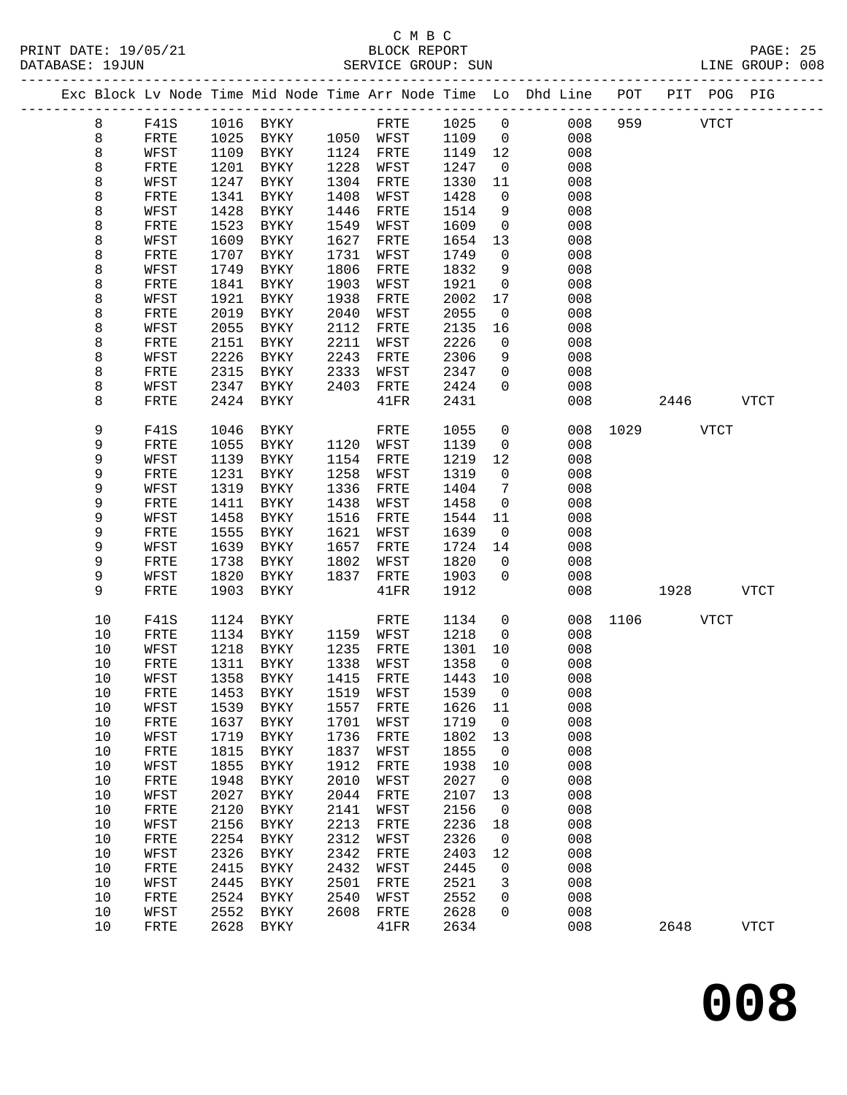|  |              |              |              |                     |              |              |              |                          | Exc Block Lv Node Time Mid Node Time Arr Node Time Lo Dhd Line POT PIT POG PIG |               |             |             |
|--|--------------|--------------|--------------|---------------------|--------------|--------------|--------------|--------------------------|--------------------------------------------------------------------------------|---------------|-------------|-------------|
|  | 8            | F41S         |              | 1016 BYKY           |              | FRTE         | 1025 0       |                          | 008                                                                            | 959           | <b>VTCT</b> |             |
|  | 8            | FRTE         |              | 1025 BYKY           |              | 1050 WFST    | 1109         | $\overline{0}$           | 008                                                                            |               |             |             |
|  | 8            | WFST         | 1109         | BYKY                |              | 1124 FRTE    | 1149         | 12                       | 008                                                                            |               |             |             |
|  | 8            | FRTE         | 1201         | BYKY                | 1228         | WFST         | 1247         | $\overline{\mathbf{0}}$  | 008                                                                            |               |             |             |
|  | 8            | WFST         | 1247         | BYKY                | 1304         | FRTE         | 1330         | 11                       | 008                                                                            |               |             |             |
|  | 8            | FRTE         | 1341         | BYKY                | 1408         | WFST         | 1428         | $\overline{0}$           | 008                                                                            |               |             |             |
|  | 8            | WFST         | 1428         | BYKY                | 1446         | FRTE         | 1514         | 9                        | 008                                                                            |               |             |             |
|  | 8            | FRTE         | 1523         | BYKY                | 1549         | WFST         | 1609         | $\mathsf{O}$             | 008                                                                            |               |             |             |
|  | 8            | WFST         | 1609         | BYKY                | 1627         | FRTE         | 1654         | 13                       | 008                                                                            |               |             |             |
|  | 8            | FRTE         | 1707         | BYKY                | 1731         | WFST         | 1749         | $\overline{0}$           | 008                                                                            |               |             |             |
|  | 8            | WFST         | 1749         | BYKY                | 1806         | FRTE         | 1832         | 9                        | 008                                                                            |               |             |             |
|  | 8            | FRTE         | 1841         | BYKY                | 1903         | WFST         | 1921         | $\mathsf{O}$             | 008                                                                            |               |             |             |
|  | 8            | WFST         | 1921         | BYKY                | 1938         | FRTE         | 2002         | 17                       | 008                                                                            |               |             |             |
|  | 8            | FRTE         | 2019         | BYKY                | 2040         | WFST         | 2055         | $\overline{0}$           | 008                                                                            |               |             |             |
|  | 8            | WFST         | 2055<br>2151 | BYKY                | 2112<br>2211 | FRTE         | 2135<br>2226 | 16<br>$\mathbf{0}$       | 008<br>008                                                                     |               |             |             |
|  | 8<br>8       | FRTE<br>WFST | 2226         | BYKY<br>BYKY        | 2243         | WFST<br>FRTE | 2306         | 9                        | 008                                                                            |               |             |             |
|  | 8            | FRTE         | 2315         | BYKY                | 2333         | WFST         | 2347         | $\mathsf{O}$             | 008                                                                            |               |             |             |
|  | 8            | WFST         | 2347         | BYKY                | 2403         | FRTE         | 2424         | $\mathbf 0$              | 008                                                                            |               |             |             |
|  | 8            | FRTE         | 2424         | BYKY                |              | 41FR         | 2431         |                          | 008                                                                            |               | 2446 VTCT   |             |
|  |              |              |              |                     |              |              |              |                          |                                                                                |               |             |             |
|  | 9            | <b>F41S</b>  | 1046         | BYKY                |              | FRTE         | 1055         | $\mathsf{O}$             |                                                                                | 008 1029 VTCT |             |             |
|  | 9            | FRTE         | 1055         | BYKY                | 1120         | WFST         | 1139         | $\overline{0}$           | 008                                                                            |               |             |             |
|  | 9            | WFST         | 1139         | BYKY                | 1154         | FRTE         | 1219         | 12                       | 008                                                                            |               |             |             |
|  | 9            | FRTE         | 1231         | BYKY                | 1258         | WFST         | 1319         | $\overline{0}$           | 008                                                                            |               |             |             |
|  | 9            | WFST         | 1319         | BYKY                | 1336         | FRTE         | 1404         | $\overline{7}$           | 008                                                                            |               |             |             |
|  | 9            | FRTE         | 1411         | BYKY                | 1438         | WFST         | 1458         | $\overline{0}$           | 008                                                                            |               |             |             |
|  | 9            | WFST         | 1458         | BYKY                | 1516         | FRTE         | 1544         | 11                       | 008                                                                            |               |             |             |
|  | 9            | FRTE         | 1555         | BYKY                | 1621         | WFST         | 1639         | $\overline{0}$           | 008                                                                            |               |             |             |
|  | 9            | WFST         | 1639         | BYKY                | 1657         | FRTE         | 1724         | 14                       | 008                                                                            |               |             |             |
|  | 9            | ${\tt FRTE}$ | 1738         | BYKY                | 1802         | WFST         | 1820         | $\overline{0}$           | 008                                                                            |               |             |             |
|  | 9<br>9       | WFST         | 1820         | BYKY                | 1837         | FRTE         | 1903         | $\overline{0}$           | 008                                                                            |               |             |             |
|  |              | FRTE         | 1903         | BYKY                |              | 41FR         | 1912         |                          | 008                                                                            |               | 1928   1920 | <b>VTCT</b> |
|  | 10           | F41S         | 1124         | BYKY                |              | FRTE         | 1134         | $\mathsf{O}$             |                                                                                | 008 1106 VTCT |             |             |
|  | $10$         | FRTE         | 1134         | BYKY                |              | 1159 WFST    | 1218         | $\overline{0}$           | 008                                                                            |               |             |             |
|  | 10           | WFST         | 1218         | BYKY                | 1235         | FRTE         | 1301         | 10                       | 008                                                                            |               |             |             |
|  | 10           | FRTE         | 1311         | BYKY                | 1338         | WFST         | 1358         | $\overline{0}$           | 008                                                                            |               |             |             |
|  | $10$         | WFST         | 1358         | BYKY                | 1415         | FRTE         | 1443         | 10                       | 008                                                                            |               |             |             |
|  | 10           | FRTE         |              | 1453 BYKY 1519 WFST |              |              | 1539 0       |                          | 008                                                                            |               |             |             |
|  | 10           | WFST         | 1539         | BYKY                | 1557         | FRTE         | 1626         | 11                       | 008                                                                            |               |             |             |
|  | 10           | FRTE         | 1637         | BYKY                | 1701         | WFST         | 1719         | $\overline{0}$           | 008                                                                            |               |             |             |
|  | $10$<br>$10$ | WFST         | 1719<br>1815 | BYKY                | 1736<br>1837 | FRTE         | 1802<br>1855 | 13<br>$\overline{0}$     | 008<br>008                                                                     |               |             |             |
|  | $10$         | FRTE<br>WFST | 1855         | BYKY<br>BYKY        | 1912         | WFST<br>FRTE | 1938         | 10                       | 008                                                                            |               |             |             |
|  | $10$         | FRTE         | 1948         | BYKY                | 2010         | WFST         | 2027         | $\overline{\phantom{0}}$ | 008                                                                            |               |             |             |
|  | $10$         | WFST         | 2027         | <b>BYKY</b>         | 2044         | FRTE         | 2107         | 13                       | 008                                                                            |               |             |             |
|  | $10$         | ${\tt FRTE}$ | 2120         | BYKY                | 2141         | WFST         | 2156         | $\overline{0}$           | 008                                                                            |               |             |             |
|  | $10$         | WFST         | 2156         | BYKY                | 2213         | FRTE         | 2236         | 18                       | 008                                                                            |               |             |             |
|  | 10           | FRTE         | 2254         | <b>BYKY</b>         | 2312         | WFST         | 2326         | $\overline{0}$           | 008                                                                            |               |             |             |
|  | 10           | WFST         | 2326         | <b>BYKY</b>         | 2342         | FRTE         | 2403         | 12                       | 008                                                                            |               |             |             |
|  | 10           | FRTE         | 2415         | BYKY                | 2432         | WFST         | 2445         | $\mathsf{O}$             | 008                                                                            |               |             |             |
|  | 10           | WFST         | 2445         | BYKY                | 2501         | FRTE         | 2521         | 3                        | 008                                                                            |               |             |             |
|  | 10           | FRTE         | 2524         | BYKY                | 2540         | WFST         | 2552         | 0                        | 008                                                                            |               |             |             |
|  | 10           | WFST         | 2552         | BYKY                | 2608         | FRTE         | 2628         | $\mathbf 0$              | 008                                                                            |               |             |             |
|  | 10           | FRTE         |              | 2628 BYKY           |              | 41FR         | 2634         |                          | 008                                                                            |               | 2648        | <b>VTCT</b> |
|  |              |              |              |                     |              |              |              |                          |                                                                                |               |             |             |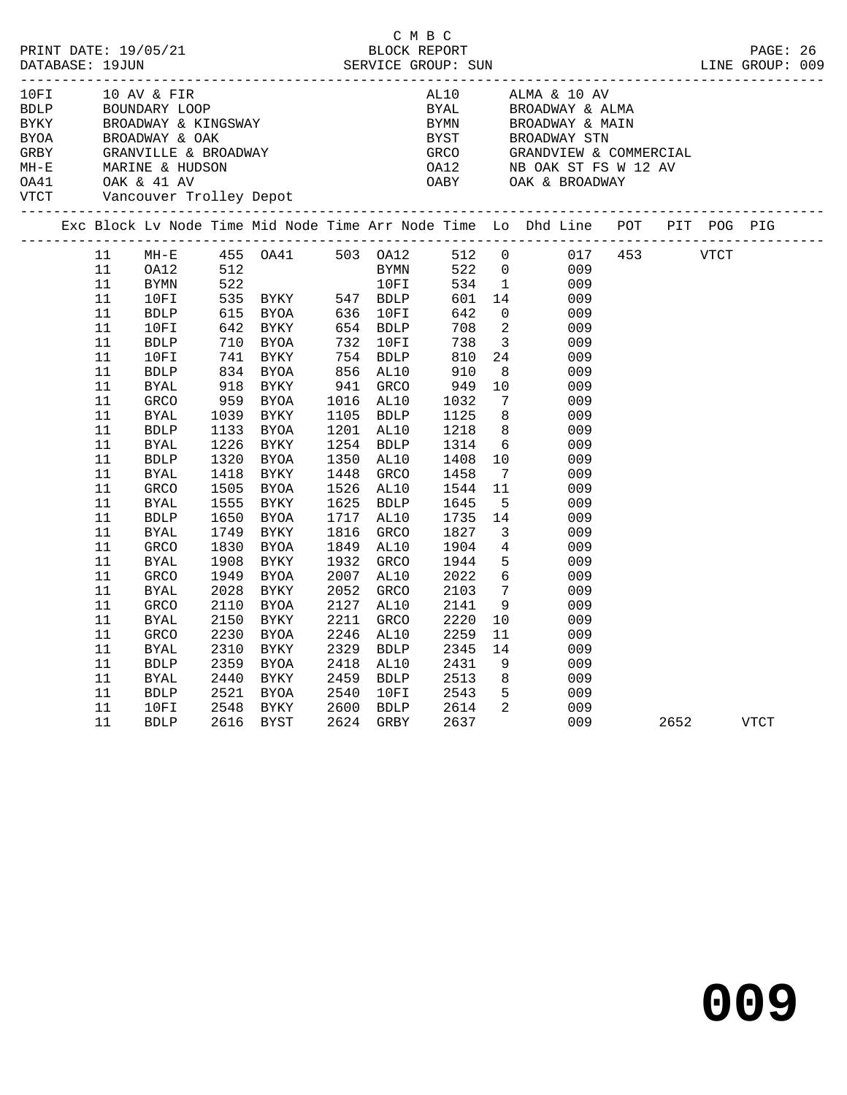|             |                                                                                                                                                              |                                                                                                                                                                                                                                                                                                                                |                                                                                                      |                                                                                                                                                                                                                                                     |                                                                                                                      |                                                                                                                                                                                             | C M B C |                                                                                                                                                                        |                                                                                                                                                                                                                                                                                                    |                                                                                                                                                                                                                                                                                                             |      |      |             |  |
|-------------|--------------------------------------------------------------------------------------------------------------------------------------------------------------|--------------------------------------------------------------------------------------------------------------------------------------------------------------------------------------------------------------------------------------------------------------------------------------------------------------------------------|------------------------------------------------------------------------------------------------------|-----------------------------------------------------------------------------------------------------------------------------------------------------------------------------------------------------------------------------------------------------|----------------------------------------------------------------------------------------------------------------------|---------------------------------------------------------------------------------------------------------------------------------------------------------------------------------------------|---------|------------------------------------------------------------------------------------------------------------------------------------------------------------------------|----------------------------------------------------------------------------------------------------------------------------------------------------------------------------------------------------------------------------------------------------------------------------------------------------|-------------------------------------------------------------------------------------------------------------------------------------------------------------------------------------------------------------------------------------------------------------------------------------------------------------|------|------|-------------|--|
| <b>VTCT</b> |                                                                                                                                                              |                                                                                                                                                                                                                                                                                                                                |                                                                                                      | Vancouver Trolley Depot                                                                                                                                                                                                                             |                                                                                                                      |                                                                                                                                                                                             |         |                                                                                                                                                                        |                                                                                                                                                                                                                                                                                                    |                                                                                                                                                                                                                                                                                                             |      |      |             |  |
|             |                                                                                                                                                              |                                                                                                                                                                                                                                                                                                                                |                                                                                                      |                                                                                                                                                                                                                                                     |                                                                                                                      |                                                                                                                                                                                             |         |                                                                                                                                                                        |                                                                                                                                                                                                                                                                                                    | Exc Block Lv Node Time Mid Node Time Arr Node Time Lo Dhd Line POT PIT POG PIG                                                                                                                                                                                                                              |      |      |             |  |
|             | 11<br>11<br>11<br>11<br>11<br>11<br>11<br>11<br>11<br>11<br>11<br>11<br>11<br>$11\,$<br>11<br>11<br>11<br>11<br>11<br>11<br>11<br>11<br>11<br>11<br>11<br>11 | $MH-E$<br>OA12<br>BYMN<br>10FI<br>BDLP<br>10FI<br><b>BDLP</b><br>10FI<br><b>BDLP</b><br><b>BYAL</b><br>GRCO<br><b>BYAL</b><br><b>BDLP</b><br><b>BYAL</b><br><b>BDLP</b><br><b>BYAL</b><br>GRCO<br><b>BYAL</b><br><b>BDLP</b><br><b>BYAL</b><br><b>GRCO</b><br><b>BYAL</b><br><b>GRCO</b><br><b>BYAL</b><br><b>GRCO</b><br>BYAL | 1039<br>1226<br>1320<br>1418<br>1555<br>1650<br>1749<br>1830<br>1908<br>1949<br>2028<br>2110<br>2150 | 615 BYOA      636  10FI<br>642   BYKY      654   BDLP<br>710 BYOA<br>741 BYKY<br>834 BYOA<br>918 BYKY<br>959 BYOA<br>BYKY<br>1133 BYOA<br>BYKY<br>BYOA<br>BYKY<br>1505 BYOA<br>BYKY<br>BYOA<br>BYKY<br>BYOA<br>BYKY<br>BYOA<br>BYKY<br>BYOA<br>BYKY | 856 AL10<br>941 GRCO<br>1254<br>1350<br>1448<br>1625<br>1717<br>1816<br>1849<br>1932<br>2007<br>2052<br>2127<br>2211 | 654 BDLP<br>732 10FI<br>754 BDLP<br>1016 AL10<br>1105 BDLP<br>1201 AL10<br><b>BDLP</b><br>AL10<br>GRCO<br>1526 AL10<br>BDLP<br>AL10<br>GRCO<br>AL10<br>GRCO<br>AL10<br>GRCO<br>AL10<br>GRCO |         | 642<br>708<br>738<br>810<br>910<br>949<br>1032<br>1125<br>1218<br>1314<br>1408<br>1458<br>1544<br>1645<br>1735<br>1827<br>1904<br>1944<br>2022<br>2103<br>2141<br>2220 | $\overline{0}$<br>$\overline{\phantom{a}}$<br>$\overline{\mathbf{3}}$<br>24<br>8 <sup>8</sup><br>10<br>$7\phantom{0}$<br>8 <sup>8</sup><br>8 <sup>8</sup><br>$7\overline{ }$<br>11<br>$-5$<br>14<br>$\overline{\mathbf{3}}$<br>$\overline{4}$<br>5<br>$6\overline{6}$<br>$\overline{7}$<br>9<br>10 | 455 0A41 503 0A12 512 0 017<br>512 BYMN 522 0 009<br>522 10FI 534 1 009<br>535 BYKY 547 BDLP 601 14 009<br>009<br>009<br>009<br>009<br>009<br>009<br>009<br>009<br>009<br>$\begin{array}{c} 6 \\ 10 \end{array}$<br>009<br>009<br>009<br>009<br>009<br>009<br>009<br>009<br>009<br>009<br>009<br>009<br>009 | 453  | VTCT |             |  |
|             | 11<br>11<br>11<br>11<br>11<br>11<br>11                                                                                                                       | <b>GRCO</b><br>BYAL<br><b>BDLP</b><br>BYAL<br><b>BDLP</b><br>10FI<br><b>BDLP</b>                                                                                                                                                                                                                                               | 2230<br>2310<br>2359<br>2440<br>2521<br>2548                                                         | BYOA<br>BYKY<br>BYOA<br>BYKY<br>BYOA<br>BYKY<br>2616 BYST                                                                                                                                                                                           | 2246<br>2329<br>2418<br>2459<br>2540<br>2600                                                                         | AL10<br>BDLP<br>AL10<br>BDLP<br>10FI<br>BDLP<br>2624 GRBY                                                                                                                                   |         | 2259<br>2345<br>2431<br>2513<br>2543<br>2614<br>2637                                                                                                                   | 11<br>14<br>9<br>8 <sup>8</sup><br>$5^{\circ}$<br>$\overline{\mathbf{2}}$                                                                                                                                                                                                                          | 009<br>009<br>009<br>009<br>009<br>009<br>009                                                                                                                                                                                                                                                               | 2652 |      | <b>VTCT</b> |  |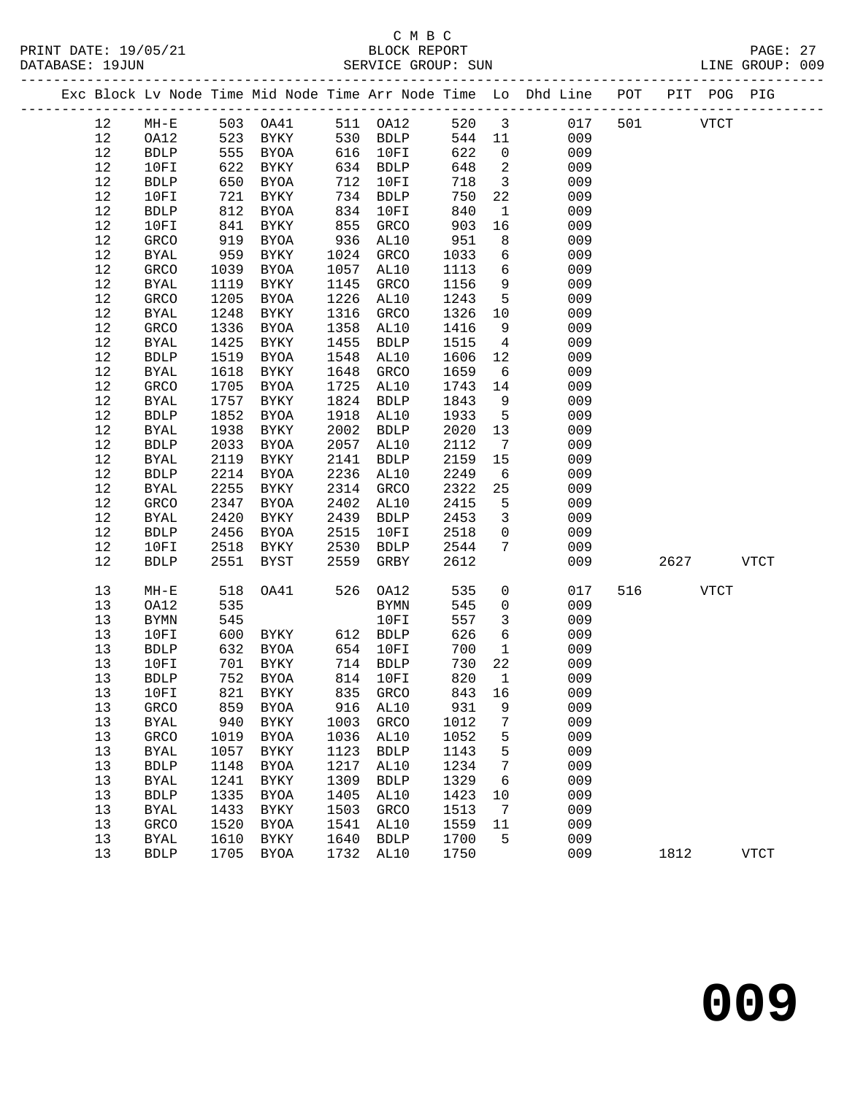|    |              |      |                          |      |             |        |                         | Exc Block Lv Node Time Mid Node Time Arr Node Time Lo Dhd Line POT PIT POG PIG |          |             |             |  |
|----|--------------|------|--------------------------|------|-------------|--------|-------------------------|--------------------------------------------------------------------------------|----------|-------------|-------------|--|
| 12 | $MH-E$       |      | 503   0A41   511   0A12  |      |             |        |                         | 520 3<br>017                                                                   | 501 VTCT |             |             |  |
| 12 | OA12         | 523  | BYKY                     |      | 530 BDLP    | 544 11 |                         | 009                                                                            |          |             |             |  |
| 12 | BDLP         | 555  | BYOA                     |      | 616 10FI    | 622    | $\overline{0}$          | 009                                                                            |          |             |             |  |
| 12 | 10FI         | 622  | BYKY                     |      | 634 BDLP    | 648    | $\overline{2}$          | 009                                                                            |          |             |             |  |
| 12 | <b>BDLP</b>  | 650  | BYOA                     | 712  | 10FI        | 718    | $\overline{\mathbf{3}}$ | 009                                                                            |          |             |             |  |
| 12 | 10FI         | 721  | BYKY                     |      | 734 BDLP    | 750    | 22                      | 009                                                                            |          |             |             |  |
| 12 | <b>BDLP</b>  | 812  | BYOA                     | 834  | 10FI        | 840    | $\mathbf{1}$            | 009                                                                            |          |             |             |  |
| 12 | 10FI         | 841  | BYKY                     | 855  | GRCO        | 903    | 16                      | 009                                                                            |          |             |             |  |
| 12 | GRCO         | 919  | BYOA                     | 936  | AL10        | 951    | 8                       | 009                                                                            |          |             |             |  |
| 12 | BYAL         | 959  | BYKY                     |      | 1024 GRCO   | 1033   | 6                       | 009                                                                            |          |             |             |  |
| 12 | GRCO         | 1039 | BYOA                     | 1057 | AL10        | 1113   | $6\overline{6}$         | 009                                                                            |          |             |             |  |
| 12 | BYAL         | 1119 | BYKY                     | 1145 | GRCO        | 1156   | 9                       | 009                                                                            |          |             |             |  |
| 12 | GRCO         | 1205 | BYOA                     | 1226 | AL10        | 1243   | $5^{\circ}$             | 009                                                                            |          |             |             |  |
| 12 | BYAL         | 1248 | BYKY                     | 1316 | GRCO        | 1326   | 10                      | 009                                                                            |          |             |             |  |
| 12 | GRCO         | 1336 | BYOA                     | 1358 | AL10        | 1416   | 9                       | 009                                                                            |          |             |             |  |
| 12 | <b>BYAL</b>  | 1425 | BYKY                     | 1455 | <b>BDLP</b> | 1515   | $\overline{4}$          | 009                                                                            |          |             |             |  |
| 12 | <b>BDLP</b>  | 1519 | BYOA                     | 1548 | AL10        | 1606   | 12                      | 009                                                                            |          |             |             |  |
| 12 | BYAL         | 1618 | BYKY                     | 1648 | GRCO        | 1659   | 6                       | 009                                                                            |          |             |             |  |
| 12 | GRCO         | 1705 | BYOA                     | 1725 | AL10        | 1743   | 14                      | 009                                                                            |          |             |             |  |
| 12 | <b>BYAL</b>  | 1757 | BYKY                     | 1824 | <b>BDLP</b> | 1843   | 9                       | 009                                                                            |          |             |             |  |
| 12 | <b>BDLP</b>  | 1852 | BYOA                     | 1918 | AL10        | 1933   | $5^{\circ}$             | 009                                                                            |          |             |             |  |
| 12 | <b>BYAL</b>  | 1938 | BYKY                     | 2002 | BDLP        | 2020   | 13                      | 009                                                                            |          |             |             |  |
| 12 | ${\tt BDLP}$ | 2033 | BYOA                     | 2057 | AL10        | 2112   | $7\overline{ }$         | 009                                                                            |          |             |             |  |
| 12 | <b>BYAL</b>  | 2119 | BYKY                     | 2141 | BDLP        | 2159   | 15                      | 009                                                                            |          |             |             |  |
| 12 | <b>BDLP</b>  | 2214 | BYOA                     | 2236 | AL10        | 2249   | 6                       | 009                                                                            |          |             |             |  |
| 12 | BYAL         | 2255 | BYKY                     | 2314 | GRCO        | 2322   | 25                      | 009                                                                            |          |             |             |  |
| 12 | GRCO         | 2347 | BYOA                     | 2402 | AL10        | 2415   | $5^{\circ}$             | 009                                                                            |          |             |             |  |
| 12 | BYAL         | 2420 | BYKY                     | 2439 | BDLP        | 2453   | $\overline{\mathbf{3}}$ | 009                                                                            |          |             |             |  |
| 12 | <b>BDLP</b>  | 2456 | BYOA                     | 2515 | 10FI        | 2518   | $\mathbf 0$             | 009                                                                            |          |             |             |  |
| 12 | 10FI         | 2518 | BYKY                     | 2530 | BDLP        | 2544   | $7\phantom{.0}$         | 009                                                                            |          |             |             |  |
| 12 | <b>BDLP</b>  | 2551 | BYST                     | 2559 | GRBY        | 2612   |                         | 009                                                                            | 2627     |             | <b>VTCT</b> |  |
| 13 | $MH-E$       | 518  | OA41                     |      | 526 OA12    | 535    | $\mathsf{O}$            | 017                                                                            | 516 7    | <b>VTCT</b> |             |  |
| 13 | OA12         | 535  |                          |      | BYMN        | 545    | $\mathsf{O}$            | 009                                                                            |          |             |             |  |
| 13 | BYMN         | 545  |                          |      | 10FI        | 557    | $\overline{3}$          | 009                                                                            |          |             |             |  |
| 13 | 10FI         | 600  | <b>BYKY</b>              |      | 612 BDLP    | 626    | 6                       | 009                                                                            |          |             |             |  |
| 13 | <b>BDLP</b>  | 632  | BYOA                     |      | 654 10FI    | 700    | $\mathbf{1}$            | 009                                                                            |          |             |             |  |
| 13 | 10FI         | 701  | BYKY                     |      | 714 BDLP    | 730    | 22                      | 009                                                                            |          |             |             |  |
| 13 | <b>BDLP</b>  |      | 752 BYOA                 |      | 814 10FI    | 820    | $\mathbf{1}$            | 009                                                                            |          |             |             |  |
| 13 | 10FI         |      | 821 BYKY 835 GRCO 843 16 |      |             |        |                         | 009                                                                            |          |             |             |  |
| 13 | <b>GRCO</b>  | 859  | BYOA                     | 916  | AL10        | 931    | 9                       | 009                                                                            |          |             |             |  |
| 13 | <b>BYAL</b>  | 940  | BYKY                     | 1003 | GRCO        | 1012   | 7                       | 009                                                                            |          |             |             |  |
| 13 | GRCO         | 1019 | <b>BYOA</b>              | 1036 | AL10        | 1052   | 5                       | 009                                                                            |          |             |             |  |
| 13 | <b>BYAL</b>  | 1057 | BYKY                     | 1123 | <b>BDLP</b> | 1143   | 5                       | 009                                                                            |          |             |             |  |
| 13 | ${\tt BDLP}$ | 1148 | BYOA                     | 1217 | AL10        | 1234   | 7                       | 009                                                                            |          |             |             |  |
| 13 | <b>BYAL</b>  | 1241 | BYKY                     | 1309 | <b>BDLP</b> | 1329   | 6                       | 009                                                                            |          |             |             |  |
| 13 | <b>BDLP</b>  | 1335 | BYOA                     | 1405 | AL10        | 1423   | 10                      | 009                                                                            |          |             |             |  |
| 13 | <b>BYAL</b>  | 1433 | <b>BYKY</b>              | 1503 | GRCO        | 1513   | 7                       | 009                                                                            |          |             |             |  |
| 13 | GRCO         | 1520 | BYOA                     | 1541 | AL10        | 1559   | 11                      | 009                                                                            |          |             |             |  |
| 13 | <b>BYAL</b>  | 1610 | BYKY                     | 1640 | <b>BDLP</b> | 1700   | 5                       | 009                                                                            |          |             |             |  |
| 13 | <b>BDLP</b>  | 1705 | BYOA                     | 1732 | AL10        | 1750   |                         | 009                                                                            | 1812     |             | <b>VTCT</b> |  |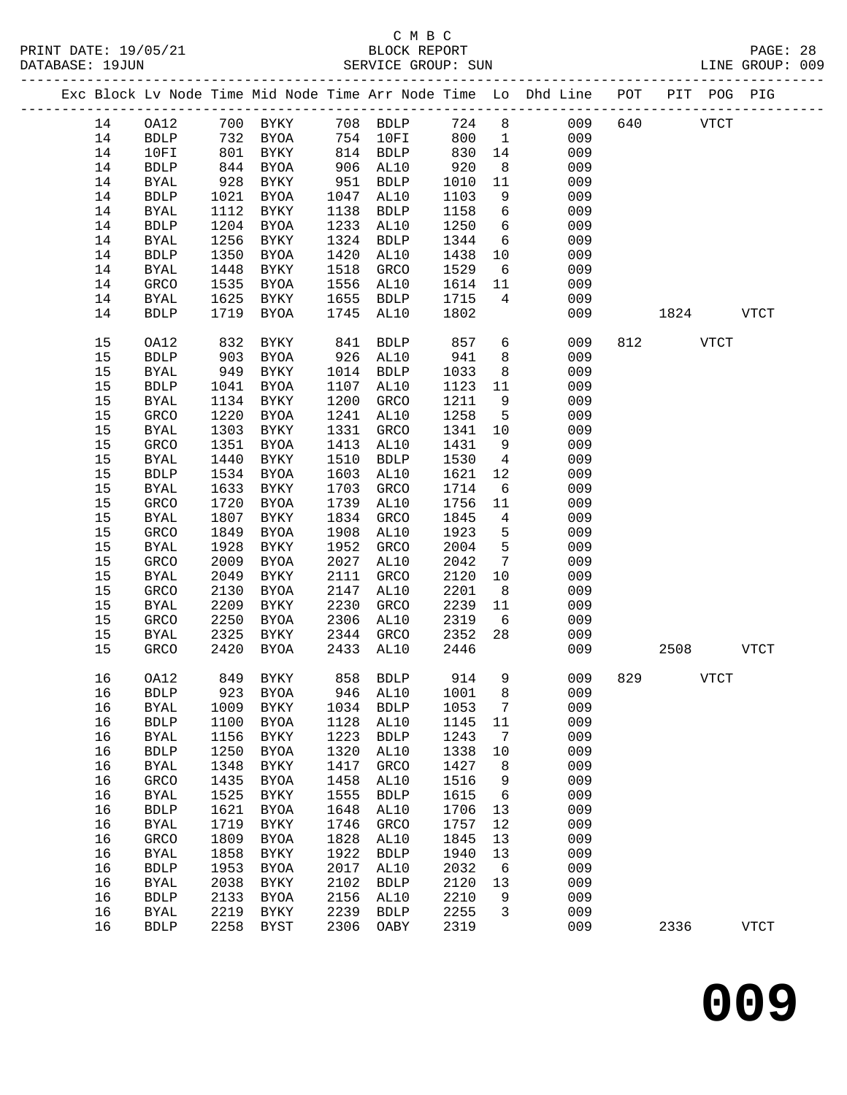|  |    |              |      |                               |      |             |       |                 | Exc Block Lv Node Time Mid Node Time Arr Node Time Lo Dhd Line POT |     |      | PIT POG PIG |             |
|--|----|--------------|------|-------------------------------|------|-------------|-------|-----------------|--------------------------------------------------------------------|-----|------|-------------|-------------|
|  | 14 | OA12         |      | 700 BYKY 708 BDLP             |      |             | 724 8 |                 | 009                                                                | 640 |      | <b>VTCT</b> |             |
|  | 14 | <b>BDLP</b>  | 732  | BYOA                          |      | 754 10FI    | 800   | $\overline{1}$  | 009                                                                |     |      |             |             |
|  | 14 | 10FI         | 801  | BYKY                          |      | 814 BDLP    | 830   | 14              | 009                                                                |     |      |             |             |
|  | 14 | <b>BDLP</b>  | 844  | BYOA                          | 906  | AL10        | 920   | 8               | 009                                                                |     |      |             |             |
|  | 14 | <b>BYAL</b>  | 928  | BYKY                          | 951  | BDLP        | 1010  | 11              | 009                                                                |     |      |             |             |
|  | 14 | <b>BDLP</b>  | 1021 | BYOA                          | 1047 | AL10        | 1103  | 9               | 009                                                                |     |      |             |             |
|  | 14 | <b>BYAL</b>  | 1112 | BYKY                          | 1138 | <b>BDLP</b> | 1158  | $6\overline{6}$ | 009                                                                |     |      |             |             |
|  | 14 | ${\tt BDLP}$ | 1204 | BYOA                          | 1233 | AL10        | 1250  | $6\overline{6}$ | 009                                                                |     |      |             |             |
|  | 14 | <b>BYAL</b>  | 1256 | BYKY                          | 1324 | <b>BDLP</b> | 1344  | $6\overline{6}$ | 009                                                                |     |      |             |             |
|  | 14 | <b>BDLP</b>  | 1350 | BYOA                          | 1420 | AL10        | 1438  | 10              | 009                                                                |     |      |             |             |
|  | 14 | BYAL         | 1448 | BYKY                          | 1518 | GRCO        | 1529  | $6\overline{6}$ | 009                                                                |     |      |             |             |
|  | 14 | GRCO         | 1535 | BYOA                          | 1556 | AL10        | 1614  | 11              | 009                                                                |     |      |             |             |
|  | 14 | BYAL         | 1625 | BYKY                          | 1655 | BDLP        | 1715  | 4               | 009                                                                |     |      |             |             |
|  | 14 | <b>BDLP</b>  | 1719 | BYOA                          | 1745 | AL10        | 1802  |                 | 009                                                                |     | 1824 |             | VTCT        |
|  | 15 | OA12         | 832  | BYKY                          | 841  | <b>BDLP</b> | 857   | 6               | 009                                                                |     | 812  | <b>VTCT</b> |             |
|  | 15 | <b>BDLP</b>  | 903  | BYOA                          | 926  | AL10        | 941   | 8               | 009                                                                |     |      |             |             |
|  | 15 | <b>BYAL</b>  | 949  | BYKY                          | 1014 | BDLP        | 1033  | 8               | 009                                                                |     |      |             |             |
|  | 15 | <b>BDLP</b>  | 1041 | BYOA                          | 1107 | AL10        | 1123  | 11              | 009                                                                |     |      |             |             |
|  | 15 | BYAL         | 1134 | BYKY                          | 1200 | GRCO        | 1211  | 9               | 009                                                                |     |      |             |             |
|  | 15 | GRCO         | 1220 | BYOA                          | 1241 | AL10        | 1258  | 5               | 009                                                                |     |      |             |             |
|  | 15 | <b>BYAL</b>  | 1303 | BYKY                          | 1331 | GRCO        | 1341  | 10              | 009                                                                |     |      |             |             |
|  | 15 | GRCO         | 1351 | BYOA                          | 1413 | AL10        | 1431  | 9               | 009                                                                |     |      |             |             |
|  | 15 | <b>BYAL</b>  | 1440 | BYKY                          | 1510 | <b>BDLP</b> | 1530  | $\overline{4}$  | 009                                                                |     |      |             |             |
|  | 15 | <b>BDLP</b>  | 1534 | BYOA                          | 1603 | AL10        | 1621  | 12              | 009                                                                |     |      |             |             |
|  | 15 | <b>BYAL</b>  | 1633 | BYKY                          | 1703 | GRCO        | 1714  | 6               | 009                                                                |     |      |             |             |
|  | 15 | GRCO         | 1720 | BYOA                          | 1739 | AL10        | 1756  | 11              | 009                                                                |     |      |             |             |
|  | 15 | <b>BYAL</b>  | 1807 | BYKY                          | 1834 | GRCO        | 1845  | $\overline{4}$  | 009                                                                |     |      |             |             |
|  | 15 | GRCO         | 1849 | BYOA                          | 1908 | AL10        | 1923  | 5               | 009                                                                |     |      |             |             |
|  | 15 | <b>BYAL</b>  | 1928 | BYKY                          | 1952 | GRCO        | 2004  | 5               | 009                                                                |     |      |             |             |
|  | 15 | GRCO         | 2009 | BYOA                          | 2027 | AL10        | 2042  | $7\overline{ }$ | 009                                                                |     |      |             |             |
|  | 15 | <b>BYAL</b>  | 2049 | BYKY                          | 2111 | GRCO        | 2120  | 10              | 009                                                                |     |      |             |             |
|  | 15 | GRCO         | 2130 | BYOA                          | 2147 | AL10        | 2201  | 8 <sup>8</sup>  | 009                                                                |     |      |             |             |
|  | 15 | <b>BYAL</b>  | 2209 | BYKY                          | 2230 | GRCO        | 2239  | 11              | 009                                                                |     |      |             |             |
|  | 15 | GRCO         | 2250 | BYOA                          | 2306 | AL10        | 2319  | 6               | 009                                                                |     |      |             |             |
|  | 15 | BYAL         | 2325 | BYKY                          | 2344 | GRCO        | 2352  | 28              | 009                                                                |     |      |             |             |
|  | 15 | GRCO         | 2420 | BYOA                          | 2433 | AL10        | 2446  |                 | 009                                                                |     | 2508 |             | <b>VTCT</b> |
|  | 16 | OA12         |      | 849 BYKY                      |      | 858 BDLP    | 914   | $\overline{9}$  | 009                                                                | 829 | VTCT |             |             |
|  | 16 |              |      | BDLP 923 BYOA 946 AL10 1001 8 |      |             |       |                 | 009                                                                |     |      |             |             |
|  | 16 | <b>BYAL</b>  | 1009 | BYKY                          | 1034 | <b>BDLP</b> | 1053  | 7               | 009                                                                |     |      |             |             |
|  | 16 | <b>BDLP</b>  | 1100 | BYOA                          | 1128 | AL10        | 1145  | 11              | 009                                                                |     |      |             |             |
|  | 16 | <b>BYAL</b>  | 1156 | BYKY                          | 1223 | <b>BDLP</b> | 1243  | 7               | 009                                                                |     |      |             |             |
|  | 16 | <b>BDLP</b>  | 1250 | <b>BYOA</b>                   | 1320 | AL10        | 1338  | 10              | 009                                                                |     |      |             |             |
|  | 16 | BYAL         | 1348 | <b>BYKY</b>                   | 1417 | GRCO        | 1427  | 8               | 009                                                                |     |      |             |             |
|  | 16 | GRCO         | 1435 | BYOA                          | 1458 | AL10        | 1516  | 9               | 009                                                                |     |      |             |             |
|  | 16 | <b>BYAL</b>  | 1525 | BYKY                          | 1555 | <b>BDLP</b> | 1615  | 6               | 009                                                                |     |      |             |             |
|  | 16 | ${\tt BDLP}$ | 1621 | <b>BYOA</b>                   | 1648 | AL10        | 1706  | 13              | 009                                                                |     |      |             |             |
|  | 16 | <b>BYAL</b>  | 1719 | BYKY                          | 1746 | GRCO        | 1757  | 12              | 009                                                                |     |      |             |             |
|  | 16 | GRCO         | 1809 | BYOA                          | 1828 | AL10        | 1845  | 13              | 009                                                                |     |      |             |             |
|  | 16 | <b>BYAL</b>  | 1858 | <b>BYKY</b>                   | 1922 | <b>BDLP</b> | 1940  | 13              | 009                                                                |     |      |             |             |
|  | 16 | <b>BDLP</b>  | 1953 | <b>BYOA</b>                   | 2017 | AL10        | 2032  | 6               | 009                                                                |     |      |             |             |
|  | 16 | <b>BYAL</b>  | 2038 | <b>BYKY</b>                   | 2102 | <b>BDLP</b> | 2120  | 13              | 009                                                                |     |      |             |             |
|  | 16 | <b>BDLP</b>  | 2133 | BYOA                          | 2156 | AL10        | 2210  | 9               | 009                                                                |     |      |             |             |
|  | 16 | <b>BYAL</b>  | 2219 | BYKY                          | 2239 | <b>BDLP</b> | 2255  | $\mathbf{3}$    | 009                                                                |     |      |             |             |
|  | 16 | <b>BDLP</b>  | 2258 | BYST                          | 2306 | OABY        | 2319  |                 | 009                                                                |     | 2336 |             | <b>VTCT</b> |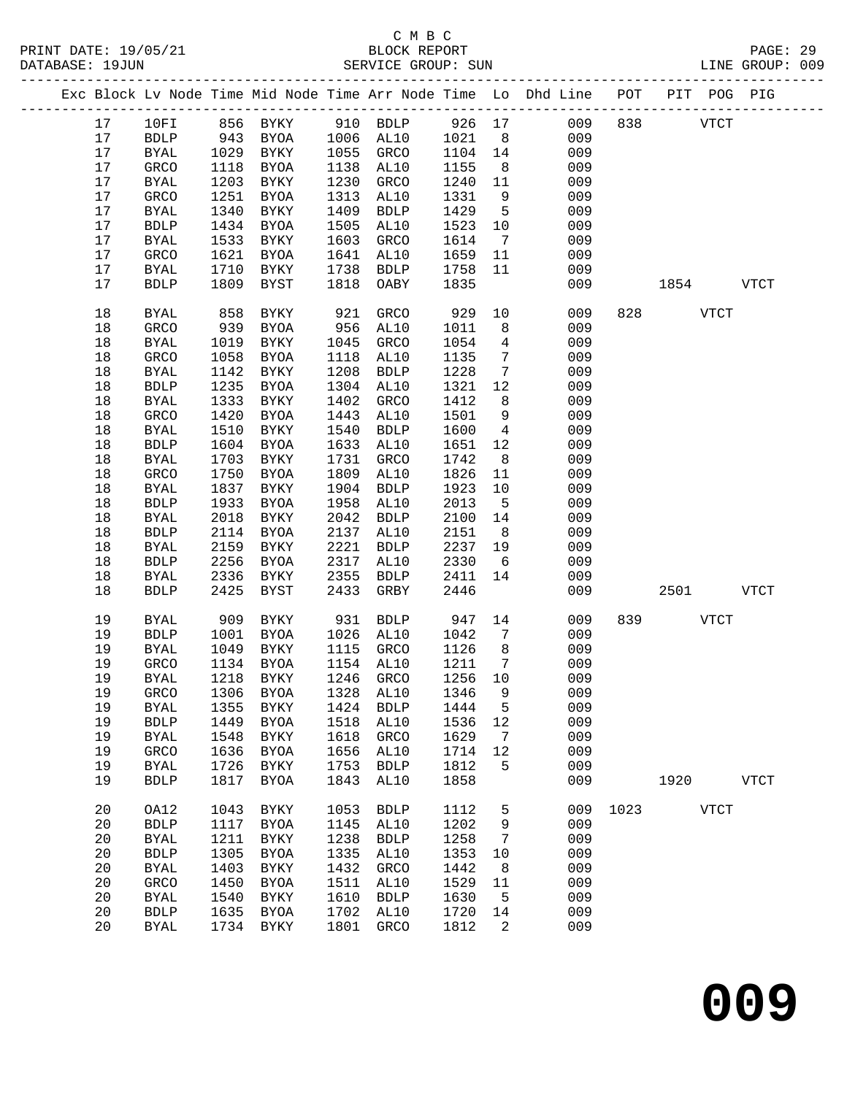|  |    |              |      |             |      |                                 |         |                              | Exc Block Lv Node Time Mid Node Time Arr Node Time Lo Dhd Line POT PIT POG PIG |      |          |             |             |
|--|----|--------------|------|-------------|------|---------------------------------|---------|------------------------------|--------------------------------------------------------------------------------|------|----------|-------------|-------------|
|  | 17 | 10FI         |      | 856 BYKY    |      | 910 BDLP                        | 926 17  |                              | 009                                                                            | 838  |          | <b>VTCT</b> |             |
|  | 17 | <b>BDLP</b>  | 943  | BYOA        |      | 1006 AL10                       | 1021    | 8 <sup>8</sup>               | 009                                                                            |      |          |             |             |
|  | 17 | <b>BYAL</b>  |      | <b>BYKY</b> | 1055 | GRCO                            | 1104    | 14                           | 009                                                                            |      |          |             |             |
|  | 17 | GRCO         | 1118 | BYOA        | 1138 | AL10                            | 1155    | 8 <sup>8</sup>               | 009                                                                            |      |          |             |             |
|  | 17 | BYAL         | 1203 | BYKY        | 1230 | GRCO                            | 1240    | 11                           | 009                                                                            |      |          |             |             |
|  | 17 | GRCO         | 1251 | BYOA        | 1313 | AL10                            | 1331    | 9                            | 009                                                                            |      |          |             |             |
|  | 17 | <b>BYAL</b>  | 1340 | BYKY        | 1409 | <b>BDLP</b>                     | 1429    | $5^{\circ}$                  | 009                                                                            |      |          |             |             |
|  | 17 | ${\tt BDLP}$ | 1434 | BYOA        | 1505 | AL10                            | 1523    | 10                           | 009                                                                            |      |          |             |             |
|  | 17 | <b>BYAL</b>  | 1533 | BYKY        | 1603 | GRCO                            | 1614    | $7\phantom{.0}\phantom{.0}7$ | 009                                                                            |      |          |             |             |
|  | 17 | GRCO         | 1621 | BYOA        | 1641 | AL10                            | 1659    | 11                           | 009                                                                            |      |          |             |             |
|  | 17 | <b>BYAL</b>  | 1710 | BYKY        | 1738 | BDLP                            | 1758    | 11                           | 009                                                                            |      |          |             |             |
|  | 17 | <b>BDLP</b>  | 1809 | BYST        | 1818 | OABY                            | 1835    |                              | 009                                                                            |      | 1854     |             | VTCT        |
|  | 18 | <b>BYAL</b>  | 858  | BYKY        | 921  | GRCO                            | 929     | 10                           | 009                                                                            |      | 828 VTCT |             |             |
|  | 18 | GRCO         | 939  | BYOA        | 956  | AL10                            | 1011    | 8                            | 009                                                                            |      |          |             |             |
|  | 18 | <b>BYAL</b>  | 1019 | BYKY        | 1045 | GRCO                            | 1054    | $\overline{4}$               | 009                                                                            |      |          |             |             |
|  | 18 | GRCO         | 1058 | <b>BYOA</b> | 1118 | AL10                            | 1135    | $7\phantom{.0}$              | 009                                                                            |      |          |             |             |
|  | 18 | <b>BYAL</b>  | 1142 | BYKY        | 1208 | <b>BDLP</b>                     | 1228    | $7\phantom{.0}$              | 009                                                                            |      |          |             |             |
|  | 18 | <b>BDLP</b>  | 1235 | BYOA        | 1304 | AL10                            | 1321    | 12                           | 009                                                                            |      |          |             |             |
|  | 18 | BYAL         | 1333 | BYKY        | 1402 | GRCO                            | 1412    | 8 <sup>8</sup>               | 009                                                                            |      |          |             |             |
|  | 18 | GRCO         | 1420 | BYOA        | 1443 | AL10                            | 1501    | 9                            | 009                                                                            |      |          |             |             |
|  | 18 | <b>BYAL</b>  | 1510 | BYKY        | 1540 | <b>BDLP</b>                     | 1600    | $\overline{4}$               | 009                                                                            |      |          |             |             |
|  | 18 | <b>BDLP</b>  | 1604 | BYOA        | 1633 | AL10                            | 1651    | 12                           | 009                                                                            |      |          |             |             |
|  | 18 | <b>BYAL</b>  | 1703 | BYKY        | 1731 | GRCO                            | 1742    | 8                            | 009                                                                            |      |          |             |             |
|  | 18 | GRCO         | 1750 | BYOA        | 1809 | AL10                            | 1826    | 11                           | 009                                                                            |      |          |             |             |
|  | 18 | <b>BYAL</b>  | 1837 | BYKY        | 1904 | BDLP                            | 1923    | 10                           | 009                                                                            |      |          |             |             |
|  | 18 | <b>BDLP</b>  | 1933 | BYOA        | 1958 | AL10                            | 2013    | $-5$                         | 009                                                                            |      |          |             |             |
|  | 18 | <b>BYAL</b>  | 2018 | BYKY        | 2042 | <b>BDLP</b>                     | 2100    | 14                           | 009                                                                            |      |          |             |             |
|  | 18 | <b>BDLP</b>  | 2114 | BYOA        | 2137 | AL10                            | 2151    | 8 <sup>8</sup>               | 009                                                                            |      |          |             |             |
|  | 18 | <b>BYAL</b>  | 2159 | BYKY        | 2221 | <b>BDLP</b>                     | 2237    | 19                           | 009                                                                            |      |          |             |             |
|  | 18 | <b>BDLP</b>  | 2256 | BYOA        | 2317 | AL10                            | 2330    | 6                            | 009                                                                            |      |          |             |             |
|  | 18 | <b>BYAL</b>  | 2336 | BYKY        | 2355 | <b>BDLP</b>                     | 2411    | 14                           | 009                                                                            |      |          |             |             |
|  | 18 | <b>BDLP</b>  | 2425 | BYST        | 2433 | GRBY                            | 2446    |                              | 009                                                                            |      | 2501     |             | <b>VTCT</b> |
|  | 19 | <b>BYAL</b>  | 909  | BYKY        | 931  | <b>BDLP</b>                     | 947     | 14                           | 009                                                                            | 839  |          | <b>VTCT</b> |             |
|  | 19 | <b>BDLP</b>  | 1001 | BYOA        |      | 1026 AL10                       | 1042    | $\overline{7}$               | 009                                                                            |      |          |             |             |
|  | 19 | <b>BYAL</b>  | 1049 | BYKY        |      | 1115 GRCO                       | 1126    | 8 <sup>8</sup>               | 009                                                                            |      |          |             |             |
|  | 19 | GRCO         | 1134 | BYOA        |      | 1154 AL10                       | 1211    | $\overline{7}$               | 009                                                                            |      |          |             |             |
|  | 19 | <b>BYAL</b>  | 1218 | BYKY        |      | 1246 GRCO                       | 1256 10 |                              | 009                                                                            |      |          |             |             |
|  | 19 |              |      |             |      | GRCO 1306 BYOA 1328 AL10 1346 9 |         |                              | 009                                                                            |      |          |             |             |
|  | 19 | <b>BYAL</b>  | 1355 | <b>BYKY</b> | 1424 | <b>BDLP</b>                     | 1444    | 5                            | 009                                                                            |      |          |             |             |
|  | 19 | <b>BDLP</b>  | 1449 | <b>BYOA</b> | 1518 | AL10                            | 1536    | 12                           | 009                                                                            |      |          |             |             |
|  | 19 | <b>BYAL</b>  | 1548 | <b>BYKY</b> | 1618 | GRCO                            | 1629    | 7                            | 009                                                                            |      |          |             |             |
|  | 19 | GRCO         | 1636 | BYOA        | 1656 | AL10                            | 1714    | 12                           | 009                                                                            |      |          |             |             |
|  | 19 | <b>BYAL</b>  | 1726 | BYKY        | 1753 | <b>BDLP</b>                     | 1812    | 5                            | 009                                                                            |      |          |             |             |
|  | 19 | <b>BDLP</b>  | 1817 | BYOA        | 1843 | AL10                            | 1858    |                              | 009                                                                            |      | 1920     |             | <b>VTCT</b> |
|  | 20 | OA12         | 1043 | BYKY        | 1053 | <b>BDLP</b>                     | 1112    | 5                            | 009                                                                            | 1023 |          | <b>VTCT</b> |             |
|  | 20 | <b>BDLP</b>  | 1117 | BYOA        | 1145 | AL10                            | 1202    | 9                            | 009                                                                            |      |          |             |             |
|  | 20 | <b>BYAL</b>  | 1211 | BYKY        | 1238 | <b>BDLP</b>                     | 1258    | 7                            | 009                                                                            |      |          |             |             |
|  | 20 | <b>BDLP</b>  | 1305 | <b>BYOA</b> | 1335 | AL10                            | 1353    | 10                           | 009                                                                            |      |          |             |             |
|  | 20 | <b>BYAL</b>  | 1403 | BYKY        | 1432 | GRCO                            | 1442    | 8                            | 009                                                                            |      |          |             |             |
|  | 20 | GRCO         | 1450 | BYOA        | 1511 | AL10                            | 1529    | 11                           | 009                                                                            |      |          |             |             |
|  | 20 | <b>BYAL</b>  | 1540 | <b>BYKY</b> | 1610 | <b>BDLP</b>                     | 1630    | 5                            | 009                                                                            |      |          |             |             |
|  | 20 | <b>BDLP</b>  | 1635 | BYOA        | 1702 | AL10                            | 1720    | 14                           | 009                                                                            |      |          |             |             |
|  | 20 | <b>BYAL</b>  | 1734 | BYKY        | 1801 | GRCO                            | 1812    | 2                            | 009                                                                            |      |          |             |             |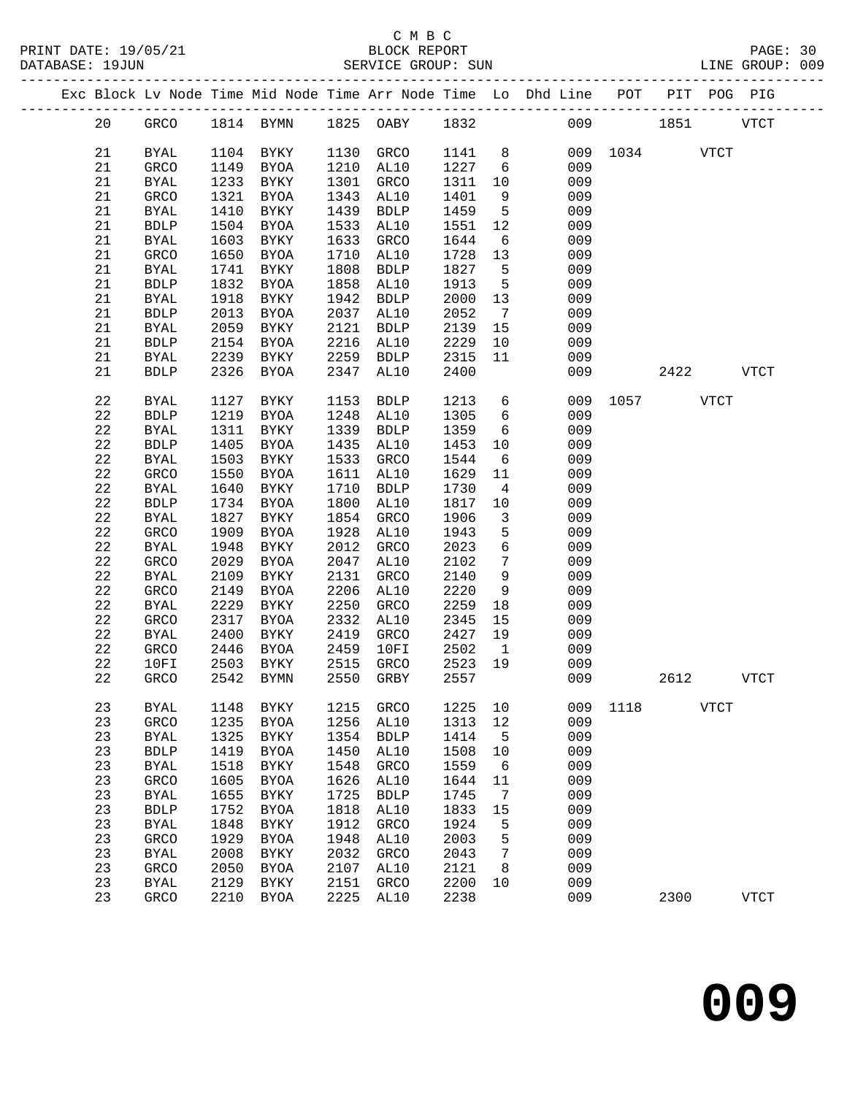|  |    |              |      |              |      |                               |      |                              | Exc Block Lv Node Time Mid Node Time Arr Node Time Lo Dhd Line POT PIT POG PIG |               |      |             |               |
|--|----|--------------|------|--------------|------|-------------------------------|------|------------------------------|--------------------------------------------------------------------------------|---------------|------|-------------|---------------|
|  | 20 |              |      |              |      | GRCO 1814 BYMN 1825 OABY 1832 |      |                              |                                                                                | 009 1851      |      |             | VTCT          |
|  | 21 | BYAL         |      | 1104 BYKY    |      | 1130 GRCO                     | 1141 | 8 <sup>8</sup>               |                                                                                | 009 1034 VTCT |      |             |               |
|  | 21 | GRCO         | 1149 | BYOA         | 1210 | AL10                          | 1227 | 6                            | 009                                                                            |               |      |             |               |
|  |    |              |      |              |      |                               |      |                              |                                                                                |               |      |             |               |
|  | 21 | <b>BYAL</b>  | 1233 | BYKY         | 1301 | GRCO                          | 1311 | 10                           | 009                                                                            |               |      |             |               |
|  | 21 | GRCO         | 1321 | BYOA         | 1343 | AL10                          | 1401 | 9                            | 009                                                                            |               |      |             |               |
|  | 21 | BYAL         | 1410 | BYKY         | 1439 | BDLP                          | 1459 | $5^{\circ}$                  | 009                                                                            |               |      |             |               |
|  | 21 | <b>BDLP</b>  | 1504 | BYOA         | 1533 | AL10                          | 1551 | 12                           | 009                                                                            |               |      |             |               |
|  | 21 | BYAL         | 1603 | BYKY         | 1633 | GRCO                          | 1644 | $6\overline{6}$              | 009                                                                            |               |      |             |               |
|  | 21 | GRCO         | 1650 | BYOA         | 1710 | AL10                          | 1728 | 13                           | 009                                                                            |               |      |             |               |
|  | 21 | BYAL         | 1741 | BYKY         | 1808 | BDLP                          | 1827 | $5^{\circ}$                  | 009                                                                            |               |      |             |               |
|  | 21 | <b>BDLP</b>  | 1832 | BYOA         | 1858 | AL10                          | 1913 | $5^{\circ}$                  | 009                                                                            |               |      |             |               |
|  | 21 | <b>BYAL</b>  | 1918 | BYKY         | 1942 | BDLP                          | 2000 | 13                           | 009                                                                            |               |      |             |               |
|  | 21 | ${\tt BDLP}$ | 2013 | BYOA         | 2037 | AL10                          | 2052 | $7\phantom{.0}\phantom{.0}7$ | 009                                                                            |               |      |             |               |
|  | 21 | <b>BYAL</b>  | 2059 | BYKY         | 2121 | <b>BDLP</b>                   | 2139 | 15                           | 009                                                                            |               |      |             |               |
|  | 21 | ${\tt BDLP}$ | 2154 | BYOA         | 2216 | AL10                          | 2229 | 10                           | 009                                                                            |               |      |             |               |
|  | 21 | <b>BYAL</b>  | 2239 | BYKY         | 2259 | BDLP                          | 2315 | 11                           | 009                                                                            |               |      |             |               |
|  | 21 | <b>BDLP</b>  | 2326 | BYOA         | 2347 | AL10                          | 2400 |                              | 009                                                                            |               | 2422 |             | VTCT          |
|  | 22 | <b>BYAL</b>  | 1127 | BYKY         | 1153 | <b>BDLP</b>                   | 1213 | $6\overline{6}$              |                                                                                | 009 1057 VTCT |      |             |               |
|  | 22 | <b>BDLP</b>  | 1219 | BYOA         | 1248 | AL10                          | 1305 | 6                            | 009                                                                            |               |      |             |               |
|  | 22 | <b>BYAL</b>  | 1311 | BYKY         | 1339 | BDLP                          | 1359 | 6                            | 009                                                                            |               |      |             |               |
|  | 22 | ${\tt BDLP}$ | 1405 | BYOA         | 1435 | AL10                          | 1453 | 10                           | 009                                                                            |               |      |             |               |
|  | 22 | <b>BYAL</b>  | 1503 | BYKY         | 1533 | GRCO                          | 1544 | $6\overline{6}$              | 009                                                                            |               |      |             |               |
|  | 22 | GRCO         | 1550 | BYOA         | 1611 | AL10                          | 1629 | 11                           | 009                                                                            |               |      |             |               |
|  | 22 | <b>BYAL</b>  | 1640 | BYKY         | 1710 | <b>BDLP</b>                   | 1730 | $\overline{4}$               | 009                                                                            |               |      |             |               |
|  | 22 | <b>BDLP</b>  | 1734 | BYOA         | 1800 | AL10                          | 1817 | 10                           | 009                                                                            |               |      |             |               |
|  | 22 | BYAL         | 1827 | BYKY         | 1854 | GRCO                          | 1906 | $\overline{\mathbf{3}}$      | 009                                                                            |               |      |             |               |
|  | 22 | GRCO         | 1909 | BYOA         | 1928 | AL10                          | 1943 | 5                            | 009                                                                            |               |      |             |               |
|  | 22 | <b>BYAL</b>  | 1948 | BYKY         | 2012 | GRCO                          | 2023 | $\epsilon$                   | 009                                                                            |               |      |             |               |
|  | 22 | GRCO         | 2029 | BYOA         | 2047 | AL10                          | 2102 | $7\phantom{.0}$              | 009                                                                            |               |      |             |               |
|  | 22 | BYAL         | 2109 | BYKY         | 2131 | GRCO                          | 2140 | $\overline{9}$               | 009                                                                            |               |      |             |               |
|  | 22 | GRCO         | 2149 | BYOA         | 2206 | AL10                          | 2220 | 9                            | 009                                                                            |               |      |             |               |
|  | 22 | <b>BYAL</b>  | 2229 | BYKY         | 2250 | GRCO                          | 2259 | 18                           | 009                                                                            |               |      |             |               |
|  | 22 | GRCO         | 2317 | BYOA         | 2332 | AL10                          | 2345 | 15                           | 009                                                                            |               |      |             |               |
|  | 22 | BYAL         | 2400 | BYKY         | 2419 | GRCO                          | 2427 | 19                           | 009                                                                            |               |      |             |               |
|  | 22 | GRCO         | 2446 | BYOA         | 2459 | 10FI                          | 2502 | $\mathbf{1}$                 | 009                                                                            |               |      |             |               |
|  | 22 | 10FI         | 2503 | BYKY         | 2515 | GRCO                          | 2523 | 19                           | 009                                                                            |               |      |             |               |
|  | 22 | GRCO         |      | 2542 BYMN    |      | 2550 GRBY                     | 2557 |                              | 009                                                                            |               | 2612 |             | <b>VTCT</b>   |
|  |    |              |      |              |      |                               |      |                              |                                                                                |               |      |             |               |
|  | 23 | <b>BYAL</b>  | 1148 | ${\tt BYKY}$ | 1215 | <b>GRCO</b>                   | 1225 | 10                           | 009                                                                            | 1118          |      | <b>VTCT</b> |               |
|  | 23 | GRCO         | 1235 | <b>BYOA</b>  | 1256 | AL10                          | 1313 | $12$                         | 009                                                                            |               |      |             |               |
|  | 23 | <b>BYAL</b>  | 1325 | <b>BYKY</b>  | 1354 | <b>BDLP</b>                   | 1414 | 5                            | 009                                                                            |               |      |             |               |
|  | 23 | ${\tt BDLP}$ | 1419 | <b>BYOA</b>  | 1450 | AL10                          | 1508 | 10                           | 009                                                                            |               |      |             |               |
|  | 23 | BYAL         | 1518 | ${\tt BYKY}$ | 1548 | GRCO                          | 1559 | 6                            | 009                                                                            |               |      |             |               |
|  | 23 | GRCO         | 1605 | <b>BYOA</b>  | 1626 | AL10                          | 1644 | 11                           | 009                                                                            |               |      |             |               |
|  | 23 | <b>BYAL</b>  | 1655 | ${\tt BYKY}$ | 1725 | <b>BDLP</b>                   | 1745 | 7                            | 009                                                                            |               |      |             |               |
|  | 23 | ${\tt BDLP}$ | 1752 | <b>BYOA</b>  | 1818 | AL10                          | 1833 | 15                           | 009                                                                            |               |      |             |               |
|  | 23 | <b>BYAL</b>  | 1848 | <b>BYKY</b>  | 1912 | GRCO                          | 1924 | 5                            | 009                                                                            |               |      |             |               |
|  | 23 | GRCO         | 1929 | <b>BYOA</b>  | 1948 | AL10                          | 2003 | 5                            | 009                                                                            |               |      |             |               |
|  | 23 | <b>BYAL</b>  | 2008 | ${\tt BYKY}$ | 2032 | GRCO                          | 2043 | 7                            | 009                                                                            |               |      |             |               |
|  | 23 | GRCO         | 2050 | <b>BYOA</b>  | 2107 | AL10                          | 2121 | 8                            | 009                                                                            |               |      |             |               |
|  | 23 | <b>BYAL</b>  | 2129 | <b>BYKY</b>  | 2151 | GRCO                          | 2200 | 10                           | 009                                                                            |               |      |             |               |
|  | 23 | GRCO         | 2210 | BYOA         | 2225 | AL10                          | 2238 |                              | 009                                                                            |               | 2300 |             | $_{\rm VTCT}$ |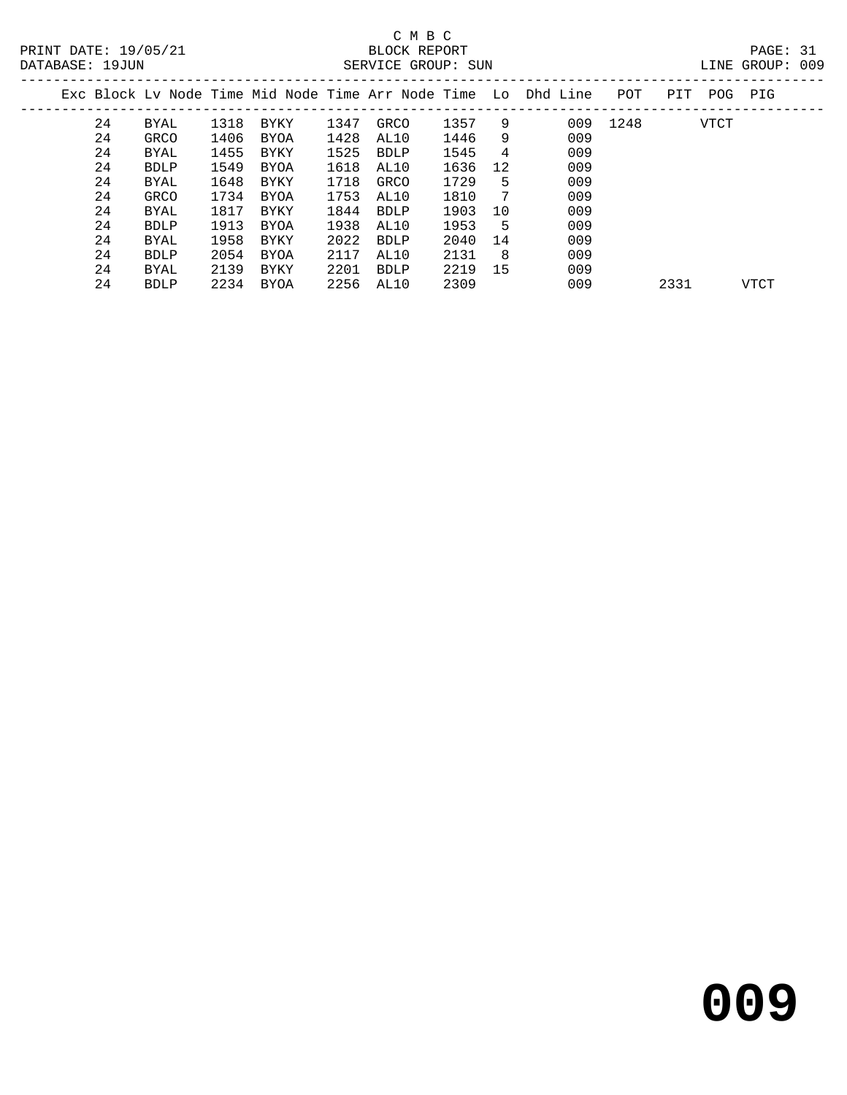| TNE. | GROUP: | 009 |
|------|--------|-----|

| DATABASE: 19JUN |    |             |      |             |      | SERVICE GROUP: SUN |      |     |                                                                |      |      |      | LINE GROUP: 009 |  |
|-----------------|----|-------------|------|-------------|------|--------------------|------|-----|----------------------------------------------------------------|------|------|------|-----------------|--|
|                 |    |             |      |             |      |                    |      |     | Exc Block Ly Node Time Mid Node Time Arr Node Time Lo Dhd Line | POT  | PIT  | POG  | PIG             |  |
|                 | 24 | BYAL        | 1318 | BYKY        | 1347 | GRCO               | 1357 | -9  | 009                                                            | 1248 |      | VTCT |                 |  |
|                 | 24 | GRCO        | 1406 | BYOA        | 1428 | AL10               | 1446 | 9   | 009                                                            |      |      |      |                 |  |
|                 | 24 | BYAL        | 1455 | BYKY        | 1525 | BDLP               | 1545 | 4   | 009                                                            |      |      |      |                 |  |
|                 | 24 | BDLP        | 1549 | <b>BYOA</b> | 1618 | AL10               | 1636 | 12  | 009                                                            |      |      |      |                 |  |
|                 | 24 | BYAL        | 1648 | BYKY        | 1718 | GRCO               | 1729 | 5   | 009                                                            |      |      |      |                 |  |
|                 | 24 | GRCO        | 1734 | BYOA        | 1753 | AL10               | 1810 | -7  | 009                                                            |      |      |      |                 |  |
|                 | 24 | BYAL        | 1817 | BYKY        | 1844 | BDLP               | 1903 | 10  | 009                                                            |      |      |      |                 |  |
|                 | 24 | <b>BDLP</b> | 1913 | BYOA        | 1938 | AL10               | 1953 | - 5 | 009                                                            |      |      |      |                 |  |
|                 | 24 | BYAL        | 1958 | BYKY        | 2022 | BDLP               | 2040 | 14  | 009                                                            |      |      |      |                 |  |
|                 | 24 | BDLP        | 2054 | BYOA        | 2117 | AL10               | 2131 | - 8 | 009                                                            |      |      |      |                 |  |
|                 | 24 | BYAL        | 2139 | BYKY        | 2201 | BDLP               | 2219 | 15  | 009                                                            |      |      |      |                 |  |
|                 | 24 | <b>BDLP</b> | 2234 | BYOA        | 2256 | AL10               | 2309 |     | 009                                                            |      | 2331 |      | <b>VTCT</b>     |  |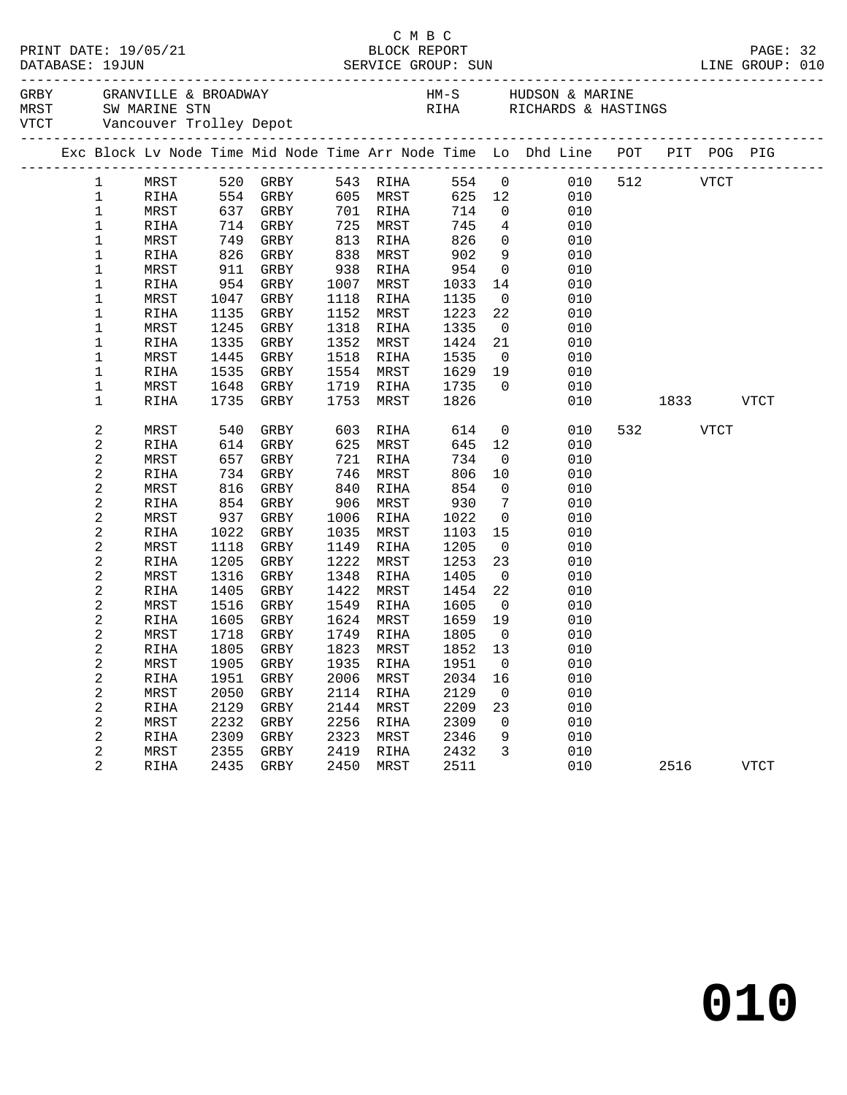|              |              |              |                   |      |                   |              |                          | Exc Block Lv Node Time Mid Node Time Arr Node Time Lo Dhd Line POT PIT POG PIG |     |                                                                                                              |      |             |  |
|--------------|--------------|--------------|-------------------|------|-------------------|--------------|--------------------------|--------------------------------------------------------------------------------|-----|--------------------------------------------------------------------------------------------------------------|------|-------------|--|
| $\mathbf{1}$ |              |              | MRST 520 GRBY     |      | 543 RIHA          |              |                          | 554 0 010 512 VTCT                                                             |     |                                                                                                              |      |             |  |
| $\mathbf 1$  | RIHA         |              | 554 GRBY          |      | 605 MRST          |              |                          | 625 12<br>010                                                                  |     |                                                                                                              |      |             |  |
| $\mathbf 1$  | MRST         |              | $637$ GRBY<br>714 |      | 701 RIHA          | 714          | $\overline{0}$           | 010                                                                            |     |                                                                                                              |      |             |  |
| $1\,$        | RIHA         |              | 714 GRBY          |      | 725 MRST          | 745          | $4\overline{4}$          | 010                                                                            |     |                                                                                                              |      |             |  |
| $\mathbf 1$  | MRST         |              | 749 GRBY          | 813  | RIHA              | 826          | $\overline{0}$           | 010                                                                            |     |                                                                                                              |      |             |  |
| 1            | RIHA         | 826          | GRBY              | 838  | MRST              | 902          | 9                        | 010                                                                            |     |                                                                                                              |      |             |  |
| 1            | MRST         | 911          | GRBY              | 938  | RIHA              | 954          | $\overline{0}$           | 010                                                                            |     |                                                                                                              |      |             |  |
| 1            | RIHA         | 954          | GRBY              | 1007 | MRST              | 1033         | 14                       | 010                                                                            |     |                                                                                                              |      |             |  |
| 1            | MRST         | 1047         | GRBY              | 1118 | RIHA              | 1135         | $\overline{0}$           | 010                                                                            |     |                                                                                                              |      |             |  |
| 1            | RIHA         | 1135         | GRBY              | 1152 | MRST              | 1223         | 22                       | 010                                                                            |     |                                                                                                              |      |             |  |
| 1            | MRST         | 1245         | GRBY              | 1318 | RIHA              | 1335         | $\overline{\phantom{0}}$ | 010                                                                            |     |                                                                                                              |      |             |  |
| $\mathbf 1$  | RIHA         | 1335         | GRBY              | 1352 | MRST              | 1424         | 21                       | 010                                                                            |     |                                                                                                              |      |             |  |
| 1            | MRST         | 1445         | GRBY              | 1518 | RIHA              | 1535         | $\overline{0}$           | 010                                                                            |     |                                                                                                              |      |             |  |
| $\mathbf 1$  | RIHA         | 1535         | GRBY              | 1554 | MRST              | 1629         | 19                       | 010                                                                            |     |                                                                                                              |      |             |  |
| 1            | MRST         | 1648         | GRBY              | 1719 | RIHA              | 1735         | $\overline{0}$           | 010                                                                            |     |                                                                                                              |      |             |  |
| $\mathbf 1$  | <b>RIHA</b>  | 1735         | GRBY              | 1753 | MRST              | 1826         |                          | 010                                                                            |     | 1833   1834   1845   1846   1847   1848   1848   1858   1858   1858   1858   1858   1858   1858   1858   185 |      | VTCT        |  |
| 2            | MRST         | 540          | GRBY              | 603  | RIHA              | 614          |                          | $\overline{0}$<br>010                                                          | 532 |                                                                                                              | VTCT |             |  |
| 2            | <b>RIHA</b>  | 614          | GRBY              | 625  | MRST              | 645          | 12                       | 010                                                                            |     |                                                                                                              |      |             |  |
| 2            | MRST         | 657          | GRBY              | 721  | RIHA              | 734          | $\overline{0}$           | 010                                                                            |     |                                                                                                              |      |             |  |
| 2            | RIHA         | 734          | GRBY              | 746  | MRST              | 806          | 10                       | 010                                                                            |     |                                                                                                              |      |             |  |
| 2            | MRST         | 816          | GRBY              | 840  | RIHA              | 854          | $\overline{0}$           | 010                                                                            |     |                                                                                                              |      |             |  |
| 2            | RIHA         | 854          | GRBY              | 906  | MRST              | 930          | $\overline{7}$           | 010                                                                            |     |                                                                                                              |      |             |  |
| 2            | MRST         | 937          | GRBY              | 1006 | RIHA              | 1022         | $\overline{0}$           | 010                                                                            |     |                                                                                                              |      |             |  |
| 2            | RIHA         | 1022         | GRBY              | 1035 | MRST              | 1103         | 15                       | 010                                                                            |     |                                                                                                              |      |             |  |
| 2            | MRST         | 1118         | GRBY              | 1149 | RIHA              | 1205         | $\overline{0}$           | 010                                                                            |     |                                                                                                              |      |             |  |
| 2            | RIHA         | 1205         | GRBY              | 1222 | MRST              | 1253         | 23                       | 010                                                                            |     |                                                                                                              |      |             |  |
| 2            | MRST         | 1316         | GRBY              | 1348 | RIHA              | 1405         | $\overline{0}$           | 010                                                                            |     |                                                                                                              |      |             |  |
| 2            | RIHA         | 1405         | GRBY              | 1422 | MRST              | 1454         | 22                       | 010                                                                            |     |                                                                                                              |      |             |  |
| 2            | MRST         | 1516         | GRBY              | 1549 | RIHA<br>1624 MRST | 1605         | $\overline{0}$           | 010                                                                            |     |                                                                                                              |      |             |  |
| 2            | RIHA         | 1605<br>1718 | GRBY              |      | 1749 RIHA         | 1659<br>1805 | 19<br>$\overline{0}$     | 010                                                                            |     |                                                                                                              |      |             |  |
| 2<br>2       | MRST<br>RIHA | 1805         | GRBY<br>GRBY      |      | 1823 MRST         | 1852         | 13                       | 010<br>010                                                                     |     |                                                                                                              |      |             |  |
| 2            | ${\tt MRST}$ |              |                   |      |                   |              |                          | 1905 GRBY 1935 RIHA 1951 0 010                                                 |     |                                                                                                              |      |             |  |
|              |              | 1951         | GRBY              | 2006 | MRST              | 2034         |                          | 010                                                                            |     |                                                                                                              |      |             |  |
| 2<br>2       | RIHA<br>MRST | 2050         | GRBY              | 2114 | RIHA              | 2129         | 16<br>0                  | 010                                                                            |     |                                                                                                              |      |             |  |
| 2            | RIHA         | 2129         | GRBY              | 2144 | MRST              | 2209         | 23                       | 010                                                                            |     |                                                                                                              |      |             |  |
| 2            | MRST         | 2232         | GRBY              | 2256 | RIHA              | 2309         | $\overline{0}$           | 010                                                                            |     |                                                                                                              |      |             |  |
| 2            | RIHA         | 2309         | GRBY              | 2323 | MRST              | 2346         | 9                        | 010                                                                            |     |                                                                                                              |      |             |  |
| 2            | MRST         | 2355         | GRBY              | 2419 | RIHA              | 2432         | 3                        | 010                                                                            |     |                                                                                                              |      |             |  |
| 2            | RIHA         | 2435         | GRBY              | 2450 | MRST              | 2511         |                          | 010                                                                            |     | 2516                                                                                                         |      | <b>VTCT</b> |  |
|              |              |              |                   |      |                   |              |                          |                                                                                |     |                                                                                                              |      |             |  |

C M B C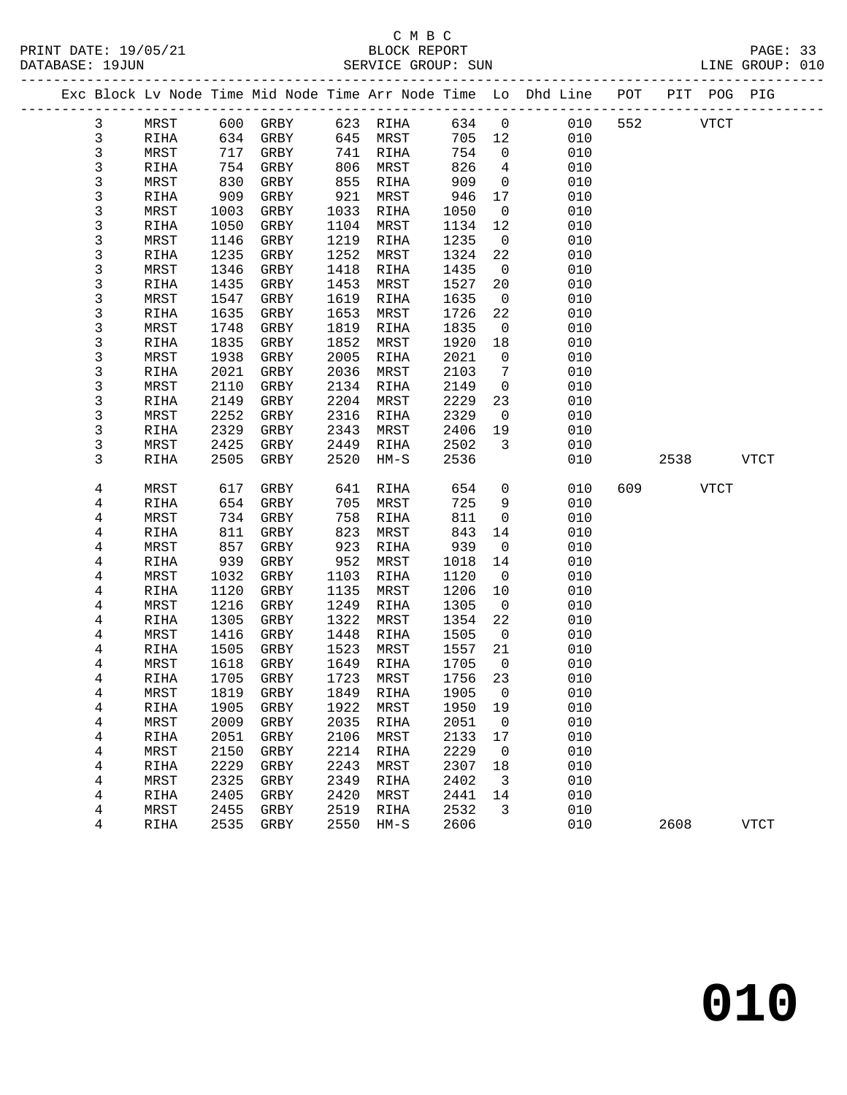| PRINT DATE: 19/05/21<br>DATABASE: 19JUN |                |      |            |                            |      |          |  |         |                 |                                                                                |              |      |           |             |  |
|-----------------------------------------|----------------|------|------------|----------------------------|------|----------|--|---------|-----------------|--------------------------------------------------------------------------------|--------------|------|-----------|-------------|--|
|                                         |                |      |            |                            |      |          |  |         |                 | Exc Block Lv Node Time Mid Node Time Arr Node Time Lo Dhd Line POT PIT POG PIG |              |      |           |             |  |
|                                         | 3              | MRST |            | 600 GRBY 623 RIHA 634 0    |      |          |  |         |                 |                                                                                | 010 552 VTCT |      |           |             |  |
|                                         | $\mathbf{3}$   | RIHA |            | 634 GRBY                   |      | 645 MRST |  |         |                 | 705 12<br>010                                                                  |              |      |           |             |  |
|                                         | 3              | MRST | 717        | GRBY                       |      | 741 RIHA |  | 754     | $\overline{0}$  | 010                                                                            |              |      |           |             |  |
|                                         | $\mathfrak{Z}$ | RIHA | 754<br>830 | GRBY                       | 806  | MRST     |  | 826     | $\overline{4}$  | 010                                                                            |              |      |           |             |  |
|                                         | 3              | MRST | 830        | GRBY                       | 855  | RIHA     |  | 909     | $\overline{0}$  | 010                                                                            |              |      |           |             |  |
|                                         | 3              | RIHA | 909        | GRBY                       | 921  | MRST     |  | 946     | 17              | 010                                                                            |              |      |           |             |  |
|                                         | 3              | MRST | 1003       | GRBY                       | 1033 | RIHA     |  | 1050    | $\overline{0}$  | 010                                                                            |              |      |           |             |  |
|                                         | 3              | RIHA | 1050       | GRBY                       | 1104 | MRST     |  | 1134    | 12              | 010                                                                            |              |      |           |             |  |
|                                         | 3              | MRST | 1146       | GRBY                       | 1219 | RIHA     |  | 1235    | $\overline{0}$  | 010                                                                            |              |      |           |             |  |
|                                         | 3              | RIHA | 1235       | GRBY                       | 1252 | MRST     |  | 1324    | 22              | 010                                                                            |              |      |           |             |  |
|                                         | $\mathsf 3$    | MRST | 1346       | GRBY                       | 1418 | RIHA     |  | 1435    | $\overline{0}$  | 010                                                                            |              |      |           |             |  |
|                                         | 3              | RIHA | 1435       | GRBY                       | 1453 | MRST     |  | 1527    | 20              | 010                                                                            |              |      |           |             |  |
|                                         | 3              | MRST | 1547       | GRBY                       | 1619 | RIHA     |  | 1635    | $\overline{0}$  | 010                                                                            |              |      |           |             |  |
|                                         | 3              | RIHA | 1635       | GRBY                       | 1653 | MRST     |  | 1726    | 22              | 010                                                                            |              |      |           |             |  |
|                                         | $\mathsf 3$    | MRST | 1748       | GRBY                       | 1819 | RIHA     |  | 1835    | $\overline{0}$  | 010                                                                            |              |      |           |             |  |
|                                         | 3              | RIHA | 1835       | GRBY                       | 1852 | MRST     |  | 1920    | 18              | 010                                                                            |              |      |           |             |  |
|                                         | $\mathsf 3$    | MRST | 1938       | GRBY                       | 2005 | RIHA     |  | 2021    | $\overline{0}$  | 010                                                                            |              |      |           |             |  |
|                                         | 3              | RIHA | 2021       | GRBY                       | 2036 | MRST     |  | 2103    | $7\overline{ }$ | 010                                                                            |              |      |           |             |  |
|                                         | 3              | MRST | 2110       | GRBY                       | 2134 | RIHA     |  | 2149    | $\overline{0}$  | 010                                                                            |              |      |           |             |  |
|                                         | 3              | RIHA | 2149       | GRBY                       | 2204 | MRST     |  | 2229    | 23              | 010                                                                            |              |      |           |             |  |
|                                         | 3              | MRST | 2252       | GRBY                       | 2316 | RIHA     |  | 2329    | $\overline{0}$  | 010                                                                            |              |      |           |             |  |
|                                         | 3              | RIHA | 2329       | GRBY                       | 2343 | MRST     |  | 2406    | 19              | 010                                                                            |              |      |           |             |  |
|                                         | 3              | MRST | 2425       | GRBY                       | 2449 | RIHA     |  | 2502    | $\overline{3}$  | 010                                                                            |              |      |           |             |  |
|                                         | 3              | RIHA | 2505       | GRBY                       | 2520 | HM-S     |  | 2536    |                 | 010                                                                            |              |      | 2538 VTCT |             |  |
|                                         | 4              | MRST | 617        | GRBY                       | 641  | RIHA     |  | 654     | $\overline{0}$  | 010                                                                            | 609          | VTCT |           |             |  |
|                                         | 4              | RIHA | 654        | GRBY                       | 705  | MRST     |  | 725     | 9               | 010                                                                            |              |      |           |             |  |
|                                         | 4              | MRST | 734        | GRBY                       | 758  | RIHA     |  | 811     | $\overline{0}$  | 010                                                                            |              |      |           |             |  |
|                                         | 4              | RIHA | 811        | GRBY                       | 823  | MRST     |  | 843     | 14              | 010                                                                            |              |      |           |             |  |
|                                         | 4              | MRST | 857        | GRBY                       | 923  | RIHA     |  | 939     | $\overline{0}$  | 010                                                                            |              |      |           |             |  |
|                                         | 4              | RIHA | 939        | GRBY                       | 952  | MRST     |  | 1018    | 14              | 010                                                                            |              |      |           |             |  |
|                                         | 4              | MRST | 1032       | GRBY                       | 1103 | RIHA     |  | 1120    | $\overline{0}$  | 010                                                                            |              |      |           |             |  |
|                                         | 4              | RIHA | 1120       | GRBY                       | 1135 | MRST     |  | 1206    | 10              | 010                                                                            |              |      |           |             |  |
|                                         | 4              | MRST | 1216       | GRBY                       | 1249 | RIHA     |  | 1305    | $\overline{0}$  | 010                                                                            |              |      |           |             |  |
|                                         | 4              | RIHA | 1305       | GRBY                       | 1322 | MRST     |  | 1354    | 22              | 010                                                                            |              |      |           |             |  |
|                                         | 4              | MRST | 1416       | GRBY                       | 1448 | RIHA     |  | 1505    | $\overline{0}$  | 010                                                                            |              |      |           |             |  |
|                                         | 4              | RIHA | 1505       | GRBY                       | 1523 | MRST     |  | 1557 21 |                 | 010                                                                            |              |      |           |             |  |
|                                         | 4              | MRST |            | 1618 GRBY 1649 RIHA 1705 0 |      |          |  |         |                 | 010                                                                            |              |      |           |             |  |
|                                         | 4              | RIHA | 1705       | GRBY                       | 1723 | MRST     |  | 1756    | 23              | 010                                                                            |              |      |           |             |  |
|                                         | 4              | MRST | 1819       | GRBY                       | 1849 | RIHA     |  | 1905    | 0               | 010                                                                            |              |      |           |             |  |
|                                         | 4              | RIHA | 1905       | GRBY                       | 1922 | MRST     |  | 1950    | 19              | 010                                                                            |              |      |           |             |  |
|                                         | 4              | MRST | 2009       | GRBY                       | 2035 | RIHA     |  | 2051    | $\overline{0}$  | 010                                                                            |              |      |           |             |  |
|                                         | 4              | RIHA | 2051       | GRBY                       | 2106 | MRST     |  | 2133    | 17              | 010                                                                            |              |      |           |             |  |
|                                         | 4              | MRST | 2150       | GRBY                       | 2214 | RIHA     |  | 2229    | 0               | 010                                                                            |              |      |           |             |  |
|                                         | 4              | RIHA | 2229       | GRBY                       | 2243 | MRST     |  | 2307    | 18              | 010                                                                            |              |      |           |             |  |
|                                         | $\overline{4}$ | MRST | 2325       | GRBY                       | 2349 | RIHA     |  | 2402    | 3               | 010                                                                            |              |      |           |             |  |
|                                         | 4              | RIHA | 2405       | GRBY                       | 2420 | MRST     |  | 2441    | 14              | 010                                                                            |              |      |           |             |  |
|                                         | 4              | MRST | 2455       | GRBY                       | 2519 | RIHA     |  | 2532    | 3               | 010                                                                            |              |      |           |             |  |
|                                         | 4              | RIHA | 2535       | GRBY                       | 2550 | $HM-S$   |  | 2606    |                 | 010                                                                            |              | 2608 |           | <b>VTCT</b> |  |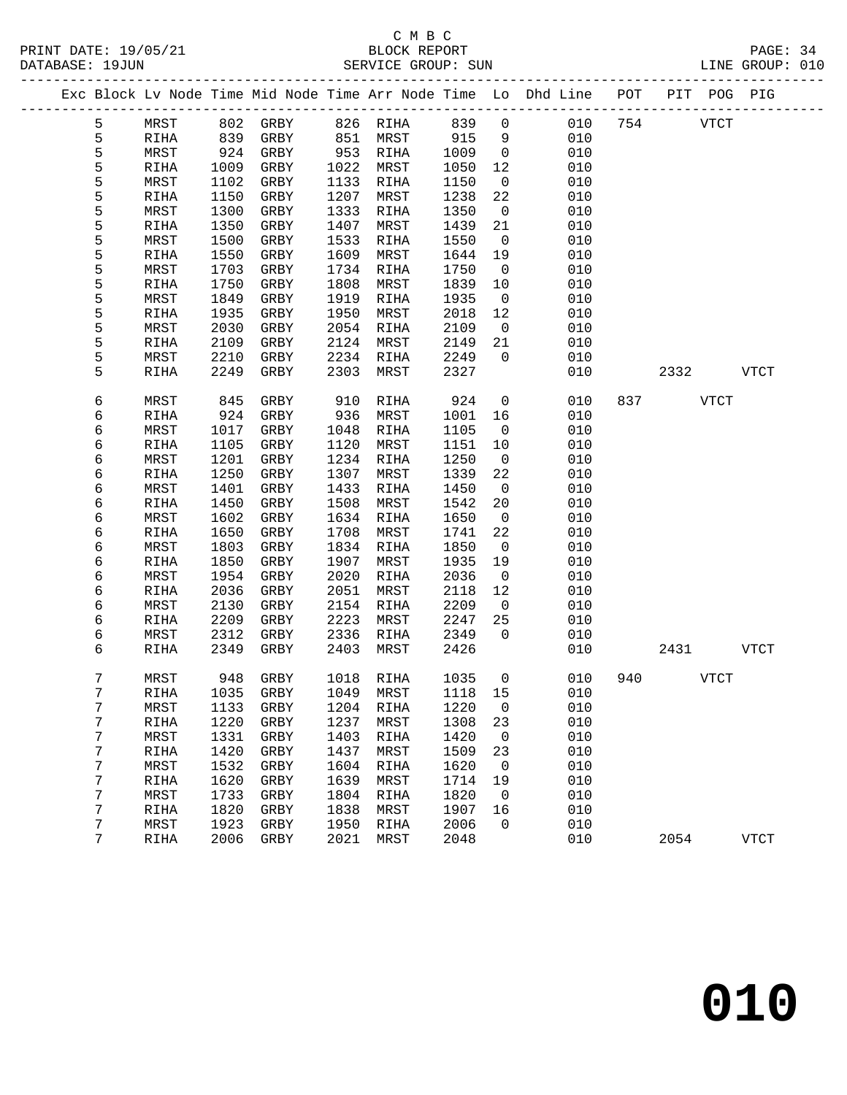## C M B C<br>BLOCK REPORT

|  |   |      |      |              |      |           |        |                          | Exc Block Lv Node Time Mid Node Time Arr Node Time Lo Dhd Line | POT | PIT  | POG PIG     |             |
|--|---|------|------|--------------|------|-----------|--------|--------------------------|----------------------------------------------------------------|-----|------|-------------|-------------|
|  | 5 | MRST | 802  | GRBY         |      | 826 RIHA  | 839    | 0                        | 010                                                            | 754 |      | <b>VTCT</b> |             |
|  | 5 | RIHA | 839  | GRBY         | 851  | MRST      | 915    | 9                        | 010                                                            |     |      |             |             |
|  | 5 | MRST | 924  | GRBY         | 953  | RIHA      | 1009   | $\mathsf{O}$             | 010                                                            |     |      |             |             |
|  | 5 | RIHA | 1009 | GRBY         | 1022 | MRST      | 1050   | 12                       | 010                                                            |     |      |             |             |
|  | 5 | MRST | 1102 | GRBY         | 1133 | RIHA      | 1150   | 0                        | 010                                                            |     |      |             |             |
|  | 5 | RIHA | 1150 | GRBY         | 1207 | MRST      | 1238   | 22                       | 010                                                            |     |      |             |             |
|  | 5 | MRST | 1300 | GRBY         | 1333 | RIHA      | 1350   | $\mathbf 0$              | 010                                                            |     |      |             |             |
|  | 5 | RIHA | 1350 | GRBY         | 1407 | MRST      | 1439   | 21                       | 010                                                            |     |      |             |             |
|  | 5 | MRST | 1500 | GRBY         | 1533 | RIHA      | 1550   | 0                        | 010                                                            |     |      |             |             |
|  | 5 | RIHA | 1550 | GRBY         | 1609 | MRST      | 1644   | 19                       | 010                                                            |     |      |             |             |
|  | 5 | MRST | 1703 | GRBY         | 1734 | RIHA      | 1750   | $\mathbf 0$              | 010                                                            |     |      |             |             |
|  | 5 | RIHA | 1750 | GRBY         | 1808 | MRST      | 1839   | 10                       | 010                                                            |     |      |             |             |
|  | 5 | MRST | 1849 | GRBY         | 1919 | RIHA      | 1935   | 0                        | 010                                                            |     |      |             |             |
|  | 5 | RIHA | 1935 | GRBY         | 1950 | MRST      | 2018   | 12                       | 010                                                            |     |      |             |             |
|  | 5 | MRST | 2030 | GRBY         | 2054 | RIHA      | 2109   | $\mathbf 0$              | 010                                                            |     |      |             |             |
|  | 5 | RIHA | 2109 | GRBY         | 2124 | MRST      | 2149   | 21                       | 010                                                            |     |      |             |             |
|  | 5 | MRST | 2210 | GRBY         | 2234 | RIHA      | 2249   | 0                        | 010                                                            |     |      |             |             |
|  | 5 | RIHA | 2249 | GRBY         | 2303 | MRST      | 2327   |                          | 010                                                            |     | 2332 |             | <b>VTCT</b> |
|  | 6 | MRST | 845  | ${\tt GRBY}$ | 910  | RIHA      | 924    | $\mathsf{O}$             | 010                                                            | 837 |      | <b>VTCT</b> |             |
|  | 6 | RIHA | 924  | GRBY         | 936  | MRST      | 1001   | 16                       | 010                                                            |     |      |             |             |
|  | 6 | MRST | 1017 | GRBY         | 1048 | RIHA      | 1105   | 0                        | 010                                                            |     |      |             |             |
|  | 6 | RIHA | 1105 | GRBY         | 1120 | MRST      | 1151   | 10                       | 010                                                            |     |      |             |             |
|  | 6 | MRST | 1201 | GRBY         | 1234 | RIHA      | 1250   | $\mathbf 0$              | 010                                                            |     |      |             |             |
|  | 6 | RIHA | 1250 | GRBY         | 1307 | MRST      | 1339   | 22                       | 010                                                            |     |      |             |             |
|  | 6 | MRST | 1401 | GRBY         | 1433 | RIHA      | 1450   | 0                        | 010                                                            |     |      |             |             |
|  | 6 | RIHA | 1450 | GRBY         | 1508 | MRST      | 1542   | 20                       | 010                                                            |     |      |             |             |
|  | 6 | MRST | 1602 | GRBY         | 1634 | RIHA      | 1650   | $\mathbf 0$              | 010                                                            |     |      |             |             |
|  | 6 | RIHA | 1650 | GRBY         | 1708 | MRST      | 1741   | 22                       | 010                                                            |     |      |             |             |
|  | 6 | MRST | 1803 | GRBY         | 1834 | RIHA      | 1850   | 0                        | 010                                                            |     |      |             |             |
|  | 6 | RIHA | 1850 | GRBY         | 1907 | MRST      | 1935   | 19                       | 010                                                            |     |      |             |             |
|  | 6 | MRST | 1954 | GRBY         | 2020 | RIHA      | 2036   | $\mathbf 0$              | 010                                                            |     |      |             |             |
|  | 6 | RIHA | 2036 | GRBY         | 2051 | MRST      | 2118   | 12                       | 010                                                            |     |      |             |             |
|  | 6 | MRST | 2130 | GRBY         | 2154 | RIHA      | 2209   | 0                        | 010                                                            |     |      |             |             |
|  | 6 | RIHA | 2209 | GRBY         | 2223 | MRST      | 2247   | 25                       | 010                                                            |     |      |             |             |
|  | 6 | MRST | 2312 | GRBY         | 2336 | RIHA      | 2349   | 0                        | 010                                                            |     |      |             |             |
|  | 6 | RIHA | 2349 | GRBY         | 2403 | MRST      | 2426   |                          | 010                                                            |     | 2431 |             | <b>VTCT</b> |
|  | 7 | MRST | 948  | GRBY         | 1018 | RIHA      | 1035   | $\mathsf{O}$             | 010                                                            | 940 |      | VTCT        |             |
|  | 7 | RIHA | 1035 | GRBY         | 1049 | MRST      | 1118   | 15                       | 010                                                            |     |      |             |             |
|  | 7 | MRST |      | 1133 GRBY    |      | 1204 RIHA | 1220 0 |                          | 010                                                            |     |      |             |             |
|  | 7 | RIHA | 1220 | GRBY         | 1237 | MRST      | 1308   | 23                       | 010                                                            |     |      |             |             |
|  | 7 | MRST | 1331 | GRBY         | 1403 | RIHA      | 1420   | $\overline{0}$           | 010                                                            |     |      |             |             |
|  | 7 | RIHA | 1420 | GRBY         | 1437 | MRST      | 1509   | 23                       | 010                                                            |     |      |             |             |
|  | 7 | MRST | 1532 | GRBY         | 1604 | RIHA      | 1620   | $\mathbf 0$              | 010                                                            |     |      |             |             |
|  | 7 | RIHA | 1620 | GRBY         | 1639 | MRST      | 1714   | 19                       | 010                                                            |     |      |             |             |
|  | 7 | MRST | 1733 | GRBY         | 1804 | RIHA      | 1820   | $\overline{\phantom{0}}$ | 010                                                            |     |      |             |             |
|  | 7 | RIHA | 1820 | GRBY         | 1838 | MRST      | 1907   | 16                       | 010                                                            |     |      |             |             |
|  | 7 | MRST | 1923 | GRBY         | 1950 | RIHA      | 2006   | 0                        | 010                                                            |     |      |             |             |
|  | 7 | RIHA | 2006 | GRBY         | 2021 | MRST      | 2048   |                          | 010                                                            |     | 2054 |             | <b>VTCT</b> |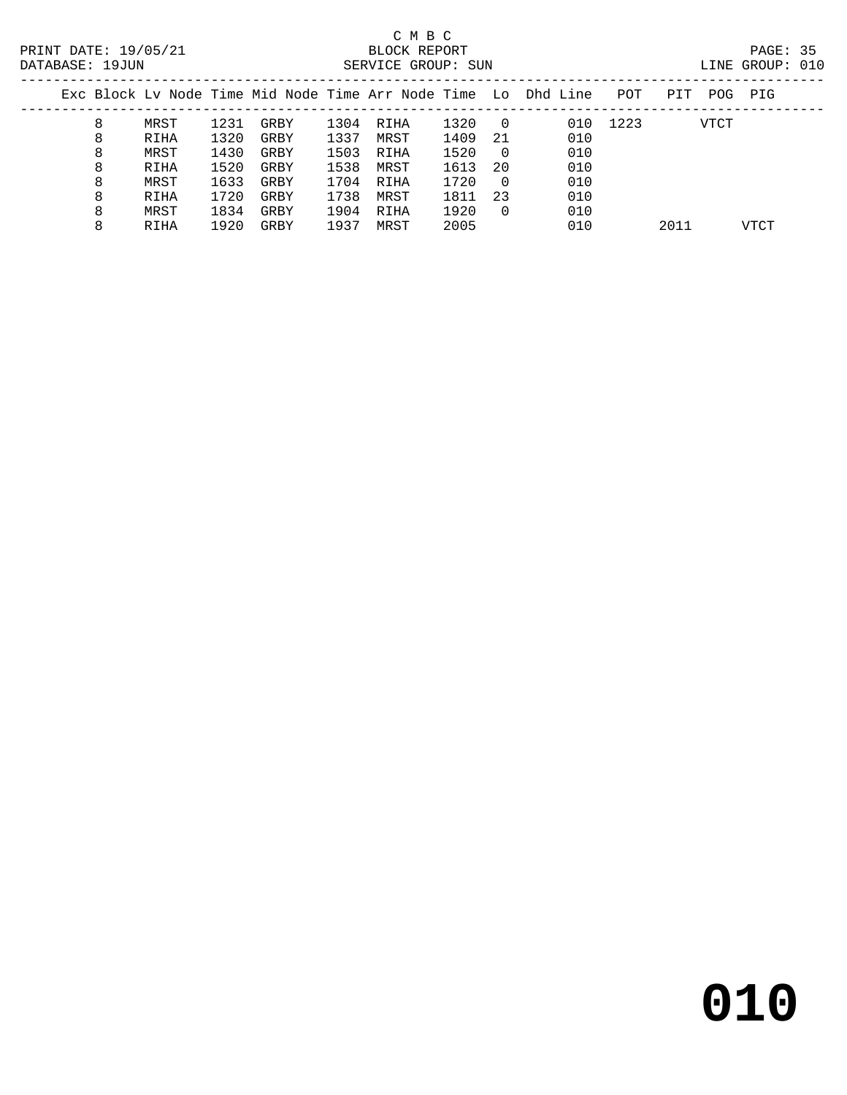# C M B C

| DATABASE: | ⊥9JUN | SERVICE | GROUP: | SUN | $\sqcup$ INE | GROUP. | UIU |
|-----------|-------|---------|--------|-----|--------------|--------|-----|
|           |       |         |        |     |              |        |     |

|  |   |      |      |      |      |      |      |                | Exc Block Ly Node Time Mid Node Time Arr Node Time Lo Dhd Line | POT  | PIT  | POG  | PIG  |
|--|---|------|------|------|------|------|------|----------------|----------------------------------------------------------------|------|------|------|------|
|  | 8 | MRST | 1231 | GRBY | 1304 | RIHA | 1320 | $\overline{0}$ | 010                                                            | 1223 |      | VTCT |      |
|  | 8 | RIHA | 1320 | GRBY | 1337 | MRST | 1409 | -21            | 010                                                            |      |      |      |      |
|  | 8 | MRST | 1430 | GRBY | 1503 | RIHA | 1520 | - 0            | 010                                                            |      |      |      |      |
|  | 8 | RIHA | 1520 | GRBY | 1538 | MRST | 1613 | 20             | 010                                                            |      |      |      |      |
|  | 8 | MRST | 1633 | GRBY | 1704 | RIHA | 1720 | $\overline{0}$ | 010                                                            |      |      |      |      |
|  | 8 | RIHA | 1720 | GRBY | 1738 | MRST | 1811 | 23             | 010                                                            |      |      |      |      |
|  | 8 | MRST | 1834 | GRBY | 1904 | RIHA | 1920 | $\Omega$       | 010                                                            |      |      |      |      |
|  | 8 | RIHA | 1920 | GRBY | 1937 | MRST | 2005 |                | 010                                                            |      | 2011 |      | VTCT |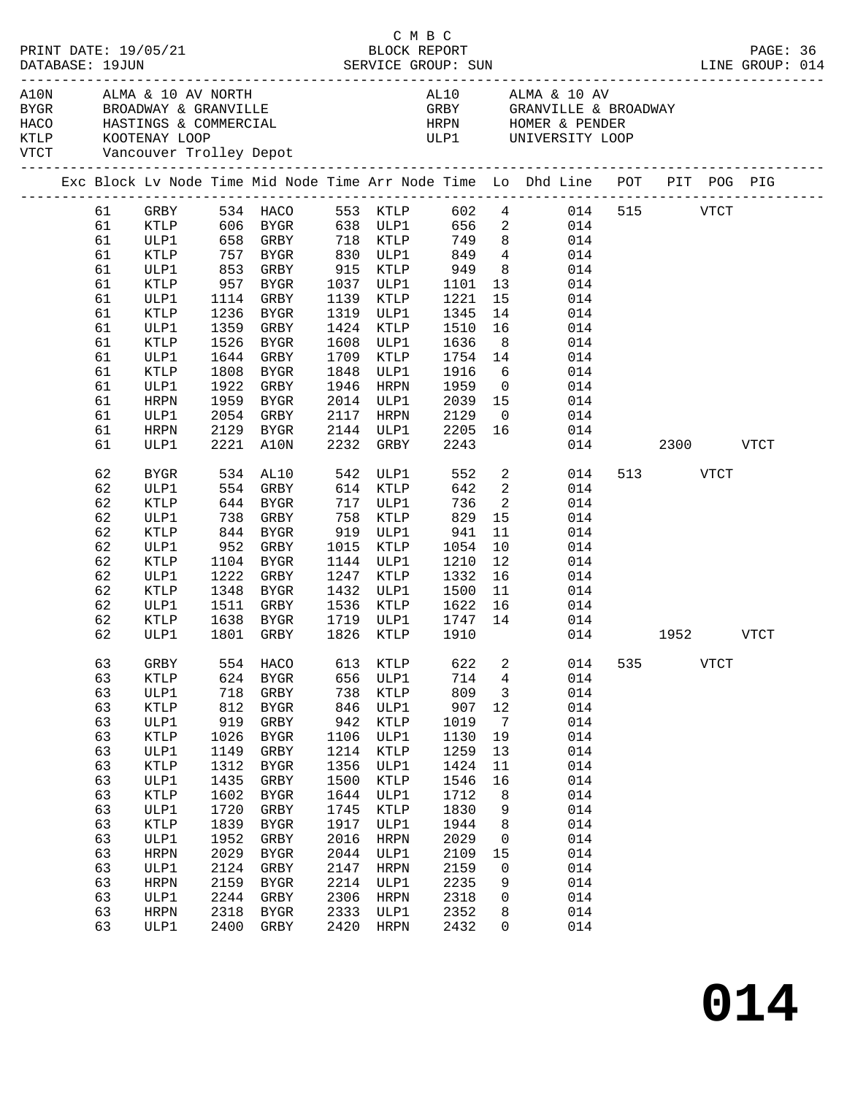| PRINT DATE: 19/05/21<br>BLOCK REPORT BLOCK PERT BLOCK PERRIT DATABASE: 19JUN SERVICE GROUP: SUN LINE GROUP: 014<br>PRINT DATE: 19/05/21<br>DATABASE: 19JUN |                              |                     |            |                      |      | C M B C              |              |                         |                                                                                                          |     |               |             |  |
|------------------------------------------------------------------------------------------------------------------------------------------------------------|------------------------------|---------------------|------------|----------------------|------|----------------------|--------------|-------------------------|----------------------------------------------------------------------------------------------------------|-----|---------------|-------------|--|
|                                                                                                                                                            | VTCT Vancouver Trolley Depot |                     |            |                      |      |                      |              |                         |                                                                                                          |     |               |             |  |
|                                                                                                                                                            |                              |                     |            |                      |      |                      |              |                         | Exc Block Lv Node Time Mid Node Time Arr Node Time Lo Dhd Line POT PIT POG PIG                           |     |               |             |  |
|                                                                                                                                                            | 61                           | GRBY                |            |                      |      |                      |              |                         | 534 HACO 553 KTLP 602 4 014                                                                              |     | 515 VTCT      |             |  |
|                                                                                                                                                            | 61                           |                     |            |                      |      |                      |              |                         | XTLP 606 BYGR 638 ULP1 656 2 014<br>ULP1 658 GRBY 718 KTLP 749 8 014<br>XTLP 757 BYGR 830 ULP1 849 4 014 |     |               |             |  |
|                                                                                                                                                            | 61                           |                     |            |                      |      |                      |              |                         |                                                                                                          |     |               |             |  |
|                                                                                                                                                            | 61                           |                     |            |                      |      | 830 ULP1             |              |                         |                                                                                                          |     |               |             |  |
|                                                                                                                                                            | 61                           | ULP1                |            | 853 GRBY             |      | 915 KTLP             | 949          |                         | 8 014                                                                                                    |     |               |             |  |
|                                                                                                                                                            | 61                           | KTLP                | 957        | BYGR                 |      | 1037 ULP1            | 1101<br>1221 |                         | $\begin{array}{cc} 13 & 014 \\ 15 & 014 \end{array}$                                                     |     |               |             |  |
|                                                                                                                                                            | 61                           | ULP1                |            | 1114 GRBY            |      | 1139 KTLP            |              | 15                      | 014                                                                                                      |     |               |             |  |
|                                                                                                                                                            | 61                           | KTLP                | 1236       | BYGR                 | 1319 | ULP1                 | 1345         | 14                      | 014                                                                                                      |     |               |             |  |
|                                                                                                                                                            | 61                           | ULP1                | 1359       | GRBY                 | 1424 | KTLP                 | 1510         | 16                      | 014                                                                                                      |     |               |             |  |
|                                                                                                                                                            | 61                           | KTLP                | 1526       | BYGR                 | 1608 | ULP1                 | 1636<br>1754 | 8 <sup>8</sup>          | 014                                                                                                      |     |               |             |  |
|                                                                                                                                                            | 61                           | ULP1                | 1644       | GRBY                 | 1709 | KTLP                 |              | 14                      | 014                                                                                                      |     |               |             |  |
|                                                                                                                                                            | 61                           | KTLP                | 1808       | BYGR                 | 1848 | ULP1                 | 1916         | 6                       | 014                                                                                                      |     |               |             |  |
|                                                                                                                                                            | 61                           | ULP1                | 1922       | GRBY                 | 1946 | HRPN                 | 1959         | $\overline{0}$          | 014                                                                                                      |     |               |             |  |
|                                                                                                                                                            | 61                           | HRPN                | 1959       | BYGR                 | 2014 | ULP1                 | 2039         | 15                      | 014                                                                                                      |     |               |             |  |
|                                                                                                                                                            | 61                           | ULP1                | 2054       | GRBY                 | 2117 | HRPN                 | 2129         |                         | 014                                                                                                      |     |               |             |  |
|                                                                                                                                                            | 61                           | HRPN                | 2129       | BYGR                 |      | 2144 ULP1            | 2205         |                         | $\begin{array}{c} 0 \\ 1.6 \end{array}$<br>014                                                           |     |               |             |  |
|                                                                                                                                                            | 61                           | ULP1                |            | 2221 A10N            | 2232 | GRBY                 | 2243         |                         |                                                                                                          |     | 014 2300 VTCT |             |  |
|                                                                                                                                                            | 62                           | BYGR                |            | 534 AL10<br>554 GRBY |      | 542 ULP1<br>614 KTLP | 552          |                         | $\frac{2}{2}$<br>014                                                                                     |     | 513 VTCT      |             |  |
|                                                                                                                                                            | 62                           | ULP1                |            |                      |      |                      | 642          |                         | 014                                                                                                      |     |               |             |  |
|                                                                                                                                                            | 62                           | KTLP                |            | 644 BYGR             |      | 717 ULP1             | 736          | $\overline{\mathbf{2}}$ | 014                                                                                                      |     |               |             |  |
|                                                                                                                                                            | 62                           | ULP1                | 738        | GRBY                 | 758  | KTLP                 | 829          | 15                      | 014                                                                                                      |     |               |             |  |
|                                                                                                                                                            | 62                           | KTLP                | 844<br>952 | BYGR                 |      | 919 ULP1             | 941          | 11                      | 014                                                                                                      |     |               |             |  |
|                                                                                                                                                            | 62                           | ULP1                |            | GRBY                 | 1015 | KTLP                 | 1054         | 10                      | 014                                                                                                      |     |               |             |  |
|                                                                                                                                                            | 62                           | KTLP                |            | 1104 BYGR            |      | 1144 ULP1            | 1210         | 12                      | 014                                                                                                      |     |               |             |  |
|                                                                                                                                                            | 62                           | ULP1                | 1222       | GRBY                 | 1247 | KTLP                 | 1332         | 16                      | 014                                                                                                      |     |               |             |  |
|                                                                                                                                                            | 62                           | KTLP                | 1348       | BYGR                 | 1432 | ULP1                 | 1500         |                         | $\frac{11}{15}$<br>014                                                                                   |     |               |             |  |
|                                                                                                                                                            | 62                           | ULP1                |            | 1511 GRBY            | 1536 | KTLP                 | 1622         | 16                      | 014                                                                                                      |     |               |             |  |
|                                                                                                                                                            | 62                           | KTLP                | 1638       | BYGR                 |      | 1719 ULP1            | 1747         | 14                      | 014                                                                                                      |     |               |             |  |
|                                                                                                                                                            | 62                           | ULP1                |            | 1801 GRBY            | 1826 | KTLP                 | 1910         |                         |                                                                                                          |     | 014 1952 VTCT |             |  |
|                                                                                                                                                            | 63                           | GRBY                | 554        | HACO                 | 613  | KTLP                 | 622          | 2                       | 014                                                                                                      | 535 |               | <b>VTCT</b> |  |
|                                                                                                                                                            | 63                           | <b>KTLP</b>         | 624        | ${\tt BYGR}$         | 656  | ULP1                 | 714          | 4                       | 014                                                                                                      |     |               |             |  |
|                                                                                                                                                            | 63                           | ULP1                | 718        | GRBY                 | 738  | KTLP                 | 809          | 3                       | 014                                                                                                      |     |               |             |  |
|                                                                                                                                                            | 63                           | <b>KTLP</b>         | 812        | ${\tt BYGR}$         | 846  | ULP1                 | 907          | $12$                    | 014                                                                                                      |     |               |             |  |
|                                                                                                                                                            | 63                           | ULP1                | 919        | ${\tt GRBY}$         | 942  | KTLP                 | 1019         | $7\phantom{.0}$         | 014                                                                                                      |     |               |             |  |
|                                                                                                                                                            | 63                           | <b>KTLP</b>         | 1026       | ${\tt BYGR}$         | 1106 | ULP1                 | 1130         | 19                      | 014                                                                                                      |     |               |             |  |
|                                                                                                                                                            | 63                           | ULP1                | 1149       | GRBY                 | 1214 | KTLP                 | 1259         | 13                      | 014                                                                                                      |     |               |             |  |
|                                                                                                                                                            | 63                           | <b>KTLP</b>         | 1312       | ${\tt BYGR}$         | 1356 | ULP1                 | 1424         | 11                      | 014                                                                                                      |     |               |             |  |
|                                                                                                                                                            | 63                           | ULP1                | 1435       | ${\tt GRBY}$         | 1500 | KTLP                 | 1546         | 16                      | 014                                                                                                      |     |               |             |  |
|                                                                                                                                                            | 63                           | <b>KTLP</b>         | 1602       | ${\tt BYGR}$         | 1644 | ULP1                 | 1712         |                         | 014                                                                                                      |     |               |             |  |
|                                                                                                                                                            |                              |                     | 1720       | GRBY                 | 1745 |                      | 1830         | 8                       | 014                                                                                                      |     |               |             |  |
|                                                                                                                                                            | 63<br>63                     | ULP1<br><b>KTLP</b> | 1839       | ${\tt BYGR}$         | 1917 | KTLP<br>ULP1         | 1944         | 9<br>8                  | 014                                                                                                      |     |               |             |  |
|                                                                                                                                                            | 63                           |                     | 1952       |                      | 2016 |                      | 2029         |                         | 014                                                                                                      |     |               |             |  |
|                                                                                                                                                            |                              | ULP1                |            | ${\tt GRBY}$         | 2044 | <b>HRPN</b>          |              | 0                       | 014                                                                                                      |     |               |             |  |
|                                                                                                                                                            | 63                           | <b>HRPN</b>         | 2029       | ${\tt BYGR}$         |      | ULP1                 | 2109         | 15                      |                                                                                                          |     |               |             |  |
|                                                                                                                                                            | 63                           | ULP1                | 2124       | GRBY                 | 2147 | <b>HRPN</b>          | 2159         | 0                       | 014                                                                                                      |     |               |             |  |
|                                                                                                                                                            | 63                           | <b>HRPN</b>         | 2159       | <b>BYGR</b>          | 2214 | ULP1                 | 2235         | 9                       | 014                                                                                                      |     |               |             |  |
|                                                                                                                                                            | 63                           | ULP1                | 2244       | ${\tt GRBY}$         | 2306 | <b>HRPN</b>          | 2318         | 0                       | 014                                                                                                      |     |               |             |  |
|                                                                                                                                                            | 63                           | HRPN                | 2318       | ${\tt BYGR}$         | 2333 | ULP1                 | 2352         | 8                       | 014                                                                                                      |     |               |             |  |
|                                                                                                                                                            | 63                           | ULP1                | 2400       | ${\tt GRBY}$         | 2420 | HRPN                 | 2432         | 0                       | 014                                                                                                      |     |               |             |  |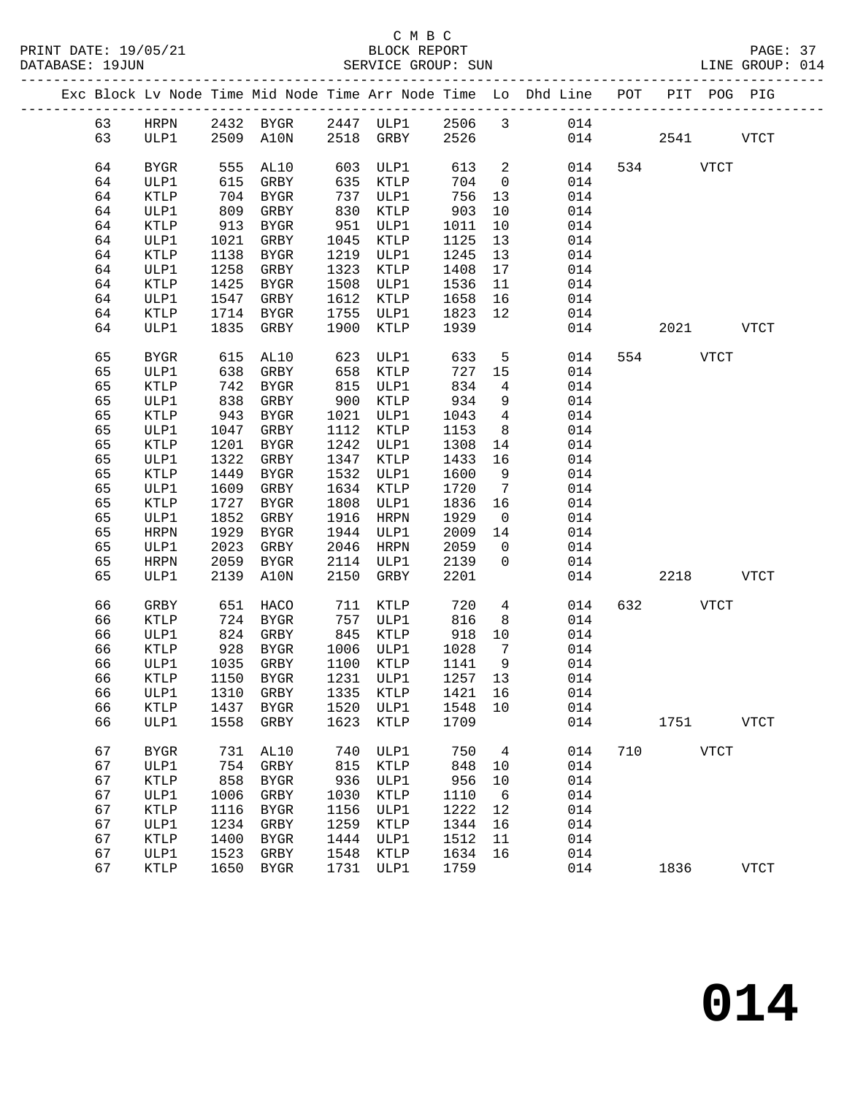## C M B C<br>BLOCK REPORT

| PRINT DATE: 19/05/21<br>DATABASE: 19JUN |    |             |      |                         |      |           |      |                 | 5/21 BLOCK REPORT<br>SERVICE GROUP: SUN                                        |     |          |             | PAGE: 37<br>LINE GROUP: 014 |  |
|-----------------------------------------|----|-------------|------|-------------------------|------|-----------|------|-----------------|--------------------------------------------------------------------------------|-----|----------|-------------|-----------------------------|--|
|                                         |    |             |      |                         |      |           |      |                 | Exc Block Lv Node Time Mid Node Time Arr Node Time Lo Dhd Line POT PIT POG PIG |     |          |             |                             |  |
|                                         |    |             |      |                         |      |           |      |                 | 63 HRPN 2432 BYGR 2447 ULP1 2506 3 014                                         |     |          |             |                             |  |
|                                         | 63 |             |      |                         |      |           |      |                 | ULP1 2509 A10N 2518 GRBY 2526 014 2541 VTCT                                    |     |          |             |                             |  |
|                                         | 64 | BYGR        |      |                         |      |           |      |                 | $\begin{array}{cc} 613 & 2 \\ 704 & 0 \end{array}$<br>014                      |     | 534 VTCT |             |                             |  |
|                                         | 64 | ULP1        |      |                         |      |           |      |                 | 014                                                                            |     |          |             |                             |  |
|                                         | 64 | KTLP        |      | 704 BYGR                |      | 737 ULP1  | 756  | 13              | 014                                                                            |     |          |             |                             |  |
|                                         | 64 | ULP1        |      | 809 GRBY                | 830  | KTLP      | 903  | 10              | 014                                                                            |     |          |             |                             |  |
|                                         | 64 | KTLP        |      | $913$ BYGR<br>1021 2007 |      | 951 ULP1  | 1011 | 10              | 014                                                                            |     |          |             |                             |  |
|                                         | 64 | ULP1        |      | 1021 GRBY               | 1045 | KTLP      | 1125 | 13              | 014                                                                            |     |          |             |                             |  |
|                                         | 64 | KTLP        |      | 1138 BYGR               |      | 1219 ULP1 | 1245 | 13              | 014                                                                            |     |          |             |                             |  |
|                                         | 64 | ULP1        | 1258 | GRBY                    |      | 1323 KTLP | 1408 | 17              | 014                                                                            |     |          |             |                             |  |
|                                         | 64 | KTLP        | 1425 | BYGR                    |      | 1508 ULP1 | 1536 | 11              | 014                                                                            |     |          |             |                             |  |
|                                         | 64 | ULP1        |      | 1547 GRBY               |      | 1612 KTLP | 1658 | 16              | 014                                                                            |     |          |             |                             |  |
|                                         | 64 | KTLP        |      | 1714 BYGR               |      | 1755 ULP1 | 1823 | 12              | 014                                                                            |     |          |             |                             |  |
|                                         | 64 | ULP1        |      | 1835 GRBY               | 1900 | KTLP      | 1939 |                 |                                                                                | 014 |          | 2021 2022   | <b>VTCT</b>                 |  |
|                                         | 65 | BYGR        |      | 615 AL10 623            |      | ULP1      | 633  |                 | 5 <sub>5</sub><br>014                                                          |     | 554 VTCT |             |                             |  |
|                                         | 65 | ULP1        |      | $638$ GRBY $658$ KTLP   |      |           | 727  | 15              | 014                                                                            |     |          |             |                             |  |
|                                         | 65 | KTLP        |      | 742 BYGR                |      | 815 ULP1  | 834  | $\overline{4}$  | 014                                                                            |     |          |             |                             |  |
|                                         | 65 | ULP1        | 838  | GRBY                    | 900  | KTLP      | 934  | 9               | 014                                                                            |     |          |             |                             |  |
|                                         | 65 | KTLP        |      | 943 BYGR                |      | 1021 ULP1 | 1043 | $4\overline{4}$ | 014                                                                            |     |          |             |                             |  |
|                                         | 65 | ULP1        |      | 1047 GRBY               |      | 1112 KTLP | 1153 |                 | 8<br>014                                                                       |     |          |             |                             |  |
|                                         | 65 | KTLP        |      | 1201 BYGR               |      | 1242 ULP1 | 1308 | 14              | 014                                                                            |     |          |             |                             |  |
|                                         | 65 | ULP1        | 1322 | GRBY                    |      | 1347 KTLP | 1433 | 16              | 014                                                                            |     |          |             |                             |  |
|                                         | 65 | KTLP        | 1449 | BYGR                    | 1532 | ULP1      | 1600 | 9               | 014                                                                            |     |          |             |                             |  |
|                                         | 65 | ULP1        |      | 1609 GRBY               |      | 1634 KTLP | 1720 | $\overline{7}$  | 014                                                                            |     |          |             |                             |  |
|                                         | 65 | KTLP        | 1727 | BYGR                    |      | 1808 ULP1 | 1836 | 16              | 014                                                                            |     |          |             |                             |  |
|                                         | 65 | ULP1        | 1852 | GRBY                    | 1916 | HRPN      | 1929 | $\overline{0}$  | 014                                                                            |     |          |             |                             |  |
|                                         | 65 | HRPN        | 1929 | BYGR                    |      | 1944 ULP1 | 2009 | 14              | 014                                                                            |     |          |             |                             |  |
|                                         | 65 | ULP1        | 2023 | GRBY                    |      | 2046 HRPN | 2059 | $\overline{0}$  | 014                                                                            |     |          |             |                             |  |
|                                         | 65 | HRPN        |      | 2059 BYGR               |      | 2114 ULP1 | 2139 | $\overline{0}$  | 014                                                                            |     |          |             |                             |  |
|                                         | 65 | ULP1        |      | 2139 A10N               | 2150 | GRBY      | 2201 |                 |                                                                                | 014 |          | 2218        | VTCT                        |  |
|                                         | 66 | GRBY        |      | 651 HACO 711 KTLP       |      |           | 720  |                 | $4\overline{ }$<br>014                                                         |     | 632 VTCT |             |                             |  |
|                                         | 66 | KTLP        |      | 724 BYGR 757 ULP1       |      |           | 816  |                 | 8<br>014                                                                       |     |          |             |                             |  |
|                                         | 66 | ULP1        |      | 824 GRBY                |      | 845 KTLP  | 918  | 10              | 014                                                                            |     |          |             |                             |  |
|                                         | 66 | KTLP        |      | 928 BYGR                |      | 1006 ULP1 | 1028 | $7\phantom{0}$  | 014                                                                            |     |          |             |                             |  |
|                                         |    |             |      |                         |      |           |      |                 | 66 ULP1 1035 GRBY 1100 KTLP 1141 9 014                                         |     |          |             |                             |  |
|                                         | 66 | KTLP        | 1150 | <b>BYGR</b>             | 1231 | ULP1      | 1257 | 13              | 014                                                                            |     |          |             |                             |  |
|                                         | 66 | ULP1        | 1310 | GRBY                    | 1335 | KTLP      | 1421 | 16              | 014                                                                            |     |          |             |                             |  |
|                                         | 66 | KTLP        | 1437 | BYGR                    | 1520 | ULP1      | 1548 | 10              | 014                                                                            |     |          |             |                             |  |
|                                         | 66 | ULP1        | 1558 | GRBY                    | 1623 | KTLP      | 1709 |                 | 014                                                                            |     | 1751     |             | <b>VTCT</b>                 |  |
|                                         | 67 | <b>BYGR</b> | 731  | AL10                    | 740  | ULP1      | 750  | 4               | 014                                                                            | 710 |          | <b>VTCT</b> |                             |  |
|                                         | 67 | ULP1        | 754  | GRBY                    | 815  | KTLP      | 848  | 10              | 014                                                                            |     |          |             |                             |  |
|                                         | 67 | KTLP        | 858  | BYGR                    | 936  | ULP1      | 956  | 10              | 014                                                                            |     |          |             |                             |  |
|                                         | 67 | ULP1        | 1006 | GRBY                    | 1030 | KTLP      | 1110 | $6\overline{6}$ | 014                                                                            |     |          |             |                             |  |
|                                         | 67 | KTLP        | 1116 | BYGR                    | 1156 | ULP1      | 1222 | 12              | 014                                                                            |     |          |             |                             |  |
|                                         |    |             |      |                         |      |           |      |                 |                                                                                |     |          |             |                             |  |

 67 ULP1 1234 GRBY 1259 KTLP 1344 16 014 67 KTLP 1400 BYGR 1444 ULP1 1512 11 014 67 ULP1 1523 GRBY 1548 KTLP 1634 16 014

67 KTLP 1650 BYGR 1731 ULP1 1759 014 1836 VTCT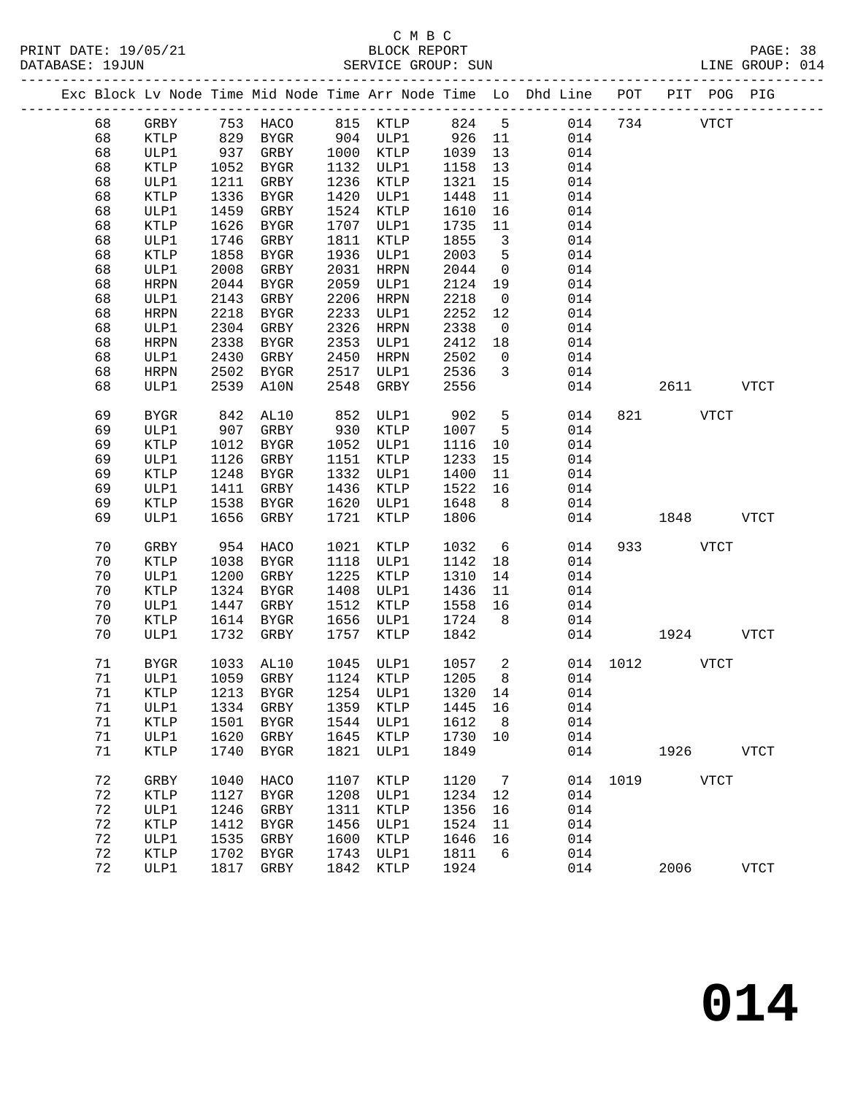# C M B C N B C N B C N B C C M B C

| DATABASE: 19JUN |    |             |      |           |      | SERVICE GROUP: SUN                                                             |        |                         |     | LINE GROUP: 014 |             |           |              |  |
|-----------------|----|-------------|------|-----------|------|--------------------------------------------------------------------------------|--------|-------------------------|-----|-----------------|-------------|-----------|--------------|--|
|                 |    |             |      |           |      | Exc Block Lv Node Time Mid Node Time Arr Node Time Lo Dhd Line POT PIT POG PIG |        |                         |     |                 |             |           |              |  |
|                 | 68 |             |      |           |      | GRBY 753 HACO 815 KTLP 824 5                                                   |        |                         |     | 014 734 VTCT    |             |           |              |  |
|                 | 68 | KTLP        | 829  |           |      | BYGR 904 ULP1 926 11                                                           |        |                         | 014 |                 |             |           |              |  |
|                 | 68 | ULP1        | 937  | GRBY      |      | 1000 KTLP                                                                      | 1039   | 13                      | 014 |                 |             |           |              |  |
|                 | 68 | KTLP        | 1052 | BYGR      |      | 1132 ULP1                                                                      | 1158   | 13                      | 014 |                 |             |           |              |  |
|                 | 68 | ULP1        | 1211 | GRBY      |      | 1236 KTLP                                                                      | 1321   | 15                      | 014 |                 |             |           |              |  |
|                 | 68 | KTLP        | 1336 | BYGR      |      | 1420 ULP1                                                                      | 1448   | 11                      | 014 |                 |             |           |              |  |
|                 | 68 | ULP1        | 1459 | GRBY      |      | 1524 KTLP                                                                      | 1610   | 16                      | 014 |                 |             |           |              |  |
|                 | 68 | KTLP        | 1626 | BYGR      |      | 1707 ULP1                                                                      | 1735   | 11                      | 014 |                 |             |           |              |  |
|                 | 68 | ULP1        | 1746 | GRBY      | 1811 | KTLP                                                                           | 1855   | $\overline{\mathbf{3}}$ | 014 |                 |             |           |              |  |
|                 | 68 | KTLP        | 1858 | BYGR      | 1936 | ULP1                                                                           | 2003   | $5^{\circ}$             | 014 |                 |             |           |              |  |
|                 | 68 | ULP1        | 2008 | GRBY      | 2031 | HRPN                                                                           | 2044   | $\overline{0}$          | 014 |                 |             |           |              |  |
|                 | 68 | HRPN        | 2044 | BYGR      | 2059 | ULP1                                                                           | 2124   | 19                      | 014 |                 |             |           |              |  |
|                 | 68 | ULP1        | 2143 | GRBY      | 2206 | HRPN                                                                           | 2218   | $\overline{0}$          | 014 |                 |             |           |              |  |
|                 | 68 | HRPN        | 2218 | BYGR      | 2233 | ULP1                                                                           | 2252   | 12                      | 014 |                 |             |           |              |  |
|                 | 68 | ULP1        | 2304 | GRBY      | 2326 | HRPN                                                                           | 2338   | $\overline{0}$          | 014 |                 |             |           |              |  |
|                 | 68 | HRPN        | 2338 | BYGR      | 2353 | ULP1                                                                           | 2412   | 18                      | 014 |                 |             |           |              |  |
|                 | 68 | ULP1        | 2430 | GRBY      | 2450 | HRPN                                                                           | 2502   | $\overline{0}$          | 014 |                 |             |           |              |  |
|                 | 68 | HRPN        |      | 2502 BYGR | 2517 | ULP1                                                                           | 2536   | $\overline{3}$          | 014 |                 |             |           |              |  |
|                 | 68 | ULP1        |      | 2539 A10N | 2548 | GRBY                                                                           | 2556   |                         | 014 |                 |             | 2611 VTCT |              |  |
|                 | 69 | BYGR        | 842  | AL10      | 852  | ULP1                                                                           | 902    | $5\overline{)}$         | 014 |                 | 821 VTCT    |           |              |  |
|                 | 69 | ULP1        | 907  | GRBY      |      | 930 KTLP                                                                       | 1007   | $5^{\circ}$             | 014 |                 |             |           |              |  |
|                 | 69 | KTLP        | 1012 | BYGR      |      | 1052 ULP1                                                                      | 1116   | 10                      | 014 |                 |             |           |              |  |
|                 | 69 | ULP1        | 1126 | GRBY      | 1151 | KTLP                                                                           | 1233   | 15                      | 014 |                 |             |           |              |  |
|                 | 69 | KTLP        | 1248 | BYGR      | 1332 | ULP1                                                                           | 1400   | 11                      | 014 |                 |             |           |              |  |
|                 | 69 | ULP1        | 1411 | GRBY      | 1436 | KTLP                                                                           | 1522   | 16                      | 014 |                 |             |           |              |  |
|                 | 69 | KTLP        | 1538 | BYGR      | 1620 | ULP1                                                                           | 1648   | 8 <sup>8</sup>          | 014 |                 |             |           |              |  |
|                 | 69 | ULP1        | 1656 | GRBY      | 1721 | KTLP                                                                           | 1806   |                         | 014 |                 |             | 1848 VTCT |              |  |
|                 | 70 | GRBY        | 954  | HACO      | 1021 | KTLP                                                                           | 1032   | $6\overline{6}$         | 014 |                 | 933 VTCT    |           |              |  |
|                 | 70 | KTLP        | 1038 | BYGR      |      | 1118 ULP1                                                                      | 1142   | 18                      | 014 |                 |             |           |              |  |
|                 | 70 | ULP1        | 1200 | GRBY      | 1225 | KTLP                                                                           | 1310   | 14                      | 014 |                 |             |           |              |  |
|                 | 70 | KTLP        | 1324 | BYGR      | 1408 | ULP1                                                                           | 1436   | 11                      | 014 |                 |             |           |              |  |
|                 | 70 | ULP1        | 1447 | GRBY      | 1512 | KTLP                                                                           | 1558   | 16                      | 014 |                 |             |           |              |  |
|                 | 70 | KTLP        | 1614 | BYGR      | 1656 | ULP1                                                                           | 1724   | 8 <sup>8</sup>          | 014 |                 |             |           |              |  |
|                 | 70 | ULP1        | 1732 | GRBY      | 1757 | KTLP                                                                           | 1842   |                         |     | 014             | 1924 VTCT   |           |              |  |
|                 | 71 | BYGR        |      | 1033 AL10 |      | 1045 ULP1                                                                      | 1057 2 |                         |     | 014 1012 VTCT   |             |           |              |  |
|                 | 71 |             |      |           |      | ULP1 1059 GRBY 1124 KTLP 1205 8 014                                            |        |                         |     |                 |             |           |              |  |
|                 | 71 | KTLP        | 1213 | BYGR      |      | 1254 ULP1                                                                      | 1320   | 14                      | 014 |                 |             |           |              |  |
|                 | 71 | ULP1        | 1334 | GRBY      | 1359 | KTLP                                                                           | 1445   | 16                      | 014 |                 |             |           |              |  |
|                 | 71 | KTLP        | 1501 | BYGR      | 1544 | ULP1                                                                           | 1612   | 8 <sup>8</sup>          | 014 |                 |             |           |              |  |
|                 | 71 | ULP1        | 1620 | GRBY      | 1645 | KTLP                                                                           | 1730   | 10                      | 014 |                 |             |           |              |  |
|                 | 71 | KTLP        | 1740 | BYGR      | 1821 | ULP1                                                                           | 1849   |                         | 014 |                 | 1926        |           | <b>VTCT</b>  |  |
|                 | 72 | GRBY        | 1040 | HACO      | 1107 | KTLP                                                                           | 1120   | $\overline{7}$          |     | 014 1019        | <b>VTCT</b> |           |              |  |
|                 | 72 | <b>KTLP</b> | 1127 | BYGR      | 1208 | ULP1                                                                           | 1234   | 12                      | 014 |                 |             |           |              |  |
|                 | 72 | ULP1        | 1246 | GRBY      | 1311 | KTLP                                                                           | 1356   | 16                      | 014 |                 |             |           |              |  |
|                 | 72 | KTLP        | 1412 | BYGR      | 1456 | ULP1                                                                           | 1524   | 11                      | 014 |                 |             |           |              |  |
|                 | 72 | ULP1        | 1535 | GRBY      | 1600 | KTLP                                                                           | 1646   | 16                      | 014 |                 |             |           |              |  |
|                 | 72 | KTLP        | 1702 | BYGR      | 1743 | ULP1                                                                           | 1811   | 6                       | 014 |                 |             |           |              |  |
|                 | 72 | ULP1        | 1817 | GRBY      | 1842 | KTLP                                                                           | 1924   |                         | 014 |                 | 2006        |           | ${\tt VTCT}$ |  |

**014**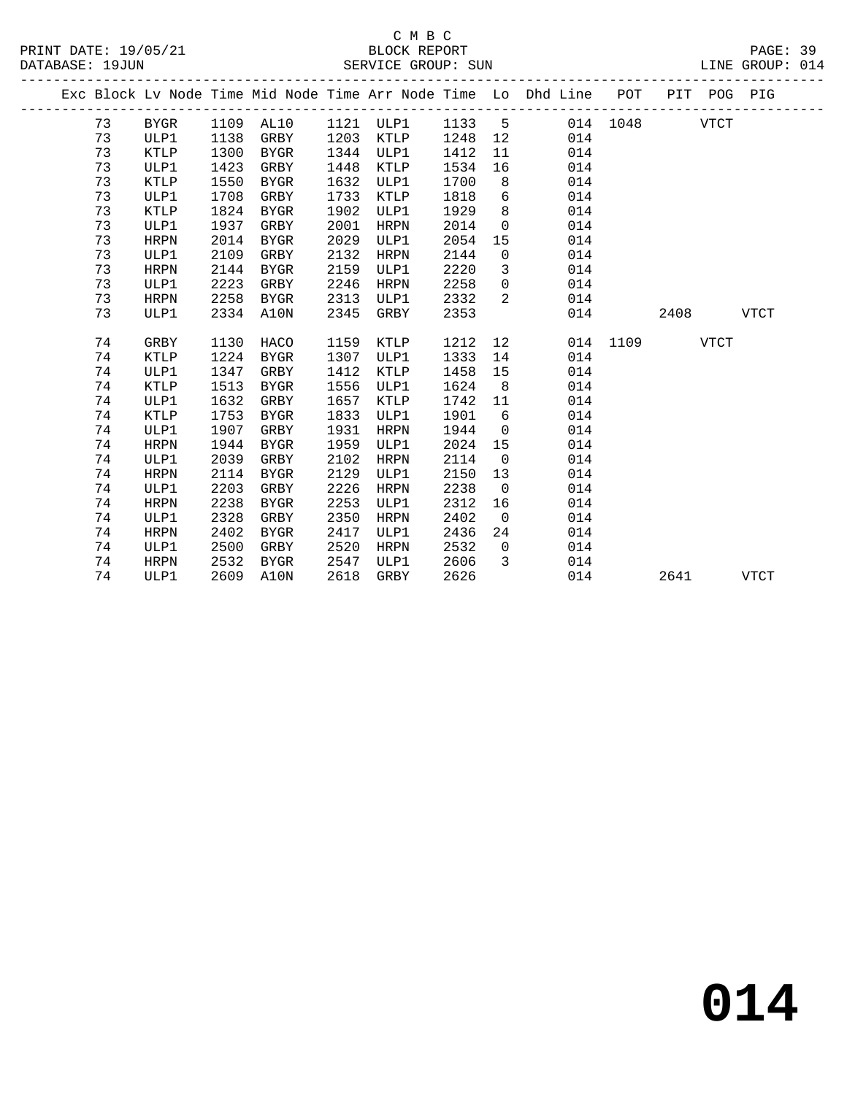|  |    |             |      |             |      |             |      |                 | Exc Block Lv Node Time Mid Node Time Arr Node Time Lo Dhd Line POT |          | PIT POG PIG |             |             |
|--|----|-------------|------|-------------|------|-------------|------|-----------------|--------------------------------------------------------------------|----------|-------------|-------------|-------------|
|  | 73 | BYGR        |      | 1109 AL10   |      | 1121 ULP1   | 1133 | 5               |                                                                    | 014 1048 |             | <b>VTCT</b> |             |
|  | 73 | ULP1        | 1138 | GRBY        | 1203 | KTLP        | 1248 | 12              | 014                                                                |          |             |             |             |
|  | 73 | KTLP        | 1300 | BYGR        | 1344 | ULP1        | 1412 | 11              | 014                                                                |          |             |             |             |
|  | 73 | ULP1        | 1423 | GRBY        | 1448 | KTLP        | 1534 | 16              | 014                                                                |          |             |             |             |
|  | 73 | <b>KTLP</b> | 1550 | BYGR        | 1632 | ULP1        | 1700 | 8               | 014                                                                |          |             |             |             |
|  | 73 | ULP1        | 1708 | GRBY        | 1733 | KTLP        | 1818 | $6\overline{6}$ | 014                                                                |          |             |             |             |
|  | 73 | <b>KTLP</b> | 1824 | BYGR        | 1902 | ULP1        | 1929 | 8               | 014                                                                |          |             |             |             |
|  | 73 | ULP1        | 1937 | GRBY        | 2001 | HRPN        | 2014 | $\overline{0}$  | 014                                                                |          |             |             |             |
|  | 73 | <b>HRPN</b> | 2014 | BYGR        | 2029 | ULP1        | 2054 | 15              | 014                                                                |          |             |             |             |
|  | 73 | ULP1        | 2109 | GRBY        | 2132 | HRPN        | 2144 | $\mathbf 0$     | 014                                                                |          |             |             |             |
|  | 73 | <b>HRPN</b> | 2144 | BYGR        | 2159 | ULP1        | 2220 | $\overline{3}$  | 014                                                                |          |             |             |             |
|  | 73 | ULP1        | 2223 | GRBY        | 2246 | HRPN        | 2258 | $\mathsf{O}$    | 014                                                                |          |             |             |             |
|  | 73 | <b>HRPN</b> | 2258 | BYGR        | 2313 | ULP1        | 2332 | 2               | 014                                                                |          |             |             |             |
|  | 73 | ULP1        | 2334 | A10N        | 2345 | GRBY        | 2353 |                 | 014                                                                |          | 2408        |             | <b>VTCT</b> |
|  |    |             |      |             |      |             |      |                 |                                                                    |          |             |             |             |
|  | 74 | GRBY        | 1130 | HACO        | 1159 | KTLP        | 1212 | 12              |                                                                    | 014 1109 |             | <b>VTCT</b> |             |
|  | 74 | KTLP        | 1224 | BYGR        | 1307 | ULP1        | 1333 | 14              | 014                                                                |          |             |             |             |
|  | 74 | ULP1        | 1347 | GRBY        | 1412 | KTLP        | 1458 | 15              | 014                                                                |          |             |             |             |
|  | 74 | KTLP        | 1513 | BYGR        | 1556 | ULP1        | 1624 | 8 <sup>8</sup>  | 014                                                                |          |             |             |             |
|  | 74 | ULP1        | 1632 | GRBY        | 1657 | KTLP        | 1742 | 11              | 014                                                                |          |             |             |             |
|  | 74 | <b>KTLP</b> | 1753 | BYGR        | 1833 | ULP1        | 1901 | 6               | 014                                                                |          |             |             |             |
|  | 74 | ULP1        | 1907 | GRBY        | 1931 | <b>HRPN</b> | 1944 | $\overline{0}$  | 014                                                                |          |             |             |             |
|  | 74 | <b>HRPN</b> | 1944 | BYGR        | 1959 | ULP1        | 2024 | 15              | 014                                                                |          |             |             |             |
|  | 74 | ULP1        | 2039 | GRBY        | 2102 | <b>HRPN</b> | 2114 | $\overline{0}$  | 014                                                                |          |             |             |             |
|  | 74 | <b>HRPN</b> | 2114 | <b>BYGR</b> | 2129 | ULP1        | 2150 | 13              | 014                                                                |          |             |             |             |
|  | 74 | ULP1        | 2203 | GRBY        | 2226 | HRPN        | 2238 | $\overline{0}$  | 014                                                                |          |             |             |             |
|  | 74 | <b>HRPN</b> | 2238 | <b>BYGR</b> | 2253 | ULP1        | 2312 | 16              | 014                                                                |          |             |             |             |
|  | 74 | ULP1        | 2328 | GRBY        | 2350 | HRPN        | 2402 | $\overline{0}$  | 014                                                                |          |             |             |             |
|  | 74 | <b>HRPN</b> | 2402 | BYGR        | 2417 | ULP1        | 2436 | 24              | 014                                                                |          |             |             |             |
|  | 74 | ULP1        | 2500 | GRBY        | 2520 | HRPN        | 2532 | $\overline{0}$  | 014                                                                |          |             |             |             |
|  | 74 | <b>HRPN</b> | 2532 | BYGR        | 2547 | ULP1        | 2606 | 3               | 014                                                                |          |             |             |             |
|  | 74 | ULP1        | 2609 | A10N        | 2618 | GRBY        | 2626 |                 | 014                                                                |          | 2641        |             | <b>VTCT</b> |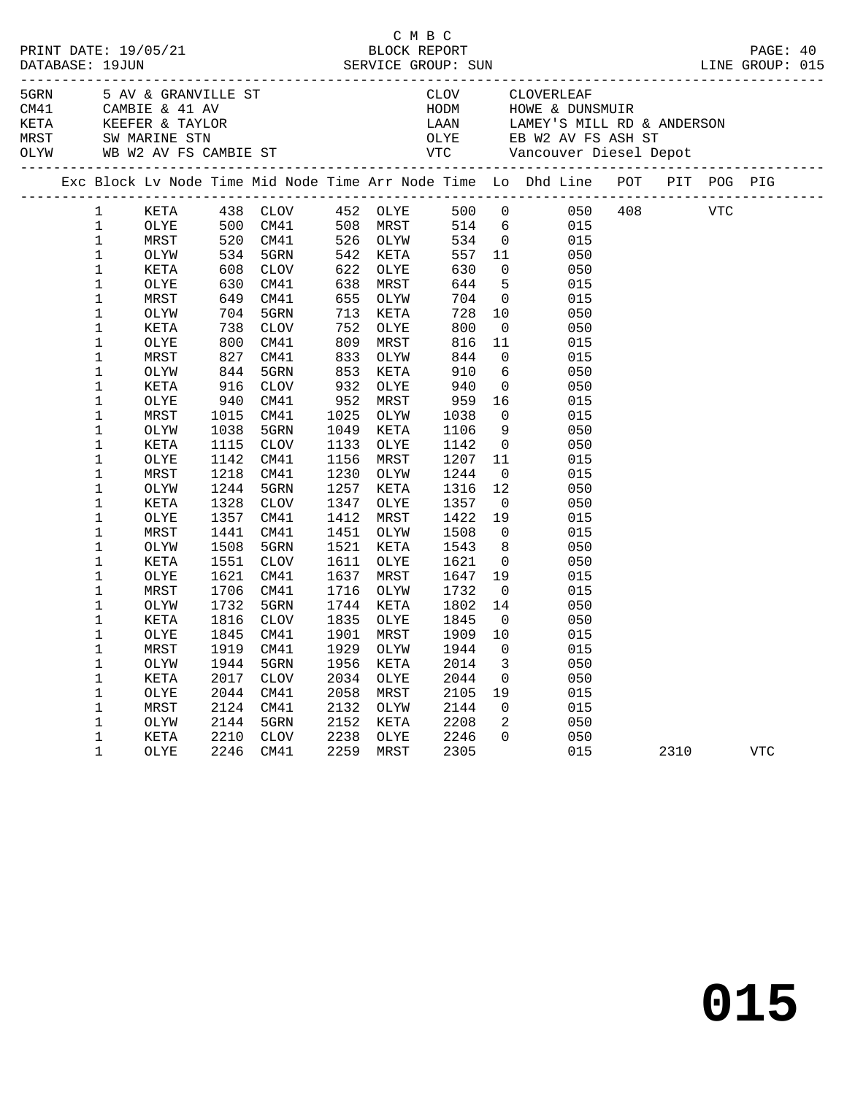|  |                        |              |                     |                                              |              |                        |                                                     |                                      |                                                                                                                                                                                                                                           |          | PAGE: 40 |  |
|--|------------------------|--------------|---------------------|----------------------------------------------|--------------|------------------------|-----------------------------------------------------|--------------------------------------|-------------------------------------------------------------------------------------------------------------------------------------------------------------------------------------------------------------------------------------------|----------|----------|--|
|  |                        |              |                     |                                              |              |                        |                                                     |                                      | EXAMPLE AND THE SAV & GRANVILLE ST<br>CAMBIE & 41 AV MODM HOWE & DUNSMUIR<br>KETA KEEFER & TAYLOR LAAN LAMEY'S MILL RD & ANDERSON<br>MRST SW MARINE STN OLYE EB W2 AV FS ASH ST<br>OLYW WB W2 AV FS CAMBIE ST VTC Vancouver Diesel Dep    |          |          |  |
|  |                        |              |                     |                                              |              |                        |                                                     |                                      | Exc Block Lv Node Time Mid Node Time Arr Node Time Lo Dhd Line POT PIT POG PIG                                                                                                                                                            |          |          |  |
|  | $1 \quad \blacksquare$ |              |                     |                                              |              |                        |                                                     |                                      | XETA 438 CLOV 452 OLYE 500 0 050 408 VTC<br>OLYE 500 CM41 508 MRST 514 6 015<br>MRST 520 CM41 526 OLYW 534 0 015<br>OLYW 534 5GRN 542 KETA 557 11 050<br>XETA 608 CLOV 622 OLYE 630 0 050<br>OLYE 630 CM41 638 MRST 644 5 015<br>MRST 649 |          |          |  |
|  | $\mathbf{1}$           |              |                     |                                              |              |                        |                                                     |                                      |                                                                                                                                                                                                                                           |          |          |  |
|  | $\mathbf{1}$           |              |                     |                                              |              |                        |                                                     |                                      |                                                                                                                                                                                                                                           |          |          |  |
|  | $\mathbf{1}$           |              |                     |                                              |              |                        |                                                     |                                      |                                                                                                                                                                                                                                           |          |          |  |
|  | $\mathbf 1$            |              |                     |                                              |              |                        |                                                     |                                      |                                                                                                                                                                                                                                           |          |          |  |
|  | $\mathbf 1$            |              |                     |                                              |              |                        |                                                     |                                      |                                                                                                                                                                                                                                           |          |          |  |
|  | $\mathbf 1$            |              |                     |                                              |              |                        |                                                     |                                      |                                                                                                                                                                                                                                           |          |          |  |
|  | $\mathbf 1$            | OLYW         |                     | 704 5GRN<br>738 CLOV<br>800 CM41<br>827 CM41 | 713          | KETA                   | 728                                                 |                                      | $\begin{array}{c} 10 \\ 0 \end{array}$<br>050                                                                                                                                                                                             |          |          |  |
|  | $\mathbf 1$            | KETA         |                     |                                              | 752          | OLYE                   | 800                                                 |                                      | 050<br>$\begin{array}{c}\n\mathbf{c} \\ \mathbf{c}\n\end{array}$                                                                                                                                                                          |          |          |  |
|  | $\mathbf 1$            | OLYE         |                     |                                              |              | 809 MRST<br>833 OLYW   | 816                                                 |                                      | 015                                                                                                                                                                                                                                       |          |          |  |
|  | $\mathbf 1$            | MRST         |                     |                                              |              |                        | 844                                                 |                                      | 015                                                                                                                                                                                                                                       |          |          |  |
|  | $\mathbf 1$            | OLYW         | $844$<br>916<br>940 | 5GRN                                         |              | 853 KETA<br>932 OLYE   | 910<br>940                                          | $\begin{matrix} 6 \\ 0 \end{matrix}$ | 050                                                                                                                                                                                                                                       |          |          |  |
|  | $\mathbf 1$            | KETA         |                     | CLOV                                         |              |                        |                                                     |                                      | 050                                                                                                                                                                                                                                       |          |          |  |
|  | $\mathbf 1$            | OLYE         |                     | CM41                                         | 952          | MRST                   | $\begin{array}{c} 2 \\ 959 \\ 1038 \end{array}$     | 16                                   | 015                                                                                                                                                                                                                                       |          |          |  |
|  | $\mathbf 1$            | MRST         | 1015                | CM41                                         |              | 1025 OLYW              |                                                     | $\overline{0}$                       | 015                                                                                                                                                                                                                                       |          |          |  |
|  | $\mathbf{1}$           | OLYW         | 1038                | 5GRN                                         |              | 1049 KETA              | 1106                                                | 9                                    | 050                                                                                                                                                                                                                                       |          |          |  |
|  | $\mathbf 1$            | KETA         | 1115                | CLOV                                         |              | 1133 OLYE              | 1142                                                | $\overline{0}$                       | 050                                                                                                                                                                                                                                       |          |          |  |
|  | $\mathbf 1$<br>$1\,$   | OLYE         | 1142                | CM41                                         |              | 1156 MRST              | 1207 11                                             |                                      | 015                                                                                                                                                                                                                                       |          |          |  |
|  | $\mathbf 1$            | MRST         | 1218<br>1244        | CM41<br>5GRN                                 |              | 1230 OLYW<br>1257 KETA | 1244<br>1316                                        | $\overline{0}$                       | 015                                                                                                                                                                                                                                       |          |          |  |
|  | $\mathbf 1$            | OLYW         |                     |                                              |              |                        |                                                     | 12 <sub>2</sub>                      | 050                                                                                                                                                                                                                                       |          |          |  |
|  | $\mathbf 1$            | KETA         | 1328<br>1357        | CLOV                                         |              | 1347 OLYE              | 1357                                                | $\overline{0}$                       | 050<br>015                                                                                                                                                                                                                                |          |          |  |
|  | $\mathbf 1$            | OLYE         | 1441                | CM41<br>CM41                                 |              | 1412 MRST<br>1451 OLYW | $\begin{array}{c} 1337 \\ 1422 \\ 1508 \end{array}$ | 19<br>$\overline{0}$                 | 015                                                                                                                                                                                                                                       |          |          |  |
|  | $\mathbf 1$            | MRST<br>OLYW | 1508                | 5GRN                                         |              | 1521 KETA              | 1543                                                | 8 <sup>8</sup>                       | 050                                                                                                                                                                                                                                       |          |          |  |
|  | $\mathbf 1$            | KETA         | 1551                | CLOV                                         |              | 1611 OLYE              | 1621                                                | $\overline{0}$                       | 050                                                                                                                                                                                                                                       |          |          |  |
|  | $\mathbf 1$            | OLYE         | 1621                | CM41                                         | 1637         | MRST                   | 1647 19                                             |                                      | 015                                                                                                                                                                                                                                       |          |          |  |
|  | $\mathbf 1$            | MRST         | 1706                | CM41                                         |              | 1716 OLYW              | 1732                                                | $\overline{0}$                       | 015                                                                                                                                                                                                                                       |          |          |  |
|  | $\mathbf 1$            | OLYW         | 1732                | 5GRN                                         |              | 1744 KETA              | 1802                                                | 14                                   | 050                                                                                                                                                                                                                                       |          |          |  |
|  | $\mathbf 1$            | KETA         | 1816                | CLOV                                         | 1835         | OLYE                   | 1845                                                | $\overline{0}$                       | 050                                                                                                                                                                                                                                       |          |          |  |
|  | $\mathbf 1$            | OLYE         | 1845                | CM41                                         | 1901         | MRST                   | 1909                                                | 10                                   | 015                                                                                                                                                                                                                                       |          |          |  |
|  | 1                      | MRST         | 1919                | CM41                                         | 1929         | OLYW                   | 1944                                                | $\overline{0}$                       | 015                                                                                                                                                                                                                                       |          |          |  |
|  | $\mathbf 1$            | OLYW         | 1944                | 5GRN                                         |              | 1956 KETA              | 2014                                                | $\overline{\mathbf{3}}$              | 050                                                                                                                                                                                                                                       |          |          |  |
|  | $\mathbf 1$            | KETA         | 2017                | CLOV                                         | 2034         | OLYE                   | 2044                                                | $\overline{0}$                       | 050                                                                                                                                                                                                                                       |          |          |  |
|  | $\mathbf 1$            | OLYE         | 2044                | CM41                                         | 2058         | MRST                   | 2105 19                                             |                                      | 015                                                                                                                                                                                                                                       |          |          |  |
|  | $\mathbf 1$            | MRST         | 2124                | CM41                                         | 2132         | OLYW                   |                                                     |                                      |                                                                                                                                                                                                                                           |          |          |  |
|  | $\mathbf 1$            | OLYW         | 2144                | 5GRN                                         |              | 2152 KETA              | 2144<br>2208                                        |                                      | $\begin{array}{ccc} 0 & \quad & 015 \\ 2 & \quad & 050 \end{array}$                                                                                                                                                                       |          |          |  |
|  | $\mathbf 1$            | KETA         | 2210                | CLOV                                         |              |                        | 2246                                                |                                      |                                                                                                                                                                                                                                           |          |          |  |
|  | 1                      | OLYE         | 2246                | CM41                                         | 2238<br>2259 | OLYE<br>MRST<br>MRST   | 2305                                                |                                      | $\begin{matrix} 0 && 050 \\ 015 && \end{matrix}$<br>015                                                                                                                                                                                   | 2310 VTC |          |  |
|  |                        |              |                     |                                              |              |                        |                                                     |                                      |                                                                                                                                                                                                                                           |          |          |  |

C M B C<br>BLOCK BEDORT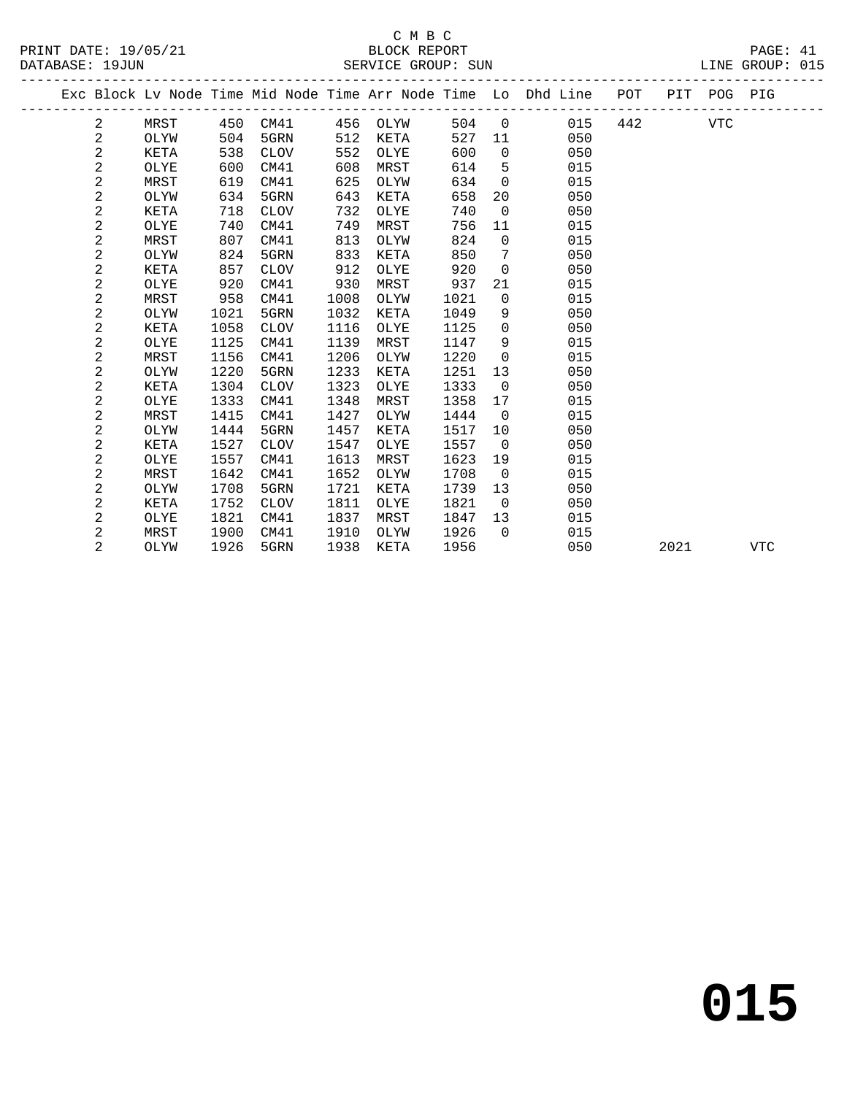|  |                |      |      |             |      |             |      |                 | Exc Block Lv Node Time Mid Node Time Arr Node Time Lo Dhd Line POT |     |      | PIT POG PIG |     |
|--|----------------|------|------|-------------|------|-------------|------|-----------------|--------------------------------------------------------------------|-----|------|-------------|-----|
|  | 2              | MRST |      | 450 CM41    | 456  | OLYW        | 504  | $\mathbf 0$     | 015                                                                | 442 |      | <b>VTC</b>  |     |
|  | $\mathbf 2$    | OLYW | 504  | 5GRN        | 512  | KETA        | 527  | 11              | 050                                                                |     |      |             |     |
|  | 2              | KETA | 538  | <b>CLOV</b> | 552  | OLYE        | 600  | $\Omega$        | 050                                                                |     |      |             |     |
|  | 2              | OLYE | 600  | CM41        | 608  | MRST        | 614  | 5               | 015                                                                |     |      |             |     |
|  | 2              | MRST | 619  | CM41        | 625  | OLYW        | 634  | $\mathbf 0$     | 015                                                                |     |      |             |     |
|  | 2              | OLYW | 634  | 5GRN        | 643  | KETA        | 658  | 20              | 050                                                                |     |      |             |     |
|  | 2              | KETA | 718  | <b>CLOV</b> | 732  | OLYE        | 740  | $\mathbf 0$     | 050                                                                |     |      |             |     |
|  | 2              | OLYE | 740  | CM41        | 749  | MRST        | 756  | 11              | 015                                                                |     |      |             |     |
|  | 2              | MRST | 807  | CM41        | 813  | OLYW        | 824  | $\mathbf 0$     | 015                                                                |     |      |             |     |
|  | 2              | OLYW | 824  | 5GRN        | 833  | KETA        | 850  | $7\phantom{.0}$ | 050                                                                |     |      |             |     |
|  | 2              | KETA | 857  | <b>CLOV</b> | 912  | OLYE        | 920  | $\mathbf 0$     | 050                                                                |     |      |             |     |
|  | 2              | OLYE | 920  | CM41        | 930  | MRST        | 937  | 21              | 015                                                                |     |      |             |     |
|  | 2              | MRST | 958  | CM41        | 1008 | OLYW        | 1021 | $\mathbf 0$     | 015                                                                |     |      |             |     |
|  | 2              | OLYW | 1021 | 5GRN        | 1032 | <b>KETA</b> | 1049 | 9               | 050                                                                |     |      |             |     |
|  | 2              | KETA | 1058 | <b>CLOV</b> | 1116 | OLYE        | 1125 | 0               | 050                                                                |     |      |             |     |
|  | 2              | OLYE | 1125 | CM41        | 1139 | MRST        | 1147 | 9               | 015                                                                |     |      |             |     |
|  | 2              | MRST | 1156 | CM41        | 1206 | OLYW        | 1220 | $\mathbf 0$     | 015                                                                |     |      |             |     |
|  | 2              | OLYW | 1220 | 5GRN        | 1233 | <b>KETA</b> | 1251 | 13              | 050                                                                |     |      |             |     |
|  | 2              | KETA | 1304 | <b>CLOV</b> | 1323 | OLYE        | 1333 | $\mathbf 0$     | 050                                                                |     |      |             |     |
|  | 2              | OLYE | 1333 | CM41        | 1348 | MRST        | 1358 | 17              | 015                                                                |     |      |             |     |
|  | 2              | MRST | 1415 | CM41        | 1427 | OLYW        | 1444 | $\Omega$        | 015                                                                |     |      |             |     |
|  | 2              | OLYW | 1444 | 5GRN        | 1457 | <b>KETA</b> | 1517 | 10              | 050                                                                |     |      |             |     |
|  | 2              | KETA | 1527 | <b>CLOV</b> | 1547 | OLYE        | 1557 | $\overline{0}$  | 050                                                                |     |      |             |     |
|  | 2              | OLYE | 1557 | CM41        | 1613 | MRST        | 1623 | 19              | 015                                                                |     |      |             |     |
|  | 2              | MRST | 1642 | CM41        | 1652 | OLYW        | 1708 | $\overline{0}$  | 015                                                                |     |      |             |     |
|  | 2              | OLYW | 1708 | 5GRN        | 1721 | KETA        | 1739 | 13              | 050                                                                |     |      |             |     |
|  | 2              | KETA | 1752 | <b>CLOV</b> | 1811 | OLYE        | 1821 | $\Omega$        | 050                                                                |     |      |             |     |
|  | 2              | OLYE | 1821 | CM41        | 1837 | MRST        | 1847 | 13              | 015                                                                |     |      |             |     |
|  | 2              | MRST | 1900 | CM41        | 1910 | OLYW        | 1926 | $\Omega$        | 015                                                                |     |      |             |     |
|  | $\overline{2}$ | OLYW | 1926 | 5GRN        | 1938 | KETA        | 1956 |                 | 050                                                                |     | 2021 |             | VTC |
|  |                |      |      |             |      |             |      |                 |                                                                    |     |      |             |     |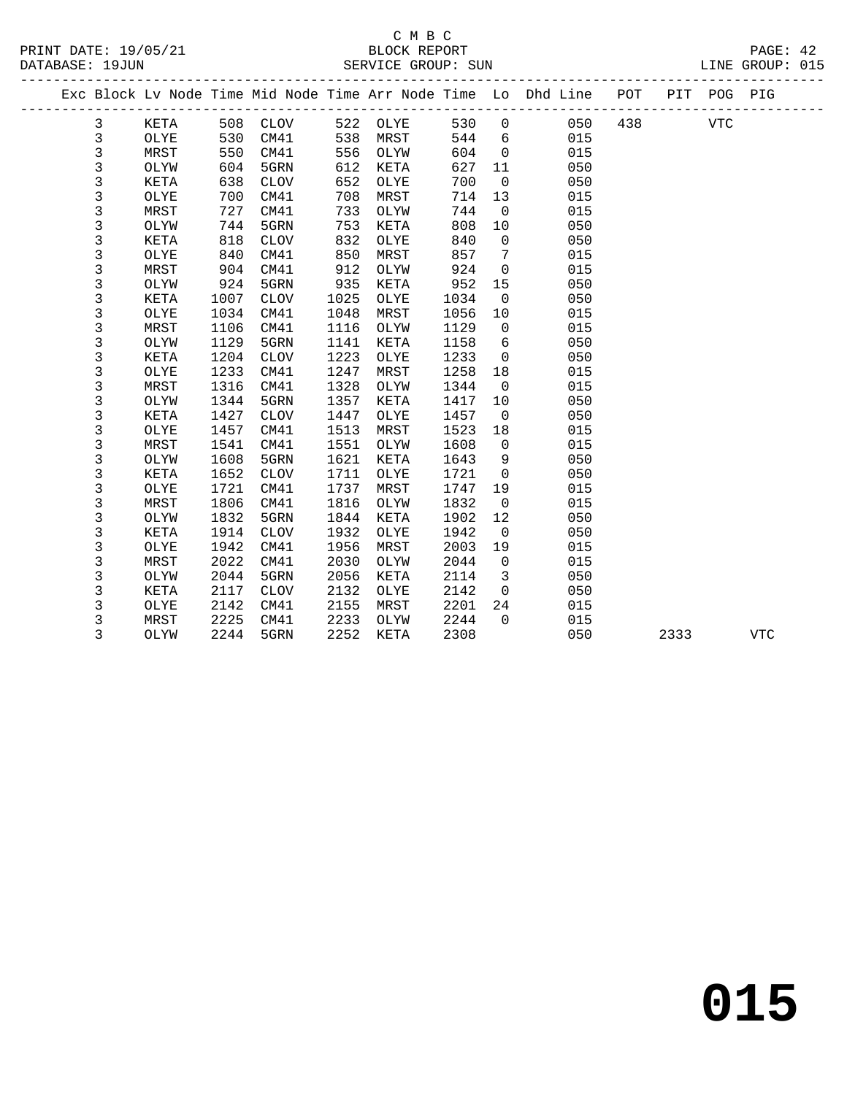|  |             |             |      |                 |      |      |      |                | Exc Block Lv Node Time Mid Node Time Arr Node Time Lo Dhd Line POT |     |      | PIT POG PIG |            |  |
|--|-------------|-------------|------|-----------------|------|------|------|----------------|--------------------------------------------------------------------|-----|------|-------------|------------|--|
|  | 3           | KETA        |      | 508 CLOV        | 522  | OLYE | 530  | $\overline{0}$ | 050                                                                | 438 |      | <b>VTC</b>  |            |  |
|  | 3           | OLYE        | 530  | CM41            | 538  | MRST | 544  | 6              | 015                                                                |     |      |             |            |  |
|  | 3           | MRST        | 550  | CM41            | 556  | OLYW | 604  | $\Omega$       | 015                                                                |     |      |             |            |  |
|  | 3           | OLYW        | 604  | 5GRN            | 612  | KETA | 627  | 11             | 050                                                                |     |      |             |            |  |
|  | 3           | KETA        | 638  | <b>CLOV</b>     | 652  | OLYE | 700  | $\mathbf 0$    | 050                                                                |     |      |             |            |  |
|  | 3           | OLYE        | 700  | CM41            | 708  | MRST | 714  | 13             | 015                                                                |     |      |             |            |  |
|  | 3           | MRST        | 727  | CM41            | 733  | OLYW | 744  | $\overline{0}$ | 015                                                                |     |      |             |            |  |
|  | 3           | OLYW        | 744  | 5GRN            | 753  | KETA | 808  | 10             | 050                                                                |     |      |             |            |  |
|  | $\mathsf 3$ | KETA        | 818  | <b>CLOV</b>     | 832  | OLYE | 840  | $\mathbf 0$    | 050                                                                |     |      |             |            |  |
|  | 3           | OLYE        | 840  | CM41            | 850  | MRST | 857  | 7              | 015                                                                |     |      |             |            |  |
|  | 3           | MRST        | 904  | CM41            | 912  | OLYW | 924  | $\Omega$       | 015                                                                |     |      |             |            |  |
|  | 3           | OLYW        | 924  | 5GRN            | 935  | KETA | 952  | 15             | 050                                                                |     |      |             |            |  |
|  | 3           | KETA        | 1007 | CLOV            | 1025 | OLYE | 1034 | $\overline{0}$ | 050                                                                |     |      |             |            |  |
|  | 3           | OLYE        | 1034 | CM41            | 1048 | MRST | 1056 | 10             | 015                                                                |     |      |             |            |  |
|  | 3           | MRST        | 1106 | CM41            | 1116 | OLYW | 1129 | $\overline{0}$ | 015                                                                |     |      |             |            |  |
|  | 3           | OLYW        | 1129 | 5GRN            | 1141 | KETA | 1158 | 6              | 050                                                                |     |      |             |            |  |
|  | 3           | KETA        | 1204 | <b>CLOV</b>     | 1223 | OLYE | 1233 | $\mathbf 0$    | 050                                                                |     |      |             |            |  |
|  | $\mathsf 3$ | OLYE        | 1233 | CM41            | 1247 | MRST | 1258 | 18             | 015                                                                |     |      |             |            |  |
|  | $\mathsf 3$ | MRST        | 1316 | CM41            | 1328 | OLYW | 1344 | $\overline{0}$ | 015                                                                |     |      |             |            |  |
|  | $\mathsf 3$ | OLYW        | 1344 | 5GRN            | 1357 | KETA | 1417 | 10             | 050                                                                |     |      |             |            |  |
|  | 3           | <b>KETA</b> | 1427 | $\mathtt{CLOV}$ | 1447 | OLYE | 1457 | $\overline{0}$ | 050                                                                |     |      |             |            |  |
|  | $\mathsf 3$ | OLYE        | 1457 | CM41            | 1513 | MRST | 1523 | 18             | 015                                                                |     |      |             |            |  |
|  | $\mathsf 3$ | MRST        | 1541 | CM41            | 1551 | OLYW | 1608 | $\overline{0}$ | 015                                                                |     |      |             |            |  |
|  | 3           | OLYW        | 1608 | 5GRN            | 1621 | KETA | 1643 | 9              | 050                                                                |     |      |             |            |  |
|  | 3           | <b>KETA</b> | 1652 | <b>CLOV</b>     | 1711 | OLYE | 1721 | $\overline{0}$ | 050                                                                |     |      |             |            |  |
|  | 3           | OLYE        | 1721 | CM41            | 1737 | MRST | 1747 | 19             | 015                                                                |     |      |             |            |  |
|  | 3           | MRST        | 1806 | CM41            | 1816 | OLYW | 1832 | $\overline{0}$ | 015                                                                |     |      |             |            |  |
|  | 3           | OLYW        | 1832 | 5GRN            | 1844 | KETA | 1902 | 12             | 050                                                                |     |      |             |            |  |
|  | 3           | KETA        | 1914 | <b>CLOV</b>     | 1932 | OLYE | 1942 | $\overline{0}$ | 050                                                                |     |      |             |            |  |
|  | 3           | OLYE        | 1942 | CM41            | 1956 | MRST | 2003 | 19             | 015                                                                |     |      |             |            |  |
|  | 3           | MRST        | 2022 | CM41            | 2030 | OLYW | 2044 | $\Omega$       | 015                                                                |     |      |             |            |  |
|  | 3           | OLYW        | 2044 | 5GRN            | 2056 | KETA | 2114 | $\overline{3}$ | 050                                                                |     |      |             |            |  |
|  | 3           | KETA        | 2117 | CLOV            | 2132 | OLYE | 2142 | $\overline{0}$ | 050                                                                |     |      |             |            |  |
|  | 3           | OLYE        | 2142 | CM41            | 2155 | MRST | 2201 | 24             | 015                                                                |     |      |             |            |  |
|  | 3           | MRST        | 2225 | CM41            | 2233 | OLYW | 2244 | $\Omega$       | 015                                                                |     |      |             |            |  |
|  | 3           | OLYW        | 2244 | 5GRN            | 2252 | KETA | 2308 |                | 050                                                                |     | 2333 |             | <b>VTC</b> |  |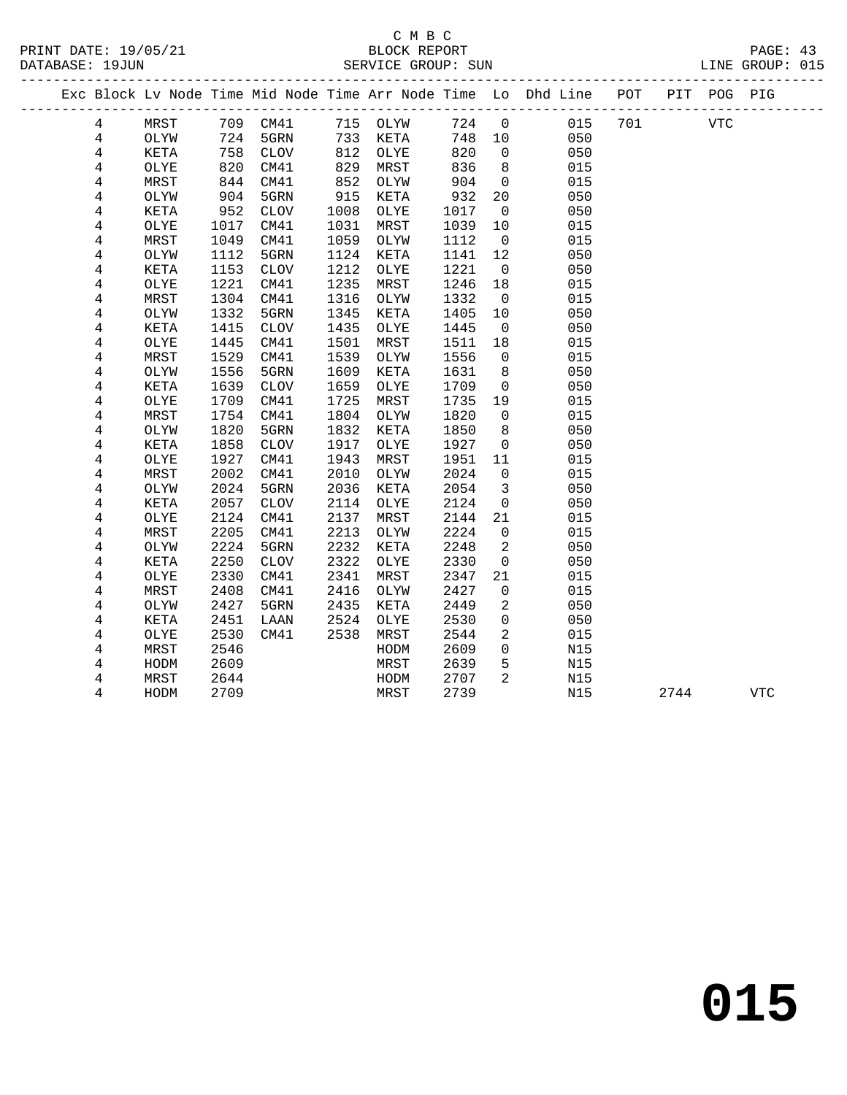# C M B C<br>BLOCK REPORT

| PRINT DATE: 19/05/21<br>DATABASE: 19JUN |                         |      |      |                 |      |          |       |                |                                                                                |     |      |     |  |
|-----------------------------------------|-------------------------|------|------|-----------------|------|----------|-------|----------------|--------------------------------------------------------------------------------|-----|------|-----|--|
| _____________                           |                         |      |      |                 |      |          |       |                |                                                                                |     |      |     |  |
|                                         |                         |      |      |                 |      |          |       |                | Exc Block Lv Node Time Mid Node Time Arr Node Time Lo Dhd Line POT PIT POG PIG |     |      |     |  |
|                                         | 4                       | MRST |      | 709 CM41        |      | 715 OLYW | 724 0 |                | 015                                                                            | 701 | VTC  |     |  |
|                                         | $\overline{4}$          | OLYW |      | 724 5GRN        |      | 733 KETA | 748   | 10             | 050                                                                            |     |      |     |  |
|                                         | $\overline{4}$          | KETA | 758  | CLOV            | 812  | OLYE     | 820   | $\mathbf 0$    | 050                                                                            |     |      |     |  |
|                                         | $\overline{4}$          | OLYE | 820  | CM41            | 829  | MRST     | 836   | 8              | 015                                                                            |     |      |     |  |
|                                         | $\,4$                   | MRST |      | 844 CM41        | 852  | OLYW     | 904   | $\overline{0}$ | 015                                                                            |     |      |     |  |
|                                         | $\overline{4}$          | OLYW | 904  | 5GRN            | 915  | KETA     | 932   | 20             | 050                                                                            |     |      |     |  |
|                                         | $\,4$                   | KETA | 952  | CLOV            | 1008 | OLYE     | 1017  | 0              | 050                                                                            |     |      |     |  |
|                                         | $\,4$                   | OLYE | 1017 | CM41            | 1031 | MRST     | 1039  | 10             | 015                                                                            |     |      |     |  |
|                                         | $\bf 4$                 | MRST | 1049 | CM41            | 1059 | OLYW     | 1112  | $\mathbf 0$    | 015                                                                            |     |      |     |  |
|                                         | $\,4$                   | OLYW | 1112 | 5GRN            | 1124 | KETA     | 1141  | 12             | 050                                                                            |     |      |     |  |
|                                         | $\overline{\mathbf{4}}$ | KETA | 1153 | $\mathtt{CLOV}$ | 1212 | OLYE     | 1221  | $\overline{0}$ | 050                                                                            |     |      |     |  |
|                                         | $\bf 4$                 | OLYE | 1221 | CM41            | 1235 | MRST     | 1246  | 18             | 015                                                                            |     |      |     |  |
|                                         | $\overline{4}$          | MRST | 1304 | CM41            | 1316 | OLYW     | 1332  | $\overline{0}$ | 015                                                                            |     |      |     |  |
|                                         | 4                       | OLYW | 1332 | 5GRN            | 1345 | KETA     | 1405  | 10             | 050                                                                            |     |      |     |  |
|                                         | $\overline{\mathbf{4}}$ | KETA | 1415 | <b>CLOV</b>     | 1435 | OLYE     | 1445  | $\mathbf 0$    | 050                                                                            |     |      |     |  |
|                                         | $\,4$                   | OLYE | 1445 | CM41            | 1501 | MRST     | 1511  | 18             | 015                                                                            |     |      |     |  |
|                                         | $\,4$                   | MRST | 1529 | CM41            | 1539 | OLYW     | 1556  | $\mathbf 0$    | 015                                                                            |     |      |     |  |
|                                         | 4                       | OLYW | 1556 | 5GRN            | 1609 | KETA     | 1631  | 8              | 050                                                                            |     |      |     |  |
|                                         | $\,4$                   | KETA | 1639 | $\mathtt{CLOV}$ | 1659 | OLYE     | 1709  | $\mathsf{O}$   | 050                                                                            |     |      |     |  |
|                                         | $\,4$                   | OLYE | 1709 | CM41            | 1725 | MRST     | 1735  | 19             | 015                                                                            |     |      |     |  |
|                                         | $\,4$                   | MRST | 1754 | CM41            | 1804 | OLYW     | 1820  | $\mathbf 0$    | 015                                                                            |     |      |     |  |
|                                         | $\,4$                   | OLYW | 1820 | 5GRN            | 1832 | KETA     | 1850  | 8              | 050                                                                            |     |      |     |  |
|                                         | $\,4$                   | KETA | 1858 | CLOV            | 1917 | OLYE     | 1927  | $\mathbf 0$    | 050                                                                            |     |      |     |  |
|                                         | $\,4$                   | OLYE | 1927 | CM41            | 1943 | MRST     | 1951  | 11             | 015                                                                            |     |      |     |  |
|                                         | $\,4$                   | MRST | 2002 | CM41            | 2010 | OLYW     | 2024  | $\mathbf 0$    | 015                                                                            |     |      |     |  |
|                                         | $\,4$                   | OLYW | 2024 | 5GRN            | 2036 | KETA     | 2054  | $\mathbf{3}$   | 050                                                                            |     |      |     |  |
|                                         | $\,4$                   | KETA | 2057 | <b>CLOV</b>     | 2114 | OLYE     | 2124  | $\mathbf 0$    | 050                                                                            |     |      |     |  |
|                                         | $\,4$                   | OLYE | 2124 | CM41            | 2137 | MRST     | 2144  | 21             | 015                                                                            |     |      |     |  |
|                                         | 4                       | MRST | 2205 | CM41            | 2213 | OLYW     | 2224  | $\mathsf{O}$   | 015                                                                            |     |      |     |  |
|                                         | $\,4$                   | OLYW | 2224 | 5GRN            | 2232 | KETA     | 2248  | 2              | 050                                                                            |     |      |     |  |
|                                         | $\,4$                   | KETA | 2250 | <b>CLOV</b>     | 2322 | OLYE     | 2330  | $\mathbf 0$    | 050                                                                            |     |      |     |  |
|                                         | 4                       | OLYE | 2330 | CM41            | 2341 | MRST     | 2347  | 21             | 015                                                                            |     |      |     |  |
|                                         | $\,4$                   | MRST | 2408 | CM41            | 2416 | OLYW     | 2427  | 0              | 015                                                                            |     |      |     |  |
|                                         | $\overline{4}$          | OLYW | 2427 | 5GRN            | 2435 | KETA     | 2449  | 2              | 050                                                                            |     |      |     |  |
|                                         | 4                       | KETA | 2451 | LAAN            | 2524 | OLYE     | 2530  | $\mathbf 0$    | 050                                                                            |     |      |     |  |
|                                         | $\,4$                   | OLYE | 2530 | CM41            | 2538 | MRST     | 2544  | $\overline{2}$ | 015                                                                            |     |      |     |  |
|                                         | $\bf 4$                 | MRST | 2546 |                 |      | HODM     | 2609  | 0              | N15                                                                            |     |      |     |  |
|                                         | 4                       | HODM | 2609 |                 |      | MRST     | 2639  | 5              | N15                                                                            |     |      |     |  |
|                                         | $\overline{4}$          | MRST | 2644 |                 |      | HODM     | 2707  | 2              | N15                                                                            |     |      |     |  |
|                                         | 4                       | HODM | 2709 |                 |      | MRST     | 2739  |                | N15                                                                            |     | 2744 | VTC |  |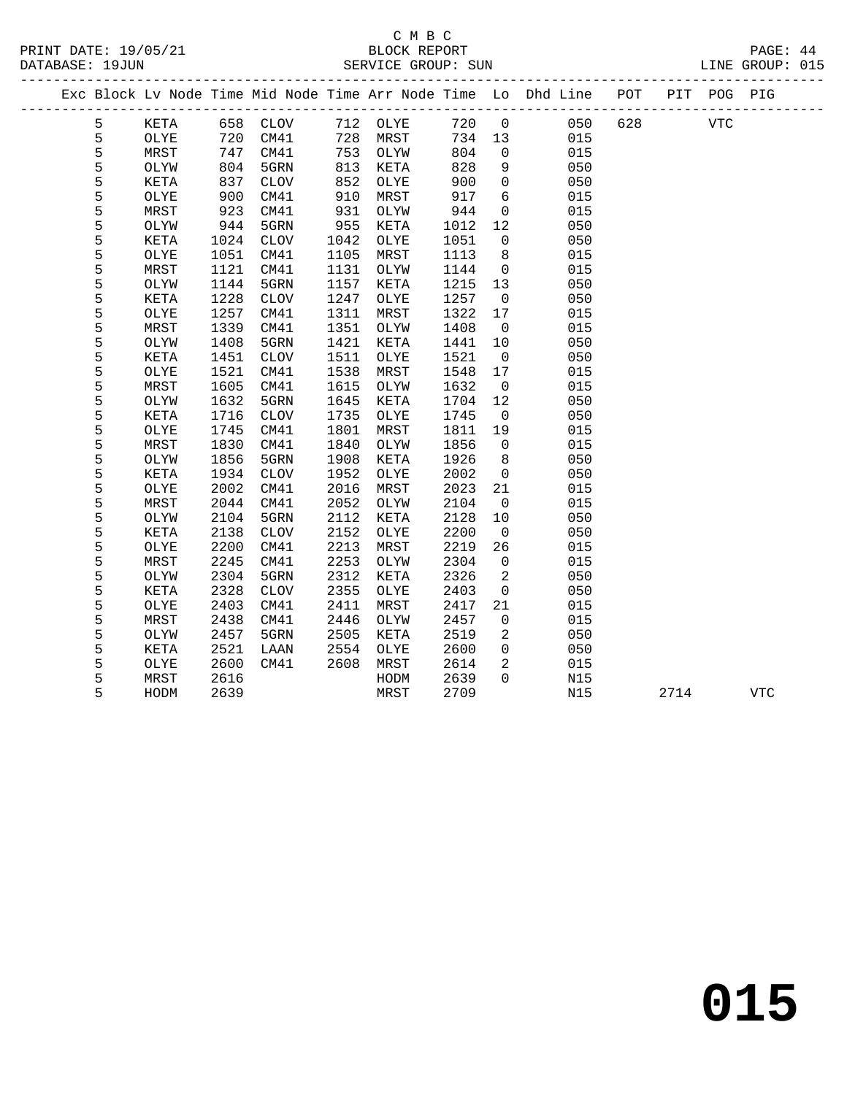# C M B C

| DATABASE: 19JUN |   |      |      |             |      | SERVICE GROUP: SUN |      |                |                                                                                |     |            | LINE GROUP: 015 |  |
|-----------------|---|------|------|-------------|------|--------------------|------|----------------|--------------------------------------------------------------------------------|-----|------------|-----------------|--|
|                 |   |      |      |             |      |                    |      |                | Exc Block Lv Node Time Mid Node Time Arr Node Time Lo Dhd Line POT PIT POG PIG |     |            |                 |  |
|                 | 5 | KETA |      | 658 CLOV    |      | 712 OLYE           | 720  | $\overline{0}$ | 050                                                                            | 628 | <b>VTC</b> |                 |  |
|                 | 5 | OLYE | 720  | CM41        |      | 728 MRST           | 734  | 13             | 015                                                                            |     |            |                 |  |
|                 | 5 | MRST | 747  | CM41        |      | 753 OLYW           | 804  | $\overline{0}$ | 015                                                                            |     |            |                 |  |
|                 | 5 | OLYW | 804  | 5GRN        | 813  | KETA               | 828  | 9              | 050                                                                            |     |            |                 |  |
|                 | 5 | KETA | 837  | CLOV        | 852  | OLYE               | 900  | $\Omega$       | 050                                                                            |     |            |                 |  |
|                 | 5 | OLYE | 900  | CM41        | 910  | MRST               | 917  | 6              | 015                                                                            |     |            |                 |  |
|                 | 5 | MRST | 923  | CM41        | 931  | OLYW               | 944  | $\mathbf 0$    | 015                                                                            |     |            |                 |  |
|                 | 5 | OLYW | 944  | 5GRN        | 955  | KETA               | 1012 | 12             | 050                                                                            |     |            |                 |  |
|                 | 5 | KETA | 1024 | CLOV        | 1042 | OLYE               | 1051 | $\overline{0}$ | 050                                                                            |     |            |                 |  |
|                 | 5 | OLYE | 1051 | CM41        | 1105 | MRST               | 1113 | 8              | 015                                                                            |     |            |                 |  |
|                 | 5 | MRST | 1121 | CM41        | 1131 | OLYW               | 1144 | $\mathbf 0$    | 015                                                                            |     |            |                 |  |
|                 | 5 | OLYW | 1144 | 5GRN        | 1157 | KETA               | 1215 | 13             | 050                                                                            |     |            |                 |  |
|                 | 5 | KETA | 1228 | CLOV        | 1247 | OLYE               | 1257 | $\overline{0}$ | 050                                                                            |     |            |                 |  |
|                 | 5 | OLYE | 1257 | CM41        | 1311 | MRST               | 1322 | 17             | 015                                                                            |     |            |                 |  |
|                 | 5 | MRST | 1339 | CM41        | 1351 | OLYW               | 1408 | $\overline{0}$ | 015                                                                            |     |            |                 |  |
|                 | 5 | OLYW | 1408 | 5GRN        | 1421 | KETA               | 1441 | 10             | 050                                                                            |     |            |                 |  |
|                 | 5 | KETA | 1451 | CLOV        | 1511 | OLYE               | 1521 | $\overline{0}$ | 050                                                                            |     |            |                 |  |
|                 | 5 | OLYE | 1521 | CM41        | 1538 | MRST               | 1548 | 17             | 015                                                                            |     |            |                 |  |
|                 | 5 | MRST | 1605 | CM41        | 1615 | OLYW               | 1632 | $\overline{0}$ | 015                                                                            |     |            |                 |  |
|                 | 5 | OLYW | 1632 | 5GRN        | 1645 | KETA               | 1704 | 12             | 050                                                                            |     |            |                 |  |
|                 | 5 | KETA | 1716 | <b>CLOV</b> | 1735 | OLYE               | 1745 | $\overline{0}$ | 050                                                                            |     |            |                 |  |
|                 | 5 | OLYE | 1745 | CM41        | 1801 | MRST               | 1811 | 19             | 015                                                                            |     |            |                 |  |
|                 | 5 | MRST | 1830 | CM41        | 1840 | OLYW               | 1856 | $\mathbf 0$    | 015                                                                            |     |            |                 |  |
|                 | 5 | OLYW | 1856 | 5GRN        | 1908 | KETA               | 1926 | 8              | 050                                                                            |     |            |                 |  |
|                 | 5 | KETA | 1934 | CLOV        | 1952 | OLYE               | 2002 | 0              | 050                                                                            |     |            |                 |  |
|                 | 5 | OLYE | 2002 | CM41        | 2016 | MRST               | 2023 | 21             | 015                                                                            |     |            |                 |  |
|                 | 5 | MRST | 2044 | CM41        | 2052 | OLYW               | 2104 | $\overline{0}$ | 015                                                                            |     |            |                 |  |
|                 | 5 | OLYW | 2104 | 5GRN        | 2112 | KETA               | 2128 | 10             | 050                                                                            |     |            |                 |  |
|                 | 5 | KETA | 2138 | CLOV        | 2152 | OLYE               | 2200 | $\overline{0}$ | 050                                                                            |     |            |                 |  |
|                 | 5 | OLYE | 2200 | CM41        | 2213 | MRST               | 2219 | 26             | 015                                                                            |     |            |                 |  |
|                 | 5 | MRST | 2245 | CM41        | 2253 | OLYW               | 2304 | $\overline{0}$ | 015                                                                            |     |            |                 |  |
|                 | 5 | OLYW | 2304 | 5GRN        | 2312 | KETA               | 2326 | 2              | 050                                                                            |     |            |                 |  |
|                 | 5 | KETA | 2328 | CLOV        | 2355 | OLYE               | 2403 | $\overline{0}$ | 050                                                                            |     |            |                 |  |
|                 | 5 | OLYE | 2403 | CM41        | 2411 | MRST               | 2417 | 21             | 015                                                                            |     |            |                 |  |
|                 | 5 | MRST | 2438 | CM41        | 2446 | OLYW               | 2457 | $\mathbf{0}$   | 015                                                                            |     |            |                 |  |
|                 | 5 | OLYW | 2457 | 5GRN        | 2505 | KETA               | 2519 | $\overline{2}$ | 050                                                                            |     |            |                 |  |
|                 | 5 | KETA | 2521 | LAAN        | 2554 | OLYE               | 2600 | $\overline{0}$ | 050                                                                            |     |            |                 |  |
|                 | 5 | OLYE | 2600 | CM41        | 2608 | MRST               | 2614 | $\overline{a}$ | 015                                                                            |     |            |                 |  |
|                 | 5 | MRST | 2616 |             |      | HODM               | 2639 | $\Omega$       | N15                                                                            |     |            |                 |  |
|                 | 5 | HODM | 2639 |             |      | MRST               | 2709 |                | N15                                                                            |     | 2714       | <b>VTC</b>      |  |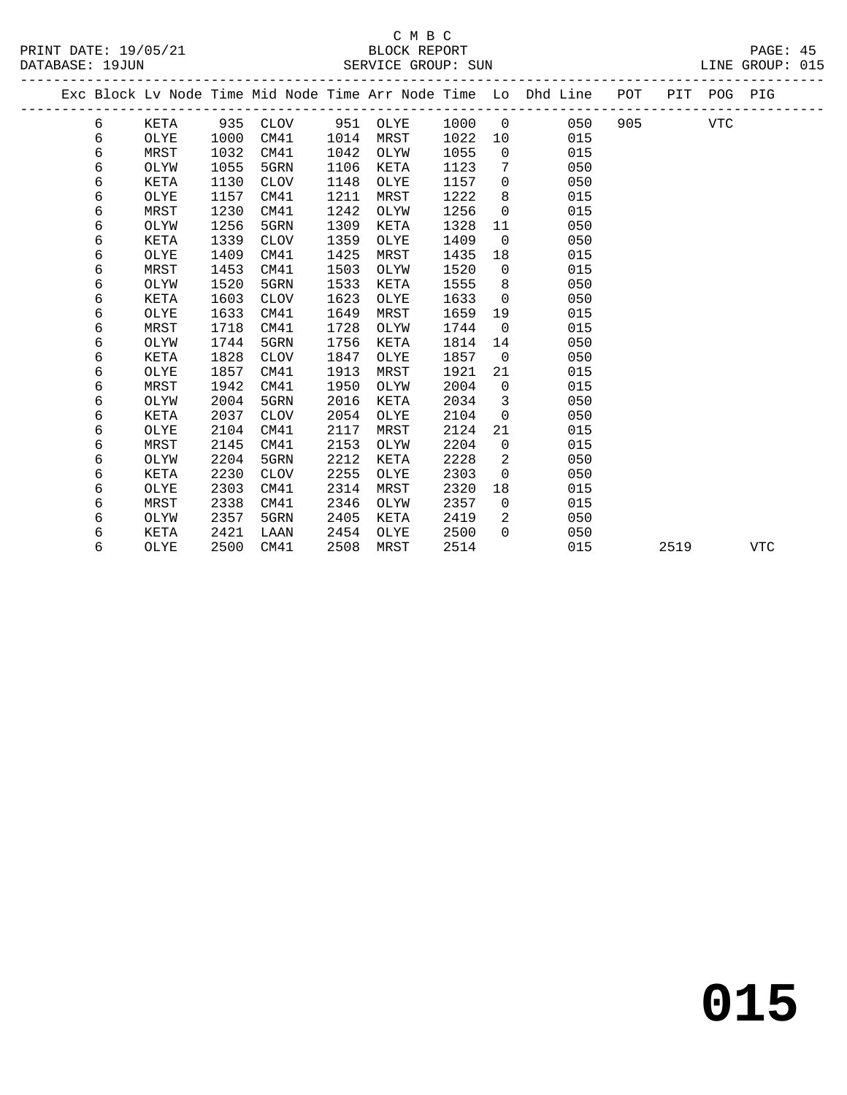|  |   |             |      |             |      |          |      |                | Exc Block Lv Node Time Mid Node Time Arr Node Time Lo Dhd Line POT |     |      | PIT POG PIG |            |
|--|---|-------------|------|-------------|------|----------|------|----------------|--------------------------------------------------------------------|-----|------|-------------|------------|
|  | 6 | KETA        | 935  | CLOV        |      | 951 OLYE | 1000 | $\overline{0}$ | 050                                                                | 905 |      | <b>VTC</b>  |            |
|  | 6 | OLYE        | 1000 | CM41        | 1014 | MRST     | 1022 | 10             | 015                                                                |     |      |             |            |
|  | 6 | MRST        | 1032 | CM41        | 1042 | OLYW     | 1055 | $\Omega$       | 015                                                                |     |      |             |            |
|  | 6 | OLYW        | 1055 | 5GRN        | 1106 | KETA     | 1123 | 7              | 050                                                                |     |      |             |            |
|  | 6 | KETA        | 1130 | <b>CLOV</b> | 1148 | OLYE     | 1157 | $\mathbf 0$    | 050                                                                |     |      |             |            |
|  | 6 | OLYE        | 1157 | CM41        | 1211 | MRST     | 1222 | 8              | 015                                                                |     |      |             |            |
|  | 6 | MRST        | 1230 | CM41        | 1242 | OLYW     | 1256 | $\Omega$       | 015                                                                |     |      |             |            |
|  | 6 | OLYW        | 1256 | 5GRN        | 1309 | KETA     | 1328 | 11             | 050                                                                |     |      |             |            |
|  | 6 | KETA        | 1339 | <b>CLOV</b> | 1359 | OLYE     | 1409 | $\Omega$       | 050                                                                |     |      |             |            |
|  | 6 | OLYE        | 1409 | CM41        | 1425 | MRST     | 1435 | 18             | 015                                                                |     |      |             |            |
|  | 6 | MRST        | 1453 | CM41        | 1503 | OLYW     | 1520 | $\overline{0}$ | 015                                                                |     |      |             |            |
|  | 6 | OLYW        | 1520 | 5GRN        | 1533 | KETA     | 1555 | 8              | 050                                                                |     |      |             |            |
|  | 6 | KETA        | 1603 | <b>CLOV</b> | 1623 | OLYE     | 1633 | $\mathbf 0$    | 050                                                                |     |      |             |            |
|  | 6 | OLYE        | 1633 | CM41        | 1649 | MRST     | 1659 | 19             | 015                                                                |     |      |             |            |
|  | 6 | MRST        | 1718 | CM41        | 1728 | OLYW     | 1744 | $\overline{0}$ | 015                                                                |     |      |             |            |
|  | 6 | OLYW        | 1744 | 5GRN        | 1756 | KETA     | 1814 | 14             | 050                                                                |     |      |             |            |
|  | 6 | <b>KETA</b> | 1828 | <b>CLOV</b> | 1847 | OLYE     | 1857 | $\mathbf 0$    | 050                                                                |     |      |             |            |
|  | 6 | OLYE        | 1857 | CM41        | 1913 | MRST     | 1921 | 21             | 015                                                                |     |      |             |            |
|  | 6 | MRST        | 1942 | CM41        | 1950 | OLYW     | 2004 | $\mathbf 0$    | 015                                                                |     |      |             |            |
|  | 6 | OLYW        | 2004 | 5GRN        | 2016 | KETA     | 2034 | $\mathbf{3}$   | 050                                                                |     |      |             |            |
|  | 6 | KETA        | 2037 | <b>CLOV</b> | 2054 | OLYE     | 2104 | $\mathbf 0$    | 050                                                                |     |      |             |            |
|  | 6 | OLYE        | 2104 | CM41        | 2117 | MRST     | 2124 | 21             | 015                                                                |     |      |             |            |
|  | 6 | MRST        | 2145 | CM41        | 2153 | OLYW     | 2204 | $\mathbf 0$    | 015                                                                |     |      |             |            |
|  | 6 | OLYW        | 2204 | 5GRN        | 2212 | KETA     | 2228 | 2              | 050                                                                |     |      |             |            |
|  | 6 | KETA        | 2230 | <b>CLOV</b> | 2255 | OLYE     | 2303 | $\Omega$       | 050                                                                |     |      |             |            |
|  | 6 | OLYE        | 2303 | CM41        | 2314 | MRST     | 2320 | 18             | 015                                                                |     |      |             |            |
|  | 6 | MRST        | 2338 | CM41        | 2346 | OLYW     | 2357 | $\mathbf 0$    | 015                                                                |     |      |             |            |
|  | 6 | OLYW        | 2357 | 5GRN        | 2405 | KETA     | 2419 | 2              | 050                                                                |     |      |             |            |
|  | 6 | KETA        | 2421 | LAAN        | 2454 | OLYE     | 2500 | $\Omega$       | 050                                                                |     |      |             |            |
|  | 6 | OLYE        | 2500 | CM41        | 2508 | MRST     | 2514 |                | 015                                                                |     | 2519 |             | <b>VTC</b> |
|  |   |             |      |             |      |          |      |                |                                                                    |     |      |             |            |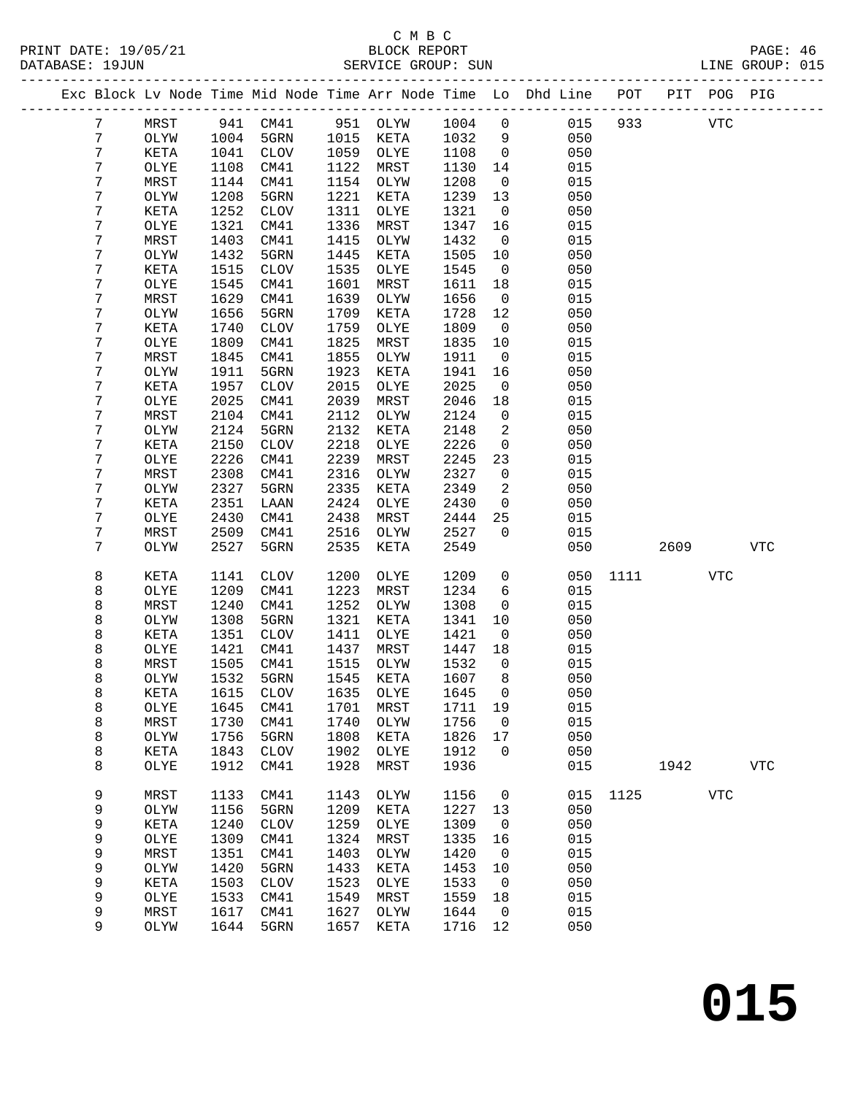### C M B C<br>BLOCK REPORT SERVICE GROUP: SUN

|        |              |              |              |              |          |              |                | Exc Block Lv Node Time Mid Node Time Arr Node Time Lo Dhd Line POT |      |      | PIT POG PIG |             |
|--------|--------------|--------------|--------------|--------------|----------|--------------|----------------|--------------------------------------------------------------------|------|------|-------------|-------------|
| 7      | MRST         | 941          | CM41         |              | 951 OLYW | 1004         | $\mathbf 0$    | 015                                                                | 933  |      | <b>VTC</b>  |             |
| 7      | OLYW         | 1004         | 5GRN         | 1015         | KETA     | 1032         | 9              | 050                                                                |      |      |             |             |
| 7      | KETA         | 1041         | CLOV         | 1059         | OLYE     | 1108         | $\overline{0}$ | 050                                                                |      |      |             |             |
| 7      | OLYE         | 1108         | CM41         | 1122         | MRST     | 1130         | 14             | 015                                                                |      |      |             |             |
| 7      | MRST         | 1144         | CM41         | 1154         | OLYW     | 1208         | $\overline{0}$ | 015                                                                |      |      |             |             |
| 7      | OLYW         | 1208         | 5GRN         | 1221         | KETA     | 1239         | 13             | 050                                                                |      |      |             |             |
| 7      | KETA         | 1252         | CLOV         | 1311         | OLYE     | 1321         | $\overline{0}$ | 050                                                                |      |      |             |             |
| 7      | OLYE         | 1321         | CM41         | 1336         | MRST     | 1347         | 16             | 015                                                                |      |      |             |             |
| 7      | MRST         | 1403         | CM41         | 1415         | OLYW     | 1432         | $\overline{0}$ | 015                                                                |      |      |             |             |
| 7      | OLYW         | 1432         | 5GRN         | 1445         | KETA     | 1505         | 10             | 050                                                                |      |      |             |             |
| 7      | KETA         | 1515         | <b>CLOV</b>  | 1535         | OLYE     | 1545         | $\overline{0}$ | 050                                                                |      |      |             |             |
| 7      | OLYE         | 1545         | CM41         | 1601         | MRST     | 1611         | 18             | 015                                                                |      |      |             |             |
| 7      | MRST         | 1629         | CM41         | 1639         | OLYW     | 1656         | $\overline{0}$ | 015                                                                |      |      |             |             |
| 7      | OLYW         | 1656         | 5GRN         | 1709         | KETA     | 1728         | 12             | 050                                                                |      |      |             |             |
| 7      | KETA         | 1740         | <b>CLOV</b>  | 1759         | OLYE     | 1809         | $\overline{0}$ | 050                                                                |      |      |             |             |
| 7      | OLYE         | 1809         | CM41         | 1825         | MRST     | 1835         | 10             | 015                                                                |      |      |             |             |
| 7      | MRST         | 1845         | CM41         | 1855         | OLYW     | 1911         | $\overline{0}$ | 015                                                                |      |      |             |             |
| 7      | OLYW         | 1911         | 5GRN         | 1923         | KETA     | 1941         | 16             | 050                                                                |      |      |             |             |
| 7      | KETA         | 1957         | CLOV         | 2015         | OLYE     | 2025         | $\overline{0}$ | 050                                                                |      |      |             |             |
| 7      | OLYE         | 2025         | CM41         | 2039         | MRST     | 2046         | 18             | 015                                                                |      |      |             |             |
| 7      | MRST         | 2104         | CM41         | 2112         | OLYW     | 2124         | $\overline{0}$ | 015                                                                |      |      |             |             |
| 7      | OLYW         | 2124         | 5GRN         | 2132         | KETA     | 2148         | 2              | 050                                                                |      |      |             |             |
| 7      | KETA         | 2150         | <b>CLOV</b>  | 2218         | OLYE     | 2226         | $\overline{0}$ | 050                                                                |      |      |             |             |
| 7      | OLYE         | 2226         | CM41         | 2239         | MRST     | 2245         | 23             | 015                                                                |      |      |             |             |
| 7      | MRST         | 2308         | CM41         | 2316         | OLYW     | 2327         | $\mathsf{O}$   | 015                                                                |      |      |             |             |
| 7      | OLYW         | 2327         | 5GRN         | 2335         | KETA     | 2349         | 2              | 050                                                                |      |      |             |             |
| 7      | KETA         | 2351         | LAAN         | 2424         | OLYE     | 2430         | $\overline{0}$ | 050                                                                |      |      |             |             |
| 7      | OLYE         | 2430         | CM41         | 2438         | MRST     | 2444         | 25             | 015                                                                |      |      |             |             |
| 7      | MRST         | 2509         | CM41         | 2516         | OLYW     | 2527         | $\mathbf 0$    | 015                                                                |      |      |             |             |
| 7      | OLYW         | 2527         | 5GRN         | 2535         | KETA     | 2549         |                | 050                                                                |      | 2609 |             | <b>VTC</b>  |
|        |              |              |              |              |          |              |                |                                                                    |      |      |             |             |
| 8      | KETA         | 1141         | <b>CLOV</b>  | 1200         | OLYE     | 1209         | $\mathsf{O}$   | 050                                                                | 1111 |      | VTC         |             |
| 8      | OLYE         | 1209         | CM41         | 1223         | MRST     | 1234         | 6              | 015                                                                |      |      |             |             |
| 8      | MRST         | 1240         | CM41         | 1252         | OLYW     | 1308         | $\mathbf 0$    | 015                                                                |      |      |             |             |
| 8      | OLYW         | 1308         | 5GRN         | 1321         | KETA     | 1341         | 10             | 050                                                                |      |      |             |             |
| 8      | KETA         | 1351         | <b>CLOV</b>  | 1411         | OLYE     | 1421         | $\overline{0}$ | 050                                                                |      |      |             |             |
| 8      | OLYE         | 1421         | CM41         | 1437         | MRST     | 1447         | 18             | 015                                                                |      |      |             |             |
| 8      | MRST         | 1505         | CM41         | 1515         | OLYW     | 1532         | $\overline{0}$ | 015                                                                |      |      |             |             |
| 8      | OLYW         | 1532         | 5GRN         | 1545         | KETA     | 1607         | 8              | 050                                                                |      |      |             |             |
| 8      | KETA         | 1615         | ${\tt CLOV}$ | 1635         | OLYE     | 1645 0       |                | 050                                                                |      |      |             |             |
| 8      | OLYE         | 1645         | CM41         | 1701         | MRST     | 1711         | 19             | 015                                                                |      |      |             |             |
| 8      | MRST         | 1730         | CM41         | 1740         | OLYW     | 1756         | 0              | 015                                                                |      |      |             |             |
| 8      | OLYW         | 1756         | 5GRN         | 1808         | KETA     | 1826         | 17             | 050                                                                |      |      |             |             |
| 8      | KETA         | 1843         | <b>CLOV</b>  | 1902         | OLYE     | 1912         | 0              | 050                                                                |      |      |             |             |
| 8      | OLYE         | 1912         | CM41         | 1928         | MRST     | 1936         |                | 015                                                                |      | 1942 |             | ${\tt VTC}$ |
|        |              |              |              |              | OLYW     |              |                | 015                                                                |      |      |             |             |
| 9<br>9 | MRST<br>OLYW | 1133<br>1156 | CM41<br>5GRN | 1143<br>1209 | KETA     | 1156<br>1227 | 0<br>13        | 050                                                                | 1125 |      | <b>VTC</b>  |             |
| 9      | KETA         | 1240         | ${\tt CLOV}$ | 1259         | OLYE     | 1309         | $\mathsf{O}$   | 050                                                                |      |      |             |             |
| 9      | OLYE         | 1309         | CM41         | 1324         | MRST     | 1335         | 16             | 015                                                                |      |      |             |             |
| 9      | MRST         | 1351         | CM41         | 1403         | OLYW     | 1420         | 0              | 015                                                                |      |      |             |             |
| 9      | OLYW         | 1420         | 5GRN         | 1433         | KETA     | 1453         | 10             | 050                                                                |      |      |             |             |
| 9      | KETA         | 1503         | <b>CLOV</b>  | 1523         | OLYE     | 1533         | 0              | 050                                                                |      |      |             |             |
| 9      | OLYE         | 1533         | CM41         | 1549         | MRST     | 1559         | 18             | 015                                                                |      |      |             |             |
| 9      | MRST         | 1617         | CM41         | 1627         | OLYW     | 1644         | 0              | 015                                                                |      |      |             |             |
| 9      | OLYW         | 1644         | 5GRN         | 1657         | KETA     | 1716         | 12             | 050                                                                |      |      |             |             |
|        |              |              |              |              |          |              |                |                                                                    |      |      |             |             |

**015**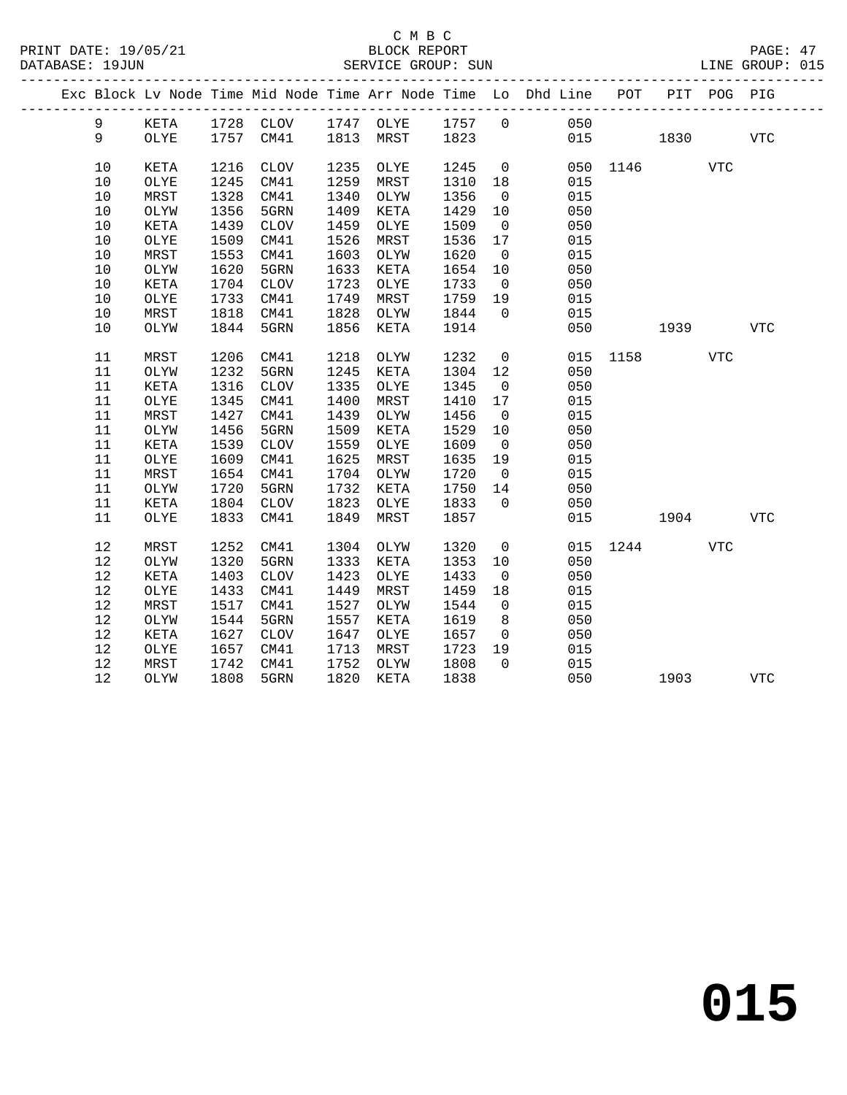|          |              |              |              |              |              |              |                      | Exc Block Lv Node Time Mid Node Time Arr Node Time Lo Dhd Line POT |          |          | PIT POG PIG |            |
|----------|--------------|--------------|--------------|--------------|--------------|--------------|----------------------|--------------------------------------------------------------------|----------|----------|-------------|------------|
| 9        | KETA         |              |              |              |              |              |                      | 1728 CLOV 1747 OLYE 1757 0 050                                     |          |          |             |            |
| 9        | <b>OLYE</b>  |              | 1757 CM41    |              | 1813 MRST    | 1823         |                      |                                                                    | 015      | 1830     |             | VTC        |
| 10       | KETA         | 1216         | CLOV         | 1235         | OLYE         | 1245         | $\overline{0}$       |                                                                    | 050 1146 |          | <b>VTC</b>  |            |
| 10       | OLYE         | 1245         | CM41         | 1259         | MRST         | 1310         | 18                   | 015                                                                |          |          |             |            |
| 10       | MRST         | 1328         | CM41         | 1340         | OLYW         | 1356         | $\overline{0}$       | 015                                                                |          |          |             |            |
| 10       | OLYW         | 1356         | 5GRN         | 1409         | KETA         | 1429         | 10                   | 050                                                                |          |          |             |            |
| 10       | KETA         | 1439         | CLOV         | 1459         | OLYE         | 1509         | $\overline{0}$       | 050                                                                |          |          |             |            |
| 10       | OLYE         | 1509         | CM41         | 1526         | MRST         | 1536         | 17                   | 015                                                                |          |          |             |            |
| 10       | MRST         | 1553         | CM41         | 1603         | OLYW         | 1620         | $\overline{0}$       | 015                                                                |          |          |             |            |
| 10       | OLYW         | 1620         | 5GRN         | 1633         | KETA         | 1654         | 10                   | 050                                                                |          |          |             |            |
| 10       | KETA         | 1704         | CLOV         | 1723         | OLYE         | 1733         | $\overline{0}$       | 050                                                                |          |          |             |            |
| 10       | OLYE         | 1733         | CM41         | 1749         | MRST         | 1759         | 19                   | 015                                                                |          |          |             |            |
| 10       | MRST         | 1818         | CM41         | 1828         | OLYW         | 1844         | $\overline{0}$       | 015                                                                |          |          |             |            |
| 10       | OLYW         | 1844         | 5GRN         | 1856         | KETA         | 1914         |                      | 050                                                                |          | 1939     |             | VTC        |
| 11       | MRST         | 1206         | CM41         | 1218         | OLYW         | 1232         | $\overline{0}$       | 015                                                                |          | 1158 31  | <b>VTC</b>  |            |
| 11       | OLYW         | 1232         | 5GRN         | 1245         | KETA         | 1304         | 12                   | 050                                                                |          |          |             |            |
| $11\,$   | KETA         | 1316         | CLOV         | 1335         | OLYE         | 1345         | $\overline{0}$       | 050                                                                |          |          |             |            |
| 11       | OLYE         | 1345         | CM41         | 1400         | MRST         | 1410         | 17                   | 015                                                                |          |          |             |            |
| 11       | MRST         | 1427         | CM41         | 1439         | OLYW         | 1456         | $\overline{0}$       | 015                                                                |          |          |             |            |
| 11       | OLYW         | 1456         | 5GRN         | 1509         | KETA         | 1529         | 10                   | 050                                                                |          |          |             |            |
| 11       | KETA         | 1539         | CLOV         | 1559         | OLYE         | 1609         | $\overline{0}$       | 050                                                                |          |          |             |            |
| 11       | OLYE         | 1609         | CM41         | 1625         | MRST         | 1635         | 19                   | 015                                                                |          |          |             |            |
| 11       | MRST         | 1654         | CM41         | 1704         | OLYW         | 1720         | $\overline{0}$       | 015                                                                |          |          |             |            |
| 11       | OLYW         | 1720         | 5GRN         | 1732         | KETA         | 1750         | 14                   | 050                                                                |          |          |             |            |
| 11       | KETA         | 1804         | CLOV         | 1823         | OLYE         | 1833         | $\overline{0}$       | 050                                                                |          |          |             |            |
| 11       | OLYE         | 1833         | CM41         | 1849         | MRST         | 1857         |                      | 015                                                                |          | 1904     |             | <b>VTC</b> |
|          |              |              |              |              |              |              |                      |                                                                    |          |          |             |            |
| 12<br>12 | MRST<br>OLYW | 1252<br>1320 | CM41<br>5GRN | 1304<br>1333 | OLYW<br>KETA | 1320<br>1353 | $\overline{0}$<br>10 | 050                                                                | 015 1244 |          | <b>VTC</b>  |            |
| 12       | <b>KETA</b>  | 1403         | CLOV         | 1423         | OLYE         | 1433         | $\overline{0}$       | 050                                                                |          |          |             |            |
| 12       | OLYE         | 1433         | CM41         | 1449         | MRST         | 1459         | 18                   | 015                                                                |          |          |             |            |
| 12       | MRST         | 1517         | CM41         | 1527         |              | 1544         | $\overline{0}$       | 015                                                                |          |          |             |            |
| 12       | OLYW         | 1544         | 5GRN         | 1557         | OLYW<br>KETA | 1619         | 8 <sup>8</sup>       | 050                                                                |          |          |             |            |
| 12       | KETA         | 1627         | CLOV         | 1647         | OLYE         | 1657         | $\overline{0}$       | 050                                                                |          |          |             |            |
| 12       | OLYE         | 1657         | CM41         | 1713         | MRST         | 1723         | 19                   | 015                                                                |          |          |             |            |
| 12       | MRST         | 1742         | CM41         | 1752         | OLYW         | 1808         | $\Omega$             | 015                                                                |          |          |             |            |
| 12       | OLYW         |              | 1808 5GRN    | 1820         | KETA         | 1838         |                      | 050                                                                |          | 1903 VTC |             |            |
|          |              |              |              |              |              |              |                      |                                                                    |          |          |             |            |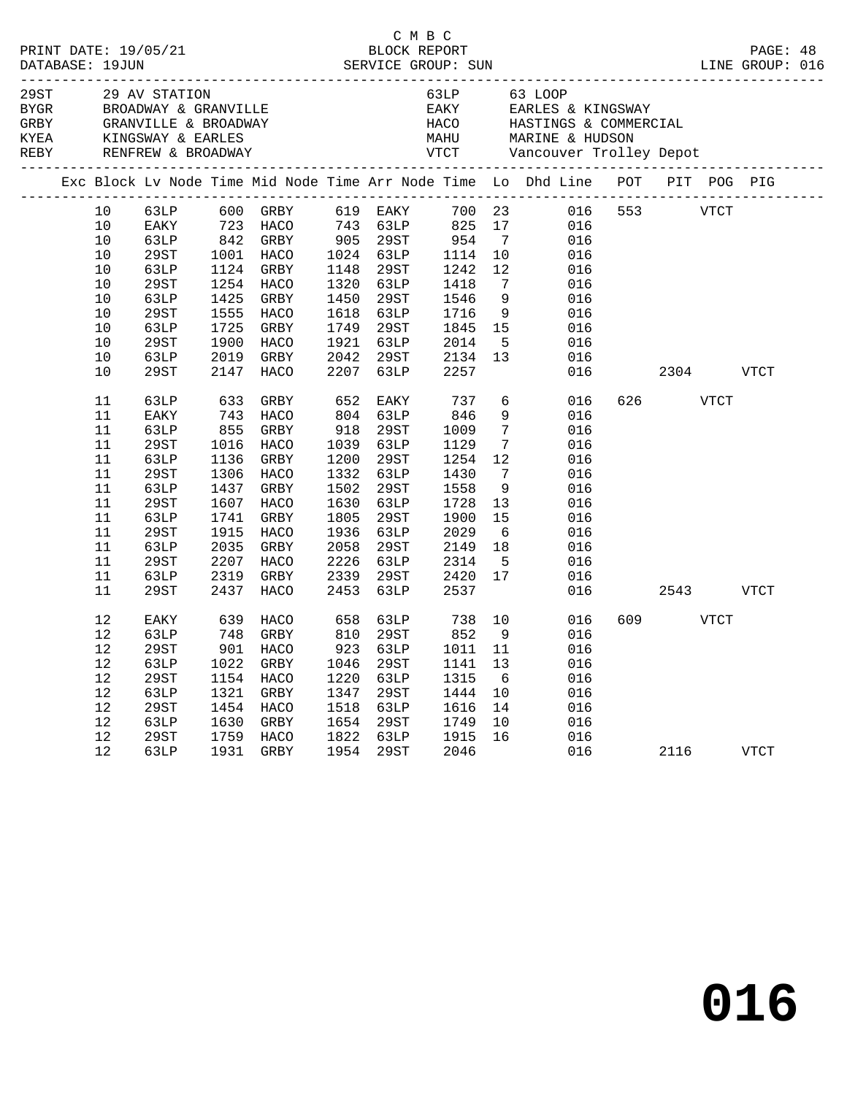|                                                                                          |                                                                                      |                                                                              |                                                                                                                                                                                                                                                                                                                                          |                                                                   |                                                                                                                       |                                                                                       |                                                                                     | 99 29 AV STATION AND MONOGRIFE REAKY AND STATION CHEARLY AND SERVICE REAKY SAN BROADWAY & GRANVILLE A BROADWAY EAKLY HACO HASTINGS & COMMERCIAL AND MARINE AND MARINE AND MARINE AND MONOGRAPH CHEAP REAKLY AND MARINE AND MAR |              |                |      |             |  |
|------------------------------------------------------------------------------------------|--------------------------------------------------------------------------------------|------------------------------------------------------------------------------|------------------------------------------------------------------------------------------------------------------------------------------------------------------------------------------------------------------------------------------------------------------------------------------------------------------------------------------|-------------------------------------------------------------------|-----------------------------------------------------------------------------------------------------------------------|---------------------------------------------------------------------------------------|-------------------------------------------------------------------------------------|--------------------------------------------------------------------------------------------------------------------------------------------------------------------------------------------------------------------------------|--------------|----------------|------|-------------|--|
|                                                                                          |                                                                                      |                                                                              |                                                                                                                                                                                                                                                                                                                                          |                                                                   |                                                                                                                       |                                                                                       |                                                                                     | Exc Block Lv Node Time Mid Node Time Arr Node Time Lo Dhd Line POT PIT POG PIG                                                                                                                                                 |              |                |      |             |  |
| 10<br>10<br>10<br>10<br>10<br>10<br>10<br>10<br>10<br>10<br>$10$<br>10<br>11<br>11<br>11 | 63LP<br>29ST<br>63LP<br>29ST<br>63LP<br>29ST<br>63LP<br>29ST<br>63LP<br>EAKY<br>63LP | 1425<br>1725<br>1900<br>2019<br>2147<br>633<br>743<br>855                    | $\begin{tabular}{lllllllllllll} 63LP & 600 & GRBY & 619 & EAKY & 700 & 23 \\ EAKY & 723 & HACO & 743 & 63LP & 825 & 17 \\ 63LP & 842 & GRBY & 905 & 29ST & 954 & 7 \\ 29ST & 1001 & HACO & 1024 & 63LP & 1114 & 10 \end{tabular}$<br>1124 GRBY<br>1254 HACO<br>GRBY<br>1555 HACO<br>GRBY<br>HACO<br>GRBY<br>HACO<br>GRBY<br>HACO<br>GRBY | 1148<br>1450<br>2207<br>652                                       | 29ST<br>1320 63LP<br>29ST<br>1618 63LP<br>1749 29ST<br>1921 63LP<br>2042 29ST<br>63LP<br>EAKY<br>804 63LP<br>918 29ST | 1242<br>1418<br>1546<br>1716<br>1845 15<br>2014<br>2134<br>2257<br>737<br>846<br>1009 | 12<br>$\overline{7}$<br>9<br>9<br>5 <sup>5</sup><br>13<br>6<br>9<br>$7\overline{ }$ | 016<br>016<br>016<br>016<br>016<br>016<br>016<br>016<br>016<br>016<br>016<br>016<br>016<br>016                                                                                                                                 | 016 553 VTCT | 2304<br>626 70 | VTCT | <b>VTCT</b> |  |
| 11<br>11<br>11<br>11<br>11<br>11<br>11<br>11<br>11<br>11<br>11                           | 29ST<br>63LP<br>29ST<br>63LP<br>29ST<br>63LP<br>29ST<br>63LP<br>29ST<br>63LP<br>29ST | 1016<br>1136<br>1306<br>1437<br>1741<br>1915<br>2035<br>2207<br>2319<br>2437 | HACO<br>GRBY<br>HACO<br>GRBY<br>1607 HACO<br>GRBY<br>HACO<br>GRBY<br>HACO<br>GRBY<br>HACO                                                                                                                                                                                                                                                | 1200<br>1502<br>1630<br>1805<br>2058<br>2226<br>2339<br>2453      | 1039 63LP<br>29ST<br>1332 63LP<br>29ST<br>63LP<br>29ST<br>1936 63LP<br>29ST<br>63LP<br>29ST<br>63LP                   | 1129<br>1254<br>1430<br>1558<br>1728<br>1900<br>2029<br>2149<br>2314<br>2420<br>2537  | $7\phantom{.0}$<br>12<br>$\overline{7}$<br>9<br>13<br>15<br>6<br>18<br>$-5$<br>17   | 016<br>016<br>016<br>016<br>016<br>016<br>016<br>016<br>016<br>016<br>016                                                                                                                                                      |              | 2543           |      | VTCT        |  |
| 12<br>12<br>12<br>12<br>$12$<br>12<br>12<br>12<br>12<br>12                               | EAKY<br>63LP<br>29ST<br>63LP<br>29ST<br>63LP<br>29ST<br>63LP<br>29ST<br>63LP         | 639<br>748<br>1022<br>1154<br>1321<br>1630                                   | HACO<br>GRBY<br>901 HACO<br>GRBY<br>HACO<br>GRBY<br>1454 HACO<br>GRBY<br>1759 HACO<br>1931 GRBY                                                                                                                                                                                                                                          | 658<br>810<br>923<br>1046<br>1220<br>1347<br>1518<br>1654<br>1822 | 63LP<br>29ST<br>63LP<br>29ST<br>63LP<br>29ST<br>63LP<br>29ST<br>63LP<br>1954 29ST                                     | 738<br>852<br>1011<br>1141<br>1315<br>1444<br>1616<br>1749<br>1915<br>2046            | 10<br>9<br>11<br>13<br>6<br>10<br>14<br>10<br>16                                    | 016<br>016<br>016<br>016<br>016<br>016<br>016<br>016<br>016                                                                                                                                                                    | 016 01       | 609 VTCT       | 2116 | VTCT        |  |

C M B C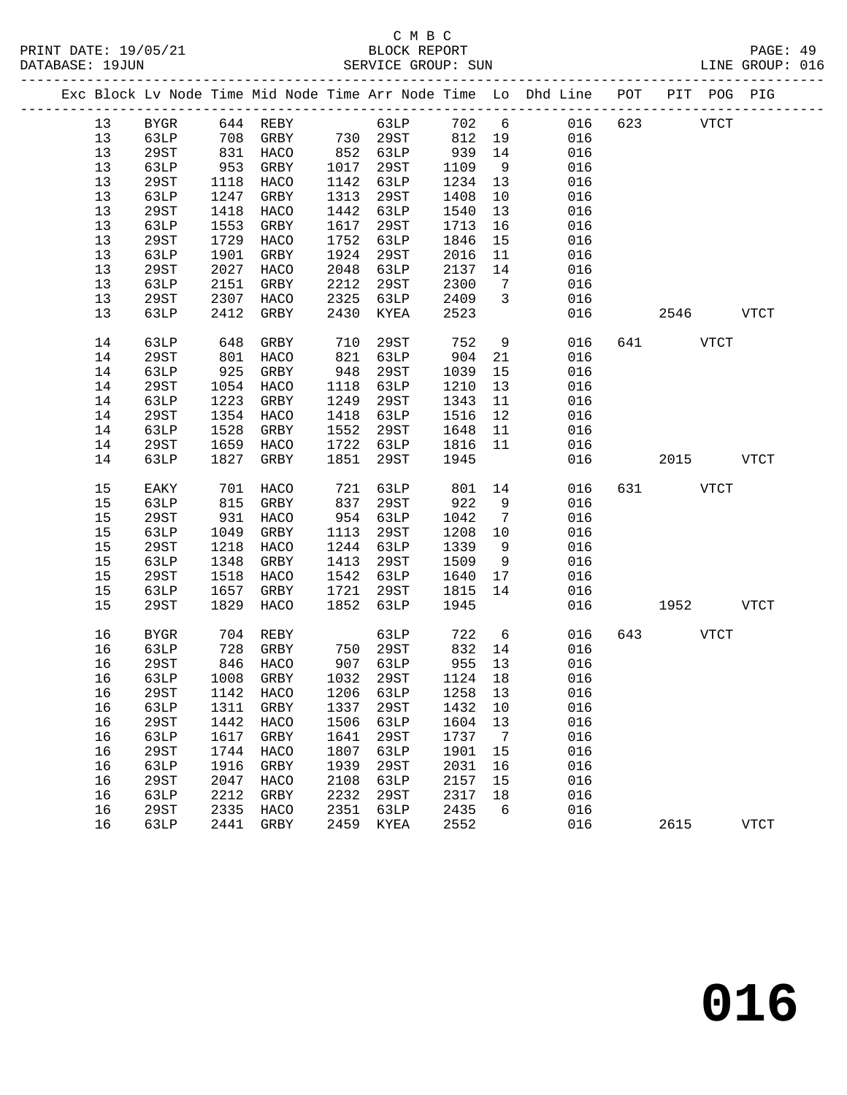|  |    |             |      |                                            |      |                 |         |                         | Exc Block Lv Node Time Mid Node Time Arr Node Time Lo Dhd Line POT PIT POG PIG |     |          |             |              |
|--|----|-------------|------|--------------------------------------------|------|-----------------|---------|-------------------------|--------------------------------------------------------------------------------|-----|----------|-------------|--------------|
|  | 13 | <b>BYGR</b> |      | 644 REBY                                   |      | 63LP            |         |                         | 702 6<br>016                                                                   | 623 |          | <b>VTCT</b> |              |
|  | 13 | 63LP        | 708  | GRBY                                       |      | 730 29ST        | 812     | 19                      | 016                                                                            |     |          |             |              |
|  | 13 | 29ST        |      | 831 HACO<br>953 GRBY                       |      | 852 63LP        | 939     | 14                      | 016                                                                            |     |          |             |              |
|  | 13 | 63LP        |      |                                            | 1017 | 29ST            | 1109    | 9                       | 016                                                                            |     |          |             |              |
|  | 13 | 29ST        | 1118 | HACO                                       | 1142 | 63LP            | 1234    | 13                      | 016                                                                            |     |          |             |              |
|  | 13 | 63LP        | 1247 | GRBY                                       | 1313 | 29ST            | 1408    | 10                      | 016                                                                            |     |          |             |              |
|  | 13 | 29ST        | 1418 | HACO                                       | 1442 | 63LP            | 1540    | 13                      | 016                                                                            |     |          |             |              |
|  | 13 | 63LP        | 1553 | GRBY                                       | 1617 | 29ST            | 1713    | 16                      | 016                                                                            |     |          |             |              |
|  | 13 | 29ST        | 1729 | HACO                                       | 1752 | 63LP            | 1846    | 15                      | 016                                                                            |     |          |             |              |
|  | 13 | 63LP        | 1901 | GRBY                                       | 1924 | 29ST            | 2016    | 11                      | 016                                                                            |     |          |             |              |
|  | 13 | 29ST        | 2027 | HACO                                       | 2048 | 63LP            | 2137    | 14                      | 016                                                                            |     |          |             |              |
|  | 13 | 63LP        | 2151 | GRBY                                       | 2212 | 29ST            | 2300    | $\overline{7}$          | 016                                                                            |     |          |             |              |
|  | 13 | 29ST        | 2307 | HACO                                       | 2325 | 63LP            | 2409    | $\overline{\mathbf{3}}$ | 016                                                                            |     |          |             |              |
|  | 13 | 63LP        | 2412 | GRBY                                       | 2430 | KYEA            | 2523    |                         | 016                                                                            |     | 2546     |             | VTCT         |
|  | 14 | 63LP        | 648  | GRBY                                       | 710  | 29ST            | 752     | 9                       | 016                                                                            |     | 641 VTCT |             |              |
|  | 14 | 29ST        | 801  | HACO                                       | 821  | 63LP            | 904     | 21                      | 016                                                                            |     |          |             |              |
|  | 14 | 63LP        | 925  | GRBY                                       | 948  | 29ST            | 1039    | 15                      | 016                                                                            |     |          |             |              |
|  | 14 | 29ST        | 1054 | HACO                                       | 1118 | 63LP            | 1210    | 13                      | 016                                                                            |     |          |             |              |
|  | 14 | 63LP        | 1223 | GRBY                                       | 1249 | 29ST            | 1343    | 11                      | 016                                                                            |     |          |             |              |
|  | 14 | 29ST        | 1354 | HACO                                       | 1418 | 63LP            | 1516    | 12                      | 016                                                                            |     |          |             |              |
|  | 14 | 63LP        | 1528 | GRBY                                       | 1552 | 29ST            | 1648    | 11                      | 016                                                                            |     |          |             |              |
|  | 14 | 29ST        | 1659 | HACO                                       | 1722 | 63LP            | 1816    | 11                      | 016                                                                            |     |          |             |              |
|  | 14 | 63LP        | 1827 | GRBY                                       | 1851 | 29ST            | 1945    |                         | 016                                                                            |     | 2015     |             | <b>VTCT</b>  |
|  | 15 | EAKY        | 701  | HACO                                       | 721  | 63LP            | 801     | 14                      | 016                                                                            |     | 631 VTCT |             |              |
|  | 15 | 63LP        | 815  | GRBY                                       | 837  | 29ST            | 922     | 9                       | 016                                                                            |     |          |             |              |
|  | 15 | 29ST        | 931  | HACO                                       | 954  | 63LP            | 1042    | $\overline{7}$          | 016                                                                            |     |          |             |              |
|  | 15 | 63LP        | 1049 | GRBY                                       | 1113 | 29ST            | 1208    | 10                      | 016                                                                            |     |          |             |              |
|  | 15 | 29ST        | 1218 | HACO                                       | 1244 | 63LP            | 1339    | 9                       | 016                                                                            |     |          |             |              |
|  | 15 | 63LP        | 1348 | GRBY                                       | 1413 | 29ST            | 1509    | 9                       | 016                                                                            |     |          |             |              |
|  | 15 | 29ST        | 1518 | HACO                                       | 1542 | 63LP            | 1640    | 17                      | 016                                                                            |     |          |             |              |
|  | 15 | 63LP        | 1657 | GRBY                                       | 1721 | 29ST            | 1815    | 14                      | 016                                                                            |     |          |             |              |
|  | 15 | 29ST        | 1829 | HACO                                       | 1852 | 63LP            | 1945    |                         | 016                                                                            |     | 1952     |             | <b>VTCT</b>  |
|  | 16 | <b>BYGR</b> | 704  | REBY                                       |      | 63LP            | 722     | 6                       | 016                                                                            | 643 |          | <b>VTCT</b> |              |
|  | 16 | 63LP        | 728  | GRBY                                       |      | 750 29ST        | 832     | 14                      | 016                                                                            |     |          |             |              |
|  | 16 | 29ST        |      | 846 HACO                                   |      | 907 63LP        | 955 13  |                         | 016                                                                            |     |          |             |              |
|  | 16 | 63LP        |      | 1008 GRBY                                  |      | 1032 29ST       | 1124 18 |                         | 016                                                                            |     |          |             |              |
|  |    |             |      | 16  29ST  1142  HACO  1206  63LP  1258  13 |      |                 |         |                         | 016                                                                            |     |          |             |              |
|  | 16 | 63LP        | 1311 | GRBY                                       | 1337 | 29ST            | 1432    | 10                      | 016                                                                            |     |          |             |              |
|  | 16 | 29ST        | 1442 | HACO                                       | 1506 | 63LP            | 1604    | 13                      | 016                                                                            |     |          |             |              |
|  | 16 | 63LP        | 1617 | GRBY                                       | 1641 | 29ST            | 1737    | 7                       | 016                                                                            |     |          |             |              |
|  | 16 | <b>29ST</b> | 1744 | HACO                                       | 1807 | <b>63LP</b>     | 1901    | 15                      | 016                                                                            |     |          |             |              |
|  | 16 | 63LP        | 1916 | GRBY                                       | 1939 | 29ST            | 2031    | 16                      | 016                                                                            |     |          |             |              |
|  | 16 | <b>29ST</b> | 2047 | HACO                                       | 2108 | 63LP            | 2157    | 15                      | 016                                                                            |     |          |             |              |
|  | 16 | 63LP        | 2212 | GRBY                                       | 2232 | 29ST            | 2317    | 18                      | 016                                                                            |     |          |             |              |
|  | 16 | 29ST        | 2335 | HACO                                       | 2351 | 63LP            | 2435    | 6                       | 016                                                                            |     |          |             |              |
|  | 16 | 63LP        | 2441 | GRBY                                       | 2459 | $\texttt{KYEA}$ | 2552    |                         | 016                                                                            |     | 2615     |             | ${\tt VTCT}$ |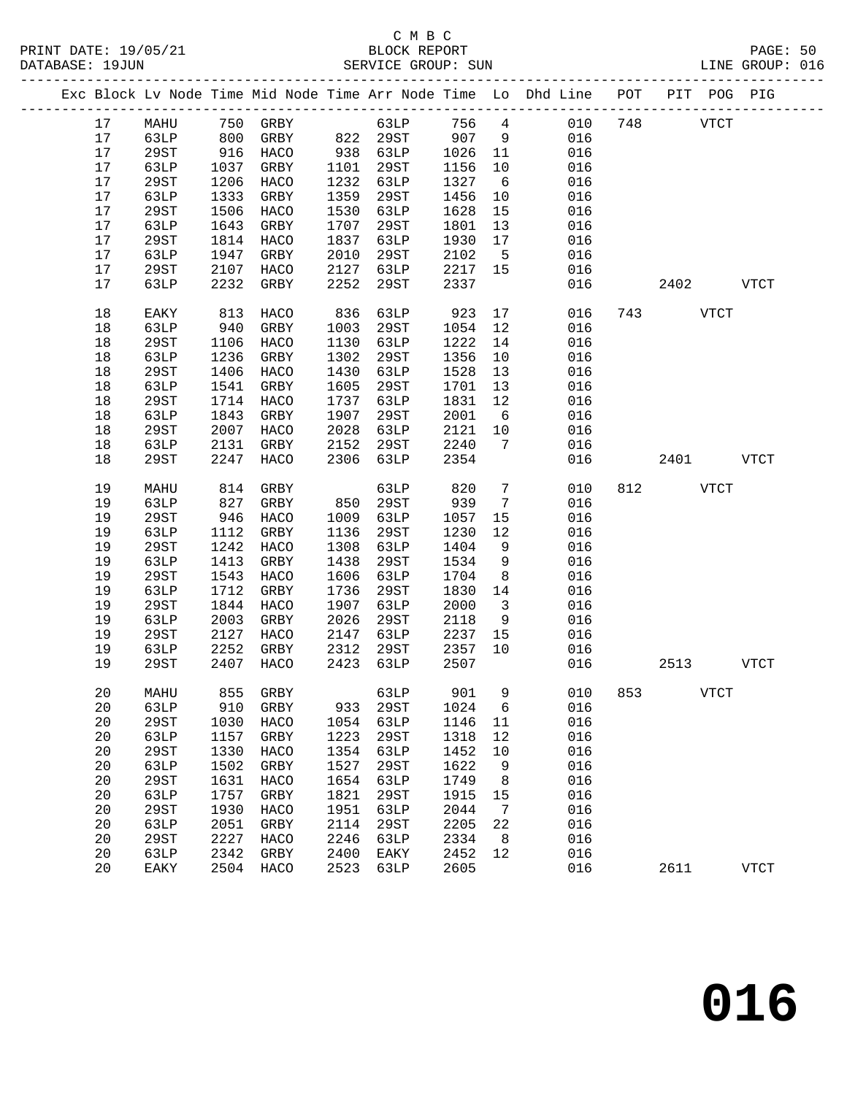|                 |             |      |               |      |            |      |                         | Exc Block Lv Node Time Mid Node Time Arr Node Time Lo Dhd Line POT |     |          | PIT POG PIG |             |
|-----------------|-------------|------|---------------|------|------------|------|-------------------------|--------------------------------------------------------------------|-----|----------|-------------|-------------|
| 17              | MAHU        |      | 750 GRBY      |      | 63LP 756 4 |      |                         | 010                                                                | 748 |          | <b>VTCT</b> |             |
| 17              | 63LP        | 800  | GRBY          |      | 822 29ST   | 907  | 9                       | 016                                                                |     |          |             |             |
| 17              | 29ST        | 916  | HACO          |      | 938 63LP   | 1026 | 11                      | 016                                                                |     |          |             |             |
| 17              | 63LP        | 1037 | GRBY          | 1101 | 29ST       | 1156 | 10                      | 016                                                                |     |          |             |             |
| 17              | 29ST        | 1206 | HACO          | 1232 | 63LP       | 1327 | 6                       | 016                                                                |     |          |             |             |
| 17              | 63LP        | 1333 | GRBY          | 1359 | 29ST       | 1456 | 10                      | 016                                                                |     |          |             |             |
| 17              | <b>29ST</b> | 1506 | HACO          | 1530 | 63LP       | 1628 | 15                      | 016                                                                |     |          |             |             |
| 17              | 63LP        | 1643 | GRBY          | 1707 | 29ST       | 1801 | 13                      | 016                                                                |     |          |             |             |
| 17              | 29ST        | 1814 | HACO          | 1837 | 63LP       | 1930 | 17                      | 016                                                                |     |          |             |             |
| 17              | 63LP        | 1947 | GRBY          | 2010 | 29ST       | 2102 | $-5$                    | 016                                                                |     |          |             |             |
| 17              | 29ST        | 2107 | HACO          | 2127 | 63LP       | 2217 | 15                      | 016                                                                |     |          |             |             |
| 17              | 63LP        | 2232 | GRBY          | 2252 | 29ST       | 2337 |                         | 016                                                                |     | 2402     |             | <b>VTCT</b> |
|                 |             |      |               |      |            |      |                         |                                                                    |     |          |             |             |
| 18              | EAKY        | 813  | HACO          | 836  | 63LP       | 923  | 17                      | 016                                                                |     | 743 VTCT |             |             |
| 18              | 63LP        | 940  | GRBY          | 1003 | 29ST       | 1054 | 12                      | 016                                                                |     |          |             |             |
| 18              | 29ST        | 1106 | HACO          | 1130 | 63LP       | 1222 | 14                      | 016                                                                |     |          |             |             |
| 18              | 63LP        | 1236 | GRBY          | 1302 | 29ST       | 1356 | 10                      | 016                                                                |     |          |             |             |
| 18              | 29ST        | 1406 | HACO          | 1430 | 63LP       | 1528 | 13                      | 016                                                                |     |          |             |             |
| 18              | 63LP        | 1541 | GRBY          | 1605 | 29ST       | 1701 | 13                      | 016                                                                |     |          |             |             |
| 18              | 29ST        | 1714 | HACO          | 1737 | 63LP       | 1831 | 12                      | 016                                                                |     |          |             |             |
| 18              | 63LP        | 1843 | GRBY          | 1907 | 29ST       | 2001 | $6\overline{6}$         | 016                                                                |     |          |             |             |
| 18              | <b>29ST</b> | 2007 | HACO          | 2028 | 63LP       | 2121 | 10                      | 016                                                                |     |          |             |             |
| 18              | 63LP        | 2131 | GRBY          | 2152 | 29ST       | 2240 | 7                       | 016                                                                |     |          |             |             |
| 18              | <b>29ST</b> | 2247 | HACO          | 2306 | 63LP       | 2354 |                         | 016                                                                |     | 2401     |             | <b>VTCT</b> |
|                 |             |      |               |      |            |      |                         |                                                                    |     |          |             |             |
| 19              | MAHU        | 814  | GRBY          |      | 63LP       | 820  | $7\phantom{.0}$         | 010                                                                | 812 |          | <b>VTCT</b> |             |
| 19              | 63LP        | 827  | GRBY          | 850  | 29ST       | 939  | $7\overline{ }$         | 016                                                                |     |          |             |             |
| 19              | 29ST        | 946  | HACO          | 1009 | 63LP       | 1057 | 15                      | 016                                                                |     |          |             |             |
| 19              | 63LP        | 1112 | GRBY          | 1136 | 29ST       | 1230 | 12                      | 016                                                                |     |          |             |             |
| 19              | <b>29ST</b> | 1242 | HACO          | 1308 | 63LP       | 1404 | 9                       | 016                                                                |     |          |             |             |
| 19              | 63LP        | 1413 | GRBY          | 1438 | 29ST       | 1534 | 9                       | 016                                                                |     |          |             |             |
| 19              | <b>29ST</b> | 1543 | HACO          | 1606 | 63LP       | 1704 | 8                       | 016                                                                |     |          |             |             |
| 19              | 63LP        | 1712 | GRBY          | 1736 | 29ST       | 1830 | 14                      | 016                                                                |     |          |             |             |
| 19              | <b>29ST</b> | 1844 | HACO          | 1907 | 63LP       | 2000 | $\overline{\mathbf{3}}$ | 016                                                                |     |          |             |             |
| 19              | 63LP        | 2003 | GRBY          | 2026 | 29ST       | 2118 | 9                       | 016                                                                |     |          |             |             |
| 19              | 29ST        | 2127 | HACO          | 2147 | 63LP       | 2237 | 15                      | 016                                                                |     |          |             |             |
| 19              | 63LP        | 2252 | GRBY          | 2312 | 29ST       | 2357 | 10                      | 016                                                                |     |          |             |             |
| 19              | 29ST        | 2407 | HACO          | 2423 | 63LP       | 2507 |                         | 016                                                                |     | 2513     |             | <b>VTCT</b> |
| 20 <sub>o</sub> |             |      | MAHU 855 GRBY |      |            |      |                         | 63LP 901 9 010 853                                                 |     |          | <b>VTCT</b> |             |
| 20              | 63LP        | 910  | GRBY          | 933  | 29ST       | 1024 | 6                       | 016                                                                |     |          |             |             |
| 20              | 29ST        | 1030 | HACO          | 1054 | 63LP       | 1146 | 11                      | 016                                                                |     |          |             |             |
| 20              | 63LP        | 1157 | GRBY          | 1223 | 29ST       | 1318 | 12                      | 016                                                                |     |          |             |             |
| 20              | <b>29ST</b> | 1330 | HACO          | 1354 | 63LP       | 1452 | 10                      | 016                                                                |     |          |             |             |
| 20              | 63LP        | 1502 | GRBY          | 1527 | 29ST       | 1622 | 9                       | 016                                                                |     |          |             |             |
| 20              | <b>29ST</b> | 1631 | HACO          | 1654 | 63LP       | 1749 | 8                       | 016                                                                |     |          |             |             |
| 20              | 63LP        | 1757 | GRBY          | 1821 | 29ST       | 1915 | 15                      | 016                                                                |     |          |             |             |
| 20              | 29ST        | 1930 | HACO          | 1951 | 63LP       | 2044 | 7                       | 016                                                                |     |          |             |             |
| 20              | 63LP        | 2051 | GRBY          | 2114 | 29ST       | 2205 | 22                      | 016                                                                |     |          |             |             |
| 20              | 29ST        | 2227 | HACO          | 2246 | 63LP       | 2334 | 8                       | 016                                                                |     |          |             |             |
| 20              | 63LP        | 2342 | GRBY          | 2400 | EAKY       | 2452 | 12                      | 016                                                                |     |          |             |             |
| 20              | EAKY        | 2504 | HACO          | 2523 | 63LP       | 2605 |                         | 016                                                                |     | 2611     |             | <b>VTCT</b> |
|                 |             |      |               |      |            |      |                         |                                                                    |     |          |             |             |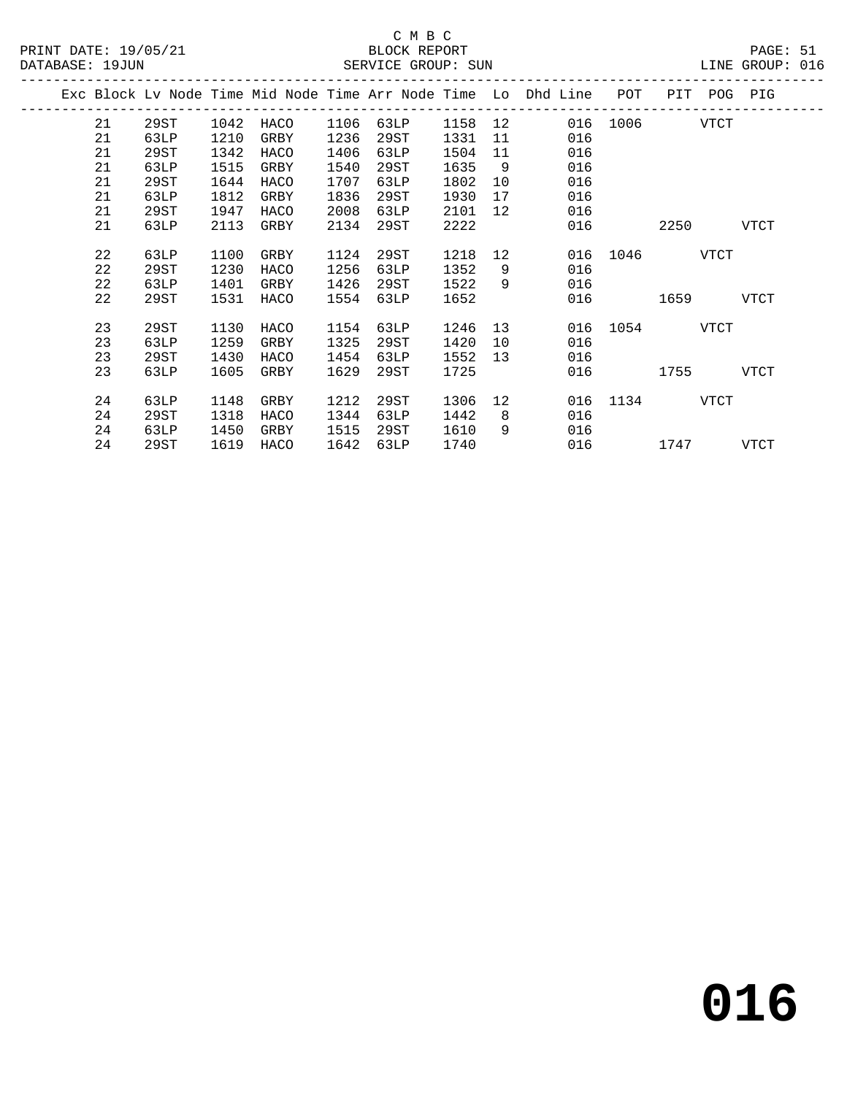|  |    |      |      |      |      |      |      |    | Exc Block Lv Node Time Mid Node Time Arr Node Time Lo Dhd Line | POT  | PIT  | POG  | PIG         |
|--|----|------|------|------|------|------|------|----|----------------------------------------------------------------|------|------|------|-------------|
|  | 21 | 29ST | 1042 | HACO | 1106 | 63LP | 1158 | 12 | 016                                                            | 1006 |      | VTCT |             |
|  | 21 | 63LP | 1210 | GRBY | 1236 | 29ST | 1331 | 11 | 016                                                            |      |      |      |             |
|  | 21 | 29ST | 1342 | HACO | 1406 | 63LP | 1504 | 11 | 016                                                            |      |      |      |             |
|  | 21 | 63LP | 1515 | GRBY | 1540 | 29ST | 1635 | 9  | 016                                                            |      |      |      |             |
|  | 21 | 29ST | 1644 | HACO | 1707 | 63LP | 1802 | 10 | 016                                                            |      |      |      |             |
|  | 21 | 63LP | 1812 | GRBY | 1836 | 29ST | 1930 | 17 | 016                                                            |      |      |      |             |
|  | 21 | 29ST | 1947 | HACO | 2008 | 63LP | 2101 | 12 | 016                                                            |      |      |      |             |
|  | 21 | 63LP | 2113 | GRBY | 2134 | 29ST | 2222 |    | 016                                                            |      | 2250 |      | VTCT        |
|  |    |      |      |      |      |      |      |    |                                                                |      |      |      |             |
|  | 22 | 63LP | 1100 | GRBY | 1124 | 29ST | 1218 | 12 | 016                                                            | 1046 |      | VTCT |             |
|  | 22 | 29ST | 1230 | HACO | 1256 | 63LP | 1352 | 9  | 016                                                            |      |      |      |             |
|  | 22 | 63LP | 1401 | GRBY | 1426 | 29ST | 1522 | 9  | 016                                                            |      |      |      |             |
|  | 22 | 29ST | 1531 | HACO | 1554 | 63LP | 1652 |    | 016                                                            |      | 1659 |      | <b>VTCT</b> |
|  |    |      |      |      |      |      |      |    |                                                                |      |      |      |             |
|  | 23 | 29ST | 1130 | HACO | 1154 | 63LP | 1246 | 13 | 016                                                            | 1054 |      | VTCT |             |
|  | 23 | 63LP | 1259 | GRBY | 1325 | 29ST | 1420 | 10 | 016                                                            |      |      |      |             |
|  | 23 | 29ST | 1430 | HACO | 1454 | 63LP | 1552 | 13 | 016                                                            |      |      |      |             |
|  | 23 | 63LP | 1605 | GRBY | 1629 | 29ST | 1725 |    | 016                                                            |      | 1755 |      | <b>VTCT</b> |
|  |    |      |      |      |      |      |      |    |                                                                |      |      |      |             |
|  | 24 | 63LP | 1148 | GRBY | 1212 | 29ST | 1306 | 12 | 016                                                            | 1134 |      | VTCT |             |
|  | 24 | 29ST | 1318 | HACO | 1344 | 63LP | 1442 | 8  | 016                                                            |      |      |      |             |
|  | 24 | 63LP | 1450 | GRBY | 1515 | 29ST | 1610 | 9  | 016                                                            |      |      |      |             |
|  | 24 | 29ST | 1619 | HACO | 1642 | 63LP | 1740 |    | 016                                                            |      | 1747 |      | <b>VTCT</b> |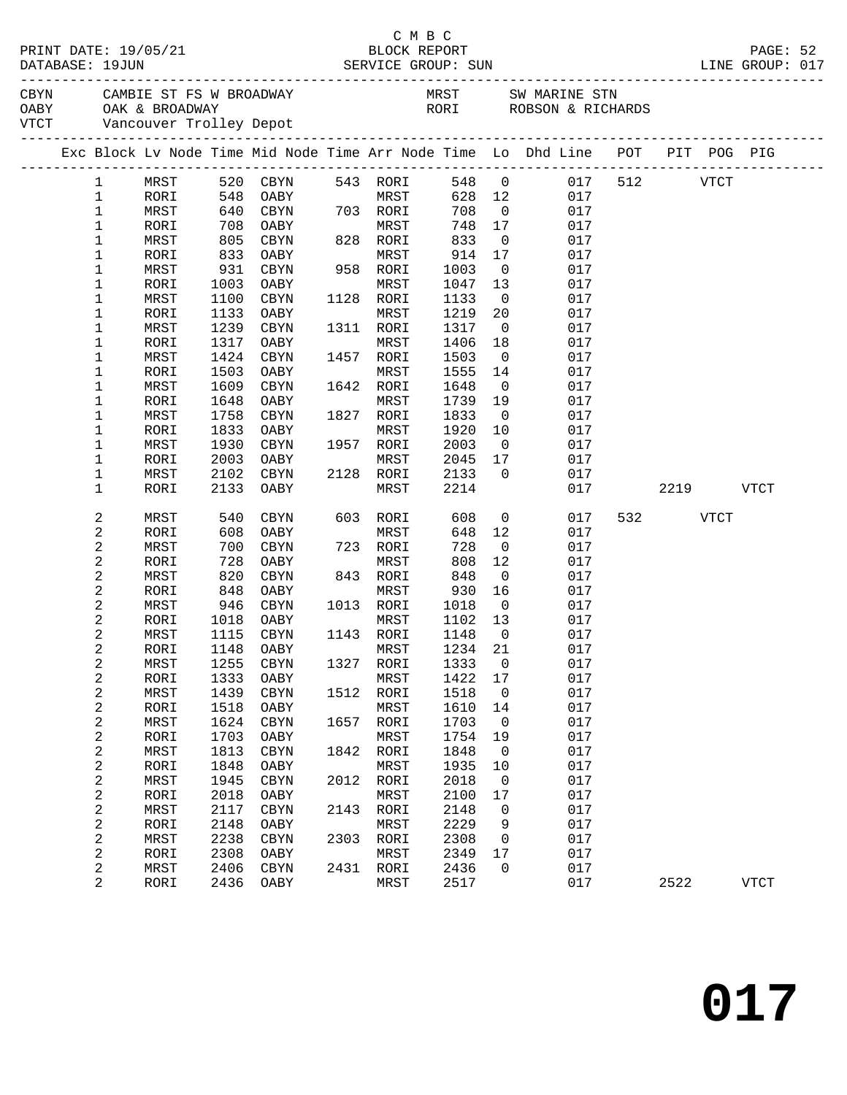|  |                              |              |              |                        |      |                   |              |                               | LINE GROUP: 017                                                                                                                                                                                                                |          |           |             |  |
|--|------------------------------|--------------|--------------|------------------------|------|-------------------|--------------|-------------------------------|--------------------------------------------------------------------------------------------------------------------------------------------------------------------------------------------------------------------------------|----------|-----------|-------------|--|
|  |                              |              |              |                        |      |                   |              |                               | CAMBIE ST FS W BROADWAY MRST SW MARINE STN OABY OAK & BROADWAY NEST SW MARINE STN OABY OAK & BROADWAY DEPOTE STORE STORE STORE STORE STORE STORE STORE STORE STORE STORE STORE STORE STORE STORE STORE STORE STORE STORE STORE |          |           |             |  |
|  |                              |              |              |                        |      |                   |              |                               |                                                                                                                                                                                                                                |          |           |             |  |
|  |                              |              |              |                        |      |                   |              |                               | Exc Block Lv Node Time Mid Node Time Arr Node Time Lo Dhd Line POT PIT POG PIG                                                                                                                                                 |          |           |             |  |
|  | $\mathbf{1}$                 | MRST         |              | 520 CBYN               |      | 543 RORI          |              |                               | 548 0 017                                                                                                                                                                                                                      |          | 512 VTCT  |             |  |
|  | $\mathbf{1}$                 | RORI         | 548          | OABY                   |      | MRST              | 628 12       |                               | 017                                                                                                                                                                                                                            |          |           |             |  |
|  | $\mathbf 1$                  | MRST         | 640          | CBYN                   |      | 703 RORI          | 708          | $\overline{0}$                | 017                                                                                                                                                                                                                            |          |           |             |  |
|  | 1                            | RORI         | 708<br>805   | OABY                   |      | MRST              | 748          | 17                            | 017                                                                                                                                                                                                                            |          |           |             |  |
|  | $\mathbf 1$                  | MRST         |              | CBYN                   |      | 828 RORI          | 833          | $\overline{0}$                | 017                                                                                                                                                                                                                            |          |           |             |  |
|  | $\mathbf 1$                  | RORI         | 833          | OABY                   |      | MRST              | 914          | 17                            | 017                                                                                                                                                                                                                            |          |           |             |  |
|  | 1                            | MRST         | 931          | CBYN                   |      | 958 RORI          | 1003         | $\overline{\mathbf{0}}$       | 017                                                                                                                                                                                                                            |          |           |             |  |
|  | 1                            | RORI         | 1003         | OABY                   |      | MRST              | 1047         | 13                            | 017                                                                                                                                                                                                                            |          |           |             |  |
|  | $\mathbf 1$                  | MRST         | 1100         | CBYN                   |      | 1128 RORI         | 1133         | $\overline{0}$                | 017                                                                                                                                                                                                                            |          |           |             |  |
|  | 1                            | RORI         | 1133         | OABY                   |      | MRST              | 1219         | 20                            | 017                                                                                                                                                                                                                            |          |           |             |  |
|  | $\mathbf 1$                  | MRST         | 1239         | CBYN                   |      | 1311 RORI         | 1317         | $\overline{\phantom{0}}$      | 017                                                                                                                                                                                                                            |          |           |             |  |
|  | 1                            | RORI         | 1317         | OABY                   |      | MRST              | 1406         | 18                            | 017                                                                                                                                                                                                                            |          |           |             |  |
|  | $\mathbf 1$                  | MRST         | 1424         | CBYN                   |      | 1457 RORI         | 1503         | $\overline{0}$                | 017                                                                                                                                                                                                                            |          |           |             |  |
|  | 1                            | RORI         | 1503         | OABY                   |      | MRST              | 1555         | 14                            | 017                                                                                                                                                                                                                            |          |           |             |  |
|  | 1                            | MRST         | 1609         | CBYN                   |      | 1642 RORI         | 1648         | $\overline{\mathbf{0}}$       | 017                                                                                                                                                                                                                            |          |           |             |  |
|  | 1                            | RORI         | 1648         | OABY                   |      | MRST              | 1739         | 19                            | 017                                                                                                                                                                                                                            |          |           |             |  |
|  | $\mathbf 1$                  | MRST         | 1758         | CBYN                   |      | 1827 RORI         | 1833         | $\overline{\mathbf{0}}$       | 017                                                                                                                                                                                                                            |          |           |             |  |
|  | 1<br>$\mathbf 1$             | RORI         | 1833         | OABY                   |      | MRST              | 1920         | 10<br>$\overline{\mathbf{0}}$ | 017<br>017                                                                                                                                                                                                                     |          |           |             |  |
|  | 1                            | MRST<br>RORI | 1930<br>2003 | CBYN<br>OABY           |      | 1957 RORI<br>MRST | 2003<br>2045 | 17                            | 017                                                                                                                                                                                                                            |          |           |             |  |
|  | 1                            | MRST         | 2102         | CBYN                   |      | 2128 RORI         | 2133         | $\overline{0}$                | 017                                                                                                                                                                                                                            |          |           |             |  |
|  | 1                            | RORI         | 2133         | OABY                   |      | MRST              | 2214         |                               | 017                                                                                                                                                                                                                            |          | 2219 VTCT |             |  |
|  | 2                            | MRST         | 540          | CBYN                   |      | 603 RORI          | 608          | $\overline{0}$                | 017                                                                                                                                                                                                                            | 532 VTCT |           |             |  |
|  | 2                            | RORI         | 608          | OABY                   |      | MRST              | 648          | 12                            | 017                                                                                                                                                                                                                            |          |           |             |  |
|  | 2                            | MRST         | 700          | CBYN                   |      | 723 RORI          | 728          | $\overline{\mathbf{0}}$       | 017                                                                                                                                                                                                                            |          |           |             |  |
|  | 2                            | RORI         | 728          | OABY                   |      | MRST              | 808          | 12                            | 017                                                                                                                                                                                                                            |          |           |             |  |
|  | 2                            | MRST         | 820          | CBYN                   |      | 843 RORI          | 848          | $\overline{\mathbf{0}}$       | 017                                                                                                                                                                                                                            |          |           |             |  |
|  | 2                            | RORI         | 848          | OABY                   |      | MRST              | 930          | 16                            | 017                                                                                                                                                                                                                            |          |           |             |  |
|  | 2                            | MRST         |              | 946 CBYN               |      | 1013 RORI         | 1018         | $\overline{0}$                | 017                                                                                                                                                                                                                            |          |           |             |  |
|  | 2                            | RORI         |              | 1018 OABY              |      | MRST              | 1102 13      |                               | 017                                                                                                                                                                                                                            |          |           |             |  |
|  | 2                            | MRST         |              | 1115 CBYN              |      | 1143 RORI         | 1148         | $\overline{0}$                | 017                                                                                                                                                                                                                            |          |           |             |  |
|  | 2                            | RORI         |              | 1148 OABY MRST 1234 21 |      |                   |              |                               | 017                                                                                                                                                                                                                            |          |           |             |  |
|  | 2                            | MRST         | 1255         | CBYN                   | 1327 | RORI              | 1333         | 0                             | 017                                                                                                                                                                                                                            |          |           |             |  |
|  | 2                            | RORI         | 1333         | OABY                   |      | MRST              | 1422         | 17                            | 017                                                                                                                                                                                                                            |          |           |             |  |
|  | 2                            | MRST         | 1439         | CBYN                   | 1512 | RORI              | 1518         | 0                             | 017                                                                                                                                                                                                                            |          |           |             |  |
|  | 2<br>$\overline{\mathbf{c}}$ | RORI<br>MRST | 1518<br>1624 | OABY<br>CBYN           | 1657 | MRST<br>RORI      | 1610<br>1703 | 14<br>$\mathsf 0$             | 017<br>017                                                                                                                                                                                                                     |          |           |             |  |
|  | 2                            | RORI         | 1703         | OABY                   |      | MRST              | 1754         | 19                            | 017                                                                                                                                                                                                                            |          |           |             |  |
|  | 2                            | MRST         | 1813         | CBYN                   | 1842 | RORI              | 1848         | 0                             | 017                                                                                                                                                                                                                            |          |           |             |  |
|  | 2                            | RORI         | 1848         | OABY                   |      | MRST              | 1935         | 10                            | 017                                                                                                                                                                                                                            |          |           |             |  |
|  | 2                            | MRST         | 1945         | $\rm CBYN$             | 2012 | RORI              | 2018         | $\mathsf 0$                   | 017                                                                                                                                                                                                                            |          |           |             |  |
|  | 2                            | RORI         | 2018         | OABY                   |      | MRST              | 2100         | 17                            | 017                                                                                                                                                                                                                            |          |           |             |  |
|  | 2                            | MRST         | 2117         | CBYN                   | 2143 | RORI              | 2148         | 0                             | 017                                                                                                                                                                                                                            |          |           |             |  |
|  | 2                            | RORI         | 2148         | OABY                   |      | MRST              | 2229         | 9                             | 017                                                                                                                                                                                                                            |          |           |             |  |
|  | 2                            | MRST         | 2238         | CBYN                   | 2303 | RORI              | 2308         | 0                             | 017                                                                                                                                                                                                                            |          |           |             |  |
|  | 2                            | RORI         | 2308         | OABY                   |      | MRST              | 2349         | 17                            | 017                                                                                                                                                                                                                            |          |           |             |  |
|  | 2                            | MRST         | 2406         | CBYN                   | 2431 | RORI              | 2436         | $\mathbf 0$                   | 017                                                                                                                                                                                                                            |          |           |             |  |
|  | 2                            | RORI         | 2436         | OABY                   |      | MRST              | 2517         |                               | 017                                                                                                                                                                                                                            | 2522     |           | <b>VTCT</b> |  |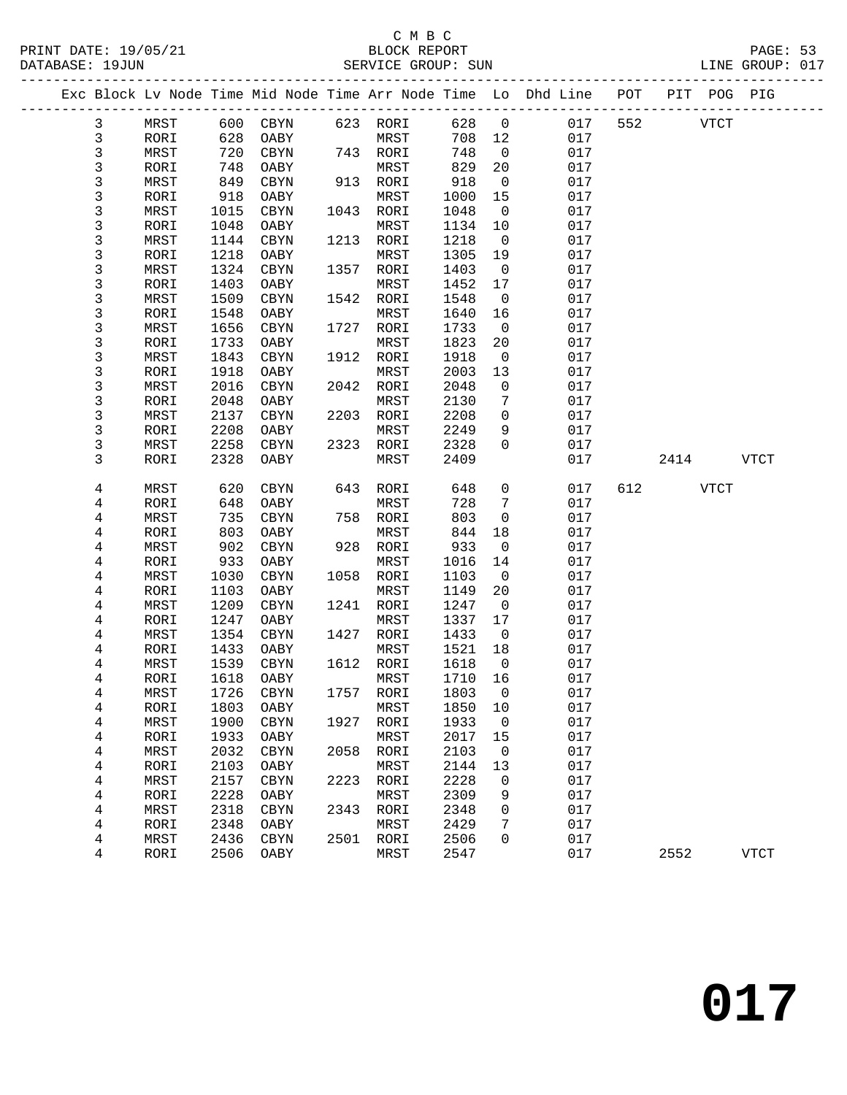#### C M B C<br>BLOCK REPORT PRINT DATE: 19/05/21 BLOCK REPORT PAGE: 53 SERVICE GROUP: SUN

|              |              |             |              |      |                   |              |                          | Exc Block Lv Node Time Mid Node Time Arr Node Time Lo Dhd Line | POT |             | PIT POG PIG |             |
|--------------|--------------|-------------|--------------|------|-------------------|--------------|--------------------------|----------------------------------------------------------------|-----|-------------|-------------|-------------|
| 3            | MRST         |             | 600 CBYN     |      | 623 RORI          | 628          | $\overline{0}$           | 017                                                            | 552 | <b>VTCT</b> |             |             |
| $\mathsf{3}$ | RORI         | 628         | OABY         |      | MRST              | 708          | 12                       | 017                                                            |     |             |             |             |
| 3            | MRST         | 720         | CBYN         |      | 743 RORI          | 748          | $\overline{0}$           | 017                                                            |     |             |             |             |
| 3            | RORI         | 748         | OABY         |      | MRST              | 829          | 20                       | 017                                                            |     |             |             |             |
| 3            | MRST         | 849         | CBYN         |      | 913 RORI          | 918          | $\overline{0}$           | 017                                                            |     |             |             |             |
| 3            | RORI         | 918         | OABY         |      | MRST              | 1000         | 15                       | 017                                                            |     |             |             |             |
| 3            | MRST         | 1015        | CBYN         |      | 1043 RORI         | 1048         | $\overline{0}$           | 017                                                            |     |             |             |             |
| 3            | RORI         | 1048        | OABY         |      | MRST              | 1134         | 10                       | 017                                                            |     |             |             |             |
| 3            | MRST         | 1144        | CBYN         |      | 1213 RORI         | 1218         | $\overline{0}$           | 017                                                            |     |             |             |             |
| 3            | RORI         | 1218        | OABY         |      | MRST              | 1305         | 19                       | 017                                                            |     |             |             |             |
| 3            | MRST         | 1324        | CBYN         |      | 1357 RORI         | 1403         | $\overline{0}$           | 017                                                            |     |             |             |             |
| 3            | RORI         | 1403        | OABY         |      | MRST              | 1452         | 17                       | 017                                                            |     |             |             |             |
| 3            | MRST         | 1509        | CBYN         |      | 1542 RORI         | 1548         | $\overline{0}$           | 017                                                            |     |             |             |             |
| 3            | RORI         | 1548        | OABY         |      | MRST              | 1640         | 16                       | 017                                                            |     |             |             |             |
| 3            | MRST         | 1656        | CBYN         |      | 1727 RORI         | 1733         | $\overline{0}$           | 017                                                            |     |             |             |             |
| 3            | RORI         | 1733        | OABY         |      | MRST              | 1823         | 20                       | 017                                                            |     |             |             |             |
| 3            | MRST         | 1843        | CBYN         |      | 1912 RORI         | 1918         | $\overline{\phantom{0}}$ | 017                                                            |     |             |             |             |
| 3            | RORI         | 1918        | OABY         |      | MRST              | 2003         | 13                       | 017                                                            |     |             |             |             |
| 3            | MRST         | 2016        | CBYN         |      | 2042 RORI         | 2048         | $\overline{0}$           | 017                                                            |     |             |             |             |
| 3            | RORI         | 2048        | OABY         |      | MRST              | 2130         | 7                        | 017                                                            |     |             |             |             |
| 3            | MRST         | 2137        | CBYN         | 2203 | RORI              | 2208         | $\mathbf 0$              | 017                                                            |     |             |             |             |
| 3            | RORI         | 2208        | OABY         |      | MRST              | 2249         | 9                        | 017                                                            |     |             |             |             |
| 3            | MRST         | 2258        | CBYN         |      | 2323 RORI         | 2328         | $\mathbf 0$              | 017                                                            |     |             |             |             |
| 3            | RORI         | 2328        | OABY         |      | MRST              | 2409         |                          | 017                                                            |     | 2414        |             | <b>VTCT</b> |
|              |              |             |              |      |                   |              |                          |                                                                |     |             |             |             |
| 4            | MRST         | 620         | CBYN         |      | 643 RORI          | 648          | $\mathbf 0$              | 017                                                            | 612 |             | VTCT        |             |
| 4            | RORI         | 648         | OABY         |      | MRST              | 728          | $7\phantom{.0}$          | 017                                                            |     |             |             |             |
| 4            | MRST         | 735         | CBYN         |      | 758 RORI          | 803          | $\overline{0}$           | 017                                                            |     |             |             |             |
| 4            | RORI         | 803<br>902  | OABY         |      | MRST              | 844<br>933   | 18<br>$\overline{0}$     | 017<br>017                                                     |     |             |             |             |
| 4            | MRST         |             | CBYN         |      | 928 RORI          |              | 14                       | 017                                                            |     |             |             |             |
| 4<br>4       | RORI<br>MRST | 933<br>1030 | OABY<br>CBYN |      | MRST<br>1058 RORI | 1016<br>1103 | $\overline{0}$           | 017                                                            |     |             |             |             |
| 4            | RORI         | 1103        | OABY         |      | MRST              | 1149         | 20                       | 017                                                            |     |             |             |             |
| 4            | MRST         | 1209        | CBYN         |      | 1241 RORI         | 1247         | $\overline{0}$           | 017                                                            |     |             |             |             |
| 4            | RORI         | 1247        | OABY         |      | MRST              | 1337         | 17                       | 017                                                            |     |             |             |             |
| 4            | MRST         | 1354        | CBYN         |      | 1427 RORI         | 1433         | $\overline{0}$           | 017                                                            |     |             |             |             |
| 4            | RORI         | 1433        | OABY         |      | MRST              | 1521         | 18                       | 017                                                            |     |             |             |             |
| 4            | MRST         | 1539        | CBYN         |      | 1612 RORI         | 1618         | $\overline{0}$           | 017                                                            |     |             |             |             |
| 4            | RORI         | 1618        | OABY         |      | MRST              | 1710         | 16                       | 017                                                            |     |             |             |             |
| 4            | MRST         |             | 1726 CBYN    |      | 1757 RORI         | 1803 0       |                          | 017                                                            |     |             |             |             |
| 4            | RORI         | 1803        | OABY         |      | MRST              | 1850         | 10                       | 017                                                            |     |             |             |             |
| 4            | MRST         | 1900        | CBYN         | 1927 | RORI              | 1933         | $\overline{0}$           | 017                                                            |     |             |             |             |
| 4            | RORI         | 1933        | OABY         |      | MRST              | 2017         | 15                       | 017                                                            |     |             |             |             |
| 4            | MRST         | 2032        | CBYN         | 2058 | RORI              | 2103         | 0                        | 017                                                            |     |             |             |             |
| 4            | RORI         | 2103        | OABY         |      | MRST              | 2144         | 13                       | 017                                                            |     |             |             |             |
| 4            | MRST         | 2157        | $\rm CBYN$   | 2223 | RORI              | 2228         | 0                        | 017                                                            |     |             |             |             |
| 4            | RORI         | 2228        | OABY         |      | MRST              | 2309         | 9                        | 017                                                            |     |             |             |             |
| 4            | MRST         | 2318        | $\rm CBYN$   | 2343 | RORI              | 2348         | 0                        | 017                                                            |     |             |             |             |
| 4            | RORI         | 2348        | OABY         |      | MRST              | 2429         | 7                        | 017                                                            |     |             |             |             |
| 4            | MRST         | 2436        | $\rm CBYN$   | 2501 | RORI              | 2506         | 0                        | 017                                                            |     |             |             |             |
| 4            | RORI         | 2506        | OABY         |      | MRST              | 2547         |                          | 017                                                            |     | 2552        |             | <b>VTCT</b> |
|              |              |             |              |      |                   |              |                          |                                                                |     |             |             |             |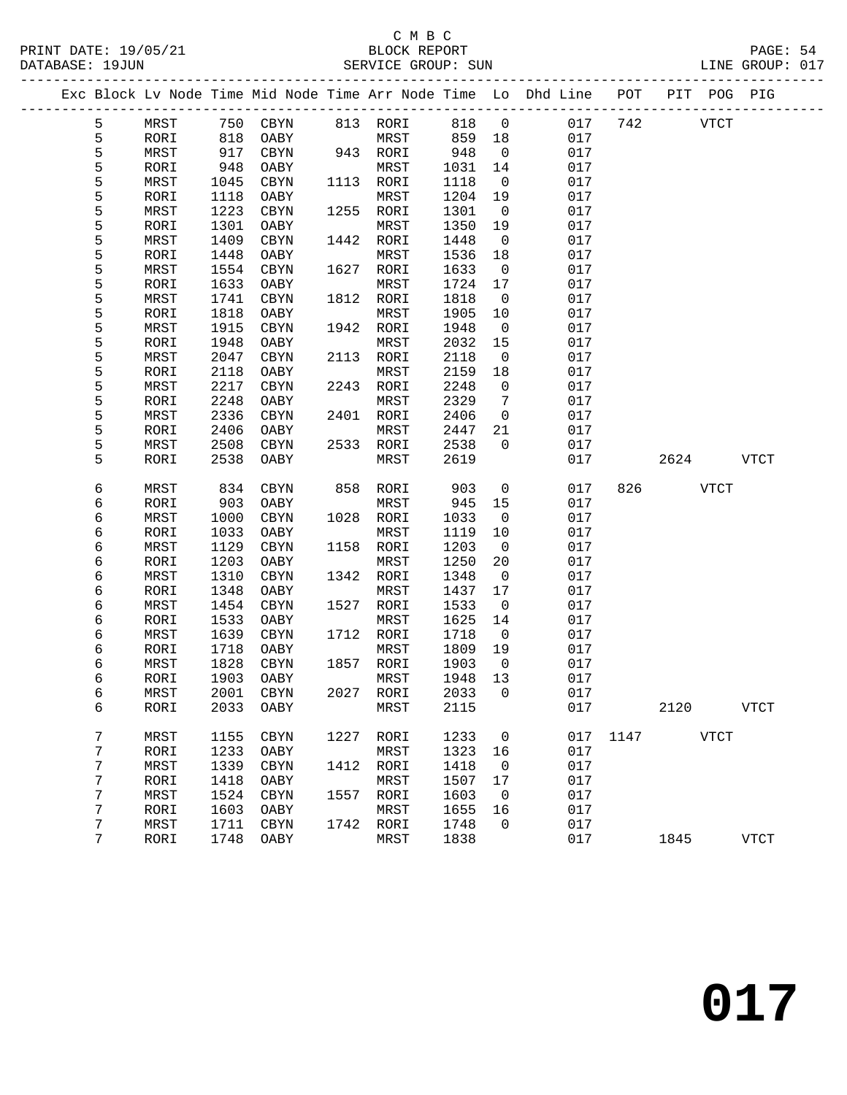### C M B C<br>BLOCK REPORT SERVICE GROUP: SUN

|        |              |              |              |      |              |              |                    | Exc Block Lv Node Time Mid Node Time Arr Node Time Lo Dhd Line | POT  | PIT  | POG PIG     |              |
|--------|--------------|--------------|--------------|------|--------------|--------------|--------------------|----------------------------------------------------------------|------|------|-------------|--------------|
| 5      | MRST         | 750          | CBYN         |      | 813 RORI     | 818          | $\overline{0}$     | 017                                                            | 742  |      | <b>VTCT</b> |              |
| 5      | RORI         | 818          | OABY         |      | MRST         | 859          | 18                 | 017                                                            |      |      |             |              |
| 5      | MRST         | 917          | CBYN         |      | 943 RORI     | 948          | $\overline{0}$     | 017                                                            |      |      |             |              |
| 5      | RORI         | 948          | OABY         |      | MRST         | 1031         | 14                 | 017                                                            |      |      |             |              |
| 5      | MRST         | 1045         | CBYN         | 1113 | RORI         | 1118         | $\overline{0}$     | 017                                                            |      |      |             |              |
| 5      | RORI         | 1118         | OABY         |      | MRST         | 1204         | 19                 | 017                                                            |      |      |             |              |
| 5      | MRST         | 1223         | CBYN         | 1255 | RORI         | 1301         | $\overline{0}$     | 017                                                            |      |      |             |              |
| 5      | RORI         | 1301         | OABY         |      | MRST         | 1350         | 19                 | 017                                                            |      |      |             |              |
| 5      | MRST         | 1409         | CBYN         | 1442 | RORI         | 1448         | $\overline{0}$     | 017                                                            |      |      |             |              |
| 5      | RORI         | 1448         | OABY         |      | MRST         | 1536         | 18                 | 017                                                            |      |      |             |              |
| 5      | MRST         | 1554         | CBYN         | 1627 | RORI         | 1633         | $\overline{0}$     | 017                                                            |      |      |             |              |
| 5      | RORI         | 1633         | OABY         |      | MRST         | 1724         | 17                 | 017                                                            |      |      |             |              |
| 5      | MRST         | 1741         | CBYN         | 1812 | RORI         | 1818         | $\mathbf 0$        | 017                                                            |      |      |             |              |
| 5      | RORI         | 1818         | OABY         |      | MRST         | 1905         | 10                 | 017                                                            |      |      |             |              |
| 5      | MRST         | 1915         | CBYN         | 1942 | RORI         | 1948         | $\mathsf{O}$       | 017                                                            |      |      |             |              |
| 5      | RORI         | 1948         | OABY         |      | MRST         | 2032         | 15                 | 017                                                            |      |      |             |              |
| 5      | MRST         | 2047         | CBYN         | 2113 | RORI         | 2118         | 0                  | 017                                                            |      |      |             |              |
| 5      | RORI         | 2118         | OABY         |      | MRST         | 2159         | 18                 | 017                                                            |      |      |             |              |
| 5      | MRST         | 2217         | CBYN         | 2243 | RORI         | 2248         | $\mathbf 0$        | 017                                                            |      |      |             |              |
| 5      | RORI         | 2248         | OABY         |      | MRST         | 2329         | 7                  | 017                                                            |      |      |             |              |
| 5      | MRST         | 2336         | CBYN         | 2401 | RORI         | 2406         | $\mathbf 0$        | 017                                                            |      |      |             |              |
| 5      | RORI         | 2406         | OABY         |      | MRST         | 2447         | 21                 | 017                                                            |      |      |             |              |
| 5      | MRST         | 2508         | CBYN         | 2533 | RORI         | 2538         | $\Omega$           | 017                                                            |      |      |             |              |
| 5      | RORI         | 2538         | OABY         |      | MRST         | 2619         |                    | 017                                                            |      | 2624 |             | <b>VTCT</b>  |
|        |              |              |              |      |              |              |                    |                                                                |      |      |             |              |
| 6      | MRST         | 834          | CBYN         | 858  | RORI         | 903          | $\mathsf{O}$       | 017                                                            | 826  |      | <b>VTCT</b> |              |
| 6      | RORI         | 903          | OABY         |      | MRST         | 945          | 15                 | 017                                                            |      |      |             |              |
| 6      | MRST         | 1000         | CBYN         | 1028 | RORI         | 1033         | $\overline{0}$     | 017<br>017                                                     |      |      |             |              |
| 6      | RORI         | 1033<br>1129 | OABY         | 1158 | MRST         | 1119         | 10                 | 017                                                            |      |      |             |              |
| 6<br>6 | MRST<br>RORI | 1203         | CBYN<br>OABY |      | RORI<br>MRST | 1203<br>1250 | $\mathsf{O}$<br>20 | 017                                                            |      |      |             |              |
| 6      | MRST         | 1310         | CBYN         | 1342 | RORI         | 1348         | $\mathbf 0$        | 017                                                            |      |      |             |              |
| 6      | RORI         | 1348         | OABY         |      | MRST         | 1437         | 17                 | 017                                                            |      |      |             |              |
| 6      | MRST         | 1454         | CBYN         | 1527 | RORI         | 1533         | 0                  | 017                                                            |      |      |             |              |
| 6      | RORI         | 1533         | OABY         |      | MRST         | 1625         | 14                 | 017                                                            |      |      |             |              |
| 6      | MRST         | 1639         | CBYN         | 1712 | RORI         | 1718         | $\overline{0}$     | 017                                                            |      |      |             |              |
| 6      | RORI         | 1718         | OABY         |      | MRST         | 1809         | 19                 | 017                                                            |      |      |             |              |
| 6      | MRST         | 1828         | CBYN         | 1857 | RORI         | 1903         | $\overline{0}$     | 017                                                            |      |      |             |              |
| 6      | RORI         | 1903         | OABY         |      | MRST         | 1948         | 13                 | 017                                                            |      |      |             |              |
| 6      | MRST         |              | 2001 CBYN    |      | 2027 RORI    | 2033 0       |                    | 017                                                            |      |      |             |              |
| 6      | RORI         | 2033         | OABY         |      | MRST         | 2115         |                    | 017                                                            |      | 2120 |             | <b>VTCT</b>  |
|        |              |              |              |      |              |              |                    |                                                                |      |      |             |              |
| 7      | MRST         | 1155         | CBYN         | 1227 | RORI         | 1233         | $\mathsf{O}$       | 017                                                            | 1147 |      | <b>VTCT</b> |              |
| 7      | RORI         | 1233         | OABY         |      | MRST         | 1323         | 16                 | 017                                                            |      |      |             |              |
| 7      | MRST         | 1339         | CBYN         | 1412 | RORI         | 1418         | 0                  | 017                                                            |      |      |             |              |
| 7      | RORI         | 1418         | OABY         |      | MRST         | 1507         | 17                 | 017                                                            |      |      |             |              |
| 7      | MRST         | 1524         | CBYN         | 1557 | RORI         | 1603         | 0                  | 017                                                            |      |      |             |              |
| 7      | RORI         | 1603         | OABY         |      | MRST         | 1655         | 16                 | 017                                                            |      |      |             |              |
| 7      | MRST         | 1711         | CBYN         | 1742 | RORI         | 1748         | 0                  | 017                                                            |      |      |             |              |
| 7      | RORI         | 1748         | OABY         |      | MRST         | 1838         |                    | 017                                                            |      | 1845 |             | ${\tt VTCT}$ |
|        |              |              |              |      |              |              |                    |                                                                |      |      |             |              |

**017**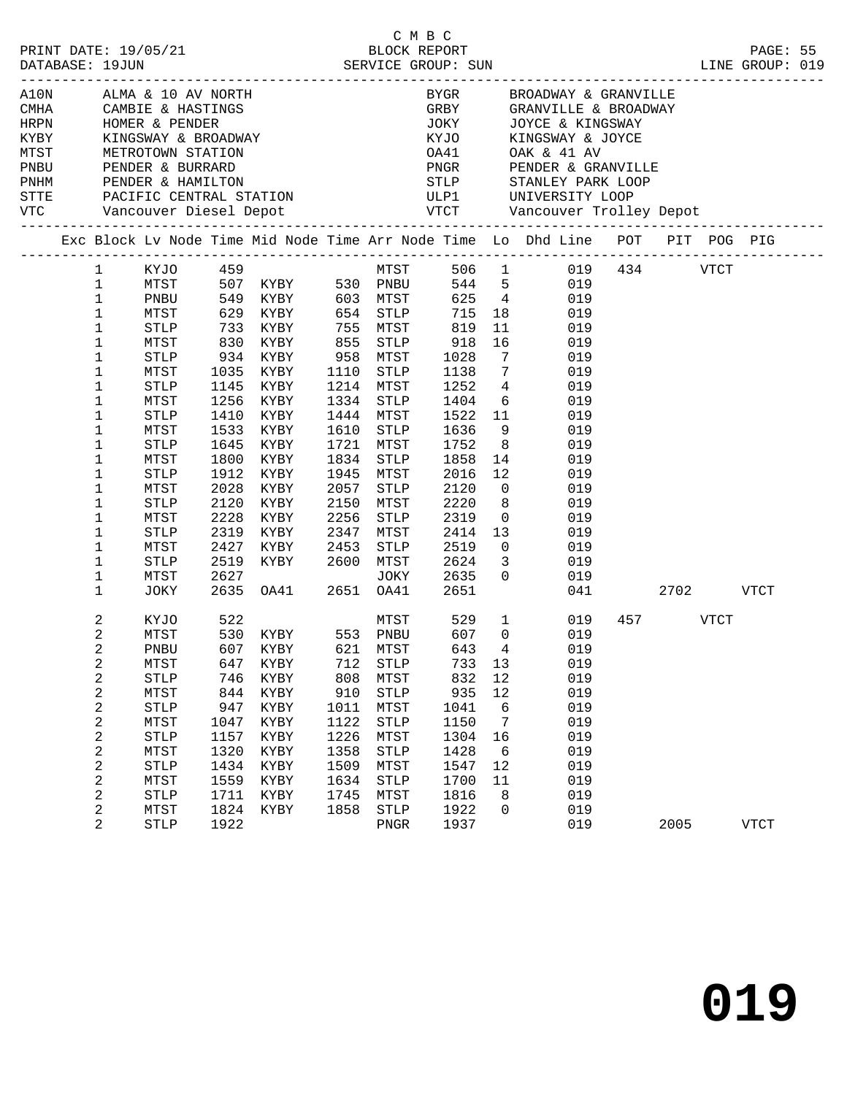|                              |                     |              | C M B C<br>PRINT DATE: 19/05/21<br>DATABASE: 19JUN<br>DATABASE: 19JUN<br>SERVICE GROUP: SUN                                                                                                                                              |                                       |                     |            |          | LINE GROUP: 019                                                                        |     |           | PAGE: 55    |  |
|------------------------------|---------------------|--------------|------------------------------------------------------------------------------------------------------------------------------------------------------------------------------------------------------------------------------------------|---------------------------------------|---------------------|------------|----------|----------------------------------------------------------------------------------------|-----|-----------|-------------|--|
|                              |                     |              | A10N ALMA & 10 AV NORTH<br>CMHA CAMBIE & HASTINGS<br>HRPN HOMER & PENDER<br>KYBY KINGSWAY & BROADWAY<br>MTST METROTOWN STATION<br>PNBU PENDER & BURRARD<br>PNHM PENDER & HAMILITON<br>PNHM PENDER & HAMILITON<br>PNHM PENDER & HAMILITON |                                       |                     |            |          | BYGR BROADWAY & GRANVILLE<br>GRBY GRANVILLE & BROADWAY<br>JOKY JOYCE & KINGSWAY        |     |           |             |  |
|                              |                     |              |                                                                                                                                                                                                                                          |                                       |                     |            |          |                                                                                        |     |           |             |  |
|                              |                     |              |                                                                                                                                                                                                                                          |                                       |                     |            |          |                                                                                        |     |           |             |  |
|                              |                     |              |                                                                                                                                                                                                                                          |                                       |                     |            |          | KYJO KINGSWAY & JOYCE                                                                  |     |           |             |  |
|                              |                     |              |                                                                                                                                                                                                                                          |                                       |                     |            |          |                                                                                        |     |           |             |  |
|                              |                     |              |                                                                                                                                                                                                                                          |                                       |                     |            |          |                                                                                        |     |           |             |  |
|                              |                     |              |                                                                                                                                                                                                                                          |                                       |                     |            |          | STTE PACIFIC CENTRAL STATION ULP1 UNIVERSITY LOOP                                      |     |           |             |  |
|                              |                     |              |                                                                                                                                                                                                                                          |                                       |                     |            |          |                                                                                        |     |           |             |  |
|                              |                     |              |                                                                                                                                                                                                                                          |                                       |                     |            |          | Exc Block Lv Node Time Mid Node Time Arr Node Time Lo Dhd Line POT PIT POG PIG         |     |           |             |  |
|                              |                     |              |                                                                                                                                                                                                                                          |                                       |                     |            |          |                                                                                        |     |           |             |  |
| $\mathbf{1}$<br>$\mathbf{1}$ |                     |              |                                                                                                                                                                                                                                          |                                       |                     |            |          |                                                                                        |     |           |             |  |
| $\mathbf 1$                  |                     |              | KYJO 459 MTST<br>MTST 507 KYBY 530 PNBU<br>PNBU 549 KYBY 603 MTST                                                                                                                                                                        |                                       |                     |            |          | MTST 506 1 019 434 VTCT<br>PNBU 544 5 019<br>MTST 625 4 019                            |     |           |             |  |
| $\mathbf{1}$                 | MTST                |              | 629 KYBY 654 STLP                                                                                                                                                                                                                        |                                       |                     |            |          | 715 18 019                                                                             |     |           |             |  |
| $\mathbf 1$                  |                     |              |                                                                                                                                                                                                                                          |                                       |                     |            |          | 11 019                                                                                 |     |           |             |  |
| 1                            |                     |              | STLP 733 KYBY 755 MTST 819<br>MTST 830 KYBY 855 STLP 918<br>STLP 934 KYBY 958 MTST 1028                                                                                                                                                  |                                       |                     |            |          |                                                                                        |     |           |             |  |
| 1                            |                     |              |                                                                                                                                                                                                                                          |                                       |                     |            |          | $\begin{array}{cc} 16 & \qquad & 019 \\ 7 & \qquad & 019 \end{array}$                  |     |           |             |  |
| $\mathbf 1$                  | MTST                |              | 1035 KYBY 1110 STLP 1138                                                                                                                                                                                                                 |                                       |                     |            |          | 7 019                                                                                  |     |           |             |  |
| 1                            | STLP                | 1145         | KYBY                                                                                                                                                                                                                                     | 1214 MTST                             |                     |            |          | $1252 \qquad 4 \qquad \qquad 019$                                                      |     |           |             |  |
| 1                            | MTST                | 1256         | KYBY                                                                                                                                                                                                                                     |                                       |                     |            |          | 1334 STLP 1404 6 019<br>1444 MTST 1522 11 019                                          |     |           |             |  |
| $\mathbf 1$                  | ${\tt STLP}$        | 1410         | KYBY                                                                                                                                                                                                                                     |                                       |                     |            |          |                                                                                        |     |           |             |  |
| 1                            | MTST                | 1533         | KYBY                                                                                                                                                                                                                                     | 1610 STLP 1636                        |                     |            |          | $9$ 019                                                                                |     |           |             |  |
| 1                            | STLP                | 1645         | KYBY                                                                                                                                                                                                                                     | 1721 MTST                             |                     |            |          | 1752 8 019                                                                             |     |           |             |  |
| 1<br>1                       | MTST<br>STLP        | 1800<br>1912 | KYBY<br>KYBY                                                                                                                                                                                                                             |                                       |                     |            |          | 1834 STLP 1858 14 019<br>1945 MTST 2016 12 019                                         |     |           |             |  |
| 1                            | MTST                | 2028         | KYBY                                                                                                                                                                                                                                     |                                       |                     |            |          | 2057 STLP 2120 0 019                                                                   |     |           |             |  |
| 1                            | STLP                | 2120         | KYBY                                                                                                                                                                                                                                     |                                       |                     |            |          | 2150 MTST 2220 8 019                                                                   |     |           |             |  |
| 1                            | MTST                | 2228         | KYBY                                                                                                                                                                                                                                     |                                       |                     |            |          |                                                                                        |     |           |             |  |
| 1                            | STLP                | 2319         | KYBY                                                                                                                                                                                                                                     | 2256 STLP 2319 0<br>2347 MTST 2414 13 |                     |            |          | 019<br>019                                                                             |     |           |             |  |
| 1                            | MTST                | 2427         | KYBY 2453 STLP 2519                                                                                                                                                                                                                      |                                       |                     |            |          | $\begin{array}{ccc}\n 13 & 019 \\  \hline\n 0 & 019\n \end{array}$                     |     |           |             |  |
| 1                            | STLP                |              |                                                                                                                                                                                                                                          |                                       |                     |            |          |                                                                                        |     |           |             |  |
| 1                            | MTST                |              |                                                                                                                                                                                                                                          |                                       |                     |            |          | 2519 KYBY 2600 MTST 2624 3 019<br>2627 JOKY 2635 0 019<br>2635 OA41 2651 OA41 2651 041 |     |           |             |  |
| 1                            | JOKY                |              |                                                                                                                                                                                                                                          |                                       |                     |            |          |                                                                                        | 041 | 2702 VTCT |             |  |
| 2                            | KYJO                | 522          |                                                                                                                                                                                                                                          |                                       |                     |            |          | MTST 529 1 019                                                                         |     | 457 VTCT  |             |  |
| 2                            | MTST                |              | 530 KYBY 553 PNBU                                                                                                                                                                                                                        |                                       |                     |            |          | 607 0<br>019                                                                           |     |           |             |  |
| 2                            |                     |              | PNBU 607 KYBY 621 MTST 643 4                                                                                                                                                                                                             |                                       |                     |            |          | 019                                                                                    |     |           |             |  |
| 2                            | MTST                | 647          | KYBY                                                                                                                                                                                                                                     | 712                                   | <b>STLP</b>         | 733        | 13       | 019                                                                                    |     |           |             |  |
| 2                            | <b>STLP</b>         | 746<br>844   | KYBY                                                                                                                                                                                                                                     | 808<br>910                            | MTST                | 832<br>935 | 12<br>12 | 019<br>019                                                                             |     |           |             |  |
| 2<br>2                       | MTST<br><b>STLP</b> | 947          | KYBY<br>KYBY                                                                                                                                                                                                                             | 1011                                  | <b>STLP</b><br>MTST | 1041       | 6        | 019                                                                                    |     |           |             |  |
| 2                            | MTST                | 1047         | KYBY                                                                                                                                                                                                                                     | 1122                                  | <b>STLP</b>         | 1150       | 7        | 019                                                                                    |     |           |             |  |
| 2                            | <b>STLP</b>         | 1157         | KYBY                                                                                                                                                                                                                                     | 1226                                  | MTST                | 1304       | 16       | 019                                                                                    |     |           |             |  |
| 2                            | MTST                | 1320         | KYBY                                                                                                                                                                                                                                     | 1358                                  | <b>STLP</b>         | 1428       | 6        | 019                                                                                    |     |           |             |  |
| 2                            | <b>STLP</b>         | 1434         | KYBY                                                                                                                                                                                                                                     | 1509                                  | MTST                | 1547       | 12       | 019                                                                                    |     |           |             |  |
| 2                            | MTST                | 1559         | KYBY                                                                                                                                                                                                                                     | 1634                                  | <b>STLP</b>         | 1700       | 11       | 019                                                                                    |     |           |             |  |
| 2                            | <b>STLP</b>         | 1711         | KYBY                                                                                                                                                                                                                                     | 1745                                  | MTST                | 1816       | 8        | 019                                                                                    |     |           |             |  |
| 2                            | MTST                | 1824         | KYBY                                                                                                                                                                                                                                     | 1858                                  | STLP                | 1922       | 0        | 019                                                                                    |     |           |             |  |
| 2                            | <b>STLP</b>         | 1922         |                                                                                                                                                                                                                                          |                                       | ${\tt PNGR}$        | 1937       |          | 019                                                                                    |     | 2005      | <b>VTCT</b> |  |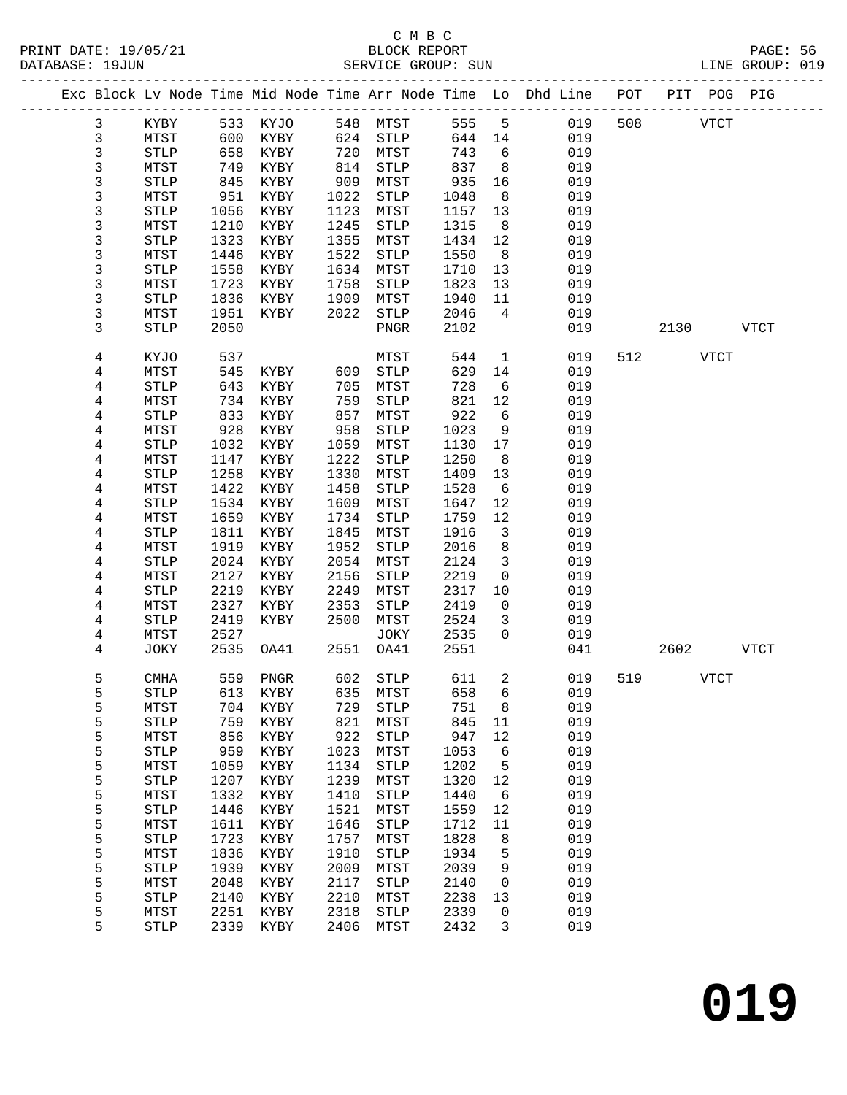|  |        |                     |              |              |              |                              |              |              | Exc Block Lv Node Time Mid Node Time Arr Node Time Lo Dhd Line POT |     |      | PIT POG PIG |             |
|--|--------|---------------------|--------------|--------------|--------------|------------------------------|--------------|--------------|--------------------------------------------------------------------|-----|------|-------------|-------------|
|  | 3      | KYBY                | 533          | KYJO         | 548          | MTST                         | 555          | 5            | 019                                                                | 508 |      | <b>VTCT</b> |             |
|  | 3      | MTST                | 600          | KYBY         | 624          | STLP                         | 644          | 14           | 019                                                                |     |      |             |             |
|  | 3      | STLP                | 658          | KYBY         | 720          | MTST                         | 743          | 6            | 019                                                                |     |      |             |             |
|  | 3      | MTST                | 749          | KYBY         | 814          | STLP                         | 837          | 8            | 019                                                                |     |      |             |             |
|  | 3      | <b>STLP</b>         | 845          | KYBY         | 909          | MTST                         | 935          | 16           | 019                                                                |     |      |             |             |
|  | 3      | MTST                | 951          | KYBY         | 1022         | STLP                         | 1048         | 8            | 019                                                                |     |      |             |             |
|  | 3      | <b>STLP</b>         | 1056         | KYBY         | 1123         | MTST                         | 1157         | 13           | 019                                                                |     |      |             |             |
|  | 3      | MTST                | 1210         | KYBY         | 1245         | STLP                         | 1315         | 8            | 019                                                                |     |      |             |             |
|  | 3      | <b>STLP</b>         | 1323         | KYBY         | 1355         | MTST                         | 1434         | 12           | 019                                                                |     |      |             |             |
|  | 3      | MTST                | 1446         | KYBY         | 1522         | STLP                         | 1550         | 8            | 019                                                                |     |      |             |             |
|  | 3      | <b>STLP</b>         | 1558         | KYBY         | 1634         | MTST                         | 1710         | 13           | 019                                                                |     |      |             |             |
|  | 3      | MTST                | 1723         | KYBY         | 1758         | STLP                         | 1823         | 13           | 019                                                                |     |      |             |             |
|  | 3      | <b>STLP</b>         | 1836         | KYBY         | 1909         | MTST                         | 1940         | 11           | 019                                                                |     |      |             |             |
|  | 3      | MTST                | 1951         | KYBY         | 2022         | ${\tt STLP}$                 | 2046         | 4            | 019                                                                |     |      |             |             |
|  | 3      | <b>STLP</b>         | 2050         |              |              | ${\tt PNGR}$                 | 2102         |              | 019                                                                |     | 2130 |             | VTCT        |
|  | 4      | KYJO                | 537          |              |              | MTST                         | 544          | $\mathbf{1}$ | 019                                                                | 512 |      | <b>VTCT</b> |             |
|  | 4      | MTST                | 545          | KYBY         | 609          | STLP                         | 629          | 14           | 019                                                                |     |      |             |             |
|  | 4      | <b>STLP</b>         | 643          | KYBY         | 705          | MTST                         | 728          | 6            | 019                                                                |     |      |             |             |
|  | 4      | MTST                | 734          | KYBY         | 759          | STLP                         | 821          | 12           | 019                                                                |     |      |             |             |
|  | 4      | <b>STLP</b>         | 833          | KYBY         | 857          | MTST                         | 922          | 6            | 019                                                                |     |      |             |             |
|  | 4      | MTST                | 928          | KYBY         | 958          | STLP                         | 1023         | 9            | 019                                                                |     |      |             |             |
|  | 4      | <b>STLP</b>         | 1032         | KYBY         | 1059         | MTST                         | 1130         | 17           | 019                                                                |     |      |             |             |
|  | 4      | MTST                | 1147         | KYBY         | 1222         | <b>STLP</b>                  | 1250         | 8            | 019                                                                |     |      |             |             |
|  | 4<br>4 | <b>STLP</b><br>MTST | 1258<br>1422 | KYBY<br>KYBY | 1330<br>1458 | MTST<br>STLP                 | 1409<br>1528 | 13<br>- 6    | 019<br>019                                                         |     |      |             |             |
|  | 4      | <b>STLP</b>         | 1534         | KYBY         | 1609         | MTST                         | 1647         | 12           | 019                                                                |     |      |             |             |
|  | 4      | MTST                | 1659         | KYBY         | 1734         | STLP                         | 1759         | 12           | 019                                                                |     |      |             |             |
|  | 4      | <b>STLP</b>         | 1811         | KYBY         | 1845         | MTST                         | 1916         | 3            | 019                                                                |     |      |             |             |
|  | 4      | MTST                | 1919         | KYBY         | 1952         | STLP                         | 2016         | 8            | 019                                                                |     |      |             |             |
|  | 4      | <b>STLP</b>         | 2024         | KYBY         | 2054         | MTST                         | 2124         | 3            | 019                                                                |     |      |             |             |
|  | 4      | MTST                | 2127         | KYBY         | 2156         | <b>STLP</b>                  | 2219         | $\mathbf 0$  | 019                                                                |     |      |             |             |
|  | 4      | <b>STLP</b>         | 2219         | KYBY         | 2249         | MTST                         | 2317         | 10           | 019                                                                |     |      |             |             |
|  | 4      | MTST                | 2327         | KYBY         | 2353         | <b>STLP</b>                  | 2419         | $\mathbf 0$  | 019                                                                |     |      |             |             |
|  | 4      | STLP                | 2419         | KYBY         | 2500         | MTST                         | 2524         | 3            | 019                                                                |     |      |             |             |
|  | 4      | MTST                | 2527         |              |              | JOKY                         | 2535         | $\mathbf 0$  | 019                                                                |     |      |             |             |
|  | 4      | JOKY                | 2535         | OA41         | 2551         | OA41                         | 2551         |              | 041                                                                |     | 2602 |             | <b>VTCT</b> |
|  | 5      | <b>CMHA</b>         |              | 559 PNGR     |              | 602 STLP                     | 611          | 2            | 019                                                                | 519 |      | VTCT        |             |
|  | 5      | STLP                |              | 613 KYBY     |              | 635 MTST 658 6               |              |              | 019                                                                |     |      |             |             |
|  | 5      | MTST                | 704          | KYBY         | 729          | STLP                         | 751          | 8            | 019                                                                |     |      |             |             |
|  | 5      | <b>STLP</b>         | 759          | KYBY         | 821          | MTST                         | 845          | 11           | 019                                                                |     |      |             |             |
|  | 5      | MTST                | 856          | KYBY         | 922          | STLP                         | 947          | 12           | 019                                                                |     |      |             |             |
|  | 5      | <b>STLP</b>         | 959          | KYBY         | 1023         | MTST                         | 1053         | 6            | 019                                                                |     |      |             |             |
|  | 5      | MTST                | 1059         | KYBY         | 1134         | $\operatorname{STLP}$        | 1202         | 5            | 019                                                                |     |      |             |             |
|  | 5      | STLP                | 1207         | KYBY         | 1239         | MTST                         | 1320         | 12           | 019                                                                |     |      |             |             |
|  | 5<br>5 | MTST<br><b>STLP</b> | 1332<br>1446 | KYBY<br>KYBY | 1410<br>1521 | ${\tt STLP}$<br>${\tt MTST}$ | 1440<br>1559 | 6<br>12      | 019<br>019                                                         |     |      |             |             |
|  | 5      | MTST                | 1611         | KYBY         | 1646         | STLP                         | 1712         | 11           | 019                                                                |     |      |             |             |
|  | 5      | STLP                | 1723         | KYBY         | 1757         | MTST                         | 1828         | 8            | 019                                                                |     |      |             |             |
|  | 5      | MTST                | 1836         | KYBY         | 1910         | STLP                         | 1934         | 5            | 019                                                                |     |      |             |             |
|  | 5      | <b>STLP</b>         | 1939         | KYBY         | 2009         | ${\tt MTST}$                 | 2039         | 9            | 019                                                                |     |      |             |             |
|  | 5      | MTST                | 2048         | KYBY         | 2117         | $\operatorname{STLP}$        | 2140         | 0            | 019                                                                |     |      |             |             |
|  | 5      | <b>STLP</b>         | 2140         | KYBY         | 2210         | MTST                         | 2238         | 13           | 019                                                                |     |      |             |             |
|  | 5      | MTST                | 2251         | KYBY         | 2318         | ${\tt STLP}$                 | 2339         | 0            | 019                                                                |     |      |             |             |
|  | 5      | STLP                | 2339         | KYBY         | 2406         | MTST                         | 2432         | 3            | 019                                                                |     |      |             |             |
|  |        |                     |              |              |              |                              |              |              |                                                                    |     |      |             |             |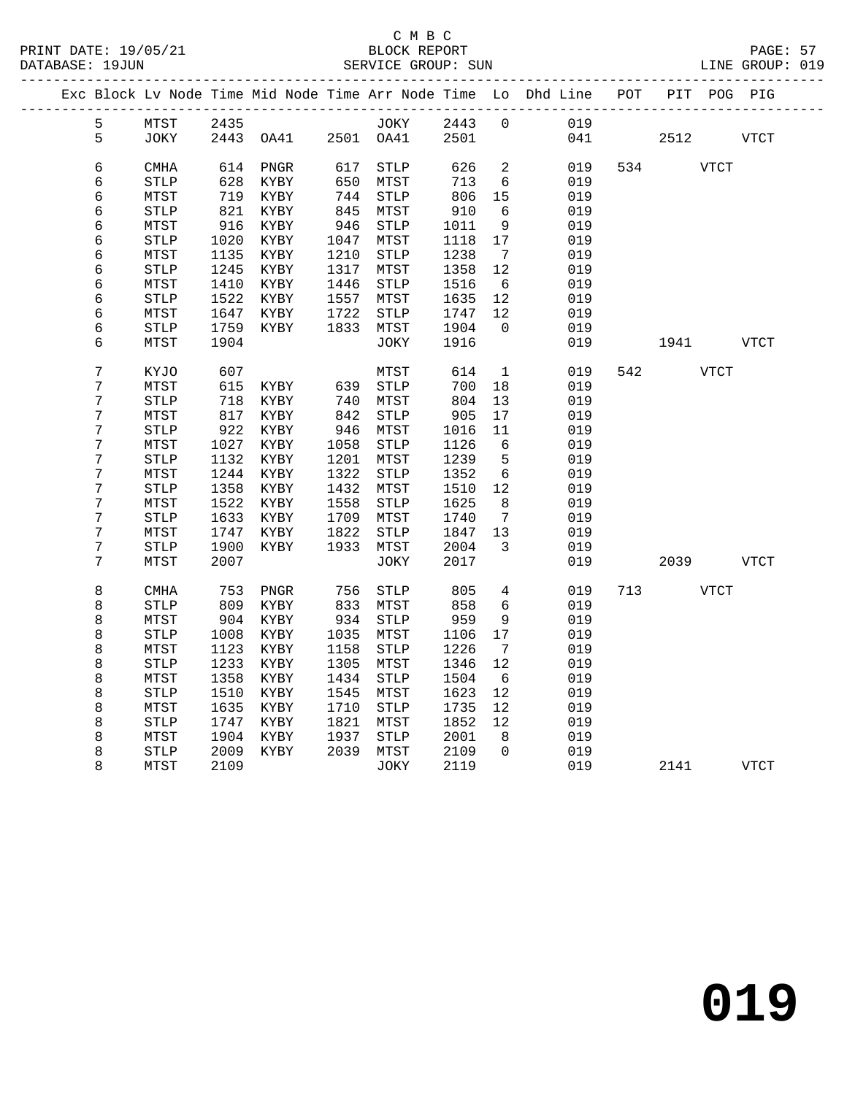## C M B C<br>BLOCK REPORT

|  | DATABASE: 19JUN |             |      |           |      | SERVICE GROUP: SUN |      |                   |                                                                    |     |      |             | LINE GROUP: 019 |  |
|--|-----------------|-------------|------|-----------|------|--------------------|------|-------------------|--------------------------------------------------------------------|-----|------|-------------|-----------------|--|
|  |                 |             |      |           |      |                    |      |                   | Exc Block Lv Node Time Mid Node Time Arr Node Time Lo Dhd Line POT |     |      |             | PIT POG PIG     |  |
|  | 5               | MTST        | 2435 |           |      | JOKY               | 2443 | $\Omega$          | 019                                                                |     |      |             |                 |  |
|  | 5               | JOKY        |      | 2443 OA41 | 2501 | OA41               | 2501 |                   | 041                                                                |     | 2512 |             | <b>VTCT</b>     |  |
|  | 6               | CMHA        | 614  | PNGR      | 617  | STLP               | 626  | 2                 | 019                                                                | 534 |      | <b>VTCT</b> |                 |  |
|  | 6               | <b>STLP</b> | 628  | KYBY      | 650  | MTST               | 713  | 6                 | 019                                                                |     |      |             |                 |  |
|  | 6               | MTST        | 719  | KYBY      | 744  | <b>STLP</b>        | 806  | 15                | 019                                                                |     |      |             |                 |  |
|  | 6               | <b>STLP</b> | 821  | KYBY      | 845  | MTST               | 910  | 6                 | 019                                                                |     |      |             |                 |  |
|  | 6               | MTST        | 916  | KYBY      | 946  | <b>STLP</b>        | 1011 | 9                 | 019                                                                |     |      |             |                 |  |
|  | 6               | STLP        | 1020 | KYBY      | 1047 | MTST               | 1118 | 17                | 019                                                                |     |      |             |                 |  |
|  | 6               | MTST        | 1135 | KYBY      | 1210 | <b>STLP</b>        | 1238 | 7                 | 019                                                                |     |      |             |                 |  |
|  | 6               | <b>STLP</b> | 1245 | KYBY      | 1317 | MTST               | 1358 | 12                | 019                                                                |     |      |             |                 |  |
|  | 6               | MTST        | 1410 | KYBY      | 1446 | <b>STLP</b>        | 1516 | 6                 | 019                                                                |     |      |             |                 |  |
|  | 6               | STLP        | 1522 | KYBY      | 1557 | MTST               | 1635 | 12                | 019                                                                |     |      |             |                 |  |
|  | 6               | MTST        | 1647 | KYBY      | 1722 | <b>STLP</b>        | 1747 | 12                | 019                                                                |     |      |             |                 |  |
|  | 6               | STLP        | 1759 | KYBY      | 1833 | MTST               | 1904 | $\Omega$          | 019                                                                |     |      |             |                 |  |
|  | 6               | MTST        | 1904 |           |      | JOKY               | 1916 |                   | 019                                                                |     | 1941 |             | VTCT            |  |
|  | 7               | KYJO        | 607  |           |      | MTST               | 614  | 1                 | 019                                                                | 542 |      | <b>VTCT</b> |                 |  |
|  | 7               | MTST        | 615  | KYBY      | 639  | <b>STLP</b>        | 700  | 18                | 019                                                                |     |      |             |                 |  |
|  | 7               | <b>STLP</b> | 718  | KYBY      | 740  | MTST               | 804  | 13                | 019                                                                |     |      |             |                 |  |
|  | 7               | MTST        | 817  | KYBY      | 842  | <b>STLP</b>        | 905  | 17                | 019                                                                |     |      |             |                 |  |
|  | 7               | STLP        | 922  | KYBY      | 946  | MTST               | 1016 | 11                | 019                                                                |     |      |             |                 |  |
|  | 7               | MTST        | 1027 | KYBY      | 1058 | <b>STLP</b>        | 1126 | 6                 | 019                                                                |     |      |             |                 |  |
|  | 7               | <b>STLP</b> | 1132 | KYBY      | 1201 | MTST               | 1239 | 5                 | 019                                                                |     |      |             |                 |  |
|  | 7               | MTST        | 1244 | KYBY      | 1322 | STLP               | 1352 | 6                 | 019                                                                |     |      |             |                 |  |
|  | 7               | <b>STLP</b> | 1358 | KYBY      | 1432 | MTST               | 1510 | $12 \overline{ }$ | 019                                                                |     |      |             |                 |  |
|  | 7               | MTST        | 1522 | KYBY      | 1558 | <b>STLP</b>        | 1625 | 8                 | 019                                                                |     |      |             |                 |  |
|  | 7               | STLP        | 1633 | KYBY      | 1709 | MTST               | 1740 | 7                 | 019                                                                |     |      |             |                 |  |
|  | 7               | MTST        | 1747 | KYBY      | 1822 | STLP               | 1847 | 13                | 019                                                                |     |      |             |                 |  |
|  | 7               | <b>STLP</b> | 1900 | KYBY      | 1933 | MTST               | 2004 | 3                 | 019                                                                |     |      |             |                 |  |
|  | 7               | MTST        | 2007 |           |      | JOKY               | 2017 |                   | 019                                                                |     | 2039 |             | <b>VTCT</b>     |  |

8 CMHA 753 PNGR 756 STLP 805 4 019 713 VTCT

8 MTST 2109 JOKY 2119 019 2141 VTCT

8 STLP 1008 KYBY 1035 MTST 1106

 8 STLP 809 KYBY 833 MTST 858 6 019 e – 2014 KYBY 934 STLP 959 9 019<br>8 STLP 1008 KYBY 1035 MTST 1106 17 019

 8 MTST 1123 KYBY 1158 STLP 1226 7 019 8 STLP 1233 KYBY 1305 MTST 1346 12 019

8 MTST 1358 KYBY 1434 STLP 1504 6 019<br>8 STLP 1510 KYBY 1545 MTST 1623 12 019<br>8 MTST 1635 KYBY 1710 STLP 1735 12 019<br>8 STLP 1747 KYBY 1821 MTST 1852 12 019 8 STLP 1510 KYBY 1545 MTST 1623 12 019<br>8 MTST 1635 KYBY 1710 STLP 1735 12 019<br>8 STLP 1747 KYBY 1821 MTST 1852 12 019<br>8 STLP 2009 KYBY 2039 MTST 2109 0 019<br>8 STLP 2009 KYBY 2039 MTST 2109 0 019

 8 MTST 1635 KYBY 1710 STLP 1735 12 019 8 STLP 1747 KYBY 1821 MTST 1852 12 019 8 MTST 1904 KYBY 1937 STLP 2001 8 019 8 STLP 2009 KYBY 2039 MTST 2109 0 019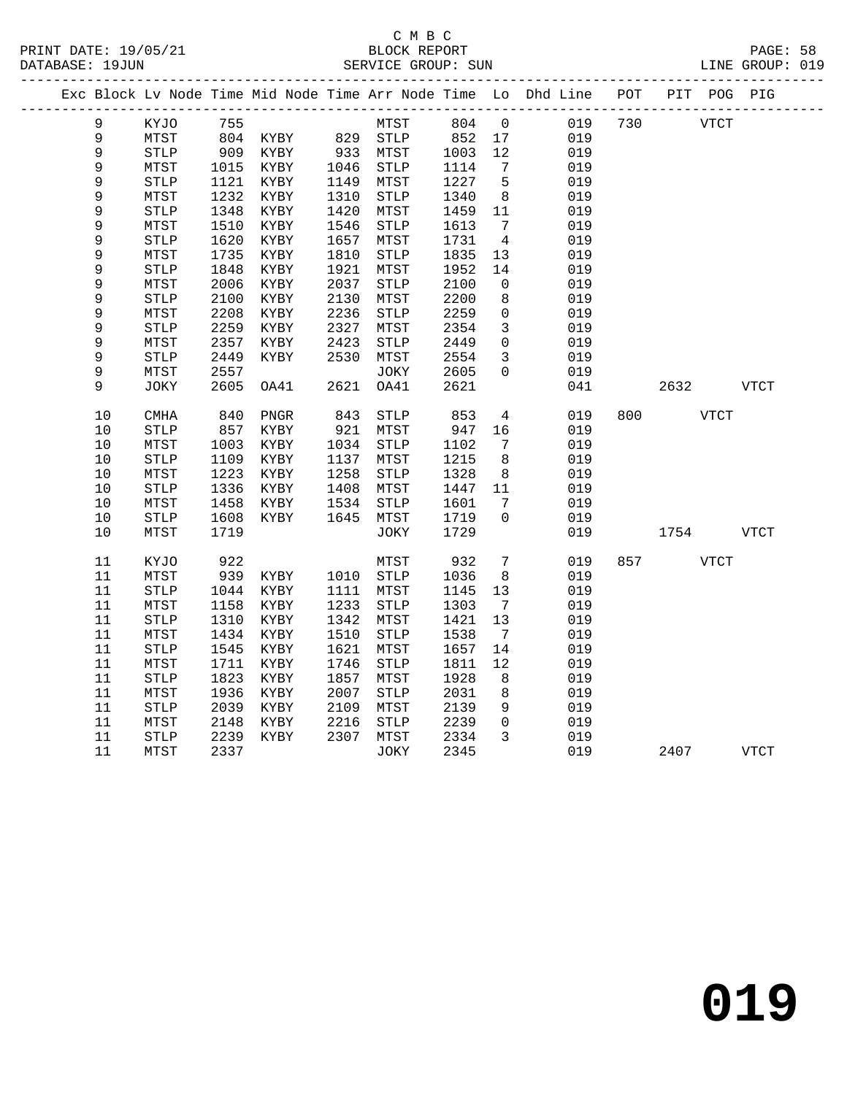#### C M B C<br>BLOCK REPORT PRINT DATE: 19/05/21 BLOCK REPORT PAGE: 58 SERVICE GROUP: SUN

|             |                       |      |          |      |              |      |                 | Exc Block Lv Node Time Mid Node Time Arr Node Time Lo Dhd Line | POT | PIT POG PIG |      |
|-------------|-----------------------|------|----------|------|--------------|------|-----------------|----------------------------------------------------------------|-----|-------------|------|
| 9           | KYJO                  | 755  |          |      | MTST         | 804  | $\overline{0}$  | 019                                                            | 730 | <b>VTCT</b> |      |
| $\mathsf 9$ | MTST                  |      | 804 KYBY |      | 829 STLP     | 852  | 17              | 019                                                            |     |             |      |
| 9           | <b>STLP</b>           | 909  | KYBY     | 933  | MTST         | 1003 | 12              | 019                                                            |     |             |      |
| 9           | MTST                  | 1015 | KYBY     | 1046 | STLP         | 1114 | 7               | 019                                                            |     |             |      |
| 9           | $\operatorname{STLP}$ | 1121 | KYBY     | 1149 | MTST         | 1227 | 5               | 019                                                            |     |             |      |
| 9           | MTST                  | 1232 | KYBY     | 1310 | STLP         | 1340 | 8               | 019                                                            |     |             |      |
| 9           | <b>STLP</b>           | 1348 | KYBY     | 1420 | MTST         | 1459 | 11              | 019                                                            |     |             |      |
| 9           | MTST                  | 1510 | KYBY     | 1546 | ${\tt STLP}$ | 1613 | 7               | 019                                                            |     |             |      |
| 9           | <b>STLP</b>           | 1620 | KYBY     | 1657 | MTST         | 1731 | $\overline{4}$  | 019                                                            |     |             |      |
| 9           | MTST                  | 1735 | KYBY     | 1810 | <b>STLP</b>  | 1835 | 13              | 019                                                            |     |             |      |
| 9           | STLP                  | 1848 | KYBY     | 1921 | MTST         | 1952 | 14              | 019                                                            |     |             |      |
| 9           | MTST                  | 2006 | KYBY     | 2037 | STLP         | 2100 | $\mathbf 0$     | 019                                                            |     |             |      |
| 9           | STLP                  | 2100 | KYBY     | 2130 | MTST         | 2200 | 8               | 019                                                            |     |             |      |
| 9           | MTST                  | 2208 | KYBY     | 2236 | ${\tt STLP}$ | 2259 | $\mathbf 0$     | 019                                                            |     |             |      |
| 9           | STLP                  | 2259 | KYBY     | 2327 | MTST         | 2354 | 3               | 019                                                            |     |             |      |
| 9           | MTST                  | 2357 | KYBY     | 2423 | <b>STLP</b>  | 2449 | $\mathbf 0$     | 019                                                            |     |             |      |
| 9           | <b>STLP</b>           | 2449 | KYBY     | 2530 | MTST         | 2554 | 3               | 019                                                            |     |             |      |
| 9           | MTST                  | 2557 |          |      | JOKY         | 2605 | $\Omega$        | 019                                                            |     |             |      |
| 9           | JOKY                  | 2605 | OA41     | 2621 | OA41         | 2621 |                 | 041                                                            |     | 2632        | VTCT |
| 10          | CMHA                  | 840  | PNGR     | 843  | STLP         | 853  | 4               | 019                                                            | 800 | <b>VTCT</b> |      |
| $10$        | STLP                  | 857  | KYBY     | 921  | MTST         | 947  | 16              | 019                                                            |     |             |      |
| 10          | MTST                  | 1003 | KYBY     | 1034 | STLP         | 1102 | 7               | 019                                                            |     |             |      |
| 10          | $\operatorname{STLP}$ | 1109 | KYBY     | 1137 | MTST         | 1215 | 8               | 019                                                            |     |             |      |
| 10          | MTST                  | 1223 | KYBY     | 1258 | STLP         | 1328 | 8               | 019                                                            |     |             |      |
| 10          | STLP                  | 1336 | KYBY     | 1408 | MTST         | 1447 | 11              | 019                                                            |     |             |      |
| $10$        | MTST                  | 1458 | KYBY     | 1534 | STLP         | 1601 | 7               | 019                                                            |     |             |      |
| 10          | STLP                  | 1608 | KYBY     | 1645 | MTST         | 1719 | $\mathbf 0$     | 019                                                            |     |             |      |
| 10          | MTST                  | 1719 |          |      | JOKY         | 1729 |                 | 019                                                            |     | 1754        | VTCT |
| 11          | KYJO                  | 922  |          |      | MTST         | 932  | 7               | 019                                                            | 857 | VTCT        |      |
| 11          | MTST                  | 939  | KYBY     | 1010 | <b>STLP</b>  | 1036 | 8               | 019                                                            |     |             |      |
| 11          | $\operatorname{STLP}$ | 1044 | KYBY     | 1111 | MTST         | 1145 | 13              | 019                                                            |     |             |      |
| 11          | MTST                  | 1158 | KYBY     | 1233 | STLP         | 1303 | $7\phantom{.0}$ | 019                                                            |     |             |      |
| 11          | STLP                  | 1310 | KYBY     | 1342 | MTST         | 1421 | 13              | 019                                                            |     |             |      |
| 11          | MTST                  | 1434 | KYBY     | 1510 | ${\tt STLP}$ | 1538 | 7               | 019                                                            |     |             |      |
| $11\,$      | STLP                  | 1545 | KYBY     | 1621 | ${\tt MTST}$ | 1657 | 14              | 019                                                            |     |             |      |
| 11          | MTST                  | 1711 | KYBY     | 1746 | ${\tt STLP}$ | 1811 | 12              | 019                                                            |     |             |      |
| 11          | STLP                  | 1823 | KYBY     | 1857 | MTST         | 1928 | 8               | 019                                                            |     |             |      |
| 11          | MTST                  | 1936 | KYBY     | 2007 | <b>STLP</b>  | 2031 | 8               | 019                                                            |     |             |      |
| 11          | <b>STLP</b>           | 2039 | KYBY     | 2109 | MTST         | 2139 | 9               | 019                                                            |     |             |      |
| 11          | MTST                  | 2148 | KYBY     | 2216 | STLP         | 2239 | $\mathbf 0$     | 019                                                            |     |             |      |
| 11          | STLP                  | 2239 | KYBY     | 2307 | MTST         | 2334 | $\mathbf{3}$    | 019                                                            |     |             |      |
| 11          | MTST                  | 2337 |          |      | JOKY         | 2345 |                 | 019                                                            |     | 2407        | VTCT |
|             |                       |      |          |      |              |      |                 |                                                                |     |             |      |

**019**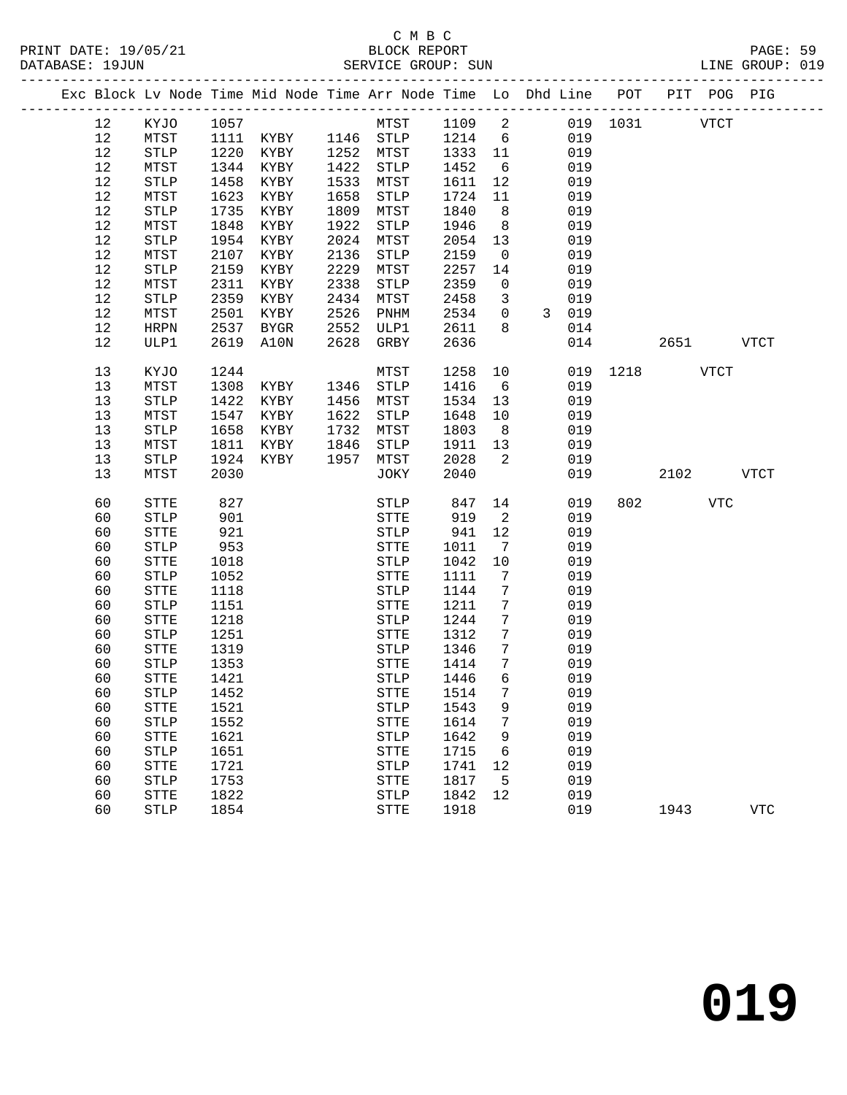|  |      |                       |      | Exc Block Lv Node Time Mid Node Time Arr Node Time Lo Dhd Line POT PIT POG PIG |      |              |        |                 |              |     |      |               |      |             |
|--|------|-----------------------|------|--------------------------------------------------------------------------------|------|--------------|--------|-----------------|--------------|-----|------|---------------|------|-------------|
|  | 12   | KYJO                  | 1057 |                                                                                |      | MTST         | 1109 2 |                 |              |     |      | 019 1031 VTCT |      |             |
|  | 12   | MTST                  | 1111 | KYBY 1146 STLP                                                                 |      |              | 1214   | 6               |              | 019 |      |               |      |             |
|  | 12   | $\operatorname{STLP}$ | 1220 | KYBY                                                                           |      | 1252 MTST    | 1333   | 11              |              | 019 |      |               |      |             |
|  | 12   | MTST                  | 1344 | KYBY                                                                           | 1422 | STLP         | 1452   | 6               |              | 019 |      |               |      |             |
|  | 12   | <b>STLP</b>           | 1458 | KYBY                                                                           | 1533 | MTST         | 1611   | 12              |              | 019 |      |               |      |             |
|  | 12   | MTST                  | 1623 | KYBY                                                                           | 1658 | STLP         | 1724   | 11              |              | 019 |      |               |      |             |
|  | 12   | <b>STLP</b>           | 1735 | KYBY                                                                           | 1809 | MTST         | 1840   | 8               |              | 019 |      |               |      |             |
|  | 12   | MTST                  | 1848 | KYBY                                                                           | 1922 | STLP         | 1946   | 8 <sup>8</sup>  |              | 019 |      |               |      |             |
|  | 12   | <b>STLP</b>           | 1954 | KYBY                                                                           | 2024 | MTST         | 2054   | 13              |              | 019 |      |               |      |             |
|  | 12   | MTST                  | 2107 | KYBY                                                                           | 2136 | STLP         | 2159   | $\overline{0}$  |              | 019 |      |               |      |             |
|  | 12   | <b>STLP</b>           | 2159 | KYBY                                                                           | 2229 | MTST         | 2257   | 14              |              | 019 |      |               |      |             |
|  | 12   | MTST                  | 2311 | KYBY                                                                           | 2338 | STLP         | 2359   | $\mathsf{O}$    |              | 019 |      |               |      |             |
|  | $12$ | <b>STLP</b>           | 2359 | KYBY                                                                           | 2434 | MTST         | 2458   | 3               |              | 019 |      |               |      |             |
|  | 12   | MTST                  | 2501 | KYBY                                                                           | 2526 | PNHM         | 2534   | $\overline{0}$  | $\mathbf{3}$ | 019 |      |               |      |             |
|  | 12   | <b>HRPN</b>           | 2537 | <b>BYGR</b>                                                                    | 2552 | ULP1         | 2611   | 8               |              | 014 |      |               |      |             |
|  | 12   | ULP1                  | 2619 | A10N                                                                           | 2628 | GRBY         | 2636   |                 |              | 014 |      | 2651          |      | <b>VTCT</b> |
|  |      |                       |      |                                                                                |      |              |        |                 |              |     |      |               |      |             |
|  | 13   | KYJO                  | 1244 |                                                                                |      | MTST         | 1258   | 10              |              | 019 | 1218 |               | VTCT |             |
|  | 13   | MTST                  | 1308 | KYBY                                                                           | 1346 | STLP         | 1416   | 6               |              | 019 |      |               |      |             |
|  | 13   | <b>STLP</b>           | 1422 | KYBY                                                                           | 1456 | MTST         | 1534   | 13              |              | 019 |      |               |      |             |
|  | 13   | MTST                  | 1547 | KYBY                                                                           | 1622 | <b>STLP</b>  | 1648   | 10              |              | 019 |      |               |      |             |
|  | 13   | <b>STLP</b>           | 1658 | KYBY                                                                           | 1732 | MTST         | 1803   | 8 <sup>8</sup>  |              | 019 |      |               |      |             |
|  | 13   | MTST                  | 1811 | KYBY                                                                           | 1846 | STLP         | 1911   | 13              |              | 019 |      |               |      |             |
|  | 13   | <b>STLP</b>           | 1924 | KYBY                                                                           | 1957 | MTST         | 2028   | 2               |              | 019 |      |               |      |             |
|  | 13   | MTST                  | 2030 |                                                                                |      | JOKY         | 2040   |                 |              | 019 |      | 2102          |      | <b>VTCT</b> |
|  |      |                       |      |                                                                                |      |              |        |                 |              |     |      |               |      |             |
|  | 60   | STTE                  | 827  |                                                                                |      | STLP         | 847    | 14              |              | 019 |      | 802 300       | VTC  |             |
|  | 60   | <b>STLP</b>           | 901  |                                                                                |      | STTE         | 919    | $\overline{2}$  |              | 019 |      |               |      |             |
|  | 60   | STTE                  | 921  |                                                                                |      | <b>STLP</b>  | 941    | 12              |              | 019 |      |               |      |             |
|  | 60   | <b>STLP</b>           | 953  |                                                                                |      | STTE         | 1011   | 7               |              | 019 |      |               |      |             |
|  | 60   | STTE                  | 1018 |                                                                                |      | <b>STLP</b>  | 1042   | 10              |              | 019 |      |               |      |             |
|  | 60   | <b>STLP</b>           | 1052 |                                                                                |      | ${\tt STTE}$ | 1111   | 7               |              | 019 |      |               |      |             |
|  | 60   | STTE                  | 1118 |                                                                                |      | <b>STLP</b>  | 1144   | 7               |              | 019 |      |               |      |             |
|  | 60   | <b>STLP</b>           | 1151 |                                                                                |      | STTE         | 1211   | 7               |              | 019 |      |               |      |             |
|  | 60   | STTE                  | 1218 |                                                                                |      | STLP         | 1244   | 7               |              | 019 |      |               |      |             |
|  | 60   | <b>STLP</b>           | 1251 |                                                                                |      | STTE         | 1312   | $7\phantom{.0}$ |              | 019 |      |               |      |             |
|  | 60   | STTE                  | 1319 |                                                                                |      | <b>STLP</b>  | 1346   | $7\phantom{.0}$ |              | 019 |      |               |      |             |
|  | 60   | <b>STLP</b>           | 1353 |                                                                                |      | STTE         | 1414   | $7\phantom{.0}$ |              | 019 |      |               |      |             |
|  | 60   | STTE                  | 1421 |                                                                                |      | STLP         | 1446   | 6               |              | 019 |      |               |      |             |
|  | 60   | ${\tt STLP}$          | 1452 |                                                                                |      | STTE 1514    |        | 7 <sup>7</sup>  |              | 019 |      |               |      |             |
|  | 60   | ${\tt STTE}$          | 1521 |                                                                                |      | STLP         | 1543   | 9               |              | 019 |      |               |      |             |
|  | 60   | <b>STLP</b>           | 1552 |                                                                                |      | ${\tt STTE}$ | 1614   | 7               |              | 019 |      |               |      |             |
|  | 60   | ${\tt STTE}$          | 1621 |                                                                                |      | STLP         | 1642   | 9               |              | 019 |      |               |      |             |
|  | 60   | STLP                  | 1651 |                                                                                |      | ${\tt STTE}$ | 1715   | 6               |              | 019 |      |               |      |             |
|  | 60   | ${\tt STTE}$          | 1721 |                                                                                |      | STLP         | 1741   | 12              |              | 019 |      |               |      |             |
|  | 60   | STLP                  | 1753 |                                                                                |      | <b>STTE</b>  | 1817   | 5               |              | 019 |      |               |      |             |
|  | 60   | <b>STTE</b>           | 1822 |                                                                                |      | STLP         | 1842   | 12              |              | 019 |      |               |      |             |
|  | 60   | <b>STLP</b>           | 1854 |                                                                                |      | ${\tt STTE}$ | 1918   |                 |              | 019 |      | 1943          |      | <b>VTC</b>  |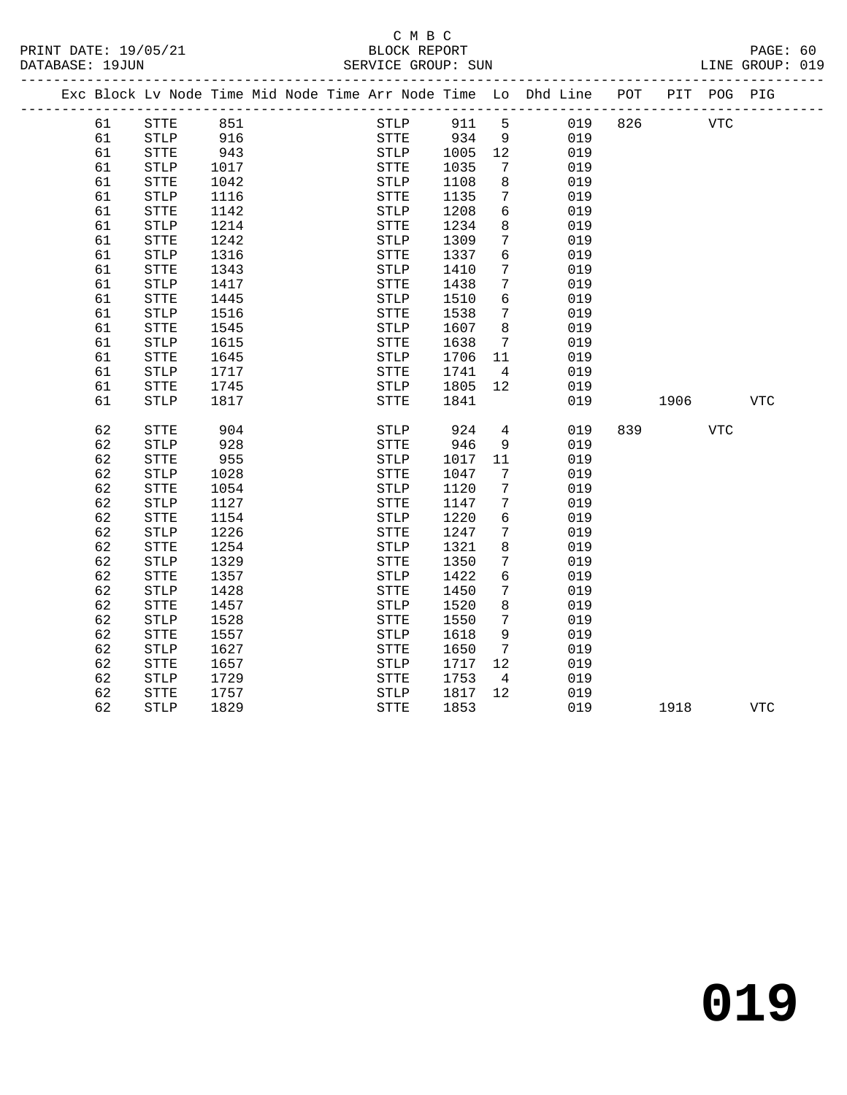### C M B C<br>BLOCK REPORT SERVICE GROUP: SUN

|  |    | Exc Block Lv Node Time Mid Node Time Arr Node Time Lo Dhd Line |      |  |              |      |                 |     | POT |      | PIT POG PIG |            |  |
|--|----|----------------------------------------------------------------|------|--|--------------|------|-----------------|-----|-----|------|-------------|------------|--|
|  | 61 | STTE                                                           | 851  |  | STLP         | 911  | 5               | 019 | 826 |      | <b>VTC</b>  |            |  |
|  | 61 | STLP                                                           | 916  |  | <b>STTE</b>  | 934  | 9               | 019 |     |      |             |            |  |
|  | 61 | <b>STTE</b>                                                    | 943  |  | STLP         | 1005 | 12              | 019 |     |      |             |            |  |
|  | 61 | <b>STLP</b>                                                    | 1017 |  | STTE         | 1035 | 7               | 019 |     |      |             |            |  |
|  | 61 | STTE                                                           | 1042 |  | STLP         | 1108 | 8               | 019 |     |      |             |            |  |
|  | 61 | <b>STLP</b>                                                    | 1116 |  | <b>STTE</b>  | 1135 | 7               | 019 |     |      |             |            |  |
|  | 61 | STTE                                                           | 1142 |  | ${\tt STLP}$ | 1208 | $6\overline{6}$ | 019 |     |      |             |            |  |
|  | 61 | <b>STLP</b>                                                    | 1214 |  | STTE         | 1234 | 8               | 019 |     |      |             |            |  |
|  | 61 | <b>STTE</b>                                                    | 1242 |  | <b>STLP</b>  | 1309 | 7               | 019 |     |      |             |            |  |
|  | 61 | <b>STLP</b>                                                    | 1316 |  | <b>STTE</b>  | 1337 | 6               | 019 |     |      |             |            |  |
|  | 61 | STTE                                                           | 1343 |  | STLP         | 1410 | $7\phantom{.0}$ | 019 |     |      |             |            |  |
|  | 61 | STLP                                                           | 1417 |  | <b>STTE</b>  | 1438 | 7               | 019 |     |      |             |            |  |
|  | 61 | STTE                                                           | 1445 |  | STLP         | 1510 | 6               | 019 |     |      |             |            |  |
|  | 61 | $\operatorname{STLP}$                                          | 1516 |  | ${\tt STTE}$ | 1538 | 7               | 019 |     |      |             |            |  |
|  | 61 | <b>STTE</b>                                                    | 1545 |  | <b>STLP</b>  | 1607 | 8               | 019 |     |      |             |            |  |
|  | 61 | <b>STLP</b>                                                    | 1615 |  | <b>STTE</b>  | 1638 | $7\phantom{.0}$ | 019 |     |      |             |            |  |
|  | 61 | STTE                                                           | 1645 |  | <b>STLP</b>  | 1706 | 11              | 019 |     |      |             |            |  |
|  | 61 | $\operatorname{STLP}$                                          | 1717 |  | <b>STTE</b>  | 1741 | $\overline{4}$  | 019 |     |      |             |            |  |
|  | 61 | STTE                                                           | 1745 |  | STLP         | 1805 | 12              | 019 |     |      |             |            |  |
|  | 61 | <b>STLP</b>                                                    | 1817 |  | STTE         | 1841 |                 | 019 |     | 1906 |             | VTC        |  |
|  |    |                                                                |      |  |              |      |                 |     |     |      |             |            |  |
|  | 62 | STTE                                                           | 904  |  | STLP         | 924  | 4               | 019 | 839 |      | <b>VTC</b>  |            |  |
|  | 62 | <b>STLP</b>                                                    | 928  |  | <b>STTE</b>  | 946  | 9               | 019 |     |      |             |            |  |
|  | 62 | <b>STTE</b>                                                    | 955  |  | <b>STLP</b>  | 1017 | 11              | 019 |     |      |             |            |  |
|  | 62 | $\operatorname{STLP}$                                          | 1028 |  | ${\tt STTE}$ | 1047 | 7               | 019 |     |      |             |            |  |
|  | 62 | STTE                                                           | 1054 |  | STLP         | 1120 | 7               | 019 |     |      |             |            |  |
|  | 62 | <b>STLP</b>                                                    | 1127 |  | STTE         | 1147 | 7               | 019 |     |      |             |            |  |
|  | 62 | STTE                                                           | 1154 |  | <b>STLP</b>  | 1220 | 6               | 019 |     |      |             |            |  |
|  | 62 | <b>STLP</b>                                                    | 1226 |  | <b>STTE</b>  | 1247 | 7               | 019 |     |      |             |            |  |
|  | 62 | STTE                                                           | 1254 |  | <b>STLP</b>  | 1321 | 8               | 019 |     |      |             |            |  |
|  | 62 | <b>STLP</b>                                                    | 1329 |  | <b>STTE</b>  | 1350 | $7\phantom{.0}$ | 019 |     |      |             |            |  |
|  | 62 | <b>STTE</b>                                                    | 1357 |  | ${\tt STLP}$ | 1422 | 6               | 019 |     |      |             |            |  |
|  | 62 | <b>STLP</b>                                                    | 1428 |  | STTE         | 1450 | 7               | 019 |     |      |             |            |  |
|  | 62 | <b>STTE</b>                                                    | 1457 |  | <b>STLP</b>  | 1520 | 8               | 019 |     |      |             |            |  |
|  | 62 | <b>STLP</b>                                                    | 1528 |  | <b>STTE</b>  | 1550 | 7               | 019 |     |      |             |            |  |
|  | 62 | STTE                                                           | 1557 |  | <b>STLP</b>  | 1618 | 9               | 019 |     |      |             |            |  |
|  | 62 | <b>STLP</b>                                                    | 1627 |  | ${\tt STTE}$ | 1650 | $7\phantom{.0}$ | 019 |     |      |             |            |  |
|  | 62 | ${\tt STTE}$                                                   | 1657 |  | ${\tt STLP}$ | 1717 | 12              | 019 |     |      |             |            |  |
|  | 62 | <b>STLP</b>                                                    | 1729 |  | STTE         | 1753 | $\overline{4}$  | 019 |     |      |             |            |  |
|  | 62 | STTE                                                           | 1757 |  | <b>STLP</b>  | 1817 | 12              | 019 |     |      |             |            |  |
|  | 62 | <b>STLP</b>                                                    | 1829 |  | <b>STTE</b>  | 1853 |                 | 019 |     | 1918 |             | <b>VTC</b> |  |

**019**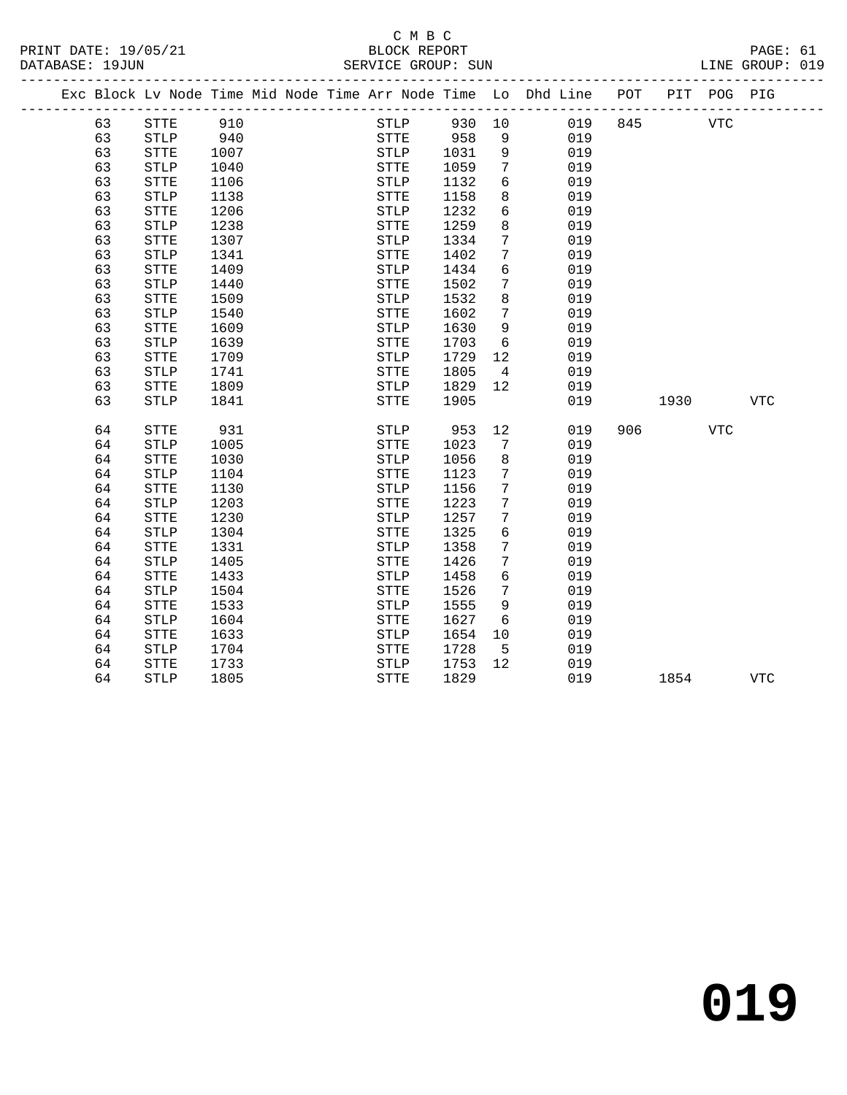# C M B C<br>BLOCK REPORT

| PRINT DATE: 19/05/21<br>DATABASE: 19JUN |                                             |                       |      |  | BLOCK REPORT<br>SERVICE GROUP: SUN |              |                 |                                                                    |     |            |                                                                                                                                                                                                                                 | PAGE: 61<br>LINE GROUP: 019 |  |
|-----------------------------------------|---------------------------------------------|-----------------------|------|--|------------------------------------|--------------|-----------------|--------------------------------------------------------------------|-----|------------|---------------------------------------------------------------------------------------------------------------------------------------------------------------------------------------------------------------------------------|-----------------------------|--|
|                                         |                                             |                       |      |  |                                    |              |                 | Exc Block Lv Node Time Mid Node Time Arr Node Time Lo Dhd Line POT |     |            | PIT POG PIG                                                                                                                                                                                                                     |                             |  |
|                                         | 63                                          | <b>STTE</b>           | 910  |  | STLP                               | 930 10       |                 | 019                                                                | 845 | <b>VTC</b> |                                                                                                                                                                                                                                 |                             |  |
|                                         | 63                                          | STLP                  | 940  |  | STTE 958                           |              | 9               | 019                                                                |     |            |                                                                                                                                                                                                                                 |                             |  |
|                                         | 63                                          | STTE                  | 1007 |  | STLP                               | 1031<br>1059 | 9               | 019                                                                |     |            |                                                                                                                                                                                                                                 |                             |  |
|                                         | 63                                          | <b>STLP</b>           | 1040 |  | STTE                               | 1059         | $7\overline{ }$ | 019                                                                |     |            |                                                                                                                                                                                                                                 |                             |  |
|                                         | 63                                          | <b>STTE</b>           | 1106 |  | STLP                               | 1132         | $6\overline{6}$ | 019                                                                |     |            |                                                                                                                                                                                                                                 |                             |  |
|                                         | 63                                          | <b>STLP</b>           | 1138 |  | STTE                               | 1158         | 8               | 019                                                                |     |            |                                                                                                                                                                                                                                 |                             |  |
|                                         | 63                                          | ${\tt STTE}$          | 1206 |  | <b>STLP</b>                        | 1232         | 6               | 019                                                                |     |            |                                                                                                                                                                                                                                 |                             |  |
|                                         | 63                                          | <b>STLP</b>           | 1238 |  | STTE                               | 1259         | 8               | 019                                                                |     |            |                                                                                                                                                                                                                                 |                             |  |
|                                         | 63                                          | <b>STTE</b>           | 1307 |  | STLP                               | 1334         | 7               | 019                                                                |     |            |                                                                                                                                                                                                                                 |                             |  |
|                                         | 63<br>$\operatorname{STLP}$<br>1341<br>1409 |                       |      |  | STTE                               | 1402         | $7\phantom{.0}$ | 019                                                                |     |            |                                                                                                                                                                                                                                 |                             |  |
|                                         | 63<br>${\tt STTE}$                          |                       |      |  | STLP                               | 1434         | 6               | 019                                                                |     |            |                                                                                                                                                                                                                                 |                             |  |
|                                         | 63                                          | <b>STLP</b>           | 1440 |  | <b>STTE</b>                        | 1502         | 7               | 019                                                                |     |            |                                                                                                                                                                                                                                 |                             |  |
|                                         | 63                                          | <b>STTE</b>           | 1509 |  | STLP                               | 1532         | 8               | 019                                                                |     |            |                                                                                                                                                                                                                                 |                             |  |
|                                         | 63                                          | <b>STLP</b>           | 1540 |  | STTE                               | 1602         | 7               | 019                                                                |     |            |                                                                                                                                                                                                                                 |                             |  |
|                                         | 63                                          | <b>STTE</b>           | 1609 |  | STLP                               | 1630         | 9               | 019                                                                |     |            |                                                                                                                                                                                                                                 |                             |  |
|                                         | 63                                          | <b>STLP</b>           | 1639 |  | STTE                               | 1703         | 6               | 019                                                                |     |            |                                                                                                                                                                                                                                 |                             |  |
|                                         | 63                                          | <b>STTE</b>           | 1709 |  | STLP                               | 1729         | 12              | 019                                                                |     |            |                                                                                                                                                                                                                                 |                             |  |
|                                         | 63                                          | $\operatorname{STLP}$ | 1741 |  | <b>STTE</b>                        | 1805         | $\overline{4}$  | 019                                                                |     |            |                                                                                                                                                                                                                                 |                             |  |
|                                         | 63                                          | ${\tt STTE}$          | 1809 |  | STLP                               | 1829         | 12 <sup>°</sup> | 019                                                                |     |            |                                                                                                                                                                                                                                 |                             |  |
|                                         | 63                                          | STLP                  | 1841 |  | STTE                               | 1905         |                 | 019                                                                |     |            | 1930 — 1930 — 1930 — 1930 — 1930 — 1930 — 1930 — 1930 — 1930 — 1930 — 1930 — 1930 — 1930 — 1930 — 1930 — 1930 — 1930 — 1930 — 1930 — 1930 — 1930 — 1930 — 1930 — 1930 — 1930 — 1930 — 1930 — 1930 — 1930 — 1930 — 1930 — 1930 — | VTC                         |  |
|                                         | 64                                          | <b>STTE</b>           | 931  |  | STLP                               | 953          | 12              | 019                                                                |     | 906 — 100  | <b>VTC</b>                                                                                                                                                                                                                      |                             |  |
|                                         | 64                                          | <b>STLP</b>           | 1005 |  | <b>STTE</b>                        | 1023         | $7\phantom{.0}$ | 019                                                                |     |            |                                                                                                                                                                                                                                 |                             |  |
|                                         | 64                                          | <b>STTE</b>           | 1030 |  | STLP                               | 1056         | 8               | 019                                                                |     |            |                                                                                                                                                                                                                                 |                             |  |
|                                         | 64                                          | <b>STLP</b>           | 1104 |  | <b>STTE</b>                        | 1123         | 7               | 019                                                                |     |            |                                                                                                                                                                                                                                 |                             |  |
|                                         | 64                                          | ${\tt STTE}$          | 1130 |  | STLP                               | 1156         | $7\phantom{.0}$ | 019                                                                |     |            |                                                                                                                                                                                                                                 |                             |  |
|                                         | 64                                          | <b>STLP</b>           | 1203 |  | STTE                               | 1223         | 7               | 019                                                                |     |            |                                                                                                                                                                                                                                 |                             |  |
|                                         | 64                                          | <b>STTE</b>           | 1230 |  | <b>STLP</b>                        | 1257         | 7               | 019                                                                |     |            |                                                                                                                                                                                                                                 |                             |  |
|                                         | 64                                          | <b>STLP</b>           | 1304 |  | <b>STTE</b>                        | 1325         | 6               | 019                                                                |     |            |                                                                                                                                                                                                                                 |                             |  |
|                                         | 64                                          | <b>STTE</b>           | 1331 |  | <b>STLP</b>                        | 1358         | $7\phantom{.0}$ | 019                                                                |     |            |                                                                                                                                                                                                                                 |                             |  |
|                                         | 64                                          | <b>STLP</b>           | 1405 |  | <b>STTE</b>                        | 1426         | 7               | 019                                                                |     |            |                                                                                                                                                                                                                                 |                             |  |
|                                         | 64                                          | <b>STTE</b>           | 1433 |  | STLP                               | 1458         | 6               | 019                                                                |     |            |                                                                                                                                                                                                                                 |                             |  |
|                                         | 64                                          | <b>STLP</b>           | 1504 |  | <b>STTE</b>                        | 1526         | 7               | 019                                                                |     |            |                                                                                                                                                                                                                                 |                             |  |
|                                         | 64                                          | <b>STTE</b>           | 1533 |  | STLP                               | 1555         | 9               | 019                                                                |     |            |                                                                                                                                                                                                                                 |                             |  |
|                                         | 64                                          | <b>STLP</b>           | 1604 |  | STTE                               | 1627         | 6               | 019                                                                |     |            |                                                                                                                                                                                                                                 |                             |  |
|                                         | 64                                          | ${\tt STTE}$          | 1633 |  | ${\tt STLP}$                       | 1654         | 10              | 019                                                                |     |            |                                                                                                                                                                                                                                 |                             |  |
|                                         | 64                                          | STLP                  | 1704 |  | STTE                               | 1728         | 5               | 019                                                                |     |            |                                                                                                                                                                                                                                 |                             |  |
|                                         | 64                                          | <b>STTE</b>           | 1733 |  | <b>STLP</b>                        | 1753         | 12              | 019                                                                |     |            |                                                                                                                                                                                                                                 |                             |  |
|                                         | 64                                          | <b>STLP</b>           | 1805 |  | <b>STTE</b>                        | 1829         |                 | 019                                                                |     | 1854       |                                                                                                                                                                                                                                 | <b>VTC</b>                  |  |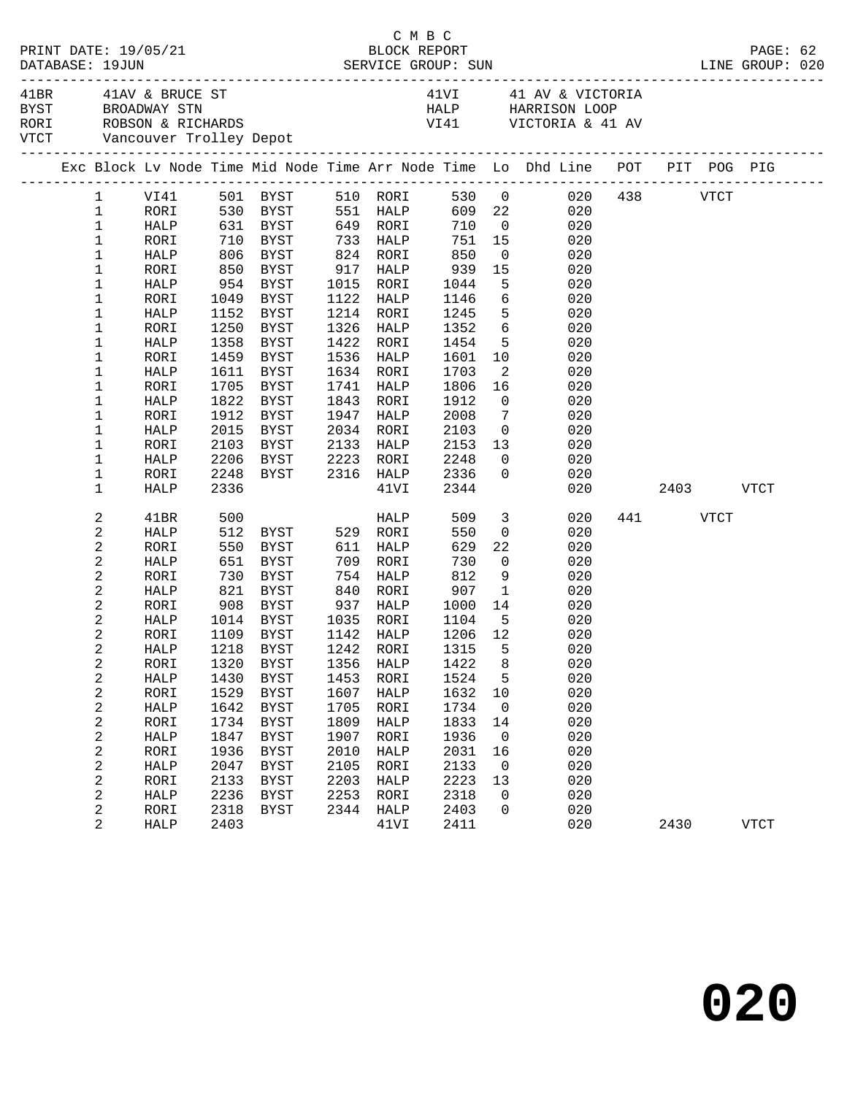| DATABASE: 19JUN         | PRINT DATE: 19/05/21 |              |                                                                     |              | C M B C<br>BLOCK REPORT |              |                 |                                                                                                                                                                                    |          |           | PAGE: 62    |  |
|-------------------------|----------------------|--------------|---------------------------------------------------------------------|--------------|-------------------------|--------------|-----------------|------------------------------------------------------------------------------------------------------------------------------------------------------------------------------------|----------|-----------|-------------|--|
|                         | 41BR 41AV & BRUCE ST |              |                                                                     |              |                         |              |                 | 41VI 41 AV & VICTORIA<br>BYST BROADWAY STN FIRE THAT AV & VICTORIA<br>RORI ROBSON & RICHARDS FIRE THAN HALP HARRISON LOOP<br>VITCT Vancouver Trolley Depot<br>The Victoria & 41 av |          |           |             |  |
|                         |                      |              |                                                                     |              |                         |              |                 | Exc Block Lv Node Time Mid Node Time Arr Node Time Lo Dhd Line POT PIT POG PIG                                                                                                     |          |           |             |  |
|                         |                      |              |                                                                     |              |                         |              |                 | 1 VI41 501 BYST 510 RORI 530 0 020<br>1 RORI 530 BYST 551 HALP 609 22 020                                                                                                          | 438 VTCT |           |             |  |
|                         |                      |              |                                                                     |              |                         |              |                 |                                                                                                                                                                                    |          |           |             |  |
| $\mathbf{1}$            |                      |              | HALP 631 BYST 649 RORI 710 0                                        |              |                         |              |                 | 020                                                                                                                                                                                |          |           |             |  |
| $\mathbf 1$             | RORI                 | 710          | BYST 733 HALP 751 15<br>BYST 824 RORI 850 0<br>RYST 917 HALP 939 15 |              |                         |              |                 | 020                                                                                                                                                                                |          |           |             |  |
| $\mathbf 1$             | HALP                 |              | 806 BYST<br>850 BYST                                                |              |                         |              |                 | $\begin{array}{c} 0 \\ 15 \end{array}$<br>020                                                                                                                                      |          |           |             |  |
| 1                       | RORI                 |              |                                                                     |              |                         |              |                 | 020                                                                                                                                                                                |          |           |             |  |
| 1                       | HALP                 |              | 954 BYST                                                            |              | 1015 RORI               | 1044         |                 | $5 - 5$<br>020                                                                                                                                                                     |          |           |             |  |
| 1                       | RORI                 | 1049         | BYST                                                                |              | 1122 HALP               | 1146         |                 | $6\overline{}$<br>020                                                                                                                                                              |          |           |             |  |
| 1                       | HALP                 | 1152         | BYST                                                                |              | 1214 RORI               | 1245<br>1352 |                 | 5 <sub>5</sub><br>020                                                                                                                                                              |          |           |             |  |
| 1                       | RORI                 | 1250         | BYST                                                                |              | 1326 HALP               |              | $6\overline{6}$ | 020                                                                                                                                                                                |          |           |             |  |
| 1                       | HALP                 | 1358         | BYST                                                                |              | 1422 RORI               | 1454         |                 | 5 <sub>1</sub><br>020                                                                                                                                                              |          |           |             |  |
| 1                       | RORI                 | 1459         | BYST                                                                | 1536         | HALP                    | 1601         | 10              | 020                                                                                                                                                                                |          |           |             |  |
| 1                       | HALP                 | 1611         | BYST                                                                |              | 1634 RORI               | 1703         |                 | $\overline{\mathbf{c}}$<br>020                                                                                                                                                     |          |           |             |  |
| 1                       | RORI                 | 1705         | BYST                                                                |              | 1741 HALP               | 1806         | 16              | 020                                                                                                                                                                                |          |           |             |  |
| 1                       | HALP                 |              | 1822 BYST                                                           |              | 1843 RORI               | 1912         |                 | $\overline{0}$<br>020                                                                                                                                                              |          |           |             |  |
| $\mathbf 1$             | RORI                 | 1912         | BYST                                                                | 1947         | HALP                    | 2008         | $\overline{7}$  | 020                                                                                                                                                                                |          |           |             |  |
| 1                       | HALP                 | 2015         | BYST                                                                | 2034         | RORI                    | 2103         | $\overline{0}$  | 020                                                                                                                                                                                |          |           |             |  |
| $\mathbf 1$             | RORI                 | 2103<br>2206 | BYST<br>BYST 2223 RORI                                              |              | 2133 HALP               | 2153         |                 | $\begin{array}{c} 13 \\ 0 \end{array}$<br>020                                                                                                                                      |          |           |             |  |
| 1<br>$\mathbf 1$        | HALP                 |              | 2248 BYST 2316 HALP                                                 |              |                         | 2248<br>2336 | $\overline{0}$  | 020<br>020                                                                                                                                                                         |          |           |             |  |
| 1                       | RORI<br>HALP         | 2336         |                                                                     |              | 41VI                    | 2344         |                 | 020                                                                                                                                                                                |          | 2403 VTCT |             |  |
|                         |                      |              |                                                                     |              |                         |              |                 |                                                                                                                                                                                    |          |           |             |  |
| 2                       | 41BR                 | 500          |                                                                     |              | HALP                    | 509          |                 | 3 <sup>1</sup><br>020                                                                                                                                                              | 441 VTCT |           |             |  |
| $\overline{c}$          | HALP                 |              | 512 BYST                                                            |              | 529 RORI                | 550          |                 | $\overline{0}$<br>020                                                                                                                                                              |          |           |             |  |
| $\boldsymbol{2}$        | RORI                 | 550          | BYST                                                                |              | 611 HALP                | 629          | 22              | 020                                                                                                                                                                                |          |           |             |  |
| $\sqrt{2}$              | HALP                 |              | 651 BYST<br>730 BYST                                                | 709          | RORI                    | 730<br>812   | $\overline{0}$  | 020                                                                                                                                                                                |          |           |             |  |
| $\sqrt{2}$              | RORI                 |              |                                                                     |              | 754 HALP                |              |                 | 9<br>020                                                                                                                                                                           |          |           |             |  |
| $\overline{c}$          | HALP                 |              | 821 BYST                                                            |              | 840 RORI                | 907          | $\overline{1}$  | 020                                                                                                                                                                                |          |           |             |  |
| 2                       | RORI                 | 908          | BYST                                                                |              | 937 HALP                | 1000         |                 | 14<br>020                                                                                                                                                                          |          |           |             |  |
| $\overline{c}$          | HALP                 |              | $1014$ BYST<br>1100 ----                                            |              | 1035 RORI<br>1142 HALP  | 1104<br>1206 | $5^{\circ}$     | 020                                                                                                                                                                                |          |           |             |  |
| $\overline{c}$          | RORI                 |              | 1109 BYST                                                           |              |                         | 1206 12      |                 | 020                                                                                                                                                                                |          |           |             |  |
| 2                       | HALP                 |              | <b>BYST</b>                                                         |              |                         |              |                 | 1218 BYST 1242 RORI 1315 5 020                                                                                                                                                     |          |           |             |  |
| 2<br>$\boldsymbol{2}$   | RORI<br>HALP         | 1320<br>1430 |                                                                     | 1356<br>1453 | HALP                    | 1422<br>1524 | 8<br>5          | 020<br>020                                                                                                                                                                         |          |           |             |  |
| $\overline{\mathbf{c}}$ | RORI                 | 1529         | BYST<br>BYST                                                        | 1607         | RORI<br>HALP            | 1632         | 10              | 020                                                                                                                                                                                |          |           |             |  |
| $\boldsymbol{2}$        | HALP                 | 1642         | <b>BYST</b>                                                         | 1705         | RORI                    | 1734         | $\overline{0}$  | 020                                                                                                                                                                                |          |           |             |  |
| $\boldsymbol{2}$        | RORI                 | 1734         | <b>BYST</b>                                                         | 1809         | HALP                    | 1833         | 14              | 020                                                                                                                                                                                |          |           |             |  |
| $\sqrt{2}$              | HALP                 | 1847         | <b>BYST</b>                                                         | 1907         | RORI                    | 1936         | $\overline{0}$  | 020                                                                                                                                                                                |          |           |             |  |
| $\sqrt{2}$              | RORI                 | 1936         | <b>BYST</b>                                                         | 2010         | HALP                    | 2031         | 16              | 020                                                                                                                                                                                |          |           |             |  |
| $\boldsymbol{2}$        | HALP                 | 2047         | BYST                                                                | 2105         | RORI                    | 2133         | $\overline{0}$  | 020                                                                                                                                                                                |          |           |             |  |
| $\sqrt{2}$              | RORI                 | 2133         | <b>BYST</b>                                                         | 2203         | HALP                    | 2223         | 13              | 020                                                                                                                                                                                |          |           |             |  |
| $\boldsymbol{2}$        | HALP                 | 2236         | <b>BYST</b>                                                         | 2253         | RORI                    | 2318         | 0               | 020                                                                                                                                                                                |          |           |             |  |
| $\boldsymbol{2}$        | RORI                 | 2318         | <b>BYST</b>                                                         | 2344         | HALP                    | 2403         | 0               | 020                                                                                                                                                                                |          |           |             |  |
| 2                       | HALP                 | 2403         |                                                                     |              | 41VI                    | 2411         |                 | 020                                                                                                                                                                                | 2430     |           | <b>VTCT</b> |  |
|                         |                      |              |                                                                     |              |                         |              |                 |                                                                                                                                                                                    |          |           |             |  |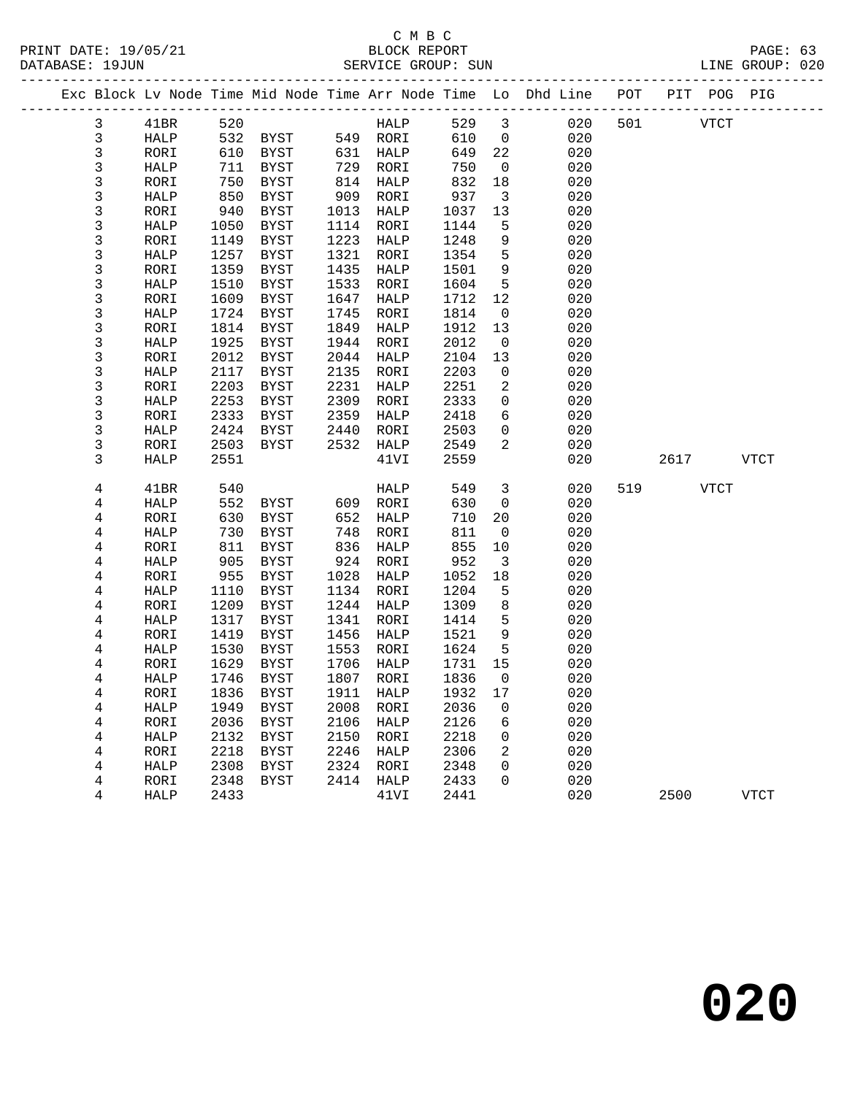|              |              |              |              |              |              |              |                         | Exc Block Lv Node Time Mid Node Time Arr Node Time Lo Dhd Line POT |     |          |      | PIT POG PIG |
|--------------|--------------|--------------|--------------|--------------|--------------|--------------|-------------------------|--------------------------------------------------------------------|-----|----------|------|-------------|
| 3            | 41BR         | 520          |              |              | HALP         | 529          | $\overline{\mathbf{3}}$ | 020                                                                |     | 501 VTCT |      |             |
| $\mathsf{3}$ | HALP         | 532          | <b>BYST</b>  |              | 549 RORI     | 610          | $\overline{0}$          | 020                                                                |     |          |      |             |
| 3            | RORI         | 610          | BYST         | 631          | HALP         | 649          | 22                      | 020                                                                |     |          |      |             |
| 3            | HALP         | 711          | BYST         | 729          | RORI         | 750          | $\overline{0}$          | 020                                                                |     |          |      |             |
| 3            | RORI         | 750          | BYST         | 814          | HALP         | 832          | 18                      | 020                                                                |     |          |      |             |
| 3            | HALP         | 850          | <b>BYST</b>  | 909          | RORI         | 937          | $\overline{\mathbf{3}}$ | 020                                                                |     |          |      |             |
| 3            | RORI         | 940          | BYST         | 1013         | HALP         | 1037         | 13                      | 020                                                                |     |          |      |             |
| 3            | HALP         | 1050         | BYST         | 1114         | RORI         | 1144         | 5                       | 020                                                                |     |          |      |             |
| $\mathsf{3}$ | RORI         | 1149         | BYST         | 1223         | HALP         | 1248         | 9                       | 020                                                                |     |          |      |             |
| 3            | HALP         | 1257         | <b>BYST</b>  | 1321         | RORI         | 1354         | 5                       | 020                                                                |     |          |      |             |
| 3            | RORI         | 1359         | BYST         | 1435         | HALP         | 1501         | 9                       | 020                                                                |     |          |      |             |
| 3            | HALP         | 1510         | BYST         | 1533         | RORI         | 1604         | 5                       | 020                                                                |     |          |      |             |
| 3            | RORI         | 1609         | <b>BYST</b>  | 1647         | HALP         | 1712         | 12                      | 020                                                                |     |          |      |             |
| 3            | HALP         | 1724         | BYST         | 1745         | RORI         | 1814         | $\overline{0}$          | 020                                                                |     |          |      |             |
| 3            | RORI         | 1814         | BYST         | 1849         | HALP         | 1912         | 13                      | 020                                                                |     |          |      |             |
| 3            | HALP         | 1925         | BYST         | 1944         | RORI         | 2012         | $\mathbf 0$             | 020                                                                |     |          |      |             |
| 3            | RORI         | 2012         | BYST         | 2044         | HALP         | 2104         | 13                      | 020                                                                |     |          |      |             |
| 3            | HALP         | 2117         | BYST         | 2135         | RORI         | 2203         | $\mathsf{O}$            | 020                                                                |     |          |      |             |
| 3            | RORI         | 2203         | <b>BYST</b>  | 2231         | HALP         | 2251         | 2                       | 020                                                                |     |          |      |             |
| 3            | HALP         | 2253         | BYST         | 2309         | RORI         | 2333         | $\mathbf 0$             | 020                                                                |     |          |      |             |
| 3            | RORI         | 2333         | BYST         | 2359         | HALP         | 2418         | 6                       | 020                                                                |     |          |      |             |
| 3            | HALP         | 2424         | <b>BYST</b>  | 2440         | RORI         | 2503         | $\mathsf{O}$            | 020                                                                |     |          |      |             |
| 3            | RORI         | 2503         | BYST         | 2532         | HALP         | 2549         | 2                       | 020                                                                |     |          |      |             |
| 3            | HALP         | 2551         |              |              | 41VI         | 2559         |                         | 020                                                                |     | 2617     |      | VTCT        |
| 4            | 41BR         | 540          |              |              | HALP         | 549          | $\mathbf{3}$            | 020                                                                | 519 |          | VTCT |             |
| 4            | HALP         | 552          | BYST         | 609          | RORI         | 630          | $\overline{0}$          | 020                                                                |     |          |      |             |
| 4            | RORI         | 630          | BYST         | 652          | HALP         | 710          | 20                      | 020                                                                |     |          |      |             |
| 4            | HALP         | 730          | BYST         | 748          | RORI         | 811          | $\mathbf 0$             | 020                                                                |     |          |      |             |
| 4            | RORI         | 811          | BYST         | 836          | HALP         | 855          | 10                      | 020                                                                |     |          |      |             |
| 4            | HALP         | 905          | <b>BYST</b>  | 924          | RORI         | 952          | $\overline{3}$          | 020                                                                |     |          |      |             |
| 4            | RORI         | 955          | BYST         | 1028         | HALP         | 1052         | 18                      | 020                                                                |     |          |      |             |
| 4            | HALP         | 1110         | BYST         | 1134         | RORI         | 1204         | 5                       | 020                                                                |     |          |      |             |
| 4            | RORI         | 1209         | BYST         | 1244         | HALP         | 1309         | 8                       | 020                                                                |     |          |      |             |
| 4            | HALP         | 1317         | BYST         | 1341         | RORI         | 1414         | 5                       | 020                                                                |     |          |      |             |
| 4            | RORI         | 1419         | BYST         | 1456         | HALP         | 1521         | 9                       | 020                                                                |     |          |      |             |
| 4            | HALP         | 1530         | BYST         | 1553         | RORI         | 1624         | 5                       | 020                                                                |     |          |      |             |
| 4            | RORI         | 1629<br>1746 | BYST         | 1706         | HALP         | 1731         | 15<br>$\mathbf 0$       | 020                                                                |     |          |      |             |
| 4            | <b>HALP</b>  |              | BYST         |              | 1807 RORI    | 1836         |                         | 020                                                                |     |          |      |             |
| 4            | RORI         |              | 1836 BYST    |              | 1911 HALP    | 1932 17      |                         | 020                                                                |     |          |      |             |
| 4            | HALP         | 1949<br>2036 | BYST         | 2008<br>2106 | RORI         | 2036<br>2126 | 0                       | 020<br>020                                                         |     |          |      |             |
| 4<br>4       | RORI<br>HALP | 2132         | BYST<br>BYST | 2150         | HALP<br>RORI | 2218         | 6<br>0                  | 020                                                                |     |          |      |             |
| 4            | RORI         | 2218         | BYST         | 2246         | HALP         | 2306         | 2                       | 020                                                                |     |          |      |             |
| 4            | HALP         | 2308         | BYST         | 2324         | RORI         | 2348         | 0                       | 020                                                                |     |          |      |             |
| 4            | RORI         | 2348         | BYST         | 2414         | HALP         | 2433         | 0                       | 020                                                                |     |          |      |             |
| 4            | HALP         | 2433         |              |              | 41VI         | 2441         |                         | 020                                                                |     | 2500     |      | <b>VTCT</b> |
|              |              |              |              |              |              |              |                         |                                                                    |     |          |      |             |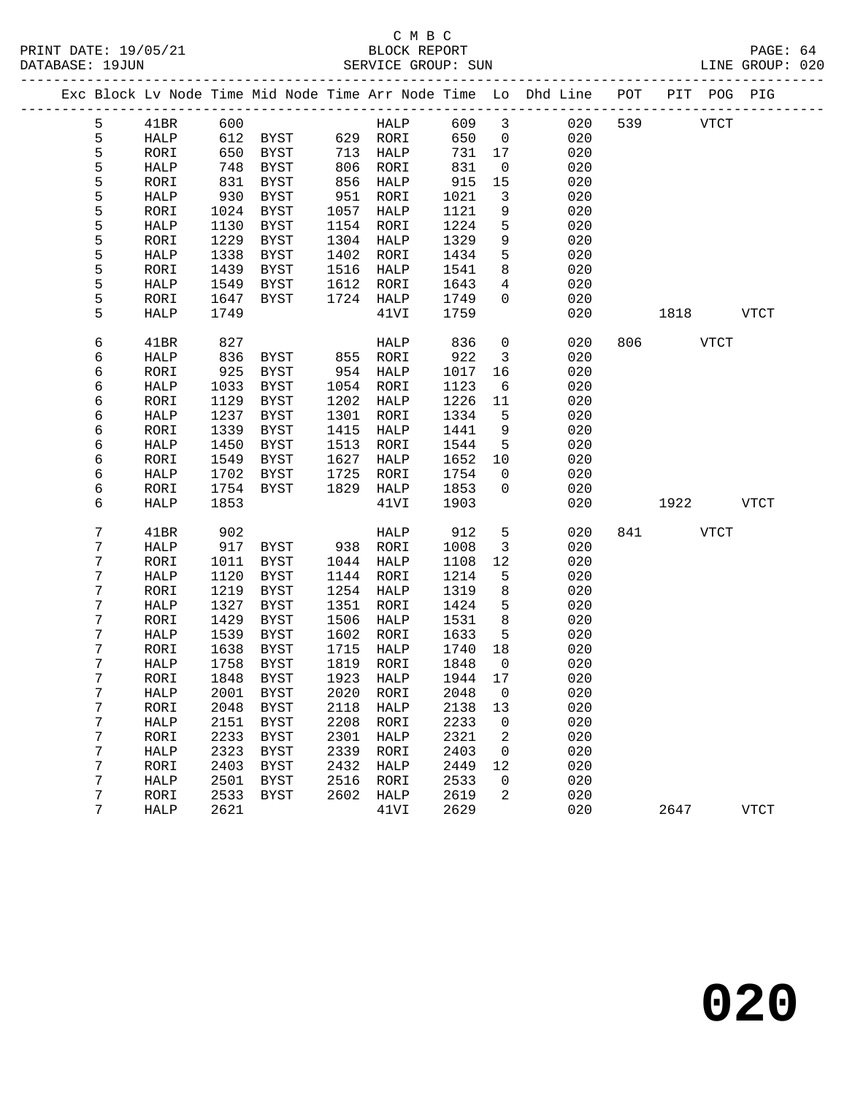|  |   |             |      |             |      |             |                  |                 | Exc Block Lv Node Time Mid Node Time Arr Node Time Lo Dhd Line POT PIT POG PIG |     |      |             |             |
|--|---|-------------|------|-------------|------|-------------|------------------|-----------------|--------------------------------------------------------------------------------|-----|------|-------------|-------------|
|  | 5 | 41BR        | 600  |             |      | HALP        | 609              | $\mathbf{3}$    | 020                                                                            | 539 |      | <b>VTCT</b> |             |
|  | 5 | HALP        |      | 612 BYST    |      | 629 RORI    | 650              | $\overline{0}$  | 020                                                                            |     |      |             |             |
|  | 5 | RORI        | 650  | BYST        |      | 713 HALP    | 731              | 17              | 020                                                                            |     |      |             |             |
|  | 5 | HALP        | 748  | BYST        | 806  | RORI        | 831              | $\overline{0}$  | 020                                                                            |     |      |             |             |
|  | 5 | RORI        | 831  | BYST        | 856  | HALP        | 915              | 15              | 020                                                                            |     |      |             |             |
|  | 5 | HALP        | 930  | <b>BYST</b> | 951  | RORI        | 1021             | 3               | 020                                                                            |     |      |             |             |
|  | 5 | RORI        | 1024 | BYST        | 1057 | HALP        | 1121             | 9               | 020                                                                            |     |      |             |             |
|  | 5 | HALP        | 1130 | BYST        | 1154 | RORI        | 1224             | 5               | 020                                                                            |     |      |             |             |
|  | 5 | RORI        | 1229 | BYST        | 1304 | HALP        | 1329             | 9               | 020                                                                            |     |      |             |             |
|  | 5 | HALP        | 1338 | <b>BYST</b> | 1402 | RORI        | 1434             | 5               | 020                                                                            |     |      |             |             |
|  | 5 | RORI        | 1439 | BYST        | 1516 | HALP        | 1541             | 8               | 020                                                                            |     |      |             |             |
|  | 5 | HALP        | 1549 | BYST        | 1612 | RORI        | 1643             | $\overline{4}$  | 020                                                                            |     |      |             |             |
|  | 5 | RORI        | 1647 | BYST        |      | 1724 HALP   | 1749             | $\mathbf{0}$    | 020                                                                            |     |      |             |             |
|  | 5 | HALP        | 1749 |             |      | 41VI        | 1759             |                 | 020                                                                            |     | 1818 |             | VTCT        |
|  |   |             |      |             |      |             |                  |                 |                                                                                |     |      |             |             |
|  | 6 | 41BR        | 827  |             |      | HALP        | 836              | $\mathbf 0$     | 020                                                                            | 806 |      | <b>VTCT</b> |             |
|  | 6 | <b>HALP</b> | 836  | BYST        | 855  | RORI        | 922              | $\mathbf{3}$    | 020                                                                            |     |      |             |             |
|  | 6 | RORI        | 925  | BYST        | 954  | HALP        | 1017             | 16              | 020                                                                            |     |      |             |             |
|  | 6 | HALP        | 1033 | BYST        | 1054 | RORI        | 1123             | $6\overline{6}$ | 020                                                                            |     |      |             |             |
|  | 6 | RORI        | 1129 | BYST        | 1202 | HALP        | 1226             | 11              | 020                                                                            |     |      |             |             |
|  | 6 | <b>HALP</b> | 1237 | BYST        | 1301 | RORI        | 1334             | 5               | 020                                                                            |     |      |             |             |
|  | 6 | RORI        | 1339 | <b>BYST</b> | 1415 | HALP        | 1441             | 9               | 020                                                                            |     |      |             |             |
|  | 6 | HALP        | 1450 | <b>BYST</b> | 1513 | RORI        | 1544             | 5               | 020                                                                            |     |      |             |             |
|  | 6 | RORI        | 1549 | <b>BYST</b> | 1627 | HALP        | 1652             | 10              | 020                                                                            |     |      |             |             |
|  | 6 | HALP        | 1702 | BYST        | 1725 | RORI        | 1754             | $\overline{0}$  | 020                                                                            |     |      |             |             |
|  | 6 | RORI        | 1754 | BYST        | 1829 | HALP        | 1853             | $\mathbf 0$     | 020                                                                            |     |      |             |             |
|  | 6 | <b>HALP</b> | 1853 |             |      | 41VI        | 1903             |                 | 020                                                                            |     | 1922 |             | <b>VTCT</b> |
|  | 7 | 41BR        | 902  |             |      | HALP        | 912              | 5               | 020                                                                            | 841 |      | <b>VTCT</b> |             |
|  | 7 | HALP        | 917  | BYST        |      | 938 RORI    | 1008             | $\mathbf{3}$    | 020                                                                            |     |      |             |             |
|  | 7 | RORI        | 1011 | BYST        | 1044 | HALP        | 1108             | 12              | 020                                                                            |     |      |             |             |
|  | 7 | HALP        | 1120 | BYST        | 1144 | RORI        | 1214             | 5               | 020                                                                            |     |      |             |             |
|  | 7 | RORI        | 1219 | <b>BYST</b> | 1254 | HALP        | 1319             | 8               | 020                                                                            |     |      |             |             |
|  | 7 | HALP        | 1327 | BYST        | 1351 | RORI        | 1424             | 5               | 020                                                                            |     |      |             |             |
|  | 7 | RORI        | 1429 | <b>BYST</b> | 1506 | HALP        | 1531             | 8               | 020                                                                            |     |      |             |             |
|  | 7 | HALP        | 1539 | <b>BYST</b> | 1602 | RORI        | 1633             | 5               | 020                                                                            |     |      |             |             |
|  | 7 | RORI        | 1638 | BYST        | 1715 | HALP        | 1740             | 18              | 020                                                                            |     |      |             |             |
|  | 7 | HALP        | 1758 | BYST        |      | 1819 RORI   | 1848             | $\overline{0}$  | 020                                                                            |     |      |             |             |
|  | 7 | RORI        | 1848 | BYST        |      | 1923 HALP   | 1944             | 17              | 020                                                                            |     |      |             |             |
|  | 7 | HALP        |      | 2001 BYST   |      |             | 2020 RORI 2048 0 |                 | 020                                                                            |     |      |             |             |
|  | 7 | RORI        | 2048 | <b>BYST</b> | 2118 | HALP        | 2138             | 13              | 020                                                                            |     |      |             |             |
|  | 7 | HALP        | 2151 | <b>BYST</b> | 2208 | RORI        | 2233             | 0               | 020                                                                            |     |      |             |             |
|  | 7 | RORI        | 2233 | <b>BYST</b> | 2301 | HALP        | 2321             | 2               | 020                                                                            |     |      |             |             |
|  | 7 | HALP        | 2323 | <b>BYST</b> | 2339 | RORI        | 2403             | 0               | 020                                                                            |     |      |             |             |
|  | 7 | RORI        | 2403 | <b>BYST</b> | 2432 | HALP        | 2449             | 12              | 020                                                                            |     |      |             |             |
|  | 7 | HALP        | 2501 | <b>BYST</b> | 2516 | RORI        | 2533             | 0               | 020                                                                            |     |      |             |             |
|  | 7 | RORI        | 2533 | <b>BYST</b> | 2602 | <b>HALP</b> | 2619             | 2               | 020                                                                            |     |      |             |             |
|  | 7 | HALP        | 2621 |             |      | 41VI        | 2629             |                 | 020                                                                            |     | 2647 |             | <b>VTCT</b> |
|  |   |             |      |             |      |             |                  |                 |                                                                                |     |      |             |             |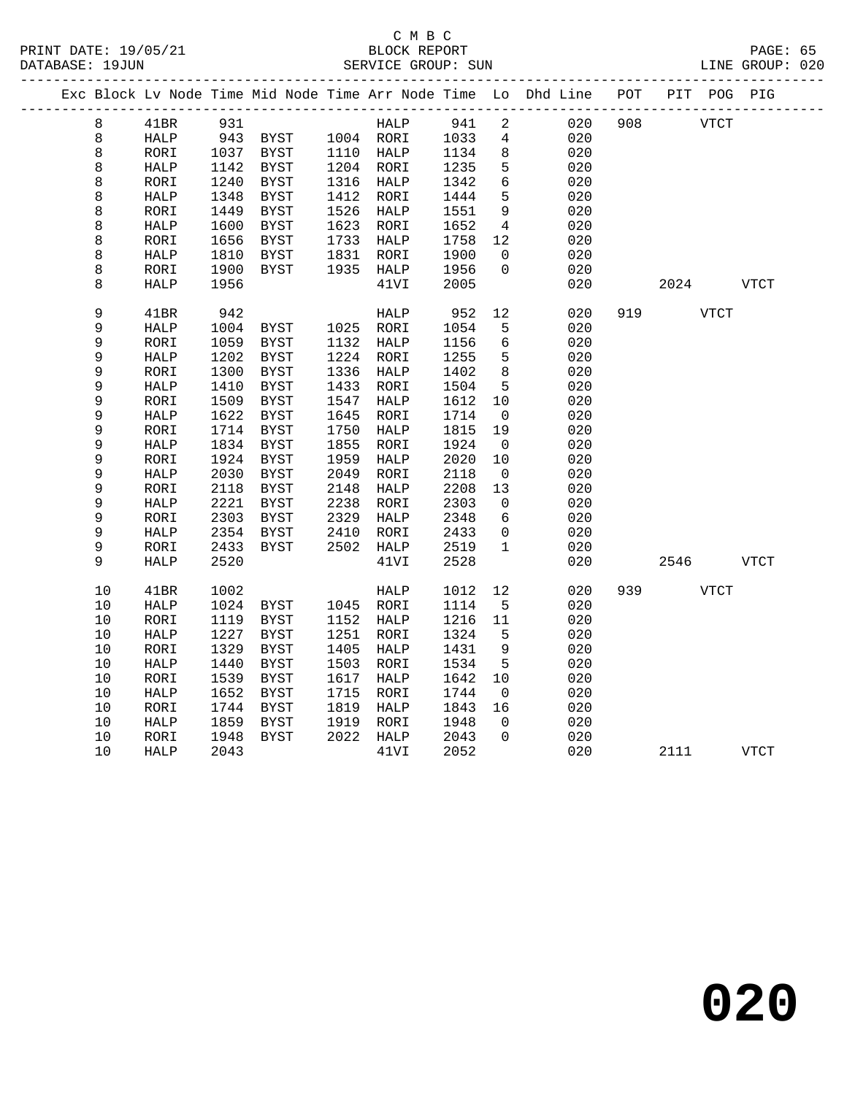|             |              |      |                |      |             |      |                          | Exc Block Lv Node Time Mid Node Time Arr Node Time Lo Dhd Line | POT |      | PIT POG PIG |             |
|-------------|--------------|------|----------------|------|-------------|------|--------------------------|----------------------------------------------------------------|-----|------|-------------|-------------|
| 8           | 41BR         | 931  |                |      | HALP        | 941  | $\overline{a}$           | 020                                                            | 908 |      | <b>VTCT</b> |             |
| 8           | HALP         | 943  | BYST 1004 RORI |      |             | 1033 | $\overline{4}$           | 020                                                            |     |      |             |             |
| 8           | RORI         |      | 1037 BYST      |      | 1110 HALP   | 1134 | 8                        | 020                                                            |     |      |             |             |
| 8           | HALP         | 1142 | BYST           |      | 1204 RORI   | 1235 | 5                        | 020                                                            |     |      |             |             |
| 8           | RORI         | 1240 | <b>BYST</b>    | 1316 | HALP        | 1342 | 6                        | 020                                                            |     |      |             |             |
| 8           | HALP         | 1348 | <b>BYST</b>    | 1412 | RORI        | 1444 | 5                        | 020                                                            |     |      |             |             |
| 8           | RORI         | 1449 | <b>BYST</b>    | 1526 | HALP        | 1551 | $\overline{9}$           | 020                                                            |     |      |             |             |
| 8           | HALP         | 1600 | <b>BYST</b>    | 1623 | RORI        | 1652 | $\overline{4}$           | 020                                                            |     |      |             |             |
| 8           | RORI         | 1656 | <b>BYST</b>    | 1733 | HALP        | 1758 | 12                       | 020                                                            |     |      |             |             |
| 8           | HALP         | 1810 | <b>BYST</b>    | 1831 | RORI        | 1900 | 0                        | 020                                                            |     |      |             |             |
| 8           | RORI         | 1900 | <b>BYST</b>    | 1935 | HALP        | 1956 | $\mathbf 0$              | 020                                                            |     |      |             |             |
| 8           | HALP         | 1956 |                |      | 41VI        | 2005 |                          | 020                                                            |     | 2024 |             | VTCT        |
| 9           | 41BR         | 942  |                |      | HALP        | 952  | 12                       | 020                                                            | 919 |      | <b>VTCT</b> |             |
| 9           | HALP         | 1004 | BYST           |      | 1025 RORI   | 1054 | 5                        | 020                                                            |     |      |             |             |
| 9           | RORI         | 1059 | <b>BYST</b>    | 1132 | HALP        | 1156 | 6                        | 020                                                            |     |      |             |             |
| 9           | ${\tt HALP}$ | 1202 | <b>BYST</b>    | 1224 | RORI        | 1255 | 5                        | 020                                                            |     |      |             |             |
| 9           | RORI         | 1300 | <b>BYST</b>    | 1336 | HALP        | 1402 | $\,8\,$                  | 020                                                            |     |      |             |             |
| 9           | HALP         | 1410 | <b>BYST</b>    | 1433 | RORI        | 1504 | 5                        | 020                                                            |     |      |             |             |
| 9           | RORI         | 1509 | <b>BYST</b>    | 1547 | <b>HALP</b> | 1612 | 10                       | 020                                                            |     |      |             |             |
| 9           | HALP         | 1622 | <b>BYST</b>    | 1645 | RORI        | 1714 | $\overline{\phantom{0}}$ | 020                                                            |     |      |             |             |
| 9           | RORI         | 1714 | <b>BYST</b>    | 1750 | HALP        | 1815 | 19                       | 020                                                            |     |      |             |             |
| 9           | HALP         | 1834 | <b>BYST</b>    | 1855 | RORI        | 1924 | $\overline{\phantom{0}}$ | 020                                                            |     |      |             |             |
| $\mathsf 9$ | RORI         | 1924 | <b>BYST</b>    | 1959 | HALP        | 2020 | 10                       | 020                                                            |     |      |             |             |
| 9           | HALP         | 2030 | <b>BYST</b>    | 2049 | RORI        | 2118 | $\overline{0}$           | 020                                                            |     |      |             |             |
| 9           | RORI         | 2118 | <b>BYST</b>    | 2148 | <b>HALP</b> | 2208 | 13                       | 020                                                            |     |      |             |             |
| 9           | HALP         | 2221 | BYST           | 2238 | RORI        | 2303 | $\mathbf 0$              | 020                                                            |     |      |             |             |
| 9           | RORI         | 2303 | <b>BYST</b>    | 2329 | HALP        | 2348 | 6                        | 020                                                            |     |      |             |             |
| 9           | HALP         | 2354 | BYST           | 2410 | RORI        | 2433 | 0                        | 020                                                            |     |      |             |             |
| 9           | RORI         | 2433 | <b>BYST</b>    | 2502 | <b>HALP</b> | 2519 | $\mathbf 1$              | 020                                                            |     |      |             |             |
| 9           | <b>HALP</b>  | 2520 |                |      | 41VI        | 2528 |                          | 020                                                            |     | 2546 |             | <b>VTCT</b> |
| 10          | 41BR         | 1002 |                |      | HALP        | 1012 | 12                       | 020                                                            | 939 |      | VTCT        |             |
| 10          | <b>HALP</b>  | 1024 | BYST           |      | 1045 RORI   | 1114 | 5                        | 020                                                            |     |      |             |             |
| 10          | RORI         | 1119 | <b>BYST</b>    | 1152 | HALP        | 1216 | 11                       | 020                                                            |     |      |             |             |
| 10          | <b>HALP</b>  | 1227 | <b>BYST</b>    | 1251 | RORI        | 1324 | 5                        | 020                                                            |     |      |             |             |
| 10          | RORI         | 1329 | <b>BYST</b>    | 1405 | HALP        | 1431 | 9                        | 020                                                            |     |      |             |             |
| 10          | <b>HALP</b>  | 1440 | <b>BYST</b>    | 1503 | RORI        | 1534 | 5                        | 020                                                            |     |      |             |             |
| 10          | RORI         | 1539 | <b>BYST</b>    | 1617 | HALP        | 1642 | 10                       | 020                                                            |     |      |             |             |
| 10          | <b>HALP</b>  | 1652 | <b>BYST</b>    | 1715 | RORI        | 1744 | $\mathsf{O}$             | 020                                                            |     |      |             |             |
| 10          | RORI         | 1744 | <b>BYST</b>    | 1819 | <b>HALP</b> | 1843 | 16                       | 020                                                            |     |      |             |             |
| 10          | <b>HALP</b>  | 1859 | <b>BYST</b>    | 1919 | RORI        | 1948 | $\Omega$                 | 020                                                            |     |      |             |             |
| 10          | RORI         | 1948 | <b>BYST</b>    | 2022 | HALP        | 2043 | $\Omega$                 | 020                                                            |     |      |             |             |
| 10          | <b>HALP</b>  | 2043 |                |      | 41VI        | 2052 |                          | 020                                                            |     | 2111 |             | <b>VTCT</b> |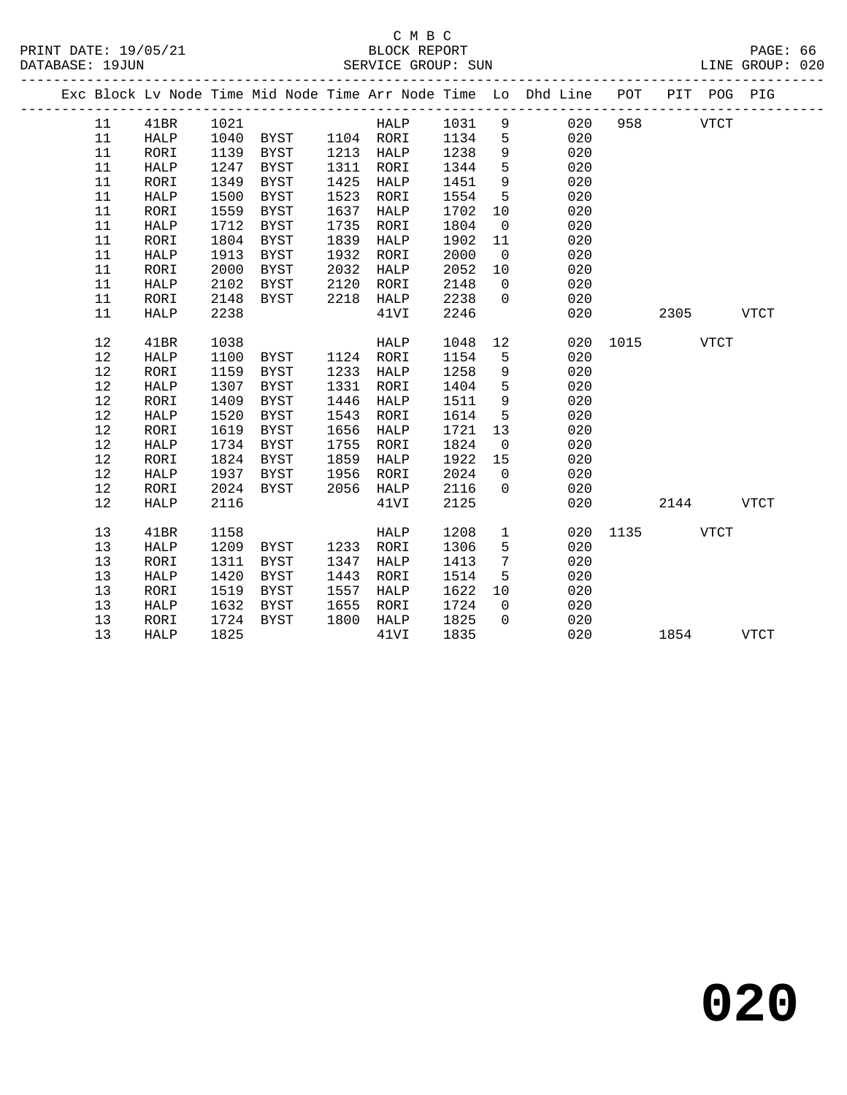|  |      |              |      |                |      |           |      |                 | Exc Block Lv Node Time Mid Node Time Arr Node Time Lo Dhd Line POT |               |           | PIT POG PIG |             |
|--|------|--------------|------|----------------|------|-----------|------|-----------------|--------------------------------------------------------------------|---------------|-----------|-------------|-------------|
|  | 11   | 41BR         | 1021 |                |      | HALP 1031 |      |                 | 020<br>$9 \left( \frac{1}{2} \right)$                              | 958           |           | <b>VTCT</b> |             |
|  | 11   | HALP         | 1040 | BYST 1104 RORI |      |           | 1134 | $5^{\circ}$     | 020                                                                |               |           |             |             |
|  | 11   | RORI         | 1139 | BYST           |      | 1213 HALP | 1238 | 9               | 020                                                                |               |           |             |             |
|  | 11   | HALP         | 1247 | <b>BYST</b>    | 1311 | RORI      | 1344 | 5               | 020                                                                |               |           |             |             |
|  | 11   | RORI         | 1349 | BYST           | 1425 | HALP      | 1451 | $\overline{9}$  | 020                                                                |               |           |             |             |
|  | 11   | HALP         | 1500 | BYST           | 1523 | RORI      | 1554 | $5^{\circ}$     | 020                                                                |               |           |             |             |
|  | 11   | RORI         | 1559 | BYST           | 1637 | HALP      | 1702 | 10              | 020                                                                |               |           |             |             |
|  | 11   | HALP         | 1712 | BYST           | 1735 | RORI      | 1804 | $\overline{0}$  | 020                                                                |               |           |             |             |
|  | 11   | RORI         | 1804 | BYST           | 1839 | HALP      | 1902 | 11              | 020                                                                |               |           |             |             |
|  | 11   | HALP         | 1913 | BYST           | 1932 | RORI      | 2000 | $\overline{0}$  | 020                                                                |               |           |             |             |
|  | 11   | RORI         | 2000 | BYST           | 2032 | HALP      | 2052 | 10              | 020                                                                |               |           |             |             |
|  | 11   | HALP         | 2102 | BYST           | 2120 | RORI      | 2148 | $\overline{0}$  | 020                                                                |               |           |             |             |
|  | 11   | RORI         | 2148 | BYST           | 2218 | HALP      | 2238 | $\overline{0}$  | 020                                                                |               |           |             |             |
|  | 11   | HALP         | 2238 |                |      | 41VI      | 2246 |                 | 020                                                                |               | 2305 VTCT |             |             |
|  | 12   | 41BR         | 1038 |                |      | HALP      | 1048 | 12              |                                                                    | 020 1015 VTCT |           |             |             |
|  | $12$ | HALP         | 1100 | BYST 1124 RORI |      |           | 1154 | 5               | 020                                                                |               |           |             |             |
|  | 12   | RORI         | 1159 | <b>BYST</b>    |      | 1233 HALP | 1258 | 9               | 020                                                                |               |           |             |             |
|  | $12$ | HALP         | 1307 | <b>BYST</b>    | 1331 | RORI      | 1404 | 5               | 020                                                                |               |           |             |             |
|  | 12   | RORI         | 1409 | BYST           | 1446 | HALP      | 1511 | 9               | 020                                                                |               |           |             |             |
|  | $12$ | ${\tt HALP}$ | 1520 | BYST           | 1543 | RORI      | 1614 | $5\overline{5}$ | 020                                                                |               |           |             |             |
|  | 12   | RORI         | 1619 | BYST           | 1656 | HALP      | 1721 | 13              | 020                                                                |               |           |             |             |
|  | 12   | HALP         | 1734 | BYST           | 1755 | RORI      | 1824 | $\overline{0}$  | 020                                                                |               |           |             |             |
|  | 12   | RORI         | 1824 | BYST           | 1859 | HALP      | 1922 | 15              | 020                                                                |               |           |             |             |
|  | 12   | HALP         | 1937 | BYST           | 1956 | RORI      | 2024 | $\overline{0}$  | 020                                                                |               |           |             |             |
|  | 12   | RORI         | 2024 | BYST           | 2056 | HALP      | 2116 | $\Omega$        | 020                                                                |               |           |             |             |
|  | 12   | <b>HALP</b>  | 2116 |                |      | 41VI      | 2125 |                 | 020                                                                |               | 2144      |             | <b>VTCT</b> |
|  | 13   | 41BR         | 1158 |                |      | HALP      | 1208 | $\mathbf{1}$    | 020                                                                | 1135          |           | VTCT        |             |
|  | 13   | HALP         | 1209 | BYST           |      | 1233 RORI | 1306 | 5               | 020                                                                |               |           |             |             |
|  | 13   | RORI         | 1311 | BYST           | 1347 | HALP      | 1413 | 7               | 020                                                                |               |           |             |             |
|  | 13   | HALP         | 1420 | BYST           | 1443 | RORI      | 1514 | 5               | 020                                                                |               |           |             |             |
|  | 13   | RORI         | 1519 | BYST           | 1557 | HALP      | 1622 | 10              | 020                                                                |               |           |             |             |
|  | 13   | HALP         | 1632 | BYST           | 1655 | RORI      | 1724 | $\overline{0}$  | 020                                                                |               |           |             |             |
|  | 13   | RORI         | 1724 | BYST           | 1800 | HALP      | 1825 | $\Omega$        | 020                                                                |               |           |             |             |
|  | 13   | HALP         | 1825 |                |      | 41VI      | 1835 |                 | 020                                                                |               | 1854 VTCT |             |             |
|  |      |              |      |                |      |           |      |                 |                                                                    |               |           |             |             |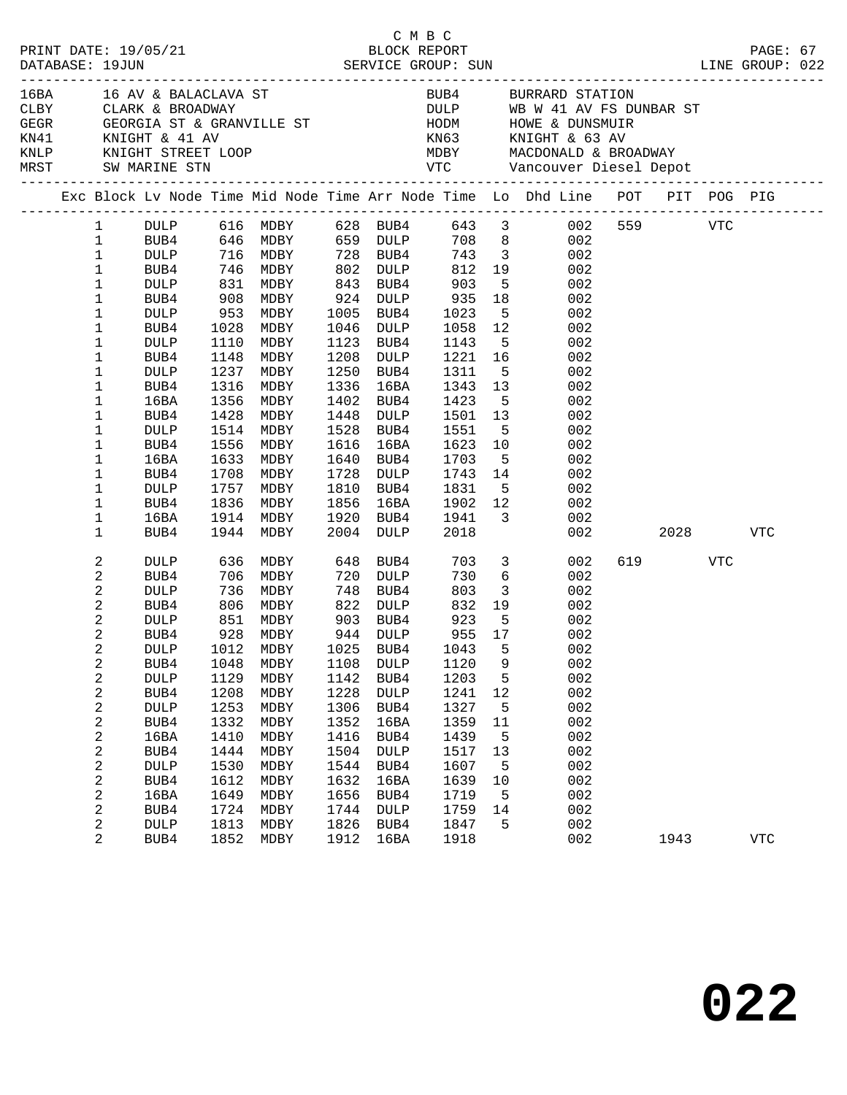|                                                                                                                                                      |                                                                                                                                                                                  |                                                                                              |                                                                                                           |                                                                                                                                                                                                                           |                                                                                                                                   |                                                                                                            |                                                                                                                               |                                                                                                                            |                                                                                                                                                                                                                                                                                                                                                                                                                                                                                                                 |                      |      | PAGE: 67                                 |                                                                                                                                             |
|------------------------------------------------------------------------------------------------------------------------------------------------------|----------------------------------------------------------------------------------------------------------------------------------------------------------------------------------|----------------------------------------------------------------------------------------------|-----------------------------------------------------------------------------------------------------------|---------------------------------------------------------------------------------------------------------------------------------------------------------------------------------------------------------------------------|-----------------------------------------------------------------------------------------------------------------------------------|------------------------------------------------------------------------------------------------------------|-------------------------------------------------------------------------------------------------------------------------------|----------------------------------------------------------------------------------------------------------------------------|-----------------------------------------------------------------------------------------------------------------------------------------------------------------------------------------------------------------------------------------------------------------------------------------------------------------------------------------------------------------------------------------------------------------------------------------------------------------------------------------------------------------|----------------------|------|------------------------------------------|---------------------------------------------------------------------------------------------------------------------------------------------|
|                                                                                                                                                      |                                                                                                                                                                                  |                                                                                              |                                                                                                           |                                                                                                                                                                                                                           |                                                                                                                                   |                                                                                                            |                                                                                                                               |                                                                                                                            |                                                                                                                                                                                                                                                                                                                                                                                                                                                                                                                 |                      |      |                                          |                                                                                                                                             |
|                                                                                                                                                      |                                                                                                                                                                                  |                                                                                              |                                                                                                           |                                                                                                                                                                                                                           |                                                                                                                                   |                                                                                                            |                                                                                                                               |                                                                                                                            |                                                                                                                                                                                                                                                                                                                                                                                                                                                                                                                 |                      |      |                                          |                                                                                                                                             |
| $\mathbf 1$<br>$\mathbf{1}$<br>$\mathbf 1$<br>$\mathbf 1$<br>1<br>$\mathbf{1}$<br>1<br>1<br>1<br>1<br>$\mathbf 1$<br>1<br>1<br>1<br>1<br>1<br>1<br>1 | BUB4<br>DULP<br>BUB4<br>DULP<br>BUB4<br><b>DULP</b><br>BUB4<br>16BA<br>BUB4<br>DULP<br>BUB4<br>16BA<br>BUB4<br>DULP                                                              | 1148<br>1237<br>1316<br>1428<br>1514<br>1556<br>1708<br>1757                                 | MDBY<br>MDBY<br>MDBY<br>MDBY<br>MDBY<br>MDBY<br>MDBY<br>MDBY                                              | 1208<br>1250<br>1336<br>1402<br>1448<br>1528<br>1616<br>1640<br>1728<br>1810                                                                                                                                              | DULP<br>BUB4<br>DULP<br>BUB4<br>16BA<br>BUB4<br>DULP<br>BUB4<br>16BA<br>BUB4<br>BUB4                                              | 1311<br>1423<br>1551<br>1623<br>1831                                                                       |                                                                                                                               | 002<br>002<br>002<br>002<br>002<br>002<br>002<br>002<br>002<br>002<br>002<br>002<br>002<br>002                             |                                                                                                                                                                                                                                                                                                                                                                                                                                                                                                                 |                      |      |                                          |                                                                                                                                             |
| 1<br>1                                                                                                                                               | 16BA<br>BUB4                                                                                                                                                                     |                                                                                              |                                                                                                           |                                                                                                                                                                                                                           |                                                                                                                                   | 1941<br>2018                                                                                               |                                                                                                                               | 002<br>002                                                                                                                 |                                                                                                                                                                                                                                                                                                                                                                                                                                                                                                                 |                      |      | VTC                                      |                                                                                                                                             |
| 2<br>2<br>2<br>2<br>$\sqrt{2}$<br>2<br>2<br>2<br>2<br>$\sqrt{2}$<br>2<br>2<br>$\sqrt{2}$<br>$\sqrt{2}$<br>2<br>2<br>2<br>$\sqrt{2}$<br>2             | DULP<br>BUB4<br>DULP<br>BUB4<br><b>DULP</b><br>BUB4<br>BUB4<br><b>DULP</b><br>BUB4<br>DULP<br>BUB4<br>16BA<br>BUB4<br><b>DULP</b><br>BUB4<br>16BA<br>BUB4<br><b>DULP</b><br>BUB4 | 1048<br>1129<br>1208<br>1253<br>1332<br>1410<br>1444<br>1530<br>1612<br>1649<br>1724<br>1813 | MDBY<br>MDBY<br>MDBY<br>MDBY<br>MDBY<br>MDBY<br>MDBY<br>MDBY<br>MDBY<br>MDBY<br>MDBY<br>$\texttt{MDBY}{}$ | 1108<br>1142<br>1228<br>1306<br>1352<br>1416<br>1504<br>1544<br>1632<br>1656<br>1744<br>1826                                                                                                                              | BUB4<br><b>DULP</b><br>BUB4<br><b>DULP</b><br>BUB4<br>16BA<br>BUB4<br><b>DULP</b><br>BUB4<br>16BA<br>BUB4<br>DULP<br>BUB4<br>16BA | 730<br>803<br>1120<br>1203<br>1241<br>1327<br>1359<br>1439<br>1517<br>1607<br>1639<br>1719<br>1759<br>1847 | 9<br>5<br>12<br>5<br>11<br>5<br>13<br>5<br>10<br>5<br>14<br>5                                                                 | 002<br>002<br>002<br>002<br>002<br>002<br>002<br>002<br>002<br>002<br>002<br>002<br>002<br>002<br>002<br>002<br>002<br>002 |                                                                                                                                                                                                                                                                                                                                                                                                                                                                                                                 |                      | VTC  | <b>VTC</b>                               |                                                                                                                                             |
|                                                                                                                                                      | 1<br>2                                                                                                                                                                           | PRINT DATE: 19/05/21<br>BUB4                                                                 | CLBY CLARK & BROADWAY<br>1836<br>806<br>1852                                                              | 16BA 16 AV & BALACLAVA ST<br>908 MDBY<br>$\frac{1028}{1028}$ MDBY<br>1110<br>MDBY<br>1356 MDBY<br>1633 MDBY<br>MDBY<br>1914 MDBY<br>1944 MDBY<br>636 MDBY<br>706 MDBY<br>736 MDBY<br>MDBY<br>851 MDBY<br>928 MDBY<br>MDBY | 1856<br>1912                                                                                                                      | 1005 BUB4<br>1046<br>1123<br>1920<br>720<br>748<br>822 DULP<br>903 BUB4<br>944 DULP                        | смвс<br>BLOCK REPORT<br>843 BUB4<br>924 DULP<br>DULP<br>16BA<br>BUB4<br>2004 DULP<br>648 BUB4<br>יו דוזים 120<br>DULP<br>1918 | 935<br>1023<br>1058<br>1143<br>1343<br>1501<br>1703<br>1743<br>1902<br>703<br>730<br>832<br>923<br>955                     | BUB4 646 MDBY 659 DULP 708 8 002<br>DULP 716 MDBY 728 BUB4 743 3 002<br>BUB4 746 MDBY 802 DULP 812 19 002<br>DULP 831 MDBY 843 BUB4 903 5 002<br>18<br>$5\overline{)}$<br>12<br>5 <sub>1</sub><br>1221 16<br>$5^{\circ}$<br>13<br>5 <sup>1</sup><br>13<br>$5^{\circ}$<br>10<br>$5^{\circ}$<br>14<br>5 <sub>1</sub><br>$\begin{array}{c} 12 \\ 3 \end{array}$<br>002<br>$\overline{\mathbf{3}}$<br>$6\overline{6}$<br>3 <sup>1</sup><br>19<br>5 <sup>5</sup><br>17<br>DULP 1012 MDBY 1025 BUB4 1043 5 002<br>002 | BUB4 BURRARD STATION | 1943 | DULP WB W 41 AV FS DUNBAR ST<br>619 — 10 | Exc Block Lv Node Time Mid Node Time Arr Node Time Lo Dhd Line POT PIT POG PIG<br>1 DULP 616 MDBY 628 BUB4 643 3 002 559 VTC<br>2028 — 2021 |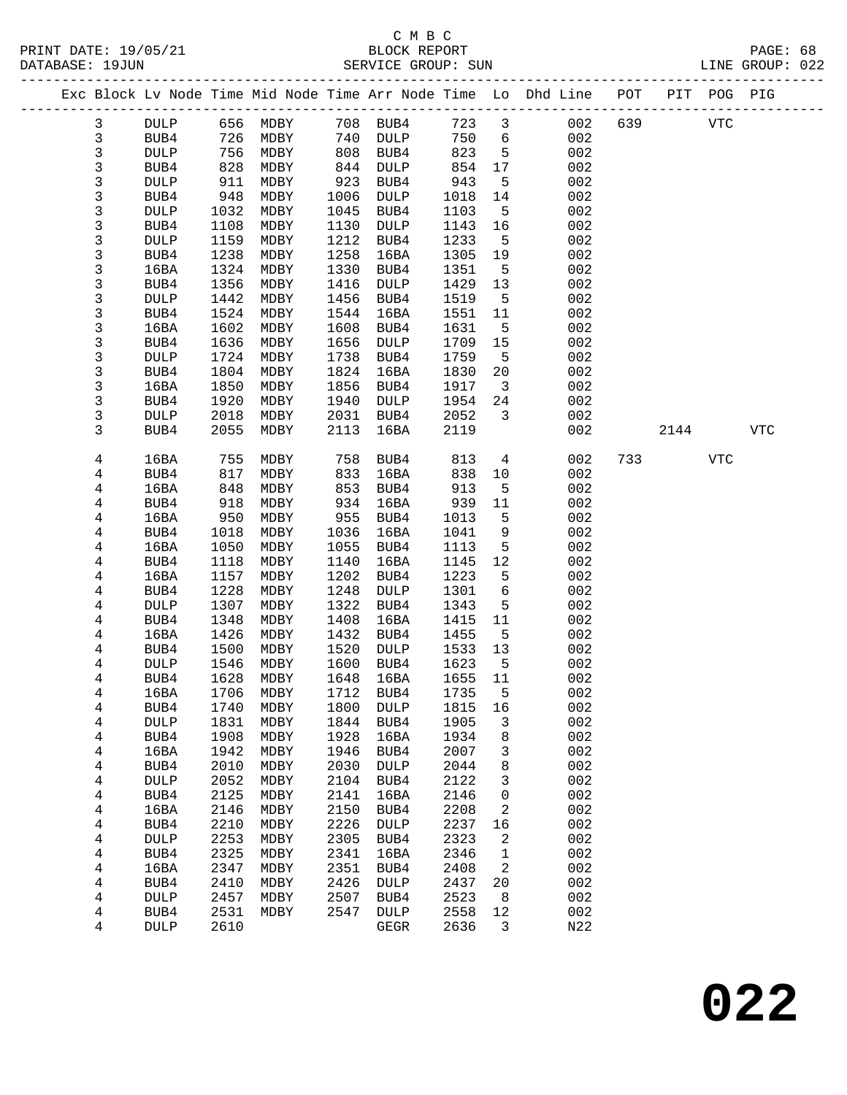|  |              |                     |              |              |              |                  |              |                         | Exc Block Lv Node Time Mid Node Time Arr Node Time Lo Dhd Line POT |     |      | PIT POG PIG |            |  |
|--|--------------|---------------------|--------------|--------------|--------------|------------------|--------------|-------------------------|--------------------------------------------------------------------|-----|------|-------------|------------|--|
|  | $\mathbf{3}$ | DULP                | 656          | MDBY         |              | 708 BUB4         | 723          | $\mathbf{3}$            | 002                                                                | 639 |      | <b>VTC</b>  |            |  |
|  | $\mathbf{3}$ | BUB4                | 726          | MDBY         | 740          | DULP             | 750          | 6                       | 002                                                                |     |      |             |            |  |
|  | 3            | <b>DULP</b>         | 756          | MDBY         | 808          | BUB4             | 823          | $5\overline{5}$         | 002                                                                |     |      |             |            |  |
|  | 3            | BUB4                | 828          | MDBY         | 844          | DULP             | 854          | 17                      | 002                                                                |     |      |             |            |  |
|  | 3            | <b>DULP</b>         | 911          | MDBY         | 923          | BUB4             | 943          | 5                       | 002                                                                |     |      |             |            |  |
|  | 3            | BUB4                | 948          | MDBY         | 1006         | DULP             | 1018         | 14                      | 002                                                                |     |      |             |            |  |
|  | 3            | <b>DULP</b>         | 1032         | MDBY         | 1045         | BUB4             | 1103         | $5\overline{5}$         | 002                                                                |     |      |             |            |  |
|  | 3            | BUB4                | 1108         | MDBY         | 1130         | DULP             | 1143         | 16                      | 002                                                                |     |      |             |            |  |
|  | 3            | <b>DULP</b>         | 1159         | MDBY         | 1212         | BUB4             | 1233         | $5^{\circ}$             | 002                                                                |     |      |             |            |  |
|  | 3            | BUB4                | 1238         | MDBY         | 1258         | 16BA             | 1305         | 19                      | 002                                                                |     |      |             |            |  |
|  | 3            | 16BA                | 1324         | MDBY         | 1330         | BUB4             | 1351         | 5                       | 002                                                                |     |      |             |            |  |
|  | 3            | BUB4                | 1356         | MDBY         | 1416         | DULP             | 1429         | 13                      | 002                                                                |     |      |             |            |  |
|  | 3            | <b>DULP</b>         | 1442         | MDBY         | 1456         | BUB4             | 1519         | 5                       | 002                                                                |     |      |             |            |  |
|  | 3            | BUB4                | 1524         | MDBY         | 1544         | 16BA             | 1551         | 11                      | 002                                                                |     |      |             |            |  |
|  | 3            | 16BA                | 1602         | MDBY         | 1608         | BUB4             | 1631         | 5                       | 002                                                                |     |      |             |            |  |
|  | 3<br>3       | BUB4<br><b>DULP</b> | 1636         | MDBY         | 1656<br>1738 | <b>DULP</b>      | 1709         | 15                      | 002<br>002                                                         |     |      |             |            |  |
|  | 3            | BUB4                | 1724<br>1804 | MDBY<br>MDBY | 1824         | BUB4<br>16BA     | 1759<br>1830 | $5^{\circ}$<br>20       | 002                                                                |     |      |             |            |  |
|  | 3            | 16BA                | 1850         | MDBY         | 1856         | BUB4             | 1917         | $\overline{\mathbf{3}}$ | 002                                                                |     |      |             |            |  |
|  | 3            | BUB4                | 1920         | MDBY         | 1940         | DULP             | 1954         | 24                      | 002                                                                |     |      |             |            |  |
|  | 3            | <b>DULP</b>         | 2018         | MDBY         | 2031         | BUB4             | 2052         | $\mathbf{3}$            | 002                                                                |     |      |             |            |  |
|  | 3            | BUB4                | 2055         | MDBY         | 2113         | 16BA             | 2119         |                         | 002                                                                |     | 2144 |             | <b>VTC</b> |  |
|  |              |                     |              |              |              |                  |              |                         |                                                                    |     |      |             |            |  |
|  | 4            | 16BA                | 755          | MDBY         | 758          | BUB4             | 813          | $4\overline{ }$         | 002                                                                | 733 |      | <b>VTC</b>  |            |  |
|  | 4            | BUB4                | 817          | MDBY         | 833          | 16BA             | 838          | 10                      | 002                                                                |     |      |             |            |  |
|  | 4            | 16BA                | 848          | MDBY         | 853          | BUB4             | 913          | 5                       | 002                                                                |     |      |             |            |  |
|  | 4            | BUB4                | 918          | MDBY         | 934          | 16BA             | 939          | 11                      | 002                                                                |     |      |             |            |  |
|  | 4            | 16BA                | 950          | MDBY         | 955          | BUB4             | 1013         | 5                       | 002                                                                |     |      |             |            |  |
|  | 4<br>4       | BUB4                | 1018         | MDBY         | 1036<br>1055 | 16BA             | 1041<br>1113 | 9<br>5                  | 002<br>002                                                         |     |      |             |            |  |
|  | 4            | 16BA<br>BUB4        | 1050<br>1118 | MDBY<br>MDBY | 1140         | BUB4<br>16BA     | 1145         | 12                      | 002                                                                |     |      |             |            |  |
|  | 4            | 16BA                | 1157         | MDBY         | 1202         | BUB4             | 1223         | 5                       | 002                                                                |     |      |             |            |  |
|  | 4            | BUB4                | 1228         | MDBY         | 1248         | DULP             | 1301         | 6                       | 002                                                                |     |      |             |            |  |
|  | 4            | <b>DULP</b>         | 1307         | MDBY         | 1322         | BUB4             | 1343         | 5                       | 002                                                                |     |      |             |            |  |
|  | 4            | BUB4                | 1348         | MDBY         | 1408         | 16BA             | 1415         | 11                      | 002                                                                |     |      |             |            |  |
|  | 4            | 16BA                | 1426         | MDBY         | 1432         | BUB4             | 1455         | 5                       | 002                                                                |     |      |             |            |  |
|  | 4            | BUB4                | 1500         | MDBY         | 1520         | <b>DULP</b>      | 1533         | 13                      | 002                                                                |     |      |             |            |  |
|  | 4            | DULP                | 1546         | MDBY         | 1600         | BUB4             | 1623         | 5                       | 002                                                                |     |      |             |            |  |
|  | 4            | BUB4                | 1628         | MDBY         | 1648         | 16BA             | 1655 11      |                         | 002                                                                |     |      |             |            |  |
|  | 4            | 16BA                |              | 1706 MDBY    |              | 1712 BUB4 1735 5 |              |                         | 002                                                                |     |      |             |            |  |
|  | 4            | BUB4                | 1740         | MDBY         | 1800         | <b>DULP</b>      | 1815         | 16                      | 002                                                                |     |      |             |            |  |
|  | 4            | DULP                | 1831         | MDBY         | 1844         | BUB4             | 1905         | 3                       | 002                                                                |     |      |             |            |  |
|  | 4            | BUB4                | 1908         | MDBY         | 1928         | 16BA             | 1934         | 8                       | 002                                                                |     |      |             |            |  |
|  | 4            | 16BA                | 1942         | MDBY         | 1946         | BUB4             | 2007         | 3                       | 002                                                                |     |      |             |            |  |
|  | 4            | BUB4                | 2010         | MDBY         | 2030         | DULP             | 2044         | 8                       | 002                                                                |     |      |             |            |  |
|  | 4            | DULP                | 2052         | MDBY         | 2104         | BUB4             | 2122         | 3                       | 002                                                                |     |      |             |            |  |
|  | 4            | BUB4                | 2125         | MDBY         | 2141         | 16BA             | 2146         | 0                       | 002                                                                |     |      |             |            |  |
|  | 4            | 16BA                | 2146         | MDBY         | 2150         | BUB4             | 2208         | 2                       | 002                                                                |     |      |             |            |  |
|  | 4            | BUB4                | 2210         | MDBY         | 2226         | DULP             | 2237         | 16                      | 002                                                                |     |      |             |            |  |
|  | 4            | DULP                | 2253         | MDBY         | 2305         | BUB4             | 2323         | 2                       | 002                                                                |     |      |             |            |  |
|  | 4            | BUB4                | 2325<br>2347 | MDBY         | 2341<br>2351 | 16BA             | 2346<br>2408 | 1                       | 002<br>002                                                         |     |      |             |            |  |
|  | 4<br>4       | 16BA<br>BUB4        | 2410         | MDBY<br>MDBY | 2426         | BUB4<br>DULP     | 2437         | 2<br>20                 | 002                                                                |     |      |             |            |  |
|  | 4            | <b>DULP</b>         | 2457         | MDBY         | 2507         | BUB4             | 2523         | 8                       | 002                                                                |     |      |             |            |  |
|  | 4            | BUB4                | 2531         | MDBY         | 2547         | DULP             | 2558         | 12                      | 002                                                                |     |      |             |            |  |
|  | 4            | <b>DULP</b>         | 2610         |              |              | GEGR             | 2636         | 3                       | N22                                                                |     |      |             |            |  |
|  |              |                     |              |              |              |                  |              |                         |                                                                    |     |      |             |            |  |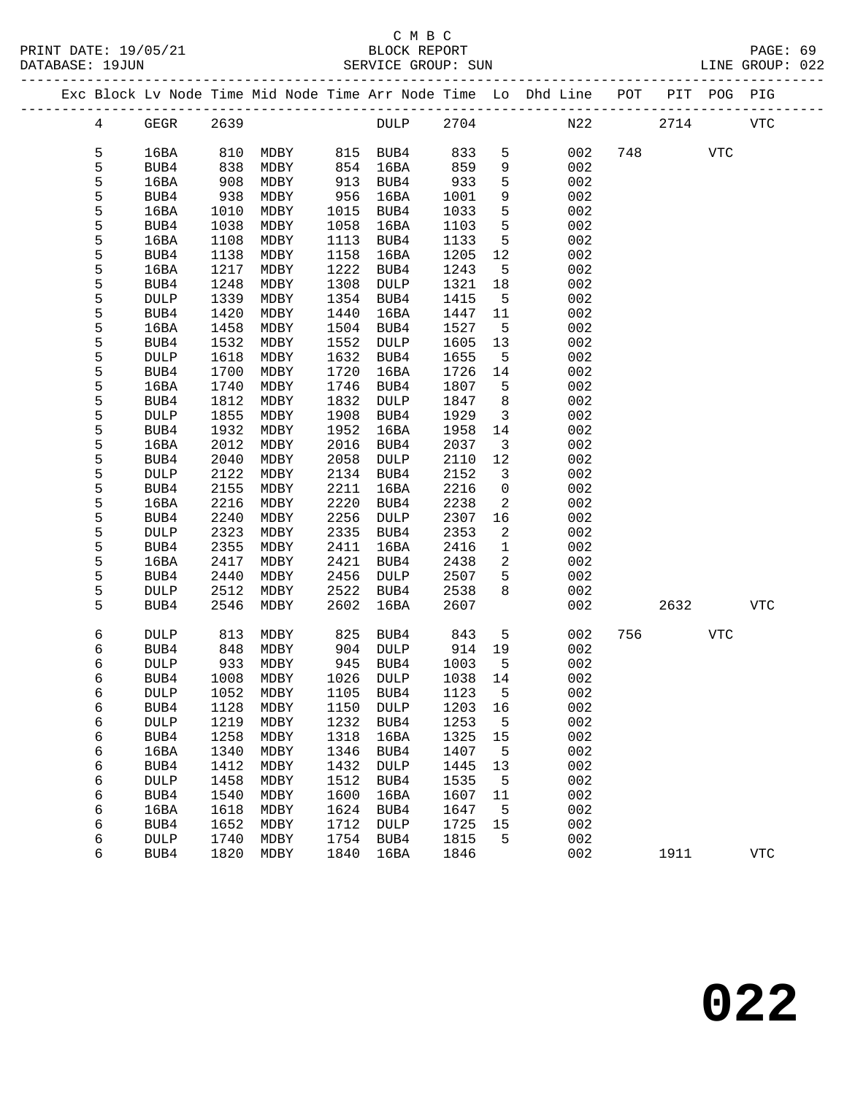|  |                 |              |              |                            |              |              |              |                         | Exc Block Lv Node Time Mid Node Time Arr Node Time Lo Dhd Line POT PIT POG PIG |     |            |            |            |
|--|-----------------|--------------|--------------|----------------------------|--------------|--------------|--------------|-------------------------|--------------------------------------------------------------------------------|-----|------------|------------|------------|
|  | $4\overline{ }$ | GEGR         | 2639         |                            |              | DULP 2704    |              |                         |                                                                                | N22 | 2714       |            | VTC        |
|  | 5               | 16BA         | 810          | MDBY                       |              | 815 BUB4     | 833          | 5                       | 002                                                                            |     | 748        | <b>VTC</b> |            |
|  | 5               | BUB4         | 838          | MDBY                       | 854          | 16BA         | 859          | 9                       | 002                                                                            |     |            |            |            |
|  | 5               | 16BA         | 908          | MDBY                       | 913          | BUB4         | 933          | 5                       | 002                                                                            |     |            |            |            |
|  | 5               | BUB4         | 938          | MDBY                       | 956          | 16BA         | 1001         | 9                       | 002                                                                            |     |            |            |            |
|  | 5               | 16BA         | 1010         | MDBY                       | 1015         | BUB4         | 1033         | 5                       | 002                                                                            |     |            |            |            |
|  | 5               | BUB4         | 1038         | MDBY                       | 1058         | 16BA         | 1103         | 5                       | 002                                                                            |     |            |            |            |
|  | 5               | 16BA         | 1108         | MDBY                       | 1113         | BUB4         | 1133         | 5                       | 002                                                                            |     |            |            |            |
|  | 5               | BUB4         | 1138         | MDBY                       | 1158         | 16BA         | 1205         | 12                      | 002                                                                            |     |            |            |            |
|  | 5               | 16BA         | 1217         | MDBY                       | 1222         | BUB4         | 1243         | 5                       | 002                                                                            |     |            |            |            |
|  | 5               | BUB4         | 1248         | MDBY                       | 1308         | DULP         | 1321         | 18                      | 002                                                                            |     |            |            |            |
|  | 5               | DULP         | 1339         | MDBY                       | 1354         | BUB4         | 1415         | 5                       | 002                                                                            |     |            |            |            |
|  | 5               | BUB4         | 1420         | MDBY                       | 1440         | 16BA         | 1447         | 11                      | 002                                                                            |     |            |            |            |
|  | 5               | 16BA         | 1458         | MDBY                       | 1504         | BUB4         | 1527         | $5^{\circ}$             | 002                                                                            |     |            |            |            |
|  | 5               | BUB4         | 1532         | MDBY                       | 1552         | DULP         | 1605         | 13                      | 002                                                                            |     |            |            |            |
|  | 5               | <b>DULP</b>  | 1618         | MDBY                       | 1632         | BUB4         | 1655         | $-5$                    | 002                                                                            |     |            |            |            |
|  | 5               | BUB4         | 1700         | MDBY                       | 1720         | 16BA         | 1726         | 14                      | 002                                                                            |     |            |            |            |
|  | 5               | 16BA         | 1740         | MDBY                       | 1746         | BUB4         | 1807         | 5                       | 002                                                                            |     |            |            |            |
|  | 5               | BUB4         | 1812         | MDBY                       | 1832         | DULP         | 1847         | 8                       | 002                                                                            |     |            |            |            |
|  | 5<br>5          | <b>DULP</b>  | 1855<br>1932 | MDBY                       | 1908<br>1952 | BUB4         | 1929<br>1958 | $\overline{3}$<br>14    | 002<br>002                                                                     |     |            |            |            |
|  | 5               | BUB4<br>16BA | 2012         | MDBY<br>MDBY               | 2016         | 16BA<br>BUB4 | 2037         | $\overline{\mathbf{3}}$ | 002                                                                            |     |            |            |            |
|  | 5               | BUB4         | 2040         | MDBY                       | 2058         | DULP         | 2110         | 12                      | 002                                                                            |     |            |            |            |
|  | 5               | DULP         | 2122         | MDBY                       | 2134         | BUB4         | 2152         | 3                       | 002                                                                            |     |            |            |            |
|  | 5               | BUB4         | 2155         | MDBY                       | 2211         | 16BA         | 2216         | $\mathbf 0$             | 002                                                                            |     |            |            |            |
|  | 5               | 16BA         | 2216         | MDBY                       | 2220         | BUB4         | 2238         | 2                       | 002                                                                            |     |            |            |            |
|  | 5               | BUB4         | 2240         | MDBY                       | 2256         | DULP         | 2307         | 16                      | 002                                                                            |     |            |            |            |
|  | 5               | <b>DULP</b>  | 2323         | MDBY                       | 2335         | BUB4         | 2353         | 2                       | 002                                                                            |     |            |            |            |
|  | 5               | BUB4         | 2355         | MDBY                       | 2411         | 16BA         | 2416         | $\mathbf{1}$            | 002                                                                            |     |            |            |            |
|  | 5               | 16BA         | 2417         | MDBY                       | 2421         | BUB4         | 2438         | 2                       | 002                                                                            |     |            |            |            |
|  | 5               | BUB4         | 2440         | MDBY                       | 2456         | DULP         | 2507         | 5                       | 002                                                                            |     |            |            |            |
|  | 5               | <b>DULP</b>  | 2512         | MDBY                       | 2522         | BUB4         | 2538         | 8                       | 002                                                                            |     |            |            |            |
|  | 5               | BUB4         | 2546         | MDBY                       | 2602         | 16BA         | 2607         |                         | 002                                                                            |     | 2632       |            | VTC        |
|  | 6               | DULP         | 813          | MDBY                       | 825          | BUB4         | 843          | 5                       | 002                                                                            |     | 756 750 17 | VTC        |            |
|  | 6               | BUB4         | 848          | MDBY                       | 904          | DULP         | 914          | 19                      | 002                                                                            |     |            |            |            |
|  | 6               | <b>DULP</b>  | 933          | MDBY                       | 945          | BUB4         | 1003         | $5^{\circ}$             | 002                                                                            |     |            |            |            |
|  | 6               | BUB4         | 1008         | MDBY                       |              | 1026 DULP    | 1038 14      |                         | 002                                                                            |     |            |            |            |
|  | 6               | DULP         |              | 1052 MDBY 1105 BUB4 1123 5 |              |              |              |                         | 002                                                                            |     |            |            |            |
|  | 6               | BUB4         | 1128         | MDBY                       | 1150         | DULP         | 1203         | 16                      | 002                                                                            |     |            |            |            |
|  | 6               | DULP         | 1219         | MDBY                       | 1232         | BUB4         | 1253         | $5^{\circ}$             | 002                                                                            |     |            |            |            |
|  | 6               | BUB4         | 1258         | MDBY                       | 1318         | 16BA         | 1325         | 15                      | 002                                                                            |     |            |            |            |
|  | 6               | 16BA         | 1340         | MDBY                       | 1346         | BUB4         | 1407         | 5                       | 002                                                                            |     |            |            |            |
|  | 6               | BUB4         | 1412         | MDBY                       | 1432         | <b>DULP</b>  | 1445         | 13                      | 002                                                                            |     |            |            |            |
|  | 6<br>6          | DULP<br>BUB4 | 1458<br>1540 | MDBY<br>MDBY               | 1512<br>1600 | BUB4<br>16BA | 1535<br>1607 | 5<br>11                 | 002<br>002                                                                     |     |            |            |            |
|  | 6               | 16BA         | 1618         | MDBY                       | 1624         | BUB4         | 1647         | 5                       | 002                                                                            |     |            |            |            |
|  | 6               | BUB4         | 1652         | MDBY                       | 1712         | <b>DULP</b>  | 1725         | 15                      | 002                                                                            |     |            |            |            |
|  | 6               | <b>DULP</b>  | 1740         | MDBY                       | 1754         | BUB4         | 1815         | 5                       | 002                                                                            |     |            |            |            |
|  | 6               | BUB4         | 1820         | MDBY                       | 1840         | 16BA         | 1846         |                         | 002                                                                            |     | 1911       |            | <b>VTC</b> |
|  |                 |              |              |                            |              |              |              |                         |                                                                                |     |            |            |            |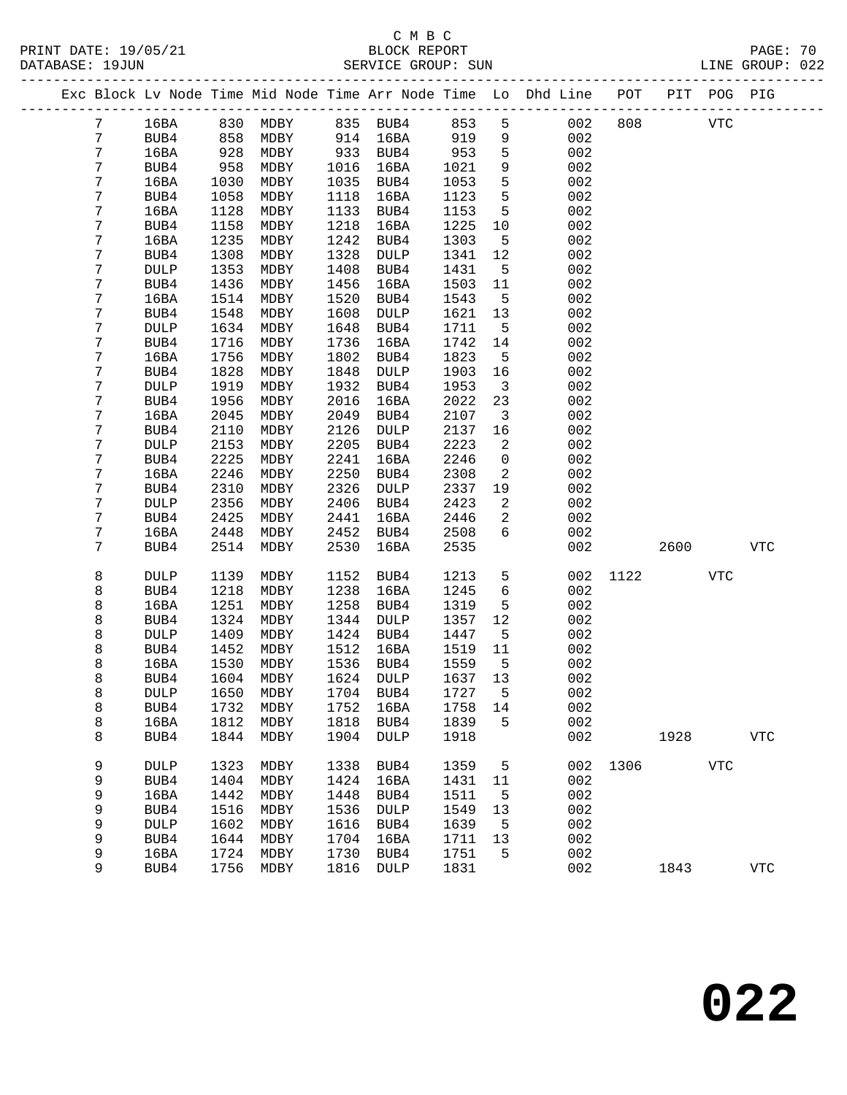### C M B C<br>BLOCK REPORT SERVICE GROUP: SUN

PRINT DATE: 19/05/21 BLOCK REPORT PAGE: 70 -------------------------------------------------------------------------------------------------

|  |                  |             |      |             |      |             |         |                | Exc Block Lv Node Time Mid Node Time Arr Node Time Lo Dhd Line | POT  | PIT  | POG PIG    |              |
|--|------------------|-------------|------|-------------|------|-------------|---------|----------------|----------------------------------------------------------------|------|------|------------|--------------|
|  | 7                | 16BA        | 830  | MDBY        | 835  | BUB4        | 853     | 5              | 002                                                            | 808  |      | <b>VTC</b> |              |
|  | 7                | BUB4        | 858  | MDBY        | 914  | 16BA        | 919     | 9              | 002                                                            |      |      |            |              |
|  | 7                | 16BA        | 928  | MDBY        | 933  | BUB4        | 953     | 5              | 002                                                            |      |      |            |              |
|  | 7                | BUB4        | 958  | MDBY        | 1016 | 16BA        | 1021    | 9              | 002                                                            |      |      |            |              |
|  | 7                | 16BA        | 1030 | MDBY        | 1035 | BUB4        | 1053    | 5              | 002                                                            |      |      |            |              |
|  | 7                | BUB4        | 1058 | MDBY        | 1118 | 16BA        | 1123    | 5              | 002                                                            |      |      |            |              |
|  | 7                | 16BA        | 1128 | MDBY        | 1133 | BUB4        | 1153    | 5              | 002                                                            |      |      |            |              |
|  | 7                | BUB4        | 1158 | MDBY        | 1218 | 16BA        | 1225    | 10             | 002                                                            |      |      |            |              |
|  | 7                | 16BA        | 1235 | MDBY        | 1242 | BUB4        | 1303    | 5              | 002                                                            |      |      |            |              |
|  | 7                | BUB4        | 1308 | MDBY        | 1328 | DULP        | 1341    | 12             | 002                                                            |      |      |            |              |
|  | 7                | DULP        | 1353 | MDBY        | 1408 | BUB4        | 1431    | 5              | 002                                                            |      |      |            |              |
|  | $\boldsymbol{7}$ | BUB4        | 1436 | MDBY        | 1456 | 16BA        | 1503    | 11             | 002                                                            |      |      |            |              |
|  | $\boldsymbol{7}$ | 16BA        | 1514 | MDBY        | 1520 | BUB4        | 1543    | 5              | 002                                                            |      |      |            |              |
|  | 7                | BUB4        | 1548 | MDBY        | 1608 | DULP        | 1621    | 13             | 002                                                            |      |      |            |              |
|  | 7                | <b>DULP</b> | 1634 | MDBY        | 1648 | BUB4        | 1711    | 5              | 002                                                            |      |      |            |              |
|  | $\boldsymbol{7}$ | BUB4        | 1716 | MDBY        | 1736 | 16BA        | 1742    | 14             | 002                                                            |      |      |            |              |
|  | 7                | 16BA        | 1756 | MDBY        | 1802 | BUB4        | 1823    | 5              | 002                                                            |      |      |            |              |
|  | 7                | BUB4        | 1828 | MDBY        | 1848 | DULP        | 1903    | 16             | 002                                                            |      |      |            |              |
|  | 7                | <b>DULP</b> | 1919 | MDBY        | 1932 | BUB4        | 1953    | $\overline{3}$ | 002                                                            |      |      |            |              |
|  | $\boldsymbol{7}$ | BUB4        | 1956 | MDBY        | 2016 | 16BA        | 2022    | 23             | 002                                                            |      |      |            |              |
|  | 7                | 16BA        | 2045 | MDBY        | 2049 | BUB4        | 2107    | $\mathbf{3}$   | 002                                                            |      |      |            |              |
|  | 7                | BUB4        | 2110 | MDBY        | 2126 | DULP        | 2137    | 16             | 002                                                            |      |      |            |              |
|  | 7                | <b>DULP</b> | 2153 | MDBY        | 2205 | BUB4        | 2223    | 2              | 002                                                            |      |      |            |              |
|  | 7                | BUB4        | 2225 | MDBY        | 2241 | 16BA        | 2246    | 0              | 002                                                            |      |      |            |              |
|  | $\boldsymbol{7}$ | 16BA        | 2246 | MDBY        | 2250 | BUB4        | 2308    | 2              | 002                                                            |      |      |            |              |
|  | 7                | BUB4        | 2310 | MDBY        | 2326 | DULP        | 2337    | 19             | 002                                                            |      |      |            |              |
|  | $\boldsymbol{7}$ | <b>DULP</b> | 2356 | MDBY        | 2406 | BUB4        | 2423    | 2              | 002                                                            |      |      |            |              |
|  | 7                | BUB4        | 2425 | MDBY        | 2441 | 16BA        | 2446    | $\overline{a}$ | 002                                                            |      |      |            |              |
|  | 7                | 16BA        | 2448 | MDBY        | 2452 | BUB4        | 2508    | 6              | 002                                                            |      |      |            |              |
|  | 7                | BUB4        | 2514 | MDBY        | 2530 | 16BA        | 2535    |                | 002                                                            |      | 2600 |            | ${\tt VTC}$  |
|  | 8                | <b>DULP</b> | 1139 | MDBY        | 1152 | BUB4        | 1213    | 5              | 002                                                            | 1122 |      | <b>VTC</b> |              |
|  | 8                | BUB4        | 1218 | MDBY        | 1238 | 16BA        | 1245    | $\sqrt{6}$     | 002                                                            |      |      |            |              |
|  | 8                | 16BA        | 1251 | MDBY        | 1258 | BUB4        | 1319    | 5              | 002                                                            |      |      |            |              |
|  | 8                | BUB4        | 1324 | MDBY        | 1344 | DULP        | 1357    | 12             | 002                                                            |      |      |            |              |
|  | 8                | <b>DULP</b> | 1409 | MDBY        | 1424 | BUB4        | 1447    | 5              | 002                                                            |      |      |            |              |
|  | 8                | BUB4        | 1452 | MDBY        | 1512 | 16BA        | 1519    | 11             | 002                                                            |      |      |            |              |
|  | 8                | 16BA        | 1530 | MDBY        | 1536 | BUB4        | 1559    | 5              | 002                                                            |      |      |            |              |
|  | 8                | BUB4        | 1604 | MDBY        | 1624 | DULP        | 1637    | 13             | 002                                                            |      |      |            |              |
|  | 8                | <b>DULP</b> | 1650 | MDBY        | 1704 | BUB4        | 1727    | 5              | 002                                                            |      |      |            |              |
|  | 8                | BUB4        |      | 1732 MDBY   |      | 1752 16BA   | 1758 14 |                | 002                                                            |      |      |            |              |
|  | 8                | 16BA        | 1812 | MDBY        | 1818 | BUB4        | 1839    | 5              | 002                                                            |      |      |            |              |
|  | 8                | BUB4        | 1844 | MDBY        | 1904 | <b>DULP</b> | 1918    |                | 002                                                            |      | 1928 |            | $_{\rm VTC}$ |
|  |                  |             |      |             |      |             |         |                |                                                                |      |      |            |              |
|  | 9                | <b>DULP</b> | 1323 | MDBY        | 1338 | BUB4        | 1359    | 5              | 002                                                            | 1306 |      | <b>VTC</b> |              |
|  | 9                | BUB4        | 1404 | MDBY        | 1424 | 16BA        | 1431    | 11             | 002                                                            |      |      |            |              |
|  | 9                | 16BA        | 1442 | <b>MDBY</b> | 1448 | BUB4        | 1511    | 5              | 002                                                            |      |      |            |              |
|  | 9                | BUB4        | 1516 | MDBY        | 1536 | DULP        | 1549    | 13             | 002                                                            |      |      |            |              |
|  | 9                | <b>DULP</b> | 1602 | MDBY        | 1616 | BUB4        | 1639    | 5              | 002                                                            |      |      |            |              |
|  | 9                | BUB4        | 1644 | MDBY        | 1704 | 16BA        | 1711    | 13             | 002                                                            |      |      |            |              |
|  | 9                | 16BA        | 1724 | MDBY        | 1730 | BUB4        | 1751    | 5              | 002                                                            |      |      |            |              |
|  | 9                | BUB4        | 1756 | MDBY        | 1816 | <b>DULP</b> | 1831    |                | 002                                                            |      | 1843 |            | ${\tt VTC}$  |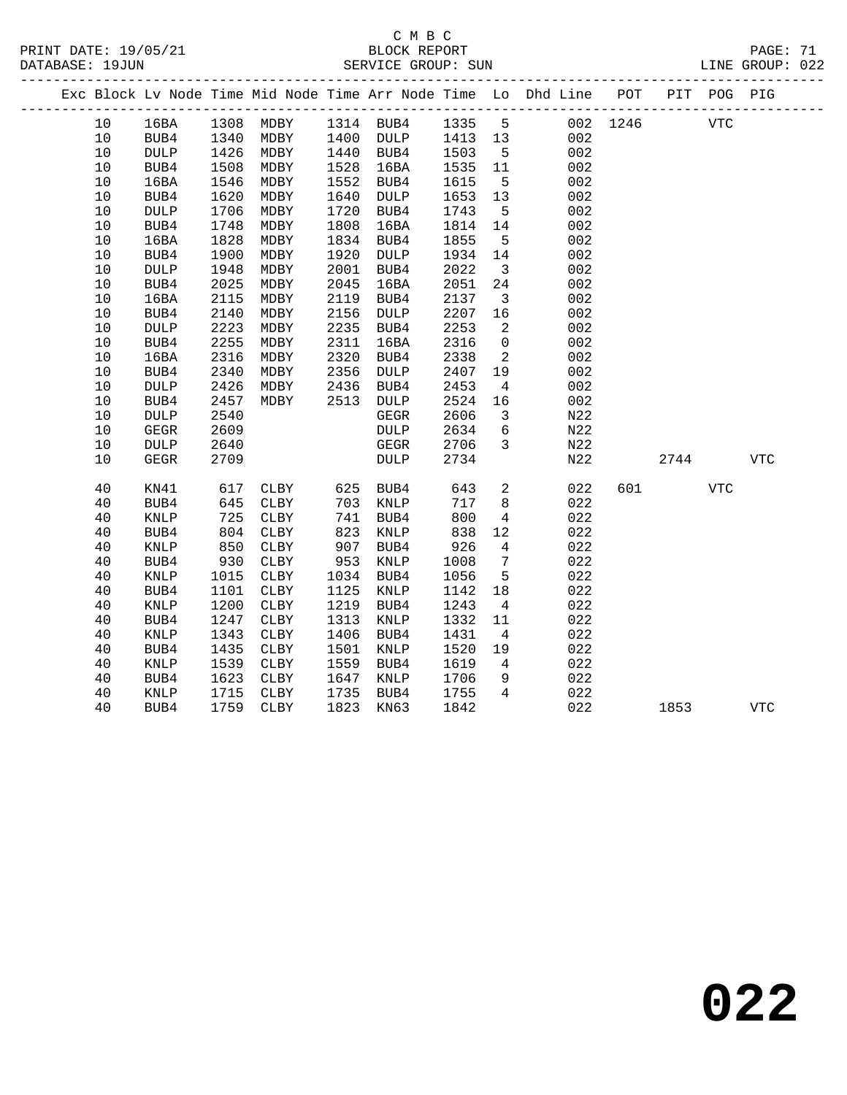|  |      |                 |      |                            |      |                   |      |                         | Exc Block Lv Node Time Mid Node Time Arr Node Time Lo Dhd Line POT |          |            | PIT POG PIG |            |  |
|--|------|-----------------|------|----------------------------|------|-------------------|------|-------------------------|--------------------------------------------------------------------|----------|------------|-------------|------------|--|
|  | 10   | 16BA            |      | 1308 MDBY 1314 BUB4 1335 5 |      |                   |      |                         |                                                                    | 002 1246 | <b>VTC</b> |             |            |  |
|  | 10   | BUB4            | 1340 | MDBY                       |      | 1400 DULP 1413 13 |      |                         | 002                                                                |          |            |             |            |  |
|  | $10$ | <b>DULP</b>     | 1426 | MDBY                       |      | 1440 BUB4         | 1503 | $5^{\circ}$             | 002                                                                |          |            |             |            |  |
|  | 10   | BUB4            | 1508 | MDBY                       | 1528 | 16BA              | 1535 | 11                      | 002                                                                |          |            |             |            |  |
|  | 10   | 16BA            | 1546 | MDBY                       | 1552 | BUB4              | 1615 | $5^{\circ}$             | 002                                                                |          |            |             |            |  |
|  | $10$ | BUB4            | 1620 | MDBY                       | 1640 | DULP              | 1653 | 13                      | 002                                                                |          |            |             |            |  |
|  | $10$ | <b>DULP</b>     | 1706 | MDBY                       | 1720 | BUB4              | 1743 | $5^{\circ}$             | 002                                                                |          |            |             |            |  |
|  | 10   | BUB4            | 1748 | MDBY                       | 1808 | 16BA              | 1814 | 14                      | 002                                                                |          |            |             |            |  |
|  | 10   | 16BA            | 1828 | MDBY                       | 1834 | BUB4              | 1855 | $5^{\circ}$             | 002                                                                |          |            |             |            |  |
|  | 10   | BUB4            | 1900 | MDBY                       | 1920 | DULP              | 1934 | 14                      | 002                                                                |          |            |             |            |  |
|  | $10$ | <b>DULP</b>     | 1948 | MDBY                       | 2001 | BUB4              | 2022 | $\overline{\mathbf{3}}$ | 002                                                                |          |            |             |            |  |
|  | $10$ | BUB4            | 2025 | MDBY                       | 2045 | 16BA              | 2051 | 24                      | 002                                                                |          |            |             |            |  |
|  | 10   | 16BA            | 2115 | MDBY                       | 2119 | BUB4              | 2137 | $\overline{\mathbf{3}}$ | 002                                                                |          |            |             |            |  |
|  | 10   | BUB4            | 2140 | MDBY                       | 2156 | DULP              | 2207 | 16                      | 002                                                                |          |            |             |            |  |
|  | 10   | $\texttt{DULP}$ | 2223 | MDBY                       | 2235 | BUB4              | 2253 | 2                       | 002                                                                |          |            |             |            |  |
|  | $10$ | BUB4            | 2255 | MDBY                       | 2311 | 16BA              | 2316 | $\overline{0}$          | 002                                                                |          |            |             |            |  |
|  | 10   | 16BA            | 2316 | MDBY                       | 2320 | BUB4              | 2338 | $\overline{2}$          | 002                                                                |          |            |             |            |  |
|  | 10   | BUB4            | 2340 | MDBY                       | 2356 | DULP              | 2407 | 19                      | 002                                                                |          |            |             |            |  |
|  | $10$ | <b>DULP</b>     | 2426 | MDBY                       | 2436 | BUB4              | 2453 | $\overline{4}$          | 002                                                                |          |            |             |            |  |
|  | $10$ | BUB4            | 2457 | MDBY                       | 2513 | DULP              | 2524 | 16                      | 002                                                                |          |            |             |            |  |
|  | 10   | $\texttt{DULP}$ | 2540 |                            |      | ${\tt GEGR}$      | 2606 | $\overline{\mathbf{3}}$ | N22                                                                |          |            |             |            |  |
|  | 10   | <b>GEGR</b>     | 2609 |                            |      | DULP              | 2634 | 6                       | N22                                                                |          |            |             |            |  |
|  | 10   | DULP            | 2640 |                            |      | GEGR              | 2706 | $\mathbf{3}$            | N22                                                                |          |            |             |            |  |
|  | 10   | GEGR            | 2709 |                            |      | <b>DULP</b>       | 2734 |                         | N22                                                                |          | 2744       |             | <b>VTC</b> |  |
|  | 40   | KN41            | 617  | CLBY                       | 625  | BUB4              | 643  | $\overline{a}$          | 022                                                                |          | 601 700    | <b>VTC</b>  |            |  |
|  | 40   | BUB4            | 645  | CLBY                       | 703  | KNLP              | 717  | 8                       | 022                                                                |          |            |             |            |  |
|  | 40   | $\textsc{KNLP}$ | 725  | CLBY                       | 741  | BUB4              | 800  | $\overline{4}$          | 022                                                                |          |            |             |            |  |
|  | 40   | BUB4            | 804  | CLBY                       | 823  | KNLP              | 838  | 12                      | 022                                                                |          |            |             |            |  |
|  | 40   | KNLP            | 850  | CLBY                       | 907  | BUB4              | 926  | $\overline{4}$          | 022                                                                |          |            |             |            |  |
|  | 40   | BUB4            | 930  | CLBY                       | 953  | KNLP              | 1008 | $7\overline{ }$         | 022                                                                |          |            |             |            |  |
|  | 40   | KNLP            | 1015 | CLBY                       | 1034 | BUB4              | 1056 | 5                       | 022                                                                |          |            |             |            |  |
|  | 40   | BUB4            | 1101 | CLBY                       | 1125 | KNLP              | 1142 | 18                      | 022                                                                |          |            |             |            |  |
|  | 40   | <b>KNLP</b>     | 1200 | CLBY                       | 1219 | BUB4              | 1243 | $\overline{4}$          | 022                                                                |          |            |             |            |  |
|  | 40   | BUB4            | 1247 | CLBY                       | 1313 | KNLP              | 1332 | 11                      | 022                                                                |          |            |             |            |  |
|  | 40   | <b>KNLP</b>     | 1343 | CLBY                       | 1406 | BUB4              | 1431 | $\overline{4}$          | 022                                                                |          |            |             |            |  |
|  | 40   | BUB4            | 1435 | CLBY                       | 1501 | KNLP              | 1520 | 19                      | 022                                                                |          |            |             |            |  |
|  | 40   | $\textsc{KNLP}$ | 1539 | CLBY                       | 1559 | BUB4              | 1619 | $4\overline{4}$         | 022                                                                |          |            |             |            |  |
|  | 40   | BUB4            | 1623 | CLBY                       | 1647 | KNLP              | 1706 | 9                       | 022                                                                |          |            |             |            |  |
|  | 40   | KNLP            | 1715 | CLBY                       | 1735 | BUB4              | 1755 | $\overline{4}$          | 022                                                                |          |            |             |            |  |
|  | 40   | BUB4            | 1759 | CLBY                       | 1823 | KN63              | 1842 |                         | 022                                                                |          | 1853       |             | <b>VTC</b> |  |
|  |      |                 |      |                            |      |                   |      |                         |                                                                    |          |            |             |            |  |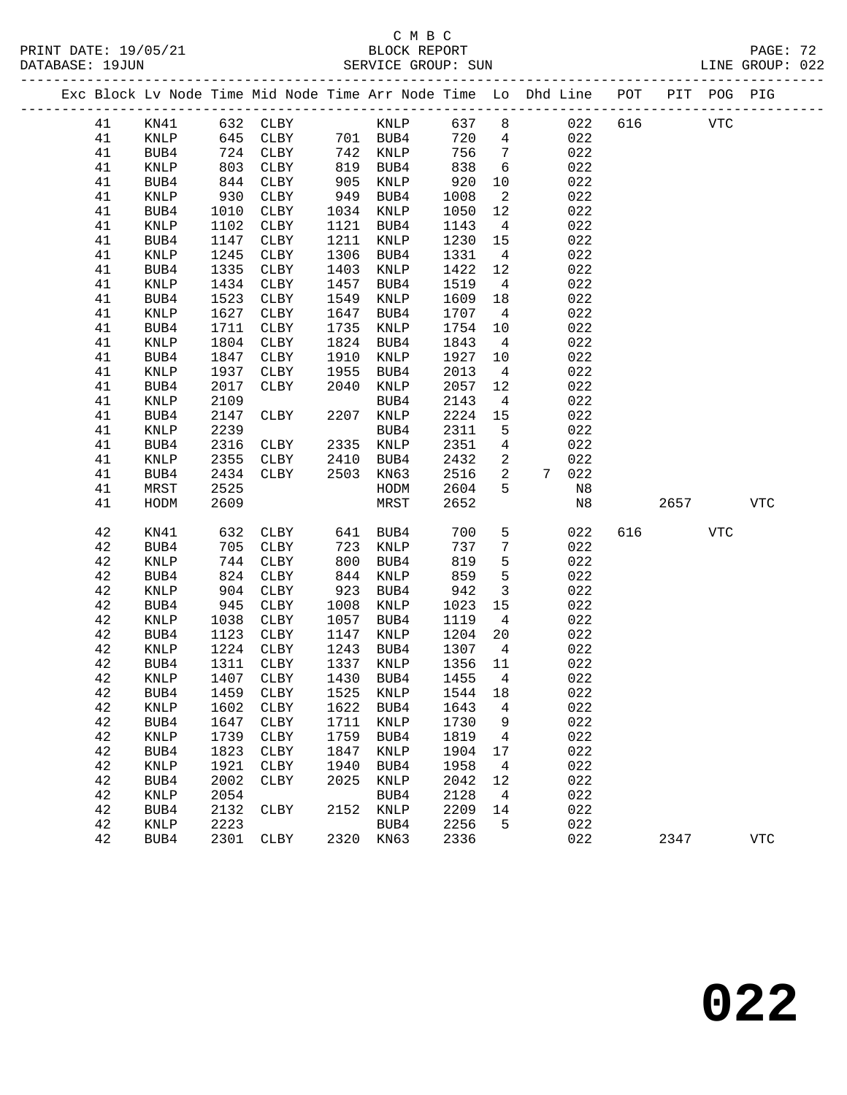# C M B C

|  |          |                 |                      | PRINT DATE: 19/05/21<br>DATABASE: 19JUN BLOCK REPORT<br>SERVICE GROUP: SUN     |      |                |            |                         |       |                            |     |      |            | PAGE: 72<br>PAGE: 72<br>LINE GROUP: 022 |  |
|--|----------|-----------------|----------------------|--------------------------------------------------------------------------------|------|----------------|------------|-------------------------|-------|----------------------------|-----|------|------------|-----------------------------------------|--|
|  |          |                 |                      | Exc Block Lv Node Time Mid Node Time Arr Node Time Lo Dhd Line POT PIT POG PIG |      |                |            |                         |       |                            |     |      |            |                                         |  |
|  | 41       | KN41            |                      | 632 CLBY                                                                       |      | KNLP 637 8 022 |            |                         |       |                            | 616 |      | <b>VTC</b> |                                         |  |
|  | 41       | KNLP            |                      |                                                                                |      |                |            |                         |       | $720$ 4 022<br>$756$ 7 022 |     |      |            |                                         |  |
|  | 41       | BUB4            |                      | 645 CLBY 701 BUB4<br>724 CLBY 742 KNLP<br>803 CLBY 819 BUB4                    |      |                |            | $7\overline{ }$         |       |                            |     |      |            |                                         |  |
|  | 41       | KNLP            |                      |                                                                                |      |                | 838        |                         | 6 022 |                            |     |      |            |                                         |  |
|  | 41       | BUB4            | 844                  | CLBY                                                                           |      | 905 KNLP       | 920 10 022 |                         |       |                            |     |      |            |                                         |  |
|  | 41       | KNLP            | $-930$               | CLBY                                                                           | 949  | BUB4           | 1008       | $\overline{2}$          |       | 022                        |     |      |            |                                         |  |
|  | 41       | BUB4            | 1010                 | CLBY                                                                           | 1034 | KNLP           | 1050       | 12                      |       | 022                        |     |      |            |                                         |  |
|  | 41       | KNLP            | 1102                 | CLBY                                                                           | 1121 | BUB4           | 1143       | $\overline{4}$          |       | 022                        |     |      |            |                                         |  |
|  | 41       | BUB4            | 1147                 | CLBY                                                                           | 1211 | KNLP           | 1230 15    |                         |       | 022                        |     |      |            |                                         |  |
|  | 41       | KNLP            | 1245                 | CLBY                                                                           | 1306 | BUB4           | 1331       | $\overline{4}$          |       | 022                        |     |      |            |                                         |  |
|  | 41       | BUB4            | 1335                 | CLBY                                                                           | 1403 | KNLP           | 1422       | 12                      |       | 022                        |     |      |            |                                         |  |
|  | 41       | $\texttt{KNLP}$ | 1434                 | CLBY                                                                           | 1457 | BUB4           | 1519       | $\overline{4}$          |       | 022                        |     |      |            |                                         |  |
|  | 41       | BUB4            | 1523                 | CLBY                                                                           | 1549 | KNLP           | 1609 18    |                         |       | 022                        |     |      |            |                                         |  |
|  | 41       | KNLP            | 1627                 | CLBY                                                                           | 1647 | BUB4           | 1707       | $\overline{4}$          |       | 022                        |     |      |            |                                         |  |
|  | 41       | BUB4            | 1711                 | CLBY                                                                           | 1735 | KNLP           | 1754       | 10                      |       | 022                        |     |      |            |                                         |  |
|  | 41       | KNLP            | 1804                 | CLBY                                                                           | 1824 | BUB4           | 1843       | $4\overline{4}$         |       | 022                        |     |      |            |                                         |  |
|  | 41       | BUB4            | 1847                 | CLBY                                                                           | 1910 | KNLP           | 1927 10    |                         |       | 022                        |     |      |            |                                         |  |
|  | 41       | KNLP            | 1937                 | CLBY                                                                           | 1955 | BUB4           | 2013       | $\overline{4}$          |       | 022                        |     |      |            |                                         |  |
|  | 41       | BUB4            | 2017                 | CLBY                                                                           | 2040 | KNLP           | 2057       | 12                      |       | 022                        |     |      |            |                                         |  |
|  | 41       | KNLP            | 2109                 |                                                                                |      | BUB4           | 2143       | $\overline{4}$          |       | 022                        |     |      |            |                                         |  |
|  | 41       | BUB4            | 2147                 | CLBY                                                                           | 2207 | KNLP           | 2224 15    |                         |       | 022                        |     |      |            |                                         |  |
|  | 41       | KNLP            | 2239                 |                                                                                |      | BUB4           | 2311       | $5^{\circ}$             |       | 022                        |     |      |            |                                         |  |
|  | 41       | BUB4            | 2316                 | BUB4<br>CLBY 2335 KNLP<br>CLBY 2410 BUB4                                       |      |                | 2351       | $4\overline{4}$         |       | 022                        |     |      |            |                                         |  |
|  | 41       | KNLP            | 2355                 |                                                                                |      |                | 2432       | $\overline{\mathbf{2}}$ |       | 022                        |     |      |            |                                         |  |
|  | 41       | BUB4            | 2434                 | $CLBY$ 2503                                                                    |      | KN63           | 2516       | $\overline{\mathbf{2}}$ |       | 7 022                      |     |      |            |                                         |  |
|  | 41       | MRST            | 2525                 |                                                                                |      | HODM           | 2604       | $5 -$                   |       | N8                         |     |      |            |                                         |  |
|  | 41       | HODM            | 2609                 |                                                                                |      | MRST           | 2652       |                         |       | N8                         |     | 2657 |            | VTC                                     |  |
|  | 42       | KN41            |                      | 632 CLBY 641 BUB4                                                              |      |                | 700        | 5 <sup>1</sup>          |       | 022                        | 616 |      | VTC        |                                         |  |
|  | 42       | BUB4            | 705                  | CLBY                                                                           | 723  | KNLP           | 737        | $7\phantom{.0}$         |       | 022                        |     |      |            |                                         |  |
|  | 42       | KNLP            | 744                  | CLBY                                                                           | 800  | BUB4           | 819        | 5 <sub>5</sub>          |       | 022                        |     |      |            |                                         |  |
|  | 42       | BUB4            | 824                  | CLBY                                                                           | 844  | KNLP           | 859        | 5 <sub>5</sub>          |       | 022                        |     |      |            |                                         |  |
|  | 42       | $\textsc{KNLP}$ | 904                  | CLBY                                                                           | 923  | BUB4           | 942        | $\overline{\mathbf{3}}$ |       | 022                        |     |      |            |                                         |  |
|  | 42       | BUB4            | 945                  | CLBY                                                                           | 1008 | KNLP           | 1023       | 15                      |       | 022                        |     |      |            |                                         |  |
|  | 42       | KNLP            | 1038<br>1038<br>1123 | CLBY                                                                           | 1057 | BUB4           | 1119       | $\overline{4}$          |       | 022                        |     |      |            |                                         |  |
|  | 42       | BUB4            |                      | CLBY                                                                           | 1147 | KNLP           | 1204       | 20                      |       | 022                        |     |      |            |                                         |  |
|  | 42       | KNLP            |                      | 1224 CLBY                                                                      | 1243 | BUB4           | 1307       | $4\overline{4}$         |       | 022                        |     |      |            |                                         |  |
|  | 42       | ${\tt BUB4}$    | 1311                 | ${\tt CLBY}$                                                                   | 1337 | <b>KNLP</b>    | 1356       | 11                      |       | 022                        |     |      |            |                                         |  |
|  | 42       | KNLP            | 1407                 | ${\tt CLBY}$                                                                   | 1430 | BUB4           | 1455       | 4                       |       | 022                        |     |      |            |                                         |  |
|  | 42       | BUB4            | 1459                 | CLBY                                                                           | 1525 | KNLP           | 1544       | 18                      |       | 022                        |     |      |            |                                         |  |
|  | 42       | KNLP            | 1602                 | CLBY                                                                           | 1622 | BUB4           | 1643       | 4                       |       | 022                        |     |      |            |                                         |  |
|  | 42       | BUB4            | 1647                 | CLBY                                                                           | 1711 | <b>KNLP</b>    | 1730       | 9                       |       | 022                        |     |      |            |                                         |  |
|  | 42       | KNLP            | 1739                 | CLBY                                                                           | 1759 | BUB4           | 1819       | 4                       |       | 022                        |     |      |            |                                         |  |
|  | 42       | BUB4            | 1823                 | ${\tt CLBY}$                                                                   | 1847 | KNLP           | 1904       | 17                      |       | 022                        |     |      |            |                                         |  |
|  | 42       | KNLP            | 1921                 | CLBY                                                                           | 1940 | BUB4           | 1958       | 4                       |       | 022                        |     |      |            |                                         |  |
|  | 42       | BUB4            | 2002                 | CLBY                                                                           | 2025 | <b>KNLP</b>    | 2042       | 12                      |       | 022                        |     |      |            |                                         |  |
|  | 42       | KNLP            | 2054                 |                                                                                |      | BUB4           | 2128       | 4                       |       | 022                        |     |      |            |                                         |  |
|  | 42       | BUB4            | 2132                 | CLBY                                                                           | 2152 | KNLP           | 2209       | 14                      |       | 022                        |     |      |            |                                         |  |
|  | 42<br>42 | KNLP            | 2223                 |                                                                                |      | BUB4           | 2256       | 5                       |       | 022<br>022                 |     |      |            |                                         |  |
|  |          | BUB4            | 2301                 | ${\tt CLBY}$                                                                   | 2320 | KN63           | 2336       |                         |       |                            |     | 2347 |            | <b>VTC</b>                              |  |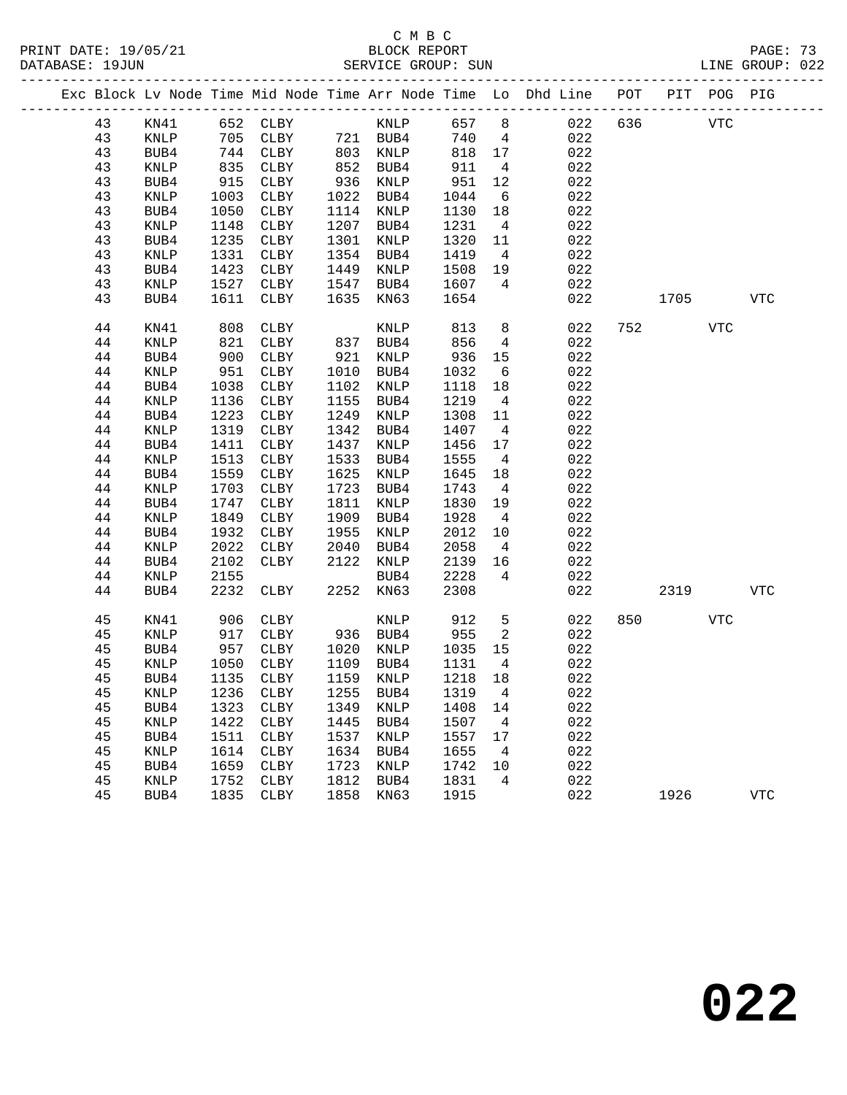|          |                 |              |                                         |              |                   |                 |                      | Exc Block Lv Node Time Mid Node Time Arr Node Time Lo Dhd Line POT |     |      | PIT POG PIG |             |
|----------|-----------------|--------------|-----------------------------------------|--------------|-------------------|-----------------|----------------------|--------------------------------------------------------------------|-----|------|-------------|-------------|
| 43       | KN41            |              | 652 CLBY                                |              | KNLP              | 657             | 8                    | 022                                                                | 636 |      | VTC         |             |
| 43       | $\texttt{KNLP}$ | 705          | CLBY                                    |              | 721 BUB4          | 740             | $\overline{4}$       | 022                                                                |     |      |             |             |
| 43       | BUB4            | 744          | CLBY                                    | 803          | KNLP              | 818             | 17                   | 022                                                                |     |      |             |             |
| 43       | KNLP            | 835          | CLBY                                    | 852          | BUB4              | 911             | $\overline{4}$       | 022                                                                |     |      |             |             |
| 43       | BUB4            | 915          | CLBY                                    | 936          | KNLP              | 951             | 12                   | 022                                                                |     |      |             |             |
| 43       | KNLP            | 1003         | CLBY                                    | 1022         | BUB4              | 1044            | $6\overline{6}$      | 022                                                                |     |      |             |             |
| 43       | BUB4            | 1050         | CLBY                                    | 1114         | KNLP              | 1130            | 18                   | 022                                                                |     |      |             |             |
| 43       | $\textsc{KNLP}$ | 1148         | CLBY                                    | 1207         | BUB4              | 1231            | $\overline{4}$       | 022                                                                |     |      |             |             |
| 43       | BUB4            | 1235         | CLBY                                    | 1301         | KNLP              | 1320            | 11                   | 022                                                                |     |      |             |             |
| 43       | KNLP            | 1331         | CLBY                                    | 1354         | BUB4              | 1419            | $\overline{4}$       | 022                                                                |     |      |             |             |
| 43       | BUB4            | 1423         | CLBY                                    | 1449         | KNLP              | 1508            | 19                   | 022                                                                |     |      |             |             |
| 43       | KNLP            | 1527         | CLBY                                    | 1547         | BUB4              | 1607            | $\overline{4}$       | 022                                                                |     |      |             |             |
| 43       | BUB4            | 1611         | CLBY                                    | 1635         | KN63              | 1654            |                      | 022                                                                |     | 1705 |             | <b>VTC</b>  |
| 44       | KN41            | 808          | CLBY                                    |              | KNLP              | 813             | 8                    | 022                                                                | 752 |      | <b>VTC</b>  |             |
| 44       | KNLP            | 821          | CLBY                                    | 837          | BUB4              | 856             | $\overline{4}$       | 022                                                                |     |      |             |             |
| 44       | BUB4            | 900          | CLBY                                    | 921          | KNLP              | 936             | 15                   | 022                                                                |     |      |             |             |
| 44       | KNLP            | 951          | CLBY                                    | 1010         | BUB4              | 1032            | 6                    | 022                                                                |     |      |             |             |
| 44       | BUB4            | 1038         | CLBY                                    | 1102         | KNLP              | 1118            | 18                   | 022                                                                |     |      |             |             |
| 44       | KNLP            | 1136         | CLBY                                    | 1155         | BUB4              | 1219            | $\overline{4}$       | 022                                                                |     |      |             |             |
| 44       | BUB4            | 1223         | CLBY                                    | 1249         | KNLP              | 1308            | 11                   | 022                                                                |     |      |             |             |
| 44       | KNLP            | 1319         | CLBY                                    | 1342         | BUB4              | 1407            | $\overline{4}$       | 022                                                                |     |      |             |             |
| 44       | BUB4            | 1411         | CLBY                                    | 1437         | KNLP              | 1456            | 17                   | 022                                                                |     |      |             |             |
| 44       | $\textsc{KNLP}$ | 1513         | CLBY                                    | 1533         | BUB4              | 1555            | $\overline{4}$       | 022                                                                |     |      |             |             |
| 44       | BUB4            | 1559         | CLBY                                    | 1625         | KNLP              | 1645            | 18                   | 022                                                                |     |      |             |             |
| 44       | KNLP            | 1703         | CLBY                                    | 1723         | BUB4              | 1743            | $\overline{4}$       | 022                                                                |     |      |             |             |
| 44       | BUB4            | 1747         | CLBY                                    | 1811         | KNLP              | 1830            | 19                   | 022                                                                |     |      |             |             |
| 44<br>44 | $\textsc{KNLP}$ | 1849<br>1932 | CLBY                                    | 1909<br>1955 | BUB4              | 1928            | $\overline{4}$       | 022<br>022                                                         |     |      |             |             |
| 44       | BUB4<br>KNLP    | 2022         | CLBY<br>CLBY                            | 2040         | KNLP<br>BUB4      | 2012<br>2058    | 10<br>$\overline{4}$ | 022                                                                |     |      |             |             |
| 44       | BUB4            | 2102         | CLBY                                    | 2122         | KNLP              | 2139            | 16                   | 022                                                                |     |      |             |             |
| 44       | KNLP            | 2155         |                                         |              | BUB4              | 2228            | $\overline{4}$       | 022                                                                |     |      |             |             |
| 44       | BUB4            | 2232         | CLBY                                    | 2252         | KN63              | 2308            |                      | 022                                                                |     | 2319 |             | <b>VTC</b>  |
|          |                 |              |                                         |              |                   |                 |                      |                                                                    |     |      |             |             |
| 45       | KN41            | 906          | CLBY                                    |              | KNLP<br>936 BUB4  | 912             | $5\phantom{.0}$      | 022                                                                | 850 |      | VTC         |             |
| 45       | KNLP            | 917          | CLBY                                    | 1020         |                   | 955             | 2                    | 022                                                                |     |      |             |             |
| 45       | BUB4            | 957          | CLBY                                    | 1109         | KNLP              | 1035            | 15<br>$\overline{4}$ | 022                                                                |     |      |             |             |
| 45<br>45 | KNLP            | 1050<br>1135 | CLBY                                    |              | BUB4<br>1159 KNLP | 1131<br>1218 18 |                      | 022<br>022                                                         |     |      |             |             |
|          | BUB4            |              | CLBY<br>KNLP 1236 CLBY 1255 BUB4 1319 4 |              |                   |                 |                      |                                                                    |     |      |             |             |
| 45       |                 |              |                                         |              |                   |                 |                      | 022                                                                |     |      |             |             |
| 45<br>45 | BUB4<br>KNLP    | 1323<br>1422 | CLBY<br>CLBY                            | 1349<br>1445 | KNLP<br>BUB4      | 1408<br>1507    | 14<br>4              | 022<br>022                                                         |     |      |             |             |
| 45       | BUB4            | 1511         | CLBY                                    | 1537         | KNLP              | 1557            | 17                   | 022                                                                |     |      |             |             |
| 45       | KNLP            | 1614         | CLBY                                    | 1634         | BUB4              | 1655            | 4                    | 022                                                                |     |      |             |             |
| 45       | BUB4            | 1659         | CLBY                                    | 1723         | KNLP              | 1742            | 10                   | 022                                                                |     |      |             |             |
| 45       | KNLP            | 1752         | CLBY                                    | 1812         | BUB4              | 1831            | 4                    | 022                                                                |     |      |             |             |
| 45       | BUB4            | 1835         | CLBY                                    | 1858         | KN63              | 1915            |                      | 022                                                                |     | 1926 |             | ${\tt VTC}$ |
|          |                 |              |                                         |              |                   |                 |                      |                                                                    |     |      |             |             |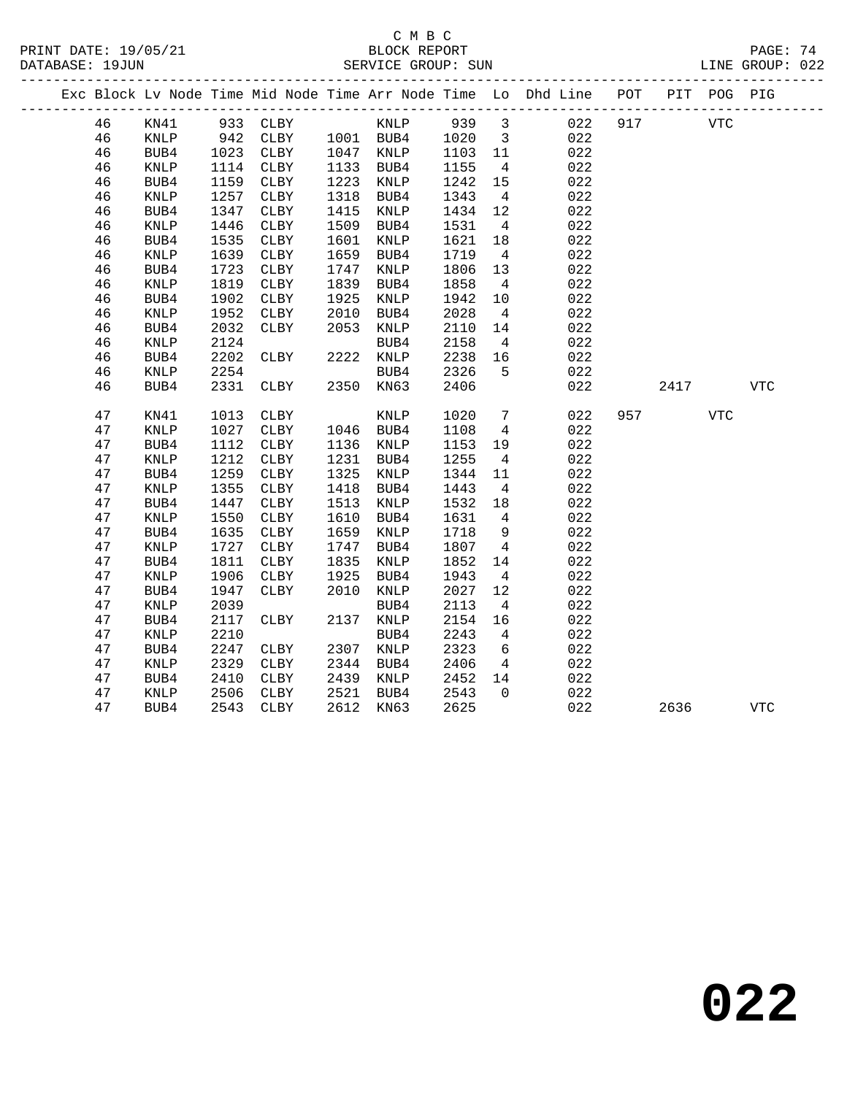### C M B C<br>BLOCK REPORT SERVICE GROUP: SUN

|  |    |                 |      |              |      |           |         |                         | Exc Block Lv Node Time Mid Node Time Arr Node Time Lo Dhd Line POT |     |      | PIT POG PIG |            |
|--|----|-----------------|------|--------------|------|-----------|---------|-------------------------|--------------------------------------------------------------------|-----|------|-------------|------------|
|  | 46 | KN41            |      | 933 CLBY     |      | KNLP      | 939 3   |                         | 022                                                                | 917 |      | <b>VTC</b>  |            |
|  | 46 | KNLP            | 942  | <b>CLBY</b>  |      | 1001 BUB4 | 1020    | $\overline{\mathbf{3}}$ | 022                                                                |     |      |             |            |
|  | 46 | BUB4            | 1023 | CLBY         |      | 1047 KNLP | 1103 11 |                         | 022                                                                |     |      |             |            |
|  | 46 | KNLP            | 1114 | CLBY         |      | 1133 BUB4 | 1155    | $\overline{4}$          | 022                                                                |     |      |             |            |
|  | 46 | BUB4            | 1159 | CLBY         | 1223 | KNLP      | 1242    | 15                      | 022                                                                |     |      |             |            |
|  | 46 | KNLP            | 1257 | CLBY         | 1318 | BUB4      | 1343    | $\overline{4}$          | 022                                                                |     |      |             |            |
|  | 46 | BUB4            | 1347 | CLBY         | 1415 | KNLP      | 1434    | 12                      | 022                                                                |     |      |             |            |
|  | 46 | KNLP            | 1446 | CLBY         | 1509 | BUB4      | 1531    | $\overline{4}$          | 022                                                                |     |      |             |            |
|  | 46 | BUB4            | 1535 | CLBY         | 1601 | KNLP      | 1621    | 18                      | 022                                                                |     |      |             |            |
|  | 46 | KNLP            | 1639 | CLBY         | 1659 | BUB4      | 1719    | $\overline{4}$          | 022                                                                |     |      |             |            |
|  | 46 | BUB4            | 1723 | CLBY         | 1747 | KNLP      | 1806    | 13                      | 022                                                                |     |      |             |            |
|  | 46 | KNLP            | 1819 | CLBY         | 1839 | BUB4      | 1858    | $\overline{4}$          | 022                                                                |     |      |             |            |
|  | 46 | BUB4            | 1902 | CLBY         | 1925 | KNLP      | 1942    | 10                      | 022                                                                |     |      |             |            |
|  | 46 | $\textsc{KNLP}$ | 1952 | CLBY         | 2010 | BUB4      | 2028    | $\overline{4}$          | 022                                                                |     |      |             |            |
|  | 46 | BUB4            | 2032 | CLBY         | 2053 | KNLP      | 2110    | 14                      | 022                                                                |     |      |             |            |
|  | 46 | KNLP            | 2124 |              |      | BUB4      | 2158    | $\overline{4}$          | 022                                                                |     |      |             |            |
|  | 46 | BUB4            | 2202 | CLBY         |      | 2222 KNLP | 2238    | 16                      | 022                                                                |     |      |             |            |
|  | 46 | KNLP            | 2254 |              |      | BUB4      | 2326    | 5                       | 022                                                                |     |      |             |            |
|  | 46 | BUB4            | 2331 | CLBY         |      | 2350 KN63 | 2406    |                         | 022                                                                |     | 2417 |             | <b>VTC</b> |
|  | 47 | KN41            | 1013 | CLBY         |      | KNLP      | 1020    | $7\overline{ }$         | 022                                                                | 957 |      | VTC         |            |
|  | 47 | KNLP            | 1027 | CLBY         | 1046 | BUB4      | 1108    | $\overline{4}$          | 022                                                                |     |      |             |            |
|  | 47 | BUB4            | 1112 | CLBY         | 1136 | KNLP      | 1153    | 19                      | 022                                                                |     |      |             |            |
|  | 47 | KNLP            | 1212 | CLBY         | 1231 | BUB4      | 1255    | $\overline{4}$          | 022                                                                |     |      |             |            |
|  | 47 | BUB4            | 1259 | CLBY         | 1325 | KNLP      | 1344    | 11                      | 022                                                                |     |      |             |            |
|  | 47 | KNLP            | 1355 | CLBY         | 1418 | BUB4      | 1443    | $\overline{4}$          | 022                                                                |     |      |             |            |
|  | 47 | BUB4            | 1447 | CLBY         | 1513 | KNLP      | 1532    | 18                      | 022                                                                |     |      |             |            |
|  | 47 | KNLP            | 1550 | ${\tt CLBY}$ | 1610 | BUB4      | 1631    | $4\overline{ }$         | 022                                                                |     |      |             |            |
|  | 47 | BUB4            | 1635 | CLBY         | 1659 | KNLP      | 1718    | 9                       | 022                                                                |     |      |             |            |
|  | 47 | <b>KNLP</b>     | 1727 | CLBY         | 1747 | BUB4      | 1807    | $\overline{4}$          | 022                                                                |     |      |             |            |
|  | 47 | BUB4            | 1811 | CLBY         | 1835 | KNLP      | 1852    | 14                      | 022                                                                |     |      |             |            |
|  | 47 | KNLP            | 1906 | CLBY         | 1925 | BUB4      | 1943    | $\overline{4}$          | 022                                                                |     |      |             |            |
|  | 47 | BUB4            | 1947 | CLBY         | 2010 | KNLP      | 2027    | 12                      | 022                                                                |     |      |             |            |
|  | 47 | KNLP            | 2039 |              |      | BUB4      | 2113    | $\overline{4}$          | 022                                                                |     |      |             |            |
|  | 47 | BUB4            | 2117 | CLBY         | 2137 | KNLP      | 2154    | 16                      | 022                                                                |     |      |             |            |
|  | 47 | <b>KNLP</b>     | 2210 |              |      | BUB4      | 2243    | $4\overline{ }$         | 022                                                                |     |      |             |            |
|  | 47 | BUB4            | 2247 | CLBY         |      | 2307 KNLP | 2323    | 6                       | 022                                                                |     |      |             |            |
|  | 47 | KNLP            | 2329 | CLBY         | 2344 | BUB4      | 2406    | $\overline{4}$          | 022                                                                |     |      |             |            |
|  | 47 | BUB4            | 2410 | CLBY         | 2439 | KNLP      | 2452    | 14                      | 022                                                                |     |      |             |            |
|  | 47 | <b>KNLP</b>     | 2506 | CLBY         | 2521 | BUB4      | 2543    | $\Omega$                | 022                                                                |     |      |             |            |

47 BUB4 2543 CLBY 2612 KN63 2625 022 2636 VTC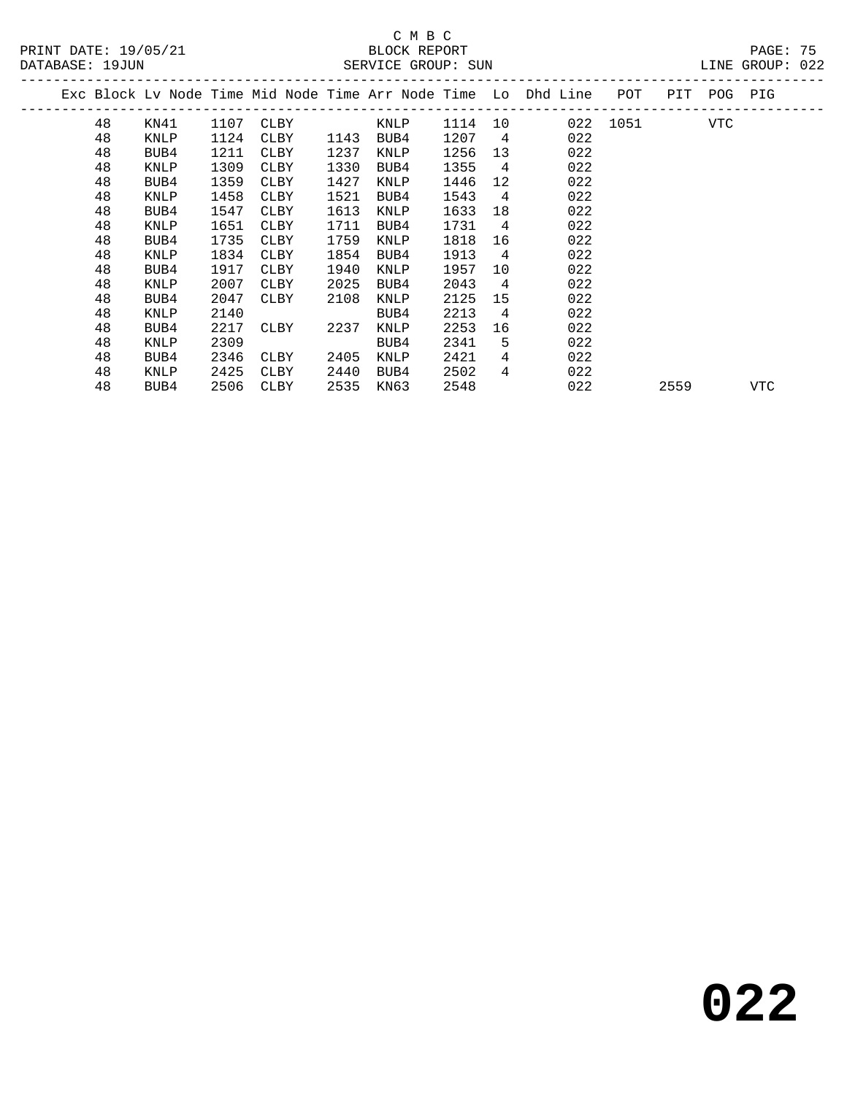# C M B C<br>BLOCK REPORT

| PRINT DATE: 19/05/21 | BLOCK REPORT       | PAGE: 75        |  |
|----------------------|--------------------|-----------------|--|
| DATABASE: 19JUN      | SERVICE GROUP: SUN | LINE GROUP: 022 |  |

|  |    |      |      |      |      |             |         |                | Exc Block Lv Node Time Mid Node Time Arr Node Time Lo Dhd Line POT |          | PIT POG PIG |     |     |
|--|----|------|------|------|------|-------------|---------|----------------|--------------------------------------------------------------------|----------|-------------|-----|-----|
|  | 48 | KN41 | 1107 | CLBY |      | KNLP        | 1114 10 |                |                                                                    | 022 1051 |             | VTC |     |
|  | 48 | KNLP | 1124 | CLBY | 1143 | BUB4        | 1207    | $\overline{4}$ | 022                                                                |          |             |     |     |
|  | 48 | BUB4 | 1211 | CLBY | 1237 | <b>KNLP</b> | 1256    | 13             | 022                                                                |          |             |     |     |
|  | 48 | KNLP | 1309 | CLBY | 1330 | BUB4        | 1355    | $\overline{4}$ | 022                                                                |          |             |     |     |
|  | 48 | BUB4 | 1359 | CLBY | 1427 | KNLP        | 1446    | 12             | 022                                                                |          |             |     |     |
|  | 48 | KNLP | 1458 | CLBY | 1521 | BUB4        | 1543    | $\overline{4}$ | 022                                                                |          |             |     |     |
|  | 48 | BUB4 | 1547 | CLBY | 1613 | KNLP        | 1633    | 18             | 022                                                                |          |             |     |     |
|  | 48 | KNLP | 1651 | CLBY | 1711 | BUB4        | 1731    | $\overline{4}$ | 022                                                                |          |             |     |     |
|  | 48 | BUB4 | 1735 | CLBY | 1759 | KNLP        | 1818    | 16             | 022                                                                |          |             |     |     |
|  | 48 | KNLP | 1834 | CLBY | 1854 | BUB4        | 1913    | 4              | 022                                                                |          |             |     |     |
|  | 48 | BUB4 | 1917 | CLBY | 1940 | KNLP        | 1957    | 10             | 022                                                                |          |             |     |     |
|  | 48 | KNLP | 2007 | CLBY | 2025 | BUB4        | 2043    | $\overline{4}$ | 022                                                                |          |             |     |     |
|  | 48 | BUB4 | 2047 | CLBY | 2108 | KNLP        | 2125    | 15             | 022                                                                |          |             |     |     |
|  | 48 | KNLP | 2140 |      |      | BUB4        | 2213    | 4              | 022                                                                |          |             |     |     |
|  | 48 | BUB4 | 2217 | CLBY | 2237 | KNLP        | 2253    | 16             | 022                                                                |          |             |     |     |
|  | 48 | KNLP | 2309 |      |      | BUB4        | 2341    | 5              | 022                                                                |          |             |     |     |
|  | 48 | BUB4 | 2346 | CLBY | 2405 | <b>KNLP</b> | 2421    | 4              | 022                                                                |          |             |     |     |
|  | 48 | KNLP | 2425 | CLBY | 2440 | BUB4        | 2502    | 4              | 022                                                                |          |             |     |     |
|  | 48 | BUB4 | 2506 | CLBY | 2535 | KN63        | 2548    |                | 022                                                                |          | 2559        |     | VTC |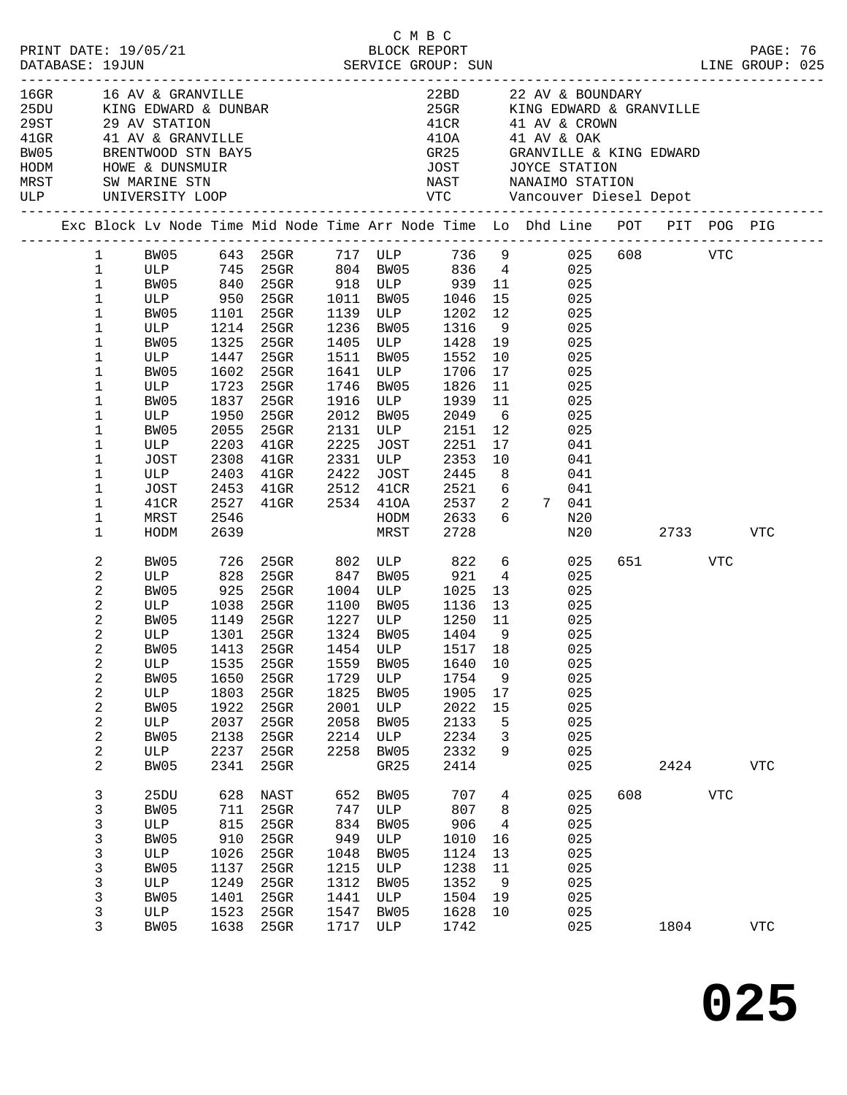| $16$ GR $-$<br>MRST<br>ULP |                                                                                                                                | 16 AV & GRANVILLE<br>SW MARINE STN                                                                                        |                                                                                                                   | 16GR 16 AV & GRANVILLE<br>25DU KING EDWARD & DUNBAR<br>29ST 29 AV STATION<br>41GR 41 AV & GRANVILLE<br>BW05 BRENTWOOD STN BAY5<br>HODM HOWE & DUNSMUIR<br>MRST SW MARINE STN |                                                                              |                                                                                                                                                 | 410A<br>41OA<br>GR25<br><b>JOST</b>                                                                                          |                                                                                                             | 22BD 22 AV & BOUNDARY<br>25GR KING EDWARD & GRANVILLE<br>$41CR$ $41$ AV & CROWN<br>41 AV & OAK<br>GRANVILLE & KING EDWARD<br>JOYCE STATION<br>NAST NANAIMO STATION                                                               |     |                         |            |                          |  |
|----------------------------|--------------------------------------------------------------------------------------------------------------------------------|---------------------------------------------------------------------------------------------------------------------------|-------------------------------------------------------------------------------------------------------------------|------------------------------------------------------------------------------------------------------------------------------------------------------------------------------|------------------------------------------------------------------------------|-------------------------------------------------------------------------------------------------------------------------------------------------|------------------------------------------------------------------------------------------------------------------------------|-------------------------------------------------------------------------------------------------------------|----------------------------------------------------------------------------------------------------------------------------------------------------------------------------------------------------------------------------------|-----|-------------------------|------------|--------------------------|--|
|                            |                                                                                                                                |                                                                                                                           |                                                                                                                   |                                                                                                                                                                              |                                                                              |                                                                                                                                                 |                                                                                                                              |                                                                                                             | Exc Block Lv Node Time Mid Node Time Arr Node Time Lo Dhd Line POT PIT POG PIG                                                                                                                                                   |     |                         |            |                          |  |
|                            | $\mathbf{1}$<br>$\mathbf 1$<br>$\mathbf 1$<br>$1\,$<br>1<br>1<br>1<br>1<br>1<br>1<br>1<br>1<br>1<br>1<br>1<br>1<br>1<br>1<br>1 | ULP 950<br>BW05<br>ULP<br>BW05<br>ULP<br>BW05<br>ULP<br>BW05<br>ULP<br>BW05<br>ULP<br>JOST<br>ULP<br>JOST<br>41CR<br>MRST | 1101<br>1325<br>1447<br>1602<br>1723<br>1837<br>1950<br>2055<br>2203<br>2308<br>2403<br>2453<br>2527<br>2546      | 25GR<br>25GR<br>1214 25GR<br>$25$ GR<br>$25$ GR<br>$25$ GR<br>$25$ GR<br>25GR<br>$25$ GR<br>25GR<br>$41$ GR<br>$41$ GR<br>$41$ GR<br>$41$ GR<br>41GR 2534 41OA               | 1236<br>1511<br>1641<br>1746<br>2012<br>2131<br>2225<br>2331<br>2422<br>2512 | 1011 BW05<br>1139 ULP<br>1236 BW05<br>BW05<br>1405 ULP<br>BW05<br>ULP<br>BW05<br>1916 ULP<br>BW05<br>ULP<br>JOST<br>ULP<br>JOST<br>41CR<br>HODM | 1046<br>1202<br>1316<br>1428<br>1552<br>1706<br>1826<br>1939<br>2049<br>2151<br>2251<br>2353<br>2445<br>2521<br>2537<br>2633 | 15<br>12<br>9<br>19<br>10<br>17<br>11<br>11<br>6<br>12<br>17<br>10<br>8 <sup>8</sup><br>6<br>2<br>6         | BW05 643 25GR 717 ULP 736 9 025 608 VTC<br>ULP 745 25GR 804 BW05 836 4 025<br>BW05 840 25GR 918 ULP 939 11 025<br>025<br>025<br>025<br>025<br>025<br>025<br>025<br>025<br>025<br>025<br>041<br>041<br>041<br>041<br>7 041<br>N20 |     |                         |            |                          |  |
|                            | 1<br>2<br>2<br>2<br>2<br>2<br>2<br>$\mathbf{2}$<br>2<br>2<br>2<br>2<br>2<br>2<br>2<br>2                                        | HODM<br>BW05<br>ULP<br>BW05<br>ULP<br>BW05<br>ULP<br>ULP<br>BW05<br>ULP<br>BW05<br>ULP<br>BW05<br>ULP<br>BW05             | 2639<br>726<br>828<br>925<br>1038<br>1149<br>1301<br>1535<br>1650<br>1803<br>1922<br>2037<br>2138<br>2237<br>2341 | 25GR 802 ULP 822<br>$25$ GR<br>25GR<br>25GR<br>25GR<br>25GR<br>25GR<br>$25$ GR<br>25GR<br>25GR<br>25GR<br>$25$ GR<br>25GR<br>25GR                                            | 1559<br>1729<br>1825<br>2001<br>2058<br>2214<br>2258                         | MRST<br>847 BW05<br>1004 ULP<br>1100 BW05<br>1227 ULP<br>1324 RW05<br>1324 BW05<br>BW05<br>ULP<br>BW05<br>ULP<br>BW05<br>ULP<br>BW05<br>GR25    | 2728<br>921<br>1025<br>1136<br>1250<br>1404<br>1640<br>1754<br>1905<br>2022<br>2133<br>2234<br>2332<br>2414                  | $6\overline{6}$<br>$\overline{4}$<br>13<br>13<br>11<br>$\overline{9}$<br>10<br>9<br>17<br>15<br>5<br>3<br>9 | N20<br>025<br>025<br>025<br>025<br>025<br>025<br>BW05 1413 25GR 1454 ULP 1517 18 025<br>025<br>025<br>025<br>025<br>025<br>025<br>025<br>025                                                                                     |     | 2733<br>651 VTC<br>2424 |            | <b>VTC</b><br><b>VTC</b> |  |
|                            | 3<br>3<br>3<br>3<br>3<br>3<br>3<br>3<br>3<br>3                                                                                 | 25DU<br>BW05<br>ULP<br>BW05<br>ULP<br>BW05<br>ULP<br>BW05<br>ULP<br>BW05                                                  | 628<br>711<br>815<br>910<br>1026<br>1137<br>1249<br>1401<br>1523<br>1638                                          | NAST<br>25GR<br>25GR<br>25GR<br>25GR<br>25GR<br>25GR<br>25GR<br>25GR<br>25GR                                                                                                 | 652<br>747<br>834<br>949<br>1048<br>1215<br>1312<br>1441<br>1547             | BW05<br>ULP<br>BW05<br>ULP<br>BW05<br>ULP<br>BW05<br>ULP<br>BW05<br>1717 ULP                                                                    | 707<br>807<br>906<br>1010<br>1124<br>1238<br>1352<br>1504<br>1628<br>1742                                                    | 4<br>8<br>4<br>16<br>13<br>11<br>9<br>19<br>10                                                              | 025<br>025<br>025<br>025<br>025<br>025<br>025<br>025<br>025<br>025                                                                                                                                                               | 608 | 1804                    | <b>VTC</b> | VTC                      |  |

**025**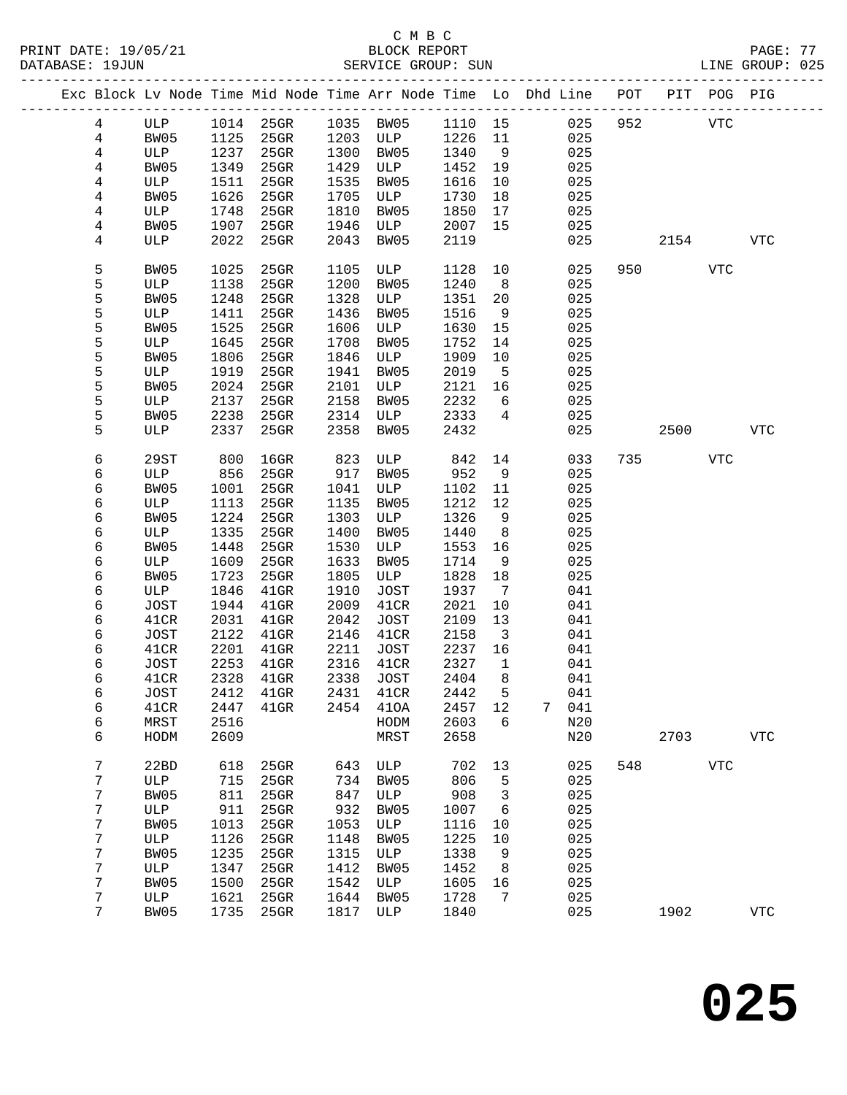|  |                |               |              |                     |      | Exc Block Lv Node Time Mid Node Time Arr Node Time Lo Dhd Line POT PIT POG PIG |              |                         |   |            |     |      |            |              |
|--|----------------|---------------|--------------|---------------------|------|--------------------------------------------------------------------------------|--------------|-------------------------|---|------------|-----|------|------------|--------------|
|  | $\overline{4}$ | ULP           |              | 1014 25GR           |      | 1035 BW05                                                                      | 1110 15      |                         |   | 025        | 952 |      | <b>VTC</b> |              |
|  | $\overline{4}$ | BW05          | 1125         | 25GR                | 1203 | ULP                                                                            | 1226         | 11                      |   | 025        |     |      |            |              |
|  | $\overline{4}$ | ULP           | 1237         | 25GR                | 1300 | BW05                                                                           | 1340         | 9                       |   | 025        |     |      |            |              |
|  | 4              | BW05          | 1349         | 25GR                | 1429 | ULP                                                                            | 1452         | 19                      |   | 025        |     |      |            |              |
|  | 4              | ULP           | 1511         | 25GR                | 1535 | BW05                                                                           | 1616         | 10                      |   | 025        |     |      |            |              |
|  | 4              | BW05          | 1626         | 25GR                | 1705 | ULP                                                                            | 1730         | 18                      |   | 025        |     |      |            |              |
|  | 4              | ULP           | 1748         | 25GR                | 1810 | BW05                                                                           | 1850         | 17                      |   | 025        |     |      |            |              |
|  | 4              | BW05          | 1907         | 25GR                | 1946 | ULP                                                                            | 2007         | 15                      |   | 025        |     |      |            |              |
|  | 4              | ULP           | 2022         | 25GR                | 2043 | BW05                                                                           | 2119         |                         |   | 025        |     |      |            | <b>VTC</b>   |
|  |                |               |              |                     |      |                                                                                |              |                         |   |            |     | 2154 |            |              |
|  | 5              | BW05          | 1025         | 25GR                | 1105 | ULP                                                                            | 1128         | 10                      |   | 025        | 950 |      | VTC        |              |
|  | 5              | ULP           | 1138         | 25GR                | 1200 | BW05                                                                           | 1240         | 8                       |   | 025        |     |      |            |              |
|  | 5              | BW05          | 1248         | 25GR                | 1328 | ULP                                                                            | 1351         | 20                      |   | 025        |     |      |            |              |
|  | 5              | ULP           | 1411         | 25GR                | 1436 | BW05                                                                           | 1516         | 9                       |   | 025        |     |      |            |              |
|  | 5              | BW05          | 1525         | 25GR                | 1606 | ULP                                                                            | 1630         | 15                      |   | 025        |     |      |            |              |
|  | 5              | ULP           | 1645         | 25GR                | 1708 | BW05                                                                           | 1752         | 14                      |   | 025        |     |      |            |              |
|  | 5              | BW05          | 1806         | 25GR                | 1846 | ULP                                                                            | 1909         | 10                      |   | 025        |     |      |            |              |
|  | 5              | ULP           | 1919         | 25GR                | 1941 | BW05                                                                           | 2019         | 5                       |   | 025        |     |      |            |              |
|  | 5              | BW05          | 2024         | 25GR                | 2101 | ULP                                                                            | 2121         | 16                      |   | 025        |     |      |            |              |
|  | 5              | ULP           | 2137         | 25GR                | 2158 | BW05                                                                           | 2232         | 6                       |   | 025        |     |      |            |              |
|  | 5              | BW05          | 2238         | $25$ GR             | 2314 | ULP                                                                            | 2333         | 4                       |   | 025        |     |      |            |              |
|  | 5              | ULP           | 2337         | 25GR                | 2358 | BW05                                                                           | 2432         |                         |   | 025        |     | 2500 |            | <b>VTC</b>   |
|  | 6              | 29ST          | 800          | $16$ GR             | 823  | ULP                                                                            | 842          | 14                      |   | 033        | 735 |      | VTC        |              |
|  | 6              | ULP           | 856          | $25$ GR             | 917  | BW05                                                                           | 952          | 9                       |   | 025        |     |      |            |              |
|  | 6              | BW05          | 1001         | 25GR                | 1041 | ULP                                                                            | 1102         | 11                      |   | 025        |     |      |            |              |
|  | 6              | ULP           | 1113         | 25GR                | 1135 | BW05                                                                           | 1212         | 12                      |   | 025        |     |      |            |              |
|  | 6              | BW05          | 1224         | 25GR                | 1303 | ULP                                                                            | 1326         | 9                       |   | 025        |     |      |            |              |
|  | 6              | ULP           | 1335         | 25GR                | 1400 | BW05                                                                           | 1440         | 8                       |   | 025        |     |      |            |              |
|  | 6              | BW05          | 1448         | 25GR                | 1530 | ULP                                                                            | 1553         | 16                      |   | 025        |     |      |            |              |
|  | 6              | ULP           | 1609         | 25GR                | 1633 | BW05                                                                           | 1714         | 9                       |   | 025        |     |      |            |              |
|  | 6              | BW05          | 1723         | 25GR                | 1805 | ULP                                                                            | 1828         | 18                      |   | 025        |     |      |            |              |
|  | 6              | ULP           | 1846         | $41$ GR             | 1910 | JOST                                                                           | 1937         | $7\phantom{.0}$         |   | 041        |     |      |            |              |
|  | 6              | JOST          | 1944         | $41$ GR             | 2009 | 41CR                                                                           | 2021         | 10                      |   | 041        |     |      |            |              |
|  | 6              | 41CR          | 2031         | $41$ GR             | 2042 | <b>JOST</b>                                                                    | 2109         | 13                      |   | 041        |     |      |            |              |
|  | 6              | JOST          | 2122         | $41$ GR             | 2146 | 41CR                                                                           | 2158         | $\overline{\mathbf{3}}$ |   | 041        |     |      |            |              |
|  |                |               | 2201         |                     | 2211 |                                                                                |              |                         |   |            |     |      |            |              |
|  | 6              | 41CR          | 2253         | $41$ GR             | 2316 | JOST<br>41CR                                                                   | 2237<br>2327 | 16<br>$\mathbf{1}$      |   | 041        |     |      |            |              |
|  | 6<br>6         | JOST          | 2328         | $41$ GR<br>$41$ GR  |      |                                                                                | 2404         | 8                       |   | 041<br>041 |     |      |            |              |
|  |                | 41CR          |              |                     | 2338 | JOST                                                                           |              |                         |   | 041        |     |      |            |              |
|  | 6              | $_{\rm JOST}$ |              | 2412 41GR 2431 41CR |      |                                                                                | 2442 5       |                         |   |            |     |      |            |              |
|  | 6              | 41CR          | 2447         | $41$ GR             | 2454 | 410A                                                                           | 2457         | 12                      | 7 | 041        |     |      |            |              |
|  | 6<br>6         | MRST<br>HODM  | 2516<br>2609 |                     |      | HODM<br>MRST                                                                   | 2603<br>2658 | 6                       |   | N20<br>N20 |     | 2703 |            | $_{\rm VTC}$ |
|  |                |               |              |                     |      |                                                                                |              |                         |   |            |     |      |            |              |
|  | 7              | 22BD          | 618          | $25$ GR             | 643  | ULP                                                                            | 702          | 13                      |   | 025        | 548 |      | <b>VTC</b> |              |
|  | 7              | ULP           | 715          | 25GR                | 734  | BW05                                                                           | 806          | 5                       |   | 025        |     |      |            |              |
|  | 7              | BW05          | 811          | 25GR                | 847  | ULP                                                                            | 908          | 3                       |   | 025        |     |      |            |              |
|  | 7              | ULP           | 911          | 25GR                | 932  | BW05                                                                           | 1007         | 6                       |   | 025        |     |      |            |              |
|  | 7              | BW05          | 1013         | 25GR                | 1053 | ULP                                                                            | 1116         | 10                      |   | 025        |     |      |            |              |
|  | 7              | ULP           | 1126         | $25$ GR             | 1148 | BW05                                                                           | 1225         | 10                      |   | 025        |     |      |            |              |
|  | 7              | BW05          | 1235         | $25$ GR             | 1315 | ULP                                                                            | 1338         | 9                       |   | 025        |     |      |            |              |
|  | 7              | ULP           | 1347         | 25GR                | 1412 | BW05                                                                           | 1452         | 8                       |   | 025        |     |      |            |              |
|  | 7              | BW05          | 1500         | 25GR                | 1542 | $_{\rm ULP}$                                                                   | 1605         | 16                      |   | 025        |     |      |            |              |
|  | 7              | ULP           | 1621         | $25$ GR             | 1644 | BW05                                                                           | 1728         | 7                       |   | 025        |     |      |            |              |
|  | 7              | BW05          | 1735         | $25$ GR             | 1817 | ULP                                                                            | 1840         |                         |   | 025        |     | 1902 |            | ${\tt VTC}$  |
|  |                |               |              |                     |      |                                                                                |              |                         |   |            |     |      |            |              |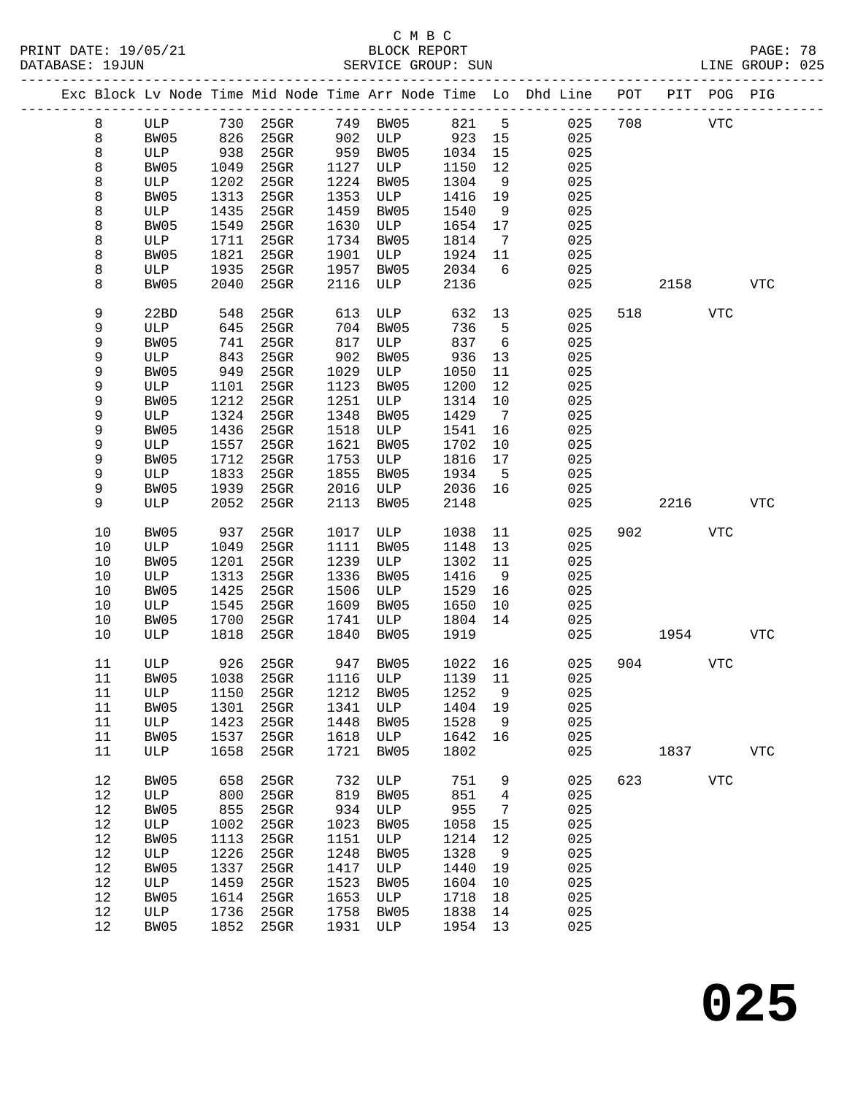PRINT DATE: 19/05/21 BLOCK REPORT BATABASE: 19JUN

## C M B C<br>BLOCK REPORT

PAGE: 78<br>LINE GROUP: 025

|         |      |      |         |      |      |      |                 | Exc Block Lv Node Time Mid Node Time Arr Node Time Lo Dhd Line POT |     |      | PIT POG PIG |              |
|---------|------|------|---------|------|------|------|-----------------|--------------------------------------------------------------------|-----|------|-------------|--------------|
| 8       | ULP  | 730  | 25GR    | 749  | BW05 | 821  | 5               | 025                                                                | 708 |      | <b>VTC</b>  |              |
| 8       | BW05 | 826  | 25GR    | 902  | ULP  | 923  | 15              | 025                                                                |     |      |             |              |
| $\,8\,$ | ULP  | 938  | 25GR    | 959  | BW05 | 1034 | 15              | 025                                                                |     |      |             |              |
| 8       | BW05 | 1049 | $25$ GR | 1127 | ULP  | 1150 | 12              | 025                                                                |     |      |             |              |
| 8       | ULP  | 1202 | 25GR    | 1224 | BW05 | 1304 | 9               | 025                                                                |     |      |             |              |
| 8       | BW05 | 1313 | 25GR    | 1353 | ULP  | 1416 | 19              | 025                                                                |     |      |             |              |
| 8       | ULP  | 1435 | 25GR    | 1459 | BW05 | 1540 | 9               | 025                                                                |     |      |             |              |
| 8       | BW05 | 1549 | 25GR    | 1630 | ULP  | 1654 | 17              | 025                                                                |     |      |             |              |
| 8       | ULP  | 1711 | 25GR    | 1734 | BW05 | 1814 | $7\phantom{.0}$ | 025                                                                |     |      |             |              |
| 8       | BW05 | 1821 | 25GR    | 1901 |      | 1924 |                 | 025                                                                |     |      |             |              |
|         |      |      |         |      | ULP  |      | 11              |                                                                    |     |      |             |              |
| 8       | ULP  | 1935 | 25GR    | 1957 | BW05 | 2034 | 6               | 025                                                                |     |      |             |              |
| 8       | BW05 | 2040 | $25$ GR | 2116 | ULP  | 2136 |                 | 025                                                                |     | 2158 |             | <b>VTC</b>   |
| 9       | 22BD | 548  | $25$ GR | 613  | ULP  | 632  | 13              | 025                                                                | 518 |      | <b>VTC</b>  |              |
| 9       | ULP  | 645  | 25GR    | 704  | BW05 | 736  | 5               | 025                                                                |     |      |             |              |
| 9       | BW05 | 741  | 25GR    | 817  | ULP  | 837  | 6               | 025                                                                |     |      |             |              |
| 9       | ULP  | 843  | 25GR    | 902  | BW05 | 936  | 13              | 025                                                                |     |      |             |              |
| 9       | BW05 | 949  | 25GR    | 1029 | ULP  | 1050 | 11              | 025                                                                |     |      |             |              |
| 9       | ULP  | 1101 | 25GR    | 1123 | BW05 | 1200 | 12              | 025                                                                |     |      |             |              |
| 9       | BW05 | 1212 | 25GR    | 1251 | ULP  | 1314 | 10              | 025                                                                |     |      |             |              |
| 9       | ULP  | 1324 | 25GR    | 1348 | BW05 | 1429 | $\overline{7}$  | 025                                                                |     |      |             |              |
| 9       | BW05 | 1436 | $25$ GR | 1518 | ULP  | 1541 | 16              | 025                                                                |     |      |             |              |
| 9       | ULP  | 1557 | 25GR    | 1621 | BW05 | 1702 | 10              | 025                                                                |     |      |             |              |
| 9       | BW05 | 1712 | 25GR    | 1753 | ULP  | 1816 | 17              | 025                                                                |     |      |             |              |
|         |      |      |         |      |      |      |                 |                                                                    |     |      |             |              |
| 9       | ULP  | 1833 | 25GR    | 1855 | BW05 | 1934 | 5               | 025                                                                |     |      |             |              |
| 9       | BW05 | 1939 | 25GR    | 2016 | ULP  | 2036 | 16              | 025                                                                |     |      |             |              |
| 9       | ULP  | 2052 | 25GR    | 2113 | BW05 | 2148 |                 | 025                                                                |     | 2216 |             | <b>VTC</b>   |
| 10      | BW05 | 937  | $25$ GR | 1017 | ULP  | 1038 | 11              | 025                                                                | 902 |      | VTC         |              |
| $10$    | ULP  | 1049 | 25GR    | 1111 | BW05 | 1148 | 13              | 025                                                                |     |      |             |              |
| 10      | BW05 | 1201 | 25GR    | 1239 | ULP  | 1302 | 11              | 025                                                                |     |      |             |              |
| $10$    | ULP  | 1313 | 25GR    | 1336 | BW05 | 1416 | 9               | 025                                                                |     |      |             |              |
| 10      | BW05 | 1425 | $25$ GR | 1506 | ULP  | 1529 | 16              | 025                                                                |     |      |             |              |
| $10$    | ULP  | 1545 | 25GR    | 1609 | BW05 | 1650 | 10              | 025                                                                |     |      |             |              |
| 10      | BW05 | 1700 | 25GR    | 1741 | ULP  | 1804 | 14              | 025                                                                |     |      |             |              |
| 10      | ULP  | 1818 | $25$ GR | 1840 | BW05 | 1919 |                 | 025                                                                |     | 1954 |             | <b>VTC</b>   |
|         |      |      |         |      |      |      |                 |                                                                    |     |      |             |              |
| 11      | ULP  | 926  | $25$ GR | 947  | BW05 | 1022 | 16              | 025                                                                | 904 |      | <b>VTC</b>  |              |
| 11      | BW05 | 1038 | 25GR    | 1116 | ULP  | 1139 | 11              | 025                                                                |     |      |             |              |
| $11\,$  | ULP  | 1150 | 25GR    | 1212 | BW05 | 1252 | 9               | 025                                                                |     |      |             |              |
| 11      | BW05 | 1301 | $25$ GR | 1341 | ULP  | 1404 | 19              | 025                                                                |     |      |             |              |
| 11      | ULP  | 1423 | 25GR    | 1448 | BW05 | 1528 | 9               | 025                                                                |     |      |             |              |
| 11      | BW05 | 1537 | $25$ GR | 1618 | ULP  | 1642 | 16              | 025                                                                |     |      |             |              |
| 11      | ULP  | 1658 | 25GR    | 1721 | BW05 | 1802 |                 | 025                                                                |     | 1837 |             | $_{\rm VTC}$ |
| 12      | BW05 | 658  | 25GR    | 732  | ULP  | 751  | 9               | 025                                                                | 623 |      | ${\tt VTC}$ |              |
| $12$    | ULP  | 800  | 25GR    | 819  | BW05 | 851  | 4               | 025                                                                |     |      |             |              |
| 12      | BW05 | 855  | 25GR    | 934  | ULP  | 955  | 7               | 025                                                                |     |      |             |              |
| $12$    |      | 1002 |         | 1023 | BW05 |      | 15              | 025                                                                |     |      |             |              |
|         | ULP  |      | 25GR    |      |      | 1058 |                 |                                                                    |     |      |             |              |
| 12      | BW05 | 1113 | 25GR    | 1151 | ULP  | 1214 | 12              | 025                                                                |     |      |             |              |
| 12      | ULP  | 1226 | 25GR    | 1248 | BW05 | 1328 | 9               | 025                                                                |     |      |             |              |
| 12      | BW05 | 1337 | 25GR    | 1417 | ULP  | 1440 | 19              | 025                                                                |     |      |             |              |
| $12$    | ULP  | 1459 | 25GR    | 1523 | BW05 | 1604 | 10              | 025                                                                |     |      |             |              |
| 12      | BW05 | 1614 | 25GR    | 1653 | ULP  | 1718 | 18              | 025                                                                |     |      |             |              |
| $12$    | ULP  | 1736 | 25GR    | 1758 | BW05 | 1838 | 14              | 025                                                                |     |      |             |              |
| 12      | BW05 | 1852 | $25$ GR | 1931 | ULP  | 1954 | 13              | 025                                                                |     |      |             |              |
|         |      |      |         |      |      |      |                 |                                                                    |     |      |             |              |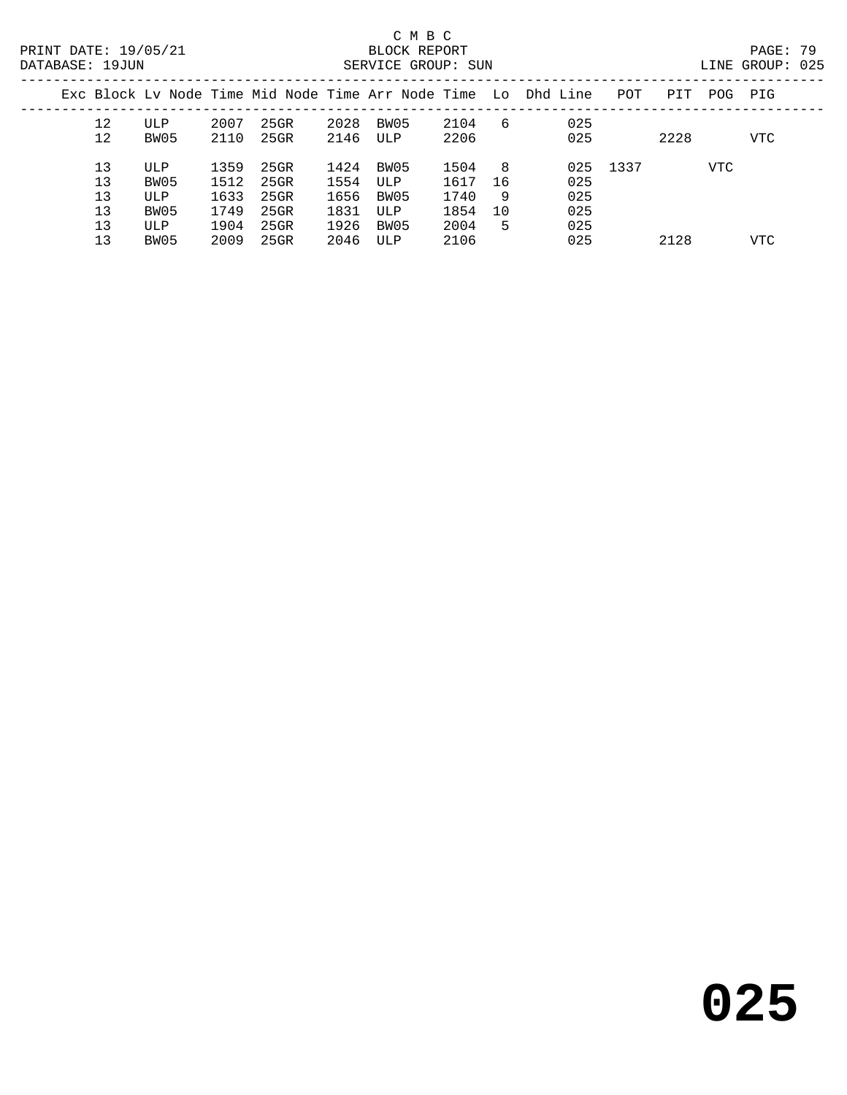| INE GROUP: | 02! |
|------------|-----|
|            |     |

|  |                |                    |                      |                         |                      |                     |                      |                | Exc Block Ly Node Time Mid Node Time Arr Node Time Lo Dhd Line | POT  | PIT  | POG. | PIG        |
|--|----------------|--------------------|----------------------|-------------------------|----------------------|---------------------|----------------------|----------------|----------------------------------------------------------------|------|------|------|------------|
|  | 12<br>12       | ULP<br>BW05        | 2007<br>2110         | 25GR<br>25GR            | 2028<br>2146         | BW05<br>ULP         | 2104<br>2206         | 6              | 025<br>025                                                     |      | 2228 |      | <b>VTC</b> |
|  | 13<br>13<br>13 | ULP<br>BW05<br>ULP | 1359<br>1512<br>1633 | 25GR<br>25GR<br>$25$ GR | 1424<br>1554<br>1656 | BW05<br>ULP<br>BW05 | 1504<br>1617<br>1740 | -8<br>-16<br>9 | 025<br>025<br>025                                              | 1337 |      | VTC  |            |
|  | 13<br>13       | BW05<br>ULP        | 1749<br>1904         | 25GR<br>25GR            | 1831<br>1926         | ULP<br>BW05         | 1854<br>2004         | 10<br>5        | 025<br>025                                                     |      |      |      |            |
|  | 13             | BW05               | 2009                 | 25GR                    | 2046                 | ULP                 | 2106                 |                | 025                                                            |      | 2128 |      | VTC        |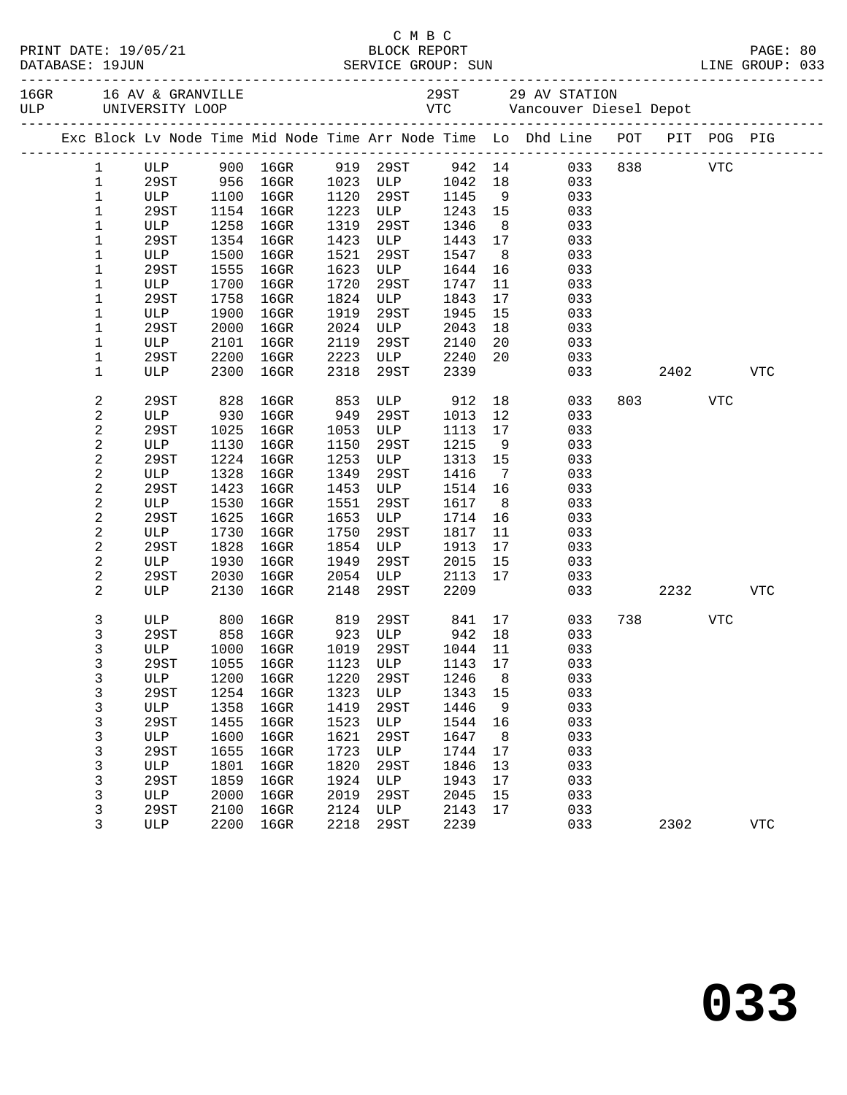| Exc Block Lv Node Time Mid Node Time Arr Node Time Lo Dhd Line POT PIT POG PIG<br>942 14 033 838 VTC<br>ULP 900 16GR 919 29ST<br>$\mathbf{1}$<br>956 16GR<br>1023 ULP<br>$\mathbf{1}$<br>29ST<br>1042<br>18<br>033<br>$\mathbf 1$<br>ULP<br>1100 16GR<br>1120<br>29ST<br>1145<br>9<br>033<br>1154<br>$16$ GR<br>1223 ULP<br>1243<br>15<br>$\mathbf 1$<br>29ST<br>033<br>$\mathbf 1$<br>1258<br>$16$ GR<br>1319<br>1346<br>8 <sup>8</sup><br>ULP<br>29ST<br>033<br>$\mathbf 1$<br>29ST<br>1354<br>$16$ GR<br>1423<br>1443<br>17<br>ULP<br>033<br>$\mathbf 1$<br>1500<br>$16$ GR<br>1521<br>1547<br>ULP<br>29ST<br>8 <sup>8</sup><br>033<br>1555<br>$16$ GR<br>1623<br>1644<br>16<br>1<br>29ST<br>ULP<br>033<br>1<br>1700<br>$16$ GR<br>1720<br>11<br>033<br>ULP<br>29ST<br>1747<br>1758<br>$16$ GR<br>1824<br>17<br>1<br>29ST<br>ULP<br>1843<br>033<br>$\mathbf 1$<br>1900<br>$16$ GR<br>1919<br>1945<br>ULP<br>29ST<br>15<br>033<br>$\mathbf 1$<br>2000<br>$16$ GR<br>2024<br>29ST<br>ULP<br>2043<br>18<br>033<br>2101<br>$16$ GR<br>2119<br>2140<br>20<br>1<br>29ST<br>033<br>ULP<br>ULP<br>1<br>2200<br>2223<br>2240<br>20<br>29ST<br>16GR<br>033<br>2300<br>2318<br>2339<br>1<br>16GR<br>29ST<br>033<br>2402<br><b>VTC</b><br>ULP<br>2<br>29ST<br>828<br>16GR<br>853<br>ULP<br>912<br>18<br>033<br>803 — 100<br>VTC<br>949<br>$\boldsymbol{2}$<br>12<br>$16$ GR<br>29ST<br>033<br>ULP<br>930<br>1013<br>2<br>1025<br>$16$ GR<br>1053<br>ULP<br>033<br>29ST<br>1113<br>17<br>$\boldsymbol{2}$<br>$16$ GR<br>1150<br>1215<br>ULP<br>1130<br>29ST<br>9<br>033<br>$\sqrt{2}$<br>1224<br>$16$ GR<br>1253<br>1313<br>29ST<br>ULP<br>15<br>033<br>$\boldsymbol{2}$<br>1349<br>ULP<br>1328<br>16GR<br>29ST<br>1416<br>$\overline{7}$<br>033<br>2<br>1514 16<br>29ST<br>1423<br>16GR<br>1453<br>ULP<br>033<br>$\overline{c}$<br>1530<br>$16$ GR<br>1551<br>1617<br>8 <sup>8</sup><br>ULP<br>29ST<br>033<br>2<br>1625<br>$16$ GR<br>1653<br>16<br>29ST<br>ULP<br>1714<br>033<br>$\overline{c}$<br>1730<br>$16$ GR<br>1750<br>11<br>ULP<br>29ST<br>1817<br>033<br>2<br>1828<br>$16$ GR<br>1854<br>1913<br>17<br>033<br>29ST<br>ULP<br>2<br>1930<br>$16$ GR<br>1949<br>2015<br>ULP<br>29ST<br>15<br>033<br>2<br>2030<br>$16$ GR<br>2054<br>2113<br>17<br>29ST<br>ULP<br>033<br>2<br>2130<br>$16$ GR<br>2148<br>29ST<br>2209<br>033<br>2232<br>ULP<br><b>VTC</b><br>3<br>16GR 819 29ST 841 17<br>800<br>033<br>738 — 138<br>VTC<br>ULP<br>$16$ GR<br>3<br>29ST<br>858<br>923 ULP 942 18<br>1019 29ST 1044 11<br>033<br>3<br>$16$ GR<br>ULP<br>1000<br>033<br>29ST 1055 16GR 1123 ULP 1143 17 033<br>3<br>1220<br>1246<br>033<br>3<br>ULP<br>1200<br>$16$ GR<br>29ST<br>8<br>3<br>1254<br>$16$ GR<br>1323<br>1343<br>033<br>29ST<br>ULP<br>15<br>3<br>1358<br>1419<br>1446<br>033<br>ULP<br>$16$ GR<br>29ST<br>9<br>1523<br>3<br>1455<br>$16$ GR<br>1544<br>033<br>29ST<br>ULP<br>16<br>1621<br>033<br>3<br>ULP<br>1600<br>$16$ GR<br>29ST<br>1647<br>8 <sup>8</sup><br>3<br>1723<br>29ST<br>1655<br>$16$ GR<br>1744<br>17<br>033<br>ULP<br>3<br>1820<br>033<br>1801<br>$16$ GR<br>29ST<br>1846<br>13<br>ULP<br>3<br>1859<br>1924<br>1943<br>17<br>033<br>29ST<br>$16$ GR<br>ULP<br>3<br>2019<br>29ST<br>2045<br>033<br>ULP<br>2000<br>$16$ GR<br>15<br>3<br>29ST<br>2100<br>$16$ GR<br>2124<br>ULP<br>2143<br>17<br>033<br>3<br>033<br>ULP<br>2200<br>$16$ GR<br>2218<br>29ST<br>2239<br>2302<br><b>VTC</b> |  |  |  |  |  |  |  |  |  |
|---------------------------------------------------------------------------------------------------------------------------------------------------------------------------------------------------------------------------------------------------------------------------------------------------------------------------------------------------------------------------------------------------------------------------------------------------------------------------------------------------------------------------------------------------------------------------------------------------------------------------------------------------------------------------------------------------------------------------------------------------------------------------------------------------------------------------------------------------------------------------------------------------------------------------------------------------------------------------------------------------------------------------------------------------------------------------------------------------------------------------------------------------------------------------------------------------------------------------------------------------------------------------------------------------------------------------------------------------------------------------------------------------------------------------------------------------------------------------------------------------------------------------------------------------------------------------------------------------------------------------------------------------------------------------------------------------------------------------------------------------------------------------------------------------------------------------------------------------------------------------------------------------------------------------------------------------------------------------------------------------------------------------------------------------------------------------------------------------------------------------------------------------------------------------------------------------------------------------------------------------------------------------------------------------------------------------------------------------------------------------------------------------------------------------------------------------------------------------------------------------------------------------------------------------------------------------------------------------------------------------------------------------------------------------------------------------------------------------------------------------------------------------------------------------------------------------------------------------------------------------------------------------------------------------------------------------------------------------------------------------------------------------------------------------------------------------------------------------------------------------------------------------------------------------------------------------------------------------------------------------------------------------------------------------------------------------------------------------------------------------------------------------|--|--|--|--|--|--|--|--|--|
|                                                                                                                                                                                                                                                                                                                                                                                                                                                                                                                                                                                                                                                                                                                                                                                                                                                                                                                                                                                                                                                                                                                                                                                                                                                                                                                                                                                                                                                                                                                                                                                                                                                                                                                                                                                                                                                                                                                                                                                                                                                                                                                                                                                                                                                                                                                                                                                                                                                                                                                                                                                                                                                                                                                                                                                                                                                                                                                                                                                                                                                                                                                                                                                                                                                                                                                                                                                                   |  |  |  |  |  |  |  |  |  |
|                                                                                                                                                                                                                                                                                                                                                                                                                                                                                                                                                                                                                                                                                                                                                                                                                                                                                                                                                                                                                                                                                                                                                                                                                                                                                                                                                                                                                                                                                                                                                                                                                                                                                                                                                                                                                                                                                                                                                                                                                                                                                                                                                                                                                                                                                                                                                                                                                                                                                                                                                                                                                                                                                                                                                                                                                                                                                                                                                                                                                                                                                                                                                                                                                                                                                                                                                                                                   |  |  |  |  |  |  |  |  |  |
|                                                                                                                                                                                                                                                                                                                                                                                                                                                                                                                                                                                                                                                                                                                                                                                                                                                                                                                                                                                                                                                                                                                                                                                                                                                                                                                                                                                                                                                                                                                                                                                                                                                                                                                                                                                                                                                                                                                                                                                                                                                                                                                                                                                                                                                                                                                                                                                                                                                                                                                                                                                                                                                                                                                                                                                                                                                                                                                                                                                                                                                                                                                                                                                                                                                                                                                                                                                                   |  |  |  |  |  |  |  |  |  |
|                                                                                                                                                                                                                                                                                                                                                                                                                                                                                                                                                                                                                                                                                                                                                                                                                                                                                                                                                                                                                                                                                                                                                                                                                                                                                                                                                                                                                                                                                                                                                                                                                                                                                                                                                                                                                                                                                                                                                                                                                                                                                                                                                                                                                                                                                                                                                                                                                                                                                                                                                                                                                                                                                                                                                                                                                                                                                                                                                                                                                                                                                                                                                                                                                                                                                                                                                                                                   |  |  |  |  |  |  |  |  |  |
|                                                                                                                                                                                                                                                                                                                                                                                                                                                                                                                                                                                                                                                                                                                                                                                                                                                                                                                                                                                                                                                                                                                                                                                                                                                                                                                                                                                                                                                                                                                                                                                                                                                                                                                                                                                                                                                                                                                                                                                                                                                                                                                                                                                                                                                                                                                                                                                                                                                                                                                                                                                                                                                                                                                                                                                                                                                                                                                                                                                                                                                                                                                                                                                                                                                                                                                                                                                                   |  |  |  |  |  |  |  |  |  |
|                                                                                                                                                                                                                                                                                                                                                                                                                                                                                                                                                                                                                                                                                                                                                                                                                                                                                                                                                                                                                                                                                                                                                                                                                                                                                                                                                                                                                                                                                                                                                                                                                                                                                                                                                                                                                                                                                                                                                                                                                                                                                                                                                                                                                                                                                                                                                                                                                                                                                                                                                                                                                                                                                                                                                                                                                                                                                                                                                                                                                                                                                                                                                                                                                                                                                                                                                                                                   |  |  |  |  |  |  |  |  |  |
|                                                                                                                                                                                                                                                                                                                                                                                                                                                                                                                                                                                                                                                                                                                                                                                                                                                                                                                                                                                                                                                                                                                                                                                                                                                                                                                                                                                                                                                                                                                                                                                                                                                                                                                                                                                                                                                                                                                                                                                                                                                                                                                                                                                                                                                                                                                                                                                                                                                                                                                                                                                                                                                                                                                                                                                                                                                                                                                                                                                                                                                                                                                                                                                                                                                                                                                                                                                                   |  |  |  |  |  |  |  |  |  |
|                                                                                                                                                                                                                                                                                                                                                                                                                                                                                                                                                                                                                                                                                                                                                                                                                                                                                                                                                                                                                                                                                                                                                                                                                                                                                                                                                                                                                                                                                                                                                                                                                                                                                                                                                                                                                                                                                                                                                                                                                                                                                                                                                                                                                                                                                                                                                                                                                                                                                                                                                                                                                                                                                                                                                                                                                                                                                                                                                                                                                                                                                                                                                                                                                                                                                                                                                                                                   |  |  |  |  |  |  |  |  |  |
|                                                                                                                                                                                                                                                                                                                                                                                                                                                                                                                                                                                                                                                                                                                                                                                                                                                                                                                                                                                                                                                                                                                                                                                                                                                                                                                                                                                                                                                                                                                                                                                                                                                                                                                                                                                                                                                                                                                                                                                                                                                                                                                                                                                                                                                                                                                                                                                                                                                                                                                                                                                                                                                                                                                                                                                                                                                                                                                                                                                                                                                                                                                                                                                                                                                                                                                                                                                                   |  |  |  |  |  |  |  |  |  |
|                                                                                                                                                                                                                                                                                                                                                                                                                                                                                                                                                                                                                                                                                                                                                                                                                                                                                                                                                                                                                                                                                                                                                                                                                                                                                                                                                                                                                                                                                                                                                                                                                                                                                                                                                                                                                                                                                                                                                                                                                                                                                                                                                                                                                                                                                                                                                                                                                                                                                                                                                                                                                                                                                                                                                                                                                                                                                                                                                                                                                                                                                                                                                                                                                                                                                                                                                                                                   |  |  |  |  |  |  |  |  |  |
|                                                                                                                                                                                                                                                                                                                                                                                                                                                                                                                                                                                                                                                                                                                                                                                                                                                                                                                                                                                                                                                                                                                                                                                                                                                                                                                                                                                                                                                                                                                                                                                                                                                                                                                                                                                                                                                                                                                                                                                                                                                                                                                                                                                                                                                                                                                                                                                                                                                                                                                                                                                                                                                                                                                                                                                                                                                                                                                                                                                                                                                                                                                                                                                                                                                                                                                                                                                                   |  |  |  |  |  |  |  |  |  |
|                                                                                                                                                                                                                                                                                                                                                                                                                                                                                                                                                                                                                                                                                                                                                                                                                                                                                                                                                                                                                                                                                                                                                                                                                                                                                                                                                                                                                                                                                                                                                                                                                                                                                                                                                                                                                                                                                                                                                                                                                                                                                                                                                                                                                                                                                                                                                                                                                                                                                                                                                                                                                                                                                                                                                                                                                                                                                                                                                                                                                                                                                                                                                                                                                                                                                                                                                                                                   |  |  |  |  |  |  |  |  |  |
|                                                                                                                                                                                                                                                                                                                                                                                                                                                                                                                                                                                                                                                                                                                                                                                                                                                                                                                                                                                                                                                                                                                                                                                                                                                                                                                                                                                                                                                                                                                                                                                                                                                                                                                                                                                                                                                                                                                                                                                                                                                                                                                                                                                                                                                                                                                                                                                                                                                                                                                                                                                                                                                                                                                                                                                                                                                                                                                                                                                                                                                                                                                                                                                                                                                                                                                                                                                                   |  |  |  |  |  |  |  |  |  |
|                                                                                                                                                                                                                                                                                                                                                                                                                                                                                                                                                                                                                                                                                                                                                                                                                                                                                                                                                                                                                                                                                                                                                                                                                                                                                                                                                                                                                                                                                                                                                                                                                                                                                                                                                                                                                                                                                                                                                                                                                                                                                                                                                                                                                                                                                                                                                                                                                                                                                                                                                                                                                                                                                                                                                                                                                                                                                                                                                                                                                                                                                                                                                                                                                                                                                                                                                                                                   |  |  |  |  |  |  |  |  |  |
|                                                                                                                                                                                                                                                                                                                                                                                                                                                                                                                                                                                                                                                                                                                                                                                                                                                                                                                                                                                                                                                                                                                                                                                                                                                                                                                                                                                                                                                                                                                                                                                                                                                                                                                                                                                                                                                                                                                                                                                                                                                                                                                                                                                                                                                                                                                                                                                                                                                                                                                                                                                                                                                                                                                                                                                                                                                                                                                                                                                                                                                                                                                                                                                                                                                                                                                                                                                                   |  |  |  |  |  |  |  |  |  |
|                                                                                                                                                                                                                                                                                                                                                                                                                                                                                                                                                                                                                                                                                                                                                                                                                                                                                                                                                                                                                                                                                                                                                                                                                                                                                                                                                                                                                                                                                                                                                                                                                                                                                                                                                                                                                                                                                                                                                                                                                                                                                                                                                                                                                                                                                                                                                                                                                                                                                                                                                                                                                                                                                                                                                                                                                                                                                                                                                                                                                                                                                                                                                                                                                                                                                                                                                                                                   |  |  |  |  |  |  |  |  |  |
|                                                                                                                                                                                                                                                                                                                                                                                                                                                                                                                                                                                                                                                                                                                                                                                                                                                                                                                                                                                                                                                                                                                                                                                                                                                                                                                                                                                                                                                                                                                                                                                                                                                                                                                                                                                                                                                                                                                                                                                                                                                                                                                                                                                                                                                                                                                                                                                                                                                                                                                                                                                                                                                                                                                                                                                                                                                                                                                                                                                                                                                                                                                                                                                                                                                                                                                                                                                                   |  |  |  |  |  |  |  |  |  |
|                                                                                                                                                                                                                                                                                                                                                                                                                                                                                                                                                                                                                                                                                                                                                                                                                                                                                                                                                                                                                                                                                                                                                                                                                                                                                                                                                                                                                                                                                                                                                                                                                                                                                                                                                                                                                                                                                                                                                                                                                                                                                                                                                                                                                                                                                                                                                                                                                                                                                                                                                                                                                                                                                                                                                                                                                                                                                                                                                                                                                                                                                                                                                                                                                                                                                                                                                                                                   |  |  |  |  |  |  |  |  |  |
|                                                                                                                                                                                                                                                                                                                                                                                                                                                                                                                                                                                                                                                                                                                                                                                                                                                                                                                                                                                                                                                                                                                                                                                                                                                                                                                                                                                                                                                                                                                                                                                                                                                                                                                                                                                                                                                                                                                                                                                                                                                                                                                                                                                                                                                                                                                                                                                                                                                                                                                                                                                                                                                                                                                                                                                                                                                                                                                                                                                                                                                                                                                                                                                                                                                                                                                                                                                                   |  |  |  |  |  |  |  |  |  |
|                                                                                                                                                                                                                                                                                                                                                                                                                                                                                                                                                                                                                                                                                                                                                                                                                                                                                                                                                                                                                                                                                                                                                                                                                                                                                                                                                                                                                                                                                                                                                                                                                                                                                                                                                                                                                                                                                                                                                                                                                                                                                                                                                                                                                                                                                                                                                                                                                                                                                                                                                                                                                                                                                                                                                                                                                                                                                                                                                                                                                                                                                                                                                                                                                                                                                                                                                                                                   |  |  |  |  |  |  |  |  |  |
|                                                                                                                                                                                                                                                                                                                                                                                                                                                                                                                                                                                                                                                                                                                                                                                                                                                                                                                                                                                                                                                                                                                                                                                                                                                                                                                                                                                                                                                                                                                                                                                                                                                                                                                                                                                                                                                                                                                                                                                                                                                                                                                                                                                                                                                                                                                                                                                                                                                                                                                                                                                                                                                                                                                                                                                                                                                                                                                                                                                                                                                                                                                                                                                                                                                                                                                                                                                                   |  |  |  |  |  |  |  |  |  |
|                                                                                                                                                                                                                                                                                                                                                                                                                                                                                                                                                                                                                                                                                                                                                                                                                                                                                                                                                                                                                                                                                                                                                                                                                                                                                                                                                                                                                                                                                                                                                                                                                                                                                                                                                                                                                                                                                                                                                                                                                                                                                                                                                                                                                                                                                                                                                                                                                                                                                                                                                                                                                                                                                                                                                                                                                                                                                                                                                                                                                                                                                                                                                                                                                                                                                                                                                                                                   |  |  |  |  |  |  |  |  |  |
|                                                                                                                                                                                                                                                                                                                                                                                                                                                                                                                                                                                                                                                                                                                                                                                                                                                                                                                                                                                                                                                                                                                                                                                                                                                                                                                                                                                                                                                                                                                                                                                                                                                                                                                                                                                                                                                                                                                                                                                                                                                                                                                                                                                                                                                                                                                                                                                                                                                                                                                                                                                                                                                                                                                                                                                                                                                                                                                                                                                                                                                                                                                                                                                                                                                                                                                                                                                                   |  |  |  |  |  |  |  |  |  |
|                                                                                                                                                                                                                                                                                                                                                                                                                                                                                                                                                                                                                                                                                                                                                                                                                                                                                                                                                                                                                                                                                                                                                                                                                                                                                                                                                                                                                                                                                                                                                                                                                                                                                                                                                                                                                                                                                                                                                                                                                                                                                                                                                                                                                                                                                                                                                                                                                                                                                                                                                                                                                                                                                                                                                                                                                                                                                                                                                                                                                                                                                                                                                                                                                                                                                                                                                                                                   |  |  |  |  |  |  |  |  |  |
|                                                                                                                                                                                                                                                                                                                                                                                                                                                                                                                                                                                                                                                                                                                                                                                                                                                                                                                                                                                                                                                                                                                                                                                                                                                                                                                                                                                                                                                                                                                                                                                                                                                                                                                                                                                                                                                                                                                                                                                                                                                                                                                                                                                                                                                                                                                                                                                                                                                                                                                                                                                                                                                                                                                                                                                                                                                                                                                                                                                                                                                                                                                                                                                                                                                                                                                                                                                                   |  |  |  |  |  |  |  |  |  |
|                                                                                                                                                                                                                                                                                                                                                                                                                                                                                                                                                                                                                                                                                                                                                                                                                                                                                                                                                                                                                                                                                                                                                                                                                                                                                                                                                                                                                                                                                                                                                                                                                                                                                                                                                                                                                                                                                                                                                                                                                                                                                                                                                                                                                                                                                                                                                                                                                                                                                                                                                                                                                                                                                                                                                                                                                                                                                                                                                                                                                                                                                                                                                                                                                                                                                                                                                                                                   |  |  |  |  |  |  |  |  |  |
|                                                                                                                                                                                                                                                                                                                                                                                                                                                                                                                                                                                                                                                                                                                                                                                                                                                                                                                                                                                                                                                                                                                                                                                                                                                                                                                                                                                                                                                                                                                                                                                                                                                                                                                                                                                                                                                                                                                                                                                                                                                                                                                                                                                                                                                                                                                                                                                                                                                                                                                                                                                                                                                                                                                                                                                                                                                                                                                                                                                                                                                                                                                                                                                                                                                                                                                                                                                                   |  |  |  |  |  |  |  |  |  |
|                                                                                                                                                                                                                                                                                                                                                                                                                                                                                                                                                                                                                                                                                                                                                                                                                                                                                                                                                                                                                                                                                                                                                                                                                                                                                                                                                                                                                                                                                                                                                                                                                                                                                                                                                                                                                                                                                                                                                                                                                                                                                                                                                                                                                                                                                                                                                                                                                                                                                                                                                                                                                                                                                                                                                                                                                                                                                                                                                                                                                                                                                                                                                                                                                                                                                                                                                                                                   |  |  |  |  |  |  |  |  |  |
|                                                                                                                                                                                                                                                                                                                                                                                                                                                                                                                                                                                                                                                                                                                                                                                                                                                                                                                                                                                                                                                                                                                                                                                                                                                                                                                                                                                                                                                                                                                                                                                                                                                                                                                                                                                                                                                                                                                                                                                                                                                                                                                                                                                                                                                                                                                                                                                                                                                                                                                                                                                                                                                                                                                                                                                                                                                                                                                                                                                                                                                                                                                                                                                                                                                                                                                                                                                                   |  |  |  |  |  |  |  |  |  |
|                                                                                                                                                                                                                                                                                                                                                                                                                                                                                                                                                                                                                                                                                                                                                                                                                                                                                                                                                                                                                                                                                                                                                                                                                                                                                                                                                                                                                                                                                                                                                                                                                                                                                                                                                                                                                                                                                                                                                                                                                                                                                                                                                                                                                                                                                                                                                                                                                                                                                                                                                                                                                                                                                                                                                                                                                                                                                                                                                                                                                                                                                                                                                                                                                                                                                                                                                                                                   |  |  |  |  |  |  |  |  |  |
|                                                                                                                                                                                                                                                                                                                                                                                                                                                                                                                                                                                                                                                                                                                                                                                                                                                                                                                                                                                                                                                                                                                                                                                                                                                                                                                                                                                                                                                                                                                                                                                                                                                                                                                                                                                                                                                                                                                                                                                                                                                                                                                                                                                                                                                                                                                                                                                                                                                                                                                                                                                                                                                                                                                                                                                                                                                                                                                                                                                                                                                                                                                                                                                                                                                                                                                                                                                                   |  |  |  |  |  |  |  |  |  |
|                                                                                                                                                                                                                                                                                                                                                                                                                                                                                                                                                                                                                                                                                                                                                                                                                                                                                                                                                                                                                                                                                                                                                                                                                                                                                                                                                                                                                                                                                                                                                                                                                                                                                                                                                                                                                                                                                                                                                                                                                                                                                                                                                                                                                                                                                                                                                                                                                                                                                                                                                                                                                                                                                                                                                                                                                                                                                                                                                                                                                                                                                                                                                                                                                                                                                                                                                                                                   |  |  |  |  |  |  |  |  |  |
|                                                                                                                                                                                                                                                                                                                                                                                                                                                                                                                                                                                                                                                                                                                                                                                                                                                                                                                                                                                                                                                                                                                                                                                                                                                                                                                                                                                                                                                                                                                                                                                                                                                                                                                                                                                                                                                                                                                                                                                                                                                                                                                                                                                                                                                                                                                                                                                                                                                                                                                                                                                                                                                                                                                                                                                                                                                                                                                                                                                                                                                                                                                                                                                                                                                                                                                                                                                                   |  |  |  |  |  |  |  |  |  |
|                                                                                                                                                                                                                                                                                                                                                                                                                                                                                                                                                                                                                                                                                                                                                                                                                                                                                                                                                                                                                                                                                                                                                                                                                                                                                                                                                                                                                                                                                                                                                                                                                                                                                                                                                                                                                                                                                                                                                                                                                                                                                                                                                                                                                                                                                                                                                                                                                                                                                                                                                                                                                                                                                                                                                                                                                                                                                                                                                                                                                                                                                                                                                                                                                                                                                                                                                                                                   |  |  |  |  |  |  |  |  |  |
|                                                                                                                                                                                                                                                                                                                                                                                                                                                                                                                                                                                                                                                                                                                                                                                                                                                                                                                                                                                                                                                                                                                                                                                                                                                                                                                                                                                                                                                                                                                                                                                                                                                                                                                                                                                                                                                                                                                                                                                                                                                                                                                                                                                                                                                                                                                                                                                                                                                                                                                                                                                                                                                                                                                                                                                                                                                                                                                                                                                                                                                                                                                                                                                                                                                                                                                                                                                                   |  |  |  |  |  |  |  |  |  |
|                                                                                                                                                                                                                                                                                                                                                                                                                                                                                                                                                                                                                                                                                                                                                                                                                                                                                                                                                                                                                                                                                                                                                                                                                                                                                                                                                                                                                                                                                                                                                                                                                                                                                                                                                                                                                                                                                                                                                                                                                                                                                                                                                                                                                                                                                                                                                                                                                                                                                                                                                                                                                                                                                                                                                                                                                                                                                                                                                                                                                                                                                                                                                                                                                                                                                                                                                                                                   |  |  |  |  |  |  |  |  |  |
|                                                                                                                                                                                                                                                                                                                                                                                                                                                                                                                                                                                                                                                                                                                                                                                                                                                                                                                                                                                                                                                                                                                                                                                                                                                                                                                                                                                                                                                                                                                                                                                                                                                                                                                                                                                                                                                                                                                                                                                                                                                                                                                                                                                                                                                                                                                                                                                                                                                                                                                                                                                                                                                                                                                                                                                                                                                                                                                                                                                                                                                                                                                                                                                                                                                                                                                                                                                                   |  |  |  |  |  |  |  |  |  |
|                                                                                                                                                                                                                                                                                                                                                                                                                                                                                                                                                                                                                                                                                                                                                                                                                                                                                                                                                                                                                                                                                                                                                                                                                                                                                                                                                                                                                                                                                                                                                                                                                                                                                                                                                                                                                                                                                                                                                                                                                                                                                                                                                                                                                                                                                                                                                                                                                                                                                                                                                                                                                                                                                                                                                                                                                                                                                                                                                                                                                                                                                                                                                                                                                                                                                                                                                                                                   |  |  |  |  |  |  |  |  |  |
|                                                                                                                                                                                                                                                                                                                                                                                                                                                                                                                                                                                                                                                                                                                                                                                                                                                                                                                                                                                                                                                                                                                                                                                                                                                                                                                                                                                                                                                                                                                                                                                                                                                                                                                                                                                                                                                                                                                                                                                                                                                                                                                                                                                                                                                                                                                                                                                                                                                                                                                                                                                                                                                                                                                                                                                                                                                                                                                                                                                                                                                                                                                                                                                                                                                                                                                                                                                                   |  |  |  |  |  |  |  |  |  |
|                                                                                                                                                                                                                                                                                                                                                                                                                                                                                                                                                                                                                                                                                                                                                                                                                                                                                                                                                                                                                                                                                                                                                                                                                                                                                                                                                                                                                                                                                                                                                                                                                                                                                                                                                                                                                                                                                                                                                                                                                                                                                                                                                                                                                                                                                                                                                                                                                                                                                                                                                                                                                                                                                                                                                                                                                                                                                                                                                                                                                                                                                                                                                                                                                                                                                                                                                                                                   |  |  |  |  |  |  |  |  |  |
|                                                                                                                                                                                                                                                                                                                                                                                                                                                                                                                                                                                                                                                                                                                                                                                                                                                                                                                                                                                                                                                                                                                                                                                                                                                                                                                                                                                                                                                                                                                                                                                                                                                                                                                                                                                                                                                                                                                                                                                                                                                                                                                                                                                                                                                                                                                                                                                                                                                                                                                                                                                                                                                                                                                                                                                                                                                                                                                                                                                                                                                                                                                                                                                                                                                                                                                                                                                                   |  |  |  |  |  |  |  |  |  |
|                                                                                                                                                                                                                                                                                                                                                                                                                                                                                                                                                                                                                                                                                                                                                                                                                                                                                                                                                                                                                                                                                                                                                                                                                                                                                                                                                                                                                                                                                                                                                                                                                                                                                                                                                                                                                                                                                                                                                                                                                                                                                                                                                                                                                                                                                                                                                                                                                                                                                                                                                                                                                                                                                                                                                                                                                                                                                                                                                                                                                                                                                                                                                                                                                                                                                                                                                                                                   |  |  |  |  |  |  |  |  |  |
|                                                                                                                                                                                                                                                                                                                                                                                                                                                                                                                                                                                                                                                                                                                                                                                                                                                                                                                                                                                                                                                                                                                                                                                                                                                                                                                                                                                                                                                                                                                                                                                                                                                                                                                                                                                                                                                                                                                                                                                                                                                                                                                                                                                                                                                                                                                                                                                                                                                                                                                                                                                                                                                                                                                                                                                                                                                                                                                                                                                                                                                                                                                                                                                                                                                                                                                                                                                                   |  |  |  |  |  |  |  |  |  |
|                                                                                                                                                                                                                                                                                                                                                                                                                                                                                                                                                                                                                                                                                                                                                                                                                                                                                                                                                                                                                                                                                                                                                                                                                                                                                                                                                                                                                                                                                                                                                                                                                                                                                                                                                                                                                                                                                                                                                                                                                                                                                                                                                                                                                                                                                                                                                                                                                                                                                                                                                                                                                                                                                                                                                                                                                                                                                                                                                                                                                                                                                                                                                                                                                                                                                                                                                                                                   |  |  |  |  |  |  |  |  |  |
|                                                                                                                                                                                                                                                                                                                                                                                                                                                                                                                                                                                                                                                                                                                                                                                                                                                                                                                                                                                                                                                                                                                                                                                                                                                                                                                                                                                                                                                                                                                                                                                                                                                                                                                                                                                                                                                                                                                                                                                                                                                                                                                                                                                                                                                                                                                                                                                                                                                                                                                                                                                                                                                                                                                                                                                                                                                                                                                                                                                                                                                                                                                                                                                                                                                                                                                                                                                                   |  |  |  |  |  |  |  |  |  |
|                                                                                                                                                                                                                                                                                                                                                                                                                                                                                                                                                                                                                                                                                                                                                                                                                                                                                                                                                                                                                                                                                                                                                                                                                                                                                                                                                                                                                                                                                                                                                                                                                                                                                                                                                                                                                                                                                                                                                                                                                                                                                                                                                                                                                                                                                                                                                                                                                                                                                                                                                                                                                                                                                                                                                                                                                                                                                                                                                                                                                                                                                                                                                                                                                                                                                                                                                                                                   |  |  |  |  |  |  |  |  |  |

C M B C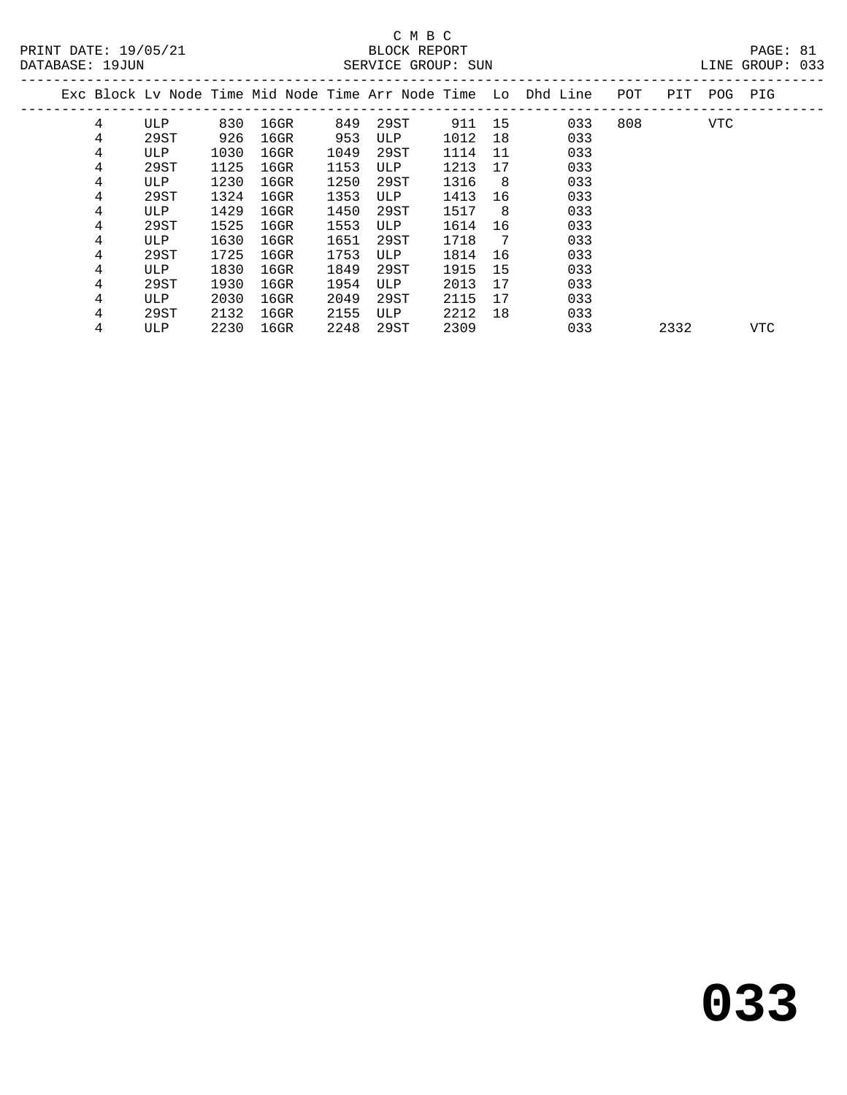| DAIADADE · 1700N |   |      |      |         |      | DERVICE GROOT · DON |        |    |                                                                |     |      |     | ATTAM ATTOOT .<br><u>ل ل</u> |  |
|------------------|---|------|------|---------|------|---------------------|--------|----|----------------------------------------------------------------|-----|------|-----|------------------------------|--|
|                  |   |      |      |         |      |                     |        |    | Exc Block Lv Node Time Mid Node Time Arr Node Time Lo Dhd Line | POT | PIT  | POG | PIG                          |  |
|                  | 4 | ULP  | 830  | 16GR    | 849  | 29ST                | 911 15 |    | 033                                                            | 808 |      | VTC |                              |  |
|                  | 4 | 29ST | 926  | 16GR    | 953  | ULP                 | 1012   | 18 | 033                                                            |     |      |     |                              |  |
|                  | 4 | ULP  | 1030 | $16$ GR | 1049 | 29ST                | 1114   | 11 | 033                                                            |     |      |     |                              |  |
|                  | 4 | 29ST | 1125 | 16GR    | 1153 | ULP                 | 1213   | 17 | 033                                                            |     |      |     |                              |  |
|                  | 4 | ULP  | 1230 | 16GR    | 1250 | 29ST                | 1316   | -8 | 033                                                            |     |      |     |                              |  |
|                  | 4 | 29ST | 1324 | 16GR    | 1353 | ULP                 | 1413   | 16 | 033                                                            |     |      |     |                              |  |
|                  | 4 | ULP  | 1429 | 16GR    | 1450 | 29ST                | 1517   | 8  | 033                                                            |     |      |     |                              |  |
|                  | 4 | 29ST | 1525 | $16$ GR | 1553 | ULP                 | 1614   | 16 | 033                                                            |     |      |     |                              |  |
|                  | 4 | ULP  | 1630 | $16$ GR | 1651 | 29ST                | 1718   | 7  | 033                                                            |     |      |     |                              |  |
|                  | 4 | 29ST | 1725 | 16GR    | 1753 | ULP                 | 1814   | 16 | 033                                                            |     |      |     |                              |  |
|                  | 4 | ULP  | 1830 | $16$ GR | 1849 | 29ST                | 1915   | 15 | 033                                                            |     |      |     |                              |  |
|                  | 4 | 29ST | 1930 | $16$ GR | 1954 | ULP                 | 2013   | 17 | 033                                                            |     |      |     |                              |  |
|                  | 4 | ULP  | 2030 | $16$ GR | 2049 | 29ST                | 2115   | 17 | 033                                                            |     |      |     |                              |  |
|                  | 4 | 29ST | 2132 | $16$ GR | 2155 | ULP                 | 2212   | 18 | 033                                                            |     |      |     |                              |  |
|                  | 4 | ULP  | 2230 | $16$ GR | 2248 | 29ST                | 2309   |    | 033                                                            |     | 2332 |     | VTC                          |  |
|                  |   |      |      |         |      |                     |        |    |                                                                |     |      |     |                              |  |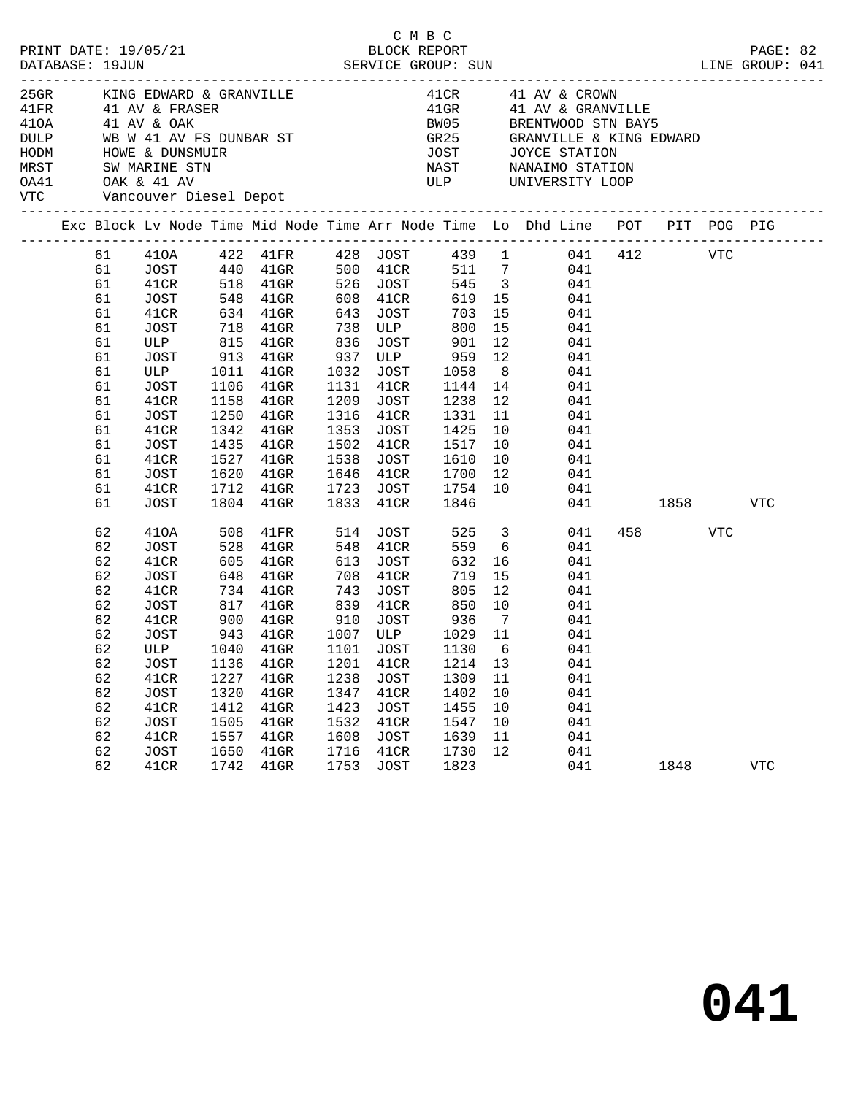| PRINT DATE: 19/05/21<br>DATABASE: 19JUN                                                          |                                                                                                    |                                                                                                                                     |                                                                     | SERVICE GROUP: SUN                                                                                                                                                    |                                                                                                  |                                                                                          | C M B C | BLOCK REPORT                                                                                                      |                                        | LINE GROUP: 041                                                                                                                                                                                                                                                                                  |                                |          | PAGE: 82   |  |
|--------------------------------------------------------------------------------------------------|----------------------------------------------------------------------------------------------------|-------------------------------------------------------------------------------------------------------------------------------------|---------------------------------------------------------------------|-----------------------------------------------------------------------------------------------------------------------------------------------------------------------|--------------------------------------------------------------------------------------------------|------------------------------------------------------------------------------------------|---------|-------------------------------------------------------------------------------------------------------------------|----------------------------------------|--------------------------------------------------------------------------------------------------------------------------------------------------------------------------------------------------------------------------------------------------------------------------------------------------|--------------------------------|----------|------------|--|
| 410A 41 AV & OAK<br>HODM HOWE & DUNSMUIR<br>MRST SW MARINE STN<br>OA41 OAK & 41 AV<br><b>VTC</b> |                                                                                                    | Vancouver Diesel Depot                                                                                                              |                                                                     | 25GR KING EDWARD & GRANVILLE<br>41FR          41  AV  &  FRASER                                                                                                       |                                                                                                  |                                                                                          |         | JOST<br>NAST                                                                                                      |                                        | 41CR             41  AV  &  CROWN<br>41GR            41  AV  &  GRANVILLE<br>BW05 BRENTWOOD STN BAY5<br>DULP WB W 41 AV FS DUNBAR ST GR25 GRANVILLE & KING EDWARD<br>JOST JOYCE STATION<br>NAST MANAIMO STATION<br>ULP UNIVERSITY LOOP                                                           |                                |          |            |  |
|                                                                                                  |                                                                                                    |                                                                                                                                     |                                                                     |                                                                                                                                                                       |                                                                                                  |                                                                                          |         |                                                                                                                   |                                        | Exc Block Lv Node Time Mid Node Time Arr Node Time Lo Dhd Line POT PIT POG PIG                                                                                                                                                                                                                   |                                |          |            |  |
|                                                                                                  | 61<br>61<br>61<br>61<br>61<br>61<br>61<br>61<br>61<br>61<br>61<br>61<br>61<br>61<br>61<br>61<br>61 | 41CR<br>41CR<br>JOST<br><b>ULP</b><br>JOST<br>41CR<br>JOST<br>41CR<br>JOST<br>41CR<br>JOST<br>41CR<br>JOST                          | 1011<br>1106<br>1158<br>1250<br>1342<br>1435<br>1527<br>1620        | 634 41GR 643 JOST<br>718 41GR<br>41GR 1032 JOST 1058 8<br>$41$ GR<br>$41$ GR<br>$41$ GR<br>$41$ GR<br>$41$ GR<br>$41$ GR<br>$41$ GR<br>1712 41GR<br>1804 41GR         | 738 ULP<br>1131<br>1833 41CR                                                                     |                                                                                          | 41CR    | 800 15<br>1144 14<br>1209   JOST        1238    12<br>1316    41CR        1331    11<br>1502 41CR 1517 10<br>1846 |                                        | 61  410A  422  41FR  428  JOST  439  1  041  412  VTC<br>703 15 041<br>041<br>ULP 815 41GR 836 JOST 901 12 041<br>JOST 913 41GR 937 ULP 959 12 041<br>041<br>041<br>041<br>041<br>1353 JOST 1425 10 041<br>041<br>1538 JOST 1610 10 041<br>1646 41CR 1700 12 041<br>1723 JOST 1754 10 041<br>041 |                                | 1858 VTC |            |  |
|                                                                                                  | 62<br>62<br>62<br>62<br>62<br>62<br>62<br>62<br>62<br>62<br>62<br>62<br>62<br>62<br>62<br>62       | 410A<br>JOST<br>41CR<br>JOST<br>41CR<br>JOST<br>41CR<br>JOST<br>JOST<br>41CR<br><b>JOST</b><br>41CR<br>JOST<br>41CR<br>JOST<br>41CR | 508<br>1136<br>1227<br>1320<br>1412<br>1505<br>1557<br>1650<br>1742 | 41FR 514 JOST<br>528 41GR<br>605 41GR<br>900 41GR<br>943 41GR<br>62 ULP 1040 41GR 1101 JOST 1130 6<br>41GR<br>$41$ GR<br>41GR<br>41GR<br>41GR<br>41GR<br>41GR<br>41GR | 548 41CR<br>613 JOST<br>1007 ULP<br>1201<br>1238<br>1347<br>1423<br>1532<br>1608<br>1716<br>1753 | 41CR<br><b>JOST</b><br>41CR<br><b>JOST</b><br>41CR<br><b>JOST</b><br>41CR<br><b>JOST</b> |         | 910 JOST 936 7<br>1029 11<br>1214<br>1309<br>1402<br>1455<br>1547<br>1639<br>1730<br>1823                         | 13<br>11<br>10<br>10<br>10<br>11<br>12 | 525 3 041<br>559 6<br>041<br>632 16<br>041<br>648 41GR 708 41CR 719 15 041<br>734 41GR 743 JOST 805 12 041<br>817 41GR 839 41CR 850 10 041<br>041<br>041<br>041<br>041<br>041<br>041<br>041<br>041<br>041<br>041<br>041                                                                          | 458 and $\overline{a}$<br>1848 | VTC      | <b>VTC</b> |  |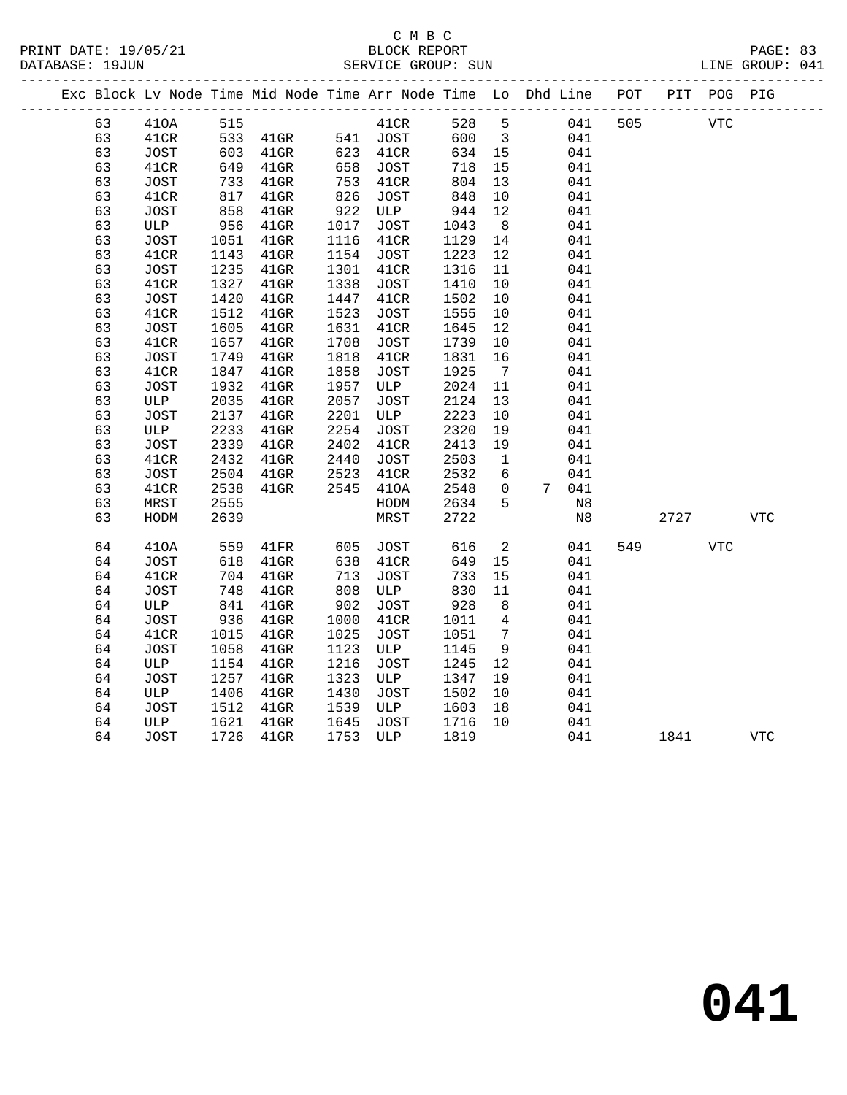| PRINT DATE: 19/05/21<br>DATABASE: 19JUN |    |             |      | DESCRIPTION DESCRIPTION DESCRIPTION DESCRIPTION DESCRIPTION DESCRIPTION DESCRIPTION DESCRIPTION DESCRIPTION DE<br>DATABASE: 19JUN DESCRIPTION DESCRIPTION DESCRIPTION DESCRIPTION DESCRIPTION DESCRIPTION DESCRIPTION DESCRIPTIO |      | C M B C<br>BLOCK REPORT |        |                         |                                                                    | PAGE: 83<br>LINE GROUP: 041 |      |             |            |
|-----------------------------------------|----|-------------|------|----------------------------------------------------------------------------------------------------------------------------------------------------------------------------------------------------------------------------------|------|-------------------------|--------|-------------------------|--------------------------------------------------------------------|-----------------------------|------|-------------|------------|
|                                         |    |             |      |                                                                                                                                                                                                                                  |      | ----------------------- |        |                         | Exc Block Lv Node Time Mid Node Time Arr Node Time Lo Dhd Line POT | ----------------            |      | PIT POG PIG |            |
|                                         | 63 | 410A        | 515  |                                                                                                                                                                                                                                  |      | 41CR                    | 528    | 5                       | 041                                                                | 505                         |      | <b>VTC</b>  |            |
|                                         | 63 | 41CR        |      | 533 41GR                                                                                                                                                                                                                         |      | 541 JOST                | 600    | $\overline{\mathbf{3}}$ | 041                                                                |                             |      |             |            |
|                                         | 63 | <b>JOST</b> |      | 603 41GR                                                                                                                                                                                                                         | 623  | 41CR                    | 634 15 |                         | 041                                                                |                             |      |             |            |
|                                         | 63 | 41CR        | 649  | $41$ GR                                                                                                                                                                                                                          | 658  | JOST                    | 718    | 15                      | 041                                                                |                             |      |             |            |
|                                         | 63 | JOST        | 733  | $41$ GR                                                                                                                                                                                                                          | 753  | 41CR                    | 804    | 13                      | 041                                                                |                             |      |             |            |
|                                         | 63 | 41CR        | 817  | $41$ GR                                                                                                                                                                                                                          | 826  | <b>JOST</b>             | 848    | 10                      | 041                                                                |                             |      |             |            |
|                                         | 63 | JOST        | 858  | $41$ GR                                                                                                                                                                                                                          | 922  | ULP                     | 944    | 12                      | 041                                                                |                             |      |             |            |
|                                         | 63 | ULP         | 956  | $41$ GR                                                                                                                                                                                                                          | 1017 | JOST                    | 1043   | 8 <sup>8</sup>          | 041                                                                |                             |      |             |            |
|                                         | 63 | JOST        | 1051 | $41$ GR                                                                                                                                                                                                                          | 1116 | 41CR                    | 1129   | 14                      | 041                                                                |                             |      |             |            |
|                                         | 63 | 41CR        | 1143 | $41$ GR                                                                                                                                                                                                                          | 1154 | JOST                    | 1223   | 12                      | 041                                                                |                             |      |             |            |
|                                         | 63 | <b>JOST</b> | 1235 | $41$ GR                                                                                                                                                                                                                          | 1301 | 41CR                    | 1316   | 11                      | 041                                                                |                             |      |             |            |
|                                         | 63 | 41CR        | 1327 | $41$ GR                                                                                                                                                                                                                          | 1338 | JOST                    | 1410   | 10                      | 041                                                                |                             |      |             |            |
|                                         | 63 | JOST        | 1420 | $41$ GR                                                                                                                                                                                                                          | 1447 | 41CR                    | 1502   | 10                      | 041                                                                |                             |      |             |            |
|                                         | 63 | 41CR        | 1512 | $41$ GR                                                                                                                                                                                                                          | 1523 | JOST                    | 1555   | 10                      | 041                                                                |                             |      |             |            |
|                                         | 63 | JOST        | 1605 | $41$ GR                                                                                                                                                                                                                          | 1631 | 41CR                    | 1645   | $12 \overline{ }$       | 041                                                                |                             |      |             |            |
|                                         | 63 | 41CR        | 1657 | $41$ GR                                                                                                                                                                                                                          | 1708 | <b>JOST</b>             | 1739   | 10                      | 041                                                                |                             |      |             |            |
|                                         | 63 | <b>JOST</b> | 1749 | $41$ GR                                                                                                                                                                                                                          | 1818 | 41CR                    | 1831   | 16                      | 041                                                                |                             |      |             |            |
|                                         | 63 | 41CR        | 1847 | $41$ GR                                                                                                                                                                                                                          | 1858 | JOST                    | 1925   | $\overline{7}$          | 041                                                                |                             |      |             |            |
|                                         | 63 | <b>JOST</b> | 1932 | $41$ GR                                                                                                                                                                                                                          | 1957 | ULP                     | 2024   | 11                      | 041                                                                |                             |      |             |            |
|                                         | 63 | ULP         | 2035 | $41$ GR                                                                                                                                                                                                                          | 2057 | JOST                    | 2124   | 13                      | 041                                                                |                             |      |             |            |
|                                         | 63 | JOST        | 2137 | $41$ GR                                                                                                                                                                                                                          | 2201 | ULP                     | 2223   | 10                      | 041                                                                |                             |      |             |            |
|                                         | 63 | ULP         | 2233 | $41$ GR                                                                                                                                                                                                                          | 2254 | <b>JOST</b>             | 2320   | 19                      | 041                                                                |                             |      |             |            |
|                                         | 63 | JOST        | 2339 | $41$ GR                                                                                                                                                                                                                          | 2402 | 41CR                    | 2413   | 19                      | 041                                                                |                             |      |             |            |
|                                         | 63 | 41CR        | 2432 | $41$ GR                                                                                                                                                                                                                          | 2440 | JOST                    | 2503   | $\mathbf{1}$            | 041                                                                |                             |      |             |            |
|                                         | 63 | <b>JOST</b> | 2504 | $41$ GR                                                                                                                                                                                                                          | 2523 | 41CR                    | 2532   | 6                       | 041                                                                |                             |      |             |            |
|                                         | 63 | 41CR        | 2538 | $41$ GR                                                                                                                                                                                                                          | 2545 | 410A                    | 2548   | $\mathbf{0}$            | 7 041                                                              |                             |      |             |            |
|                                         | 63 | MRST        | 2555 |                                                                                                                                                                                                                                  |      | HODM                    | 2634   | 5                       | N8                                                                 |                             |      |             |            |
|                                         | 63 | HODM        | 2639 |                                                                                                                                                                                                                                  |      | MRST                    | 2722   |                         | N8                                                                 |                             | 2727 |             | <b>VTC</b> |
|                                         | 64 | 410A        | 559  | 41FR                                                                                                                                                                                                                             | 605  | JOST                    | 616    | 2                       | 041                                                                | 549                         |      | <b>VTC</b>  |            |
|                                         | 64 | JOST        | 618  | $41$ GR                                                                                                                                                                                                                          | 638  | 41CR                    | 649    | 15                      | 041                                                                |                             |      |             |            |
|                                         | 64 | 41CR        | 704  | $41$ GR                                                                                                                                                                                                                          | 713  | JOST                    | 733    | 15                      | 041                                                                |                             |      |             |            |
|                                         | 64 | JOST        | 748  | $41$ GR                                                                                                                                                                                                                          | 808  | ULP                     | 830    | 11                      | 041                                                                |                             |      |             |            |
|                                         | 64 | ULP         | 841  | $41$ GR                                                                                                                                                                                                                          | 902  | JOST                    | 928    | 8                       | 041                                                                |                             |      |             |            |
|                                         | 64 | <b>JOST</b> | 936  | $41$ GR                                                                                                                                                                                                                          | 1000 | 41CR                    | 1011   | 4                       | 041                                                                |                             |      |             |            |
|                                         | 64 | 41CR        | 1015 | $41$ GR                                                                                                                                                                                                                          | 1025 | JOST                    | 1051   | $7\phantom{.0}$         | 041                                                                |                             |      |             |            |
|                                         | 64 | JOST        | 1058 | $41$ GR                                                                                                                                                                                                                          | 1123 | ULP                     | 1145   | 9                       | 041                                                                |                             |      |             |            |
|                                         | 64 | ULP         | 1154 | $41$ GR                                                                                                                                                                                                                          | 1216 | JOST                    | 1245   | 12                      | 041                                                                |                             |      |             |            |
|                                         | 64 | JOST        | 1257 | $41$ GR                                                                                                                                                                                                                          | 1323 | ULP                     | 1347   | 19                      | 041                                                                |                             |      |             |            |
|                                         | 64 | ULP         | 1406 | $41$ GR                                                                                                                                                                                                                          | 1430 | JOST                    | 1502   | 10                      | 041                                                                |                             |      |             |            |
|                                         | 64 | <b>JOST</b> | 1512 | 41GR                                                                                                                                                                                                                             | 1539 | ULP                     | 1603   | 18                      | 041                                                                |                             |      |             |            |

64 ULP 1621 41GR 1645 JOST 1716 10 041

64 JOST 1726 41GR 1753 ULP 1819 041 1841 VTC

**041**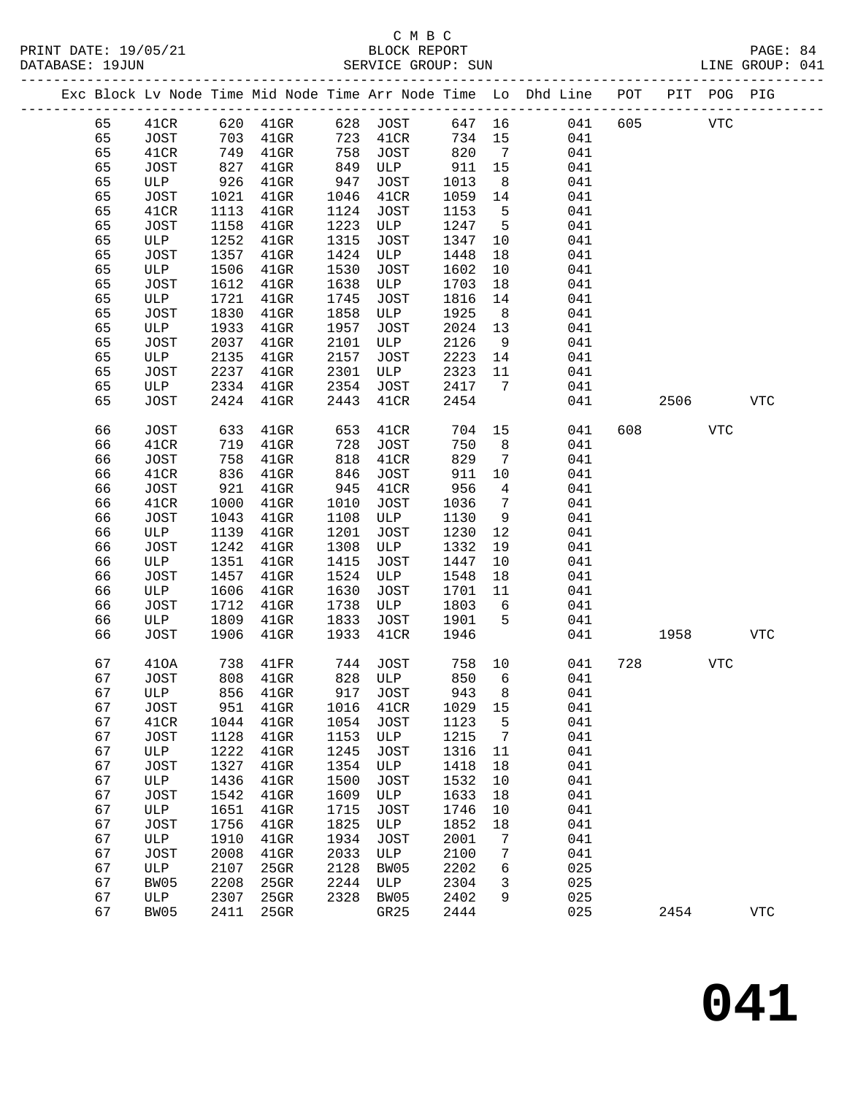### C M B C DATABASE: 19JUN SERVICE GROUP: SUN LINE GROUP: 041

|    |      |      |               |      |             |        |                 | Exc Block Lv Node Time Mid Node Time Arr Node Time Lo Dhd Line POT |     | PIT      |            | POG PIG |
|----|------|------|---------------|------|-------------|--------|-----------------|--------------------------------------------------------------------|-----|----------|------------|---------|
| 65 |      |      | 41CR 620 41GR |      | 628 JOST    |        |                 | 647 16<br>041                                                      | 605 |          | <b>VTC</b> |         |
| 65 | JOST | 703  | $41$ GR       | 723  | 41CR        | 734 15 |                 | 041                                                                |     |          |            |         |
| 65 | 41CR | 749  | $41$ GR       | 758  | <b>JOST</b> | 820    | $\overline{7}$  | 041                                                                |     |          |            |         |
| 65 | JOST | 827  | $41$ GR       | 849  | ULP         | 911    | 15              | 041                                                                |     |          |            |         |
| 65 | ULP  | 926  | $41$ GR       | 947  | JOST        | 1013   | 8 <sup>8</sup>  | 041                                                                |     |          |            |         |
| 65 | JOST | 1021 | $41$ GR       | 1046 | 41CR        | 1059   | 14              | 041                                                                |     |          |            |         |
| 65 | 41CR | 1113 | $41$ GR       | 1124 | JOST        | 1153   | $-5$            | 041                                                                |     |          |            |         |
| 65 | JOST | 1158 | $41$ GR       | 1223 | ULP         | 1247   | $5^{\circ}$     | 041                                                                |     |          |            |         |
| 65 | ULP  | 1252 | $41$ GR       | 1315 | JOST        | 1347   | 10              | 041                                                                |     |          |            |         |
| 65 | JOST | 1357 | $41$ GR       | 1424 | ULP         | 1448   | 18              | 041                                                                |     |          |            |         |
| 65 | ULP  | 1506 | $41$ GR       | 1530 | JOST        | 1602   | 10              | 041                                                                |     |          |            |         |
| 65 | JOST | 1612 | $41$ GR       | 1638 | ULP         | 1703   | 18              | 041                                                                |     |          |            |         |
| 65 | ULP  | 1721 | $41$ GR       | 1745 | JOST        | 1816   | 14              | 041                                                                |     |          |            |         |
| 65 | JOST | 1830 | $41$ GR       | 1858 | ULP         | 1925   | 8 <sup>8</sup>  | 041                                                                |     |          |            |         |
| 65 | ULP  | 1933 | $41$ GR       | 1957 | <b>JOST</b> | 2024   | 13              | 041                                                                |     |          |            |         |
| 65 | JOST | 2037 | $41$ GR       | 2101 | ULP         | 2126   | 9               | 041                                                                |     |          |            |         |
| 65 | ULP  | 2135 | $41$ GR       | 2157 | <b>JOST</b> | 2223   | 14              | 041                                                                |     |          |            |         |
| 65 | JOST | 2237 | $41$ GR       | 2301 | ULP         | 2323   | 11              | 041                                                                |     |          |            |         |
| 65 | ULP  | 2334 | $41$ GR       | 2354 | JOST        | 2417   | $\overline{7}$  | 041                                                                |     |          |            |         |
| 65 | JOST | 2424 | $41$ GR       | 2443 | 41CR        | 2454   |                 | 041                                                                |     | 2506 VTC |            |         |
| 66 | JOST | 633  | $41$ GR       | 653  | 41CR        | 704    | 15              | 041                                                                | 608 |          | VTC        |         |
| 66 | 41CR | 719  | $41$ GR       | 728  | JOST        | 750    | 8               | 041                                                                |     |          |            |         |
| 66 | JOST | 758  | $41$ GR       | 818  | 41CR        | 829    | $\overline{7}$  | 041                                                                |     |          |            |         |
| 66 | 41CR | 836  | $41$ GR       | 846  | JOST        | 911    | 10 <sup>°</sup> | 041                                                                |     |          |            |         |
| 66 | JOST | 921  | 41GR          | 945  | 41CR        | 956    | $\overline{4}$  | 041                                                                |     |          |            |         |
| 66 | 41CR | 1000 | $41$ GR       | 1010 | <b>JOST</b> | 1036   | $7\phantom{.0}$ | 041                                                                |     |          |            |         |
| 66 | JOST | 1043 | $41$ GR       | 1108 | ULP         | 1130   | 9               | 041                                                                |     |          |            |         |
| 66 | ULP  | 1139 | $41$ GR       | 1201 | JOST        | 1230   | 12              | 041                                                                |     |          |            |         |
| 66 | JOST | 1242 | $41$ GR       | 1308 | ULP         | 1332   | 19              | 041                                                                |     |          |            |         |
| 66 | ULP  | 1351 | $41$ GR       | 1415 | JOST        | 1447   | 10              | 041                                                                |     |          |            |         |
| 66 | JOST | 1457 | 41GR          | 1524 | ULP         | 1548   | 18              | 041                                                                |     |          |            |         |
| 66 | ULP  | 1606 | 41GR          | 1630 | JOST        | 1701   | 11              | 041                                                                |     |          |            |         |
| 66 | JOST | 1712 | 41GR          | 1738 | ULP         | 1803   | 6               | 041                                                                |     |          |            |         |
| 66 | ULP  | 1809 | $41$ GR       | 1833 | JOST        | 1901   | 5               | 041                                                                |     |          |            |         |
| 66 | JOST | 1906 | $41$ GR       | 1933 | 41CR        | 1946   |                 | 041                                                                |     | 1958     |            | VTC     |
| 67 | 410A | 738  | 41FR          | 744  | JOST        | 758    | 10              | 041                                                                | 728 |          | <b>VTC</b> |         |
| 67 | JOST | 808  | $41$ GR       | 828  | ULP         | 850    | 6               | 041                                                                |     |          |            |         |
| 67 | ULP  | 856  | $41$ GR       | 917  | <b>JOST</b> | 943    | 8               | 041                                                                |     |          |            |         |
|    |      |      |               |      |             |        |                 |                                                                    |     |          |            |         |

 67 JOST 951 41GR 1016 41CR 1029 15 041 67 41CR 1044 41GR 1054 JOST 1123 5 041 67 JOST 1128 41GR 1153 ULP 1215 7 041 67 ULP 1222 41GR 1245 JOST 1316 11 041 67 JOST 1327 41GR 1354 ULP 1418 18 041 67 ULP 1436 41GR 1500 JOST 1532 10 041 67 JOST 1542 41GR 1609 ULP 1633 18 041 67 ULP 1651 41GR 1715 JOST 1746 10 041

67 ULP 1910 41GR 1934 JOST 2001 7<br>67 JOST 2008 41GR 2033 ULP 2100 7

 67 BW05 2208 25GR 2244 ULP 2304 3 025 67 ULP 2307 25GR 2328 BW05 2402 9 025

67 JOST 1756 41GR 1825 ULP 1852 18 041

 67 JOST 2008 41GR 2033 ULP 2100 7 041 67 ULP 2107 25GR 2128 BW05 2202 6 025

67 BW05 2208 25GR 2244 ULP 2304 3 025<br>67 ULP 2307 25GR 2328 BW05 2402 9 025<br>67 BW05 2411 25GR GR25 2444 025 2454 VTC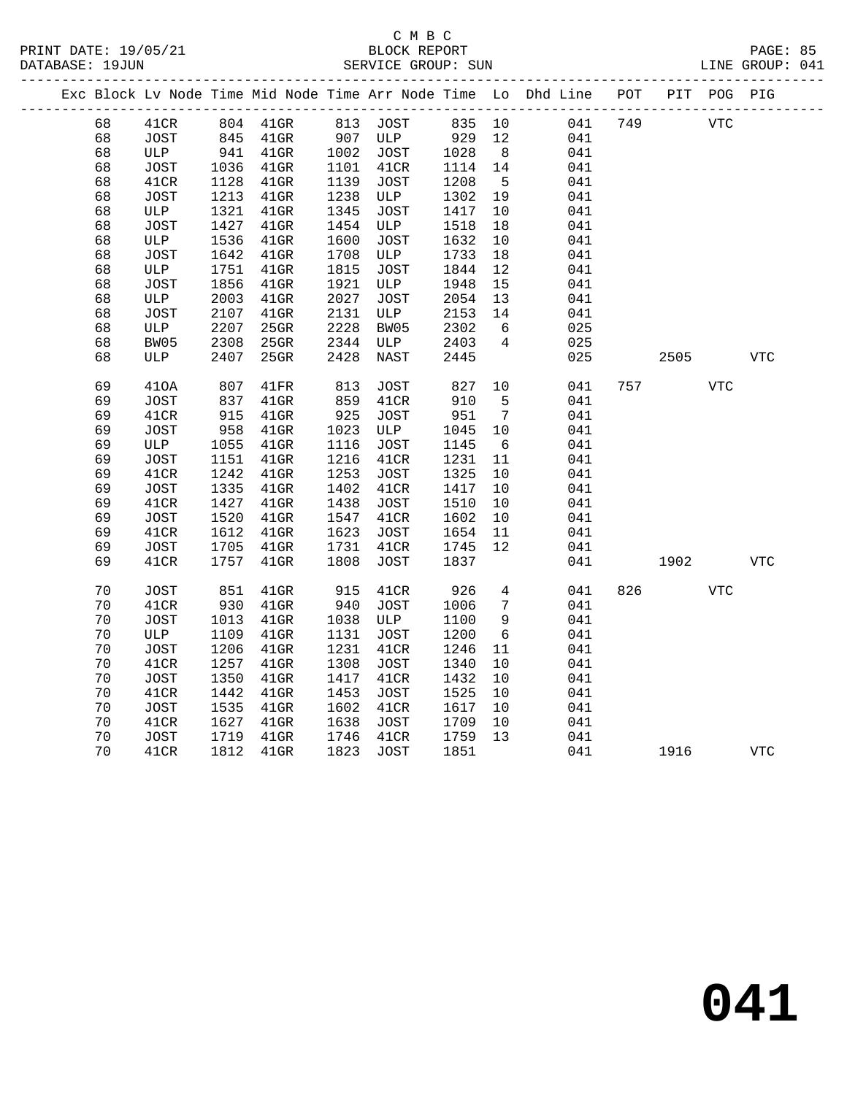### C M B C<br>BLOCK REPORT SERVICE GROUP: SUN

|    |             |      |          |      |             |        |                 | Exc Block Lv Node Time Mid Node Time Arr Node Time Lo Dhd Line POT |     |      | PIT POG PIG |            |
|----|-------------|------|----------|------|-------------|--------|-----------------|--------------------------------------------------------------------|-----|------|-------------|------------|
| 68 | 41CR        |      | 804 41GR |      | 813 JOST    | 835 10 |                 | 041                                                                | 749 |      | VTC         |            |
| 68 | JOST        | 845  | $41$ GR  | 907  | ULP         | 929    | 12              | 041                                                                |     |      |             |            |
| 68 | ULP         | 941  | $41$ GR  | 1002 | JOST        | 1028   | 8               | 041                                                                |     |      |             |            |
| 68 | JOST        | 1036 | $41$ GR  | 1101 | 41CR        | 1114   | 14              | 041                                                                |     |      |             |            |
| 68 | 41CR        | 1128 | $41$ GR  | 1139 | JOST        | 1208   | $5^{\circ}$     | 041                                                                |     |      |             |            |
| 68 | JOST        | 1213 | $41$ GR  | 1238 | ULP         | 1302   | 19              | 041                                                                |     |      |             |            |
| 68 | ULP         | 1321 | $41$ GR  | 1345 | JOST        | 1417   | 10              | 041                                                                |     |      |             |            |
| 68 | JOST        | 1427 | $41$ GR  | 1454 | ULP         | 1518   | 18              | 041                                                                |     |      |             |            |
| 68 | ULP         | 1536 | $41$ GR  | 1600 | <b>JOST</b> | 1632   | 10              | 041                                                                |     |      |             |            |
| 68 | JOST        | 1642 | $41$ GR  | 1708 | ULP         | 1733   | 18              | 041                                                                |     |      |             |            |
| 68 | ULP         | 1751 | $41$ GR  | 1815 | JOST        | 1844   | 12              | 041                                                                |     |      |             |            |
| 68 | JOST        | 1856 | $41$ GR  | 1921 | ULP         | 1948   | 15              | 041                                                                |     |      |             |            |
| 68 | ULP         | 2003 | 41GR     | 2027 | JOST        | 2054   | 13              | 041                                                                |     |      |             |            |
| 68 | <b>JOST</b> | 2107 | $41$ GR  | 2131 | ULP         | 2153   | 14              | 041                                                                |     |      |             |            |
| 68 | ULP         | 2207 | $25$ GR  | 2228 | BW05        | 2302   | 6               | 025                                                                |     |      |             |            |
| 68 | BW05        | 2308 | 25GR     | 2344 | ULP         | 2403   | $\overline{4}$  | 025                                                                |     |      |             |            |
| 68 | ULP         | 2407 | 25GR     | 2428 | NAST        | 2445   |                 | 025                                                                |     | 2505 |             | <b>VTC</b> |
| 69 | 410A        | 807  | 41FR     | 813  | JOST        | 827    | 10              | 041                                                                | 757 |      | <b>VTC</b>  |            |
| 69 | JOST        | 837  | $41$ GR  | 859  | 41CR        | 910    | 5               | 041                                                                |     |      |             |            |
| 69 | 41CR        | 915  | $41$ GR  | 925  | <b>JOST</b> | 951    | $\overline{7}$  | 041                                                                |     |      |             |            |
| 69 | JOST        | 958  | $41$ GR  | 1023 | ULP         | 1045   | 10              | 041                                                                |     |      |             |            |
| 69 | ULP         | 1055 | $41$ GR  | 1116 | JOST        | 1145   | $6\overline{6}$ | 041                                                                |     |      |             |            |
| 69 | JOST        | 1151 | $41$ GR  | 1216 | 41CR        | 1231   | 11              | 041                                                                |     |      |             |            |
| 69 | 41CR        | 1242 | $41$ GR  | 1253 | <b>JOST</b> | 1325   | 10              | 041                                                                |     |      |             |            |
| 69 | JOST        | 1335 | $41$ GR  | 1402 | 41CR        | 1417   | 10              | 041                                                                |     |      |             |            |
| 69 | 41CR        | 1427 | $41$ GR  | 1438 | <b>JOST</b> | 1510   | 10              | 041                                                                |     |      |             |            |
| 69 | JOST        | 1520 | $41$ GR  | 1547 | 41CR        | 1602   | 10              | 041                                                                |     |      |             |            |
| 69 | 41CR        | 1612 | $41$ GR  | 1623 | JOST        | 1654   | 11              | 041                                                                |     |      |             |            |
| 69 | JOST        | 1705 | $41$ GR  | 1731 | 41CR        | 1745   | 12              | 041                                                                |     |      |             |            |
| 69 | 41CR        | 1757 | $41$ GR  | 1808 | JOST        | 1837   |                 | 041                                                                |     | 1902 |             | <b>VTC</b> |
| 70 | JOST        | 851  | $41$ GR  | 915  | 41CR        | 926    | 4               | 041                                                                | 826 |      | <b>VTC</b>  |            |
| 70 | 41CR        | 930  | $41$ GR  | 940  | JOST        | 1006   | 7               | 041                                                                |     |      |             |            |
| 70 | <b>JOST</b> | 1013 | $41$ GR  | 1038 | ULP         | 1100   | 9               | 041                                                                |     |      |             |            |
| 70 | ULP         | 1109 | $41$ GR  | 1131 | <b>JOST</b> | 1200   | 6               | 041                                                                |     |      |             |            |
| 70 | JOST        | 1206 | $41$ GR  | 1231 | 41CR        | 1246   | 11              | 041                                                                |     |      |             |            |
| 70 | 41CR        | 1257 | $41$ GR  | 1308 | JOST        | 1340   | 10              | 041                                                                |     |      |             |            |
| 70 | JOST        | 1350 | $41$ GR  | 1417 | 41CR        | 1432   | 10              | 041                                                                |     |      |             |            |
| 70 | 41CR        | 1442 | $41$ GR  | 1453 | <b>JOST</b> | 1525   | 10              | 041                                                                |     |      |             |            |
| 70 | JOST        | 1535 | $41$ GR  | 1602 | 41CR        | 1617   | 10              | 041                                                                |     |      |             |            |
| 70 | 41CR        | 1627 | $41$ GR  | 1638 | JOST        | 1709   | 10              | 041                                                                |     |      |             |            |
| 70 | JOST        | 1719 | $41$ GR  | 1746 | 41CR        | 1759   | 13              | 041                                                                |     |      |             |            |
| 70 | 41CR        | 1812 | $41$ GR  | 1823 | JOST        | 1851   |                 | 041                                                                |     | 1916 |             | <b>VTC</b> |
|    |             |      |          |      |             |        |                 |                                                                    |     |      |             |            |

**041**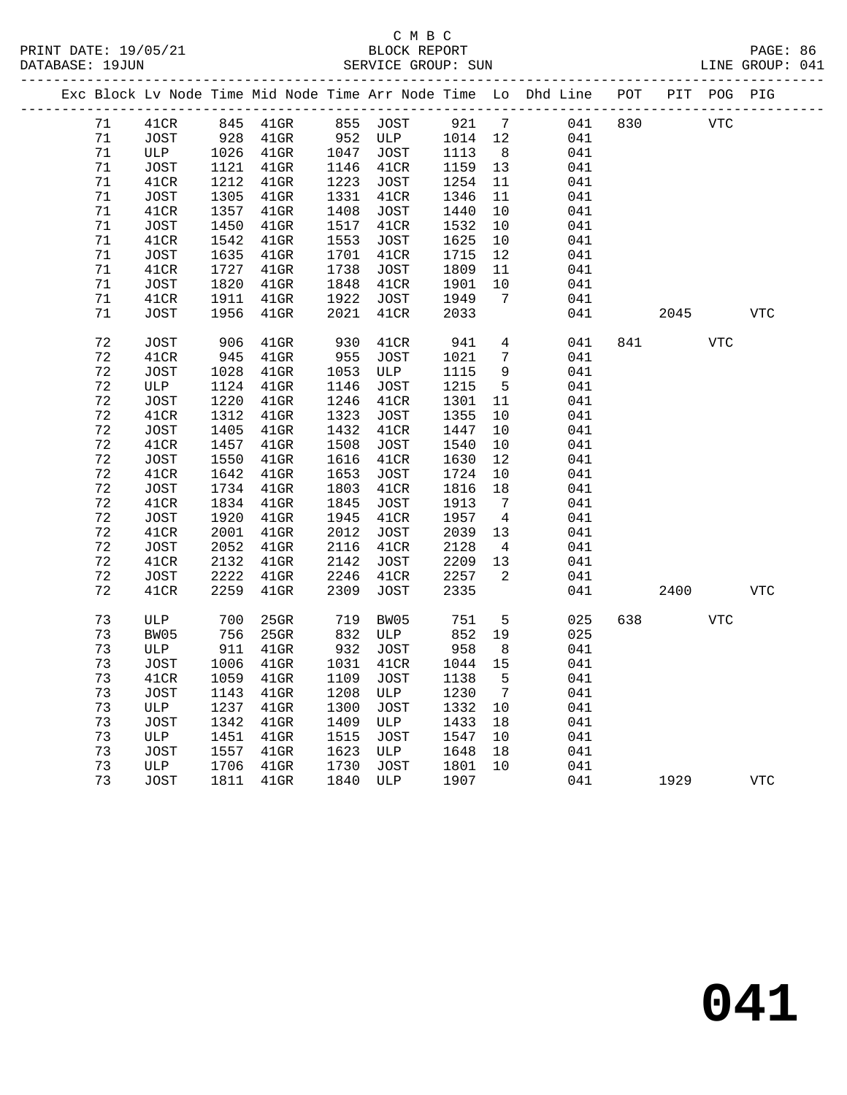|  |             |              |              |                    |              |                    |              |                 | Exc Block Lv Node Time Mid Node Time Arr Node Time Lo Dhd Line POT PIT POG PIG |     |      |            |            |
|--|-------------|--------------|--------------|--------------------|--------------|--------------------|--------------|-----------------|--------------------------------------------------------------------------------|-----|------|------------|------------|
|  | 71          | 41CR         | 845          | $41$ GR            |              | 855 JOST           | 921          | $7\overline{ }$ | 041                                                                            | 830 |      | <b>VTC</b> |            |
|  | 71          | JOST         | 928          | $41$ GR            | 952          | ULP                | 1014         | 12              | 041                                                                            |     |      |            |            |
|  | 71          | ULP          | 1026         | $41$ GR            | 1047         | JOST               | 1113         | 8               | 041                                                                            |     |      |            |            |
|  | 71          | JOST         | 1121         | $41$ GR            |              | 1146 41CR          | 1159         | 13              | 041                                                                            |     |      |            |            |
|  | 71          | 41CR         | 1212         | $41$ GR            | 1223         | JOST               | 1254         | 11              | 041                                                                            |     |      |            |            |
|  | 71          | <b>JOST</b>  | 1305         | $41$ GR            | 1331         | 41CR               | 1346         | 11              | 041                                                                            |     |      |            |            |
|  | 71          | 41CR         | 1357         | $41$ GR            | 1408         | JOST               | 1440         | 10              | 041                                                                            |     |      |            |            |
|  | 71          | JOST         | 1450         | $41$ GR            | 1517         | 41CR               | 1532         | 10              | 041                                                                            |     |      |            |            |
|  | 71          | 41CR         | 1542         | $41$ GR            | 1553         | JOST               | 1625         | 10              | 041                                                                            |     |      |            |            |
|  | 71          | JOST         | 1635         | $41$ GR            | 1701         | 41CR               | 1715         | 12              | 041                                                                            |     |      |            |            |
|  | 71          | 41CR         | 1727         | 41GR               | 1738         | JOST               | 1809         | 11              | 041                                                                            |     |      |            |            |
|  | 71          | JOST         | 1820         | 41GR               | 1848         | 41CR               | 1901         | 10              | 041                                                                            |     |      |            |            |
|  | 71          | 41CR         | 1911         | $41$ GR            | 1922         | JOST               | 1949         | 7               | 041                                                                            |     |      |            |            |
|  | 71          | JOST         | 1956         | $41$ GR            | 2021         | 41CR               | 2033         |                 | 041                                                                            |     | 2045 |            | <b>VTC</b> |
|  | 72          |              | 906          |                    | 930          | 41CR               | 941          | $\overline{4}$  | 041                                                                            | 841 |      | <b>VTC</b> |            |
|  | 72          | <b>JOST</b>  |              | $41$ GR            | 955          |                    |              | $7\phantom{.0}$ | 041                                                                            |     |      |            |            |
|  | 72          | 41CR<br>JOST | 945<br>1028  | $41$ GR<br>$41$ GR |              | <b>JOST</b><br>ULP | 1021<br>1115 | 9               | 041                                                                            |     |      |            |            |
|  | 72          |              |              |                    | 1053<br>1146 |                    | 1215         | $5\overline{5}$ | 041                                                                            |     |      |            |            |
|  | 72          | ULP          | 1124<br>1220 | $41$ GR            | 1246         | <b>JOST</b>        |              |                 |                                                                                |     |      |            |            |
|  |             | JOST         |              | $41$ GR            |              | 41CR               | 1301         | 11              | 041                                                                            |     |      |            |            |
|  | 72          | 41CR         | 1312         | $41$ GR            | 1323         | <b>JOST</b>        | 1355         | 10              | 041                                                                            |     |      |            |            |
|  | 72          | JOST         | 1405         | $41$ GR            | 1432         | 41CR               | 1447         | $10$            | 041                                                                            |     |      |            |            |
|  | $7\sqrt{2}$ | 41CR         | 1457         | $41$ GR            | 1508<br>1616 | JOST               | 1540         | 10              | 041                                                                            |     |      |            |            |
|  | $7\sqrt{2}$ | JOST         | 1550         | $41$ GR            |              | 41CR               | 1630         | 12              | 041                                                                            |     |      |            |            |
|  | 72          | 41CR         | 1642         | $41$ GR            | 1653         | JOST               | 1724         | $10\,$          | 041                                                                            |     |      |            |            |
|  | 72          | JOST         | 1734         | $41$ GR            | 1803         | 41CR               | 1816         | 18              | 041                                                                            |     |      |            |            |
|  | 72          | 41CR         | 1834         | 41GR               | 1845         | JOST               | 1913         | $\overline{7}$  | 041                                                                            |     |      |            |            |
|  | 72          | JOST         | 1920         | $41$ GR            | 1945         | 41CR               | 1957         | $\overline{4}$  | 041                                                                            |     |      |            |            |
|  | 72          | 41CR         | 2001         | $41$ GR            | 2012         | JOST               | 2039         | 13              | 041                                                                            |     |      |            |            |
|  | 72          | <b>JOST</b>  | 2052         | $41$ GR            | 2116         | 41CR               | 2128         | $\overline{4}$  | 041                                                                            |     |      |            |            |
|  | 72          | 41CR         | 2132         | 41GR               | 2142         | JOST               | 2209         | 13              | 041                                                                            |     |      |            |            |
|  | 72          | <b>JOST</b>  | 2222         | $41$ GR            | 2246         | 41CR               | 2257         | $\overline{2}$  | 041                                                                            |     |      |            |            |
|  | 72          | 41CR         | 2259         | $41$ GR            | 2309         | JOST               | 2335         |                 | 041                                                                            |     | 2400 |            | <b>VTC</b> |
|  | 73          | ULP          | 700          | $25$ GR            | 719          | BW05               | 751          | 5               | 025                                                                            | 638 |      | <b>VTC</b> |            |
|  | 73          | BW05         | 756          | 25GR               | 832          | ULP                | 852          | 19              | 025                                                                            |     |      |            |            |
|  | 73          | ULP          | 911          | $41$ GR            | 932          | JOST               | 958          | 8               | 041                                                                            |     |      |            |            |
|  | 73          | JOST         | 1006         | $41$ GR            | 1031         | 41CR               | 1044         | 15              | 041                                                                            |     |      |            |            |
|  | 73          | 41CR         | 1059         | 41GR               | 1109         | JOST               | 1138         | 5               | 041                                                                            |     |      |            |            |
|  | 73          | JOST         | 1143         | 41GR               | 1208         | ULP                | 1230         | $7\overline{ }$ | 041                                                                            |     |      |            |            |
|  | 73          | ULP          | 1237         | $41$ GR            | 1300         | JOST               | 1332         | 10              | 041                                                                            |     |      |            |            |
|  | 73          | <b>JOST</b>  | 1342         | $41$ GR            | 1409         | ULP                | 1433         | 18              | 041                                                                            |     |      |            |            |
|  | 73          | ULP          | 1451         | $41$ GR            | 1515         | JOST               | 1547         | 10              | 041                                                                            |     |      |            |            |
|  | 73          | <b>JOST</b>  | 1557         | $41$ GR            | 1623         | ULP                | 1648         | 18              | 041                                                                            |     |      |            |            |
|  | 73          | ULP          | 1706         | $41$ GR            | 1730         | JOST               | 1801         | 10              | 041                                                                            |     |      |            |            |
|  | 73          | JOST         | 1811         | $41$ GR            | 1840         | ULP                | 1907         |                 | 041                                                                            |     | 1929 |            | <b>VTC</b> |
|  |             |              |              |                    |              |                    |              |                 |                                                                                |     |      |            |            |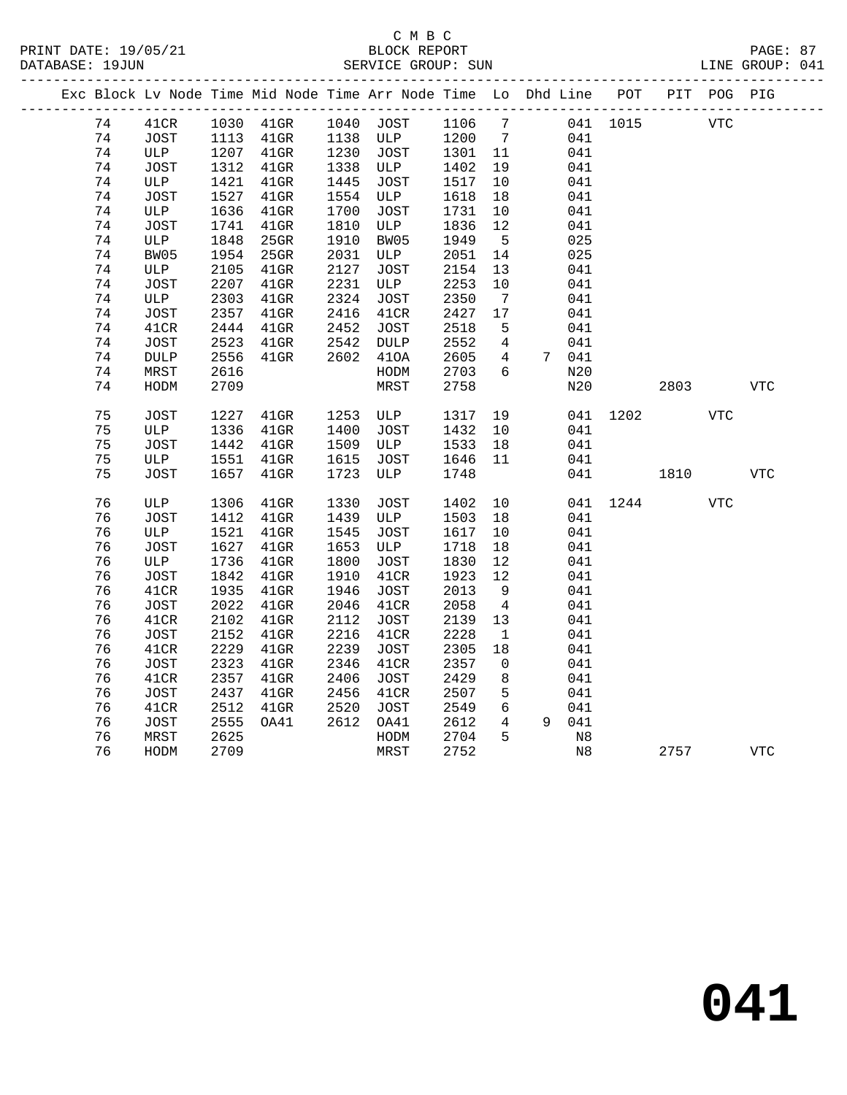PRINT DATE: 19/05/21 BLOCK REPORT PAGE: 87 DATABASE: 19JUN

# C M B C<br>BLOCK REPORT

|  | DAIADAJE · IJUUN |       |                    | OBRVICE GROUP. SUN | TIME GROOF. AIT                 |        |                                                                                |  |  |     |  |
|--|------------------|-------|--------------------|--------------------|---------------------------------|--------|--------------------------------------------------------------------------------|--|--|-----|--|
|  |                  |       |                    |                    |                                 |        | Exc Block Lv Node Time Mid Node Time Arr Node Time Lo Dhd Line POT PIT POG PIG |  |  |     |  |
|  | 74               |       |                    |                    | 41CR 1030 41GR 1040 JOST 1106 7 |        | 041 1015                                                                       |  |  | VTC |  |
|  | 74               | TOST. | 1113 41GR 1138 ULP |                    |                                 | 1200 7 | 041                                                                            |  |  |     |  |

| 74 | JOST            | 1113 | $41$ GR | 1138 | ULP          | 1200 | $7\phantom{.0}$ |                | 041         |      |      |                |                |
|----|-----------------|------|---------|------|--------------|------|-----------------|----------------|-------------|------|------|----------------|----------------|
| 74 | ULP             | 1207 | $41$ GR | 1230 | <b>JOST</b>  | 1301 | $11\,$          |                | 041         |      |      |                |                |
| 74 | <b>JOST</b>     | 1312 | $41$ GR | 1338 | ULP          | 1402 | 19              |                | 041         |      |      |                |                |
| 74 | ULP             | 1421 | $41$ GR | 1445 | <b>JOST</b>  | 1517 | $10$            |                | 041         |      |      |                |                |
| 74 | <b>JOST</b>     | 1527 | $41$ GR | 1554 | ULP          | 1618 | 18              |                | 041         |      |      |                |                |
| 74 | ULP             | 1636 | $41$ GR | 1700 | JOST         | 1731 | 10              |                | 041         |      |      |                |                |
| 74 | <b>JOST</b>     | 1741 | $41$ GR | 1810 | ULP          | 1836 | 12              |                | 041         |      |      |                |                |
| 74 | ULP             | 1848 | 25GR    | 1910 | BW05         | 1949 | 5               |                | 025         |      |      |                |                |
| 74 | BW05            | 1954 | 25GR    | 2031 | ULP          | 2051 | 14              |                | 025         |      |      |                |                |
| 74 | ULP             | 2105 | $41$ GR | 2127 | <b>JOST</b>  | 2154 | 13              |                | 041         |      |      |                |                |
| 74 | <b>JOST</b>     | 2207 | $41$ GR | 2231 | ULP          | 2253 | $10$            |                | 041         |      |      |                |                |
| 74 | ULP             | 2303 | $41$ GR | 2324 | JOST         | 2350 | $7\phantom{.0}$ |                | 041         |      |      |                |                |
| 74 | <b>JOST</b>     | 2357 | $41$ GR | 2416 | 41CR         | 2427 | $17$            |                | 041         |      |      |                |                |
| 74 | 41CR            | 2444 | $41$ GR | 2452 | <b>JOST</b>  | 2518 | 5               |                | 041         |      |      |                |                |
| 74 | <b>JOST</b>     | 2523 | $41$ GR | 2542 | DULP         | 2552 | $\overline{4}$  |                | 041         |      |      |                |                |
| 74 | $\texttt{DULP}$ | 2556 | $41$ GR | 2602 | 410A         | 2605 | 4               | 7 <sup>7</sup> | 041         |      |      |                |                |
| 74 | MRST            | 2616 |         |      | HODM         | 2703 | 6               |                | N20         |      |      |                |                |
| 74 | HODM            | 2709 |         |      | MRST         | 2758 |                 |                | N20         |      | 2803 |                | ${\hbox{VTC}}$ |
|    |                 |      |         |      |              |      |                 |                |             |      |      |                |                |
| 75 | <b>JOST</b>     | 1227 | 41GR    | 1253 | ULP          | 1317 | 19              |                | 041         | 1202 |      | $_{\rm VTC}$   |                |
| 75 | $_{\rm ULP}$    | 1336 | $41$ GR | 1400 | <b>JOST</b>  | 1432 | $10$            |                | 041         |      |      |                |                |
| 75 | <b>JOST</b>     | 1442 | $41$ GR | 1509 | $_{\rm ULP}$ | 1533 | 18              |                | 041         |      |      |                |                |
| 75 | ULP             | 1551 | $41$ GR | 1615 | JOST         | 1646 | 11              |                | 041         |      |      |                |                |
| 75 | JOST            | 1657 | $41$ GR | 1723 | ULP          | 1748 |                 |                | 041         |      | 1810 |                | <b>VTC</b>     |
|    |                 |      |         |      |              |      |                 |                |             |      |      |                |                |
| 76 | ULP             | 1306 | $41$ GR | 1330 | <b>JOST</b>  | 1402 | 10              |                | 041         | 1244 |      | ${\hbox{VTC}}$ |                |
| 76 | <b>JOST</b>     | 1412 | $41$ GR | 1439 | ULP          | 1503 | 18              |                | 041         |      |      |                |                |
| 76 | ULP             | 1521 | $41$ GR | 1545 | <b>JOST</b>  | 1617 | $10$            |                | 041         |      |      |                |                |
| 76 | <b>JOST</b>     | 1627 | $41$ GR | 1653 | ULP          | 1718 | 18              |                | 041         |      |      |                |                |
| 76 | ULP             | 1736 | $41$ GR | 1800 | <b>JOST</b>  | 1830 | $12$            |                | 041         |      |      |                |                |
| 76 | <b>JOST</b>     | 1842 | $41$ GR | 1910 | 41CR         | 1923 | 12              |                | 041         |      |      |                |                |
| 76 | 41CR            | 1935 | $41$ GR | 1946 | <b>JOST</b>  | 2013 | $\mathsf 9$     |                | 041         |      |      |                |                |
| 76 | <b>JOST</b>     | 2022 | $41$ GR | 2046 | 41CR         | 2058 | $\overline{4}$  |                | 041         |      |      |                |                |
| 76 | 41CR            | 2102 | 41GR    | 2112 | <b>JOST</b>  | 2139 | 13              |                | 041         |      |      |                |                |
| 76 | <b>JOST</b>     | 2152 | $41$ GR | 2216 | 41CR         | 2228 | $1\,$           |                | 041         |      |      |                |                |
| 76 | 41CR            | 2229 | $41$ GR | 2239 | JOST         | 2305 | $18\,$          |                | 041         |      |      |                |                |
| 76 | <b>JOST</b>     | 2323 | $41$ GR | 2346 | 41CR         | 2357 | 0               |                | 041         |      |      |                |                |
| 76 | 41CR            | 2357 | $41$ GR | 2406 | <b>JOST</b>  | 2429 | 8               |                | 041         |      |      |                |                |
| 76 | <b>JOST</b>     | 2437 | $41$ GR | 2456 | 41CR         | 2507 | 5               |                | 041         |      |      |                |                |
| 76 | 41CR            | 2512 | $41$ GR | 2520 | <b>JOST</b>  | 2549 | 6               |                | 041         |      |      |                |                |
| 76 | <b>JOST</b>     | 2555 | OA41    | 2612 | OA41         | 2612 | 4               | 9              | 041         |      |      |                |                |
| 76 | MRST            | 2625 |         |      | HODM         | 2704 | 5               |                | $_{\rm N8}$ |      |      |                |                |
| 76 | HODM            | 2709 |         |      | MRST         | 2752 |                 |                | $_{\rm N8}$ |      | 2757 |                | <b>VTC</b>     |
|    |                 |      |         |      |              |      |                 |                |             |      |      |                |                |